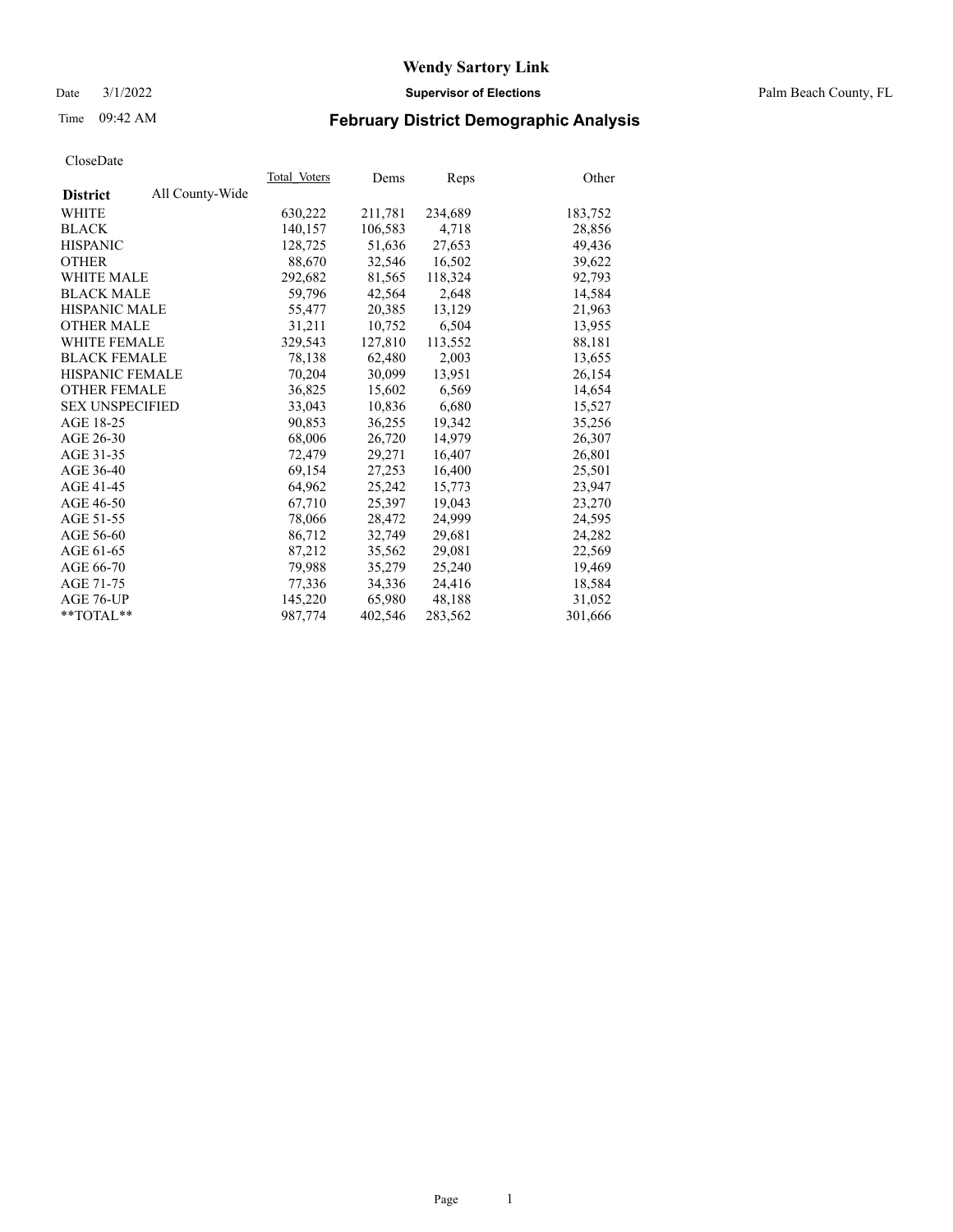Date 3/1/2022 **Supervisor of Elections** Palm Beach County, FL

## Time 09:42 AM **February District Demographic Analysis**

|                        |                 | Total Voters | Dems    | Reps    | Other   |
|------------------------|-----------------|--------------|---------|---------|---------|
| <b>District</b>        | All County-Wide |              |         |         |         |
| WHITE                  |                 | 630,222      | 211,781 | 234,689 | 183,752 |
| <b>BLACK</b>           |                 | 140,157      | 106,583 | 4,718   | 28,856  |
| <b>HISPANIC</b>        |                 | 128,725      | 51.636  | 27,653  | 49,436  |
| <b>OTHER</b>           |                 | 88,670       | 32,546  | 16,502  | 39,622  |
| <b>WHITE MALE</b>      |                 | 292,682      | 81,565  | 118,324 | 92,793  |
| <b>BLACK MALE</b>      |                 | 59,796       | 42,564  | 2,648   | 14,584  |
| <b>HISPANIC MALE</b>   |                 | 55,477       | 20,385  | 13,129  | 21,963  |
| <b>OTHER MALE</b>      |                 | 31,211       | 10.752  | 6,504   | 13,955  |
| <b>WHITE FEMALE</b>    |                 | 329.543      | 127,810 | 113,552 | 88,181  |
| <b>BLACK FEMALE</b>    |                 | 78,138       | 62,480  | 2,003   | 13,655  |
| HISPANIC FEMALE        |                 | 70,204       | 30,099  | 13,951  | 26,154  |
| <b>OTHER FEMALE</b>    |                 | 36,825       | 15,602  | 6,569   | 14,654  |
| <b>SEX UNSPECIFIED</b> |                 | 33,043       | 10,836  | 6,680   | 15,527  |
| AGE 18-25              |                 | 90,853       | 36,255  | 19,342  | 35,256  |
| AGE 26-30              |                 | 68,006       | 26,720  | 14,979  | 26,307  |
| AGE 31-35              |                 | 72,479       | 29,271  | 16,407  | 26,801  |
| AGE 36-40              |                 | 69,154       | 27,253  | 16,400  | 25,501  |
| AGE 41-45              |                 | 64,962       | 25,242  | 15,773  | 23,947  |
| AGE 46-50              |                 | 67,710       | 25,397  | 19,043  | 23,270  |
| AGE 51-55              |                 | 78,066       | 28,472  | 24,999  | 24,595  |
| AGE 56-60              |                 | 86,712       | 32,749  | 29,681  | 24,282  |
| AGE 61-65              |                 | 87.212       | 35.562  | 29,081  | 22,569  |
| AGE 66-70              |                 | 79,988       | 35,279  | 25,240  | 19,469  |
| AGE 71-75              |                 | 77,336       | 34,336  | 24,416  | 18,584  |
| AGE 76-UP              |                 | 145,220      | 65,980  | 48,188  | 31,052  |
| $*$ $TOTAL**$          |                 | 987.774      | 402,546 | 283,562 | 301,666 |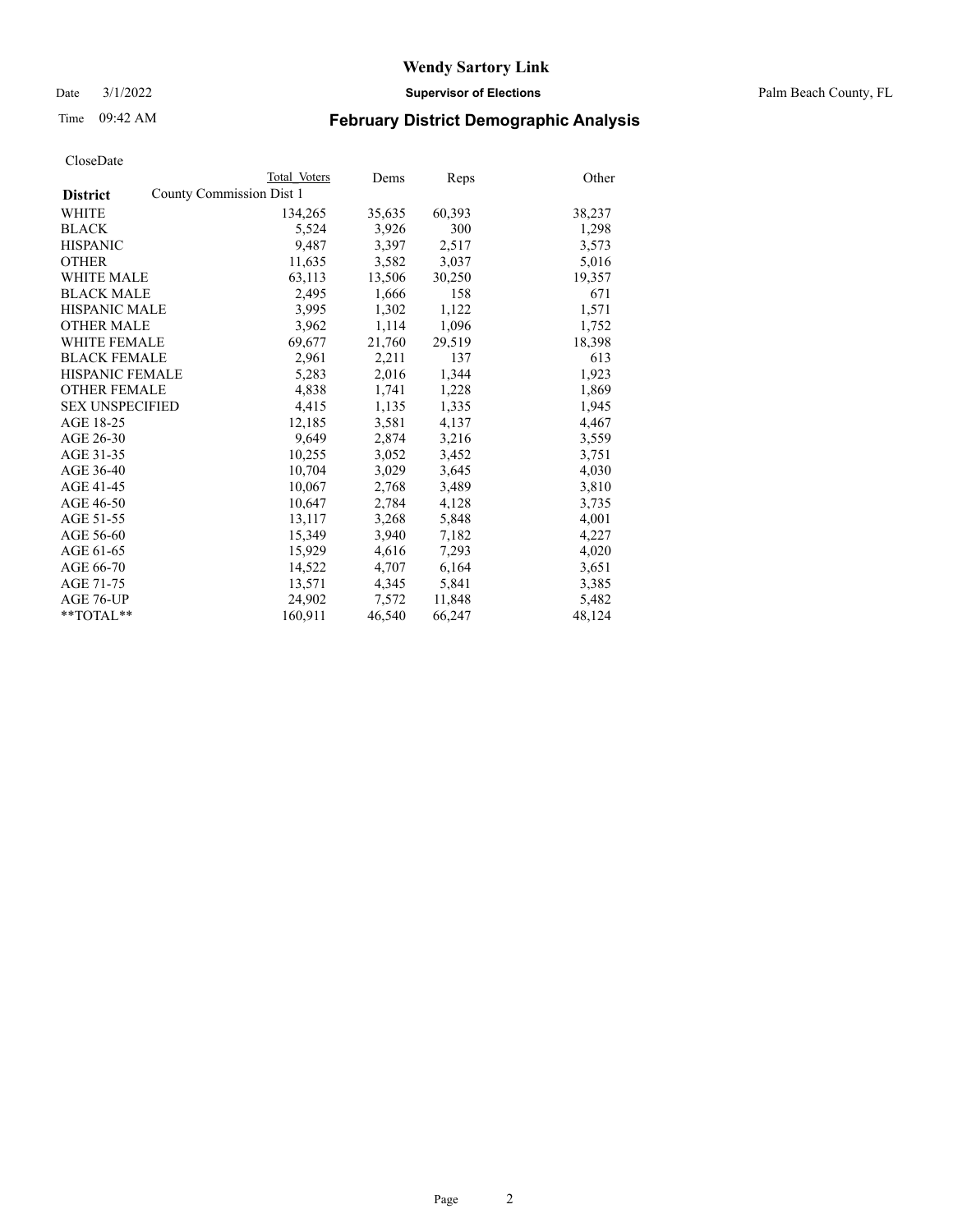Date 3/1/2022 **Supervisor of Elections** Palm Beach County, FL

## Time 09:42 AM **February District Demographic Analysis**

|                        |                          | Total Voters | Dems   | <b>Reps</b> | Other  |
|------------------------|--------------------------|--------------|--------|-------------|--------|
| <b>District</b>        | County Commission Dist 1 |              |        |             |        |
| <b>WHITE</b>           |                          | 134,265      | 35,635 | 60,393      | 38,237 |
| <b>BLACK</b>           |                          | 5,524        | 3,926  | 300         | 1,298  |
| <b>HISPANIC</b>        |                          | 9,487        | 3,397  | 2,517       | 3,573  |
| <b>OTHER</b>           |                          | 11,635       | 3,582  | 3,037       | 5,016  |
| <b>WHITE MALE</b>      |                          | 63,113       | 13,506 | 30,250      | 19,357 |
| <b>BLACK MALE</b>      |                          | 2,495        | 1,666  | 158         | 671    |
| <b>HISPANIC MALE</b>   |                          | 3,995        | 1,302  | 1,122       | 1,571  |
| <b>OTHER MALE</b>      |                          | 3,962        | 1,114  | 1,096       | 1,752  |
| <b>WHITE FEMALE</b>    |                          | 69,677       | 21,760 | 29,519      | 18,398 |
| <b>BLACK FEMALE</b>    |                          | 2,961        | 2,211  | 137         | 613    |
| <b>HISPANIC FEMALE</b> |                          | 5,283        | 2,016  | 1,344       | 1,923  |
| <b>OTHER FEMALE</b>    |                          | 4,838        | 1,741  | 1,228       | 1,869  |
| <b>SEX UNSPECIFIED</b> |                          | 4,415        | 1,135  | 1,335       | 1,945  |
| AGE 18-25              |                          | 12,185       | 3,581  | 4,137       | 4,467  |
| AGE 26-30              |                          | 9,649        | 2,874  | 3,216       | 3,559  |
| AGE 31-35              |                          | 10,255       | 3,052  | 3,452       | 3,751  |
| AGE 36-40              |                          | 10,704       | 3,029  | 3,645       | 4,030  |
| AGE 41-45              |                          | 10,067       | 2,768  | 3,489       | 3,810  |
| AGE 46-50              |                          | 10,647       | 2,784  | 4,128       | 3,735  |
| AGE 51-55              |                          | 13,117       | 3,268  | 5,848       | 4,001  |
| AGE 56-60              |                          | 15,349       | 3,940  | 7,182       | 4,227  |
| AGE 61-65              |                          | 15,929       | 4,616  | 7,293       | 4,020  |
| AGE 66-70              |                          | 14,522       | 4,707  | 6,164       | 3,651  |
| AGE 71-75              |                          | 13,571       | 4,345  | 5,841       | 3,385  |
| AGE 76-UP              |                          | 24.902       | 7,572  | 11,848      | 5,482  |
| $*$ $TOTAL**$          |                          | 160,911      | 46,540 | 66,247      | 48,124 |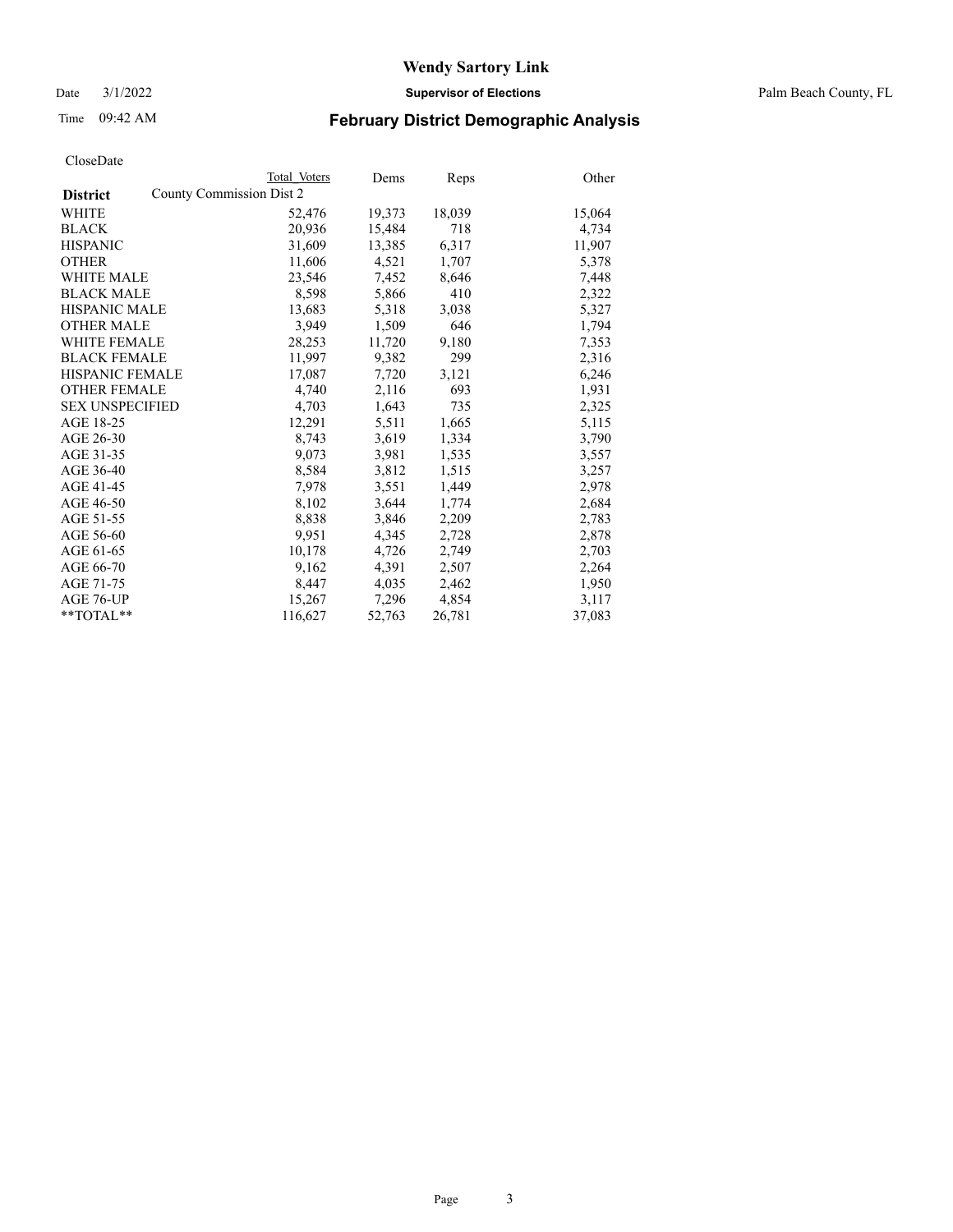Date 3/1/2022 **Supervisor of Elections** Palm Beach County, FL

## Time 09:42 AM **February District Demographic Analysis**

|                        | Total Voters             | Dems   | <b>Reps</b> | Other  |
|------------------------|--------------------------|--------|-------------|--------|
| <b>District</b>        | County Commission Dist 2 |        |             |        |
| WHITE                  | 52,476                   | 19,373 | 18,039      | 15,064 |
| <b>BLACK</b>           | 20,936                   | 15,484 | 718         | 4,734  |
| <b>HISPANIC</b>        | 31,609                   | 13,385 | 6,317       | 11,907 |
| <b>OTHER</b>           | 11,606                   | 4,521  | 1,707       | 5,378  |
| <b>WHITE MALE</b>      | 23,546                   | 7,452  | 8,646       | 7,448  |
| <b>BLACK MALE</b>      | 8,598                    | 5,866  | 410         | 2,322  |
| <b>HISPANIC MALE</b>   | 13,683                   | 5,318  | 3,038       | 5,327  |
| <b>OTHER MALE</b>      | 3.949                    | 1,509  | 646         | 1,794  |
| <b>WHITE FEMALE</b>    | 28,253                   | 11,720 | 9,180       | 7,353  |
| <b>BLACK FEMALE</b>    | 11,997                   | 9,382  | 299         | 2,316  |
| <b>HISPANIC FEMALE</b> | 17,087                   | 7,720  | 3,121       | 6,246  |
| <b>OTHER FEMALE</b>    | 4,740                    | 2,116  | 693         | 1,931  |
| <b>SEX UNSPECIFIED</b> | 4.703                    | 1,643  | 735         | 2,325  |
| AGE 18-25              | 12,291                   | 5,511  | 1,665       | 5,115  |
| AGE 26-30              | 8,743                    | 3,619  | 1,334       | 3,790  |
| AGE 31-35              | 9,073                    | 3,981  | 1,535       | 3,557  |
| AGE 36-40              | 8,584                    | 3,812  | 1,515       | 3,257  |
| AGE 41-45              | 7,978                    | 3,551  | 1,449       | 2,978  |
| AGE 46-50              | 8,102                    | 3,644  | 1,774       | 2,684  |
| AGE 51-55              | 8,838                    | 3,846  | 2,209       | 2,783  |
| AGE 56-60              | 9,951                    | 4,345  | 2,728       | 2,878  |
| AGE 61-65              | 10,178                   | 4,726  | 2,749       | 2,703  |
| AGE 66-70              | 9,162                    | 4,391  | 2,507       | 2,264  |
| AGE 71-75              | 8,447                    | 4,035  | 2,462       | 1,950  |
| AGE 76-UP              | 15,267                   | 7,296  | 4,854       | 3,117  |
| **TOTAL**              | 116,627                  | 52,763 | 26,781      | 37,083 |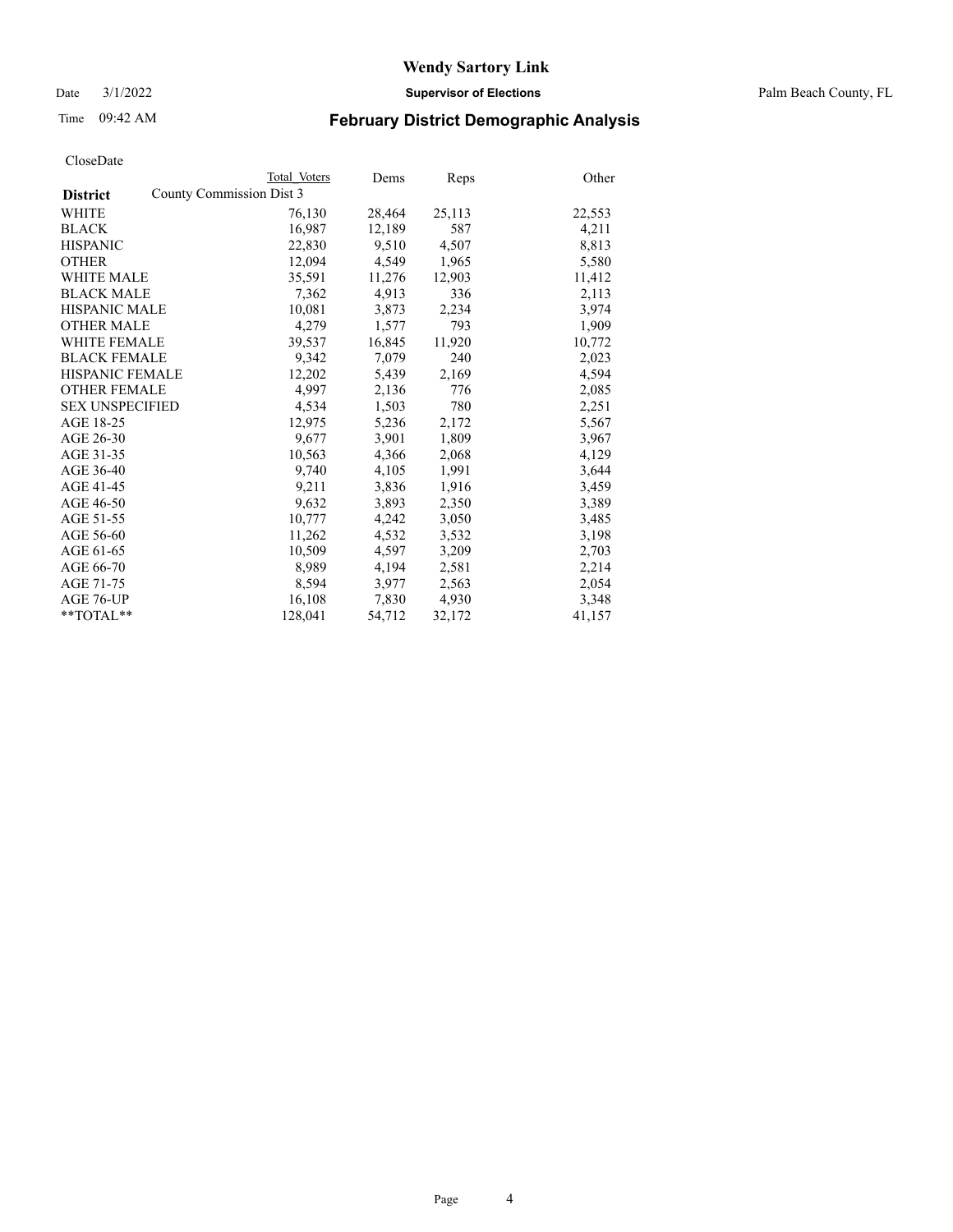Date 3/1/2022 **Supervisor of Elections** Palm Beach County, FL

## Time 09:42 AM **February District Demographic Analysis**

|                        | Total Voters             | Dems   | Reps   | Other  |
|------------------------|--------------------------|--------|--------|--------|
| <b>District</b>        | County Commission Dist 3 |        |        |        |
| WHITE                  | 76,130                   | 28,464 | 25,113 | 22,553 |
| <b>BLACK</b>           | 16,987                   | 12,189 | 587    | 4,211  |
| <b>HISPANIC</b>        | 22,830                   | 9,510  | 4,507  | 8,813  |
| <b>OTHER</b>           | 12,094                   | 4,549  | 1,965  | 5,580  |
| <b>WHITE MALE</b>      | 35,591                   | 11,276 | 12,903 | 11,412 |
| <b>BLACK MALE</b>      | 7,362                    | 4,913  | 336    | 2,113  |
| <b>HISPANIC MALE</b>   | 10,081                   | 3,873  | 2,234  | 3,974  |
| <b>OTHER MALE</b>      | 4,279                    | 1,577  | 793    | 1,909  |
| <b>WHITE FEMALE</b>    | 39,537                   | 16,845 | 11,920 | 10,772 |
| <b>BLACK FEMALE</b>    | 9,342                    | 7,079  | 240    | 2,023  |
| <b>HISPANIC FEMALE</b> | 12,202                   | 5,439  | 2,169  | 4,594  |
| <b>OTHER FEMALE</b>    | 4,997                    | 2,136  | 776    | 2,085  |
| <b>SEX UNSPECIFIED</b> | 4,534                    | 1,503  | 780    | 2,251  |
| AGE 18-25              | 12,975                   | 5,236  | 2,172  | 5,567  |
| AGE 26-30              | 9.677                    | 3.901  | 1,809  | 3,967  |
| AGE 31-35              | 10,563                   | 4,366  | 2,068  | 4,129  |
| AGE 36-40              | 9,740                    | 4,105  | 1,991  | 3,644  |
| AGE 41-45              | 9,211                    | 3,836  | 1,916  | 3,459  |
| AGE 46-50              | 9,632                    | 3,893  | 2,350  | 3,389  |
| AGE 51-55              | 10,777                   | 4,242  | 3,050  | 3,485  |
| AGE 56-60              | 11,262                   | 4,532  | 3,532  | 3,198  |
| AGE 61-65              | 10,509                   | 4,597  | 3,209  | 2,703  |
| AGE 66-70              | 8,989                    | 4,194  | 2,581  | 2,214  |
| AGE 71-75              | 8,594                    | 3,977  | 2,563  | 2,054  |
| AGE 76-UP              | 16,108                   | 7,830  | 4,930  | 3,348  |
| **TOTAL**              | 128,041                  | 54,712 | 32,172 | 41,157 |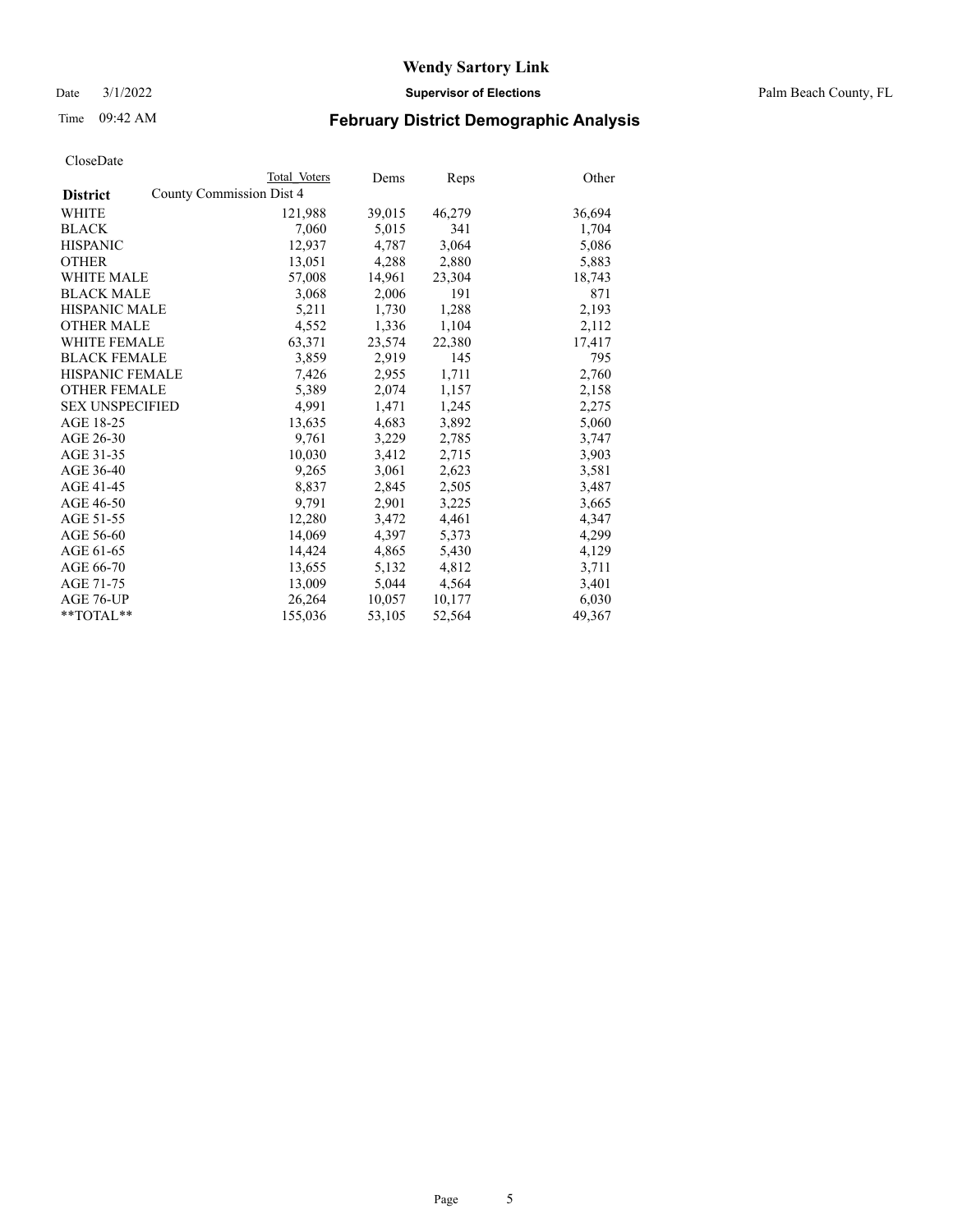Date 3/1/2022 **Supervisor of Elections** Palm Beach County, FL

## Time 09:42 AM **February District Demographic Analysis**

|                                             | Total Voters | Dems   | <b>Reps</b> | Other  |
|---------------------------------------------|--------------|--------|-------------|--------|
| County Commission Dist 4<br><b>District</b> |              |        |             |        |
| WHITE                                       | 121,988      | 39,015 | 46,279      | 36,694 |
| <b>BLACK</b>                                | 7,060        | 5,015  | 341         | 1,704  |
| <b>HISPANIC</b>                             | 12,937       | 4,787  | 3,064       | 5,086  |
| <b>OTHER</b>                                | 13,051       | 4,288  | 2,880       | 5,883  |
| <b>WHITE MALE</b>                           | 57,008       | 14,961 | 23,304      | 18,743 |
| <b>BLACK MALE</b>                           | 3,068        | 2,006  | 191         | 871    |
| <b>HISPANIC MALE</b>                        | 5,211        | 1,730  | 1,288       | 2,193  |
| <b>OTHER MALE</b>                           | 4,552        | 1,336  | 1,104       | 2,112  |
| <b>WHITE FEMALE</b>                         | 63,371       | 23,574 | 22,380      | 17,417 |
| <b>BLACK FEMALE</b>                         | 3,859        | 2,919  | 145         | 795    |
| <b>HISPANIC FEMALE</b>                      | 7,426        | 2,955  | 1,711       | 2,760  |
| <b>OTHER FEMALE</b>                         | 5,389        | 2,074  | 1,157       | 2,158  |
| <b>SEX UNSPECIFIED</b>                      | 4,991        | 1,471  | 1,245       | 2,275  |
| AGE 18-25                                   | 13,635       | 4,683  | 3,892       | 5,060  |
| AGE 26-30                                   | 9,761        | 3,229  | 2,785       | 3,747  |
| AGE 31-35                                   | 10,030       | 3,412  | 2,715       | 3,903  |
| AGE 36-40                                   | 9,265        | 3,061  | 2,623       | 3,581  |
| AGE 41-45                                   | 8,837        | 2,845  | 2,505       | 3,487  |
| AGE 46-50                                   | 9,791        | 2,901  | 3,225       | 3,665  |
| AGE 51-55                                   | 12,280       | 3,472  | 4,461       | 4,347  |
| AGE 56-60                                   | 14,069       | 4,397  | 5,373       | 4,299  |
| AGE 61-65                                   | 14,424       | 4,865  | 5,430       | 4,129  |
| AGE 66-70                                   | 13,655       | 5,132  | 4,812       | 3,711  |
| AGE 71-75                                   | 13,009       | 5,044  | 4,564       | 3,401  |
| AGE 76-UP                                   | 26,264       | 10,057 | 10,177      | 6,030  |
| $*$ $TOTAL**$                               | 155,036      | 53,105 | 52,564      | 49,367 |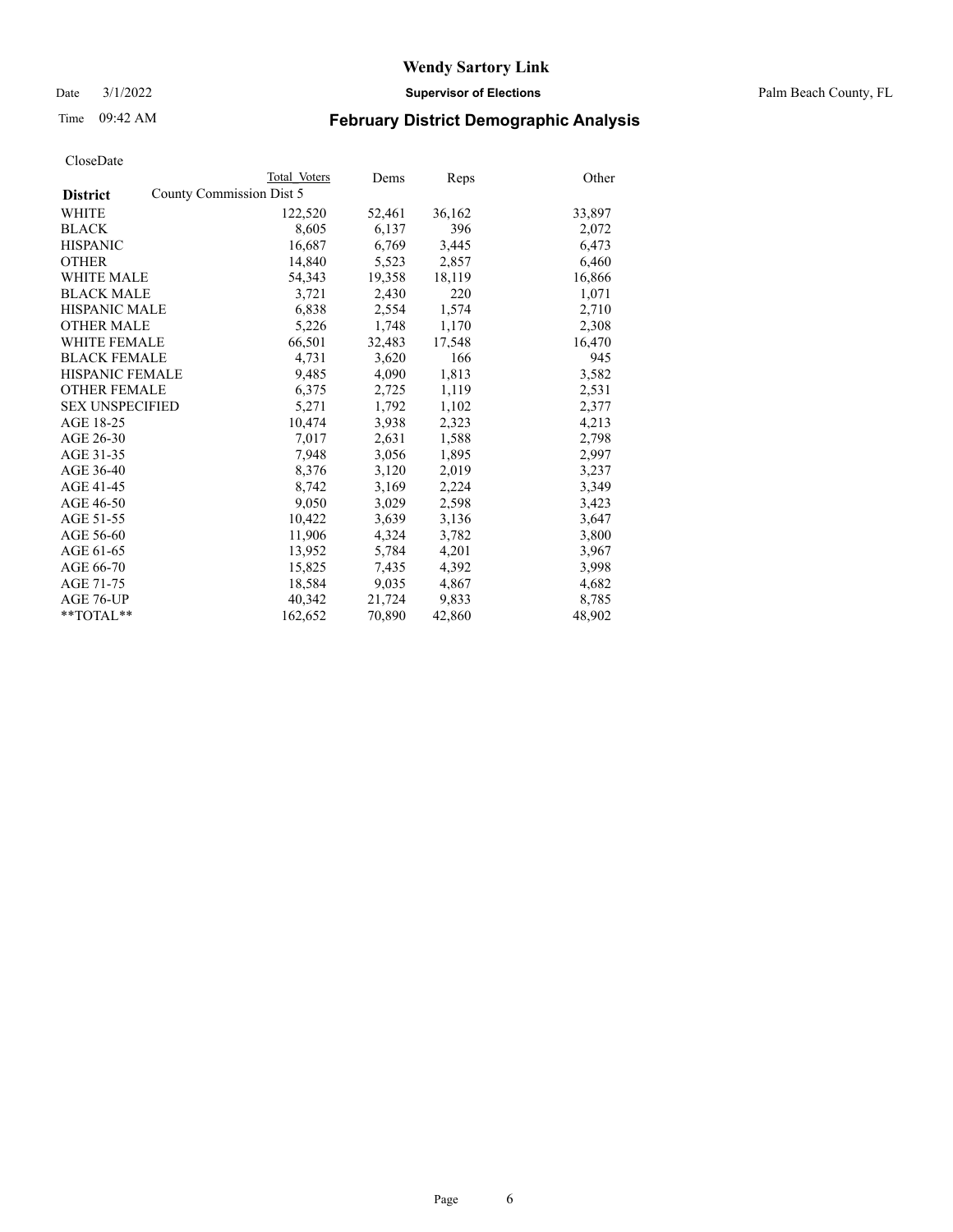Date 3/1/2022 **Supervisor of Elections** Palm Beach County, FL

## Time 09:42 AM **February District Demographic Analysis**

|                        | Total Voters             | Dems   | <b>Reps</b> | Other  |
|------------------------|--------------------------|--------|-------------|--------|
| <b>District</b>        | County Commission Dist 5 |        |             |        |
| WHITE                  | 122,520                  | 52,461 | 36,162      | 33,897 |
| <b>BLACK</b>           | 8,605                    | 6,137  | 396         | 2,072  |
| <b>HISPANIC</b>        | 16,687                   | 6,769  | 3,445       | 6,473  |
| <b>OTHER</b>           | 14,840                   | 5,523  | 2,857       | 6,460  |
| <b>WHITE MALE</b>      | 54,343                   | 19,358 | 18,119      | 16,866 |
| <b>BLACK MALE</b>      | 3,721                    | 2,430  | 220         | 1,071  |
| <b>HISPANIC MALE</b>   | 6,838                    | 2,554  | 1,574       | 2,710  |
| <b>OTHER MALE</b>      | 5,226                    | 1,748  | 1,170       | 2,308  |
| <b>WHITE FEMALE</b>    | 66,501                   | 32,483 | 17,548      | 16,470 |
| <b>BLACK FEMALE</b>    | 4,731                    | 3,620  | 166         | 945    |
| <b>HISPANIC FEMALE</b> | 9,485                    | 4,090  | 1,813       | 3,582  |
| <b>OTHER FEMALE</b>    | 6,375                    | 2,725  | 1,119       | 2,531  |
| <b>SEX UNSPECIFIED</b> | 5,271                    | 1,792  | 1,102       | 2,377  |
| AGE 18-25              | 10,474                   | 3,938  | 2,323       | 4,213  |
| AGE 26-30              | 7.017                    | 2,631  | 1,588       | 2,798  |
| AGE 31-35              | 7,948                    | 3,056  | 1,895       | 2,997  |
| AGE 36-40              | 8,376                    | 3,120  | 2,019       | 3,237  |
| AGE 41-45              | 8,742                    | 3,169  | 2,224       | 3,349  |
| AGE 46-50              | 9,050                    | 3,029  | 2,598       | 3,423  |
| AGE 51-55              | 10,422                   | 3,639  | 3,136       | 3,647  |
| AGE 56-60              | 11,906                   | 4,324  | 3,782       | 3,800  |
| AGE 61-65              | 13,952                   | 5,784  | 4,201       | 3,967  |
| AGE 66-70              | 15,825                   | 7,435  | 4,392       | 3,998  |
| AGE 71-75              | 18,584                   | 9,035  | 4,867       | 4,682  |
| AGE 76-UP              | 40,342                   | 21,724 | 9,833       | 8,785  |
| $*$ $TOTAL**$          | 162,652                  | 70,890 | 42,860      | 48,902 |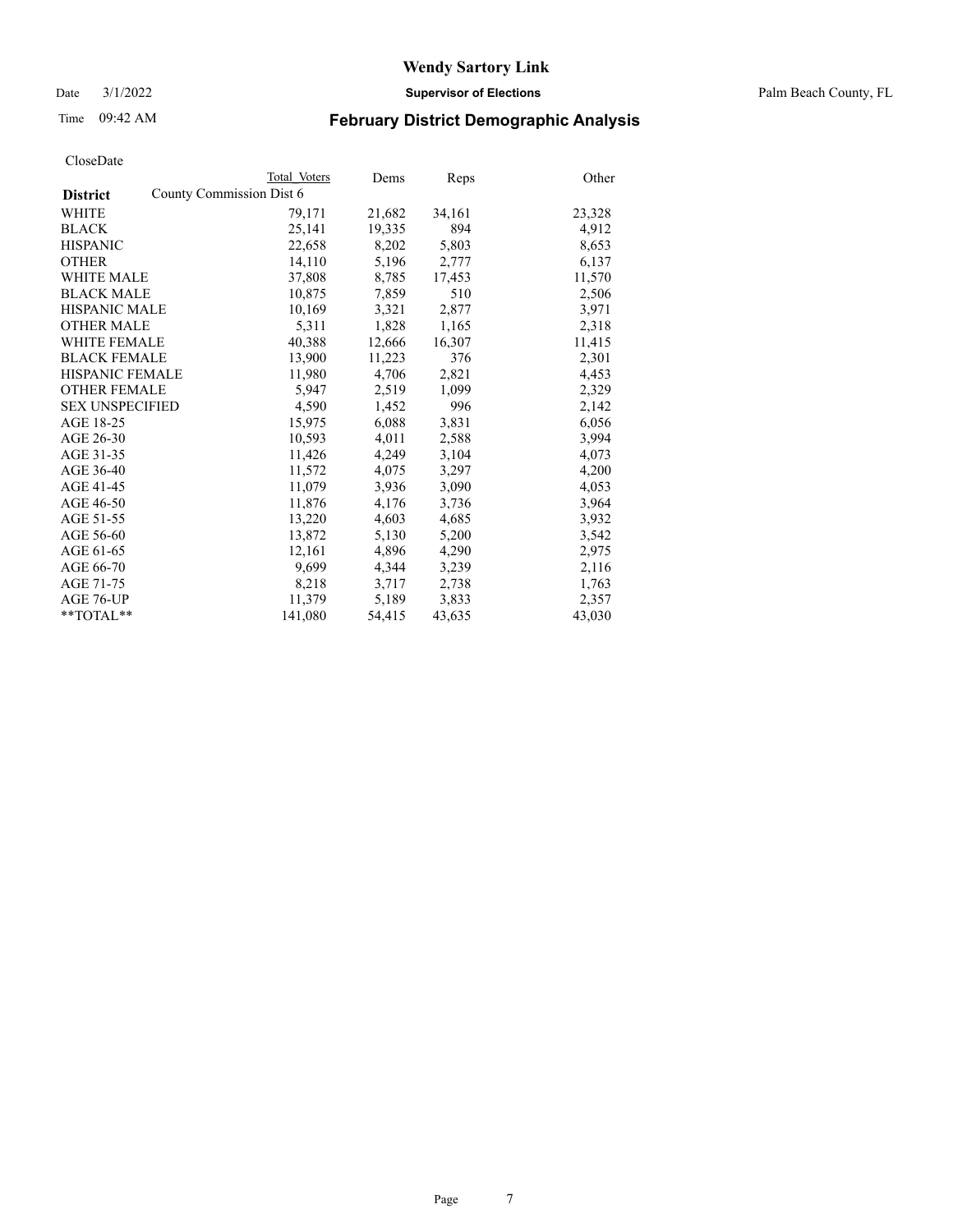Date 3/1/2022 **Supervisor of Elections** Palm Beach County, FL

## Time 09:42 AM **February District Demographic Analysis**

|                        | Total Voters             | Dems   | <b>Reps</b> | Other  |
|------------------------|--------------------------|--------|-------------|--------|
| <b>District</b>        | County Commission Dist 6 |        |             |        |
| <b>WHITE</b>           | 79,171                   | 21,682 | 34,161      | 23,328 |
| <b>BLACK</b>           | 25,141                   | 19,335 | 894         | 4,912  |
| <b>HISPANIC</b>        | 22,658                   | 8,202  | 5,803       | 8,653  |
| <b>OTHER</b>           | 14,110                   | 5,196  | 2,777       | 6,137  |
| <b>WHITE MALE</b>      | 37,808                   | 8,785  | 17,453      | 11,570 |
| <b>BLACK MALE</b>      | 10,875                   | 7,859  | 510         | 2,506  |
| <b>HISPANIC MALE</b>   | 10,169                   | 3,321  | 2,877       | 3,971  |
| <b>OTHER MALE</b>      | 5,311                    | 1,828  | 1,165       | 2,318  |
| <b>WHITE FEMALE</b>    | 40,388                   | 12,666 | 16,307      | 11,415 |
| <b>BLACK FEMALE</b>    | 13,900                   | 11,223 | 376         | 2,301  |
| <b>HISPANIC FEMALE</b> | 11,980                   | 4,706  | 2,821       | 4,453  |
| <b>OTHER FEMALE</b>    | 5.947                    | 2,519  | 1,099       | 2,329  |
| <b>SEX UNSPECIFIED</b> | 4,590                    | 1,452  | 996         | 2,142  |
| AGE 18-25              | 15,975                   | 6,088  | 3,831       | 6,056  |
| AGE 26-30              | 10,593                   | 4,011  | 2,588       | 3,994  |
| AGE 31-35              | 11,426                   | 4,249  | 3,104       | 4,073  |
| AGE 36-40              | 11,572                   | 4,075  | 3,297       | 4,200  |
| AGE 41-45              | 11,079                   | 3,936  | 3,090       | 4,053  |
| AGE 46-50              | 11,876                   | 4,176  | 3,736       | 3,964  |
| AGE 51-55              | 13,220                   | 4,603  | 4,685       | 3,932  |
| AGE 56-60              | 13,872                   | 5,130  | 5,200       | 3,542  |
| AGE 61-65              | 12,161                   | 4,896  | 4,290       | 2,975  |
| AGE 66-70              | 9,699                    | 4,344  | 3,239       | 2,116  |
| AGE 71-75              | 8,218                    | 3,717  | 2,738       | 1,763  |
| AGE 76-UP              | 11,379                   | 5,189  | 3,833       | 2,357  |
| $*$ $TOTAL**$          | 141,080                  | 54,415 | 43,635      | 43,030 |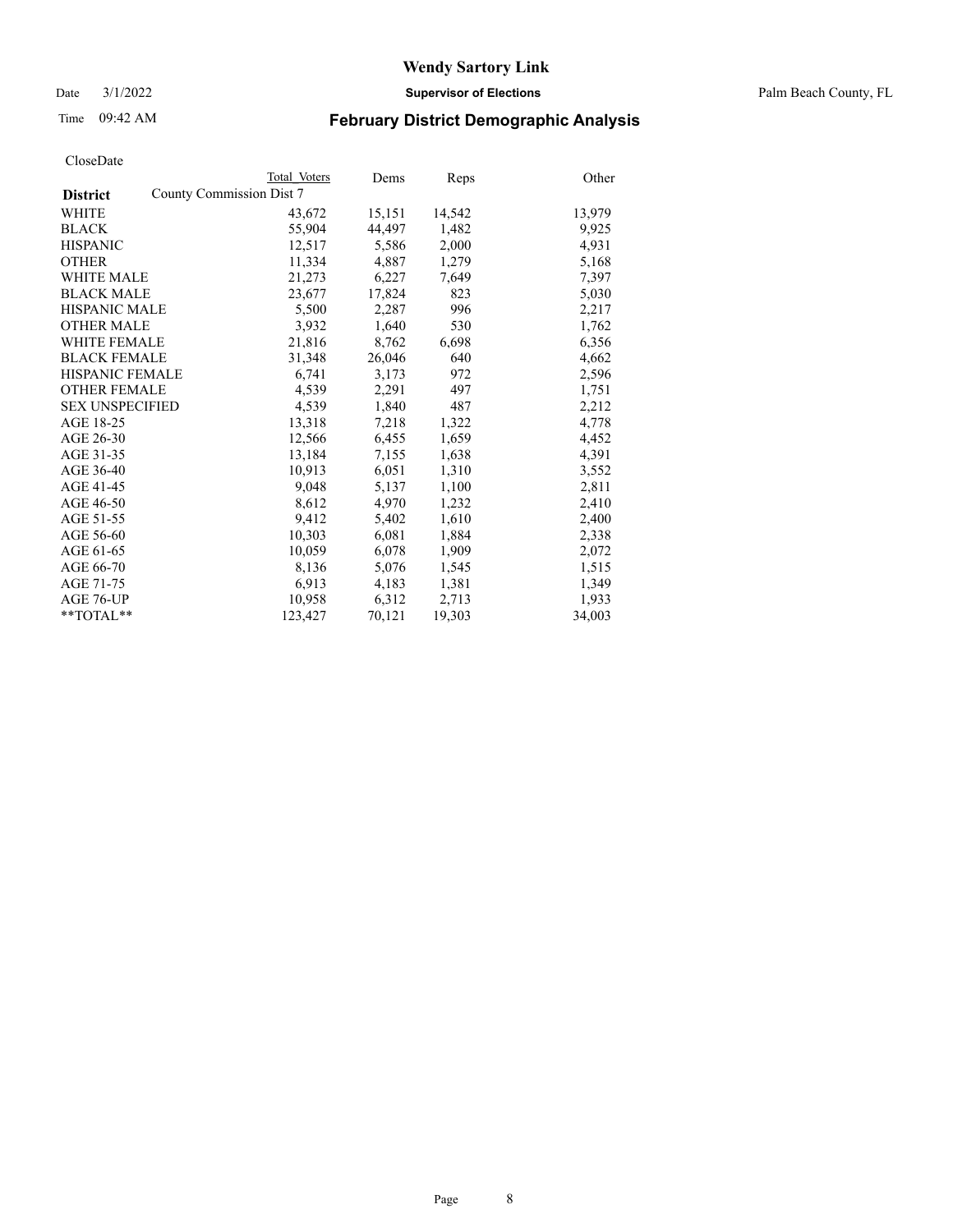Date 3/1/2022 **Supervisor of Elections** Palm Beach County, FL

## Time 09:42 AM **February District Demographic Analysis**

|                                             | Total Voters | Dems   | <b>Reps</b> | Other  |
|---------------------------------------------|--------------|--------|-------------|--------|
| County Commission Dist 7<br><b>District</b> |              |        |             |        |
| WHITE                                       | 43,672       | 15,151 | 14,542      | 13,979 |
| <b>BLACK</b>                                | 55,904       | 44,497 | 1,482       | 9,925  |
| <b>HISPANIC</b>                             | 12,517       | 5,586  | 2,000       | 4,931  |
| <b>OTHER</b>                                | 11,334       | 4,887  | 1,279       | 5,168  |
| <b>WHITE MALE</b>                           | 21,273       | 6,227  | 7,649       | 7,397  |
| <b>BLACK MALE</b>                           | 23,677       | 17,824 | 823         | 5,030  |
| <b>HISPANIC MALE</b>                        | 5,500        | 2,287  | 996         | 2,217  |
| <b>OTHER MALE</b>                           | 3,932        | 1,640  | 530         | 1,762  |
| <b>WHITE FEMALE</b>                         | 21,816       | 8,762  | 6,698       | 6,356  |
| <b>BLACK FEMALE</b>                         | 31,348       | 26,046 | 640         | 4,662  |
| <b>HISPANIC FEMALE</b>                      | 6,741        | 3,173  | 972         | 2,596  |
| <b>OTHER FEMALE</b>                         | 4,539        | 2,291  | 497         | 1,751  |
| <b>SEX UNSPECIFIED</b>                      | 4,539        | 1,840  | 487         | 2,212  |
| AGE 18-25                                   | 13,318       | 7,218  | 1,322       | 4,778  |
| AGE 26-30                                   | 12,566       | 6,455  | 1,659       | 4,452  |
| AGE 31-35                                   | 13,184       | 7,155  | 1,638       | 4,391  |
| AGE 36-40                                   | 10,913       | 6,051  | 1,310       | 3,552  |
| AGE 41-45                                   | 9,048        | 5,137  | 1,100       | 2,811  |
| AGE 46-50                                   | 8,612        | 4,970  | 1,232       | 2,410  |
| AGE 51-55                                   | 9,412        | 5,402  | 1,610       | 2,400  |
| AGE 56-60                                   | 10,303       | 6,081  | 1,884       | 2,338  |
| AGE 61-65                                   | 10,059       | 6,078  | 1,909       | 2,072  |
| AGE 66-70                                   | 8,136        | 5,076  | 1,545       | 1,515  |
| AGE 71-75                                   | 6,913        | 4,183  | 1,381       | 1,349  |
| AGE 76-UP                                   | 10,958       | 6,312  | 2,713       | 1,933  |
| **TOTAL**                                   | 123,427      | 70,121 | 19,303      | 34,003 |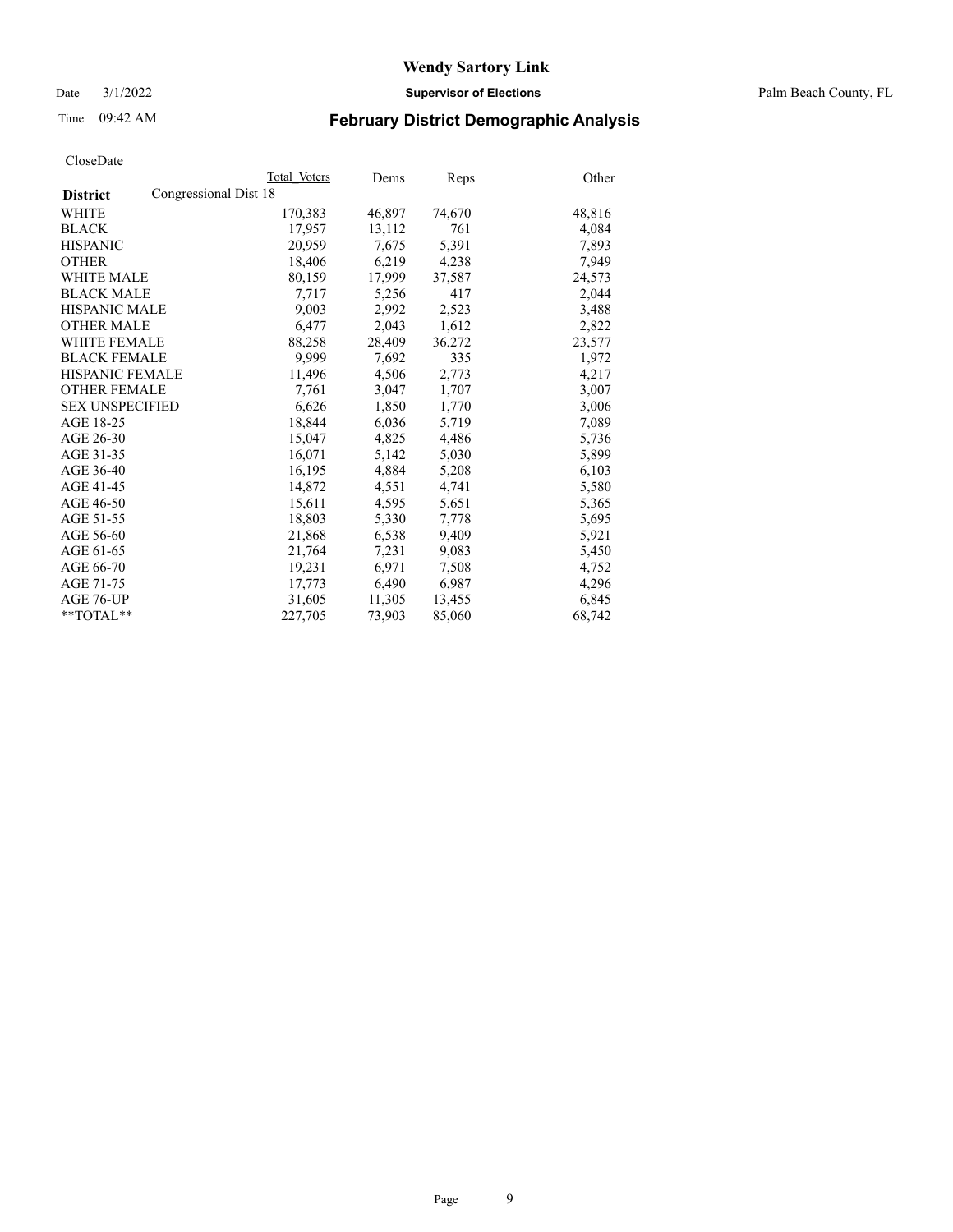Date 3/1/2022 **Supervisor of Elections** Palm Beach County, FL

## Time 09:42 AM **February District Demographic Analysis**

|                                          | Total Voters | Dems   | <b>Reps</b> | Other  |
|------------------------------------------|--------------|--------|-------------|--------|
| Congressional Dist 18<br><b>District</b> |              |        |             |        |
| WHITE                                    | 170,383      | 46,897 | 74,670      | 48,816 |
| <b>BLACK</b>                             | 17,957       | 13,112 | 761         | 4,084  |
| <b>HISPANIC</b>                          | 20.959       | 7.675  | 5,391       | 7,893  |
| <b>OTHER</b>                             | 18,406       | 6,219  | 4,238       | 7,949  |
| <b>WHITE MALE</b>                        | 80,159       | 17,999 | 37,587      | 24,573 |
| <b>BLACK MALE</b>                        | 7,717        | 5,256  | 417         | 2,044  |
| <b>HISPANIC MALE</b>                     | 9,003        | 2,992  | 2,523       | 3,488  |
| <b>OTHER MALE</b>                        | 6,477        | 2,043  | 1,612       | 2,822  |
| <b>WHITE FEMALE</b>                      | 88,258       | 28,409 | 36,272      | 23,577 |
| <b>BLACK FEMALE</b>                      | 9.999        | 7,692  | 335         | 1,972  |
| <b>HISPANIC FEMALE</b>                   | 11,496       | 4,506  | 2,773       | 4,217  |
| <b>OTHER FEMALE</b>                      | 7,761        | 3,047  | 1,707       | 3,007  |
| <b>SEX UNSPECIFIED</b>                   | 6,626        | 1,850  | 1,770       | 3,006  |
| AGE 18-25                                | 18,844       | 6,036  | 5,719       | 7,089  |
| AGE 26-30                                | 15,047       | 4,825  | 4,486       | 5,736  |
| AGE 31-35                                | 16,071       | 5,142  | 5,030       | 5,899  |
| AGE 36-40                                | 16,195       | 4,884  | 5,208       | 6,103  |
| AGE 41-45                                | 14,872       | 4,551  | 4,741       | 5,580  |
| AGE 46-50                                | 15,611       | 4,595  | 5,651       | 5,365  |
| AGE 51-55                                | 18,803       | 5,330  | 7,778       | 5,695  |
| AGE 56-60                                | 21,868       | 6,538  | 9,409       | 5,921  |
| AGE 61-65                                | 21,764       | 7,231  | 9,083       | 5,450  |
| AGE 66-70                                | 19,231       | 6,971  | 7,508       | 4,752  |
| AGE 71-75                                | 17,773       | 6,490  | 6,987       | 4,296  |
| AGE 76-UP                                | 31,605       | 11,305 | 13,455      | 6,845  |
| $*$ $TOTAL**$                            | 227,705      | 73,903 | 85,060      | 68,742 |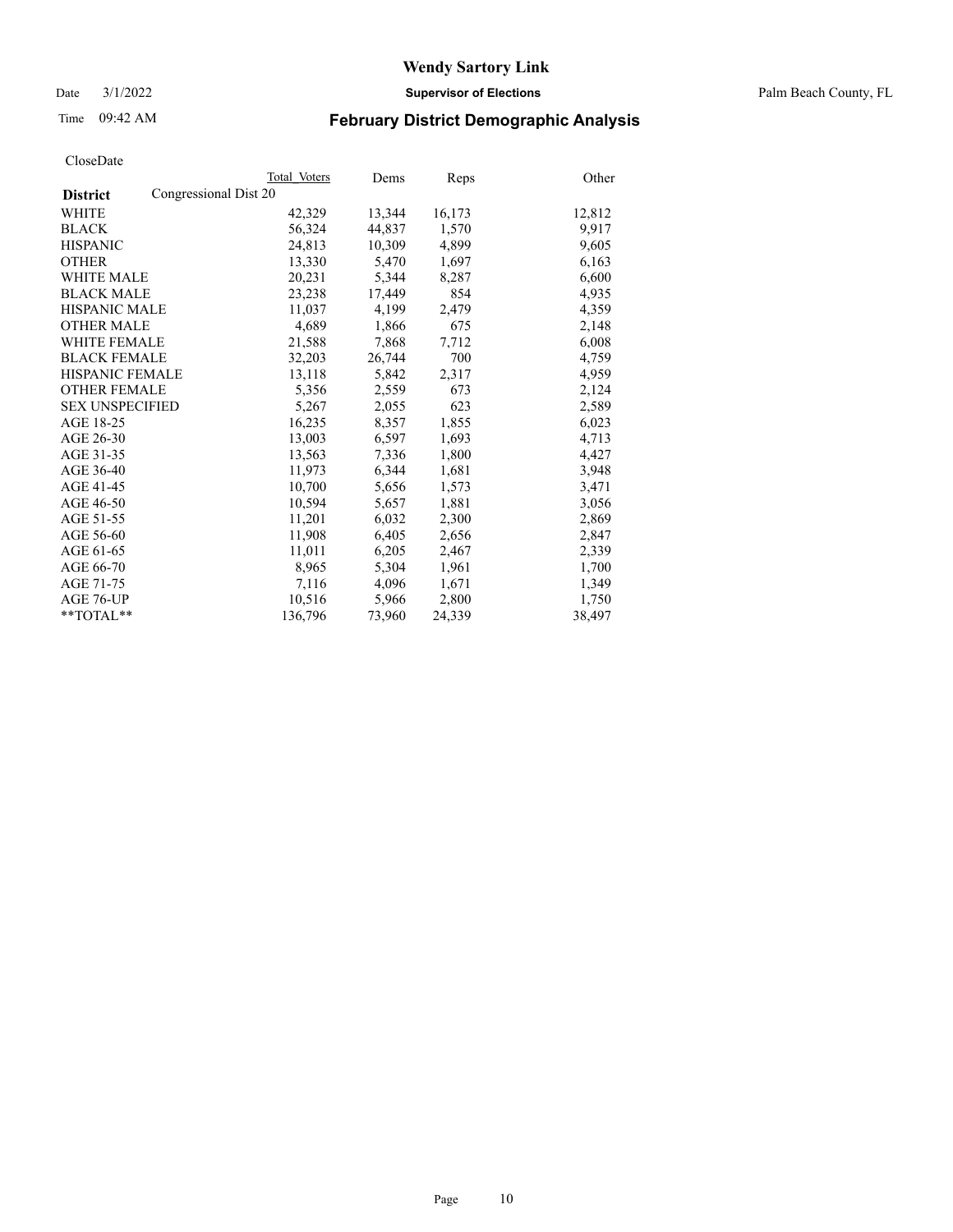Date 3/1/2022 **Supervisor of Elections** Palm Beach County, FL

## Time 09:42 AM **February District Demographic Analysis**

|                                          | Total Voters | Dems   | Reps   | Other  |
|------------------------------------------|--------------|--------|--------|--------|
| Congressional Dist 20<br><b>District</b> |              |        |        |        |
| WHITE                                    | 42,329       | 13,344 | 16,173 | 12,812 |
| <b>BLACK</b>                             | 56,324       | 44,837 | 1,570  | 9,917  |
| <b>HISPANIC</b>                          | 24,813       | 10,309 | 4,899  | 9,605  |
| <b>OTHER</b>                             | 13,330       | 5,470  | 1,697  | 6,163  |
| <b>WHITE MALE</b>                        | 20,231       | 5,344  | 8,287  | 6,600  |
| <b>BLACK MALE</b>                        | 23,238       | 17,449 | 854    | 4,935  |
| <b>HISPANIC MALE</b>                     | 11,037       | 4,199  | 2,479  | 4,359  |
| <b>OTHER MALE</b>                        | 4,689        | 1,866  | 675    | 2,148  |
| <b>WHITE FEMALE</b>                      | 21,588       | 7,868  | 7,712  | 6,008  |
| <b>BLACK FEMALE</b>                      | 32,203       | 26,744 | 700    | 4,759  |
| <b>HISPANIC FEMALE</b>                   | 13,118       | 5,842  | 2,317  | 4,959  |
| <b>OTHER FEMALE</b>                      | 5,356        | 2,559  | 673    | 2,124  |
| <b>SEX UNSPECIFIED</b>                   | 5,267        | 2,055  | 623    | 2,589  |
| AGE 18-25                                | 16,235       | 8,357  | 1,855  | 6,023  |
| AGE 26-30                                | 13,003       | 6,597  | 1,693  | 4,713  |
| AGE 31-35                                | 13,563       | 7,336  | 1,800  | 4,427  |
| AGE 36-40                                | 11,973       | 6,344  | 1,681  | 3,948  |
| AGE 41-45                                | 10,700       | 5,656  | 1,573  | 3,471  |
| AGE 46-50                                | 10,594       | 5,657  | 1,881  | 3,056  |
| AGE 51-55                                | 11,201       | 6,032  | 2,300  | 2,869  |
| AGE 56-60                                | 11,908       | 6,405  | 2,656  | 2,847  |
| AGE 61-65                                | 11,011       | 6,205  | 2,467  | 2,339  |
| AGE 66-70                                | 8,965        | 5,304  | 1,961  | 1,700  |
| AGE 71-75                                | 7,116        | 4,096  | 1,671  | 1,349  |
| AGE 76-UP                                | 10,516       | 5,966  | 2,800  | 1,750  |
| $*$ $TOTAL**$                            | 136,796      | 73,960 | 24,339 | 38,497 |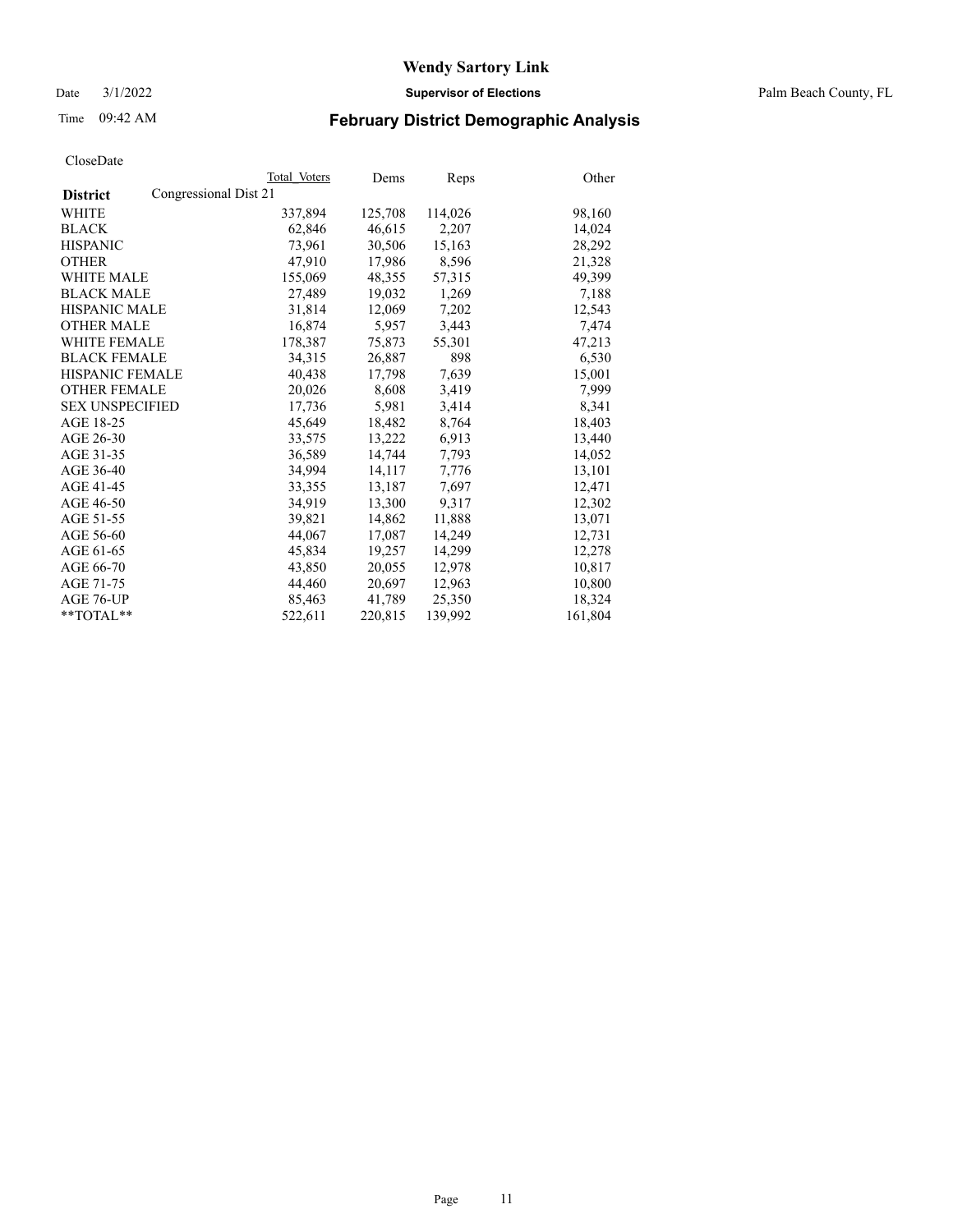Date 3/1/2022 **Supervisor of Elections** Palm Beach County, FL

## Time 09:42 AM **February District Demographic Analysis**

| Cioscizato             |                       |              |         |         |         |
|------------------------|-----------------------|--------------|---------|---------|---------|
|                        |                       | Total Voters | Dems    | Reps    | Other   |
| <b>District</b>        | Congressional Dist 21 |              |         |         |         |
| WHITE                  |                       | 337,894      | 125,708 | 114,026 | 98,160  |
| <b>BLACK</b>           |                       | 62,846       | 46,615  | 2,207   | 14,024  |
| <b>HISPANIC</b>        |                       | 73.961       | 30,506  | 15,163  | 28,292  |
| <b>OTHER</b>           |                       | 47,910       | 17,986  | 8,596   | 21,328  |
| <b>WHITE MALE</b>      |                       | 155,069      | 48,355  | 57,315  | 49,399  |
| <b>BLACK MALE</b>      |                       | 27,489       | 19,032  | 1,269   | 7,188   |
| <b>HISPANIC MALE</b>   |                       | 31,814       | 12,069  | 7,202   | 12,543  |
| <b>OTHER MALE</b>      |                       | 16,874       | 5,957   | 3,443   | 7,474   |
| <b>WHITE FEMALE</b>    |                       | 178,387      | 75,873  | 55,301  | 47,213  |
| <b>BLACK FEMALE</b>    |                       | 34.315       | 26,887  | 898     | 6,530   |
| <b>HISPANIC FEMALE</b> |                       | 40,438       | 17,798  | 7,639   | 15,001  |
| <b>OTHER FEMALE</b>    |                       | 20,026       | 8,608   | 3,419   | 7,999   |
| <b>SEX UNSPECIFIED</b> |                       | 17,736       | 5,981   | 3,414   | 8,341   |
| AGE 18-25              |                       | 45,649       | 18,482  | 8,764   | 18,403  |
| AGE 26-30              |                       | 33,575       | 13,222  | 6,913   | 13,440  |
| AGE 31-35              |                       | 36,589       | 14,744  | 7,793   | 14,052  |
| AGE 36-40              |                       | 34.994       | 14,117  | 7,776   | 13,101  |
| AGE 41-45              |                       | 33,355       | 13,187  | 7,697   | 12,471  |
| AGE 46-50              |                       | 34,919       | 13,300  | 9,317   | 12,302  |
| AGE 51-55              |                       | 39,821       | 14,862  | 11,888  | 13,071  |
| AGE 56-60              |                       | 44,067       | 17,087  | 14,249  | 12,731  |
| AGE 61-65              |                       | 45,834       | 19,257  | 14,299  | 12,278  |
| AGE 66-70              |                       | 43,850       | 20,055  | 12,978  | 10,817  |
| AGE 71-75              |                       | 44,460       | 20,697  | 12,963  | 10,800  |
| AGE 76-UP              |                       | 85,463       | 41,789  | 25,350  | 18,324  |
| $*$ $TOTAL**$          |                       | 522,611      | 220,815 | 139,992 | 161,804 |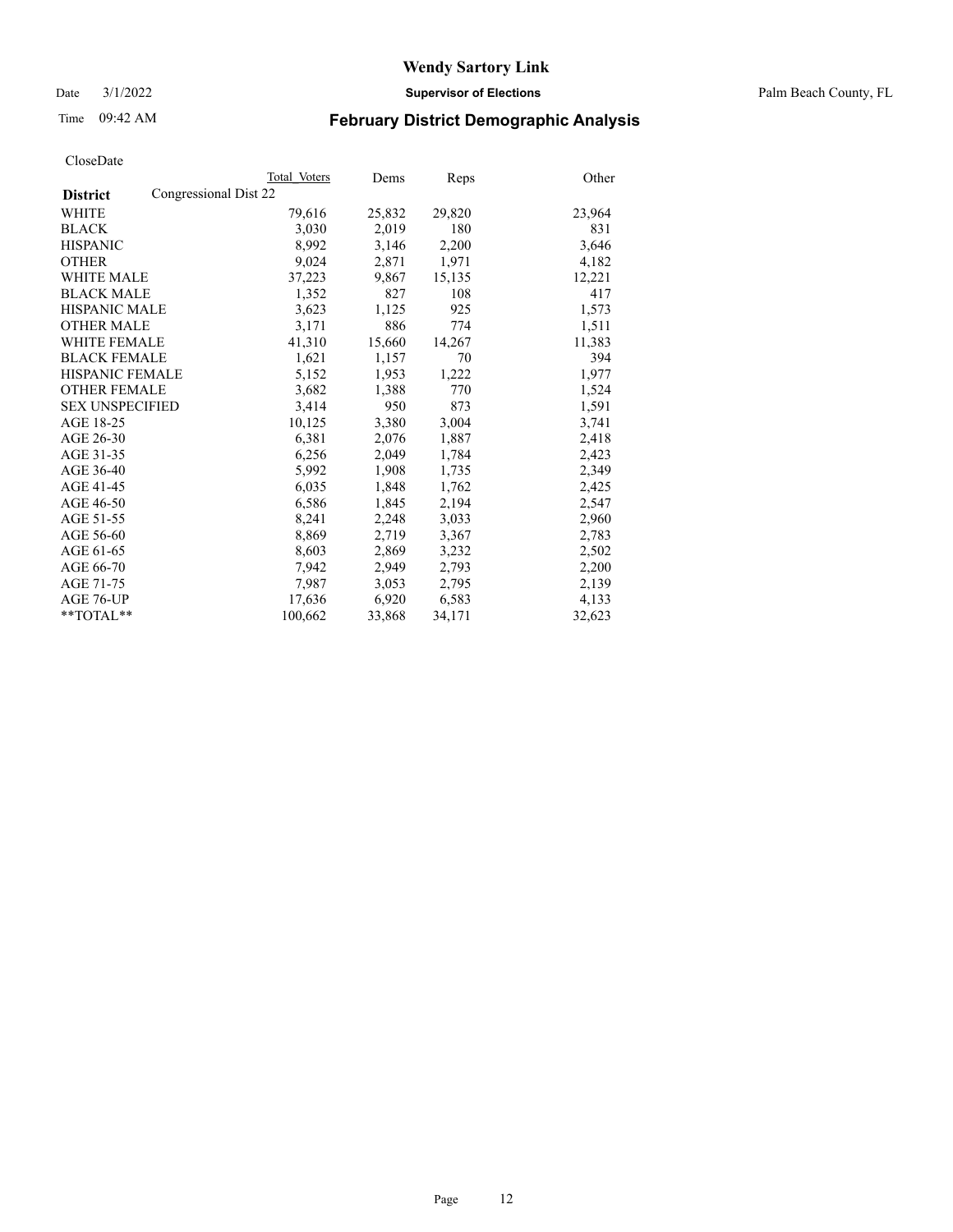Date 3/1/2022 **Supervisor of Elections** Palm Beach County, FL

## Time 09:42 AM **February District Demographic Analysis**

|                                          | Total Voters | Dems   | <b>Reps</b> | Other  |
|------------------------------------------|--------------|--------|-------------|--------|
| Congressional Dist 22<br><b>District</b> |              |        |             |        |
| <b>WHITE</b>                             | 79,616       | 25,832 | 29,820      | 23,964 |
| <b>BLACK</b>                             | 3,030        | 2,019  | 180         | 831    |
| <b>HISPANIC</b>                          | 8,992        | 3,146  | 2,200       | 3,646  |
| <b>OTHER</b>                             | 9,024        | 2,871  | 1,971       | 4,182  |
| <b>WHITE MALE</b>                        | 37,223       | 9,867  | 15,135      | 12,221 |
| <b>BLACK MALE</b>                        | 1,352        | 827    | 108         | 417    |
| <b>HISPANIC MALE</b>                     | 3,623        | 1,125  | 925         | 1,573  |
| <b>OTHER MALE</b>                        | 3,171        | 886    | 774         | 1,511  |
| <b>WHITE FEMALE</b>                      | 41,310       | 15,660 | 14,267      | 11,383 |
| <b>BLACK FEMALE</b>                      | 1,621        | 1,157  | 70          | 394    |
| <b>HISPANIC FEMALE</b>                   | 5,152        | 1,953  | 1,222       | 1,977  |
| <b>OTHER FEMALE</b>                      | 3,682        | 1,388  | 770         | 1,524  |
| <b>SEX UNSPECIFIED</b>                   | 3,414        | 950    | 873         | 1,591  |
| AGE 18-25                                | 10,125       | 3,380  | 3,004       | 3,741  |
| AGE 26-30                                | 6,381        | 2,076  | 1,887       | 2,418  |
| AGE 31-35                                | 6,256        | 2,049  | 1,784       | 2,423  |
| AGE 36-40                                | 5,992        | 1,908  | 1,735       | 2,349  |
| AGE 41-45                                | 6,035        | 1,848  | 1,762       | 2,425  |
| AGE 46-50                                | 6,586        | 1,845  | 2,194       | 2,547  |
| AGE 51-55                                | 8,241        | 2,248  | 3,033       | 2,960  |
| AGE 56-60                                | 8,869        | 2,719  | 3,367       | 2,783  |
| AGE 61-65                                | 8,603        | 2,869  | 3,232       | 2,502  |
| AGE 66-70                                | 7,942        | 2,949  | 2,793       | 2,200  |
| AGE 71-75                                | 7,987        | 3,053  | 2,795       | 2,139  |
| AGE 76-UP                                | 17,636       | 6,920  | 6,583       | 4,133  |
| $*$ $TOTAL**$                            | 100,662      | 33,868 | 34,171      | 32,623 |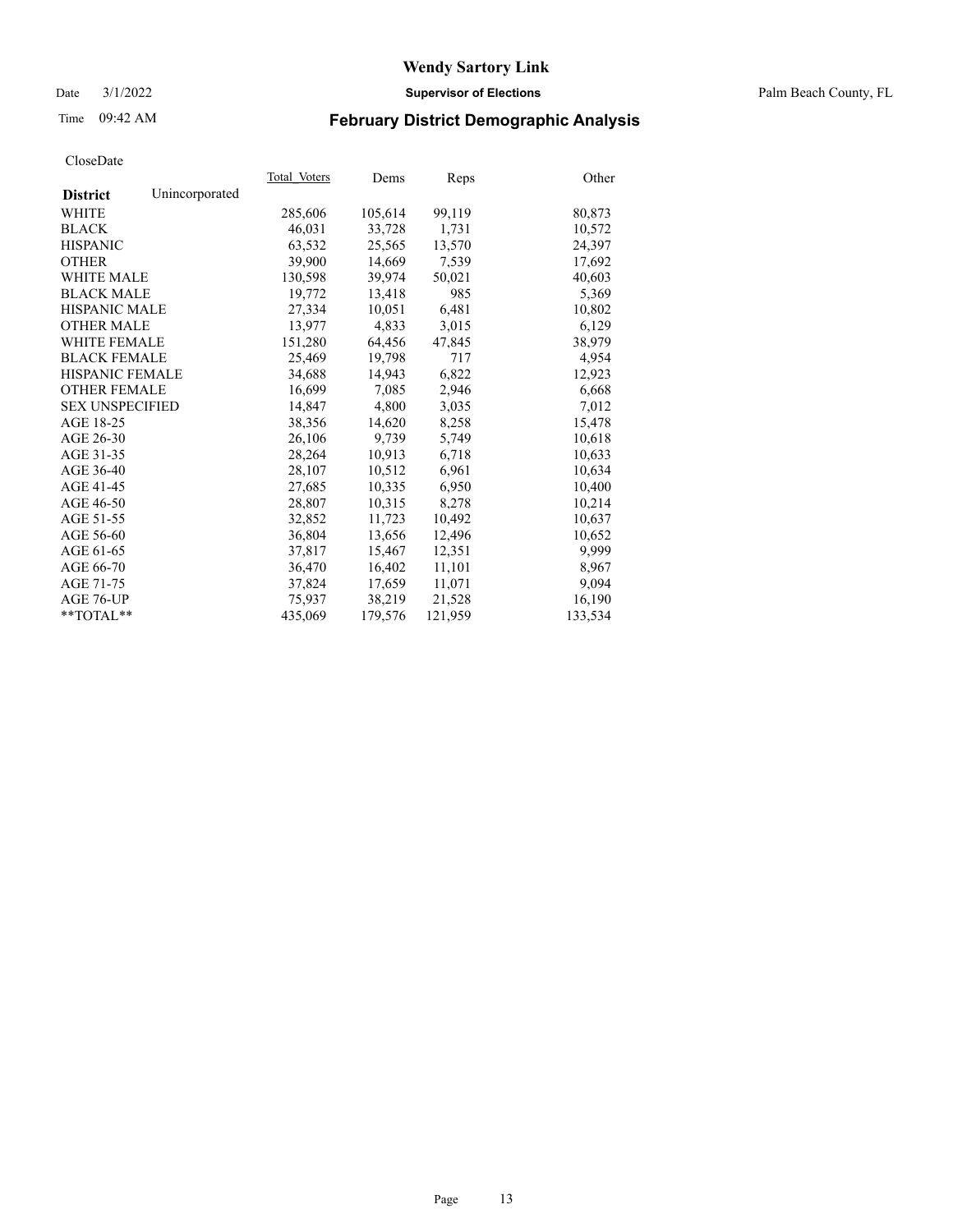Date 3/1/2022 **Supervisor of Elections** Palm Beach County, FL

## Time 09:42 AM **February District Demographic Analysis**

| Cioscizate             |                |              |         |         |         |
|------------------------|----------------|--------------|---------|---------|---------|
|                        |                | Total Voters | Dems    | Reps    | Other   |
| <b>District</b>        | Unincorporated |              |         |         |         |
| WHITE                  |                | 285,606      | 105,614 | 99,119  | 80,873  |
| <b>BLACK</b>           |                | 46,031       | 33,728  | 1,731   | 10,572  |
| <b>HISPANIC</b>        |                | 63,532       | 25,565  | 13,570  | 24,397  |
| <b>OTHER</b>           |                | 39.900       | 14,669  | 7,539   | 17,692  |
| <b>WHITE MALE</b>      |                | 130,598      | 39,974  | 50,021  | 40,603  |
| <b>BLACK MALE</b>      |                | 19,772       | 13,418  | 985     | 5,369   |
| <b>HISPANIC MALE</b>   |                | 27,334       | 10,051  | 6,481   | 10,802  |
| <b>OTHER MALE</b>      |                | 13,977       | 4,833   | 3,015   | 6,129   |
| <b>WHITE FEMALE</b>    |                | 151,280      | 64,456  | 47,845  | 38,979  |
| <b>BLACK FEMALE</b>    |                | 25.469       | 19,798  | 717     | 4.954   |
| <b>HISPANIC FEMALE</b> |                | 34,688       | 14,943  | 6,822   | 12,923  |
| <b>OTHER FEMALE</b>    |                | 16,699       | 7,085   | 2,946   | 6,668   |
| <b>SEX UNSPECIFIED</b> |                | 14,847       | 4,800   | 3,035   | 7,012   |
| AGE 18-25              |                | 38,356       | 14,620  | 8,258   | 15,478  |
| AGE 26-30              |                | 26,106       | 9,739   | 5,749   | 10,618  |
| AGE 31-35              |                | 28,264       | 10,913  | 6,718   | 10,633  |
| AGE 36-40              |                | 28.107       | 10,512  | 6.961   | 10,634  |
| AGE 41-45              |                | 27,685       | 10,335  | 6,950   | 10,400  |
| AGE 46-50              |                | 28,807       | 10,315  | 8,278   | 10,214  |
| AGE 51-55              |                | 32,852       | 11,723  | 10,492  | 10,637  |
| AGE 56-60              |                | 36,804       | 13,656  | 12,496  | 10,652  |
| AGE 61-65              |                | 37,817       | 15,467  | 12,351  | 9,999   |
| AGE 66-70              |                | 36,470       | 16,402  | 11,101  | 8,967   |
| AGE 71-75              |                | 37,824       | 17,659  | 11,071  | 9,094   |
| AGE 76-UP              |                | 75.937       | 38,219  | 21,528  | 16,190  |
| $*$ TOTAL $*$          |                | 435,069      | 179,576 | 121,959 | 133,534 |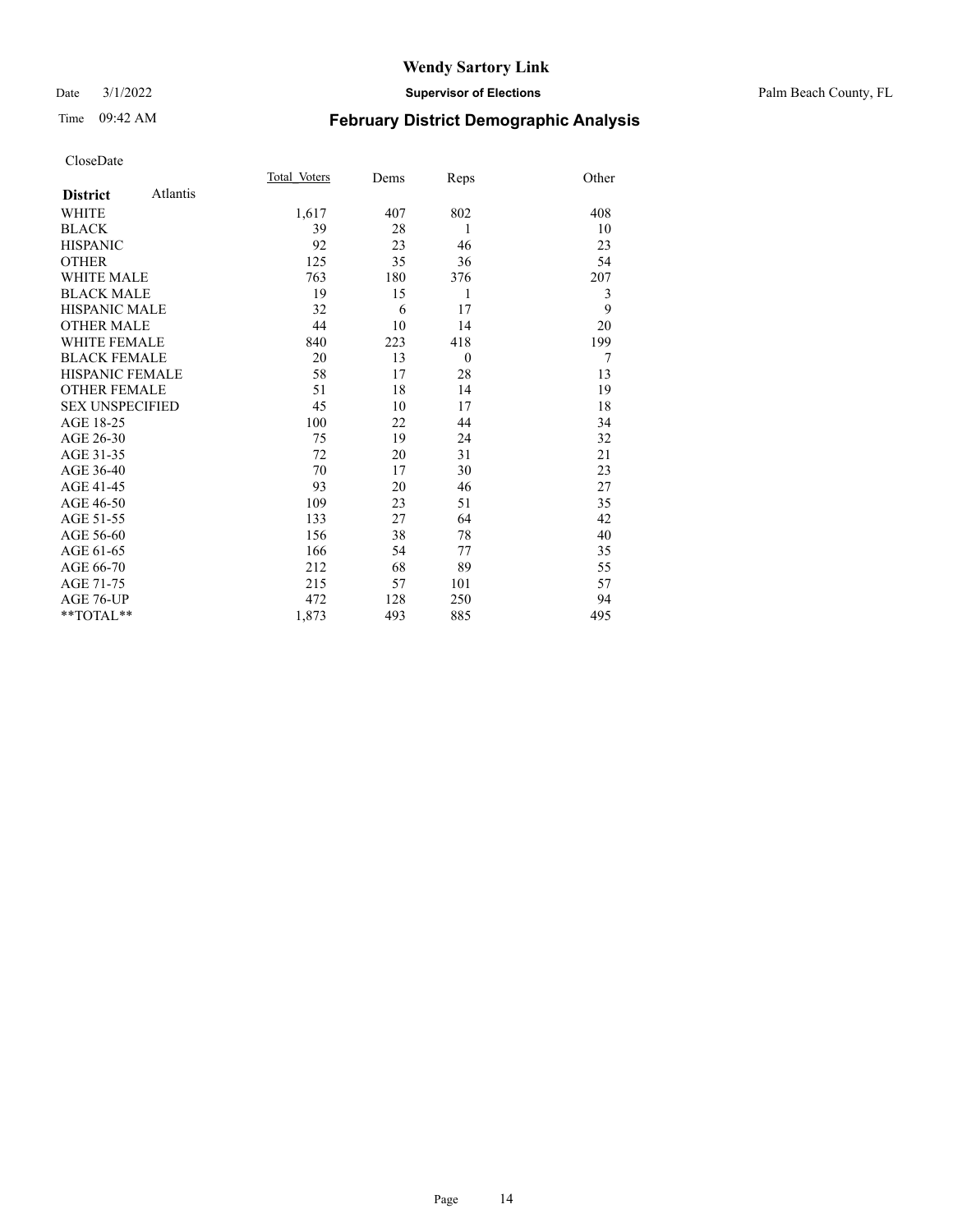#### Date 3/1/2022 **Supervisor of Elections** Palm Beach County, FL

## Time 09:42 AM **February District Demographic Analysis**

|                        |          | Total Voters | Dems | Reps     | Other |
|------------------------|----------|--------------|------|----------|-------|
| <b>District</b>        | Atlantis |              |      |          |       |
| WHITE                  |          | 1,617        | 407  | 802      | 408   |
| <b>BLACK</b>           |          | 39           | 28   | 1        | 10    |
| <b>HISPANIC</b>        |          | 92           | 23   | 46       | 23    |
| <b>OTHER</b>           |          | 125          | 35   | 36       | 54    |
| <b>WHITE MALE</b>      |          | 763          | 180  | 376      | 207   |
| <b>BLACK MALE</b>      |          | 19           | 15   | 1        | 3     |
| <b>HISPANIC MALE</b>   |          | 32           | 6    | 17       | 9     |
| <b>OTHER MALE</b>      |          | 44           | 10   | 14       | 20    |
| <b>WHITE FEMALE</b>    |          | 840          | 223  | 418      | 199   |
| <b>BLACK FEMALE</b>    |          | 20           | 13   | $\theta$ | 7     |
| <b>HISPANIC FEMALE</b> |          | 58           | 17   | 28       | 13    |
| <b>OTHER FEMALE</b>    |          | 51           | 18   | 14       | 19    |
| <b>SEX UNSPECIFIED</b> |          | 45           | 10   | 17       | 18    |
| AGE 18-25              |          | 100          | 22   | 44       | 34    |
| AGE 26-30              |          | 75           | 19   | 24       | 32    |
| AGE 31-35              |          | 72           | 20   | 31       | 21    |
| AGE 36-40              |          | 70           | 17   | 30       | 23    |
| AGE 41-45              |          | 93           | 20   | 46       | 27    |
| AGE 46-50              |          | 109          | 23   | 51       | 35    |
| AGE 51-55              |          | 133          | 27   | 64       | 42    |
| AGE 56-60              |          | 156          | 38   | 78       | 40    |
| AGE 61-65              |          | 166          | 54   | 77       | 35    |
| AGE 66-70              |          | 212          | 68   | 89       | 55    |
| AGE 71-75              |          | 215          | 57   | 101      | 57    |
| AGE 76-UP              |          | 472          | 128  | 250      | 94    |
| $*$ $TOTAL**$          |          | 1,873        | 493  | 885      | 495   |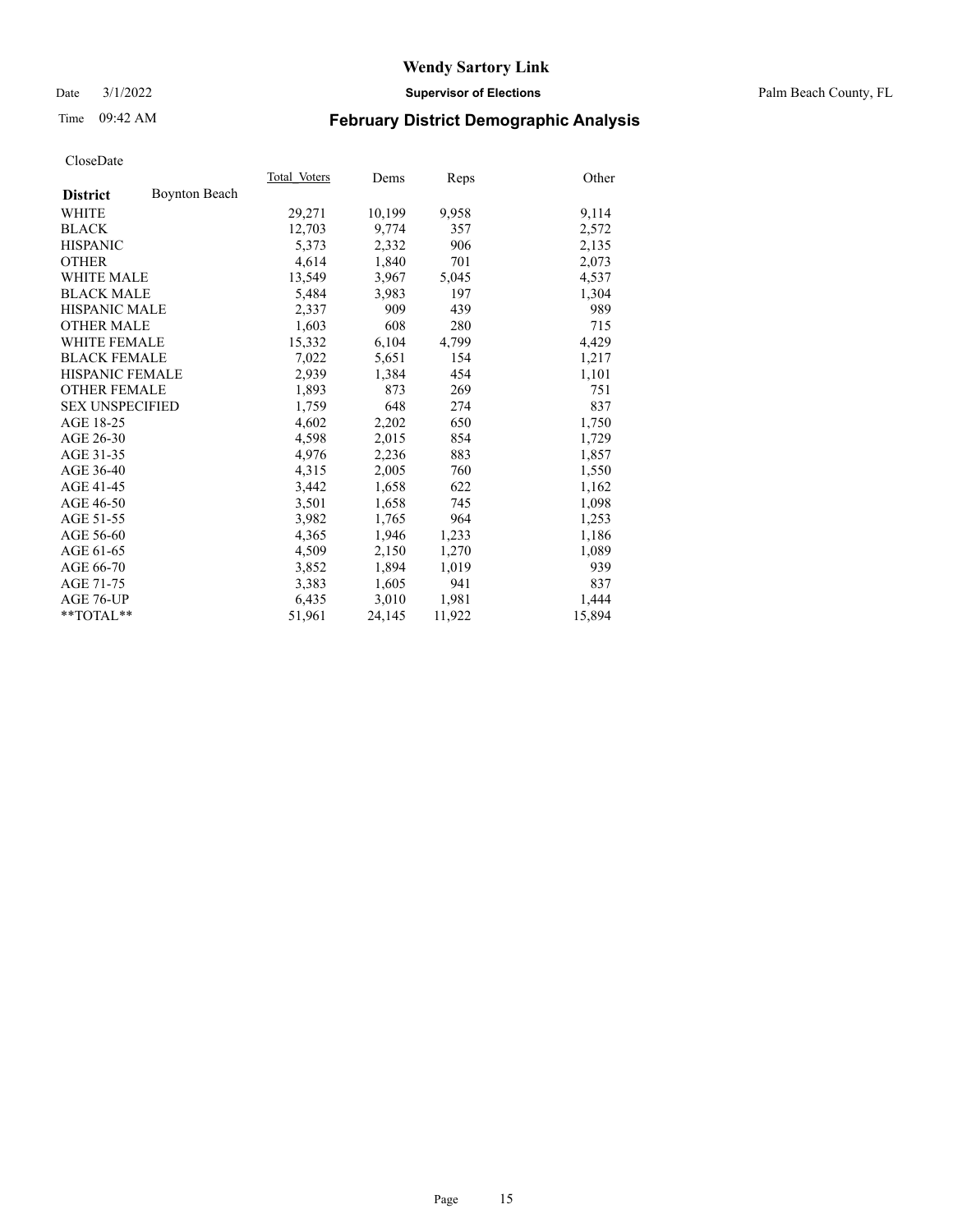Date 3/1/2022 **Supervisor of Elections** Palm Beach County, FL

## Time 09:42 AM **February District Demographic Analysis**

|                        | Total Voters | Dems   | Reps   | Other  |
|------------------------|--------------|--------|--------|--------|
| <b>Boynton Beach</b>   |              |        |        |        |
|                        | 29,271       | 10,199 | 9,958  | 9,114  |
|                        | 12,703       | 9,774  | 357    | 2,572  |
|                        | 5,373        | 2,332  | 906    | 2,135  |
|                        | 4,614        | 1,840  | 701    | 2,073  |
| <b>WHITE MALE</b>      | 13,549       | 3,967  | 5,045  | 4,537  |
| <b>BLACK MALE</b>      | 5,484        | 3,983  | 197    | 1,304  |
| <b>HISPANIC MALE</b>   | 2,337        | 909    | 439    | 989    |
| <b>OTHER MALE</b>      | 1,603        | 608    | 280    | 715    |
| <b>WHITE FEMALE</b>    | 15,332       | 6,104  | 4,799  | 4,429  |
| <b>BLACK FEMALE</b>    | 7.022        | 5,651  | 154    | 1,217  |
| <b>HISPANIC FEMALE</b> | 2,939        | 1,384  | 454    | 1,101  |
| <b>OTHER FEMALE</b>    | 1,893        | 873    | 269    | 751    |
| <b>SEX UNSPECIFIED</b> | 1,759        | 648    | 274    | 837    |
|                        | 4,602        | 2,202  | 650    | 1,750  |
|                        | 4,598        | 2,015  | 854    | 1,729  |
|                        | 4,976        | 2,236  | 883    | 1,857  |
|                        | 4,315        | 2,005  | 760    | 1,550  |
|                        | 3,442        | 1,658  | 622    | 1,162  |
|                        | 3,501        | 1,658  | 745    | 1,098  |
|                        | 3.982        | 1,765  | 964    | 1,253  |
|                        | 4,365        | 1,946  | 1,233  | 1,186  |
|                        | 4,509        | 2,150  | 1,270  | 1,089  |
|                        | 3,852        | 1,894  | 1,019  | 939    |
|                        | 3,383        | 1,605  | 941    | 837    |
|                        | 6,435        | 3,010  | 1,981  | 1,444  |
| **TOTAL**              | 51,961       | 24,145 | 11,922 | 15,894 |
|                        |              |        |        |        |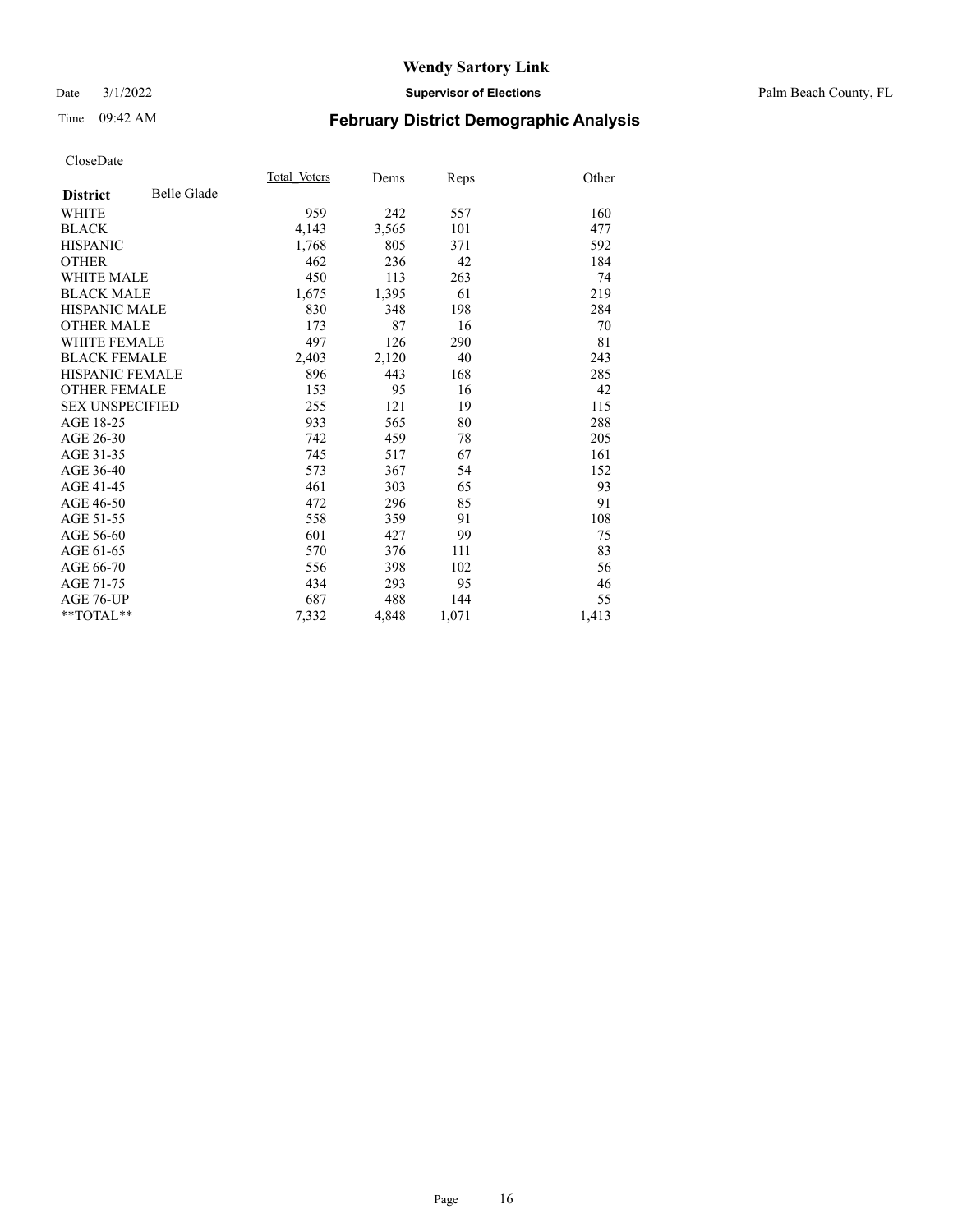#### Date 3/1/2022 **Supervisor of Elections** Palm Beach County, FL

## Time 09:42 AM **February District Demographic Analysis**

|                        |                    | Total Voters | Dems  | Reps  | Other |
|------------------------|--------------------|--------------|-------|-------|-------|
| <b>District</b>        | <b>Belle Glade</b> |              |       |       |       |
| <b>WHITE</b>           |                    | 959          | 242   | 557   | 160   |
| <b>BLACK</b>           |                    | 4,143        | 3,565 | 101   | 477   |
| <b>HISPANIC</b>        |                    | 1,768        | 805   | 371   | 592   |
| <b>OTHER</b>           |                    | 462          | 236   | 42    | 184   |
| WHITE MALE             |                    | 450          | 113   | 263   | 74    |
| <b>BLACK MALE</b>      |                    | 1,675        | 1,395 | 61    | 219   |
| <b>HISPANIC MALE</b>   |                    | 830          | 348   | 198   | 284   |
| <b>OTHER MALE</b>      |                    | 173          | 87    | 16    | 70    |
| WHITE FEMALE           |                    | 497          | 126   | 290   | 81    |
| <b>BLACK FEMALE</b>    |                    | 2,403        | 2,120 | 40    | 243   |
| <b>HISPANIC FEMALE</b> |                    | 896          | 443   | 168   | 285   |
| <b>OTHER FEMALE</b>    |                    | 153          | 95    | 16    | 42    |
| <b>SEX UNSPECIFIED</b> |                    | 255          | 121   | 19    | 115   |
| AGE 18-25              |                    | 933          | 565   | 80    | 288   |
| AGE 26-30              |                    | 742          | 459   | 78    | 205   |
| AGE 31-35              |                    | 745          | 517   | 67    | 161   |
| AGE 36-40              |                    | 573          | 367   | 54    | 152   |
| AGE 41-45              |                    | 461          | 303   | 65    | 93    |
| AGE 46-50              |                    | 472          | 296   | 85    | 91    |
| AGE 51-55              |                    | 558          | 359   | 91    | 108   |
| AGE 56-60              |                    | 601          | 427   | 99    | 75    |
| AGE 61-65              |                    | 570          | 376   | 111   | 83    |
| AGE 66-70              |                    | 556          | 398   | 102   | 56    |
| AGE 71-75              |                    | 434          | 293   | 95    | 46    |
| AGE 76-UP              |                    | 687          | 488   | 144   | 55    |
| $*$ $TOTAL**$          |                    | 7,332        | 4,848 | 1,071 | 1,413 |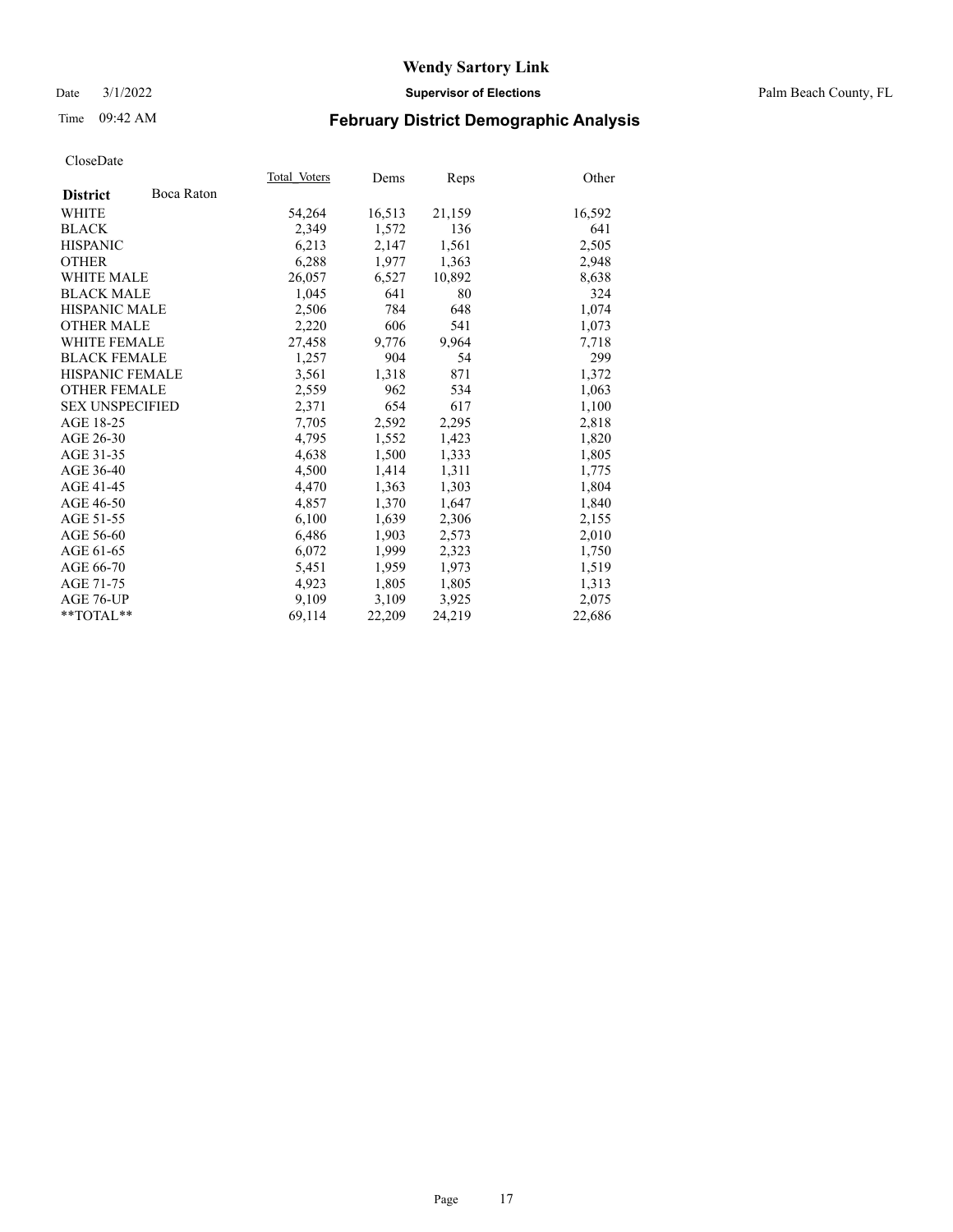Date 3/1/2022 **Supervisor of Elections** Palm Beach County, FL

## Time 09:42 AM **February District Demographic Analysis**

|                        |            | Total Voters | Dems   | Reps   | Other  |
|------------------------|------------|--------------|--------|--------|--------|
| <b>District</b>        | Boca Raton |              |        |        |        |
| WHITE                  |            | 54,264       | 16,513 | 21,159 | 16,592 |
| <b>BLACK</b>           |            | 2,349        | 1,572  | 136    | 641    |
| <b>HISPANIC</b>        |            | 6,213        | 2,147  | 1,561  | 2,505  |
| <b>OTHER</b>           |            | 6,288        | 1,977  | 1,363  | 2,948  |
| <b>WHITE MALE</b>      |            | 26,057       | 6,527  | 10,892 | 8,638  |
| <b>BLACK MALE</b>      |            | 1,045        | 641    | 80     | 324    |
| <b>HISPANIC MALE</b>   |            | 2,506        | 784    | 648    | 1,074  |
| <b>OTHER MALE</b>      |            | 2,220        | 606    | 541    | 1,073  |
| <b>WHITE FEMALE</b>    |            | 27,458       | 9,776  | 9,964  | 7,718  |
| <b>BLACK FEMALE</b>    |            | 1,257        | 904    | 54     | 299    |
| <b>HISPANIC FEMALE</b> |            | 3,561        | 1,318  | 871    | 1,372  |
| <b>OTHER FEMALE</b>    |            | 2,559        | 962    | 534    | 1,063  |
| <b>SEX UNSPECIFIED</b> |            | 2,371        | 654    | 617    | 1,100  |
| AGE 18-25              |            | 7,705        | 2,592  | 2,295  | 2,818  |
| AGE 26-30              |            | 4,795        | 1,552  | 1,423  | 1,820  |
| AGE 31-35              |            | 4,638        | 1,500  | 1,333  | 1,805  |
| AGE 36-40              |            | 4,500        | 1,414  | 1,311  | 1,775  |
| AGE 41-45              |            | 4,470        | 1,363  | 1,303  | 1,804  |
| AGE 46-50              |            | 4,857        | 1,370  | 1,647  | 1,840  |
| AGE 51-55              |            | 6,100        | 1,639  | 2,306  | 2,155  |
| AGE 56-60              |            | 6,486        | 1,903  | 2,573  | 2,010  |
| AGE 61-65              |            | 6,072        | 1,999  | 2,323  | 1,750  |
| AGE 66-70              |            | 5,451        | 1,959  | 1,973  | 1,519  |
| AGE 71-75              |            | 4,923        | 1,805  | 1,805  | 1,313  |
| AGE 76-UP              |            | 9,109        | 3,109  | 3,925  | 2,075  |
| $*$ $TOTAL**$          |            | 69,114       | 22,209 | 24,219 | 22,686 |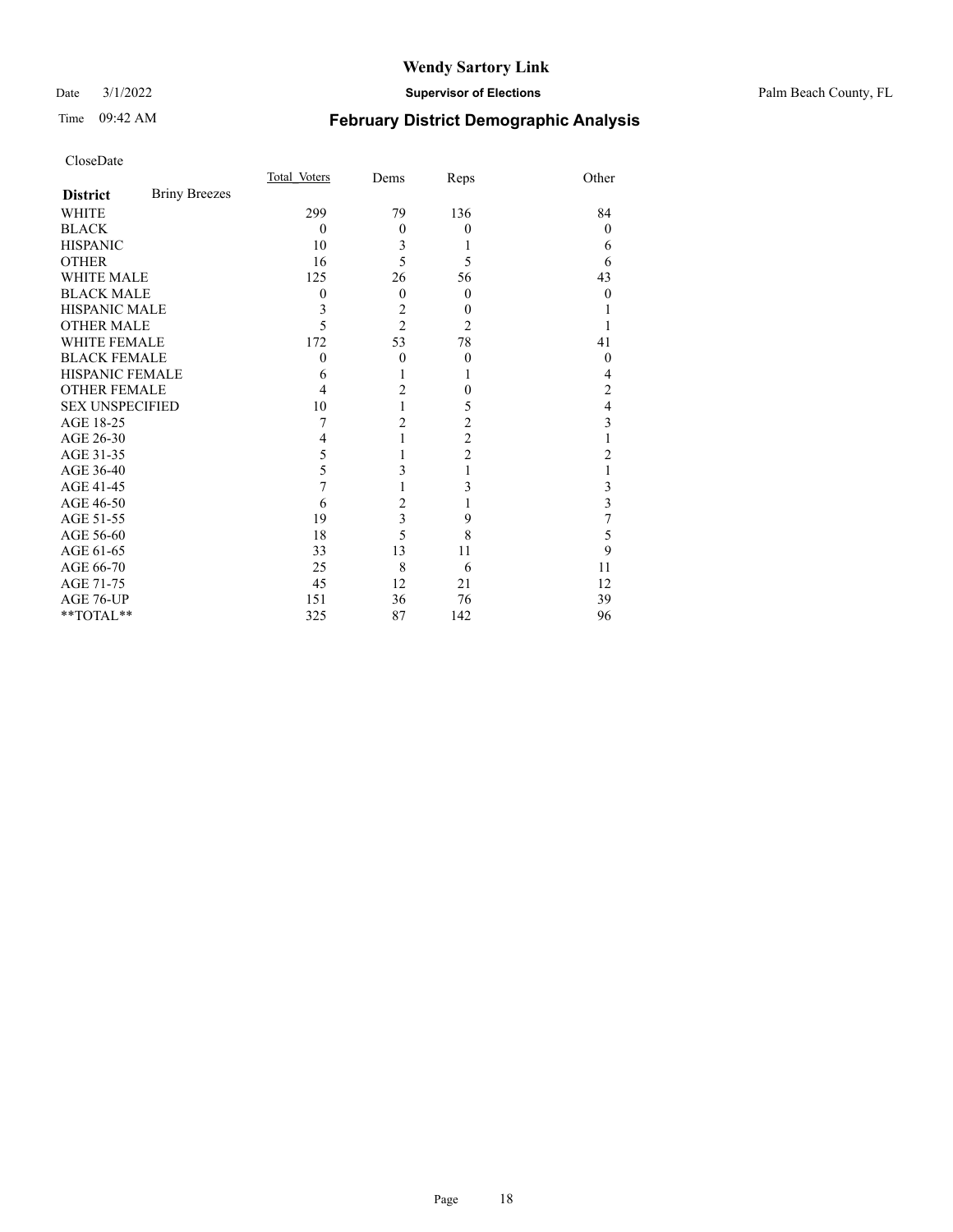#### Date 3/1/2022 **Supervisor of Elections** Palm Beach County, FL

## Time 09:42 AM **February District Demographic Analysis**

|                        |                      | Total Voters | Dems                    | Reps           | Other          |
|------------------------|----------------------|--------------|-------------------------|----------------|----------------|
| <b>District</b>        | <b>Briny Breezes</b> |              |                         |                |                |
| <b>WHITE</b>           |                      | 299          | 79                      | 136            | 84             |
| <b>BLACK</b>           |                      | $\theta$     | $\overline{0}$          | $\theta$       | $\theta$       |
| <b>HISPANIC</b>        |                      | 10           | 3                       | 1              | 6              |
| <b>OTHER</b>           |                      | 16           | 5                       | 5              | 6              |
| <b>WHITE MALE</b>      |                      | 125          | 26                      | 56             | 43             |
| <b>BLACK MALE</b>      |                      | 0            | $\mathbf{0}$            | $\theta$       | 0              |
| <b>HISPANIC MALE</b>   |                      | 3            | $\overline{c}$          | $\overline{0}$ |                |
| <b>OTHER MALE</b>      |                      | 5            | $\overline{2}$          | $\overline{2}$ |                |
| <b>WHITE FEMALE</b>    |                      | 172          | 53                      | 78             | 41             |
| <b>BLACK FEMALE</b>    |                      | $\theta$     | $\theta$                | $\theta$       | 0              |
| <b>HISPANIC FEMALE</b> |                      | 6            |                         | 1              | 4              |
| <b>OTHER FEMALE</b>    |                      | 4            | $\overline{2}$          | $\theta$       | 2              |
| <b>SEX UNSPECIFIED</b> |                      | 10           |                         | 5              | 4              |
| AGE 18-25              |                      | 7            | $\overline{2}$          | 2              | 3              |
| AGE 26-30              |                      | 4            |                         | $\overline{c}$ |                |
| AGE 31-35              |                      | 5            |                         | $\overline{c}$ | $\overline{c}$ |
| AGE 36-40              |                      | 5            | 3                       | 1              |                |
| AGE 41-45              |                      | 7            |                         | 3              | 3              |
| AGE 46-50              |                      | 6            | $\overline{c}$          |                | 3              |
| AGE 51-55              |                      | 19           | $\overline{\mathbf{3}}$ | 9              | 7              |
| AGE 56-60              |                      | 18           | 5                       | 8              | 5              |
| AGE 61-65              |                      | 33           | 13                      | 11             | 9              |
| AGE 66-70              |                      | 25           | 8                       | 6              | 11             |
| AGE 71-75              |                      | 45           | 12                      | 21             | 12             |
| AGE 76-UP              |                      | 151          | 36                      | 76             | 39             |
| **TOTAL**              |                      | 325          | 87                      | 142            | 96             |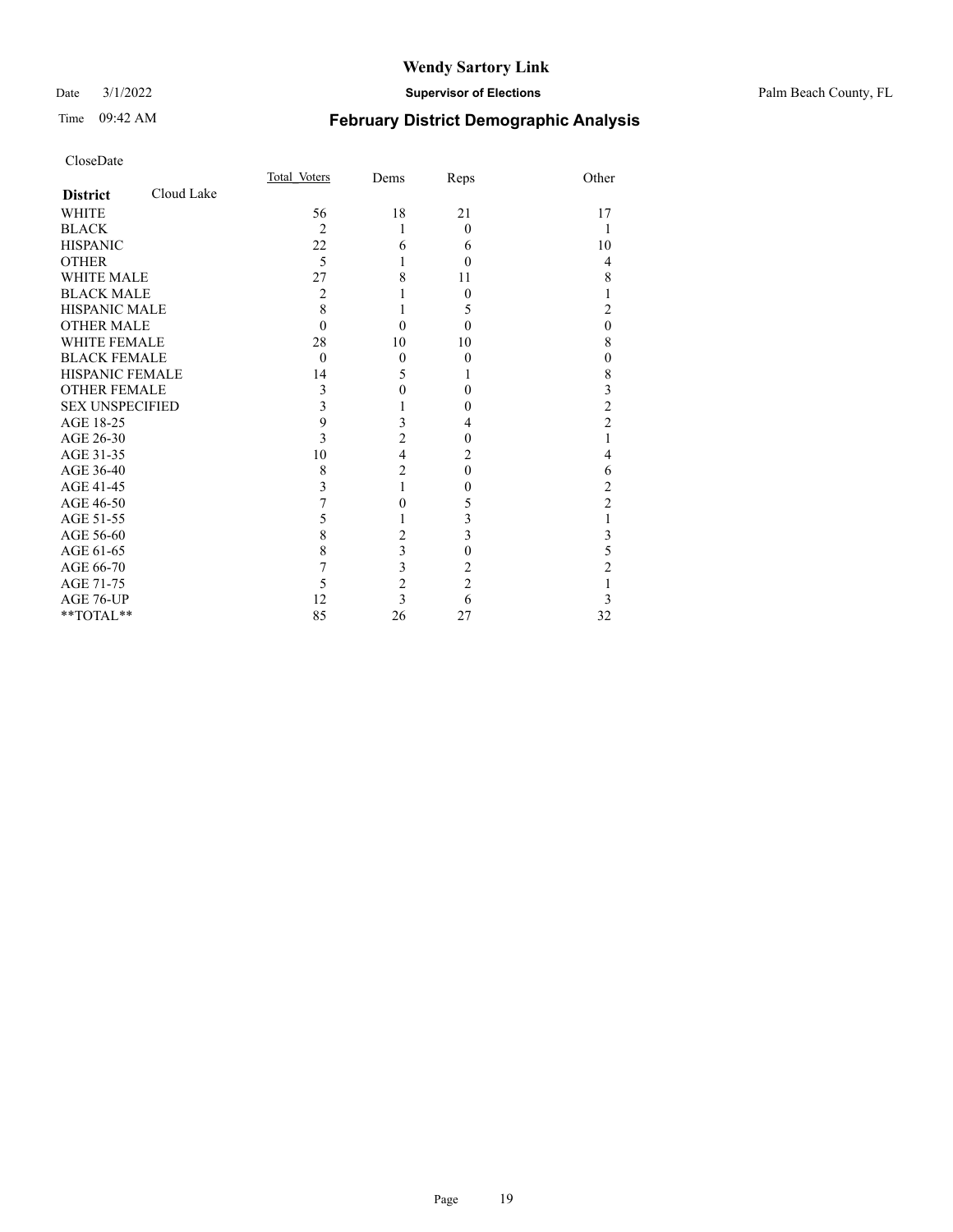#### Date 3/1/2022 **Supervisor of Elections** Palm Beach County, FL

## Time 09:42 AM **February District Demographic Analysis**

|                        |            | Total Voters   | Dems                    | Reps           | Other          |
|------------------------|------------|----------------|-------------------------|----------------|----------------|
| <b>District</b>        | Cloud Lake |                |                         |                |                |
| <b>WHITE</b>           |            | 56             | 18                      | 21             | 17             |
| <b>BLACK</b>           |            | $\overline{2}$ | 1                       | $\Omega$       | 1              |
| <b>HISPANIC</b>        |            | 22             | 6                       | 6              | 10             |
| <b>OTHER</b>           |            | 5              | 1                       | $\theta$       | 4              |
| <b>WHITE MALE</b>      |            | 27             | 8                       | 11             | 8              |
| <b>BLACK MALE</b>      |            | $\overline{2}$ |                         | $\Omega$       | 1              |
| <b>HISPANIC MALE</b>   |            | 8              | 1                       | 5              | $\overline{2}$ |
| <b>OTHER MALE</b>      |            | $\Omega$       | $\theta$                | $\Omega$       | $\mathbf{0}$   |
| <b>WHITE FEMALE</b>    |            | 28             | 10                      | 10             | 8              |
| <b>BLACK FEMALE</b>    |            | $\theta$       | $\theta$                | $\theta$       | $\mathbf{0}$   |
| <b>HISPANIC FEMALE</b> |            | 14             | 5                       | 1              | 8              |
| <b>OTHER FEMALE</b>    |            | 3              | 0                       | $\Omega$       | 3              |
| <b>SEX UNSPECIFIED</b> |            | 3              | 1                       | 0              | $\overline{c}$ |
| AGE 18-25              |            | 9              | 3                       | 4              | $\overline{2}$ |
| AGE 26-30              |            | 3              | $\overline{2}$          | $\theta$       | 1              |
| AGE 31-35              |            | 10             | $\overline{\mathbf{4}}$ | 2              | 4              |
| AGE 36-40              |            | 8              | $\overline{2}$          | $\theta$       | 6              |
| AGE 41-45              |            | 3              | 1                       | $\theta$       | $\overline{c}$ |
| AGE 46-50              |            | 7              | 0                       | 5              | $\overline{c}$ |
| AGE 51-55              |            | 5              |                         | 3              | 1              |
| AGE 56-60              |            | 8              | $\overline{2}$          | 3              | 3              |
| AGE 61-65              |            | 8              | 3                       | $\theta$       | 5              |
| AGE 66-70              |            | 7              | 3                       | 2              | $\overline{2}$ |
| AGE 71-75              |            | 5              | $\overline{c}$          | $\overline{2}$ | 1              |
| AGE 76-UP              |            | 12             | $\overline{\mathbf{3}}$ | 6              | 3              |
| **TOTAL**              |            | 85             | 26                      | 27             | 32             |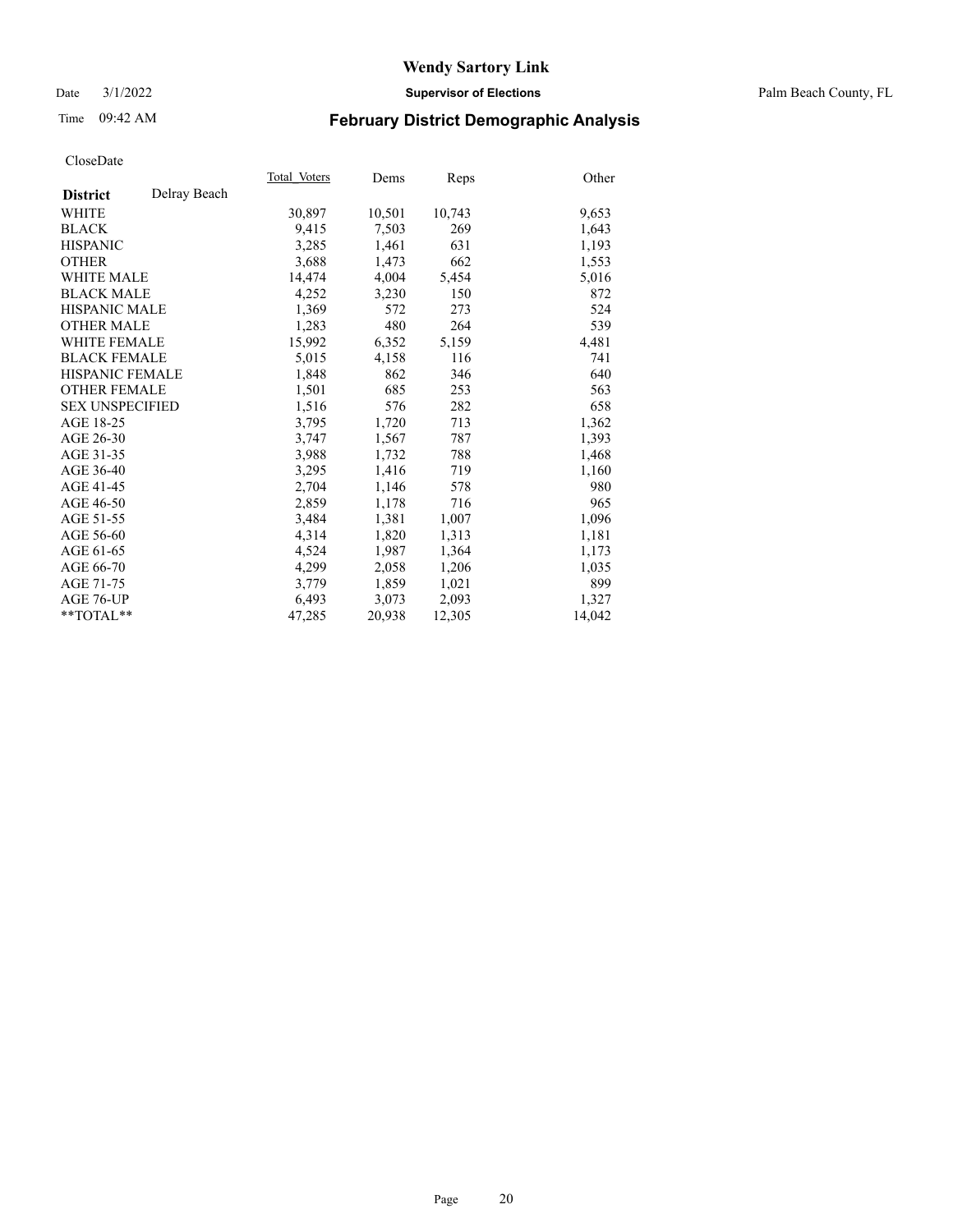Date 3/1/2022 **Supervisor of Elections** Palm Beach County, FL

## Time 09:42 AM **February District Demographic Analysis**

|                        |              | Total Voters | Dems   | Reps   | Other  |
|------------------------|--------------|--------------|--------|--------|--------|
| <b>District</b>        | Delray Beach |              |        |        |        |
| WHITE                  |              | 30,897       | 10,501 | 10,743 | 9,653  |
| <b>BLACK</b>           |              | 9,415        | 7,503  | 269    | 1,643  |
| <b>HISPANIC</b>        |              | 3,285        | 1,461  | 631    | 1,193  |
| <b>OTHER</b>           |              | 3,688        | 1,473  | 662    | 1,553  |
| <b>WHITE MALE</b>      |              | 14,474       | 4,004  | 5,454  | 5,016  |
| <b>BLACK MALE</b>      |              | 4,252        | 3,230  | 150    | 872    |
| <b>HISPANIC MALE</b>   |              | 1,369        | 572    | 273    | 524    |
| <b>OTHER MALE</b>      |              | 1,283        | 480    | 264    | 539    |
| WHITE FEMALE           |              | 15,992       | 6,352  | 5,159  | 4,481  |
| <b>BLACK FEMALE</b>    |              | 5,015        | 4,158  | 116    | 741    |
| HISPANIC FEMALE        |              | 1,848        | 862    | 346    | 640    |
| <b>OTHER FEMALE</b>    |              | 1,501        | 685    | 253    | 563    |
| <b>SEX UNSPECIFIED</b> |              | 1,516        | 576    | 282    | 658    |
| AGE 18-25              |              | 3,795        | 1,720  | 713    | 1,362  |
| AGE 26-30              |              | 3,747        | 1,567  | 787    | 1,393  |
| AGE 31-35              |              | 3,988        | 1,732  | 788    | 1,468  |
| AGE 36-40              |              | 3,295        | 1,416  | 719    | 1,160  |
| AGE 41-45              |              | 2,704        | 1,146  | 578    | 980    |
| AGE 46-50              |              | 2,859        | 1,178  | 716    | 965    |
| AGE 51-55              |              | 3,484        | 1,381  | 1,007  | 1,096  |
| AGE 56-60              |              | 4,314        | 1,820  | 1,313  | 1,181  |
| AGE 61-65              |              | 4,524        | 1,987  | 1,364  | 1,173  |
| AGE 66-70              |              | 4,299        | 2,058  | 1,206  | 1,035  |
| AGE 71-75              |              | 3,779        | 1,859  | 1,021  | 899    |
| AGE 76-UP              |              | 6,493        | 3,073  | 2,093  | 1,327  |
| $*$ $TOTAL**$          |              | 47,285       | 20,938 | 12,305 | 14,042 |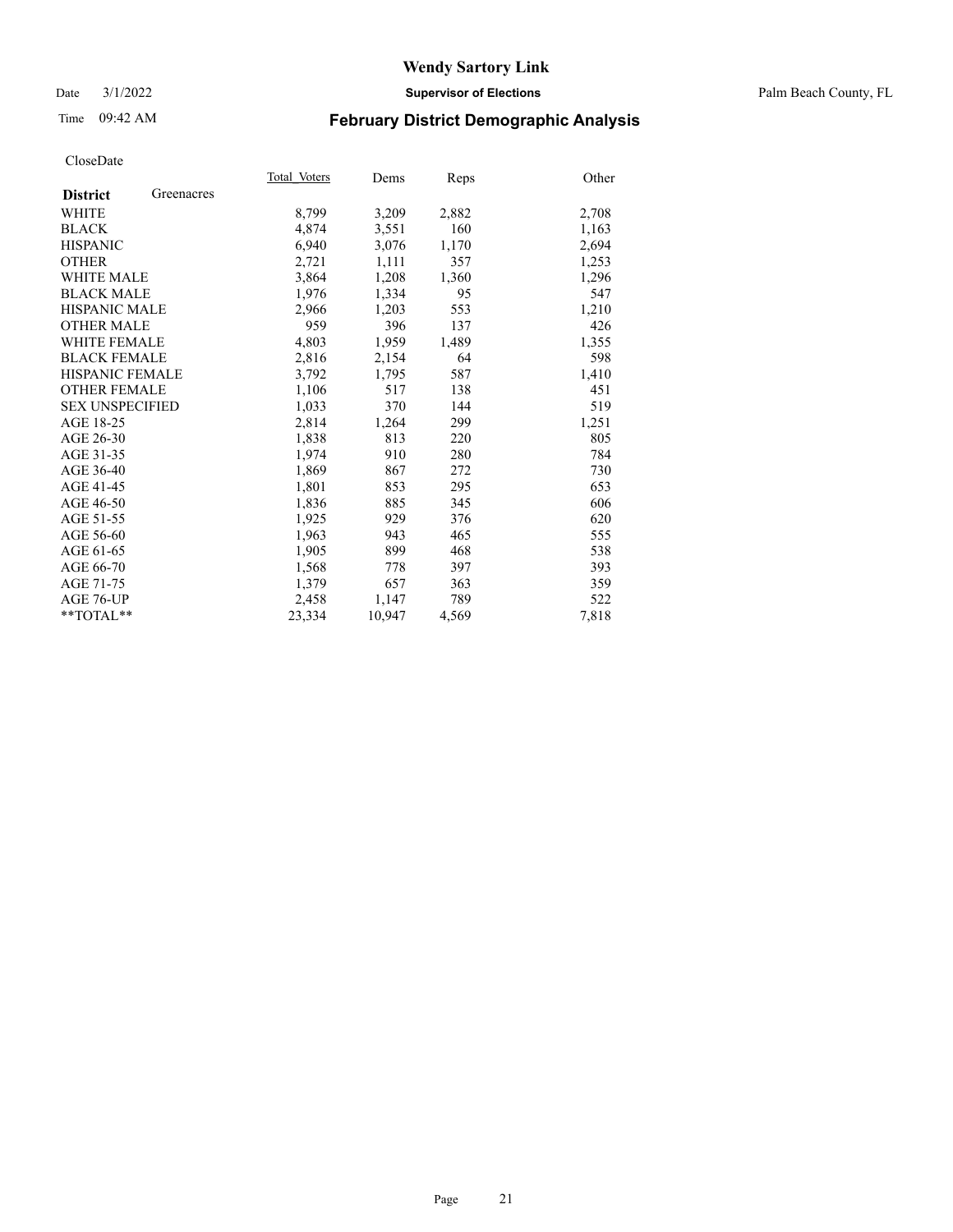Date 3/1/2022 **Supervisor of Elections** Palm Beach County, FL

## Time 09:42 AM **February District Demographic Analysis**

|                        |            | Total Voters | Dems   | Reps  | Other |
|------------------------|------------|--------------|--------|-------|-------|
| <b>District</b>        | Greenacres |              |        |       |       |
| WHITE                  |            | 8,799        | 3,209  | 2,882 | 2,708 |
| <b>BLACK</b>           |            | 4,874        | 3,551  | 160   | 1,163 |
| <b>HISPANIC</b>        |            | 6.940        | 3,076  | 1,170 | 2,694 |
| <b>OTHER</b>           |            | 2,721        | 1,111  | 357   | 1,253 |
| <b>WHITE MALE</b>      |            | 3,864        | 1,208  | 1,360 | 1,296 |
| <b>BLACK MALE</b>      |            | 1,976        | 1,334  | 95    | 547   |
| <b>HISPANIC MALE</b>   |            | 2,966        | 1,203  | 553   | 1,210 |
| <b>OTHER MALE</b>      |            | 959          | 396    | 137   | 426   |
| <b>WHITE FEMALE</b>    |            | 4,803        | 1,959  | 1,489 | 1,355 |
| <b>BLACK FEMALE</b>    |            | 2,816        | 2,154  | 64    | 598   |
| <b>HISPANIC FEMALE</b> |            | 3,792        | 1,795  | 587   | 1,410 |
| <b>OTHER FEMALE</b>    |            | 1,106        | 517    | 138   | 451   |
| <b>SEX UNSPECIFIED</b> |            | 1,033        | 370    | 144   | 519   |
| AGE 18-25              |            | 2,814        | 1,264  | 299   | 1,251 |
| AGE 26-30              |            | 1,838        | 813    | 220   | 805   |
| AGE 31-35              |            | 1,974        | 910    | 280   | 784   |
| AGE 36-40              |            | 1,869        | 867    | 272   | 730   |
| AGE 41-45              |            | 1,801        | 853    | 295   | 653   |
| AGE 46-50              |            | 1,836        | 885    | 345   | 606   |
| AGE 51-55              |            | 1,925        | 929    | 376   | 620   |
| AGE 56-60              |            | 1,963        | 943    | 465   | 555   |
| AGE 61-65              |            | 1,905        | 899    | 468   | 538   |
| AGE 66-70              |            | 1,568        | 778    | 397   | 393   |
| AGE 71-75              |            | 1,379        | 657    | 363   | 359   |
| AGE 76-UP              |            | 2,458        | 1,147  | 789   | 522   |
| $*$ $TOTAL**$          |            | 23,334       | 10,947 | 4,569 | 7,818 |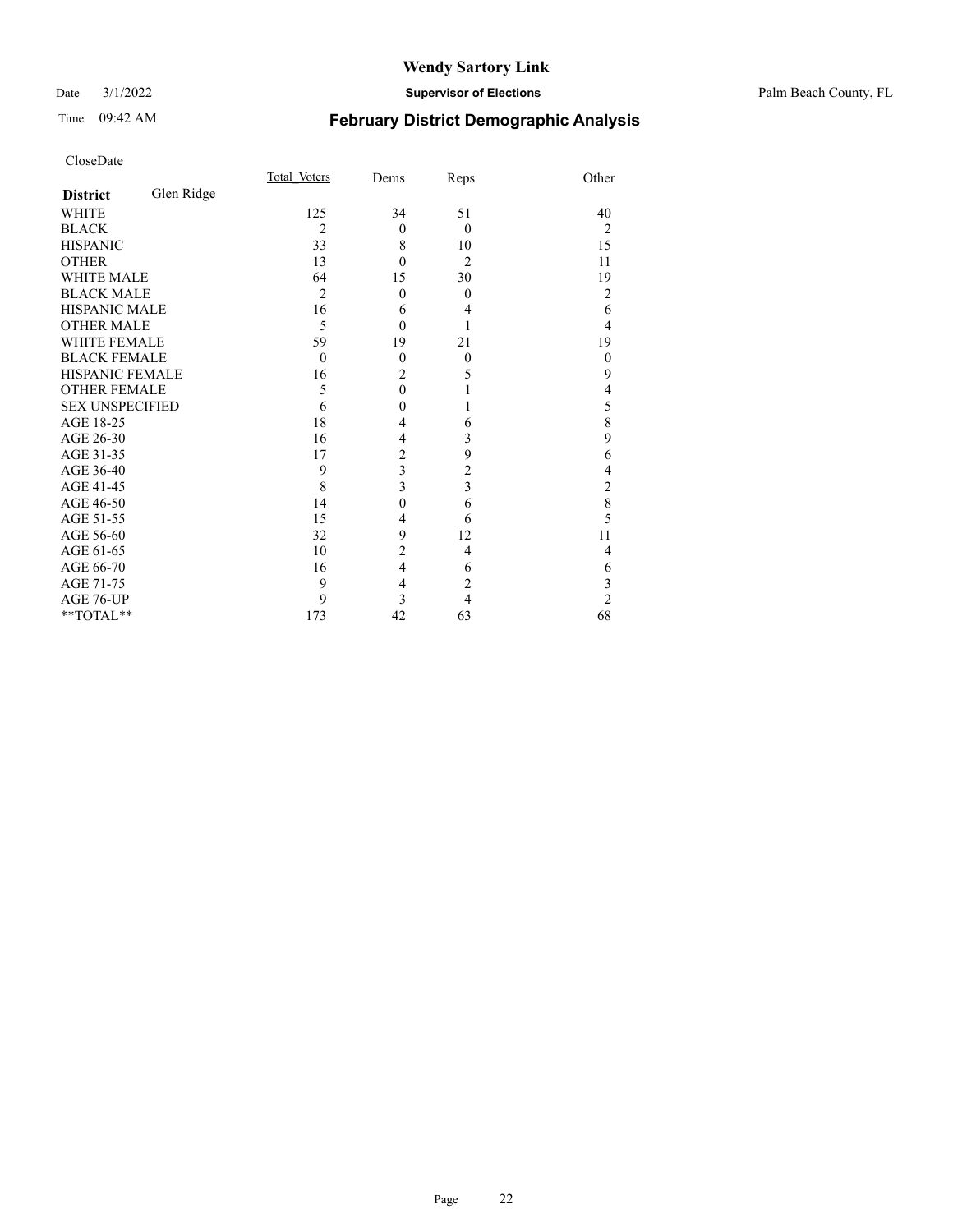#### Date 3/1/2022 **Supervisor of Elections** Palm Beach County, FL

## Time 09:42 AM **February District Demographic Analysis**

|                        |            | Total Voters   | Dems           | Reps           | Other          |
|------------------------|------------|----------------|----------------|----------------|----------------|
| <b>District</b>        | Glen Ridge |                |                |                |                |
| <b>WHITE</b>           |            | 125            | 34             | 51             | 40             |
| <b>BLACK</b>           |            | $\overline{2}$ | $\theta$       | $\overline{0}$ | $\overline{2}$ |
| <b>HISPANIC</b>        |            | 33             | 8              | 10             | 15             |
| <b>OTHER</b>           |            | 13             | $\theta$       | $\overline{2}$ | 11             |
| <b>WHITE MALE</b>      |            | 64             | 15             | 30             | 19             |
| <b>BLACK MALE</b>      |            | $\overline{2}$ | $\overline{0}$ | $\theta$       | 2              |
| <b>HISPANIC MALE</b>   |            | 16             | 6              | 4              | 6              |
| <b>OTHER MALE</b>      |            | 5              | $\Omega$       |                | 4              |
| WHITE FEMALE           |            | 59             | 19             | 21             | 19             |
| <b>BLACK FEMALE</b>    |            | $\mathbf{0}$   | $\theta$       | $\overline{0}$ | $\theta$       |
| <b>HISPANIC FEMALE</b> |            | 16             | $\overline{c}$ | 5              | 9              |
| <b>OTHER FEMALE</b>    |            | 5              | $\theta$       |                | 4              |
| <b>SEX UNSPECIFIED</b> |            | 6              | $\theta$       | 1              | 5              |
| AGE 18-25              |            | 18             | 4              | 6              | 8              |
| AGE 26-30              |            | 16             | 4              | 3              | 9              |
| AGE 31-35              |            | 17             | $\overline{c}$ | 9              | 6              |
| AGE 36-40              |            | 9              | 3              | 2              | 4              |
| AGE 41-45              |            | 8              | $\overline{3}$ | 3              | $\overline{2}$ |
| AGE 46-50              |            | 14             | $\theta$       | 6              | 8              |
| AGE 51-55              |            | 15             | $\overline{4}$ | 6              | 5              |
| AGE 56-60              |            | 32             | 9              | 12             | 11             |
| AGE 61-65              |            | 10             | $\overline{2}$ | 4              | 4              |
| AGE 66-70              |            | 16             | $\overline{4}$ | 6              | 6              |
| AGE 71-75              |            | 9              | $\overline{4}$ | $\overline{2}$ | 3              |
| AGE 76-UP              |            | 9              | 3              | 4              | $\overline{c}$ |
| **TOTAL**              |            | 173            | 42             | 63             | 68             |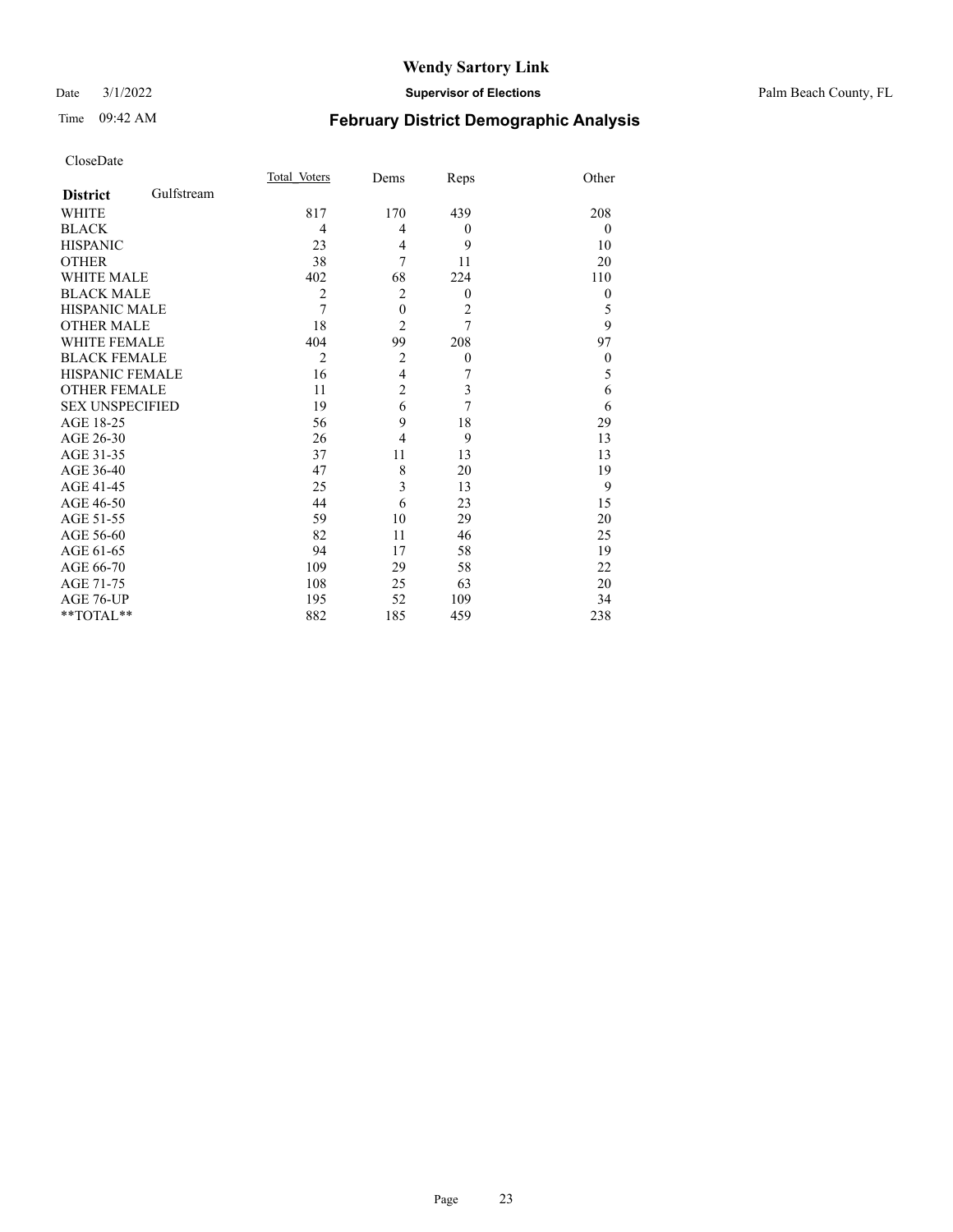#### Date 3/1/2022 **Supervisor of Elections** Palm Beach County, FL

## Time 09:42 AM **February District Demographic Analysis**

|                        |            | Total Voters   | Dems             | Reps             | Other          |
|------------------------|------------|----------------|------------------|------------------|----------------|
| <b>District</b>        | Gulfstream |                |                  |                  |                |
| WHITE                  |            | 817            | 170              | 439              | 208            |
| <b>BLACK</b>           |            | $\overline{4}$ | 4                | $\theta$         | $\overline{0}$ |
| <b>HISPANIC</b>        |            | 23             | 4                | 9                | 10             |
| <b>OTHER</b>           |            | 38             | 7                | 11               | 20             |
| <b>WHITE MALE</b>      |            | 402            | 68               | 224              | 110            |
| <b>BLACK MALE</b>      |            | $\overline{2}$ | $\overline{2}$   | $\theta$         | $\theta$       |
| <b>HISPANIC MALE</b>   |            | $\overline{7}$ | $\boldsymbol{0}$ | $\overline{2}$   | 5              |
| <b>OTHER MALE</b>      |            | 18             | $\overline{c}$   | $\overline{7}$   | 9              |
| <b>WHITE FEMALE</b>    |            | 404            | 99               | 208              | 97             |
| <b>BLACK FEMALE</b>    |            | $\overline{2}$ | $\overline{2}$   | $\boldsymbol{0}$ | $\theta$       |
| <b>HISPANIC FEMALE</b> |            | 16             | $\overline{4}$   | 7                | 5              |
| <b>OTHER FEMALE</b>    |            | 11             | $\overline{c}$   | 3                | 6              |
| <b>SEX UNSPECIFIED</b> |            | 19             | 6                | 7                | 6              |
| AGE 18-25              |            | 56             | 9                | 18               | 29             |
| AGE 26-30              |            | 26             | 4                | 9                | 13             |
| AGE 31-35              |            | 37             | 11               | 13               | 13             |
| AGE 36-40              |            | 47             | 8                | 20               | 19             |
| AGE 41-45              |            | 25             | 3                | 13               | 9              |
| AGE 46-50              |            | 44             | 6                | 23               | 15             |
| AGE 51-55              |            | 59             | 10               | 29               | 20             |
| AGE 56-60              |            | 82             | 11               | 46               | 25             |
| AGE 61-65              |            | 94             | 17               | 58               | 19             |
| AGE 66-70              |            | 109            | 29               | 58               | 22             |
| AGE 71-75              |            | 108            | 25               | 63               | 20             |
| AGE 76-UP              |            | 195            | 52               | 109              | 34             |
| **TOTAL**              |            | 882            | 185              | 459              | 238            |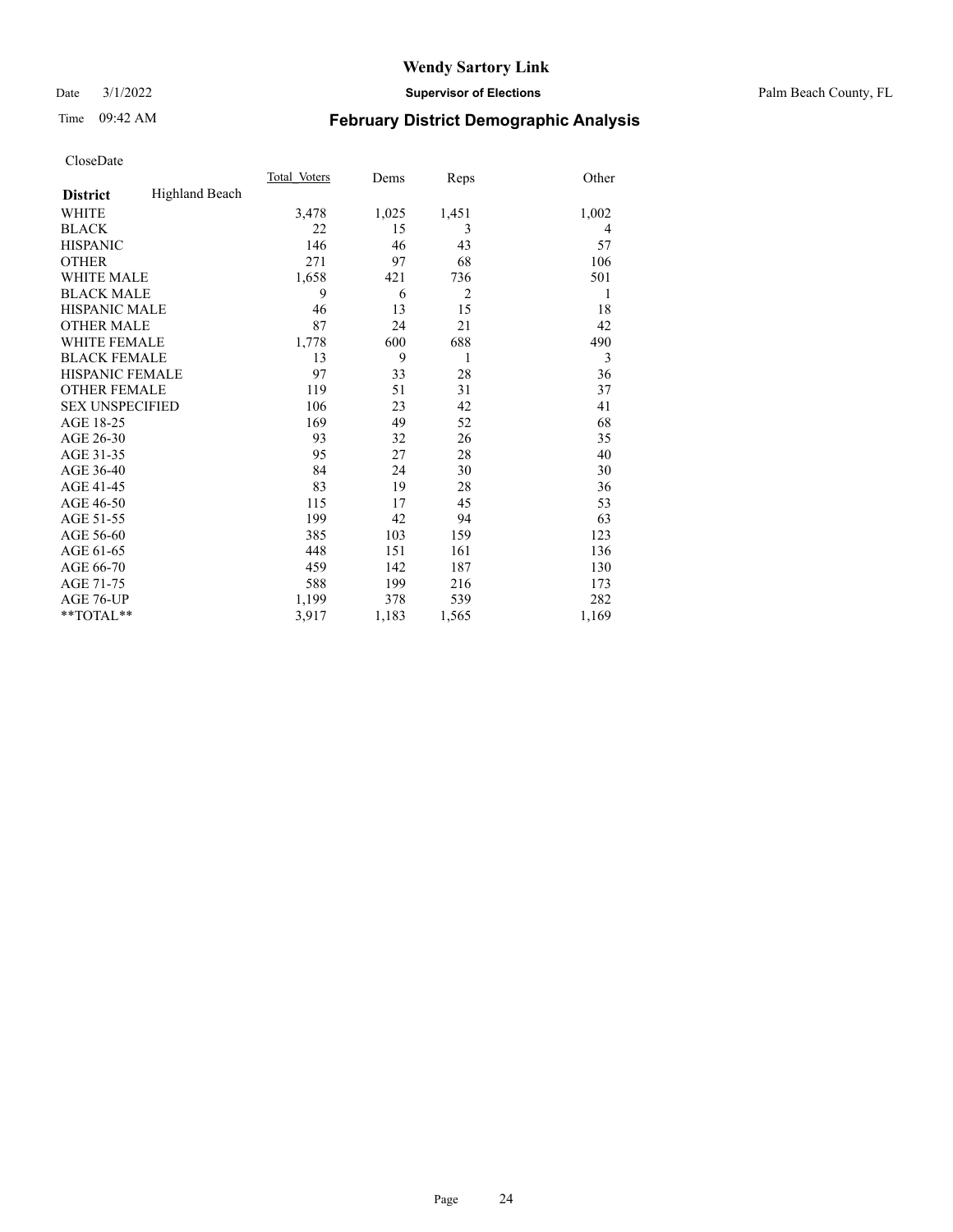Date 3/1/2022 **Supervisor of Elections** Palm Beach County, FL

## Time 09:42 AM **February District Demographic Analysis**

|                        |                       | Total Voters | Dems  | Reps           | Other |
|------------------------|-----------------------|--------------|-------|----------------|-------|
| <b>District</b>        | <b>Highland Beach</b> |              |       |                |       |
| <b>WHITE</b>           |                       | 3,478        | 1,025 | 1,451          | 1,002 |
| <b>BLACK</b>           |                       | 22           | 15    | 3              | 4     |
| <b>HISPANIC</b>        |                       | 146          | 46    | 43             | 57    |
| <b>OTHER</b>           |                       | 271          | 97    | 68             | 106   |
| WHITE MALE             |                       | 1,658        | 421   | 736            | 501   |
| <b>BLACK MALE</b>      |                       | 9            | 6     | $\overline{2}$ | 1     |
| <b>HISPANIC MALE</b>   |                       | 46           | 13    | 15             | 18    |
| <b>OTHER MALE</b>      |                       | 87           | 24    | 21             | 42    |
| WHITE FEMALE           |                       | 1,778        | 600   | 688            | 490   |
| <b>BLACK FEMALE</b>    |                       | 13           | 9     | 1              | 3     |
| <b>HISPANIC FEMALE</b> |                       | 97           | 33    | 28             | 36    |
| <b>OTHER FEMALE</b>    |                       | 119          | 51    | 31             | 37    |
| <b>SEX UNSPECIFIED</b> |                       | 106          | 23    | 42             | 41    |
| AGE 18-25              |                       | 169          | 49    | 52             | 68    |
| AGE 26-30              |                       | 93           | 32    | 26             | 35    |
| AGE 31-35              |                       | 95           | 27    | 28             | 40    |
| AGE 36-40              |                       | 84           | 24    | 30             | 30    |
| AGE 41-45              |                       | 83           | 19    | 28             | 36    |
| AGE 46-50              |                       | 115          | 17    | 45             | 53    |
| AGE 51-55              |                       | 199          | 42    | 94             | 63    |
| AGE 56-60              |                       | 385          | 103   | 159            | 123   |
| AGE 61-65              |                       | 448          | 151   | 161            | 136   |
| AGE 66-70              |                       | 459          | 142   | 187            | 130   |
| AGE 71-75              |                       | 588          | 199   | 216            | 173   |
| AGE 76-UP              |                       | 1,199        | 378   | 539            | 282   |
| $*$ $TOTAL**$          |                       | 3,917        | 1,183 | 1,565          | 1,169 |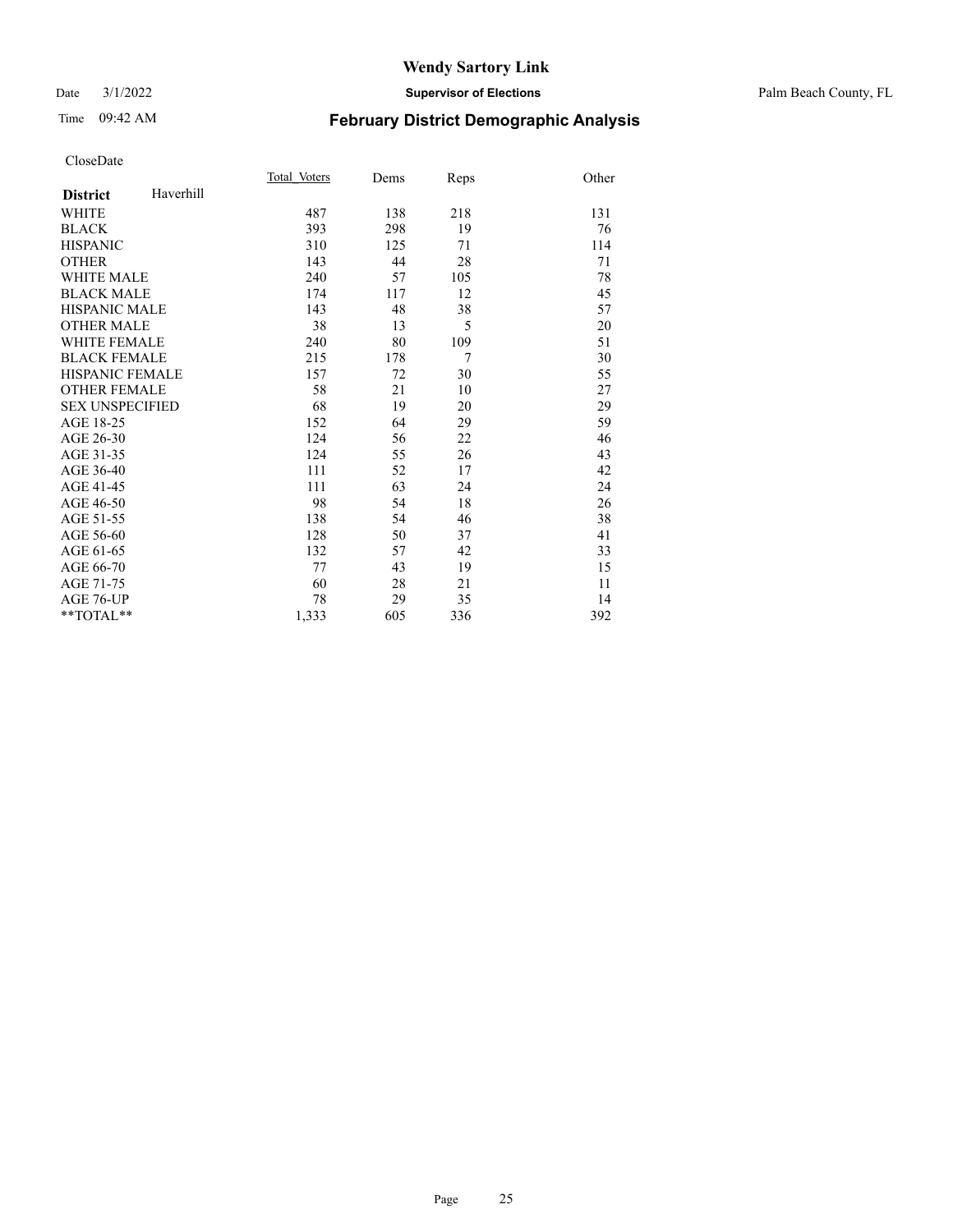#### Date 3/1/2022 **Supervisor of Elections** Palm Beach County, FL

## Time 09:42 AM **February District Demographic Analysis**

|                        |           | Total Voters | Dems | Reps           | Other |
|------------------------|-----------|--------------|------|----------------|-------|
| <b>District</b>        | Haverhill |              |      |                |       |
| <b>WHITE</b>           |           | 487          | 138  | 218            | 131   |
| <b>BLACK</b>           |           | 393          | 298  | 19             | 76    |
| <b>HISPANIC</b>        |           | 310          | 125  | 71             | 114   |
| <b>OTHER</b>           |           | 143          | 44   | 28             | 71    |
| <b>WHITE MALE</b>      |           | 240          | 57   | 105            | 78    |
| <b>BLACK MALE</b>      |           | 174          | 117  | 12             | 45    |
| <b>HISPANIC MALE</b>   |           | 143          | 48   | 38             | 57    |
| <b>OTHER MALE</b>      |           | 38           | 13   | 5              | 20    |
| <b>WHITE FEMALE</b>    |           | 240          | 80   | 109            | 51    |
| <b>BLACK FEMALE</b>    |           | 215          | 178  | $\overline{7}$ | 30    |
| <b>HISPANIC FEMALE</b> |           | 157          | 72   | 30             | 55    |
| <b>OTHER FEMALE</b>    |           | 58           | 21   | 10             | 27    |
| <b>SEX UNSPECIFIED</b> |           | 68           | 19   | 20             | 29    |
| AGE 18-25              |           | 152          | 64   | 29             | 59    |
| AGE 26-30              |           | 124          | 56   | 22             | 46    |
| AGE 31-35              |           | 124          | 55   | 26             | 43    |
| AGE 36-40              |           | 111          | 52   | 17             | 42    |
| AGE 41-45              |           | 111          | 63   | 24             | 24    |
| AGE 46-50              |           | 98           | 54   | 18             | 26    |
| AGE 51-55              |           | 138          | 54   | 46             | 38    |
| AGE 56-60              |           | 128          | 50   | 37             | 41    |
| AGE 61-65              |           | 132          | 57   | 42             | 33    |
| AGE 66-70              |           | 77           | 43   | 19             | 15    |
| AGE 71-75              |           | 60           | 28   | 21             | 11    |
| AGE 76-UP              |           | 78           | 29   | 35             | 14    |
| **TOTAL**              |           | 1,333        | 605  | 336            | 392   |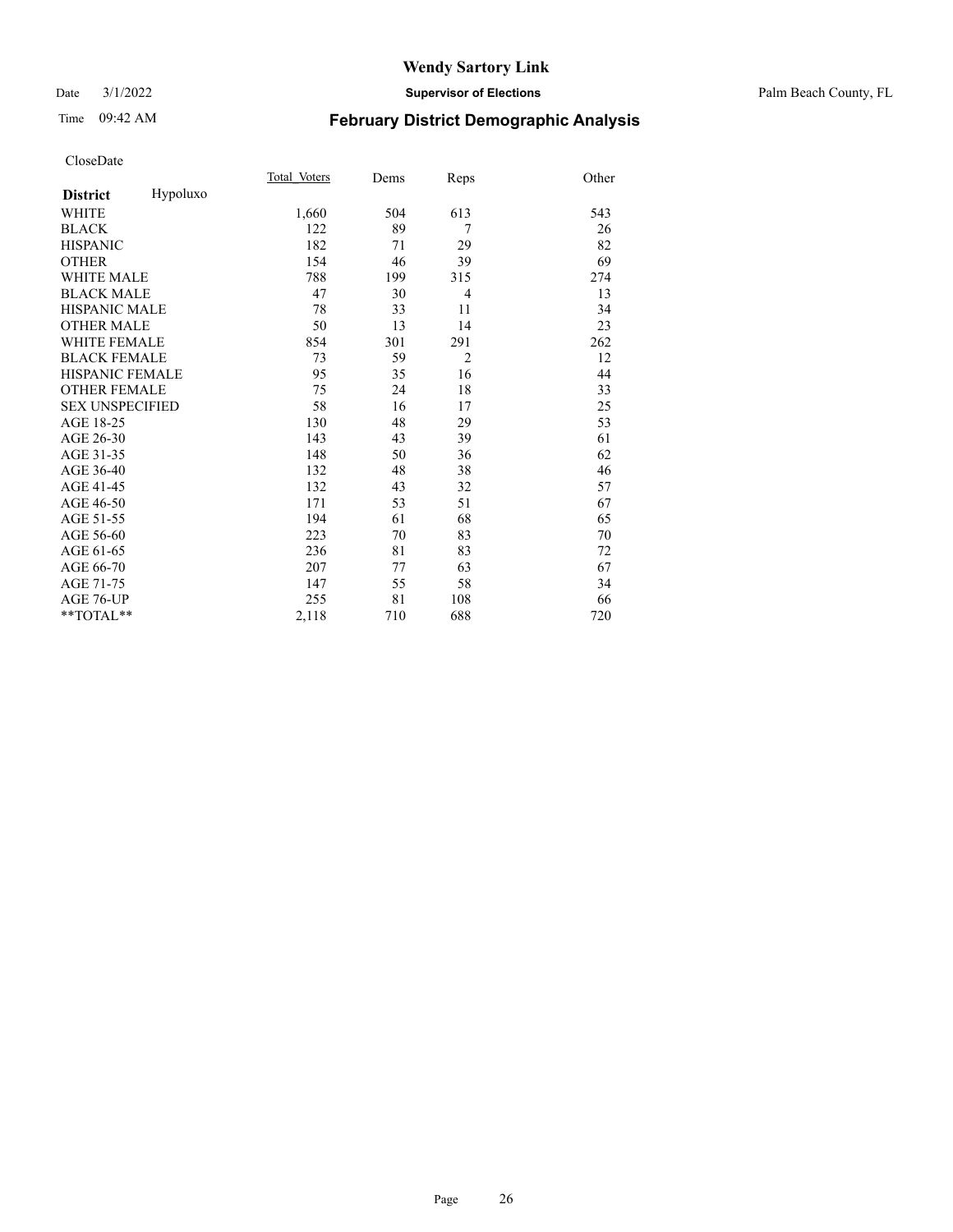#### Date 3/1/2022 **Supervisor of Elections** Palm Beach County, FL

## Time 09:42 AM **February District Demographic Analysis**

|                             | Total Voters | Dems | Reps           | Other |
|-----------------------------|--------------|------|----------------|-------|
| Hypoluxo<br><b>District</b> |              |      |                |       |
| WHITE                       | 1,660        | 504  | 613            | 543   |
| <b>BLACK</b>                | 122          | 89   | 7              | 26    |
| <b>HISPANIC</b>             | 182          | 71   | 29             | 82    |
| <b>OTHER</b>                | 154          | 46   | 39             | 69    |
| <b>WHITE MALE</b>           | 788          | 199  | 315            | 274   |
| <b>BLACK MALE</b>           | 47           | 30   | $\overline{4}$ | 13    |
| <b>HISPANIC MALE</b>        | 78           | 33   | 11             | 34    |
| <b>OTHER MALE</b>           | 50           | 13   | 14             | 23    |
| <b>WHITE FEMALE</b>         | 854          | 301  | 291            | 262   |
| <b>BLACK FEMALE</b>         | 73           | 59   | $\overline{2}$ | 12    |
| HISPANIC FEMALE             | 95           | 35   | 16             | 44    |
| <b>OTHER FEMALE</b>         | 75           | 24   | 18             | 33    |
| <b>SEX UNSPECIFIED</b>      | 58           | 16   | 17             | 25    |
| AGE 18-25                   | 130          | 48   | 29             | 53    |
| AGE 26-30                   | 143          | 43   | 39             | 61    |
| AGE 31-35                   | 148          | 50   | 36             | 62    |
| AGE 36-40                   | 132          | 48   | 38             | 46    |
| AGE 41-45                   | 132          | 43   | 32             | 57    |
| AGE 46-50                   | 171          | 53   | 51             | 67    |
| AGE 51-55                   | 194          | 61   | 68             | 65    |
| AGE 56-60                   | 223          | 70   | 83             | 70    |
| AGE 61-65                   | 236          | 81   | 83             | 72    |
| AGE 66-70                   | 207          | 77   | 63             | 67    |
| AGE 71-75                   | 147          | 55   | 58             | 34    |
| AGE 76-UP                   | 255          | 81   | 108            | 66    |
| **TOTAL**                   | 2,118        | 710  | 688            | 720   |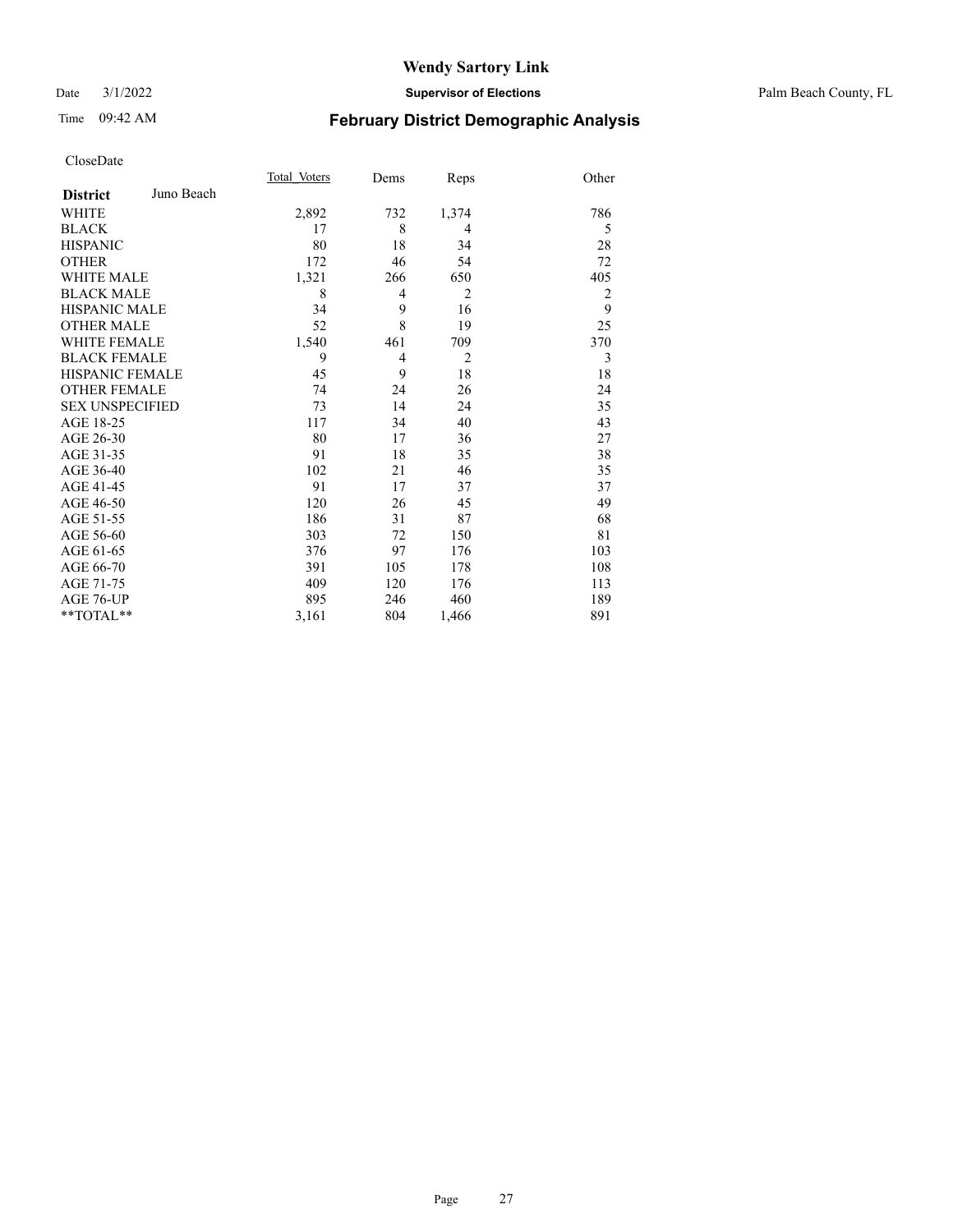#### Date 3/1/2022 **Supervisor of Elections** Palm Beach County, FL

## Time 09:42 AM **February District Demographic Analysis**

|                        |            | Total Voters | Dems           | Reps           | Other          |
|------------------------|------------|--------------|----------------|----------------|----------------|
| <b>District</b>        | Juno Beach |              |                |                |                |
| WHITE                  |            | 2,892        | 732            | 1,374          | 786            |
| <b>BLACK</b>           |            | 17           | 8              | 4              | 5              |
| <b>HISPANIC</b>        |            | 80           | 18             | 34             | 28             |
| <b>OTHER</b>           |            | 172          | 46             | 54             | 72             |
| <b>WHITE MALE</b>      |            | 1,321        | 266            | 650            | 405            |
| <b>BLACK MALE</b>      |            | 8            | 4              | $\overline{2}$ | $\overline{2}$ |
| <b>HISPANIC MALE</b>   |            | 34           | 9              | 16             | 9              |
| <b>OTHER MALE</b>      |            | 52           | 8              | 19             | 25             |
| <b>WHITE FEMALE</b>    |            | 1,540        | 461            | 709            | 370            |
| <b>BLACK FEMALE</b>    |            | 9            | $\overline{4}$ | $\overline{2}$ | 3              |
| <b>HISPANIC FEMALE</b> |            | 45           | 9              | 18             | 18             |
| <b>OTHER FEMALE</b>    |            | 74           | 24             | 26             | 24             |
| <b>SEX UNSPECIFIED</b> |            | 73           | 14             | 24             | 35             |
| AGE 18-25              |            | 117          | 34             | 40             | 43             |
| AGE 26-30              |            | 80           | 17             | 36             | 27             |
| AGE 31-35              |            | 91           | 18             | 35             | 38             |
| AGE 36-40              |            | 102          | 21             | 46             | 35             |
| AGE 41-45              |            | 91           | 17             | 37             | 37             |
| AGE 46-50              |            | 120          | 26             | 45             | 49             |
| AGE 51-55              |            | 186          | 31             | 87             | 68             |
| AGE 56-60              |            | 303          | 72             | 150            | 81             |
| AGE 61-65              |            | 376          | 97             | 176            | 103            |
| AGE 66-70              |            | 391          | 105            | 178            | 108            |
| AGE 71-75              |            | 409          | 120            | 176            | 113            |
| AGE 76-UP              |            | 895          | 246            | 460            | 189            |
| $*$ $TOTAL**$          |            | 3,161        | 804            | 1,466          | 891            |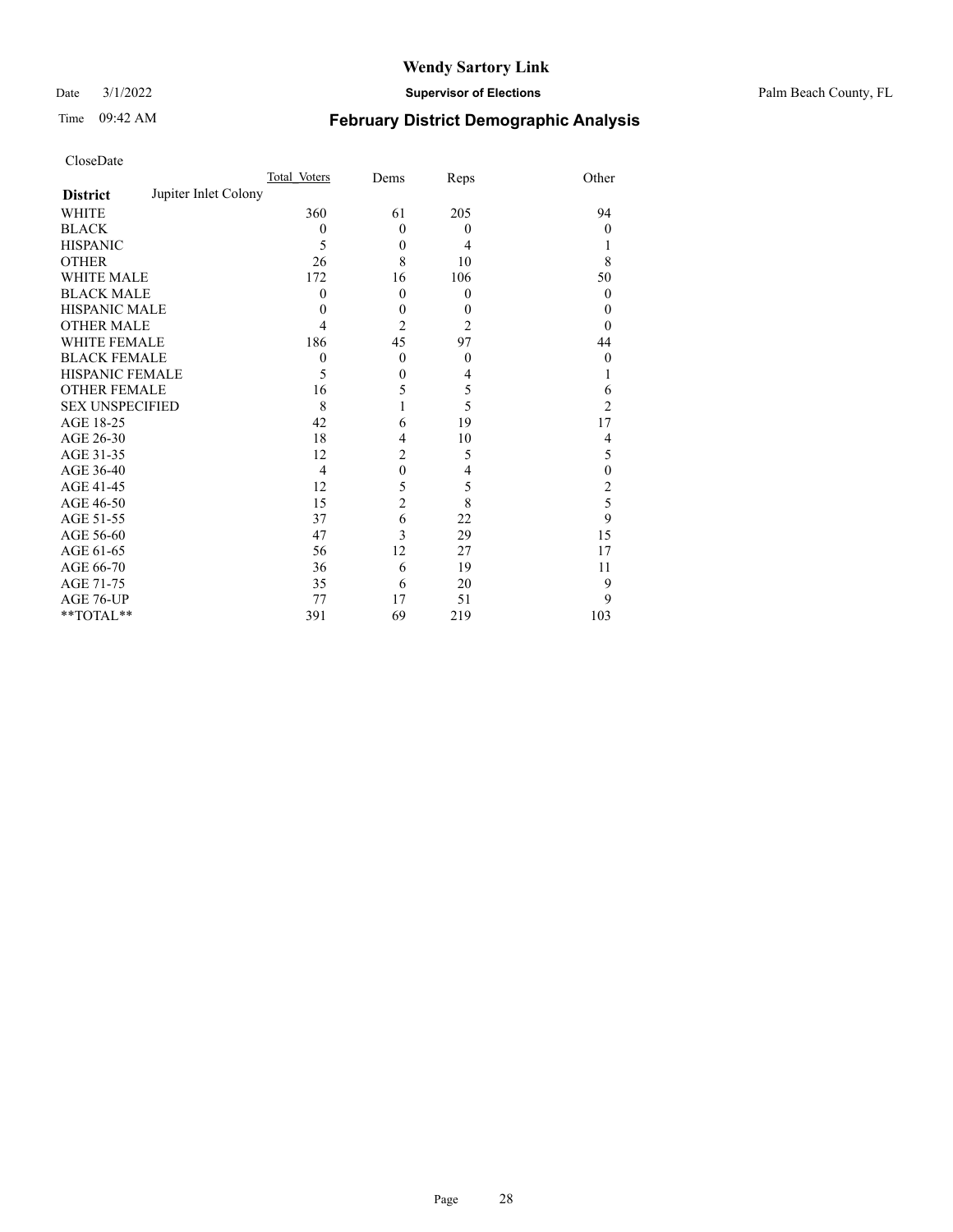Date 3/1/2022 **Supervisor of Elections** Palm Beach County, FL

## Time 09:42 AM **February District Demographic Analysis**

| CloseDate |
|-----------|
|-----------|

|                        |                      | Total Voters   | Dems         | Reps             | Other          |
|------------------------|----------------------|----------------|--------------|------------------|----------------|
| <b>District</b>        | Jupiter Inlet Colony |                |              |                  |                |
| WHITE                  |                      | 360            | 61           | 205              | 94             |
| BLACK                  |                      | $\theta$       | $\theta$     | $\boldsymbol{0}$ | $\mathbf{0}$   |
| HISPANIC               |                      | 5              | $\theta$     | $\overline{4}$   |                |
| OTHER                  |                      | 26             | 8            | 10               | 8              |
| WHITE MALE             |                      | 172            | 16           | 106              | 50             |
| <b>BLACK MALE</b>      |                      | $\Omega$       | $\theta$     | $\theta$         | $\theta$       |
| HISPANIC MALE          |                      | 0              | $\theta$     | $\Omega$         | $\theta$       |
| <b>OTHER MALE</b>      |                      | 4              | 2            | $\overline{2}$   | $\theta$       |
| WHITE FEMALE           |                      | 186            | 45           | 97               | 44             |
| BLACK FEMALE           |                      | $\theta$       | $\theta$     | $\theta$         | $\theta$       |
| HISPANIC FEMALE        |                      | 5              | $\theta$     | 4                |                |
| <b>OTHER FEMALE</b>    |                      | 16             | 5            | 5                | 6              |
| <b>SEX UNSPECIFIED</b> |                      | 8              |              | 5                | $\overline{c}$ |
| AGE 18-25              |                      | 42             | 6            | 19               | 17             |
| AGE 26-30              |                      | 18             | 4            | 10               | 4              |
| AGE 31-35              |                      | 12             | 2            | 5                | 5              |
| AGE 36-40              |                      | $\overline{4}$ | $\mathbf{0}$ | 4                | $\theta$       |
| AGE 41-45              |                      | 12             | 5            | 5                | 2              |
| AGE 46-50              |                      | 15             | 2            | 8                | 5              |
| AGE 51-55              |                      | 37             | 6            | 22               | 9              |
| AGE 56-60              |                      | 47             | 3            | 29               | 15             |
| AGE 61-65              |                      | 56             | 12           | 27               | 17             |
| AGE 66-70              |                      | 36             | 6            | 19               | 11             |
| AGE 71-75              |                      | 35             | 6            | 20               | 9              |
| AGE 76-UP              |                      | 77             | 17           | 51               | 9              |
| $*$ $TOTAL**$          |                      | 391            | 69           | 219              | 103            |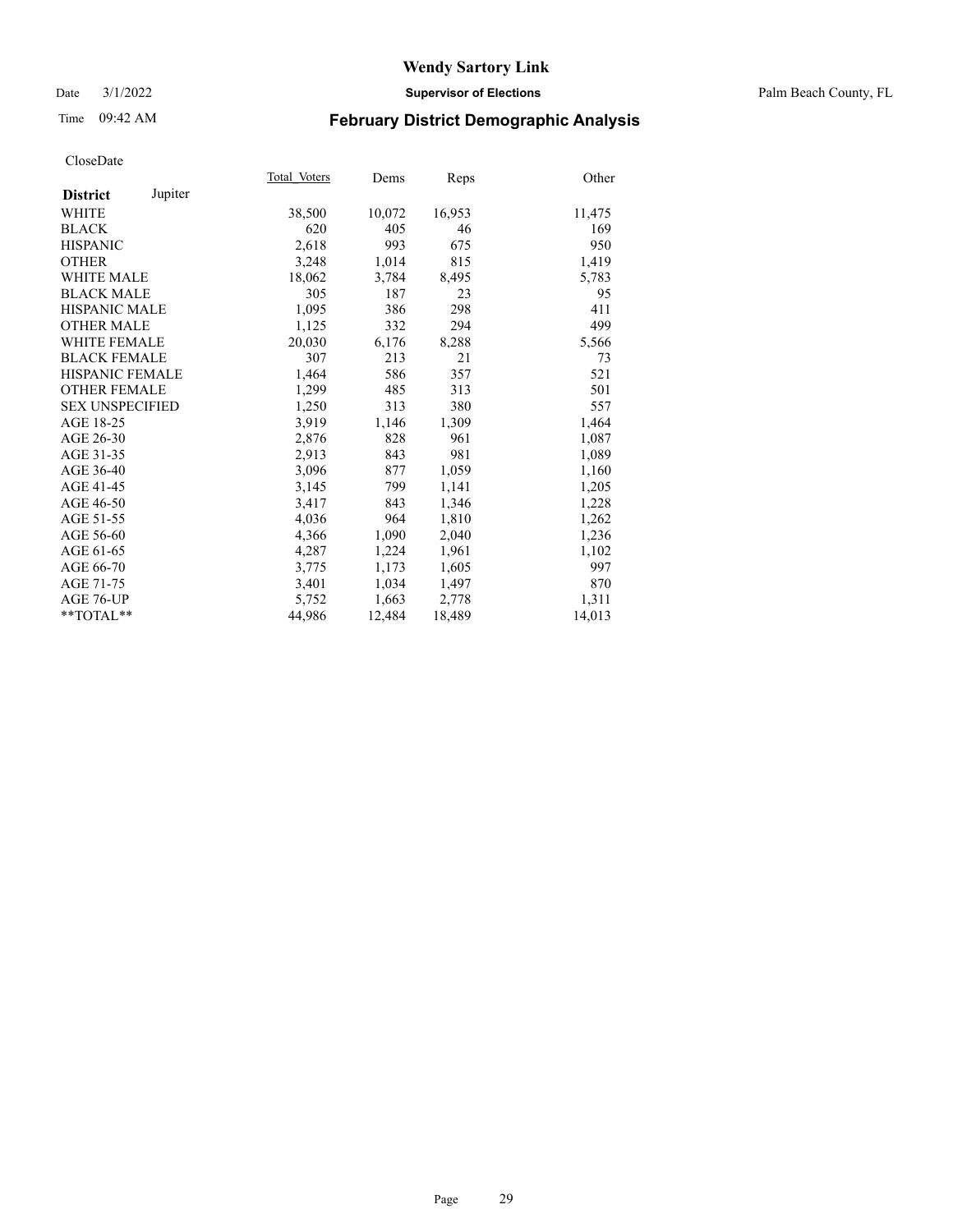#### Date 3/1/2022 **Supervisor of Elections** Palm Beach County, FL

## Time 09:42 AM **February District Demographic Analysis**

|                            | Total Voters | Dems   | Reps   | Other  |
|----------------------------|--------------|--------|--------|--------|
| Jupiter<br><b>District</b> |              |        |        |        |
| WHITE                      | 38,500       | 10,072 | 16,953 | 11,475 |
| <b>BLACK</b>               | 620          | 405    | 46     | 169    |
| <b>HISPANIC</b>            | 2,618        | 993    | 675    | 950    |
| <b>OTHER</b>               | 3,248        | 1,014  | 815    | 1,419  |
| <b>WHITE MALE</b>          | 18,062       | 3,784  | 8,495  | 5,783  |
| <b>BLACK MALE</b>          | 305          | 187    | 23     | 95     |
| <b>HISPANIC MALE</b>       | 1,095        | 386    | 298    | 411    |
| <b>OTHER MALE</b>          | 1,125        | 332    | 294    | 499    |
| WHITE FEMALE               | 20,030       | 6,176  | 8,288  | 5,566  |
| <b>BLACK FEMALE</b>        | 307          | 213    | 21     | 73     |
| HISPANIC FEMALE            | 1,464        | 586    | 357    | 521    |
| <b>OTHER FEMALE</b>        | 1,299        | 485    | 313    | 501    |
| <b>SEX UNSPECIFIED</b>     | 1,250        | 313    | 380    | 557    |
| AGE 18-25                  | 3,919        | 1,146  | 1,309  | 1,464  |
| AGE 26-30                  | 2,876        | 828    | 961    | 1,087  |
| AGE 31-35                  | 2,913        | 843    | 981    | 1,089  |
| AGE 36-40                  | 3,096        | 877    | 1,059  | 1,160  |
| AGE 41-45                  | 3,145        | 799    | 1,141  | 1,205  |
| AGE 46-50                  | 3,417        | 843    | 1,346  | 1,228  |
| AGE 51-55                  | 4,036        | 964    | 1,810  | 1,262  |
| AGE 56-60                  | 4,366        | 1,090  | 2,040  | 1,236  |
| AGE 61-65                  | 4,287        | 1,224  | 1,961  | 1,102  |
| AGE 66-70                  | 3,775        | 1,173  | 1,605  | 997    |
| AGE 71-75                  | 3,401        | 1,034  | 1,497  | 870    |
| AGE 76-UP                  | 5,752        | 1,663  | 2,778  | 1,311  |
| $*$ $TOTAL**$              | 44,986       | 12,484 | 18,489 | 14,013 |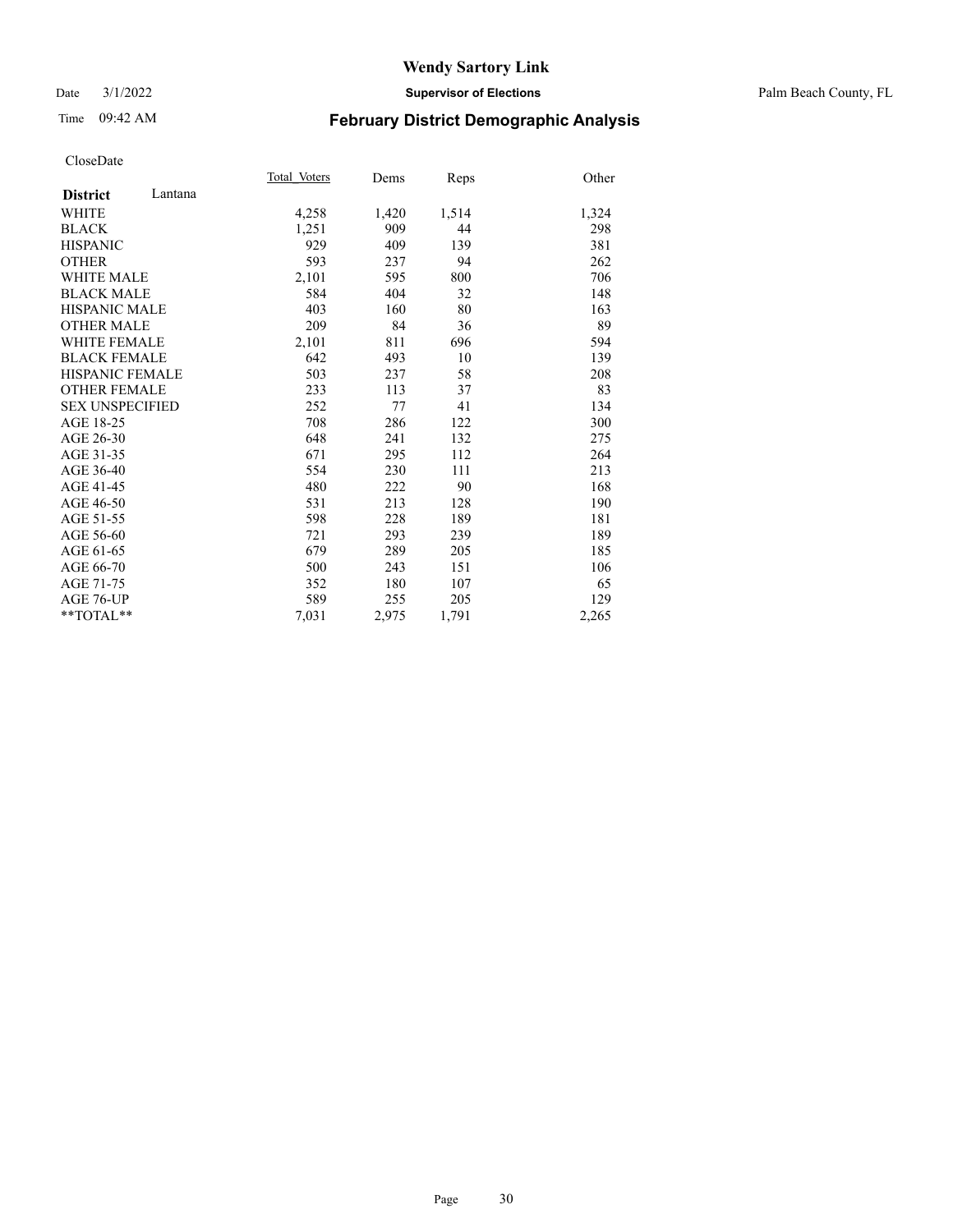#### Date 3/1/2022 **Supervisor of Elections** Palm Beach County, FL

## Time 09:42 AM **February District Demographic Analysis**

|                            | Total Voters | Dems  | Reps  | Other |
|----------------------------|--------------|-------|-------|-------|
| Lantana<br><b>District</b> |              |       |       |       |
| WHITE                      | 4,258        | 1,420 | 1,514 | 1,324 |
| <b>BLACK</b>               | 1,251        | 909   | 44    | 298   |
| <b>HISPANIC</b>            | 929          | 409   | 139   | 381   |
| <b>OTHER</b>               | 593          | 237   | 94    | 262   |
| <b>WHITE MALE</b>          | 2,101        | 595   | 800   | 706   |
| <b>BLACK MALE</b>          | 584          | 404   | 32    | 148   |
| <b>HISPANIC MALE</b>       | 403          | 160   | 80    | 163   |
| <b>OTHER MALE</b>          | 209          | 84    | 36    | 89    |
| <b>WHITE FEMALE</b>        | 2,101        | 811   | 696   | 594   |
| <b>BLACK FEMALE</b>        | 642          | 493   | 10    | 139   |
| HISPANIC FEMALE            | 503          | 237   | 58    | 208   |
| <b>OTHER FEMALE</b>        | 233          | 113   | 37    | 83    |
| <b>SEX UNSPECIFIED</b>     | 252          | 77    | 41    | 134   |
| AGE 18-25                  | 708          | 286   | 122   | 300   |
| AGE 26-30                  | 648          | 241   | 132   | 275   |
| AGE 31-35                  | 671          | 295   | 112   | 264   |
| AGE 36-40                  | 554          | 230   | 111   | 213   |
| AGE 41-45                  | 480          | 222   | 90    | 168   |
| AGE 46-50                  | 531          | 213   | 128   | 190   |
| AGE 51-55                  | 598          | 228   | 189   | 181   |
| AGE 56-60                  | 721          | 293   | 239   | 189   |
| AGE 61-65                  | 679          | 289   | 205   | 185   |
| AGE 66-70                  | 500          | 243   | 151   | 106   |
| AGE 71-75                  | 352          | 180   | 107   | 65    |
| AGE 76-UP                  | 589          | 255   | 205   | 129   |
| **TOTAL**                  | 7,031        | 2,975 | 1,791 | 2,265 |
|                            |              |       |       |       |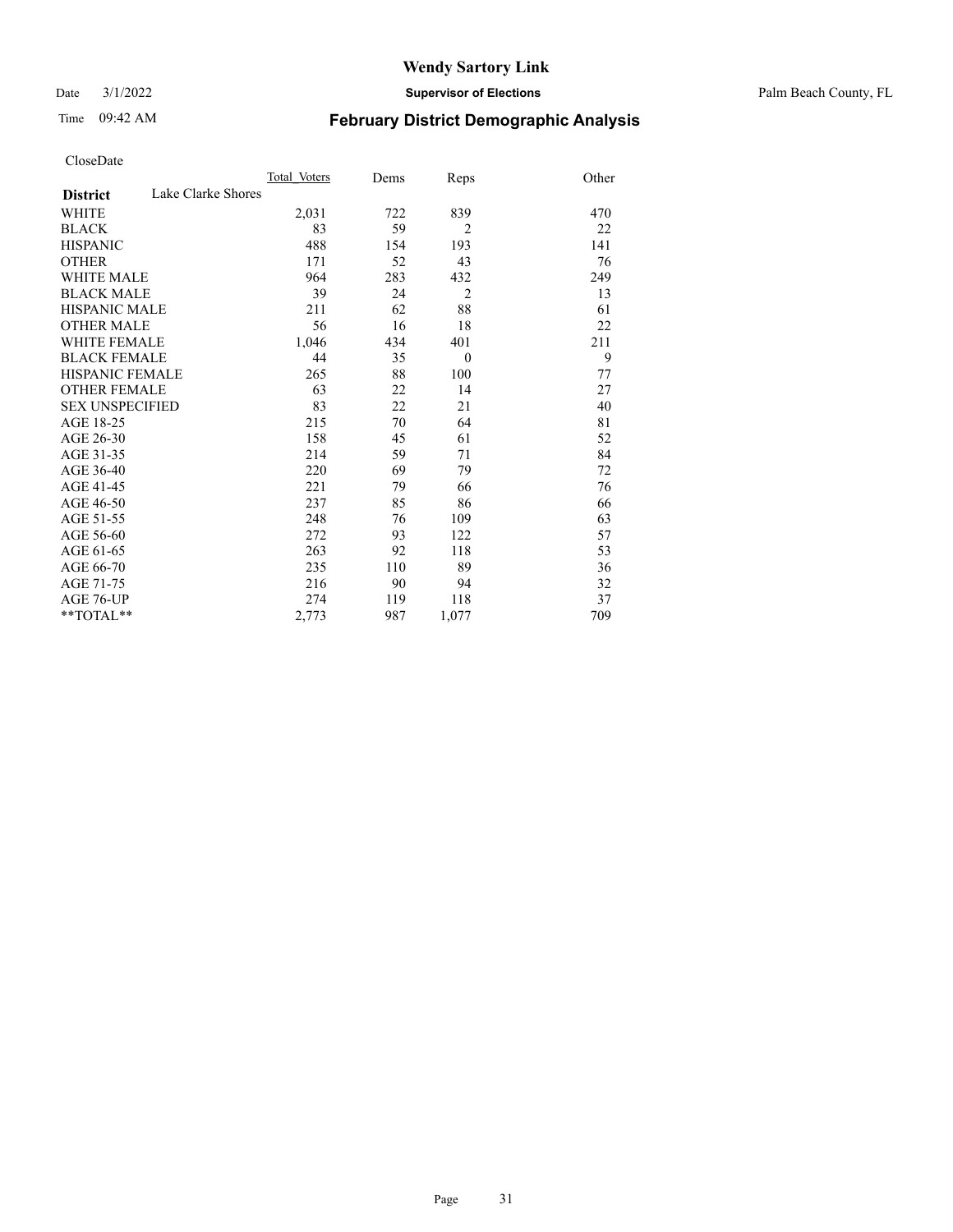Date 3/1/2022 **Supervisor of Elections** Palm Beach County, FL

## Time 09:42 AM **February District Demographic Analysis**

|                        | Total Voters       | Dems | Reps           | Other |
|------------------------|--------------------|------|----------------|-------|
| <b>District</b>        | Lake Clarke Shores |      |                |       |
| WHITE                  | 2,031              | 722  | 839            | 470   |
| <b>BLACK</b>           | 83                 | 59   | 2              | 22    |
| <b>HISPANIC</b>        | 488                | 154  | 193            | 141   |
| <b>OTHER</b>           | 171                | 52   | 43             | 76    |
| <b>WHITE MALE</b>      | 964                | 283  | 432            | 249   |
| <b>BLACK MALE</b>      | 39                 | 24   | $\overline{2}$ | 13    |
| <b>HISPANIC MALE</b>   | 211                | 62   | 88             | 61    |
| <b>OTHER MALE</b>      | 56                 | 16   | 18             | 22    |
| <b>WHITE FEMALE</b>    | 1,046              | 434  | 401            | 211   |
| <b>BLACK FEMALE</b>    | 44                 | 35   | $\mathbf{0}$   | 9     |
| <b>HISPANIC FEMALE</b> | 265                | 88   | 100            | 77    |
| <b>OTHER FEMALE</b>    | 63                 | 22   | 14             | 27    |
| <b>SEX UNSPECIFIED</b> | 83                 | 22   | 21             | 40    |
| AGE 18-25              | 215                | 70   | 64             | 81    |
| AGE 26-30              | 158                | 45   | 61             | 52    |
| AGE 31-35              | 214                | 59   | 71             | 84    |
| AGE 36-40              | 220                | 69   | 79             | 72    |
| AGE 41-45              | 221                | 79   | 66             | 76    |
| AGE 46-50              | 237                | 85   | 86             | 66    |
| AGE 51-55              | 248                | 76   | 109            | 63    |
| AGE 56-60              | 272                | 93   | 122            | 57    |
| AGE 61-65              | 263                | 92   | 118            | 53    |
| AGE 66-70              | 235                | 110  | 89             | 36    |
| AGE 71-75              | 216                | 90   | 94             | 32    |
| <b>AGE 76-UP</b>       | 274                | 119  | 118            | 37    |
| **TOTAL**              | 2,773              | 987  | 1,077          | 709   |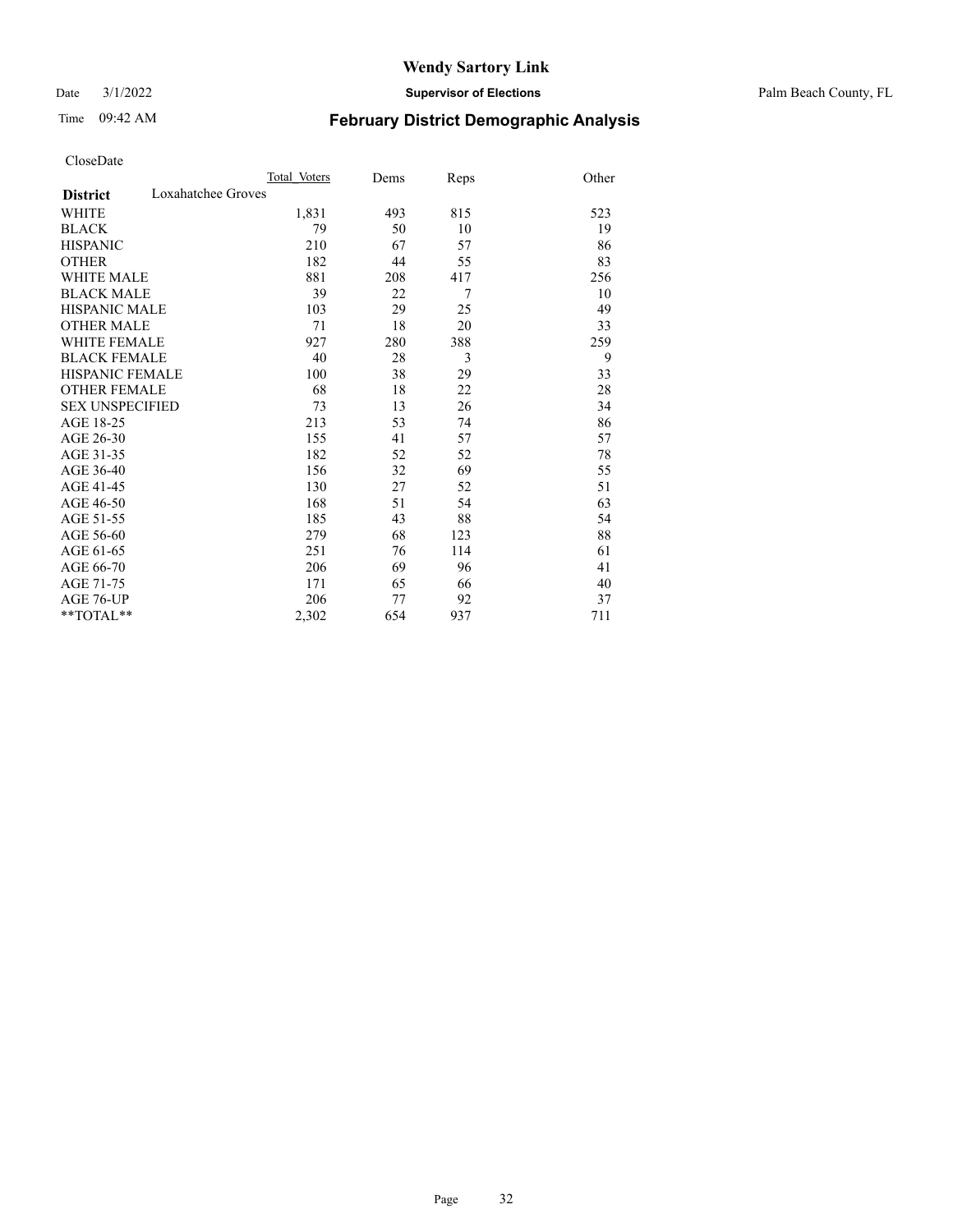Date 3/1/2022 **Supervisor of Elections** Palm Beach County, FL

## Time 09:42 AM **February District Demographic Analysis**

|                                       | Total Voters | Dems | Reps | Other |
|---------------------------------------|--------------|------|------|-------|
| Loxahatchee Groves<br><b>District</b> |              |      |      |       |
| <b>WHITE</b>                          | 1,831        | 493  | 815  | 523   |
| <b>BLACK</b>                          | 79           | 50   | 10   | 19    |
| <b>HISPANIC</b>                       | 210          | 67   | 57   | 86    |
| <b>OTHER</b>                          | 182          | 44   | 55   | 83    |
| <b>WHITE MALE</b>                     | 881          | 208  | 417  | 256   |
| <b>BLACK MALE</b>                     | 39           | 22   | 7    | 10    |
| <b>HISPANIC MALE</b>                  | 103          | 29   | 25   | 49    |
| <b>OTHER MALE</b>                     | 71           | 18   | 20   | 33    |
| WHITE FEMALE                          | 927          | 280  | 388  | 259   |
| <b>BLACK FEMALE</b>                   | 40           | 28   | 3    | 9     |
| <b>HISPANIC FEMALE</b>                | 100          | 38   | 29   | 33    |
| <b>OTHER FEMALE</b>                   | 68           | 18   | 22   | 28    |
| <b>SEX UNSPECIFIED</b>                | 73           | 13   | 26   | 34    |
| AGE 18-25                             | 213          | 53   | 74   | 86    |
| AGE 26-30                             | 155          | 41   | 57   | 57    |
| AGE 31-35                             | 182          | 52   | 52   | 78    |
| AGE 36-40                             | 156          | 32   | 69   | 55    |
| AGE 41-45                             | 130          | 27   | 52   | 51    |
| AGE 46-50                             | 168          | 51   | 54   | 63    |
| AGE 51-55                             | 185          | 43   | 88   | 54    |
| AGE 56-60                             | 279          | 68   | 123  | 88    |
| AGE 61-65                             | 251          | 76   | 114  | 61    |
| AGE 66-70                             | 206          | 69   | 96   | 41    |
| AGE 71-75                             | 171          | 65   | 66   | 40    |
| AGE 76-UP                             | 206          | 77   | 92   | 37    |
| **TOTAL**                             | 2,302        | 654  | 937  | 711   |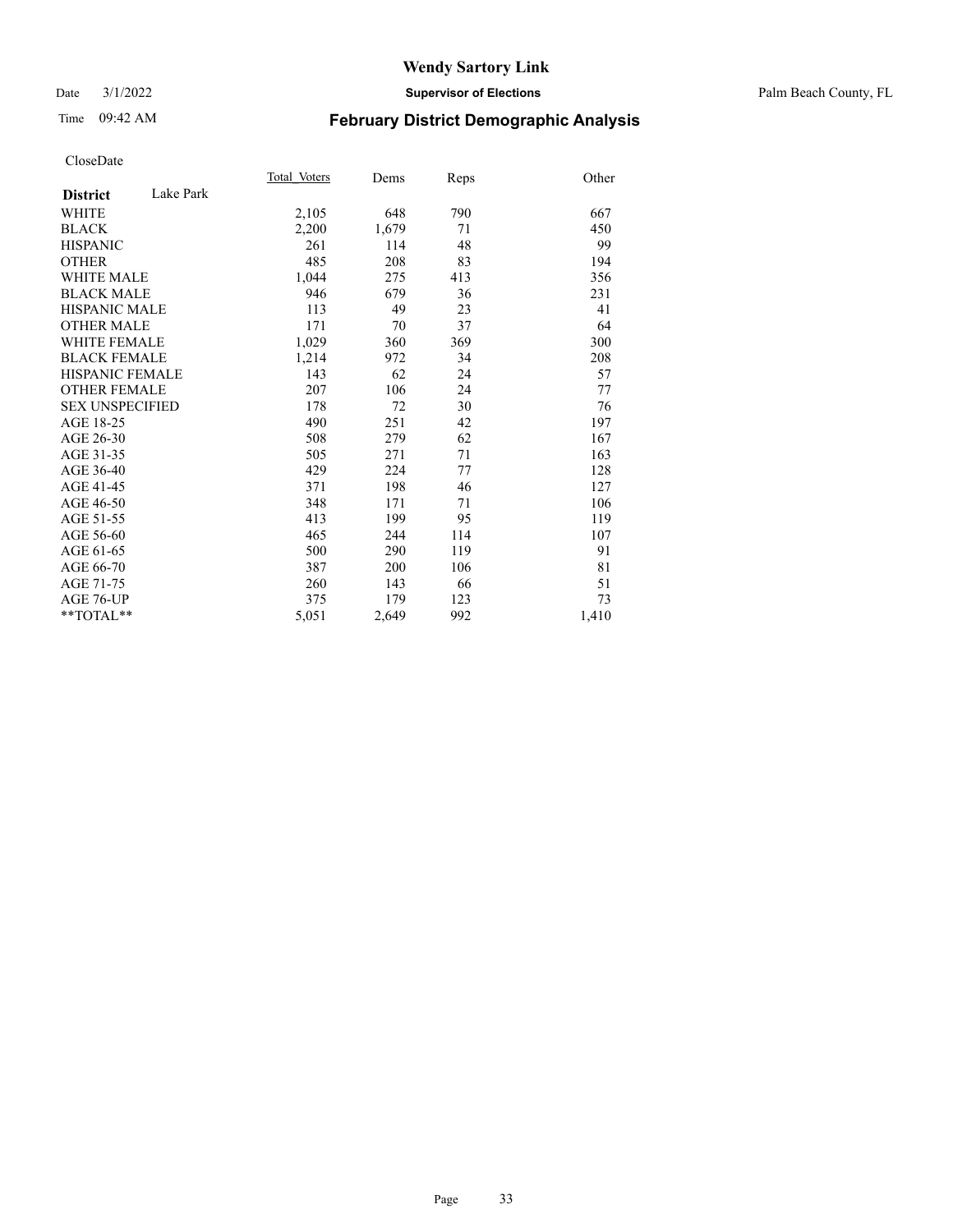#### Date 3/1/2022 **Supervisor of Elections** Palm Beach County, FL

## Time 09:42 AM **February District Demographic Analysis**

| Total Voters | Dems  | Reps | Other |
|--------------|-------|------|-------|
| Lake Park    |       |      |       |
| 2,105        | 648   | 790  | 667   |
| 2,200        | 1,679 | 71   | 450   |
| 261          | 114   | 48   | 99    |
| 485          | 208   | 83   | 194   |
| 1,044        | 275   | 413  | 356   |
| 946          | 679   | 36   | 231   |
| 113          | 49    | 23   | 41    |
| 171          | 70    | 37   | 64    |
| 1,029        | 360   | 369  | 300   |
| 1,214        | 972   | 34   | 208   |
| 143          | 62    | 24   | 57    |
| 207          | 106   | 24   | 77    |
| 178          | 72    | 30   | 76    |
| 490          | 251   | 42   | 197   |
| 508          | 279   | 62   | 167   |
| 505          | 271   | 71   | 163   |
| 429          | 224   | 77   | 128   |
| 371          | 198   | 46   | 127   |
| 348          | 171   | 71   | 106   |
| 413          | 199   | 95   | 119   |
| 465          | 244   | 114  | 107   |
| 500          | 290   | 119  | 91    |
| 387          | 200   | 106  | 81    |
| 260          | 143   | 66   | 51    |
| 375          | 179   | 123  | 73    |
| 5,051        | 2,649 | 992  | 1,410 |
|              |       |      |       |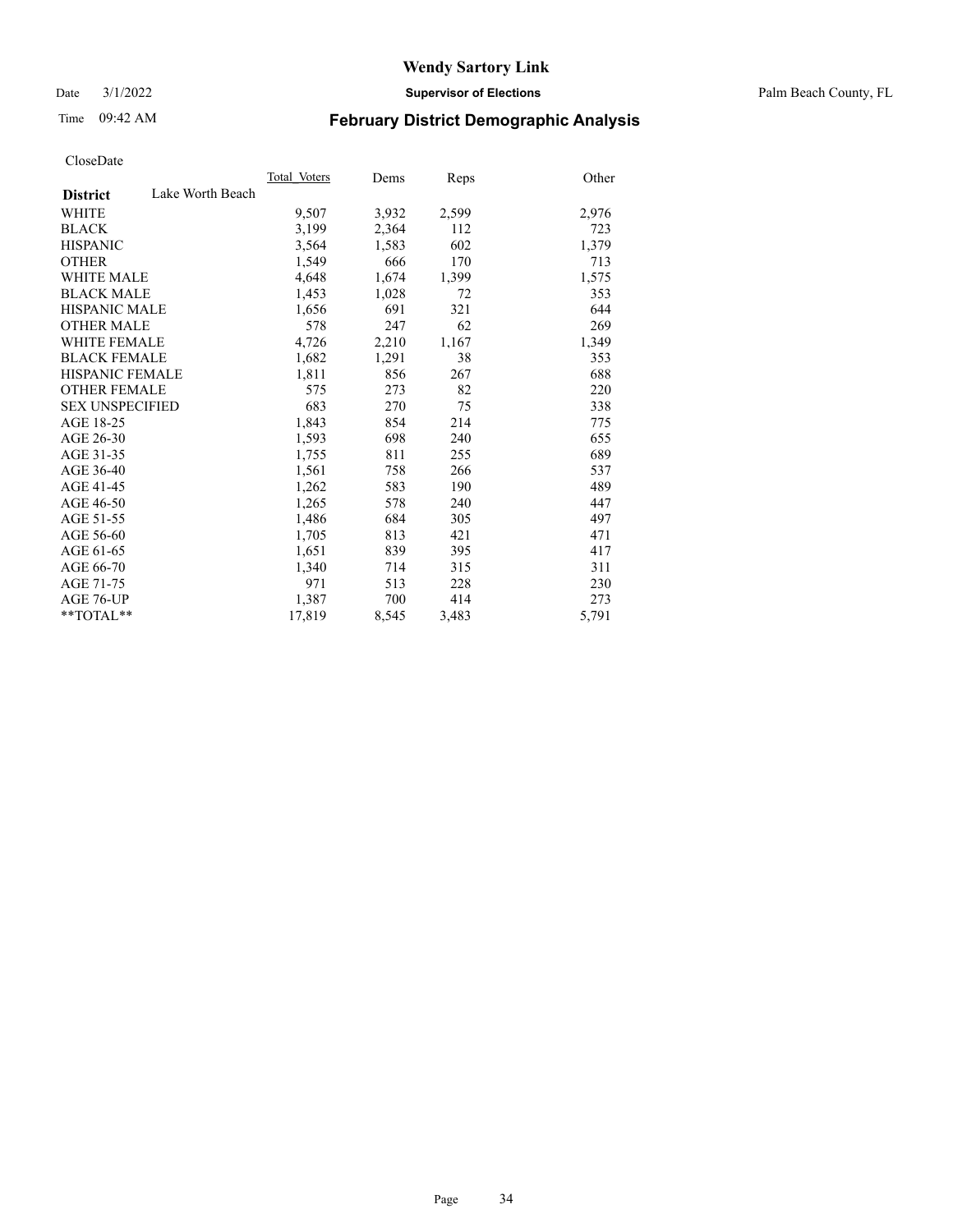Date 3/1/2022 **Supervisor of Elections** Palm Beach County, FL

## Time 09:42 AM **February District Demographic Analysis**

|                        |                  | Total Voters | Dems  | <b>Reps</b> | Other |
|------------------------|------------------|--------------|-------|-------------|-------|
| <b>District</b>        | Lake Worth Beach |              |       |             |       |
| WHITE                  |                  | 9,507        | 3,932 | 2,599       | 2,976 |
| <b>BLACK</b>           |                  | 3,199        | 2,364 | 112         | 723   |
| <b>HISPANIC</b>        |                  | 3,564        | 1,583 | 602         | 1,379 |
| <b>OTHER</b>           |                  | 1,549        | 666   | 170         | 713   |
| <b>WHITE MALE</b>      |                  | 4,648        | 1,674 | 1,399       | 1,575 |
| <b>BLACK MALE</b>      |                  | 1,453        | 1,028 | 72          | 353   |
| <b>HISPANIC MALE</b>   |                  | 1,656        | 691   | 321         | 644   |
| <b>OTHER MALE</b>      |                  | 578          | 247   | 62          | 269   |
| <b>WHITE FEMALE</b>    |                  | 4,726        | 2,210 | 1,167       | 1,349 |
| <b>BLACK FEMALE</b>    |                  | 1,682        | 1,291 | 38          | 353   |
| <b>HISPANIC FEMALE</b> |                  | 1,811        | 856   | 267         | 688   |
| <b>OTHER FEMALE</b>    |                  | 575          | 273   | 82          | 220   |
| <b>SEX UNSPECIFIED</b> |                  | 683          | 270   | 75          | 338   |
| AGE 18-25              |                  | 1,843        | 854   | 214         | 775   |
| AGE 26-30              |                  | 1,593        | 698   | 240         | 655   |
| AGE 31-35              |                  | 1,755        | 811   | 255         | 689   |
| AGE 36-40              |                  | 1,561        | 758   | 266         | 537   |
| AGE 41-45              |                  | 1,262        | 583   | 190         | 489   |
| AGE 46-50              |                  | 1,265        | 578   | 240         | 447   |
| AGE 51-55              |                  | 1,486        | 684   | 305         | 497   |
| AGE 56-60              |                  | 1,705        | 813   | 421         | 471   |
| AGE 61-65              |                  | 1,651        | 839   | 395         | 417   |
| AGE 66-70              |                  | 1,340        | 714   | 315         | 311   |
| AGE 71-75              |                  | 971          | 513   | 228         | 230   |
| AGE 76-UP              |                  | 1,387        | 700   | 414         | 273   |
| $*$ $TOTAL**$          |                  | 17,819       | 8,545 | 3,483       | 5,791 |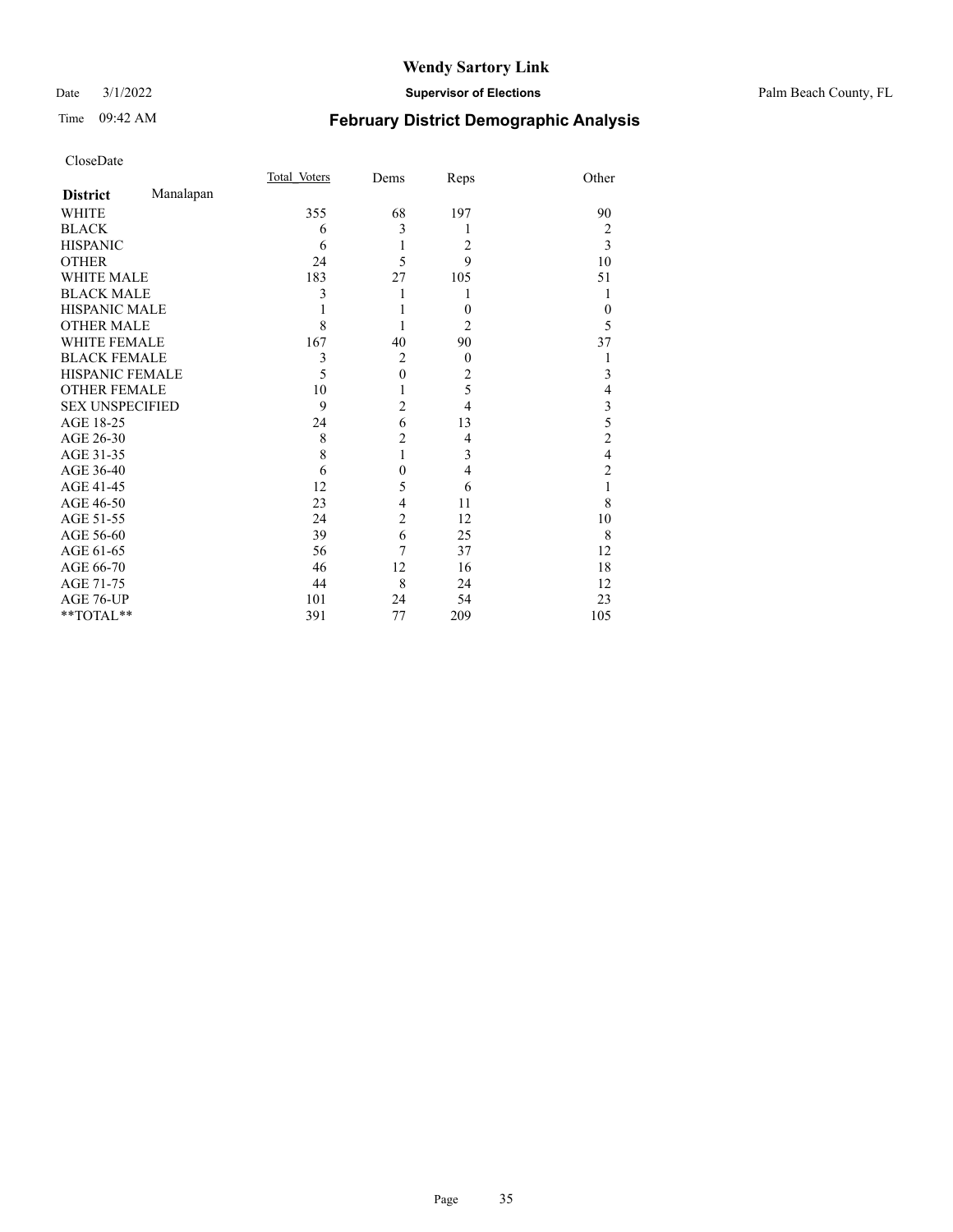#### Date 3/1/2022 **Supervisor of Elections** Palm Beach County, FL

## Time 09:42 AM **February District Demographic Analysis**

|                        |           | Total Voters | Dems           | Reps             | Other                   |
|------------------------|-----------|--------------|----------------|------------------|-------------------------|
| <b>District</b>        | Manalapan |              |                |                  |                         |
| WHITE                  |           | 355          | 68             | 197              | 90                      |
| <b>BLACK</b>           |           | 6            | 3              | 1                | 2                       |
| <b>HISPANIC</b>        |           | 6            | 1              | 2                | 3                       |
| <b>OTHER</b>           |           | 24           | 5              | 9                | 10                      |
| <b>WHITE MALE</b>      |           | 183          | 27             | 105              | 51                      |
| <b>BLACK MALE</b>      |           | 3            |                | 1                | 1                       |
| <b>HISPANIC MALE</b>   |           |              |                | $\theta$         | $\theta$                |
| <b>OTHER MALE</b>      |           | 8            |                | $\overline{2}$   | 5                       |
| <b>WHITE FEMALE</b>    |           | 167          | 40             | 90               | 37                      |
| <b>BLACK FEMALE</b>    |           | 3            | $\overline{2}$ | $\boldsymbol{0}$ |                         |
| HISPANIC FEMALE        |           | 5            | $\mathbf{0}$   | 2                | 3                       |
| <b>OTHER FEMALE</b>    |           | 10           |                | 5                | 4                       |
| <b>SEX UNSPECIFIED</b> |           | 9            | $\overline{c}$ | $\overline{4}$   | 3                       |
| AGE 18-25              |           | 24           | 6              | 13               | 5                       |
| AGE 26-30              |           | 8            | $\overline{c}$ | 4                | $\overline{2}$          |
| AGE 31-35              |           | 8            | 1              | 3                | $\overline{\mathbf{4}}$ |
| AGE 36-40              |           | 6            | 0              | $\overline{4}$   | $\overline{2}$          |
| AGE 41-45              |           | 12           | 5              | 6                | 1                       |
| AGE 46-50              |           | 23           | 4              | 11               | 8                       |
| AGE 51-55              |           | 24           | $\overline{c}$ | 12               | 10                      |
| AGE 56-60              |           | 39           | 6              | 25               | 8                       |
| AGE 61-65              |           | 56           | 7              | 37               | 12                      |
| AGE 66-70              |           | 46           | 12             | 16               | 18                      |
| AGE 71-75              |           | 44           | 8              | 24               | 12                      |
| AGE 76-UP              |           | 101          | 24             | 54               | 23                      |
| **TOTAL**              |           | 391          | 77             | 209              | 105                     |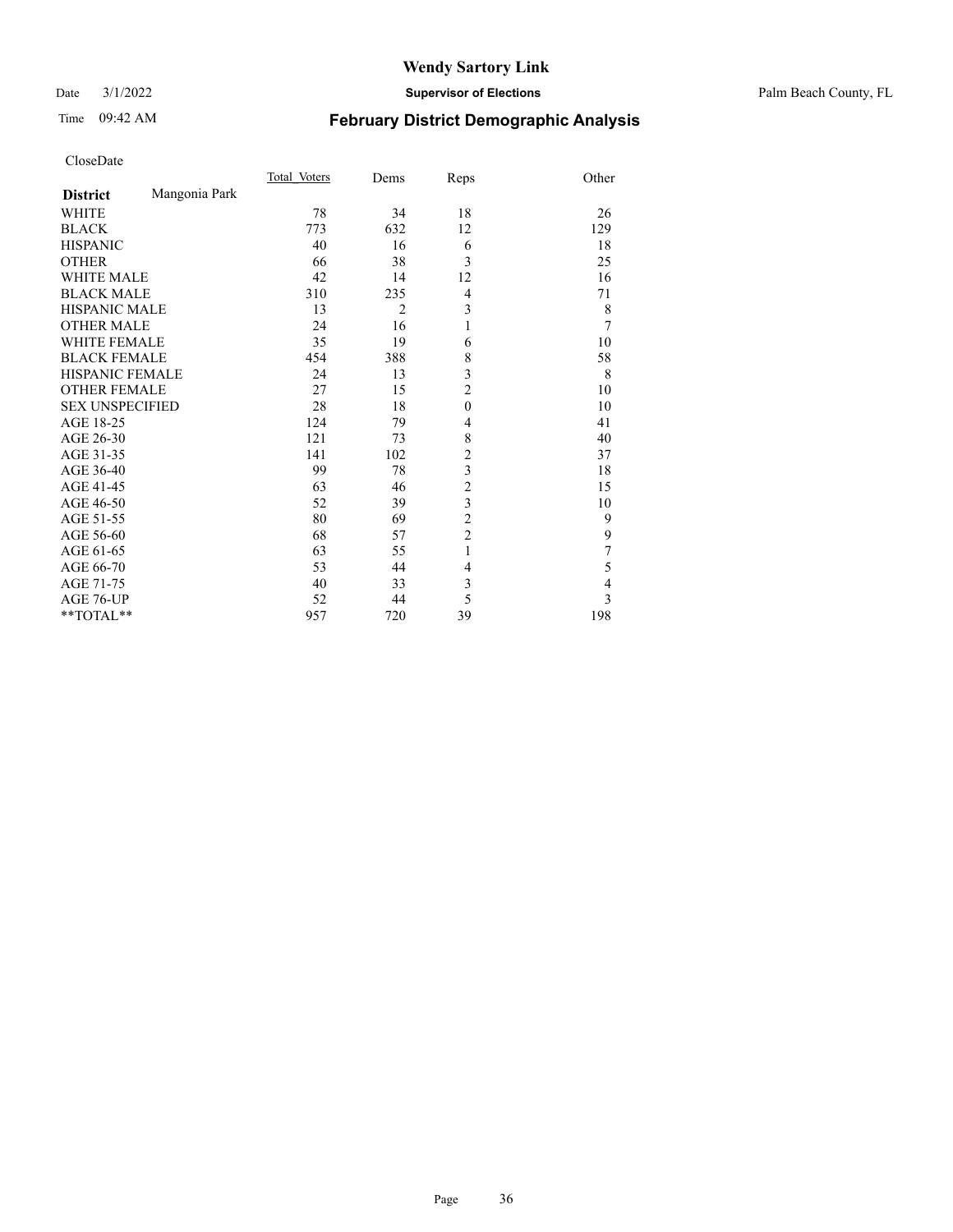#### Date 3/1/2022 **Supervisor of Elections** Palm Beach County, FL

## Time 09:42 AM **February District Demographic Analysis**

|                        |               | Total Voters | Dems           | Reps                    | Other          |
|------------------------|---------------|--------------|----------------|-------------------------|----------------|
| <b>District</b>        | Mangonia Park |              |                |                         |                |
| <b>WHITE</b>           |               | 78           | 34             | 18                      | 26             |
| <b>BLACK</b>           |               | 773          | 632            | 12                      | 129            |
| <b>HISPANIC</b>        |               | 40           | 16             | 6                       | 18             |
| <b>OTHER</b>           |               | 66           | 38             | 3                       | 25             |
| <b>WHITE MALE</b>      |               | 42           | 14             | 12                      | 16             |
| <b>BLACK MALE</b>      |               | 310          | 235            | $\overline{4}$          | 71             |
| <b>HISPANIC MALE</b>   |               | 13           | $\overline{2}$ | 3                       | 8              |
| <b>OTHER MALE</b>      |               | 24           | 16             | 1                       | $\overline{7}$ |
| <b>WHITE FEMALE</b>    |               | 35           | 19             | 6                       | 10             |
| <b>BLACK FEMALE</b>    |               | 454          | 388            | 8                       | 58             |
| <b>HISPANIC FEMALE</b> |               | 24           | 13             | 3                       | 8              |
| <b>OTHER FEMALE</b>    |               | 27           | 15             | $\overline{c}$          | 10             |
| <b>SEX UNSPECIFIED</b> |               | 28           | 18             | $\theta$                | 10             |
| AGE 18-25              |               | 124          | 79             | 4                       | 41             |
| AGE 26-30              |               | 121          | 73             | 8                       | 40             |
| AGE 31-35              |               | 141          | 102            | $\overline{c}$          | 37             |
| AGE 36-40              |               | 99           | 78             | $\overline{\mathbf{3}}$ | 18             |
| AGE 41-45              |               | 63           | 46             | $\overline{c}$          | 15             |
| AGE 46-50              |               | 52           | 39             | $\overline{\mathbf{3}}$ | 10             |
| AGE 51-55              |               | 80           | 69             | $\overline{c}$          | 9              |
| AGE 56-60              |               | 68           | 57             | $\overline{c}$          | 9              |
| AGE 61-65              |               | 63           | 55             | 1                       | 7              |
| AGE 66-70              |               | 53           | 44             | 4                       | 5              |
| AGE 71-75              |               | 40           | 33             | 3                       | $\overline{4}$ |
| AGE 76-UP              |               | 52           | 44             | 5                       | 3              |
| **TOTAL**              |               | 957          | 720            | 39                      | 198            |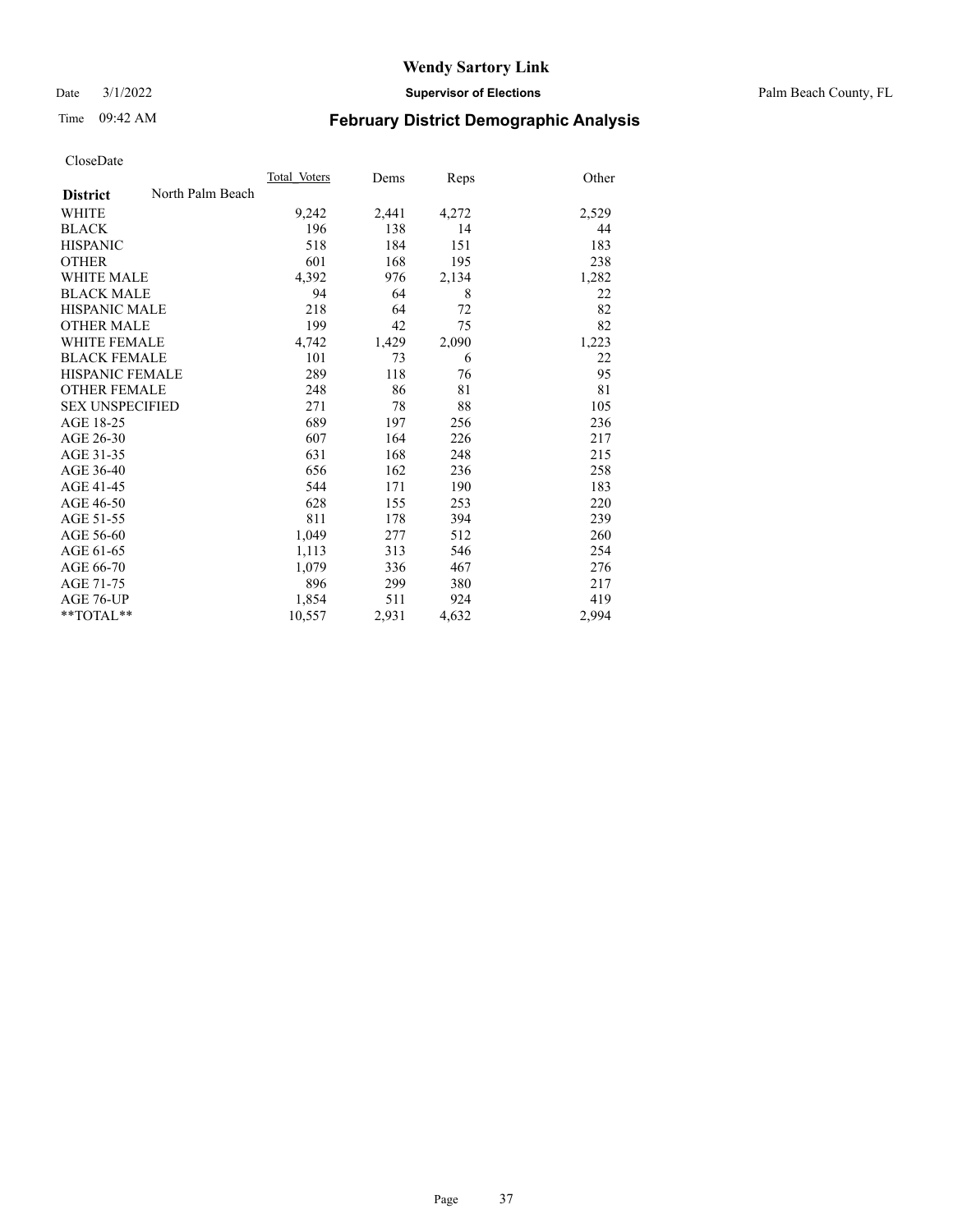Date 3/1/2022 **Supervisor of Elections** Palm Beach County, FL

# Time 09:42 AM **February District Demographic Analysis**

|                        |                  | Total Voters | Dems  | Reps  | Other |
|------------------------|------------------|--------------|-------|-------|-------|
| <b>District</b>        | North Palm Beach |              |       |       |       |
| <b>WHITE</b>           |                  | 9,242        | 2,441 | 4,272 | 2,529 |
| <b>BLACK</b>           |                  | 196          | 138   | 14    | 44    |
| <b>HISPANIC</b>        |                  | 518          | 184   | 151   | 183   |
| <b>OTHER</b>           |                  | 601          | 168   | 195   | 238   |
| WHITE MALE             |                  | 4,392        | 976   | 2,134 | 1,282 |
| <b>BLACK MALE</b>      |                  | 94           | 64    | 8     | 22    |
| <b>HISPANIC MALE</b>   |                  | 218          | 64    | 72    | 82    |
| <b>OTHER MALE</b>      |                  | 199          | 42    | 75    | 82    |
| <b>WHITE FEMALE</b>    |                  | 4,742        | 1,429 | 2,090 | 1,223 |
| <b>BLACK FEMALE</b>    |                  | 101          | 73    | 6     | 22    |
| <b>HISPANIC FEMALE</b> |                  | 289          | 118   | 76    | 95    |
| <b>OTHER FEMALE</b>    |                  | 248          | 86    | 81    | 81    |
| <b>SEX UNSPECIFIED</b> |                  | 271          | 78    | 88    | 105   |
| AGE 18-25              |                  | 689          | 197   | 256   | 236   |
| AGE 26-30              |                  | 607          | 164   | 226   | 217   |
| AGE 31-35              |                  | 631          | 168   | 248   | 215   |
| AGE 36-40              |                  | 656          | 162   | 236   | 258   |
| AGE 41-45              |                  | 544          | 171   | 190   | 183   |
| AGE 46-50              |                  | 628          | 155   | 253   | 220   |
| AGE 51-55              |                  | 811          | 178   | 394   | 239   |
| AGE 56-60              |                  | 1,049        | 277   | 512   | 260   |
| AGE 61-65              |                  | 1,113        | 313   | 546   | 254   |
| AGE 66-70              |                  | 1,079        | 336   | 467   | 276   |
| AGE 71-75              |                  | 896          | 299   | 380   | 217   |
| AGE 76-UP              |                  | 1,854        | 511   | 924   | 419   |
| $*$ $TOTAL**$          |                  | 10,557       | 2,931 | 4,632 | 2,994 |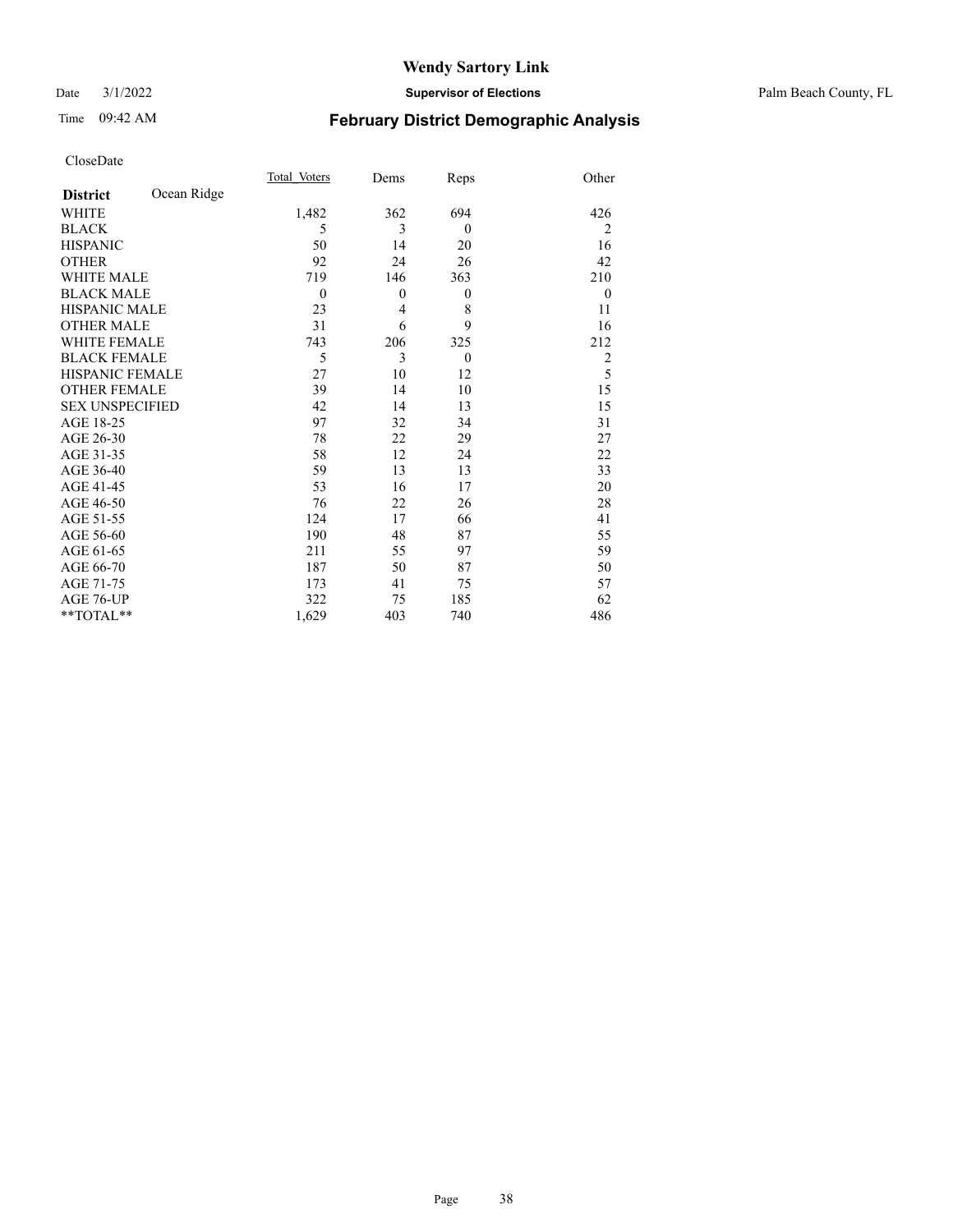Date 3/1/2022 **Supervisor of Elections** Palm Beach County, FL

# Time 09:42 AM **February District Demographic Analysis**

|                        |             | Total Voters | Dems     | Reps           | Other          |
|------------------------|-------------|--------------|----------|----------------|----------------|
| <b>District</b>        | Ocean Ridge |              |          |                |                |
| WHITE                  |             | 1,482        | 362      | 694            | 426            |
| <b>BLACK</b>           |             | 5            | 3        | $\theta$       | 2              |
| <b>HISPANIC</b>        |             | 50           | 14       | 20             | 16             |
| <b>OTHER</b>           |             | 92           | 24       | 26             | 42             |
| <b>WHITE MALE</b>      |             | 719          | 146      | 363            | 210            |
| <b>BLACK MALE</b>      |             | $\mathbf{0}$ | $\theta$ | $\mathbf{0}$   | $\mathbf{0}$   |
| <b>HISPANIC MALE</b>   |             | 23           | 4        | 8              | 11             |
| <b>OTHER MALE</b>      |             | 31           | 6        | 9              | 16             |
| <b>WHITE FEMALE</b>    |             | 743          | 206      | 325            | 212            |
| <b>BLACK FEMALE</b>    |             | 5            | 3        | $\overline{0}$ | $\overline{2}$ |
| <b>HISPANIC FEMALE</b> |             | 27           | 10       | 12             | 5              |
| <b>OTHER FEMALE</b>    |             | 39           | 14       | 10             | 15             |
| <b>SEX UNSPECIFIED</b> |             | 42           | 14       | 13             | 15             |
| AGE 18-25              |             | 97           | 32       | 34             | 31             |
| AGE 26-30              |             | 78           | 22       | 29             | 27             |
| AGE 31-35              |             | 58           | 12       | 24             | 22             |
| AGE 36-40              |             | 59           | 13       | 13             | 33             |
| AGE 41-45              |             | 53           | 16       | 17             | 20             |
| AGE 46-50              |             | 76           | 22       | 26             | 28             |
| AGE 51-55              |             | 124          | 17       | 66             | 41             |
| AGE 56-60              |             | 190          | 48       | 87             | 55             |
| AGE 61-65              |             | 211          | 55       | 97             | 59             |
| AGE 66-70              |             | 187          | 50       | 87             | 50             |
| AGE 71-75              |             | 173          | 41       | 75             | 57             |
| AGE 76-UP              |             | 322          | 75       | 185            | 62             |
| **TOTAL**              |             | 1,629        | 403      | 740            | 486            |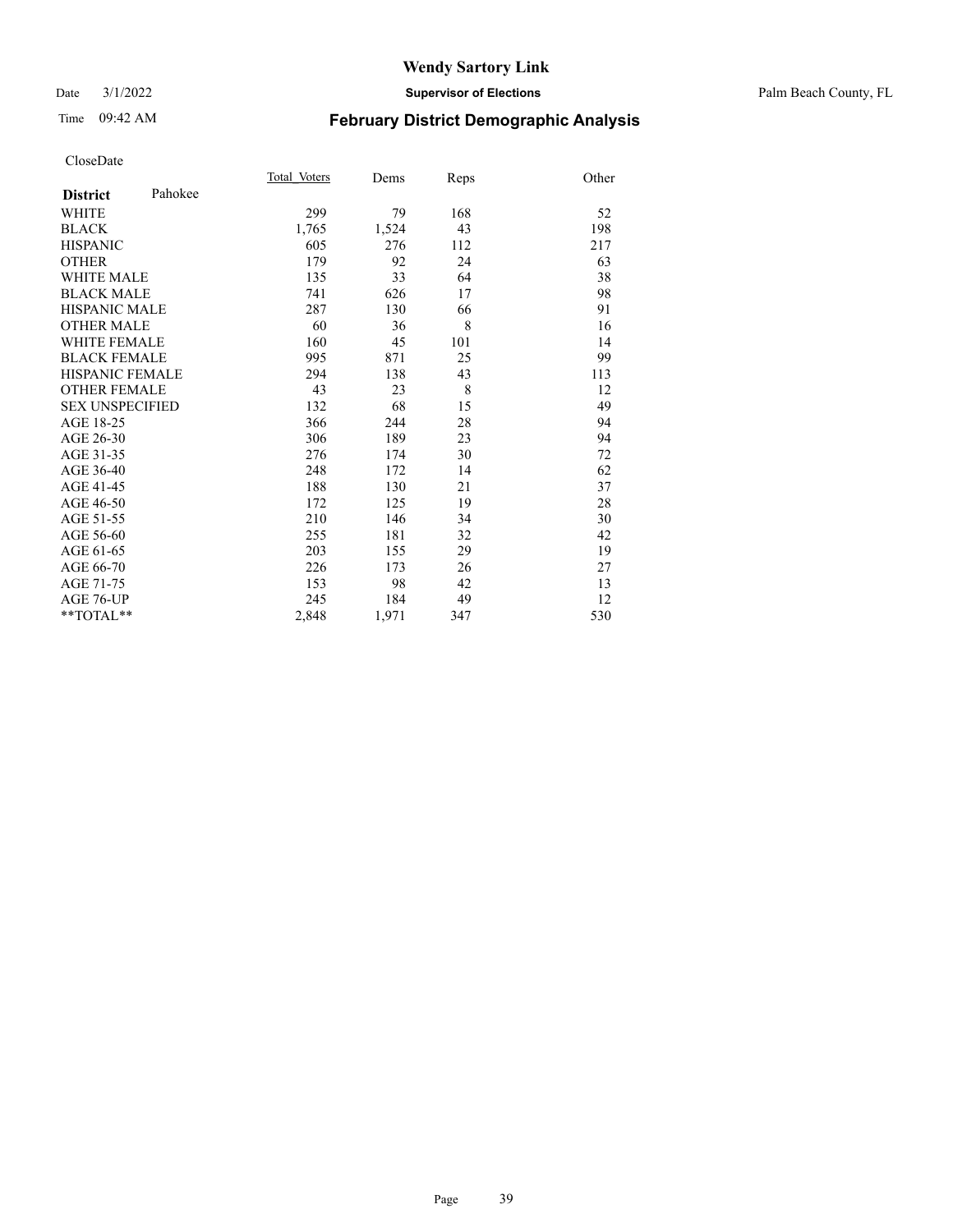### Date 3/1/2022 **Supervisor of Elections** Palm Beach County, FL

# Time 09:42 AM **February District Demographic Analysis**

|                            | Total Voters | Dems  | Reps | Other |
|----------------------------|--------------|-------|------|-------|
| Pahokee<br><b>District</b> |              |       |      |       |
| <b>WHITE</b>               | 299          | 79    | 168  | 52    |
| <b>BLACK</b>               | 1,765        | 1,524 | 43   | 198   |
| <b>HISPANIC</b>            | 605          | 276   | 112  | 217   |
| <b>OTHER</b>               | 179          | 92    | 24   | 63    |
| <b>WHITE MALE</b>          | 135          | 33    | 64   | 38    |
| <b>BLACK MALE</b>          | 741          | 626   | 17   | 98    |
| <b>HISPANIC MALE</b>       | 287          | 130   | 66   | 91    |
| <b>OTHER MALE</b>          | 60           | 36    | 8    | 16    |
| WHITE FEMALE               | 160          | 45    | 101  | 14    |
| <b>BLACK FEMALE</b>        | 995          | 871   | 25   | 99    |
| <b>HISPANIC FEMALE</b>     | 294          | 138   | 43   | 113   |
| <b>OTHER FEMALE</b>        | 43           | 23    | 8    | 12    |
| <b>SEX UNSPECIFIED</b>     | 132          | 68    | 15   | 49    |
| AGE 18-25                  | 366          | 244   | 28   | 94    |
| AGE 26-30                  | 306          | 189   | 23   | 94    |
| AGE 31-35                  | 276          | 174   | 30   | 72    |
| AGE 36-40                  | 248          | 172   | 14   | 62    |
| AGE 41-45                  | 188          | 130   | 21   | 37    |
| AGE 46-50                  | 172          | 125   | 19   | 28    |
| AGE 51-55                  | 210          | 146   | 34   | 30    |
| AGE 56-60                  | 255          | 181   | 32   | 42    |
| AGE 61-65                  | 203          | 155   | 29   | 19    |
| AGE 66-70                  | 226          | 173   | 26   | 27    |
| AGE 71-75                  | 153          | 98    | 42   | 13    |
| AGE 76-UP                  | 245          | 184   | 49   | 12    |
| $*$ $TOTAL**$              | 2,848        | 1,971 | 347  | 530   |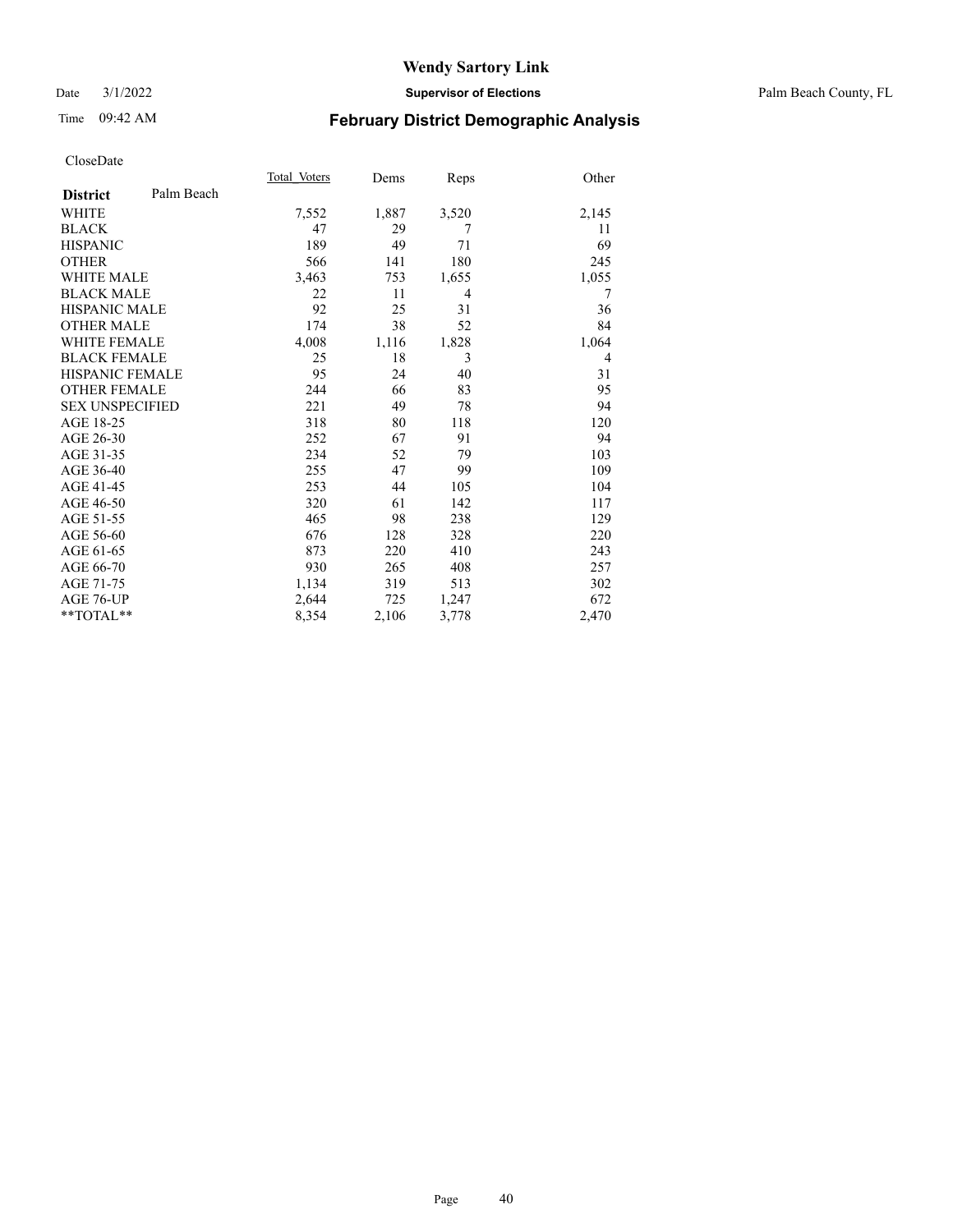### Date 3/1/2022 **Supervisor of Elections** Palm Beach County, FL

# Time 09:42 AM **February District Demographic Analysis**

|                        |            | Total Voters | Dems  | Reps  | Other |
|------------------------|------------|--------------|-------|-------|-------|
| <b>District</b>        | Palm Beach |              |       |       |       |
| <b>WHITE</b>           |            | 7,552        | 1,887 | 3,520 | 2,145 |
| <b>BLACK</b>           |            | 47           | 29    | 7     | 11    |
| <b>HISPANIC</b>        |            | 189          | 49    | 71    | 69    |
| <b>OTHER</b>           |            | 566          | 141   | 180   | 245   |
| <b>WHITE MALE</b>      |            | 3,463        | 753   | 1,655 | 1,055 |
| <b>BLACK MALE</b>      |            | 22           | 11    | 4     | 7     |
| <b>HISPANIC MALE</b>   |            | 92           | 25    | 31    | 36    |
| <b>OTHER MALE</b>      |            | 174          | 38    | 52    | 84    |
| <b>WHITE FEMALE</b>    |            | 4,008        | 1,116 | 1,828 | 1,064 |
| <b>BLACK FEMALE</b>    |            | 25           | 18    | 3     | 4     |
| <b>HISPANIC FEMALE</b> |            | 95           | 24    | 40    | 31    |
| <b>OTHER FEMALE</b>    |            | 244          | 66    | 83    | 95    |
| <b>SEX UNSPECIFIED</b> |            | 221          | 49    | 78    | 94    |
| AGE 18-25              |            | 318          | 80    | 118   | 120   |
| AGE 26-30              |            | 252          | 67    | 91    | 94    |
| AGE 31-35              |            | 234          | 52    | 79    | 103   |
| AGE 36-40              |            | 255          | 47    | 99    | 109   |
| AGE 41-45              |            | 253          | 44    | 105   | 104   |
| AGE 46-50              |            | 320          | 61    | 142   | 117   |
| AGE 51-55              |            | 465          | 98    | 238   | 129   |
| AGE 56-60              |            | 676          | 128   | 328   | 220   |
| AGE 61-65              |            | 873          | 220   | 410   | 243   |
| AGE 66-70              |            | 930          | 265   | 408   | 257   |
| AGE 71-75              |            | 1,134        | 319   | 513   | 302   |
| AGE 76-UP              |            | 2,644        | 725   | 1,247 | 672   |
| $*$ $TOTAL**$          |            | 8,354        | 2,106 | 3,778 | 2,470 |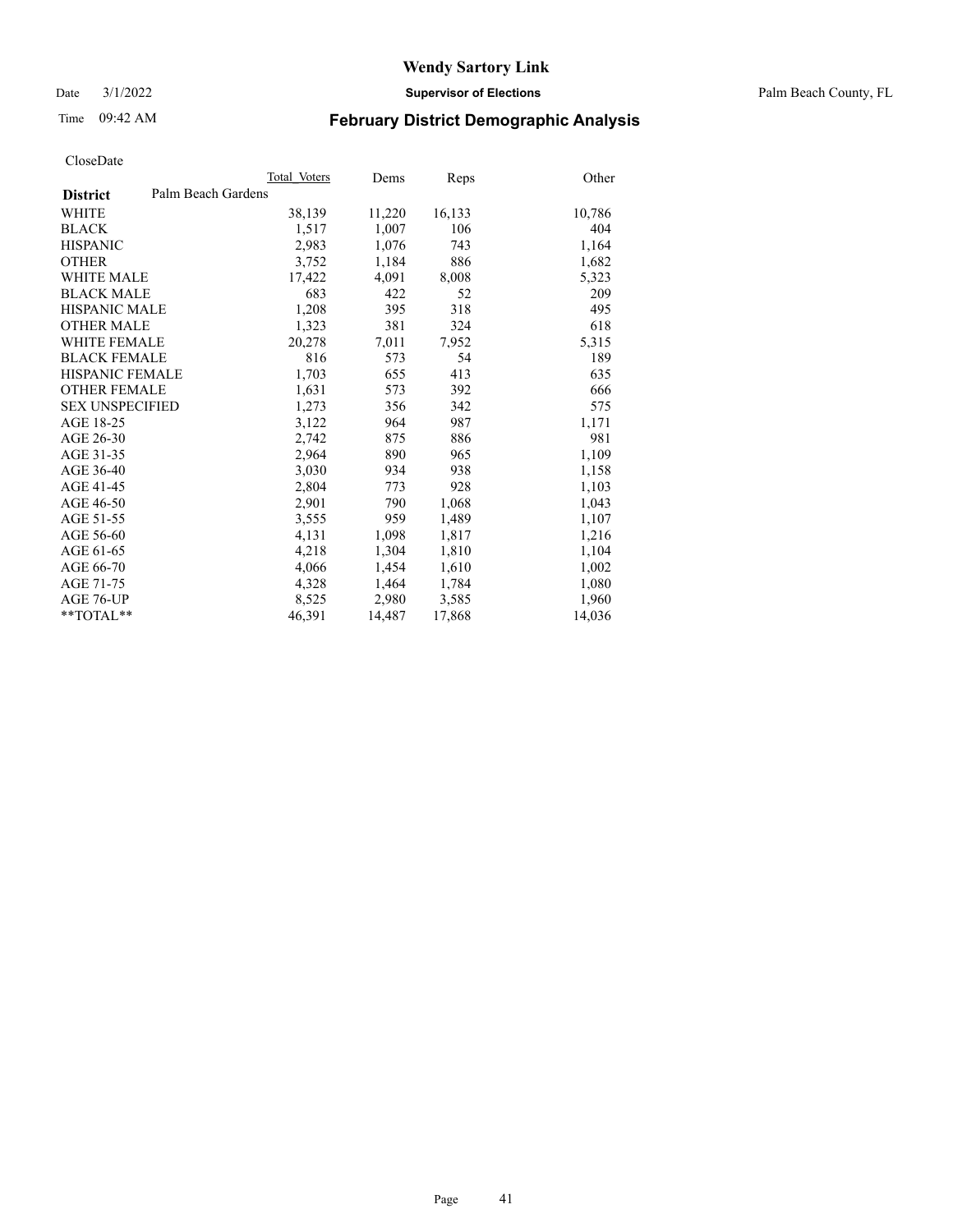Date 3/1/2022 **Supervisor of Elections** Palm Beach County, FL

# Time 09:42 AM **February District Demographic Analysis**

|                        | Total Voters       | Dems   | Reps   | Other  |
|------------------------|--------------------|--------|--------|--------|
| <b>District</b>        | Palm Beach Gardens |        |        |        |
| WHITE                  | 38,139             | 11,220 | 16,133 | 10,786 |
| <b>BLACK</b>           | 1,517              | 1,007  | 106    | 404    |
| <b>HISPANIC</b>        | 2,983              | 1,076  | 743    | 1,164  |
| <b>OTHER</b>           | 3,752              | 1,184  | 886    | 1,682  |
| <b>WHITE MALE</b>      | 17,422             | 4,091  | 8,008  | 5,323  |
| <b>BLACK MALE</b>      | 683                | 422    | 52     | 209    |
| <b>HISPANIC MALE</b>   | 1,208              | 395    | 318    | 495    |
| <b>OTHER MALE</b>      | 1,323              | 381    | 324    | 618    |
| WHITE FEMALE           | 20,278             | 7,011  | 7,952  | 5,315  |
| <b>BLACK FEMALE</b>    | 816                | 573    | 54     | 189    |
| HISPANIC FEMALE        | 1,703              | 655    | 413    | 635    |
| <b>OTHER FEMALE</b>    | 1,631              | 573    | 392    | 666    |
| <b>SEX UNSPECIFIED</b> | 1,273              | 356    | 342    | 575    |
| AGE 18-25              | 3,122              | 964    | 987    | 1,171  |
| AGE 26-30              | 2,742              | 875    | 886    | 981    |
| AGE 31-35              | 2,964              | 890    | 965    | 1,109  |
| AGE 36-40              | 3,030              | 934    | 938    | 1,158  |
| AGE 41-45              | 2,804              | 773    | 928    | 1,103  |
| AGE 46-50              | 2,901              | 790    | 1,068  | 1,043  |
| AGE 51-55              | 3,555              | 959    | 1,489  | 1,107  |
| AGE 56-60              | 4,131              | 1,098  | 1,817  | 1,216  |
| AGE 61-65              | 4,218              | 1,304  | 1,810  | 1,104  |
| AGE 66-70              | 4,066              | 1,454  | 1,610  | 1,002  |
| AGE 71-75              | 4,328              | 1,464  | 1,784  | 1,080  |
| AGE 76-UP              | 8,525              | 2,980  | 3,585  | 1,960  |
| $*$ $TOTAL**$          | 46,391             | 14,487 | 17,868 | 14,036 |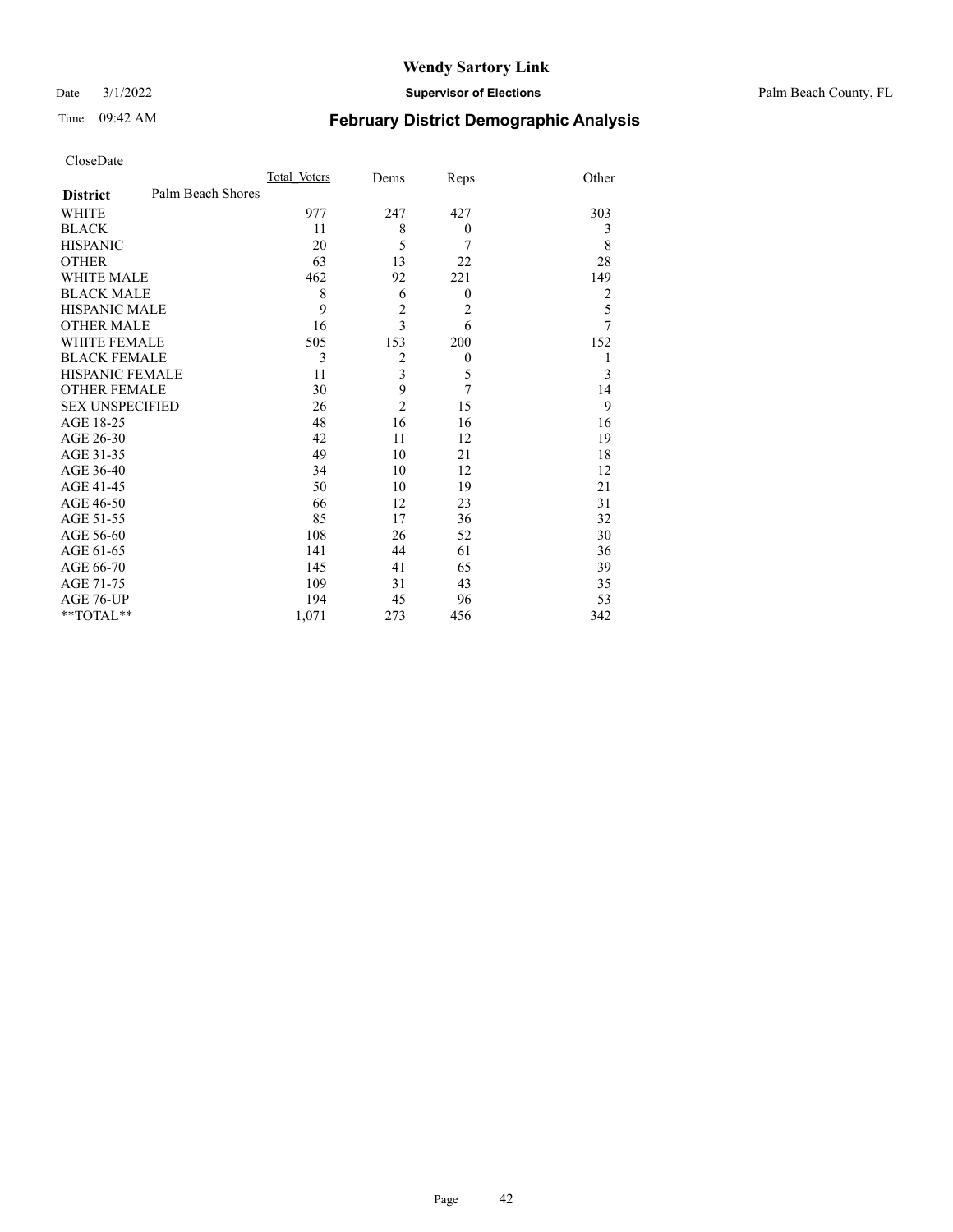### Time 09:42 AM **February District Demographic Analysis**

| CloseDate |  |
|-----------|--|
|-----------|--|

BLACK FEMALE

| CloseDate                            |              |      |      |       |
|--------------------------------------|--------------|------|------|-------|
|                                      | Total Voters | Dems | Reps | Other |
| Palm Beach Shores<br><b>District</b> |              |      |      |       |
| WHITE                                | 977          | 247  | 427  | 303   |
| <b>BLACK</b>                         | 11           | 8    |      |       |
| <b>HISPANIC</b>                      | 20           |      |      |       |
| <b>OTHER</b>                         | 63           | 13   | 22   | 28    |
| <b>WHITE MALE</b>                    | 462          | 92   | 221  | 149   |
| <b>BLACK MALE</b>                    | 8            | 6    | 0    |       |
| <b>HISPANIC MALE</b>                 | 9            |      | 2    |       |
| <b>OTHER MALE</b>                    | 16           |      | h    |       |
| <b>WHITE FEMALE</b>                  | 505          | 153  | 200  | 152   |

WHITE FEMALE 505 153 200 152<br>BLACK FEMALE 3 2 0 1

HISPANIC FEMALE 11 3 5 3 OTHER FEMALE 30 9 7 14<br>SEX UNSPECIFIED 26 2 15 9 SEX UNSPECIFIED 26 2 15 9 AGE 18-25 48 16 16 16 AGE 26-30 42 11 12 19 AGE 31-35 49 10 21 18 AGE 36-40 34 10 12 12<br>AGE 41-45 50 10 19 21

AGE 46-50 66 12 23 31<br>AGE 51-55 85 17 36 32 AGE 51-55 85 17 36 32<br>AGE 56-60 108 26 52 30 AGE 56-60 108 26 52 30<br>AGE 61-65 141 44 61 36

AGE 66-70 145 41 65 39<br>AGE 71-75 109 31 43 35

AGE 76-UP 194 45 96 53<br>
\*\*TOTAL\*\* 1,071 273 456 342

AGE 41-45 50 10 19<br>AGE 46-50 66 12 23

AGE 61-65 141 44 61

AGE 71-75 109 31 43

\*\*TOTAL\*\* 1,071 273 456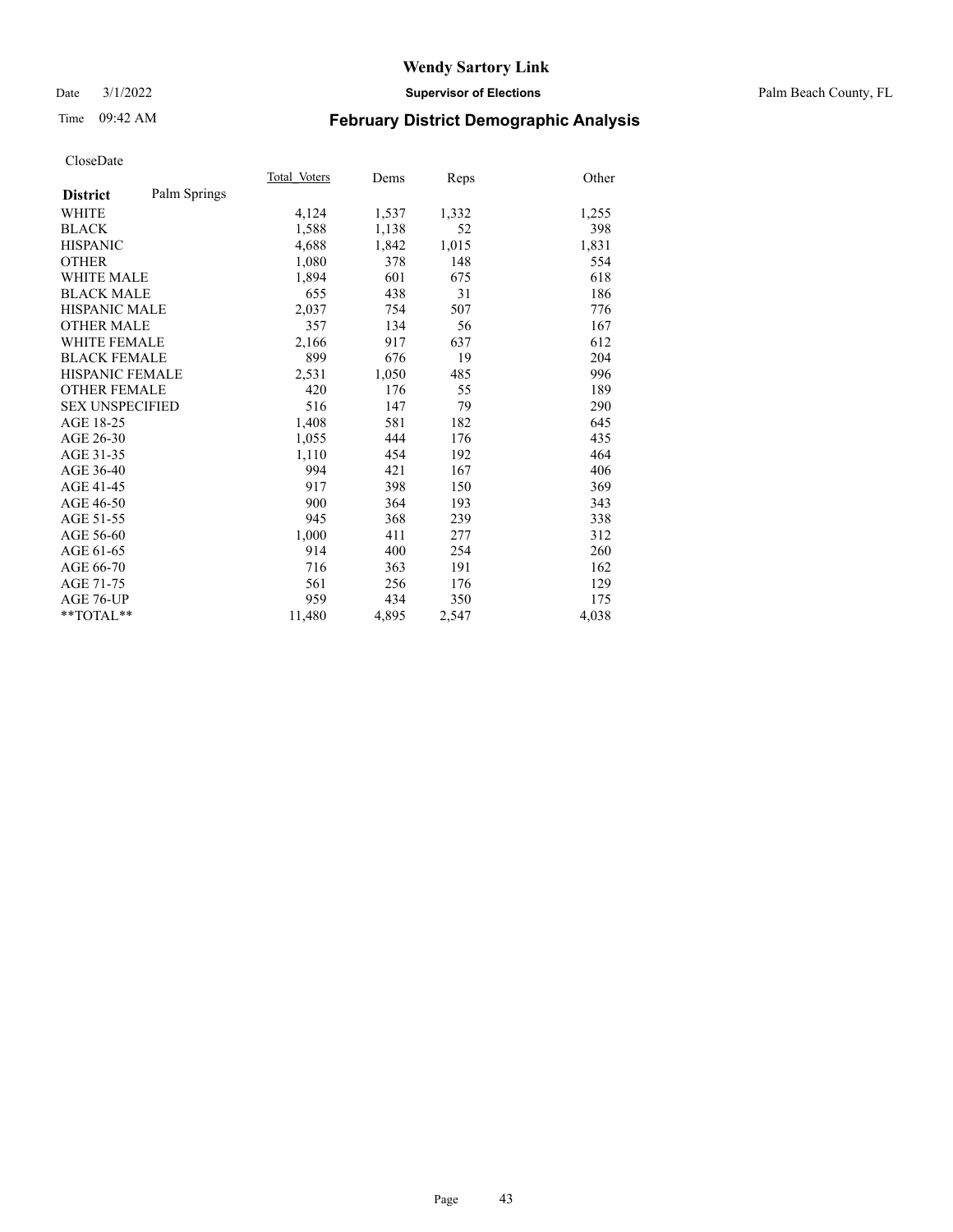Date 3/1/2022 **Supervisor of Elections** Palm Beach County, FL

# Time 09:42 AM **February District Demographic Analysis**

|                        |              | Total Voters | Dems  | Reps  | Other |
|------------------------|--------------|--------------|-------|-------|-------|
| <b>District</b>        | Palm Springs |              |       |       |       |
| WHITE                  |              | 4,124        | 1,537 | 1,332 | 1,255 |
| <b>BLACK</b>           |              | 1,588        | 1,138 | 52    | 398   |
| <b>HISPANIC</b>        |              | 4,688        | 1,842 | 1,015 | 1,831 |
| <b>OTHER</b>           |              | 1,080        | 378   | 148   | 554   |
| <b>WHITE MALE</b>      |              | 1,894        | 601   | 675   | 618   |
| <b>BLACK MALE</b>      |              | 655          | 438   | 31    | 186   |
| <b>HISPANIC MALE</b>   |              | 2,037        | 754   | 507   | 776   |
| <b>OTHER MALE</b>      |              | 357          | 134   | 56    | 167   |
| WHITE FEMALE           |              | 2,166        | 917   | 637   | 612   |
| <b>BLACK FEMALE</b>    |              | 899          | 676   | 19    | 204   |
| <b>HISPANIC FEMALE</b> |              | 2,531        | 1,050 | 485   | 996   |
| <b>OTHER FEMALE</b>    |              | 420          | 176   | 55    | 189   |
| <b>SEX UNSPECIFIED</b> |              | 516          | 147   | 79    | 290   |
| AGE 18-25              |              | 1,408        | 581   | 182   | 645   |
| AGE 26-30              |              | 1,055        | 444   | 176   | 435   |
| AGE 31-35              |              | 1,110        | 454   | 192   | 464   |
| AGE 36-40              |              | 994          | 421   | 167   | 406   |
| AGE 41-45              |              | 917          | 398   | 150   | 369   |
| AGE 46-50              |              | 900          | 364   | 193   | 343   |
| AGE 51-55              |              | 945          | 368   | 239   | 338   |
| AGE 56-60              |              | 1,000        | 411   | 277   | 312   |
| AGE 61-65              |              | 914          | 400   | 254   | 260   |
| AGE 66-70              |              | 716          | 363   | 191   | 162   |
| AGE 71-75              |              | 561          | 256   | 176   | 129   |
| AGE 76-UP              |              | 959          | 434   | 350   | 175   |
| $*$ $TOTAL**$          |              | 11,480       | 4,895 | 2,547 | 4,038 |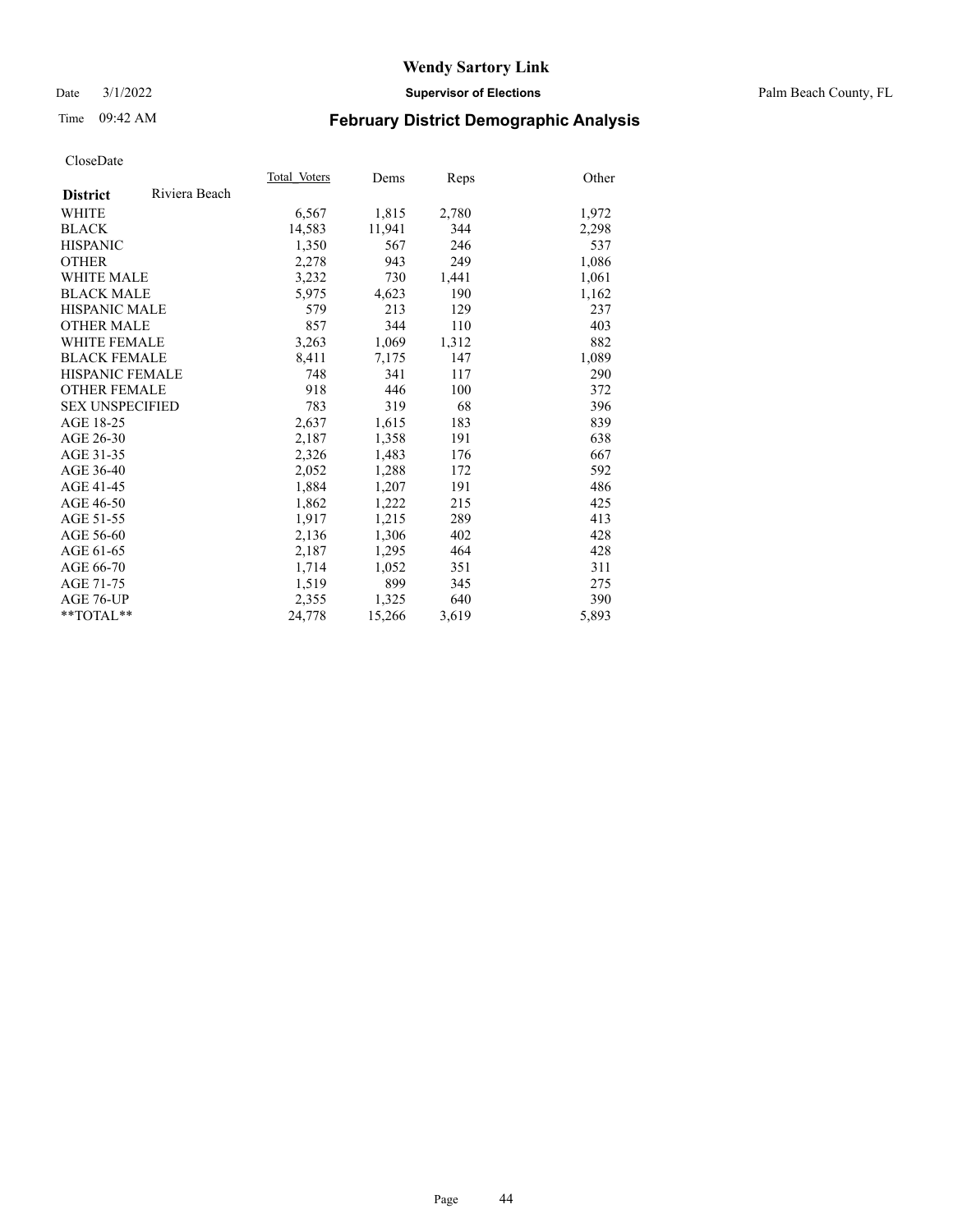### Date 3/1/2022 **Supervisor of Elections** Palm Beach County, FL

# Time 09:42 AM **February District Demographic Analysis**

|                        |               | Total Voters | Dems   | Reps  | Other |
|------------------------|---------------|--------------|--------|-------|-------|
| <b>District</b>        | Riviera Beach |              |        |       |       |
| WHITE                  |               | 6,567        | 1,815  | 2,780 | 1,972 |
| <b>BLACK</b>           |               | 14,583       | 11,941 | 344   | 2,298 |
| <b>HISPANIC</b>        |               | 1,350        | 567    | 246   | 537   |
| <b>OTHER</b>           |               | 2,278        | 943    | 249   | 1,086 |
| <b>WHITE MALE</b>      |               | 3,232        | 730    | 1,441 | 1,061 |
| <b>BLACK MALE</b>      |               | 5,975        | 4,623  | 190   | 1,162 |
| <b>HISPANIC MALE</b>   |               | 579          | 213    | 129   | 237   |
| <b>OTHER MALE</b>      |               | 857          | 344    | 110   | 403   |
| <b>WHITE FEMALE</b>    |               | 3,263        | 1,069  | 1,312 | 882   |
| <b>BLACK FEMALE</b>    |               | 8,411        | 7,175  | 147   | 1,089 |
| <b>HISPANIC FEMALE</b> |               | 748          | 341    | 117   | 290   |
| <b>OTHER FEMALE</b>    |               | 918          | 446    | 100   | 372   |
| <b>SEX UNSPECIFIED</b> |               | 783          | 319    | 68    | 396   |
| AGE 18-25              |               | 2,637        | 1,615  | 183   | 839   |
| AGE 26-30              |               | 2,187        | 1,358  | 191   | 638   |
| AGE 31-35              |               | 2,326        | 1,483  | 176   | 667   |
| AGE 36-40              |               | 2,052        | 1,288  | 172   | 592   |
| AGE 41-45              |               | 1,884        | 1,207  | 191   | 486   |
| AGE 46-50              |               | 1,862        | 1,222  | 215   | 425   |
| AGE 51-55              |               | 1,917        | 1,215  | 289   | 413   |
| AGE 56-60              |               | 2,136        | 1,306  | 402   | 428   |
| AGE 61-65              |               | 2,187        | 1,295  | 464   | 428   |
| AGE 66-70              |               | 1,714        | 1,052  | 351   | 311   |
| AGE 71-75              |               | 1,519        | 899    | 345   | 275   |
| AGE 76-UP              |               | 2,355        | 1,325  | 640   | 390   |
| $*$ $TOTAL**$          |               | 24,778       | 15,266 | 3,619 | 5,893 |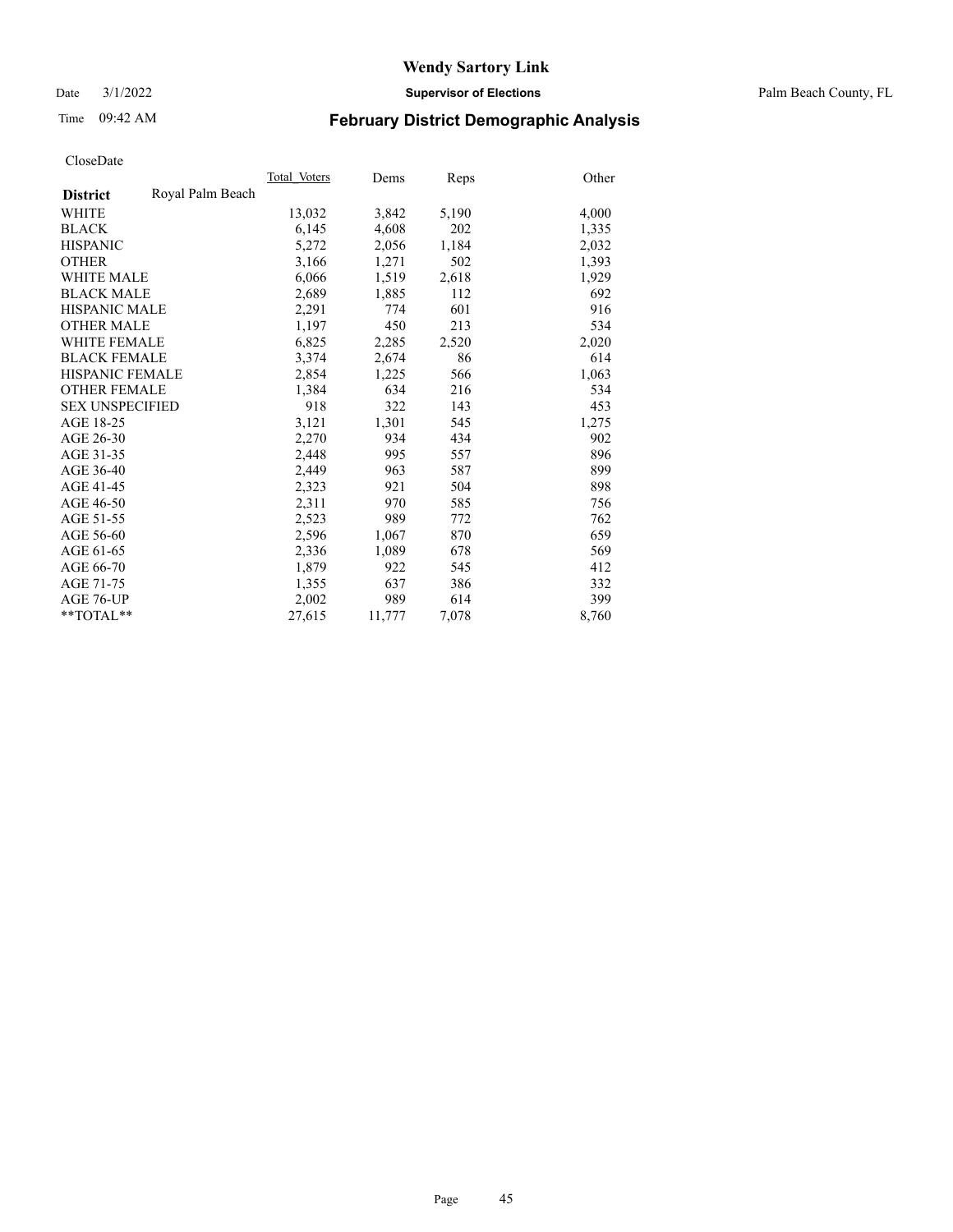Date 3/1/2022 **Supervisor of Elections** Palm Beach County, FL

# Time 09:42 AM **February District Demographic Analysis**

|                        |                  | Total Voters | Dems   | Reps  | Other |
|------------------------|------------------|--------------|--------|-------|-------|
| <b>District</b>        | Royal Palm Beach |              |        |       |       |
| <b>WHITE</b>           |                  | 13,032       | 3,842  | 5,190 | 4,000 |
| <b>BLACK</b>           |                  | 6,145        | 4,608  | 202   | 1,335 |
| <b>HISPANIC</b>        |                  | 5,272        | 2,056  | 1,184 | 2,032 |
| <b>OTHER</b>           |                  | 3,166        | 1,271  | 502   | 1,393 |
| <b>WHITE MALE</b>      |                  | 6,066        | 1,519  | 2,618 | 1,929 |
| <b>BLACK MALE</b>      |                  | 2,689        | 1,885  | 112   | 692   |
| <b>HISPANIC MALE</b>   |                  | 2,291        | 774    | 601   | 916   |
| <b>OTHER MALE</b>      |                  | 1,197        | 450    | 213   | 534   |
| <b>WHITE FEMALE</b>    |                  | 6,825        | 2,285  | 2,520 | 2,020 |
| <b>BLACK FEMALE</b>    |                  | 3,374        | 2,674  | 86    | 614   |
| <b>HISPANIC FEMALE</b> |                  | 2,854        | 1,225  | 566   | 1,063 |
| <b>OTHER FEMALE</b>    |                  | 1,384        | 634    | 216   | 534   |
| <b>SEX UNSPECIFIED</b> |                  | 918          | 322    | 143   | 453   |
| AGE 18-25              |                  | 3,121        | 1,301  | 545   | 1,275 |
| AGE 26-30              |                  | 2,270        | 934    | 434   | 902   |
| AGE 31-35              |                  | 2,448        | 995    | 557   | 896   |
| AGE 36-40              |                  | 2,449        | 963    | 587   | 899   |
| AGE 41-45              |                  | 2,323        | 921    | 504   | 898   |
| AGE 46-50              |                  | 2,311        | 970    | 585   | 756   |
| AGE 51-55              |                  | 2,523        | 989    | 772   | 762   |
| AGE 56-60              |                  | 2,596        | 1,067  | 870   | 659   |
| AGE 61-65              |                  | 2,336        | 1,089  | 678   | 569   |
| AGE 66-70              |                  | 1,879        | 922    | 545   | 412   |
| AGE 71-75              |                  | 1,355        | 637    | 386   | 332   |
| AGE 76-UP              |                  | 2,002        | 989    | 614   | 399   |
| $*$ $TOTAL**$          |                  | 27,615       | 11,777 | 7,078 | 8,760 |
|                        |                  |              |        |       |       |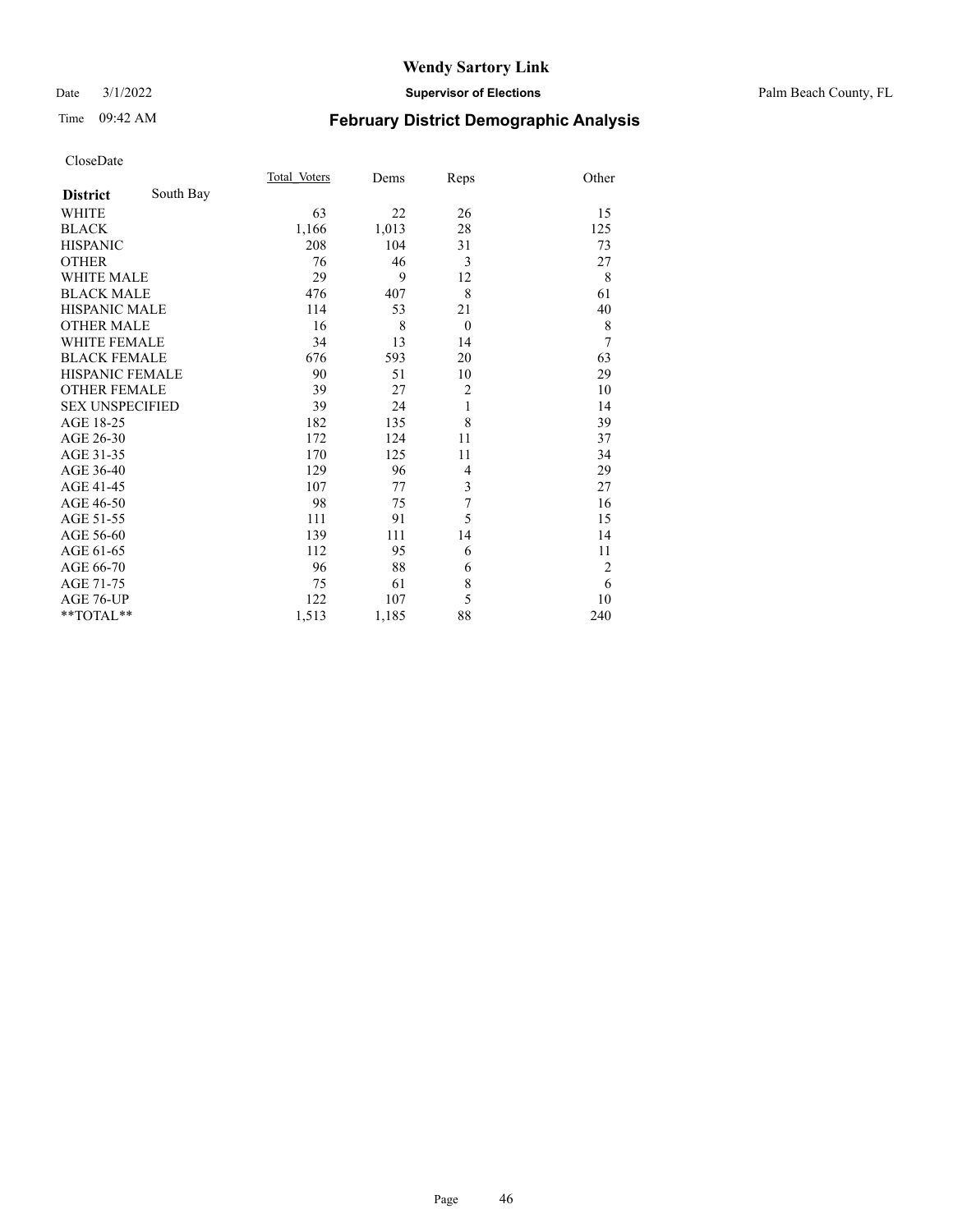### Date 3/1/2022 **Supervisor of Elections** Palm Beach County, FL

# Time 09:42 AM **February District Demographic Analysis**

|                        |           | Total Voters | Dems  | Reps           | Other          |
|------------------------|-----------|--------------|-------|----------------|----------------|
| <b>District</b>        | South Bay |              |       |                |                |
| <b>WHITE</b>           |           | 63           | 22    | 26             | 15             |
| <b>BLACK</b>           |           | 1,166        | 1,013 | 28             | 125            |
| <b>HISPANIC</b>        |           | 208          | 104   | 31             | 73             |
| <b>OTHER</b>           |           | 76           | 46    | 3              | 27             |
| <b>WHITE MALE</b>      |           | 29           | 9     | 12             | 8              |
| <b>BLACK MALE</b>      |           | 476          | 407   | 8              | 61             |
| <b>HISPANIC MALE</b>   |           | 114          | 53    | 21             | 40             |
| <b>OTHER MALE</b>      |           | 16           | 8     | $\theta$       | $\,$ $\,$      |
| <b>WHITE FEMALE</b>    |           | 34           | 13    | 14             | 7              |
| <b>BLACK FEMALE</b>    |           | 676          | 593   | 20             | 63             |
| <b>HISPANIC FEMALE</b> |           | 90           | 51    | 10             | 29             |
| <b>OTHER FEMALE</b>    |           | 39           | 27    | $\overline{2}$ | 10             |
| <b>SEX UNSPECIFIED</b> |           | 39           | 24    | 1              | 14             |
| AGE 18-25              |           | 182          | 135   | 8              | 39             |
| AGE 26-30              |           | 172          | 124   | 11             | 37             |
| AGE 31-35              |           | 170          | 125   | 11             | 34             |
| AGE 36-40              |           | 129          | 96    | $\overline{4}$ | 29             |
| AGE 41-45              |           | 107          | 77    | 3              | 27             |
| AGE 46-50              |           | 98           | 75    | 7              | 16             |
| AGE 51-55              |           | 111          | 91    | 5              | 15             |
| AGE 56-60              |           | 139          | 111   | 14             | 14             |
| AGE 61-65              |           | 112          | 95    | 6              | 11             |
| AGE 66-70              |           | 96           | 88    | 6              | $\overline{c}$ |
| AGE 71-75              |           | 75           | 61    | 8              | 6              |
| AGE 76-UP              |           | 122          | 107   | 5              | 10             |
| **TOTAL**              |           | 1,513        | 1,185 | 88             | 240            |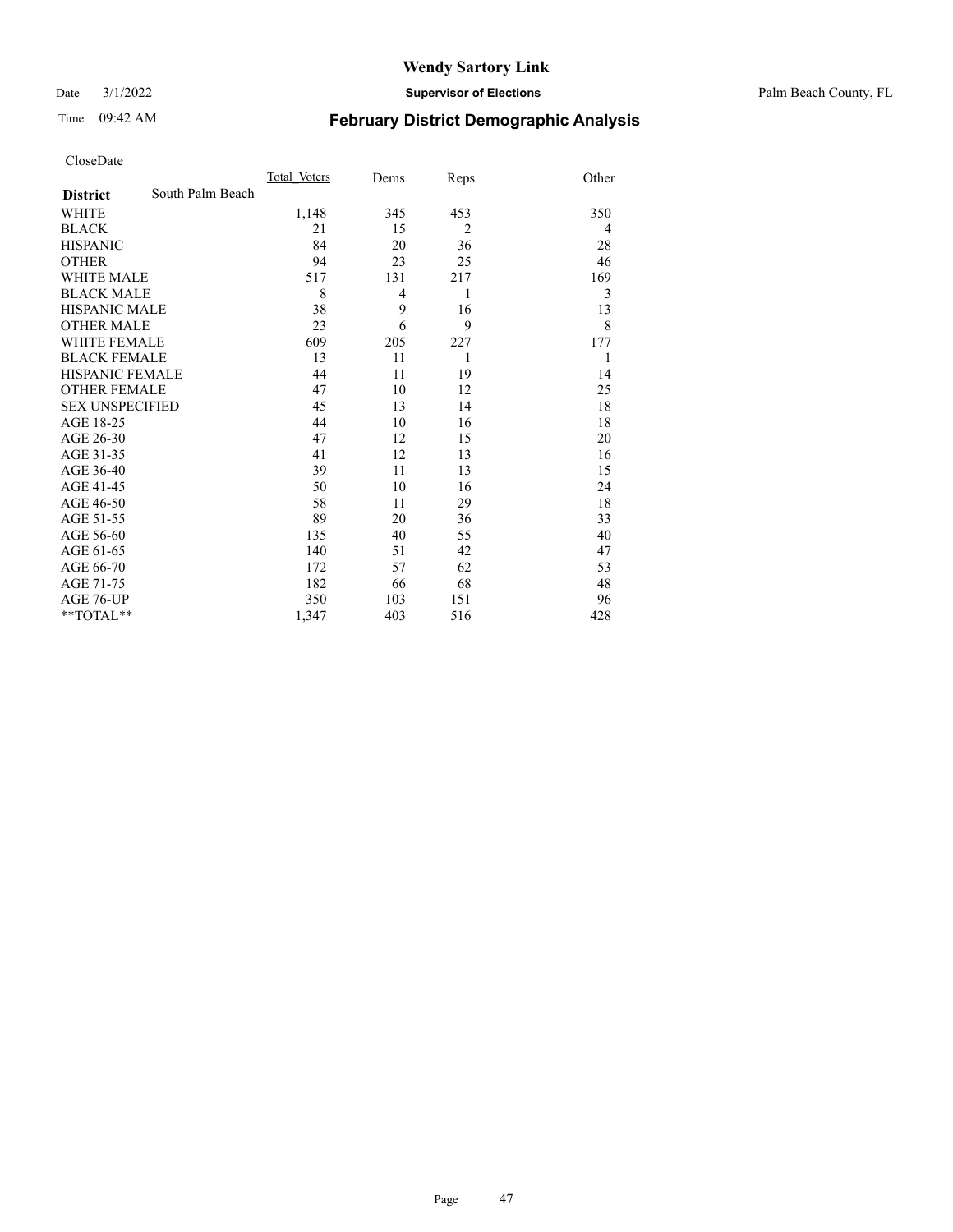Date 3/1/2022 **Supervisor of Elections** Palm Beach County, FL

# Time 09:42 AM **February District Demographic Analysis**

|                        |                  | Total Voters | Dems | Reps           | Other |
|------------------------|------------------|--------------|------|----------------|-------|
| <b>District</b>        | South Palm Beach |              |      |                |       |
| <b>WHITE</b>           |                  | 1,148        | 345  | 453            | 350   |
| <b>BLACK</b>           |                  | 21           | 15   | $\overline{2}$ | 4     |
| <b>HISPANIC</b>        |                  | 84           | 20   | 36             | 28    |
| <b>OTHER</b>           |                  | 94           | 23   | 25             | 46    |
| <b>WHITE MALE</b>      |                  | 517          | 131  | 217            | 169   |
| <b>BLACK MALE</b>      |                  | 8            | 4    | 1              | 3     |
| <b>HISPANIC MALE</b>   |                  | 38           | 9    | 16             | 13    |
| <b>OTHER MALE</b>      |                  | 23           | 6    | 9              | 8     |
| <b>WHITE FEMALE</b>    |                  | 609          | 205  | 227            | 177   |
| <b>BLACK FEMALE</b>    |                  | 13           | 11   | 1              | 1     |
| <b>HISPANIC FEMALE</b> |                  | 44           | 11   | 19             | 14    |
| <b>OTHER FEMALE</b>    |                  | 47           | 10   | 12             | 25    |
| <b>SEX UNSPECIFIED</b> |                  | 45           | 13   | 14             | 18    |
| AGE 18-25              |                  | 44           | 10   | 16             | 18    |
| AGE 26-30              |                  | 47           | 12   | 15             | 20    |
| AGE 31-35              |                  | 41           | 12   | 13             | 16    |
| AGE 36-40              |                  | 39           | 11   | 13             | 15    |
| AGE 41-45              |                  | 50           | 10   | 16             | 24    |
| AGE 46-50              |                  | 58           | 11   | 29             | 18    |
| AGE 51-55              |                  | 89           | 20   | 36             | 33    |
| AGE 56-60              |                  | 135          | 40   | 55             | 40    |
| AGE 61-65              |                  | 140          | 51   | 42             | 47    |
| AGE 66-70              |                  | 172          | 57   | 62             | 53    |
| AGE 71-75              |                  | 182          | 66   | 68             | 48    |
| AGE 76-UP              |                  | 350          | 103  | 151            | 96    |
| $*$ $TOTAL**$          |                  | 1,347        | 403  | 516            | 428   |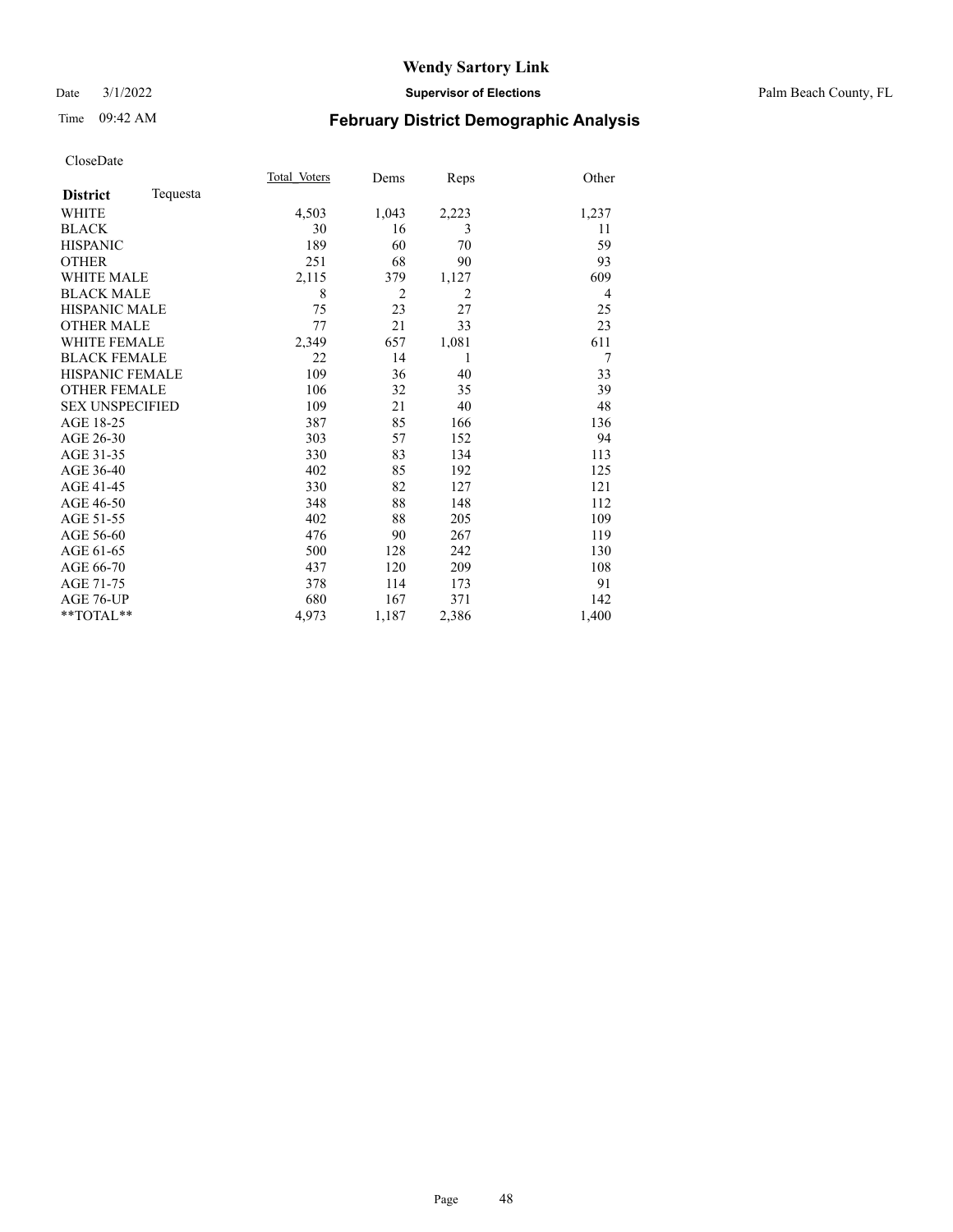### Date 3/1/2022 **Supervisor of Elections** Palm Beach County, FL

# Time 09:42 AM **February District Demographic Analysis**

|                        |          | Total Voters | Dems           | Reps           | Other          |
|------------------------|----------|--------------|----------------|----------------|----------------|
| <b>District</b>        | Tequesta |              |                |                |                |
| <b>WHITE</b>           |          | 4,503        | 1,043          | 2,223          | 1,237          |
| <b>BLACK</b>           |          | 30           | 16             | 3              | 11             |
| <b>HISPANIC</b>        |          | 189          | 60             | 70             | 59             |
| <b>OTHER</b>           |          | 251          | 68             | 90             | 93             |
| <b>WHITE MALE</b>      |          | 2,115        | 379            | 1,127          | 609            |
| <b>BLACK MALE</b>      |          | 8            | $\overline{2}$ | $\overline{2}$ | $\overline{4}$ |
| HISPANIC MALE          |          | 75           | 23             | 27             | 25             |
| <b>OTHER MALE</b>      |          | 77           | 21             | 33             | 23             |
| <b>WHITE FEMALE</b>    |          | 2,349        | 657            | 1,081          | 611            |
| <b>BLACK FEMALE</b>    |          | 22           | 14             | 1              | 7              |
| <b>HISPANIC FEMALE</b> |          | 109          | 36             | 40             | 33             |
| <b>OTHER FEMALE</b>    |          | 106          | 32             | 35             | 39             |
| <b>SEX UNSPECIFIED</b> |          | 109          | 21             | 40             | 48             |
| AGE 18-25              |          | 387          | 85             | 166            | 136            |
| AGE 26-30              |          | 303          | 57             | 152            | 94             |
| AGE 31-35              |          | 330          | 83             | 134            | 113            |
| AGE 36-40              |          | 402          | 85             | 192            | 125            |
| AGE 41-45              |          | 330          | 82             | 127            | 121            |
| AGE 46-50              |          | 348          | 88             | 148            | 112            |
| AGE 51-55              |          | 402          | 88             | 205            | 109            |
| AGE 56-60              |          | 476          | 90             | 267            | 119            |
| AGE 61-65              |          | 500          | 128            | 242            | 130            |
| AGE 66-70              |          | 437          | 120            | 209            | 108            |
| AGE 71-75              |          | 378          | 114            | 173            | 91             |
| AGE 76-UP              |          | 680          | 167            | 371            | 142            |
| $*$ $TOTAL**$          |          | 4,973        | 1,187          | 2,386          | 1,400          |
|                        |          |              |                |                |                |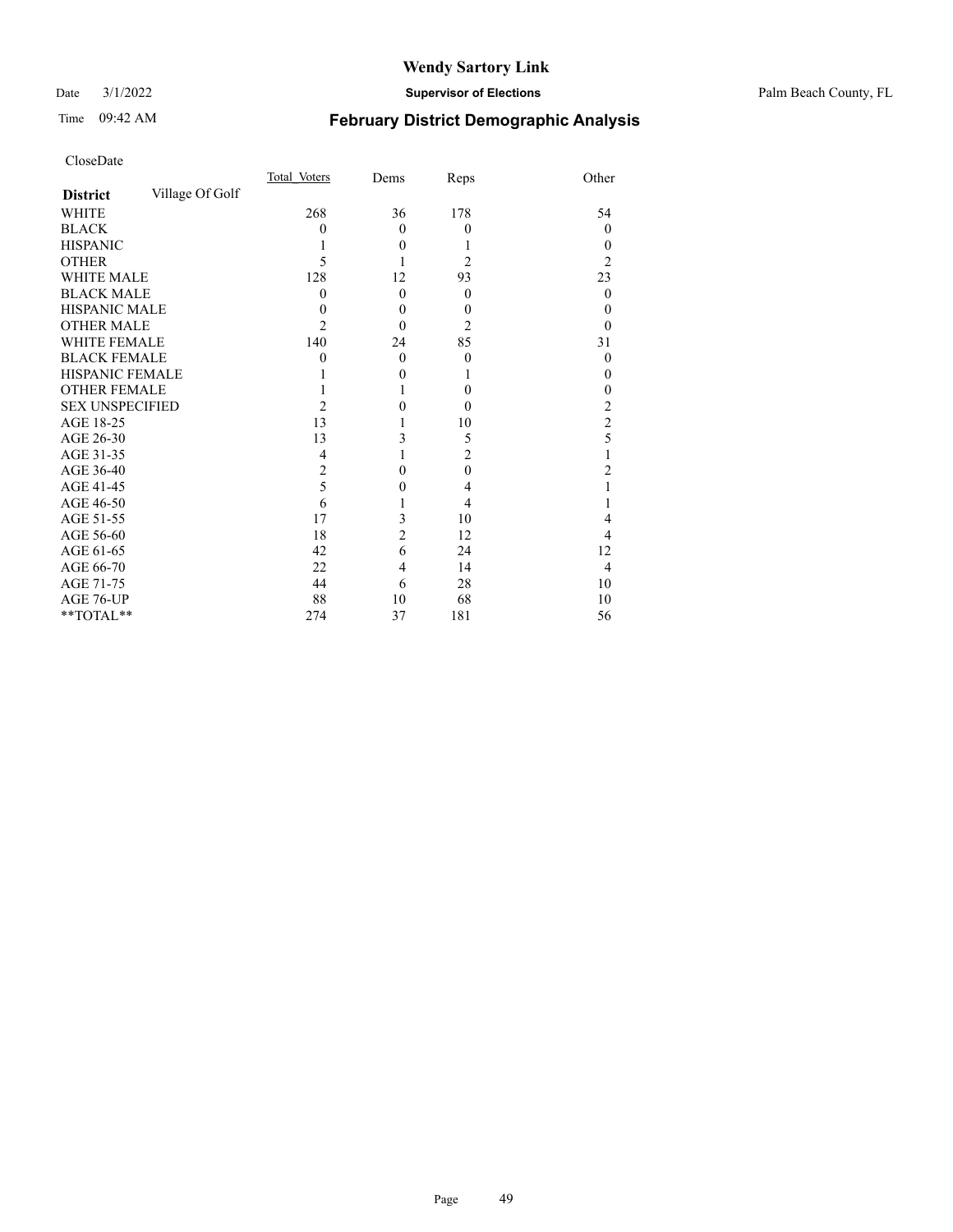Date 3/1/2022 **Supervisor of Elections** Palm Beach County, FL

# Time 09:42 AM **February District Demographic Analysis**

|                        |                 | Total Voters   | Dems           | Reps           | Other          |
|------------------------|-----------------|----------------|----------------|----------------|----------------|
| <b>District</b>        | Village Of Golf |                |                |                |                |
| <b>WHITE</b>           |                 | 268            | 36             | 178            | 54             |
| <b>BLACK</b>           |                 | 0              | $\theta$       | $\theta$       | $\theta$       |
| <b>HISPANIC</b>        |                 |                | $\theta$       |                | 0              |
| <b>OTHER</b>           |                 | 5              |                | 2              | 2              |
| <b>WHITE MALE</b>      |                 | 128            | 12             | 93             | 23             |
| <b>BLACK MALE</b>      |                 | 0              | $\theta$       | $\theta$       | 0              |
| <b>HISPANIC MALE</b>   |                 | 0              | $\theta$       | $\overline{0}$ | 0              |
| <b>OTHER MALE</b>      |                 | 2              | $\theta$       | 2              | 0              |
| WHITE FEMALE           |                 | 140            | 24             | 85             | 31             |
| <b>BLACK FEMALE</b>    |                 | 0              | $\theta$       | $\theta$       | $\theta$       |
| <b>HISPANIC FEMALE</b> |                 |                | $\theta$       | 1              | 0              |
| <b>OTHER FEMALE</b>    |                 |                |                | $\theta$       | 0              |
| <b>SEX UNSPECIFIED</b> |                 | $\overline{2}$ | 0              | $\theta$       | 2              |
| AGE 18-25              |                 | 13             |                | 10             | $\overline{2}$ |
| AGE 26-30              |                 | 13             | 3              | 5              | 5              |
| AGE 31-35              |                 | 4              |                | $\overline{2}$ |                |
| AGE 36-40              |                 | $\overline{2}$ | 0              | $\mathbf{0}$   | 2              |
| AGE 41-45              |                 | 5              | 0              | 4              |                |
| AGE 46-50              |                 | 6              |                | 4              |                |
| AGE 51-55              |                 | 17             | 3              | 10             | 4              |
| AGE 56-60              |                 | 18             | $\overline{c}$ | 12             | 4              |
| AGE 61-65              |                 | 42             | 6              | 24             | 12             |
| AGE 66-70              |                 | 22             | 4              | 14             | 4              |
| AGE 71-75              |                 | 44             | 6              | 28             | 10             |
| AGE 76-UP              |                 | 88             | 10             | 68             | 10             |
| **TOTAL**              |                 | 274            | 37             | 181            | 56             |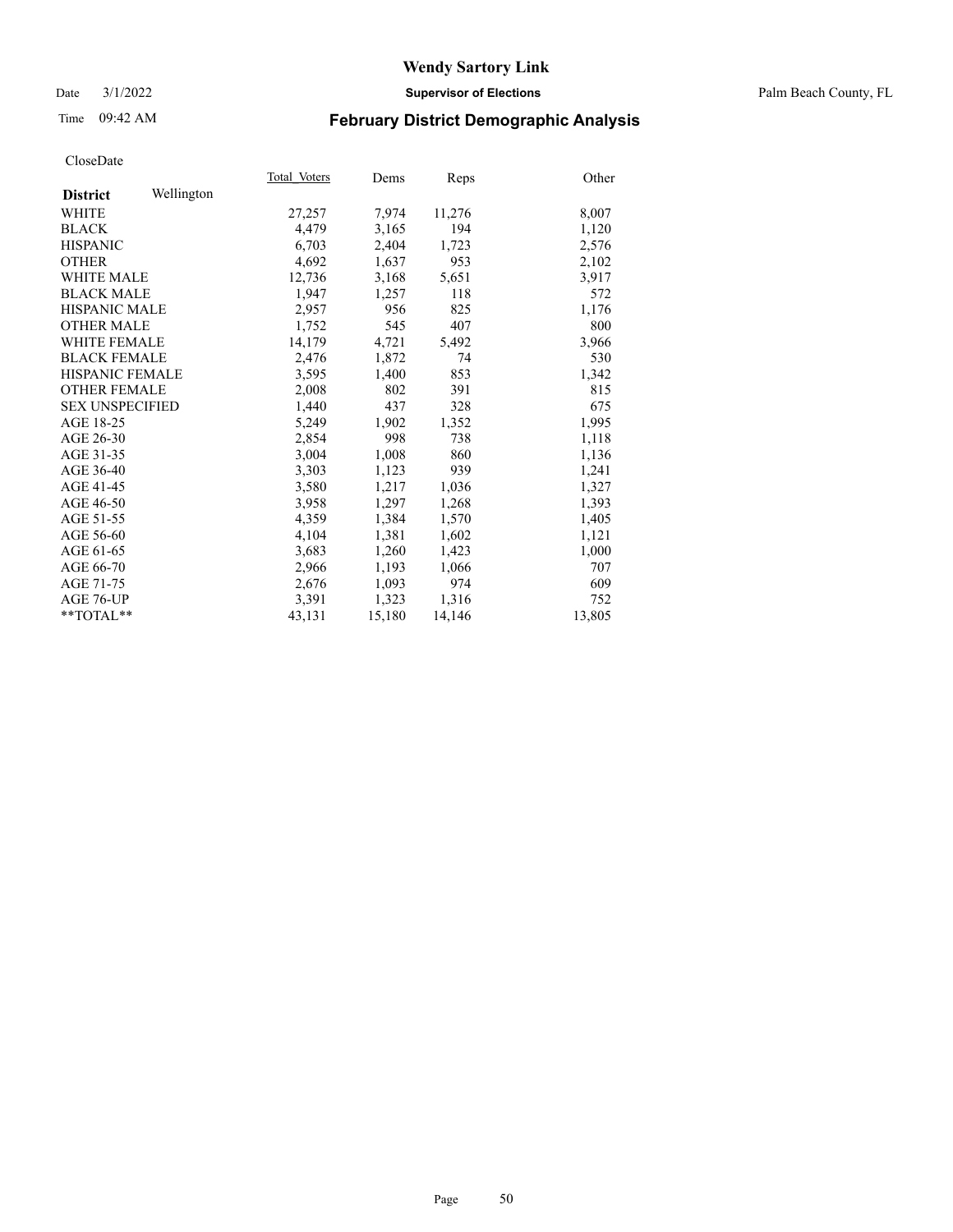Date 3/1/2022 **Supervisor of Elections** Palm Beach County, FL

# Time 09:42 AM **February District Demographic Analysis**

|                        |            | Total Voters | Dems   | Reps   | Other  |
|------------------------|------------|--------------|--------|--------|--------|
| <b>District</b>        | Wellington |              |        |        |        |
| WHITE                  |            | 27,257       | 7,974  | 11,276 | 8,007  |
| <b>BLACK</b>           |            | 4,479        | 3,165  | 194    | 1,120  |
| <b>HISPANIC</b>        |            | 6,703        | 2,404  | 1,723  | 2,576  |
| <b>OTHER</b>           |            | 4,692        | 1,637  | 953    | 2,102  |
| <b>WHITE MALE</b>      |            | 12,736       | 3,168  | 5,651  | 3,917  |
| <b>BLACK MALE</b>      |            | 1,947        | 1,257  | 118    | 572    |
| <b>HISPANIC MALE</b>   |            | 2,957        | 956    | 825    | 1,176  |
| <b>OTHER MALE</b>      |            | 1,752        | 545    | 407    | 800    |
| <b>WHITE FEMALE</b>    |            | 14,179       | 4,721  | 5,492  | 3,966  |
| <b>BLACK FEMALE</b>    |            | 2.476        | 1.872  | 74     | 530    |
| HISPANIC FEMALE        |            | 3,595        | 1,400  | 853    | 1,342  |
| <b>OTHER FEMALE</b>    |            | 2,008        | 802    | 391    | 815    |
| <b>SEX UNSPECIFIED</b> |            | 1.440        | 437    | 328    | 675    |
| AGE 18-25              |            | 5,249        | 1,902  | 1,352  | 1,995  |
| AGE 26-30              |            | 2,854        | 998    | 738    | 1,118  |
| AGE 31-35              |            | 3,004        | 1,008  | 860    | 1,136  |
| AGE 36-40              |            | 3,303        | 1,123  | 939    | 1,241  |
| AGE 41-45              |            | 3,580        | 1,217  | 1,036  | 1,327  |
| AGE 46-50              |            | 3,958        | 1,297  | 1,268  | 1,393  |
| AGE 51-55              |            | 4,359        | 1,384  | 1,570  | 1,405  |
| AGE 56-60              |            | 4,104        | 1,381  | 1,602  | 1,121  |
| AGE 61-65              |            | 3,683        | 1,260  | 1,423  | 1,000  |
| AGE 66-70              |            | 2,966        | 1,193  | 1,066  | 707    |
| AGE 71-75              |            | 2,676        | 1,093  | 974    | 609    |
| AGE 76-UP              |            | 3,391        | 1,323  | 1,316  | 752    |
| $*$ $TOTAL**$          |            | 43,131       | 15,180 | 14,146 | 13,805 |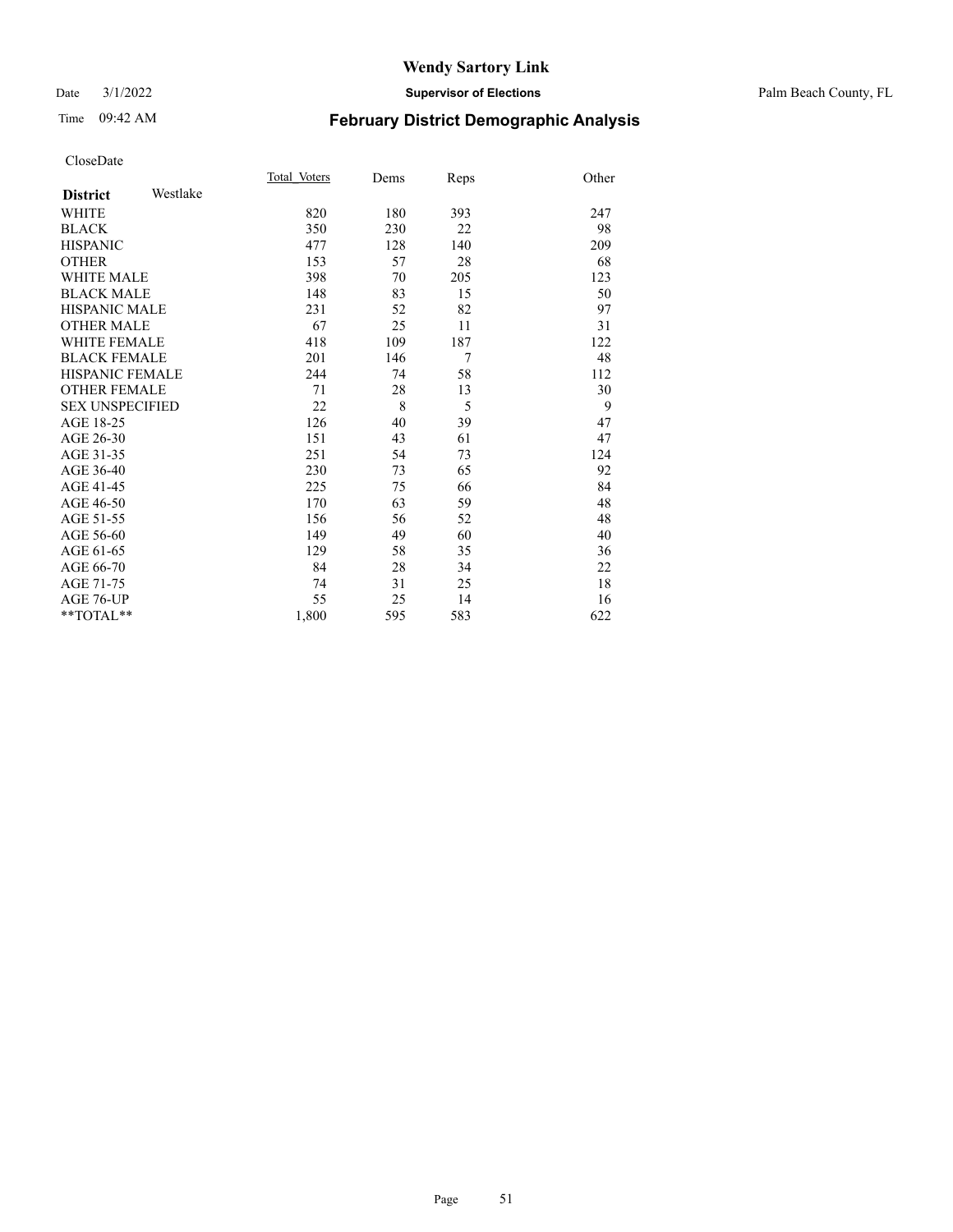### Date 3/1/2022 **Supervisor of Elections** Palm Beach County, FL

# Time 09:42 AM **February District Demographic Analysis**

|                        |          | Total Voters | Dems | Reps | Other |
|------------------------|----------|--------------|------|------|-------|
| <b>District</b>        | Westlake |              |      |      |       |
| <b>WHITE</b>           |          | 820          | 180  | 393  | 247   |
| <b>BLACK</b>           |          | 350          | 230  | 22   | 98    |
| <b>HISPANIC</b>        |          | 477          | 128  | 140  | 209   |
| <b>OTHER</b>           |          | 153          | 57   | 28   | 68    |
| <b>WHITE MALE</b>      |          | 398          | 70   | 205  | 123   |
| <b>BLACK MALE</b>      |          | 148          | 83   | 15   | 50    |
| <b>HISPANIC MALE</b>   |          | 231          | 52   | 82   | 97    |
| <b>OTHER MALE</b>      |          | 67           | 25   | 11   | 31    |
| <b>WHITE FEMALE</b>    |          | 418          | 109  | 187  | 122   |
| <b>BLACK FEMALE</b>    |          | 201          | 146  | 7    | 48    |
| <b>HISPANIC FEMALE</b> |          | 244          | 74   | 58   | 112   |
| <b>OTHER FEMALE</b>    |          | 71           | 28   | 13   | 30    |
| <b>SEX UNSPECIFIED</b> |          | 22           | 8    | 5    | 9     |
| AGE 18-25              |          | 126          | 40   | 39   | 47    |
| AGE 26-30              |          | 151          | 43   | 61   | 47    |
| AGE 31-35              |          | 251          | 54   | 73   | 124   |
| AGE 36-40              |          | 230          | 73   | 65   | 92    |
| AGE 41-45              |          | 225          | 75   | 66   | 84    |
| AGE 46-50              |          | 170          | 63   | 59   | 48    |
| AGE 51-55              |          | 156          | 56   | 52   | 48    |
| AGE 56-60              |          | 149          | 49   | 60   | 40    |
| AGE 61-65              |          | 129          | 58   | 35   | 36    |
| AGE 66-70              |          | 84           | 28   | 34   | 22    |
| AGE 71-75              |          | 74           | 31   | 25   | 18    |
| AGE 76-UP              |          | 55           | 25   | 14   | 16    |
| $**TOTAL**$            |          | 1,800        | 595  | 583  | 622   |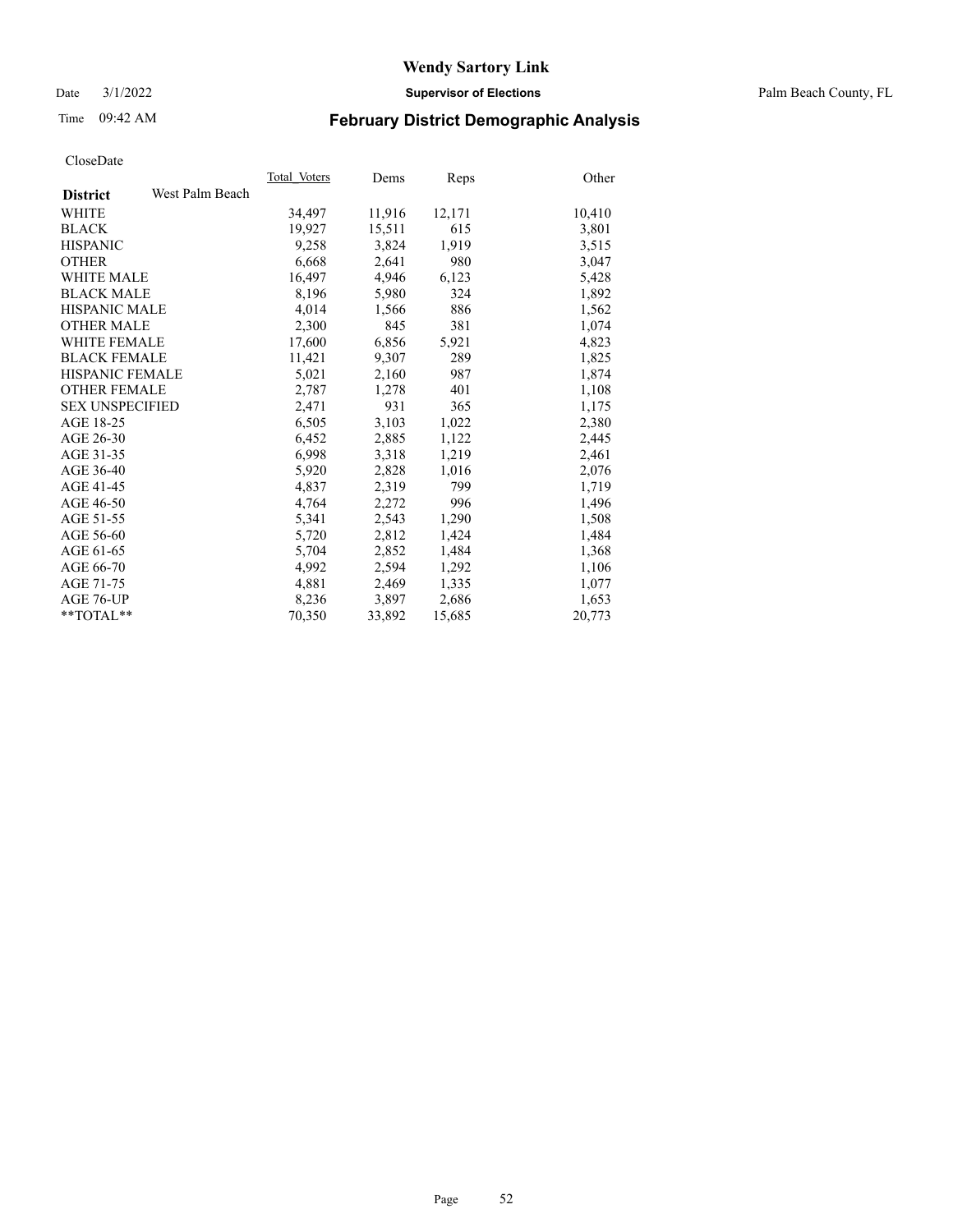Date 3/1/2022 **Supervisor of Elections** Palm Beach County, FL

# Time 09:42 AM **February District Demographic Analysis**

|                        |                 | Total Voters | Dems   | <b>Reps</b> | Other  |
|------------------------|-----------------|--------------|--------|-------------|--------|
| <b>District</b>        | West Palm Beach |              |        |             |        |
| <b>WHITE</b>           |                 | 34,497       | 11,916 | 12,171      | 10,410 |
| <b>BLACK</b>           |                 | 19,927       | 15,511 | 615         | 3,801  |
| <b>HISPANIC</b>        |                 | 9,258        | 3,824  | 1,919       | 3,515  |
| <b>OTHER</b>           |                 | 6,668        | 2,641  | 980         | 3,047  |
| <b>WHITE MALE</b>      |                 | 16,497       | 4,946  | 6,123       | 5,428  |
| <b>BLACK MALE</b>      |                 | 8,196        | 5,980  | 324         | 1,892  |
| <b>HISPANIC MALE</b>   |                 | 4,014        | 1,566  | 886         | 1,562  |
| <b>OTHER MALE</b>      |                 | 2,300        | 845    | 381         | 1,074  |
| <b>WHITE FEMALE</b>    |                 | 17,600       | 6,856  | 5,921       | 4,823  |
| <b>BLACK FEMALE</b>    |                 | 11,421       | 9,307  | 289         | 1,825  |
| HISPANIC FEMALE        |                 | 5,021        | 2,160  | 987         | 1,874  |
| <b>OTHER FEMALE</b>    |                 | 2,787        | 1,278  | 401         | 1,108  |
| <b>SEX UNSPECIFIED</b> |                 | 2,471        | 931    | 365         | 1,175  |
| AGE 18-25              |                 | 6,505        | 3,103  | 1,022       | 2,380  |
| AGE 26-30              |                 | 6,452        | 2,885  | 1,122       | 2,445  |
| AGE 31-35              |                 | 6,998        | 3,318  | 1,219       | 2,461  |
| AGE 36-40              |                 | 5,920        | 2,828  | 1,016       | 2,076  |
| AGE 41-45              |                 | 4,837        | 2,319  | 799         | 1,719  |
| AGE 46-50              |                 | 4,764        | 2,272  | 996         | 1,496  |
| AGE 51-55              |                 | 5,341        | 2,543  | 1,290       | 1,508  |
| AGE 56-60              |                 | 5,720        | 2,812  | 1,424       | 1,484  |
| AGE 61-65              |                 | 5,704        | 2,852  | 1,484       | 1,368  |
| AGE 66-70              |                 | 4,992        | 2,594  | 1,292       | 1,106  |
| AGE 71-75              |                 | 4,881        | 2,469  | 1,335       | 1,077  |
| AGE 76-UP              |                 | 8,236        | 3,897  | 2,686       | 1,653  |
| $*$ $TOTAL**$          |                 | 70,350       | 33,892 | 15,685      | 20,773 |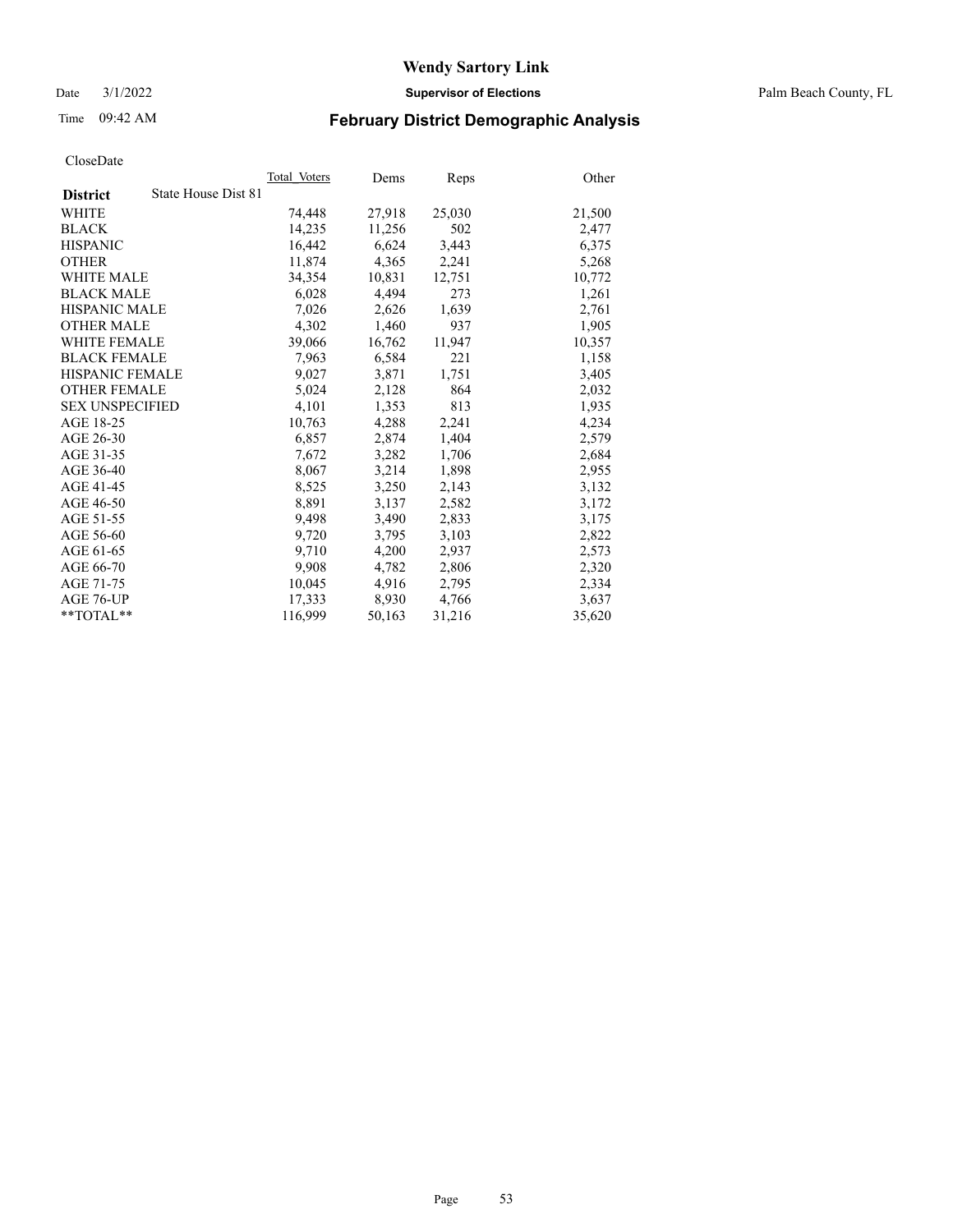Date 3/1/2022 **Supervisor of Elections** Palm Beach County, FL

# Time 09:42 AM **February District Demographic Analysis**

|                                        | Total Voters | Dems   | Reps   | Other  |
|----------------------------------------|--------------|--------|--------|--------|
| State House Dist 81<br><b>District</b> |              |        |        |        |
| <b>WHITE</b>                           | 74,448       | 27,918 | 25,030 | 21,500 |
| <b>BLACK</b>                           | 14,235       | 11,256 | 502    | 2,477  |
| <b>HISPANIC</b>                        | 16,442       | 6,624  | 3,443  | 6,375  |
| <b>OTHER</b>                           | 11,874       | 4,365  | 2,241  | 5,268  |
| <b>WHITE MALE</b>                      | 34,354       | 10,831 | 12,751 | 10,772 |
| <b>BLACK MALE</b>                      | 6,028        | 4,494  | 273    | 1,261  |
| <b>HISPANIC MALE</b>                   | 7,026        | 2,626  | 1,639  | 2,761  |
| <b>OTHER MALE</b>                      | 4.302        | 1,460  | 937    | 1,905  |
| <b>WHITE FEMALE</b>                    | 39,066       | 16,762 | 11,947 | 10,357 |
| <b>BLACK FEMALE</b>                    | 7,963        | 6,584  | 221    | 1,158  |
| HISPANIC FEMALE                        | 9,027        | 3,871  | 1,751  | 3,405  |
| <b>OTHER FEMALE</b>                    | 5,024        | 2,128  | 864    | 2,032  |
| <b>SEX UNSPECIFIED</b>                 | 4,101        | 1,353  | 813    | 1,935  |
| AGE 18-25                              | 10,763       | 4,288  | 2,241  | 4,234  |
| AGE 26-30                              | 6,857        | 2,874  | 1,404  | 2,579  |
| AGE 31-35                              | 7,672        | 3,282  | 1,706  | 2,684  |
| AGE 36-40                              | 8,067        | 3,214  | 1,898  | 2,955  |
| AGE 41-45                              | 8,525        | 3,250  | 2,143  | 3,132  |
| AGE 46-50                              | 8,891        | 3,137  | 2,582  | 3,172  |
| AGE 51-55                              | 9,498        | 3,490  | 2,833  | 3,175  |
| AGE 56-60                              | 9,720        | 3,795  | 3,103  | 2,822  |
| AGE 61-65                              | 9.710        | 4,200  | 2,937  | 2,573  |
| AGE 66-70                              | 9,908        | 4,782  | 2,806  | 2,320  |
| AGE 71-75                              | 10,045       | 4,916  | 2,795  | 2,334  |
| AGE 76-UP                              | 17.333       | 8,930  | 4,766  | 3,637  |
| $*$ $TOTAL**$                          | 116,999      | 50,163 | 31,216 | 35,620 |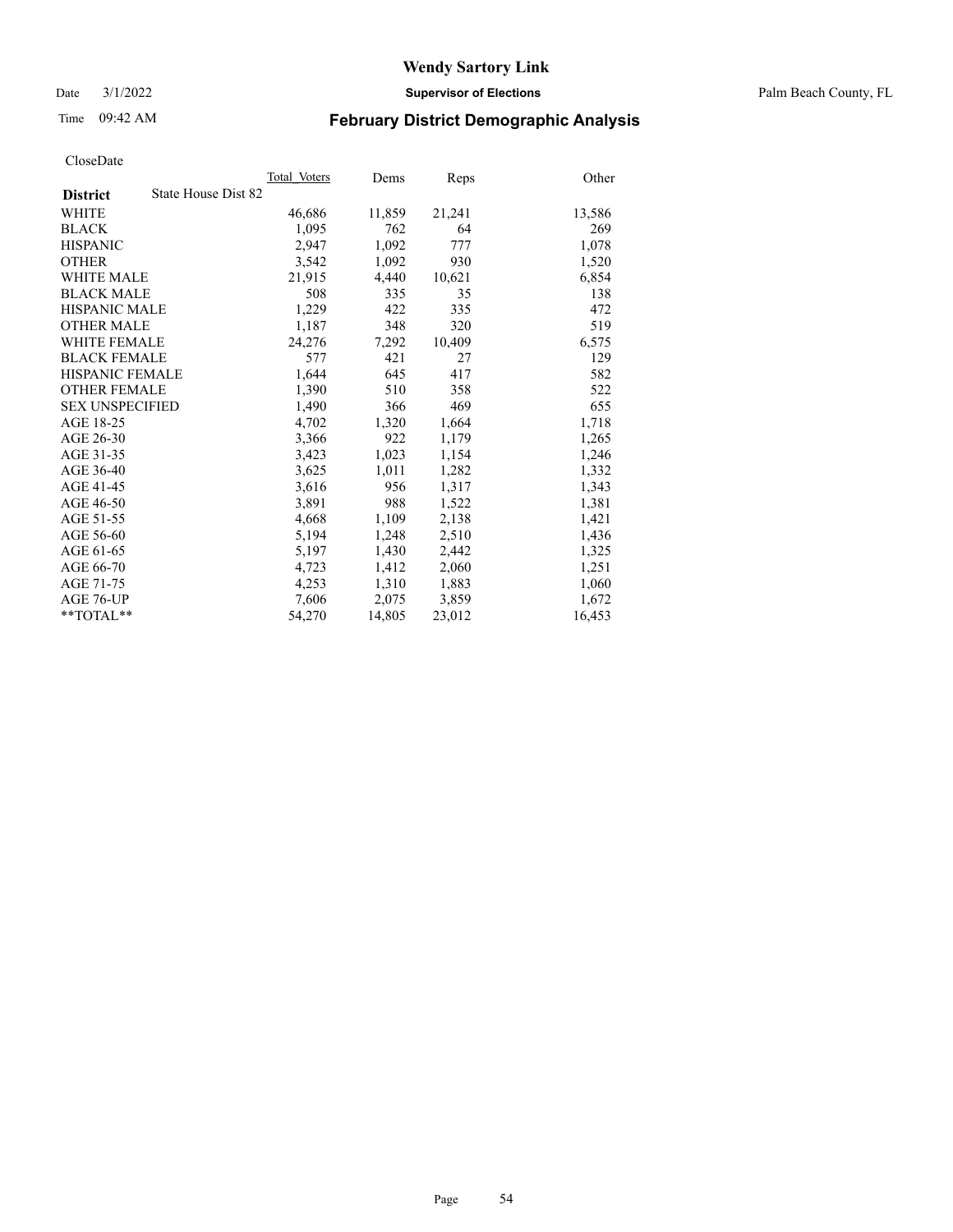Date 3/1/2022 **Supervisor of Elections** Palm Beach County, FL

# Time 09:42 AM **February District Demographic Analysis**

|                                        | Total Voters | Dems   | <b>Reps</b> | Other  |
|----------------------------------------|--------------|--------|-------------|--------|
| State House Dist 82<br><b>District</b> |              |        |             |        |
| <b>WHITE</b>                           | 46,686       | 11,859 | 21,241      | 13,586 |
| <b>BLACK</b>                           | 1,095        | 762    | 64          | 269    |
| <b>HISPANIC</b>                        | 2,947        | 1,092  | 777         | 1,078  |
| <b>OTHER</b>                           | 3,542        | 1,092  | 930         | 1,520  |
| <b>WHITE MALE</b>                      | 21,915       | 4,440  | 10,621      | 6,854  |
| <b>BLACK MALE</b>                      | 508          | 335    | 35          | 138    |
| <b>HISPANIC MALE</b>                   | 1,229        | 422    | 335         | 472    |
| <b>OTHER MALE</b>                      | 1,187        | 348    | 320         | 519    |
| <b>WHITE FEMALE</b>                    | 24,276       | 7,292  | 10,409      | 6,575  |
| <b>BLACK FEMALE</b>                    | 577          | 421    | 27          | 129    |
| HISPANIC FEMALE                        | 1,644        | 645    | 417         | 582    |
| <b>OTHER FEMALE</b>                    | 1,390        | 510    | 358         | 522    |
| <b>SEX UNSPECIFIED</b>                 | 1,490        | 366    | 469         | 655    |
| AGE 18-25                              | 4,702        | 1,320  | 1,664       | 1,718  |
| AGE 26-30                              | 3,366        | 922    | 1,179       | 1,265  |
| AGE 31-35                              | 3,423        | 1,023  | 1,154       | 1,246  |
| AGE 36-40                              | 3,625        | 1,011  | 1,282       | 1,332  |
| AGE 41-45                              | 3,616        | 956    | 1,317       | 1,343  |
| AGE 46-50                              | 3,891        | 988    | 1,522       | 1,381  |
| AGE 51-55                              | 4,668        | 1,109  | 2,138       | 1,421  |
| AGE 56-60                              | 5,194        | 1,248  | 2,510       | 1,436  |
| AGE 61-65                              | 5,197        | 1,430  | 2,442       | 1,325  |
| AGE 66-70                              | 4,723        | 1,412  | 2,060       | 1,251  |
| AGE 71-75                              | 4,253        | 1,310  | 1,883       | 1,060  |
| AGE 76-UP                              | 7,606        | 2,075  | 3,859       | 1,672  |
| $*$ $TOTAL**$                          | 54,270       | 14,805 | 23,012      | 16,453 |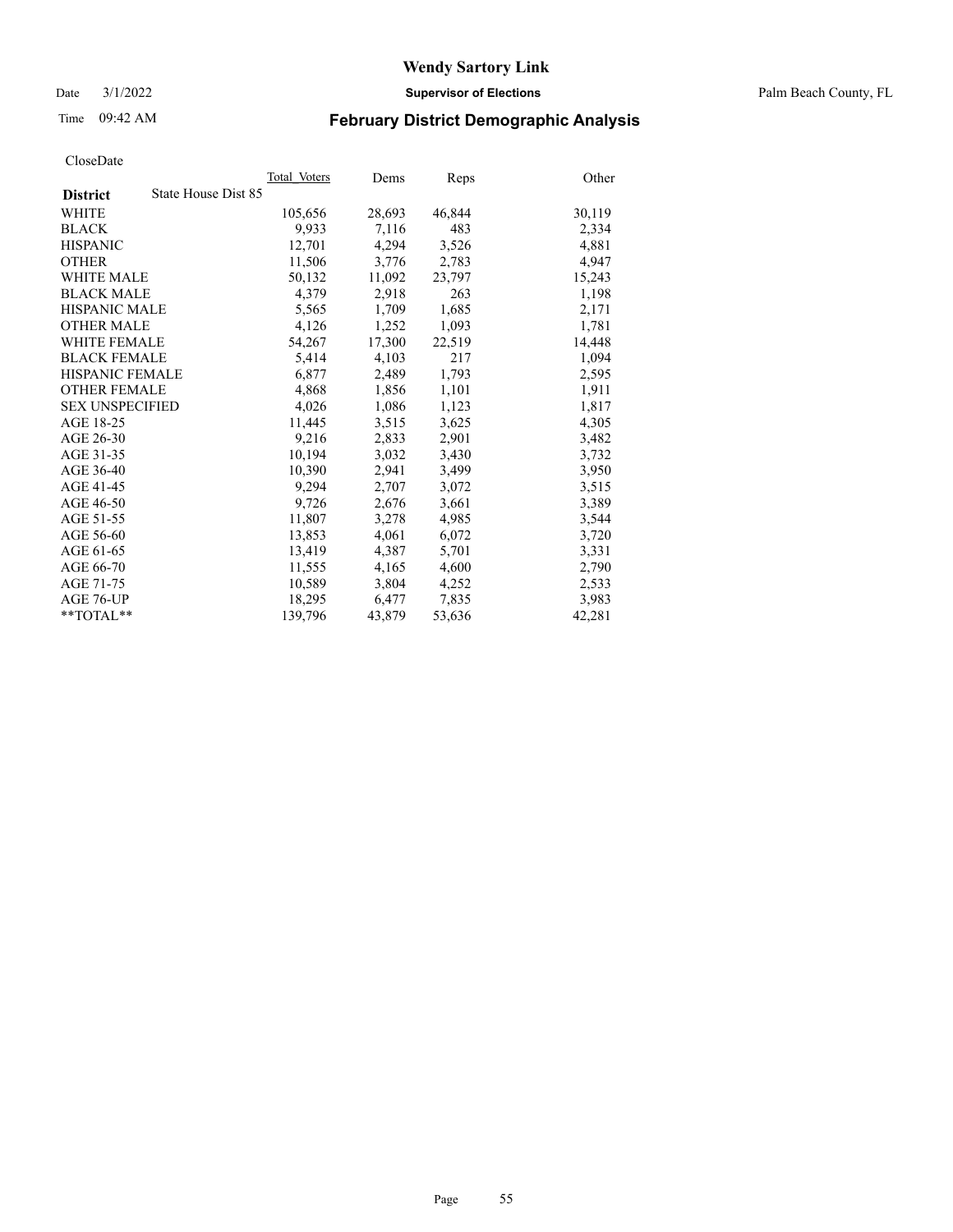Date 3/1/2022 **Supervisor of Elections** Palm Beach County, FL

# Time 09:42 AM **February District Demographic Analysis**

|                                        | Total Voters | Dems   | Reps   | Other  |
|----------------------------------------|--------------|--------|--------|--------|
| State House Dist 85<br><b>District</b> |              |        |        |        |
| WHITE                                  | 105,656      | 28,693 | 46,844 | 30,119 |
| <b>BLACK</b>                           | 9,933        | 7,116  | 483    | 2,334  |
| <b>HISPANIC</b>                        | 12,701       | 4,294  | 3,526  | 4,881  |
| <b>OTHER</b>                           | 11,506       | 3,776  | 2,783  | 4,947  |
| <b>WHITE MALE</b>                      | 50,132       | 11,092 | 23,797 | 15,243 |
| <b>BLACK MALE</b>                      | 4,379        | 2,918  | 263    | 1,198  |
| <b>HISPANIC MALE</b>                   | 5,565        | 1,709  | 1,685  | 2,171  |
| <b>OTHER MALE</b>                      | 4,126        | 1,252  | 1,093  | 1,781  |
| <b>WHITE FEMALE</b>                    | 54,267       | 17,300 | 22,519 | 14,448 |
| <b>BLACK FEMALE</b>                    | 5,414        | 4,103  | 217    | 1,094  |
| HISPANIC FEMALE                        | 6,877        | 2,489  | 1,793  | 2,595  |
| <b>OTHER FEMALE</b>                    | 4,868        | 1,856  | 1,101  | 1,911  |
| <b>SEX UNSPECIFIED</b>                 | 4,026        | 1,086  | 1,123  | 1,817  |
| AGE 18-25                              | 11,445       | 3,515  | 3,625  | 4,305  |
| AGE 26-30                              | 9,216        | 2,833  | 2,901  | 3,482  |
| AGE 31-35                              | 10,194       | 3,032  | 3,430  | 3,732  |
| AGE 36-40                              | 10.390       | 2,941  | 3,499  | 3,950  |
| AGE 41-45                              | 9,294        | 2,707  | 3,072  | 3,515  |
| AGE 46-50                              | 9,726        | 2,676  | 3,661  | 3,389  |
| AGE 51-55                              | 11,807       | 3,278  | 4,985  | 3,544  |
| AGE 56-60                              | 13,853       | 4,061  | 6,072  | 3,720  |
| AGE 61-65                              | 13,419       | 4,387  | 5,701  | 3,331  |
| AGE 66-70                              | 11,555       | 4,165  | 4,600  | 2,790  |
| AGE 71-75                              | 10,589       | 3,804  | 4,252  | 2,533  |
| AGE 76-UP                              | 18,295       | 6,477  | 7,835  | 3,983  |
| $*$ $TOTAL**$                          | 139,796      | 43,879 | 53,636 | 42,281 |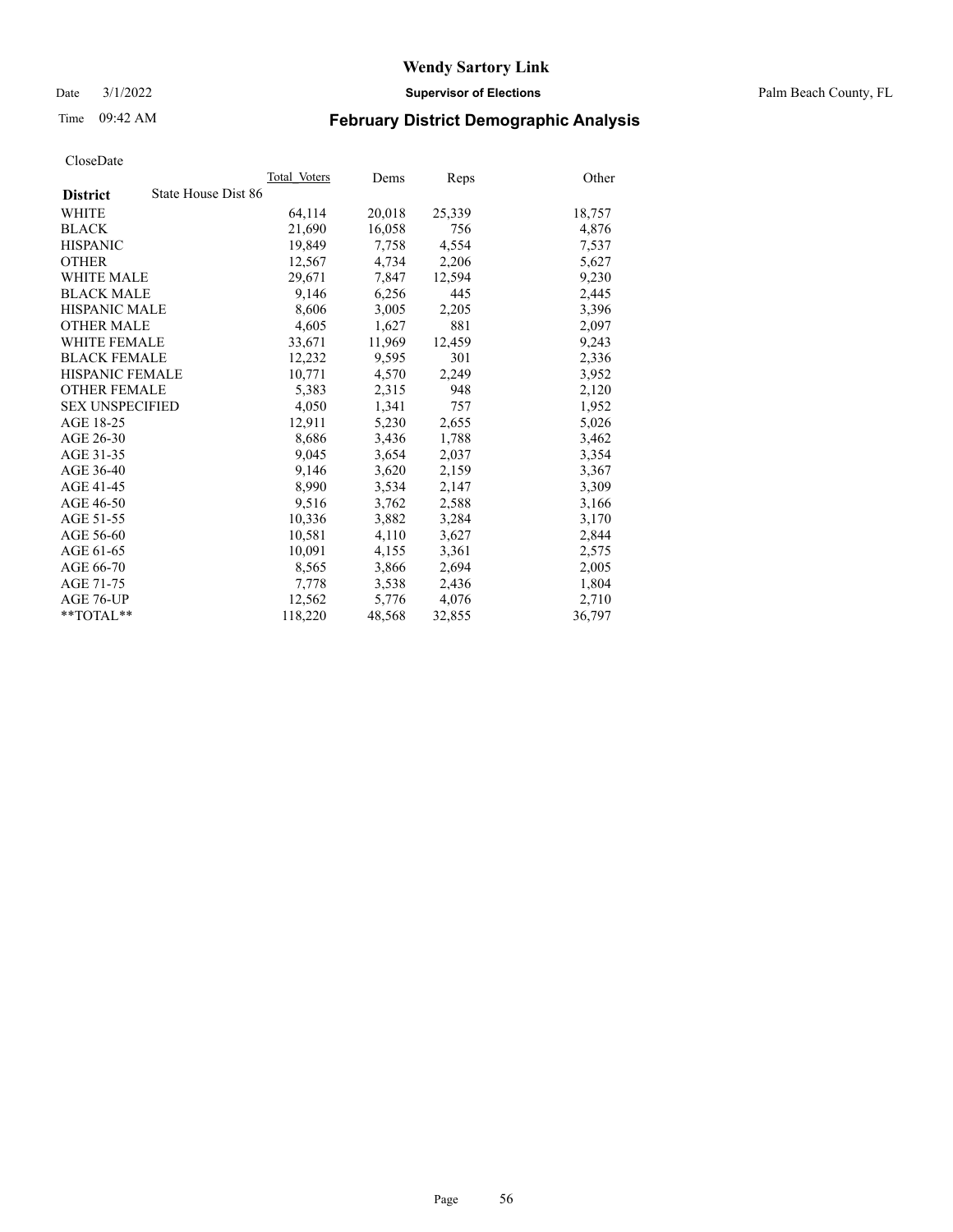Date 3/1/2022 **Supervisor of Elections** Palm Beach County, FL

# Time 09:42 AM **February District Demographic Analysis**

|                                        | Total Voters | Dems   | <b>Reps</b> | Other  |
|----------------------------------------|--------------|--------|-------------|--------|
| State House Dist 86<br><b>District</b> |              |        |             |        |
| <b>WHITE</b>                           | 64,114       | 20,018 | 25,339      | 18,757 |
| <b>BLACK</b>                           | 21,690       | 16,058 | 756         | 4,876  |
| <b>HISPANIC</b>                        | 19,849       | 7,758  | 4,554       | 7,537  |
| <b>OTHER</b>                           | 12,567       | 4,734  | 2,206       | 5,627  |
| <b>WHITE MALE</b>                      | 29,671       | 7,847  | 12,594      | 9,230  |
| <b>BLACK MALE</b>                      | 9,146        | 6,256  | 445         | 2,445  |
| <b>HISPANIC MALE</b>                   | 8,606        | 3,005  | 2,205       | 3,396  |
| <b>OTHER MALE</b>                      | 4,605        | 1,627  | 881         | 2,097  |
| <b>WHITE FEMALE</b>                    | 33,671       | 11,969 | 12,459      | 9,243  |
| <b>BLACK FEMALE</b>                    | 12,232       | 9,595  | 301         | 2,336  |
| <b>HISPANIC FEMALE</b>                 | 10,771       | 4,570  | 2,249       | 3,952  |
| <b>OTHER FEMALE</b>                    | 5,383        | 2,315  | 948         | 2,120  |
| <b>SEX UNSPECIFIED</b>                 | 4,050        | 1,341  | 757         | 1,952  |
| AGE 18-25                              | 12,911       | 5,230  | 2,655       | 5,026  |
| AGE 26-30                              | 8,686        | 3,436  | 1,788       | 3,462  |
| AGE 31-35                              | 9,045        | 3,654  | 2,037       | 3,354  |
| AGE 36-40                              | 9,146        | 3,620  | 2,159       | 3,367  |
| AGE 41-45                              | 8,990        | 3,534  | 2,147       | 3,309  |
| AGE 46-50                              | 9,516        | 3,762  | 2,588       | 3,166  |
| AGE 51-55                              | 10,336       | 3,882  | 3,284       | 3,170  |
| AGE 56-60                              | 10,581       | 4,110  | 3,627       | 2,844  |
| AGE 61-65                              | 10,091       | 4,155  | 3,361       | 2,575  |
| AGE 66-70                              | 8,565        | 3,866  | 2,694       | 2,005  |
| AGE 71-75                              | 7,778        | 3,538  | 2,436       | 1,804  |
| AGE 76-UP                              | 12,562       | 5,776  | 4,076       | 2,710  |
| $*$ $TOTAL**$                          | 118,220      | 48,568 | 32,855      | 36,797 |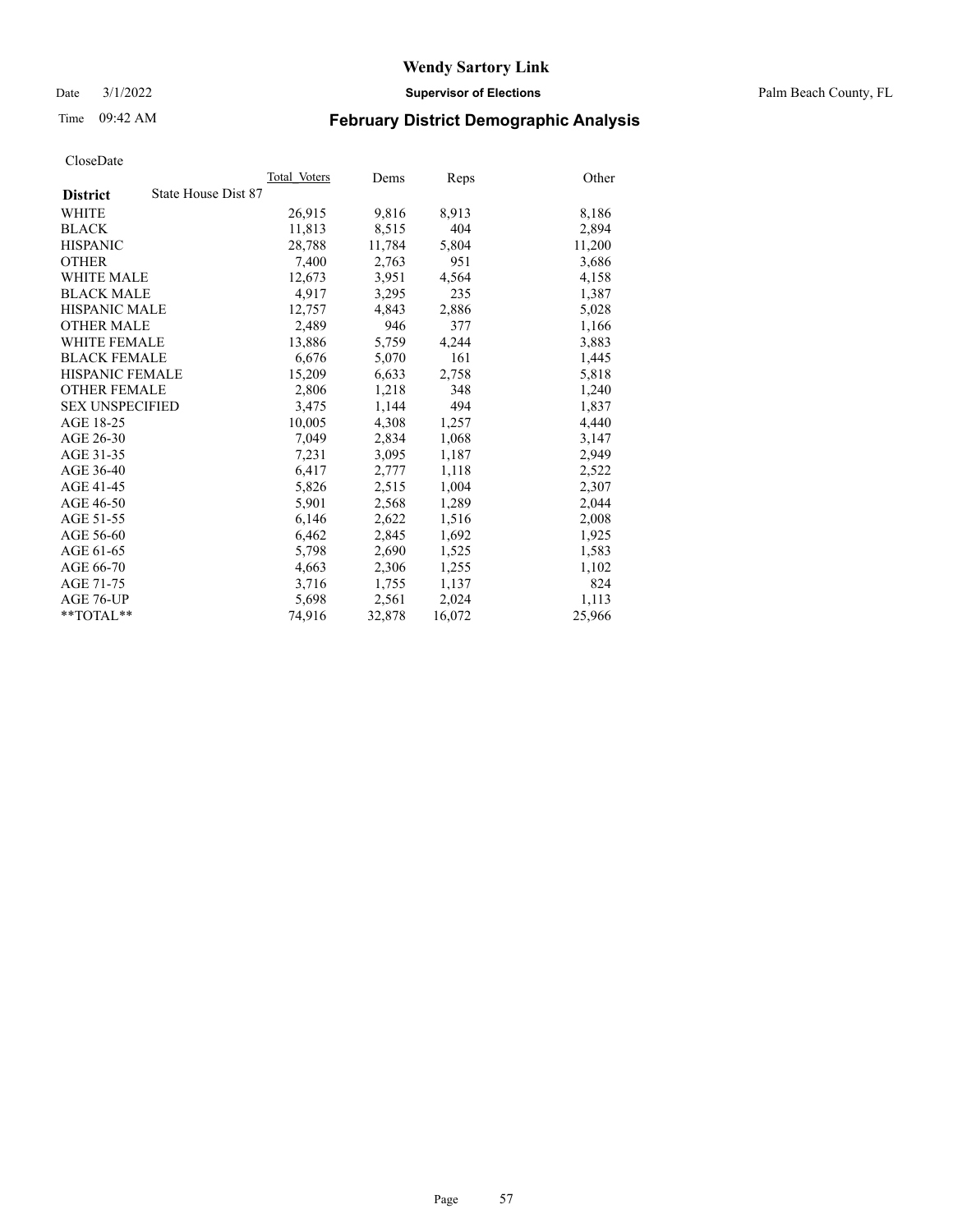Date 3/1/2022 **Supervisor of Elections** Palm Beach County, FL

# Time 09:42 AM **February District Demographic Analysis**

|                        | Total Voters        | Dems   | Reps   | Other  |
|------------------------|---------------------|--------|--------|--------|
| <b>District</b>        | State House Dist 87 |        |        |        |
| WHITE                  | 26,915              | 9,816  | 8,913  | 8,186  |
| <b>BLACK</b>           | 11,813              | 8,515  | 404    | 2,894  |
| <b>HISPANIC</b>        | 28.788              | 11,784 | 5,804  | 11,200 |
| <b>OTHER</b>           | 7,400               | 2,763  | 951    | 3,686  |
| <b>WHITE MALE</b>      | 12,673              | 3,951  | 4,564  | 4,158  |
| <b>BLACK MALE</b>      | 4,917               | 3,295  | 235    | 1,387  |
| <b>HISPANIC MALE</b>   | 12,757              | 4,843  | 2,886  | 5,028  |
| <b>OTHER MALE</b>      | 2.489               | 946    | 377    | 1,166  |
| <b>WHITE FEMALE</b>    | 13,886              | 5,759  | 4,244  | 3,883  |
| <b>BLACK FEMALE</b>    | 6,676               | 5,070  | 161    | 1,445  |
| <b>HISPANIC FEMALE</b> | 15,209              | 6,633  | 2,758  | 5,818  |
| <b>OTHER FEMALE</b>    | 2,806               | 1,218  | 348    | 1,240  |
| <b>SEX UNSPECIFIED</b> | 3,475               | 1,144  | 494    | 1,837  |
| AGE 18-25              | 10,005              | 4,308  | 1,257  | 4,440  |
| AGE 26-30              | 7,049               | 2,834  | 1,068  | 3,147  |
| AGE 31-35              | 7,231               | 3,095  | 1,187  | 2,949  |
| AGE 36-40              | 6,417               | 2,777  | 1,118  | 2,522  |
| AGE 41-45              | 5,826               | 2,515  | 1,004  | 2,307  |
| AGE 46-50              | 5,901               | 2,568  | 1,289  | 2,044  |
| AGE 51-55              | 6,146               | 2,622  | 1,516  | 2,008  |
| AGE 56-60              | 6,462               | 2,845  | 1,692  | 1,925  |
| AGE 61-65              | 5,798               | 2,690  | 1,525  | 1,583  |
| AGE 66-70              | 4,663               | 2,306  | 1,255  | 1,102  |
| AGE 71-75              | 3,716               | 1,755  | 1,137  | 824    |
| AGE 76-UP              | 5.698               | 2,561  | 2,024  | 1,113  |
| **TOTAL**              | 74,916              | 32,878 | 16,072 | 25,966 |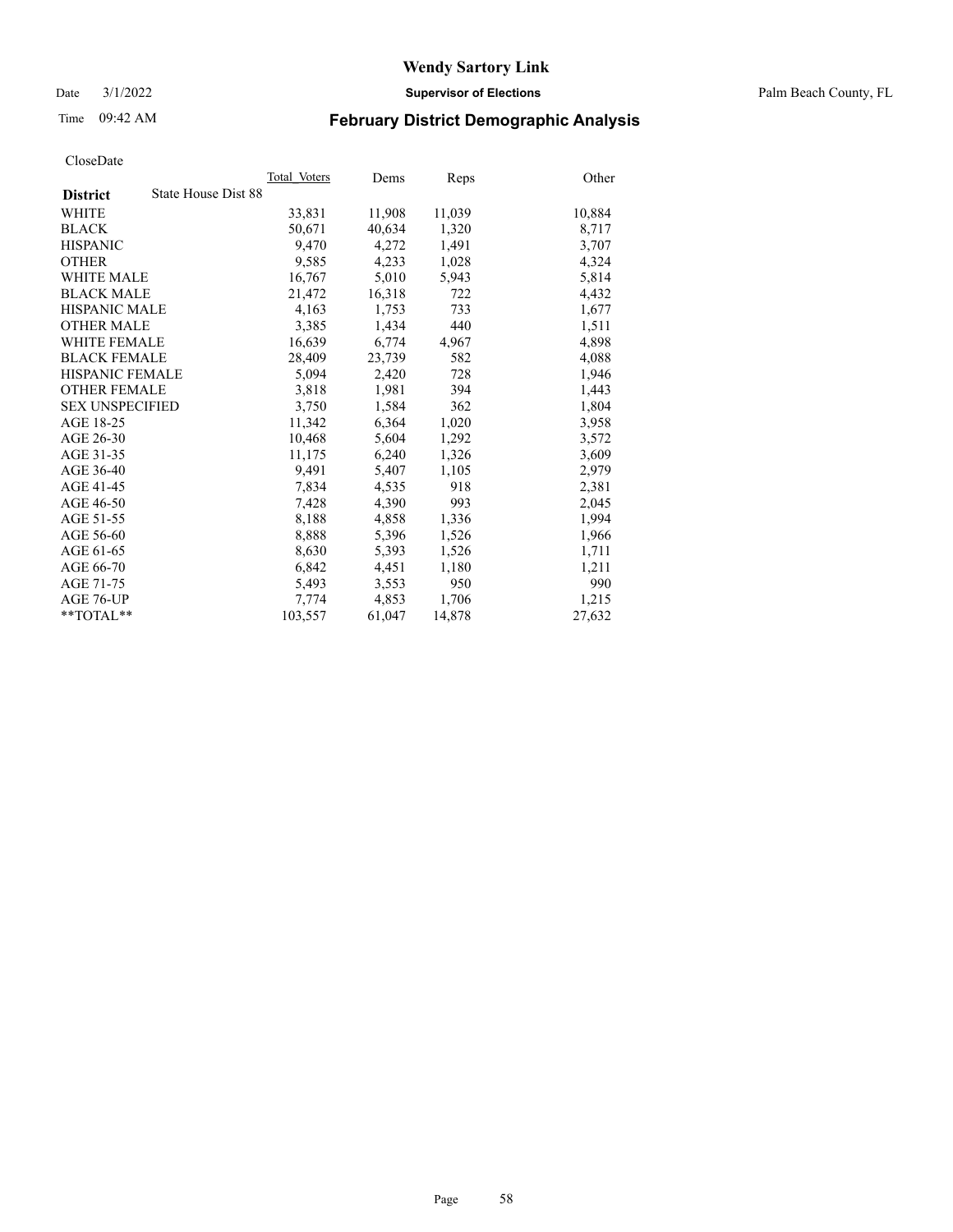Date 3/1/2022 **Supervisor of Elections** Palm Beach County, FL

# Time 09:42 AM **February District Demographic Analysis**

|                                        | Total Voters | Dems   | Reps   | Other  |
|----------------------------------------|--------------|--------|--------|--------|
| State House Dist 88<br><b>District</b> |              |        |        |        |
| WHITE                                  | 33,831       | 11,908 | 11,039 | 10,884 |
| <b>BLACK</b>                           | 50,671       | 40,634 | 1,320  | 8,717  |
| <b>HISPANIC</b>                        | 9.470        | 4,272  | 1,491  | 3,707  |
| <b>OTHER</b>                           | 9,585        | 4,233  | 1,028  | 4,324  |
| <b>WHITE MALE</b>                      | 16,767       | 5,010  | 5,943  | 5,814  |
| <b>BLACK MALE</b>                      | 21,472       | 16,318 | 722    | 4,432  |
| <b>HISPANIC MALE</b>                   | 4,163        | 1,753  | 733    | 1,677  |
| <b>OTHER MALE</b>                      | 3.385        | 1,434  | 440    | 1,511  |
| <b>WHITE FEMALE</b>                    | 16,639       | 6,774  | 4,967  | 4,898  |
| <b>BLACK FEMALE</b>                    | 28,409       | 23,739 | 582    | 4,088  |
| <b>HISPANIC FEMALE</b>                 | 5,094        | 2,420  | 728    | 1,946  |
| <b>OTHER FEMALE</b>                    | 3,818        | 1,981  | 394    | 1,443  |
| <b>SEX UNSPECIFIED</b>                 | 3,750        | 1,584  | 362    | 1,804  |
| AGE 18-25                              | 11,342       | 6,364  | 1,020  | 3,958  |
| AGE 26-30                              | 10,468       | 5,604  | 1,292  | 3,572  |
| AGE 31-35                              | 11,175       | 6,240  | 1,326  | 3,609  |
| AGE 36-40                              | 9,491        | 5,407  | 1,105  | 2,979  |
| AGE 41-45                              | 7,834        | 4,535  | 918    | 2,381  |
| AGE 46-50                              | 7,428        | 4,390  | 993    | 2,045  |
| AGE 51-55                              | 8,188        | 4,858  | 1,336  | 1,994  |
| AGE 56-60                              | 8,888        | 5,396  | 1,526  | 1,966  |
| AGE 61-65                              | 8,630        | 5,393  | 1,526  | 1,711  |
| AGE 66-70                              | 6,842        | 4,451  | 1,180  | 1,211  |
| AGE 71-75                              | 5,493        | 3,553  | 950    | 990    |
| AGE 76-UP                              | 7.774        | 4,853  | 1,706  | 1,215  |
| $*$ $TOTAL**$                          | 103,557      | 61,047 | 14,878 | 27,632 |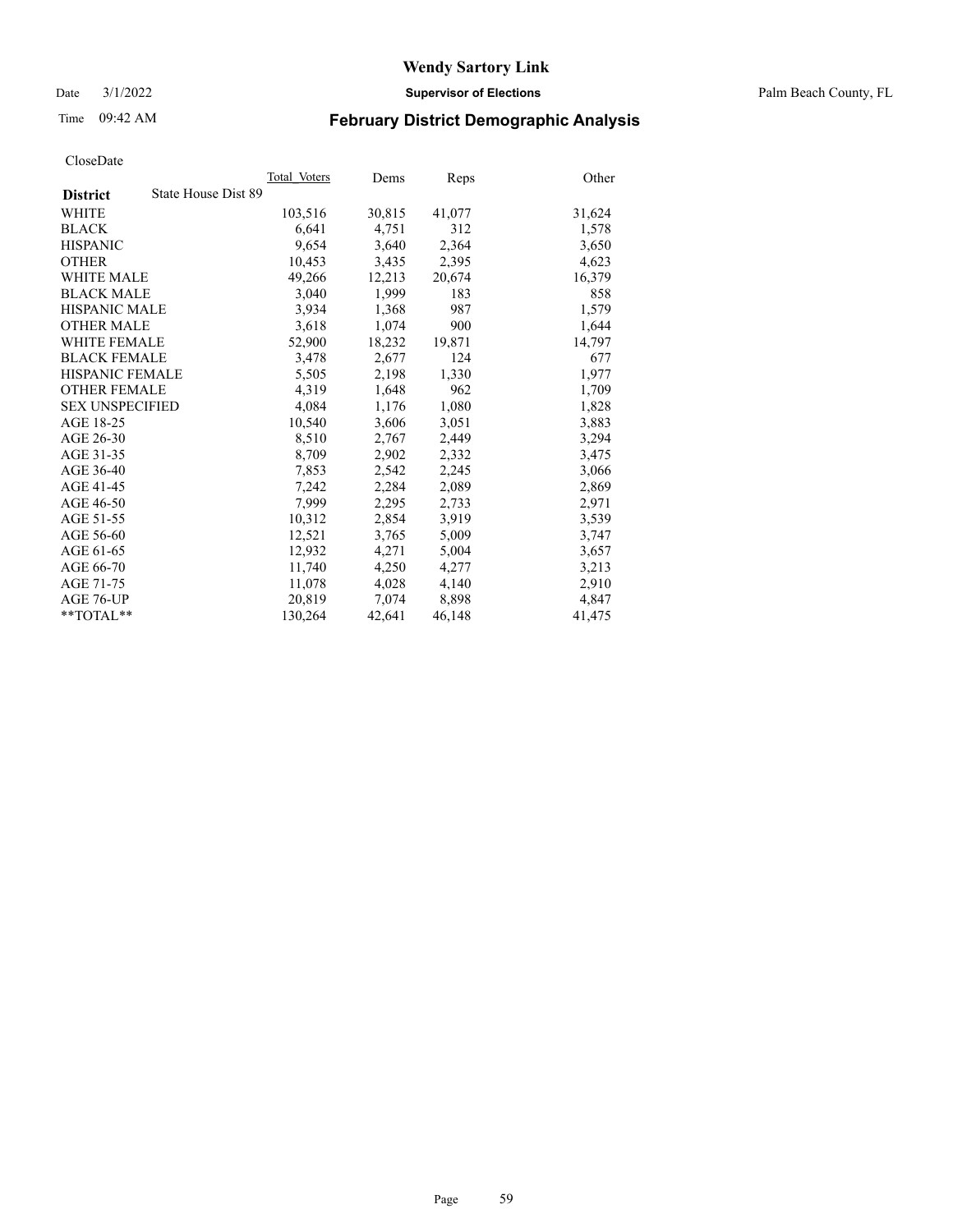Date 3/1/2022 **Supervisor of Elections** Palm Beach County, FL

# Time 09:42 AM **February District Demographic Analysis**

|                                        | Total Voters | Dems   | Reps   | Other  |
|----------------------------------------|--------------|--------|--------|--------|
| State House Dist 89<br><b>District</b> |              |        |        |        |
| WHITE                                  | 103,516      | 30,815 | 41,077 | 31,624 |
| <b>BLACK</b>                           | 6,641        | 4,751  | 312    | 1,578  |
| <b>HISPANIC</b>                        | 9,654        | 3,640  | 2,364  | 3,650  |
| <b>OTHER</b>                           | 10,453       | 3,435  | 2,395  | 4,623  |
| <b>WHITE MALE</b>                      | 49,266       | 12,213 | 20,674 | 16,379 |
| <b>BLACK MALE</b>                      | 3,040        | 1,999  | 183    | 858    |
| <b>HISPANIC MALE</b>                   | 3,934        | 1,368  | 987    | 1,579  |
| <b>OTHER MALE</b>                      | 3,618        | 1,074  | 900    | 1,644  |
| <b>WHITE FEMALE</b>                    | 52,900       | 18,232 | 19,871 | 14,797 |
| <b>BLACK FEMALE</b>                    | 3,478        | 2,677  | 124    | 677    |
| <b>HISPANIC FEMALE</b>                 | 5,505        | 2,198  | 1,330  | 1,977  |
| <b>OTHER FEMALE</b>                    | 4,319        | 1,648  | 962    | 1,709  |
| <b>SEX UNSPECIFIED</b>                 | 4,084        | 1,176  | 1,080  | 1,828  |
| AGE 18-25                              | 10,540       | 3,606  | 3,051  | 3,883  |
| AGE 26-30                              | 8,510        | 2,767  | 2,449  | 3,294  |
| AGE 31-35                              | 8,709        | 2,902  | 2,332  | 3,475  |
| AGE 36-40                              | 7,853        | 2,542  | 2,245  | 3,066  |
| AGE 41-45                              | 7,242        | 2,284  | 2,089  | 2,869  |
| AGE 46-50                              | 7,999        | 2,295  | 2,733  | 2,971  |
| AGE 51-55                              | 10,312       | 2,854  | 3,919  | 3,539  |
| AGE 56-60                              | 12,521       | 3,765  | 5,009  | 3,747  |
| AGE 61-65                              | 12,932       | 4,271  | 5,004  | 3,657  |
| AGE 66-70                              | 11.740       | 4,250  | 4,277  | 3,213  |
| AGE 71-75                              | 11,078       | 4,028  | 4,140  | 2,910  |
| AGE 76-UP                              | 20,819       | 7,074  | 8,898  | 4,847  |
| $*$ $TOTAL**$                          | 130,264      | 42,641 | 46,148 | 41,475 |
|                                        |              |        |        |        |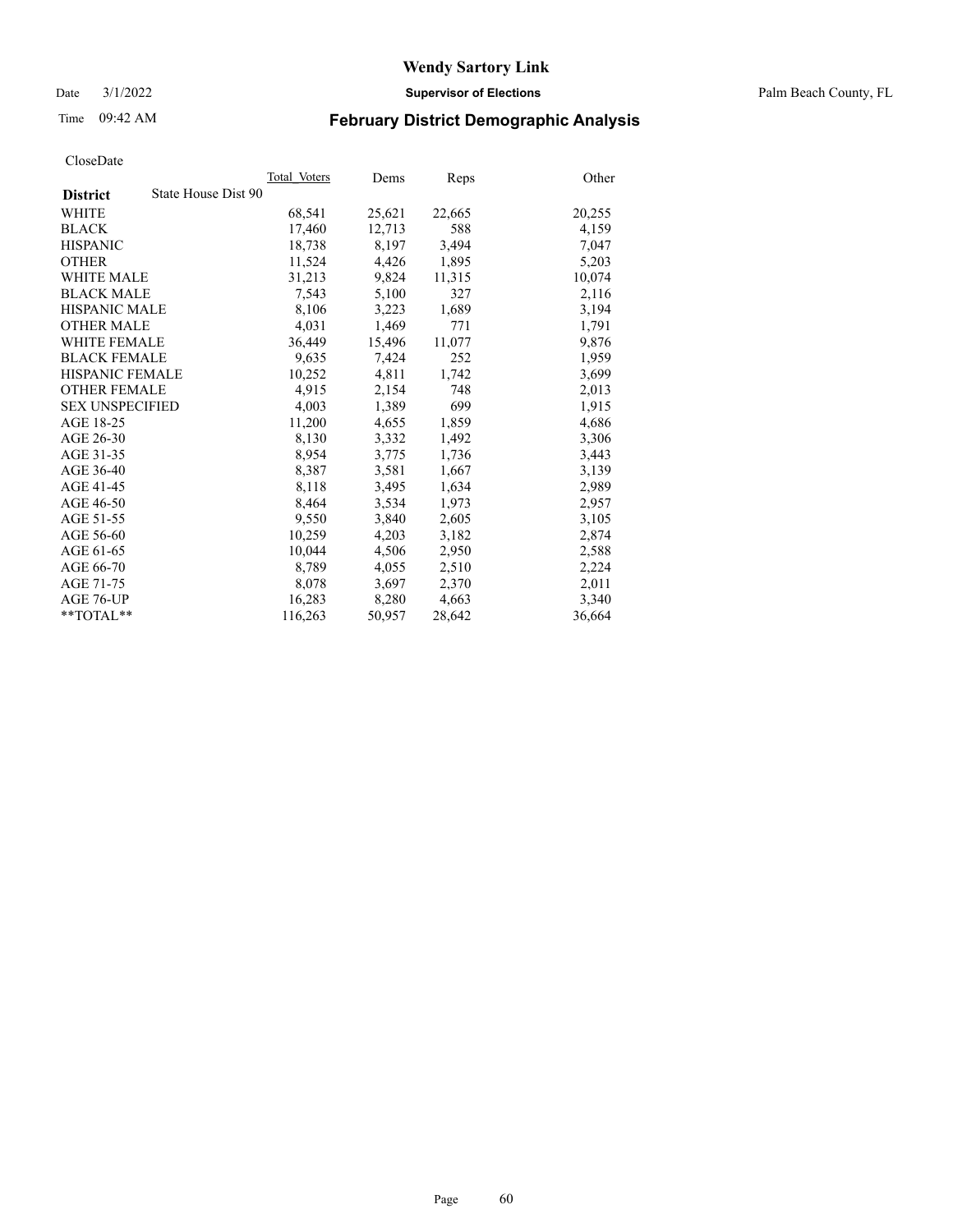Date 3/1/2022 **Supervisor of Elections** Palm Beach County, FL

# Time 09:42 AM **February District Demographic Analysis**

|                                        | Total Voters | Dems   | Reps   | Other  |
|----------------------------------------|--------------|--------|--------|--------|
| State House Dist 90<br><b>District</b> |              |        |        |        |
| WHITE                                  | 68,541       | 25,621 | 22,665 | 20,255 |
| <b>BLACK</b>                           | 17,460       | 12,713 | 588    | 4,159  |
| <b>HISPANIC</b>                        | 18,738       | 8,197  | 3,494  | 7,047  |
| <b>OTHER</b>                           | 11,524       | 4,426  | 1,895  | 5,203  |
| <b>WHITE MALE</b>                      | 31,213       | 9,824  | 11,315 | 10,074 |
| <b>BLACK MALE</b>                      | 7,543        | 5,100  | 327    | 2,116  |
| <b>HISPANIC MALE</b>                   | 8,106        | 3,223  | 1,689  | 3,194  |
| <b>OTHER MALE</b>                      | 4,031        | 1,469  | 771    | 1,791  |
| <b>WHITE FEMALE</b>                    | 36,449       | 15,496 | 11,077 | 9,876  |
| <b>BLACK FEMALE</b>                    | 9,635        | 7,424  | 252    | 1,959  |
| <b>HISPANIC FEMALE</b>                 | 10,252       | 4,811  | 1,742  | 3,699  |
| <b>OTHER FEMALE</b>                    | 4,915        | 2,154  | 748    | 2,013  |
| <b>SEX UNSPECIFIED</b>                 | 4,003        | 1,389  | 699    | 1,915  |
| AGE 18-25                              | 11,200       | 4,655  | 1,859  | 4,686  |
| AGE 26-30                              | 8,130        | 3,332  | 1,492  | 3,306  |
| AGE 31-35                              | 8,954        | 3,775  | 1,736  | 3,443  |
| AGE 36-40                              | 8,387        | 3,581  | 1,667  | 3,139  |
| AGE 41-45                              | 8,118        | 3,495  | 1,634  | 2,989  |
| AGE 46-50                              | 8,464        | 3,534  | 1,973  | 2,957  |
| AGE 51-55                              | 9,550        | 3,840  | 2,605  | 3,105  |
| AGE 56-60                              | 10,259       | 4,203  | 3,182  | 2,874  |
| AGE 61-65                              | 10.044       | 4,506  | 2,950  | 2,588  |
| AGE 66-70                              | 8,789        | 4,055  | 2,510  | 2,224  |
| AGE 71-75                              | 8,078        | 3,697  | 2,370  | 2,011  |
| AGE 76-UP                              | 16,283       | 8,280  | 4,663  | 3,340  |
| $*$ $TOTAL**$                          | 116,263      | 50,957 | 28,642 | 36,664 |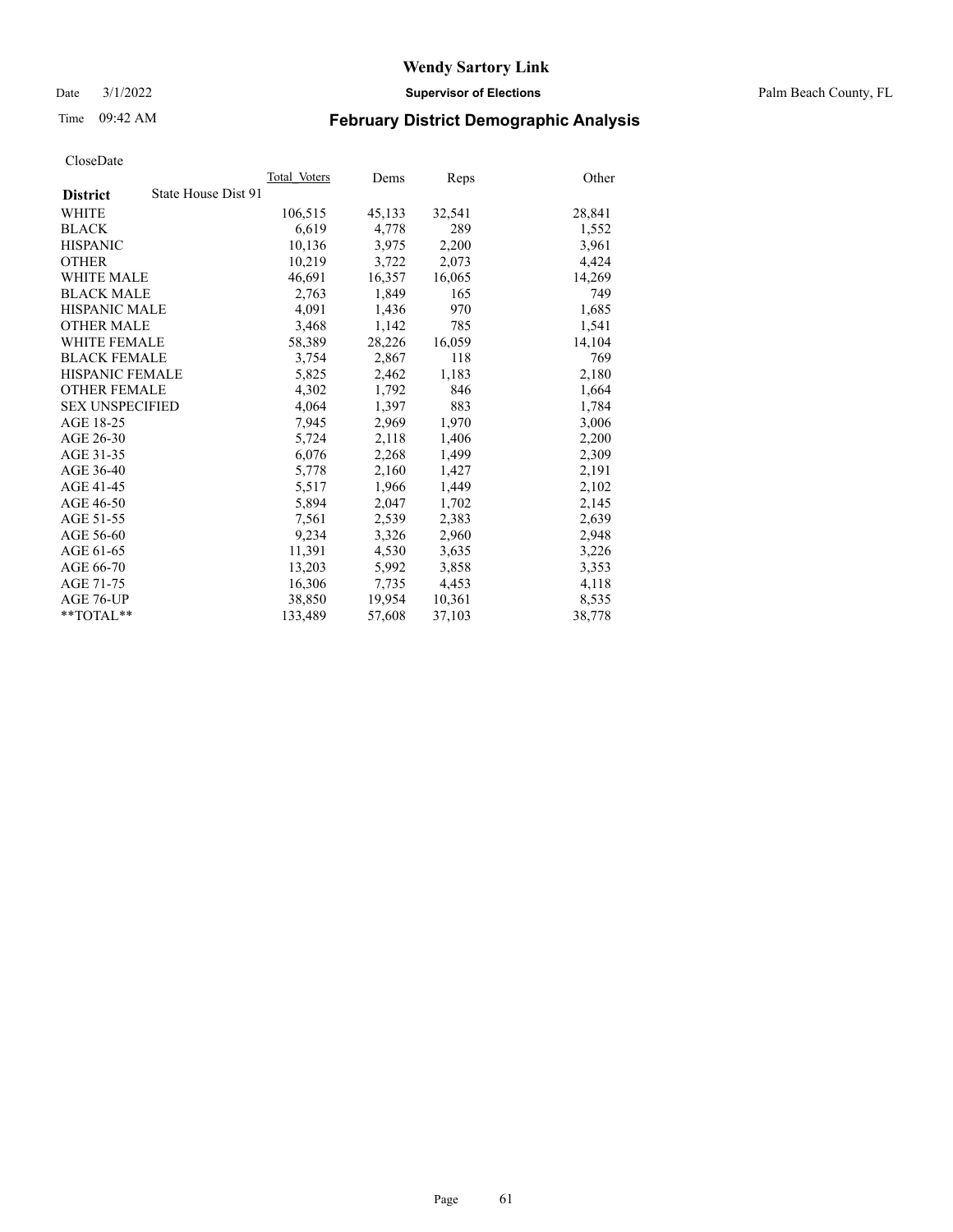Date 3/1/2022 **Supervisor of Elections** Palm Beach County, FL

# Time 09:42 AM **February District Demographic Analysis**

|                                        | Total Voters | Dems   | Reps   | Other  |
|----------------------------------------|--------------|--------|--------|--------|
| State House Dist 91<br><b>District</b> |              |        |        |        |
| WHITE                                  | 106,515      | 45,133 | 32,541 | 28,841 |
| <b>BLACK</b>                           | 6,619        | 4,778  | 289    | 1,552  |
| <b>HISPANIC</b>                        | 10,136       | 3,975  | 2,200  | 3,961  |
| <b>OTHER</b>                           | 10,219       | 3,722  | 2,073  | 4,424  |
| <b>WHITE MALE</b>                      | 46,691       | 16,357 | 16,065 | 14,269 |
| <b>BLACK MALE</b>                      | 2,763        | 1,849  | 165    | 749    |
| <b>HISPANIC MALE</b>                   | 4,091        | 1,436  | 970    | 1,685  |
| <b>OTHER MALE</b>                      | 3,468        | 1,142  | 785    | 1,541  |
| <b>WHITE FEMALE</b>                    | 58,389       | 28,226 | 16,059 | 14,104 |
| <b>BLACK FEMALE</b>                    | 3,754        | 2,867  | 118    | 769    |
| <b>HISPANIC FEMALE</b>                 | 5,825        | 2,462  | 1,183  | 2,180  |
| <b>OTHER FEMALE</b>                    | 4,302        | 1,792  | 846    | 1,664  |
| <b>SEX UNSPECIFIED</b>                 | 4.064        | 1.397  | 883    | 1,784  |
| AGE 18-25                              | 7,945        | 2,969  | 1,970  | 3,006  |
| AGE 26-30                              | 5,724        | 2,118  | 1,406  | 2,200  |
| AGE 31-35                              | 6,076        | 2,268  | 1,499  | 2,309  |
| AGE 36-40                              | 5,778        | 2,160  | 1,427  | 2,191  |
| AGE 41-45                              | 5,517        | 1,966  | 1,449  | 2,102  |
| AGE 46-50                              | 5,894        | 2,047  | 1,702  | 2,145  |
| AGE 51-55                              | 7,561        | 2,539  | 2,383  | 2,639  |
| AGE 56-60                              | 9,234        | 3,326  | 2,960  | 2,948  |
| AGE 61-65                              | 11,391       | 4,530  | 3,635  | 3,226  |
| AGE 66-70                              | 13,203       | 5,992  | 3,858  | 3,353  |
| AGE 71-75                              | 16,306       | 7,735  | 4,453  | 4,118  |
| AGE 76-UP                              | 38,850       | 19,954 | 10,361 | 8,535  |
| $*$ $TOTAL**$                          | 133,489      | 57,608 | 37,103 | 38,778 |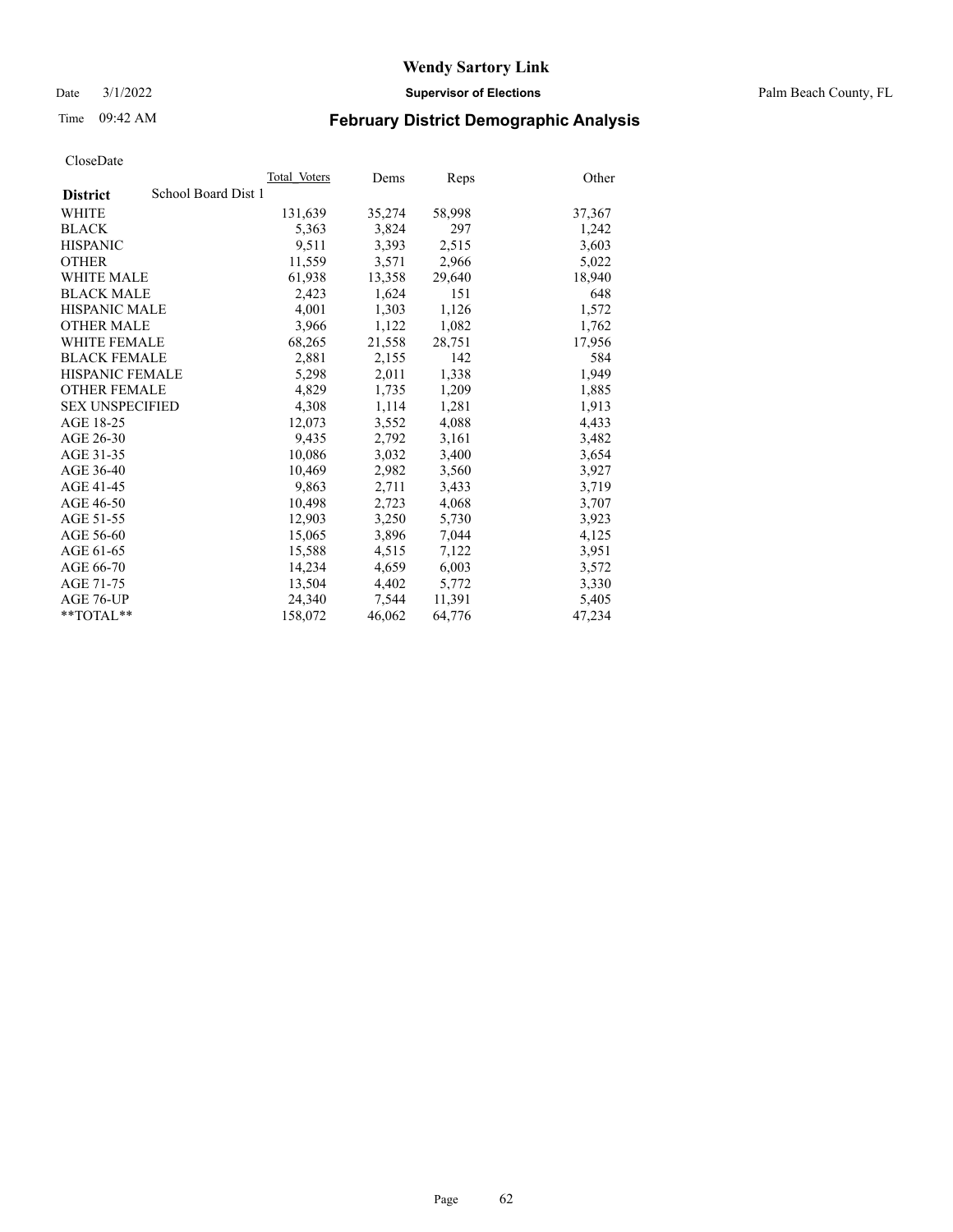Date 3/1/2022 **Supervisor of Elections** Palm Beach County, FL

# Time 09:42 AM **February District Demographic Analysis**

|                                        | Total Voters | Dems   | Reps   | Other  |
|----------------------------------------|--------------|--------|--------|--------|
| School Board Dist 1<br><b>District</b> |              |        |        |        |
| <b>WHITE</b>                           | 131,639      | 35,274 | 58,998 | 37,367 |
| <b>BLACK</b>                           | 5,363        | 3,824  | 297    | 1,242  |
| <b>HISPANIC</b>                        | 9,511        | 3,393  | 2,515  | 3,603  |
| <b>OTHER</b>                           | 11,559       | 3,571  | 2,966  | 5,022  |
| <b>WHITE MALE</b>                      | 61,938       | 13,358 | 29,640 | 18,940 |
| <b>BLACK MALE</b>                      | 2,423        | 1,624  | 151    | 648    |
| <b>HISPANIC MALE</b>                   | 4,001        | 1,303  | 1,126  | 1,572  |
| <b>OTHER MALE</b>                      | 3.966        | 1,122  | 1,082  | 1,762  |
| <b>WHITE FEMALE</b>                    | 68,265       | 21,558 | 28,751 | 17,956 |
| <b>BLACK FEMALE</b>                    | 2,881        | 2,155  | 142    | 584    |
| HISPANIC FEMALE                        | 5,298        | 2,011  | 1,338  | 1,949  |
| <b>OTHER FEMALE</b>                    | 4,829        | 1,735  | 1,209  | 1,885  |
| <b>SEX UNSPECIFIED</b>                 | 4,308        | 1,114  | 1,281  | 1,913  |
| AGE 18-25                              | 12,073       | 3,552  | 4,088  | 4,433  |
| AGE 26-30                              | 9,435        | 2,792  | 3,161  | 3,482  |
| AGE 31-35                              | 10,086       | 3,032  | 3,400  | 3,654  |
| AGE 36-40                              | 10,469       | 2,982  | 3,560  | 3,927  |
| AGE 41-45                              | 9,863        | 2,711  | 3,433  | 3,719  |
| AGE 46-50                              | 10,498       | 2,723  | 4,068  | 3,707  |
| AGE 51-55                              | 12,903       | 3,250  | 5,730  | 3,923  |
| AGE 56-60                              | 15,065       | 3,896  | 7,044  | 4,125  |
| AGE 61-65                              | 15,588       | 4,515  | 7,122  | 3,951  |
| AGE 66-70                              | 14,234       | 4,659  | 6,003  | 3,572  |
| AGE 71-75                              | 13,504       | 4,402  | 5,772  | 3,330  |
| AGE 76-UP                              | 24,340       | 7,544  | 11,391 | 5,405  |
| $*$ $TOTAL**$                          | 158,072      | 46,062 | 64,776 | 47,234 |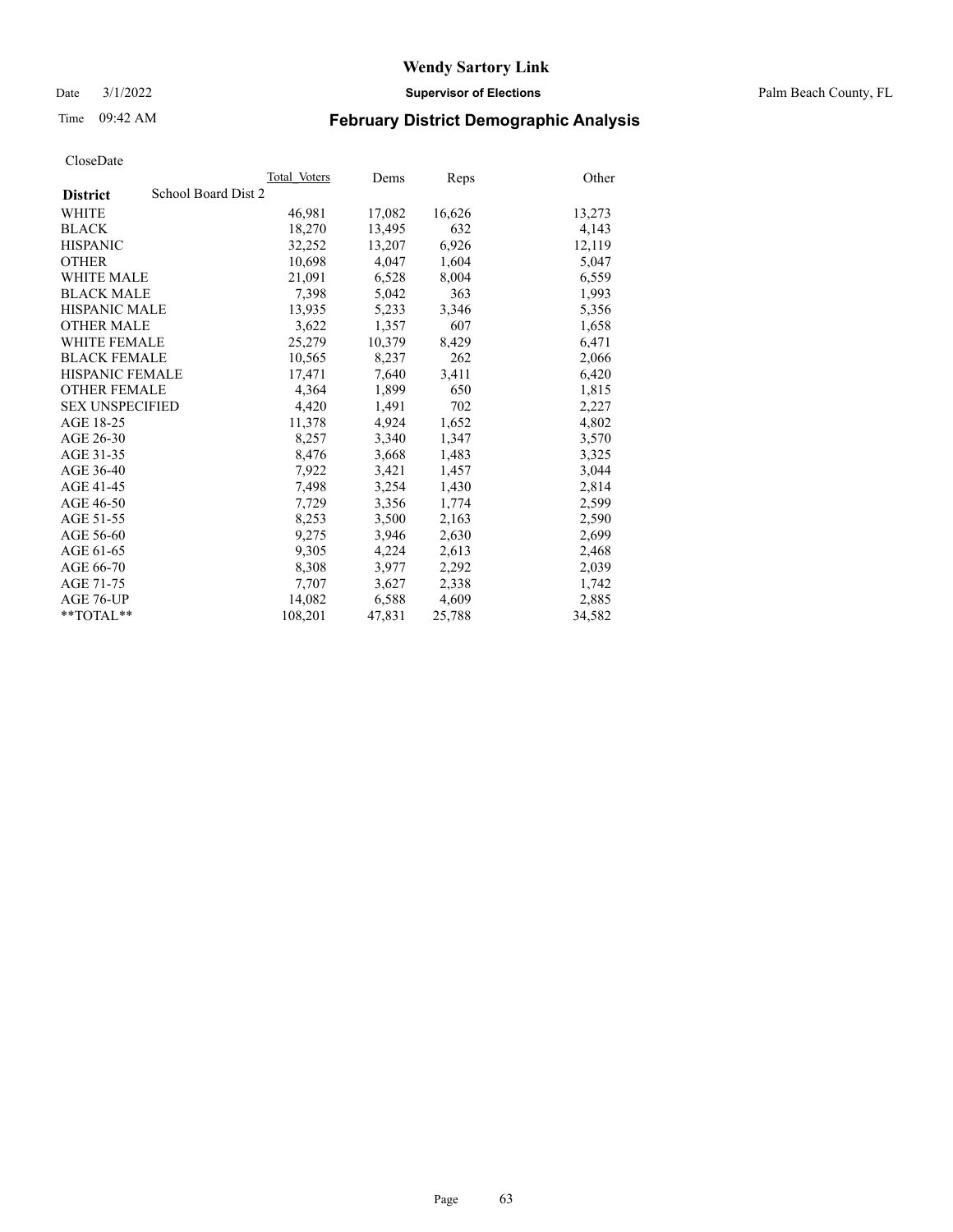Date 3/1/2022 **Supervisor of Elections** Palm Beach County, FL

# Time 09:42 AM **February District Demographic Analysis**

|                        | Total Voters        | Dems   | <b>Reps</b> | Other  |
|------------------------|---------------------|--------|-------------|--------|
| <b>District</b>        | School Board Dist 2 |        |             |        |
| WHITE                  | 46,981              | 17,082 | 16,626      | 13,273 |
| <b>BLACK</b>           | 18,270              | 13,495 | 632         | 4,143  |
| <b>HISPANIC</b>        | 32,252              | 13,207 | 6,926       | 12,119 |
| <b>OTHER</b>           | 10,698              | 4,047  | 1,604       | 5,047  |
| <b>WHITE MALE</b>      | 21,091              | 6,528  | 8,004       | 6,559  |
| <b>BLACK MALE</b>      | 7,398               | 5,042  | 363         | 1,993  |
| <b>HISPANIC MALE</b>   | 13,935              | 5,233  | 3,346       | 5,356  |
| <b>OTHER MALE</b>      | 3,622               | 1,357  | 607         | 1,658  |
| <b>WHITE FEMALE</b>    | 25,279              | 10,379 | 8,429       | 6,471  |
| <b>BLACK FEMALE</b>    | 10,565              | 8,237  | 262         | 2,066  |
| <b>HISPANIC FEMALE</b> | 17,471              | 7,640  | 3,411       | 6,420  |
| <b>OTHER FEMALE</b>    | 4,364               | 1,899  | 650         | 1,815  |
| <b>SEX UNSPECIFIED</b> | 4,420               | 1,491  | 702         | 2,227  |
| AGE 18-25              | 11,378              | 4,924  | 1,652       | 4,802  |
| AGE 26-30              | 8,257               | 3,340  | 1,347       | 3,570  |
| AGE 31-35              | 8,476               | 3,668  | 1,483       | 3,325  |
| AGE 36-40              | 7,922               | 3,421  | 1,457       | 3,044  |
| AGE 41-45              | 7,498               | 3,254  | 1,430       | 2,814  |
| AGE 46-50              | 7,729               | 3,356  | 1,774       | 2,599  |
| AGE 51-55              | 8,253               | 3,500  | 2,163       | 2,590  |
| AGE 56-60              | 9,275               | 3,946  | 2,630       | 2,699  |
| AGE 61-65              | 9,305               | 4,224  | 2,613       | 2,468  |
| AGE 66-70              | 8,308               | 3,977  | 2,292       | 2,039  |
| AGE 71-75              | 7,707               | 3,627  | 2,338       | 1,742  |
| AGE 76-UP              | 14,082              | 6,588  | 4,609       | 2,885  |
| **TOTAL**              | 108,201             | 47,831 | 25,788      | 34,582 |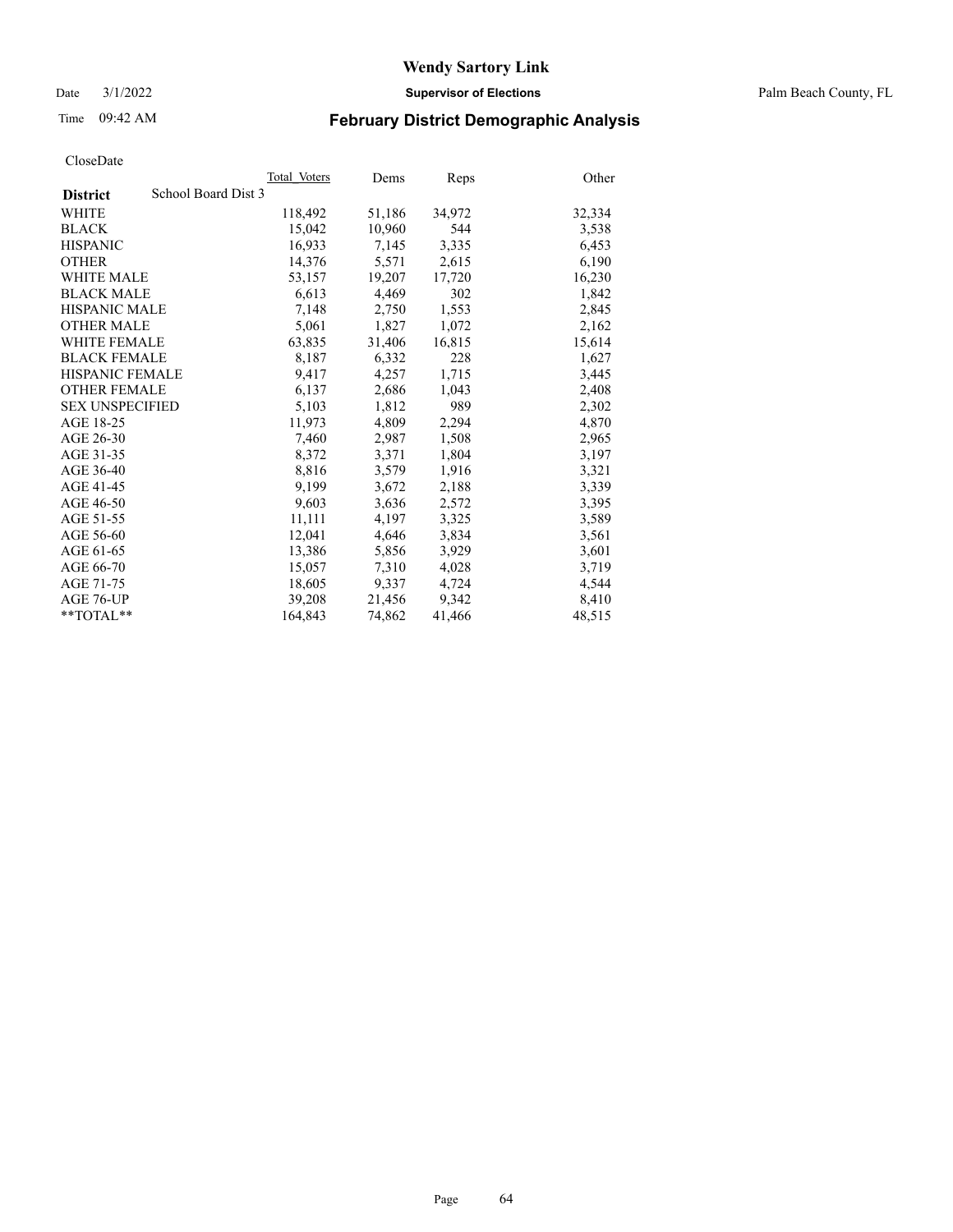Date 3/1/2022 **Supervisor of Elections** Palm Beach County, FL

# Time 09:42 AM **February District Demographic Analysis**

|                                        | Total Voters | Dems   | Reps   | Other  |
|----------------------------------------|--------------|--------|--------|--------|
| School Board Dist 3<br><b>District</b> |              |        |        |        |
| WHITE                                  | 118,492      | 51,186 | 34,972 | 32,334 |
| <b>BLACK</b>                           | 15,042       | 10,960 | 544    | 3,538  |
| <b>HISPANIC</b>                        | 16,933       | 7,145  | 3,335  | 6,453  |
| <b>OTHER</b>                           | 14,376       | 5,571  | 2,615  | 6,190  |
| <b>WHITE MALE</b>                      | 53,157       | 19,207 | 17,720 | 16,230 |
| <b>BLACK MALE</b>                      | 6,613        | 4,469  | 302    | 1,842  |
| <b>HISPANIC MALE</b>                   | 7,148        | 2,750  | 1,553  | 2,845  |
| <b>OTHER MALE</b>                      | 5,061        | 1,827  | 1,072  | 2,162  |
| <b>WHITE FEMALE</b>                    | 63,835       | 31,406 | 16,815 | 15,614 |
| <b>BLACK FEMALE</b>                    | 8,187        | 6,332  | 228    | 1,627  |
| <b>HISPANIC FEMALE</b>                 | 9,417        | 4,257  | 1,715  | 3,445  |
| <b>OTHER FEMALE</b>                    | 6,137        | 2,686  | 1,043  | 2,408  |
| <b>SEX UNSPECIFIED</b>                 | 5,103        | 1,812  | 989    | 2,302  |
| AGE 18-25                              | 11,973       | 4,809  | 2,294  | 4,870  |
| AGE 26-30                              | 7,460        | 2,987  | 1,508  | 2,965  |
| AGE 31-35                              | 8,372        | 3,371  | 1,804  | 3,197  |
| AGE 36-40                              | 8,816        | 3,579  | 1,916  | 3,321  |
| AGE 41-45                              | 9,199        | 3,672  | 2,188  | 3,339  |
| AGE 46-50                              | 9,603        | 3,636  | 2,572  | 3,395  |
| AGE 51-55                              | 11,111       | 4,197  | 3,325  | 3,589  |
| AGE 56-60                              | 12,041       | 4,646  | 3,834  | 3,561  |
| AGE 61-65                              | 13,386       | 5,856  | 3,929  | 3,601  |
| AGE 66-70                              | 15,057       | 7,310  | 4,028  | 3,719  |
| AGE 71-75                              | 18,605       | 9,337  | 4,724  | 4,544  |
| AGE 76-UP                              | 39,208       | 21,456 | 9.342  | 8,410  |
| $*$ $TOTAL**$                          | 164,843      | 74,862 | 41,466 | 48,515 |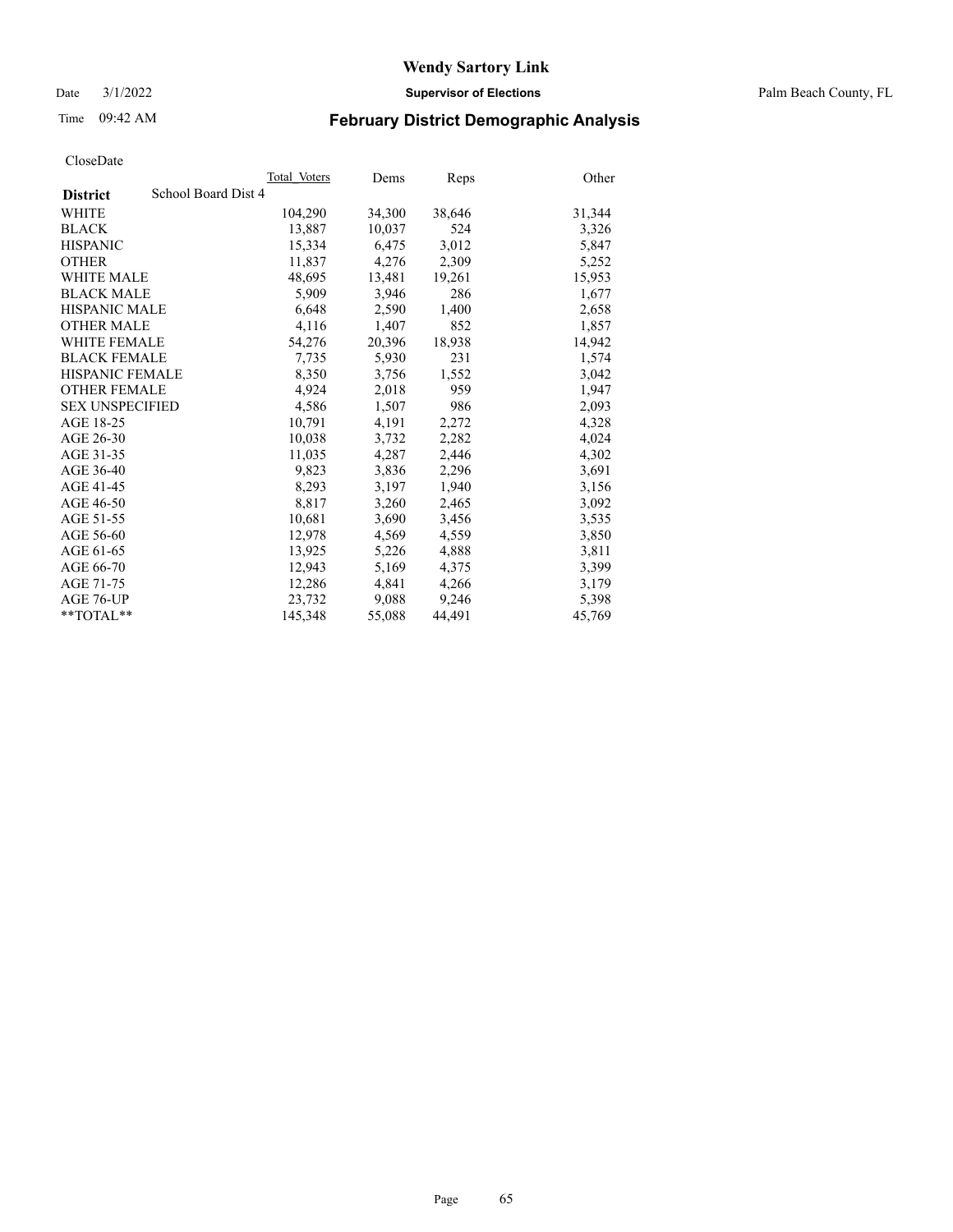Date 3/1/2022 **Supervisor of Elections** Palm Beach County, FL

# Time 09:42 AM **February District Demographic Analysis**

|                                        | Total Voters | Dems   | Reps   | Other  |
|----------------------------------------|--------------|--------|--------|--------|
| School Board Dist 4<br><b>District</b> |              |        |        |        |
| WHITE                                  | 104,290      | 34,300 | 38,646 | 31,344 |
| <b>BLACK</b>                           | 13,887       | 10,037 | 524    | 3,326  |
| <b>HISPANIC</b>                        | 15,334       | 6,475  | 3,012  | 5,847  |
| <b>OTHER</b>                           | 11,837       | 4,276  | 2,309  | 5,252  |
| <b>WHITE MALE</b>                      | 48,695       | 13,481 | 19,261 | 15,953 |
| <b>BLACK MALE</b>                      | 5,909        | 3,946  | 286    | 1,677  |
| <b>HISPANIC MALE</b>                   | 6,648        | 2,590  | 1,400  | 2,658  |
| <b>OTHER MALE</b>                      | 4,116        | 1,407  | 852    | 1,857  |
| <b>WHITE FEMALE</b>                    | 54,276       | 20,396 | 18,938 | 14,942 |
| <b>BLACK FEMALE</b>                    | 7,735        | 5,930  | 231    | 1,574  |
| HISPANIC FEMALE                        | 8,350        | 3,756  | 1,552  | 3,042  |
| <b>OTHER FEMALE</b>                    | 4,924        | 2,018  | 959    | 1,947  |
| <b>SEX UNSPECIFIED</b>                 | 4,586        | 1,507  | 986    | 2,093  |
| AGE 18-25                              | 10,791       | 4,191  | 2,272  | 4,328  |
| AGE 26-30                              | 10,038       | 3,732  | 2,282  | 4,024  |
| AGE 31-35                              | 11,035       | 4,287  | 2,446  | 4,302  |
| AGE 36-40                              | 9,823        | 3,836  | 2,296  | 3,691  |
| AGE 41-45                              | 8,293        | 3,197  | 1,940  | 3,156  |
| AGE 46-50                              | 8,817        | 3,260  | 2,465  | 3,092  |
| AGE 51-55                              | 10,681       | 3,690  | 3,456  | 3,535  |
| AGE 56-60                              | 12,978       | 4,569  | 4,559  | 3,850  |
| AGE 61-65                              | 13,925       | 5,226  | 4,888  | 3,811  |
| AGE 66-70                              | 12,943       | 5,169  | 4,375  | 3,399  |
| AGE 71-75                              | 12,286       | 4,841  | 4,266  | 3,179  |
| AGE 76-UP                              | 23,732       | 9,088  | 9,246  | 5,398  |
| $*$ $TOTAL**$                          | 145,348      | 55,088 | 44,491 | 45,769 |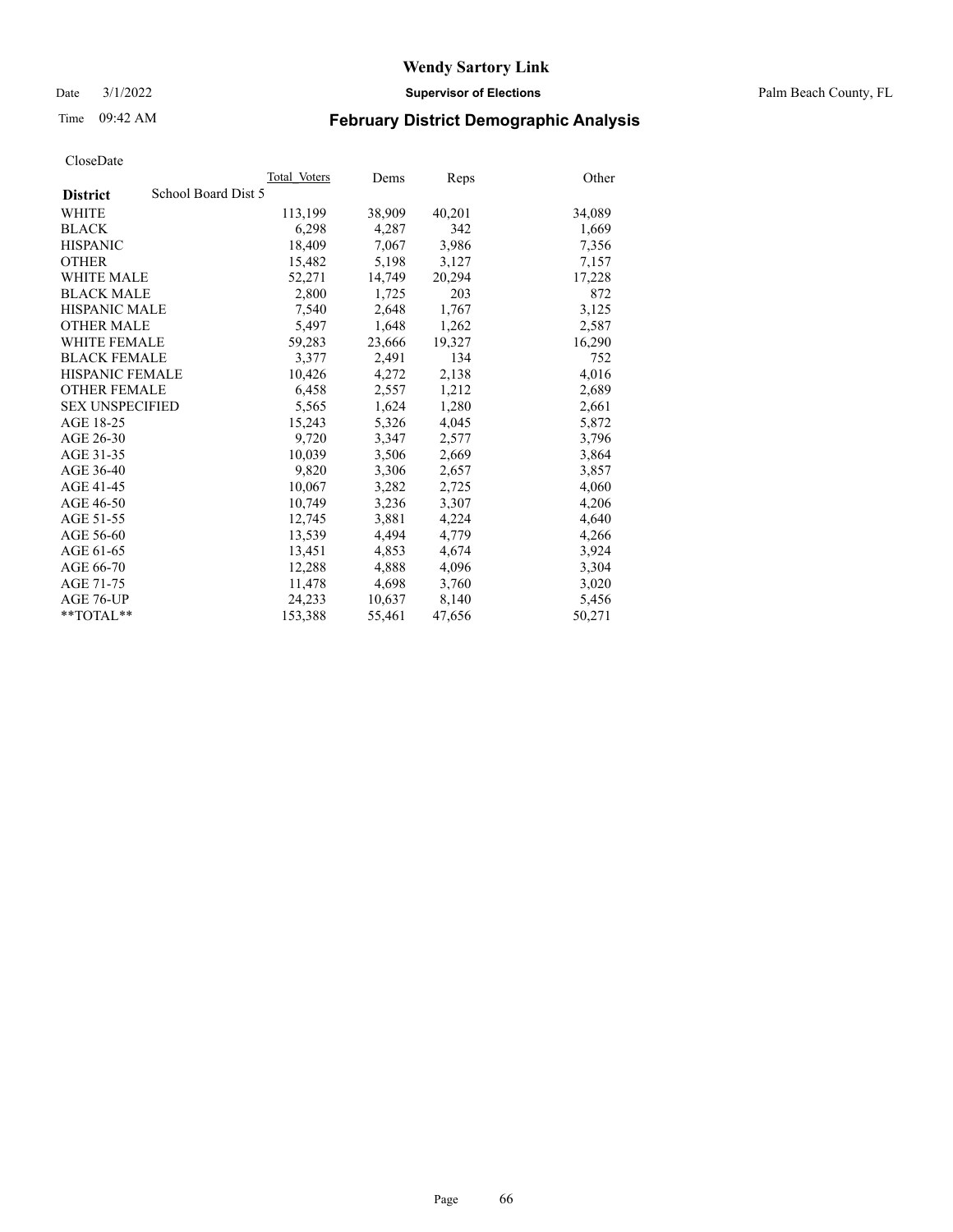Date 3/1/2022 **Supervisor of Elections** Palm Beach County, FL

# Time 09:42 AM **February District Demographic Analysis**

|                                        | Total Voters | Dems   | Reps   | Other  |
|----------------------------------------|--------------|--------|--------|--------|
| School Board Dist 5<br><b>District</b> |              |        |        |        |
| WHITE                                  | 113,199      | 38,909 | 40,201 | 34,089 |
| <b>BLACK</b>                           | 6,298        | 4,287  | 342    | 1,669  |
| <b>HISPANIC</b>                        | 18,409       | 7,067  | 3,986  | 7,356  |
| <b>OTHER</b>                           | 15,482       | 5,198  | 3,127  | 7,157  |
| <b>WHITE MALE</b>                      | 52,271       | 14,749 | 20,294 | 17,228 |
| <b>BLACK MALE</b>                      | 2,800        | 1,725  | 203    | 872    |
| <b>HISPANIC MALE</b>                   | 7,540        | 2,648  | 1,767  | 3,125  |
| <b>OTHER MALE</b>                      | 5,497        | 1,648  | 1,262  | 2,587  |
| <b>WHITE FEMALE</b>                    | 59,283       | 23,666 | 19,327 | 16,290 |
| <b>BLACK FEMALE</b>                    | 3.377        | 2.491  | 134    | 752    |
| <b>HISPANIC FEMALE</b>                 | 10,426       | 4,272  | 2,138  | 4,016  |
| <b>OTHER FEMALE</b>                    | 6,458        | 2,557  | 1,212  | 2,689  |
| <b>SEX UNSPECIFIED</b>                 | 5,565        | 1,624  | 1,280  | 2,661  |
| AGE 18-25                              | 15,243       | 5,326  | 4,045  | 5,872  |
| AGE 26-30                              | 9,720        | 3,347  | 2,577  | 3,796  |
| AGE 31-35                              | 10,039       | 3,506  | 2,669  | 3,864  |
| AGE 36-40                              | 9,820        | 3,306  | 2,657  | 3,857  |
| AGE 41-45                              | 10,067       | 3,282  | 2,725  | 4,060  |
| AGE 46-50                              | 10,749       | 3,236  | 3,307  | 4,206  |
| AGE 51-55                              | 12,745       | 3,881  | 4,224  | 4,640  |
| AGE 56-60                              | 13,539       | 4,494  | 4,779  | 4,266  |
| AGE 61-65                              | 13,451       | 4,853  | 4,674  | 3,924  |
| AGE 66-70                              | 12,288       | 4,888  | 4,096  | 3,304  |
| AGE 71-75                              | 11,478       | 4,698  | 3,760  | 3,020  |
| AGE 76-UP                              | 24,233       | 10,637 | 8,140  | 5,456  |
| $*$ $TOTAL**$                          | 153,388      | 55,461 | 47,656 | 50,271 |
|                                        |              |        |        |        |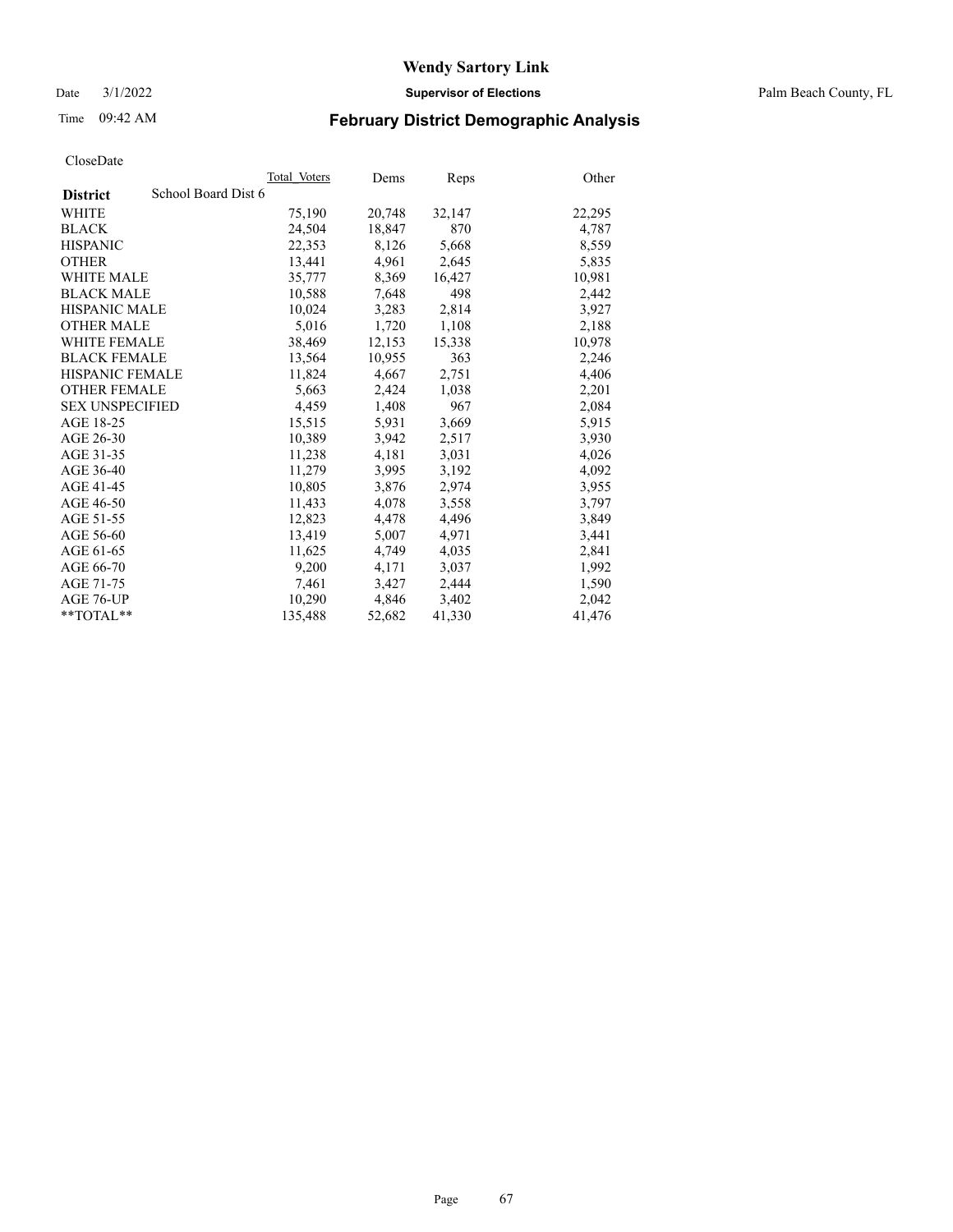Date 3/1/2022 **Supervisor of Elections** Palm Beach County, FL

# Time 09:42 AM **February District Demographic Analysis**

|                        | Total Voters        | Dems   | Reps   | Other  |
|------------------------|---------------------|--------|--------|--------|
| <b>District</b>        | School Board Dist 6 |        |        |        |
| WHITE                  | 75,190              | 20,748 | 32,147 | 22,295 |
| <b>BLACK</b>           | 24,504              | 18,847 | 870    | 4,787  |
| <b>HISPANIC</b>        | 22,353              | 8,126  | 5,668  | 8,559  |
| <b>OTHER</b>           | 13,441              | 4,961  | 2,645  | 5,835  |
| <b>WHITE MALE</b>      | 35,777              | 8,369  | 16,427 | 10,981 |
| <b>BLACK MALE</b>      | 10,588              | 7,648  | 498    | 2,442  |
| <b>HISPANIC MALE</b>   | 10,024              | 3,283  | 2,814  | 3,927  |
| <b>OTHER MALE</b>      | 5.016               | 1,720  | 1,108  | 2,188  |
| <b>WHITE FEMALE</b>    | 38,469              | 12,153 | 15,338 | 10,978 |
| <b>BLACK FEMALE</b>    | 13,564              | 10,955 | 363    | 2,246  |
| HISPANIC FEMALE        | 11,824              | 4,667  | 2,751  | 4,406  |
| <b>OTHER FEMALE</b>    | 5,663               | 2,424  | 1,038  | 2,201  |
| <b>SEX UNSPECIFIED</b> | 4,459               | 1,408  | 967    | 2,084  |
| AGE 18-25              | 15,515              | 5,931  | 3,669  | 5,915  |
| AGE 26-30              | 10,389              | 3,942  | 2,517  | 3,930  |
| AGE 31-35              | 11,238              | 4,181  | 3,031  | 4,026  |
| AGE 36-40              | 11,279              | 3,995  | 3,192  | 4,092  |
| AGE 41-45              | 10,805              | 3,876  | 2,974  | 3,955  |
| AGE 46-50              | 11,433              | 4,078  | 3,558  | 3,797  |
| AGE 51-55              | 12,823              | 4,478  | 4,496  | 3,849  |
| AGE 56-60              | 13,419              | 5,007  | 4,971  | 3,441  |
| AGE 61-65              | 11.625              | 4,749  | 4,035  | 2,841  |
| AGE 66-70              | 9,200               | 4,171  | 3,037  | 1,992  |
| AGE 71-75              | 7,461               | 3,427  | 2,444  | 1,590  |
| AGE 76-UP              | 10,290              | 4,846  | 3,402  | 2,042  |
| $*$ $TOTAL**$          | 135,488             | 52,682 | 41,330 | 41,476 |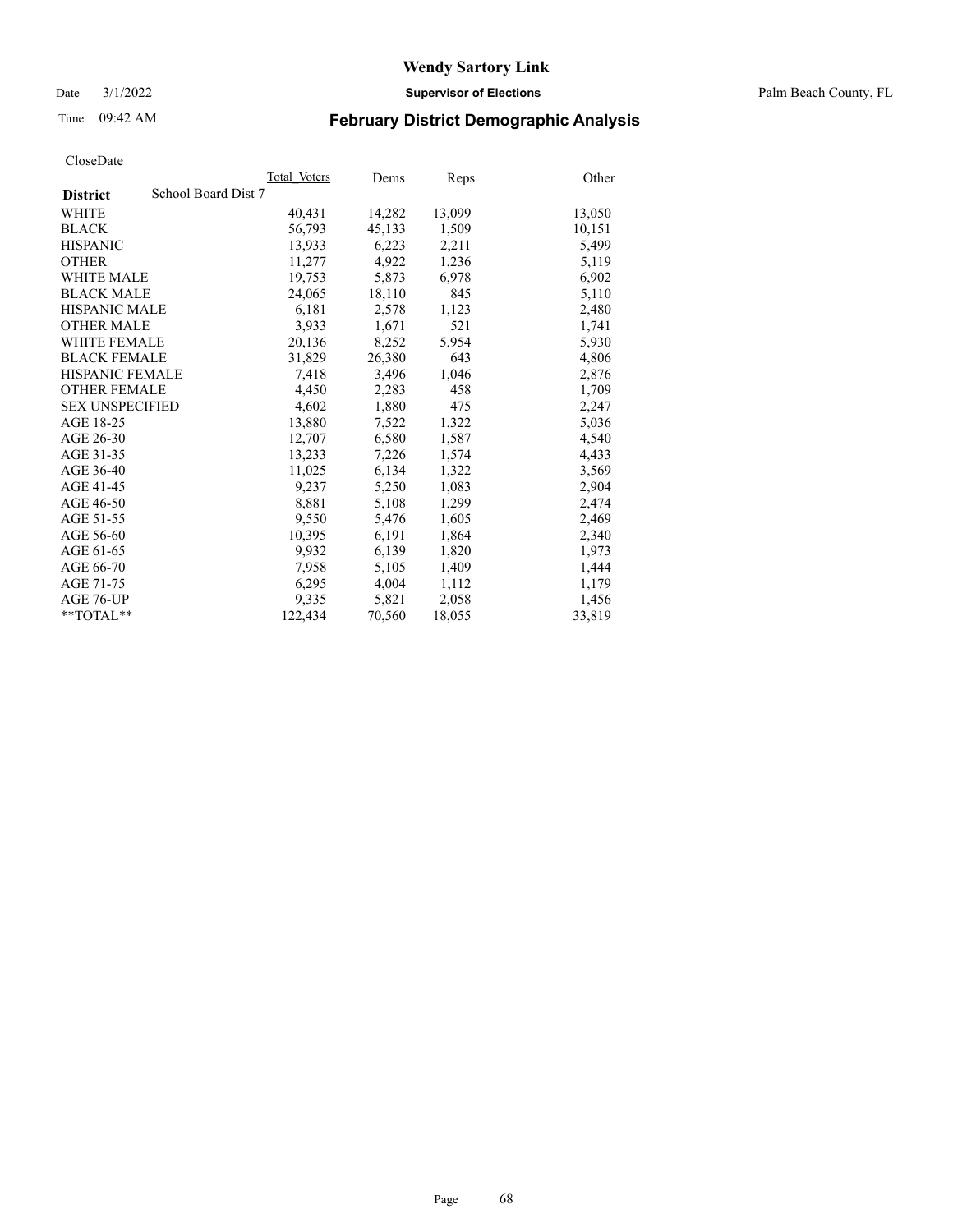Date 3/1/2022 **Supervisor of Elections** Palm Beach County, FL

# Time 09:42 AM **February District Demographic Analysis**

|                                        | Total Voters | Dems   | Reps   | Other  |
|----------------------------------------|--------------|--------|--------|--------|
| School Board Dist 7<br><b>District</b> |              |        |        |        |
| WHITE                                  | 40,431       | 14,282 | 13,099 | 13,050 |
| <b>BLACK</b>                           | 56,793       | 45,133 | 1,509  | 10,151 |
| <b>HISPANIC</b>                        | 13.933       | 6,223  | 2,211  | 5,499  |
| <b>OTHER</b>                           | 11,277       | 4,922  | 1,236  | 5,119  |
| <b>WHITE MALE</b>                      | 19,753       | 5,873  | 6,978  | 6,902  |
| <b>BLACK MALE</b>                      | 24,065       | 18,110 | 845    | 5,110  |
| <b>HISPANIC MALE</b>                   | 6,181        | 2,578  | 1,123  | 2,480  |
| <b>OTHER MALE</b>                      | 3.933        | 1,671  | 521    | 1,741  |
| <b>WHITE FEMALE</b>                    | 20,136       | 8,252  | 5.954  | 5,930  |
| <b>BLACK FEMALE</b>                    | 31,829       | 26,380 | 643    | 4,806  |
| <b>HISPANIC FEMALE</b>                 | 7,418        | 3,496  | 1,046  | 2,876  |
| <b>OTHER FEMALE</b>                    | 4,450        | 2,283  | 458    | 1,709  |
| <b>SEX UNSPECIFIED</b>                 | 4,602        | 1,880  | 475    | 2,247  |
| AGE 18-25                              | 13,880       | 7,522  | 1,322  | 5,036  |
| AGE 26-30                              | 12,707       | 6,580  | 1,587  | 4,540  |
| AGE 31-35                              | 13,233       | 7,226  | 1,574  | 4,433  |
| AGE 36-40                              | 11,025       | 6,134  | 1,322  | 3,569  |
| AGE 41-45                              | 9,237        | 5,250  | 1,083  | 2,904  |
| AGE 46-50                              | 8,881        | 5,108  | 1,299  | 2,474  |
| AGE 51-55                              | 9,550        | 5,476  | 1,605  | 2,469  |
| AGE 56-60                              | 10,395       | 6,191  | 1,864  | 2,340  |
| AGE 61-65                              | 9,932        | 6,139  | 1,820  | 1,973  |
| AGE 66-70                              | 7,958        | 5,105  | 1,409  | 1,444  |
| AGE 71-75                              | 6,295        | 4,004  | 1,112  | 1,179  |
| AGE 76-UP                              | 9.335        | 5,821  | 2,058  | 1,456  |
| $*$ $TOTAL**$                          | 122,434      | 70,560 | 18,055 | 33,819 |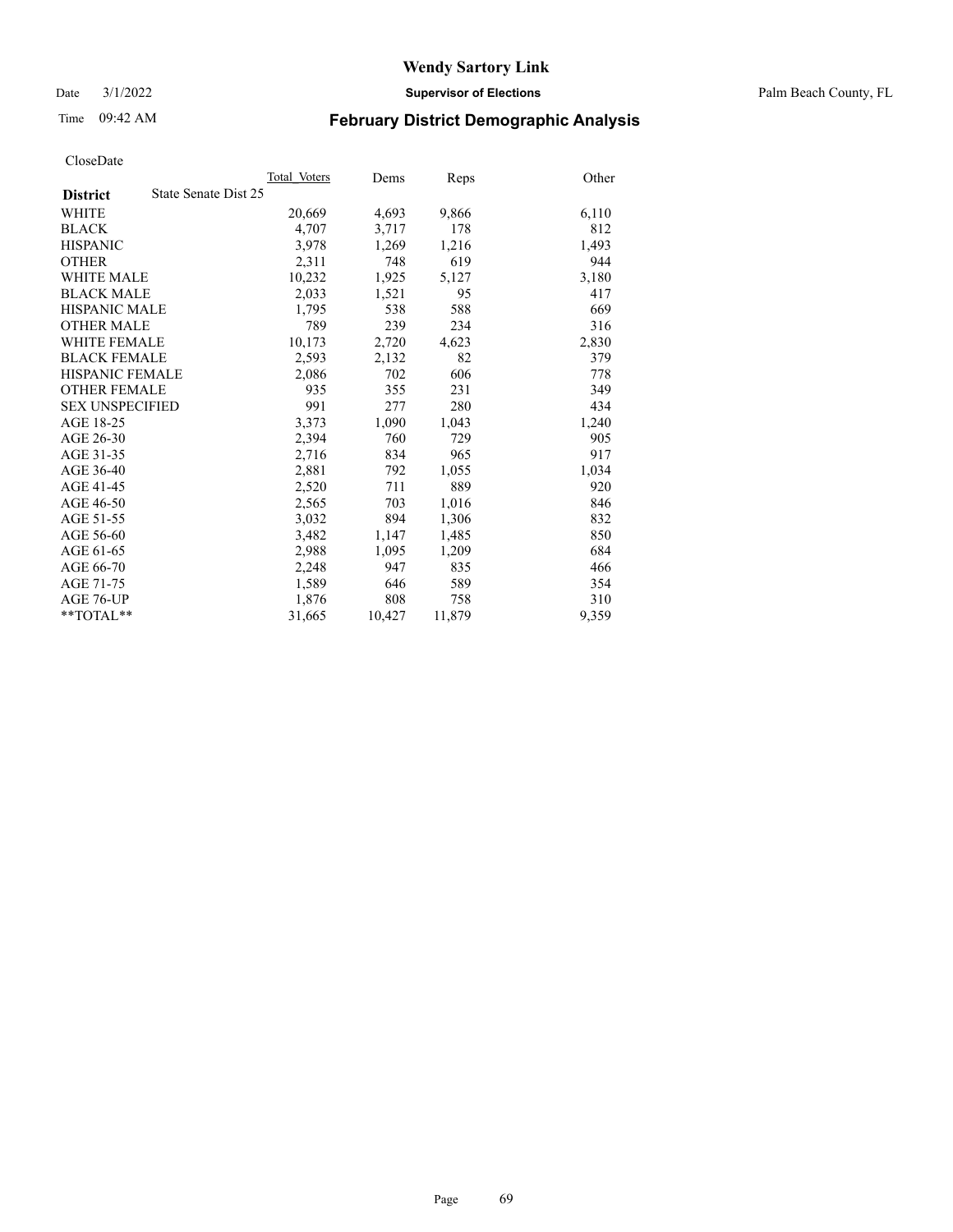Date 3/1/2022 **Supervisor of Elections** Palm Beach County, FL

# Time 09:42 AM **February District Demographic Analysis**

|                        | Total Voters         | Dems   | Reps   | Other |
|------------------------|----------------------|--------|--------|-------|
| <b>District</b>        | State Senate Dist 25 |        |        |       |
| WHITE                  | 20,669               | 4,693  | 9,866  | 6,110 |
| <b>BLACK</b>           | 4,707                | 3,717  | 178    | 812   |
| <b>HISPANIC</b>        | 3.978                | 1,269  | 1,216  | 1,493 |
| <b>OTHER</b>           | 2,311                | 748    | 619    | 944   |
| <b>WHITE MALE</b>      | 10,232               | 1,925  | 5,127  | 3,180 |
| <b>BLACK MALE</b>      | 2,033                | 1,521  | 95     | 417   |
| <b>HISPANIC MALE</b>   | 1,795                | 538    | 588    | 669   |
| <b>OTHER MALE</b>      | 789                  | 239    | 234    | 316   |
| <b>WHITE FEMALE</b>    | 10,173               | 2,720  | 4,623  | 2,830 |
| <b>BLACK FEMALE</b>    | 2,593                | 2,132  | 82     | 379   |
| <b>HISPANIC FEMALE</b> | 2,086                | 702    | 606    | 778   |
| <b>OTHER FEMALE</b>    | 935                  | 355    | 231    | 349   |
| <b>SEX UNSPECIFIED</b> | 991                  | 277    | 280    | 434   |
| AGE 18-25              | 3,373                | 1,090  | 1,043  | 1,240 |
| AGE 26-30              | 2,394                | 760    | 729    | 905   |
| AGE 31-35              | 2,716                | 834    | 965    | 917   |
| AGE 36-40              | 2,881                | 792    | 1,055  | 1,034 |
| AGE 41-45              | 2,520                | 711    | 889    | 920   |
| AGE 46-50              | 2,565                | 703    | 1,016  | 846   |
| AGE 51-55              | 3,032                | 894    | 1,306  | 832   |
| AGE 56-60              | 3,482                | 1,147  | 1,485  | 850   |
| AGE 61-65              | 2,988                | 1,095  | 1,209  | 684   |
| AGE 66-70              | 2,248                | 947    | 835    | 466   |
| AGE 71-75              | 1,589                | 646    | 589    | 354   |
| AGE 76-UP              | 1,876                | 808    | 758    | 310   |
| $*$ $TOTAL**$          | 31,665               | 10,427 | 11,879 | 9,359 |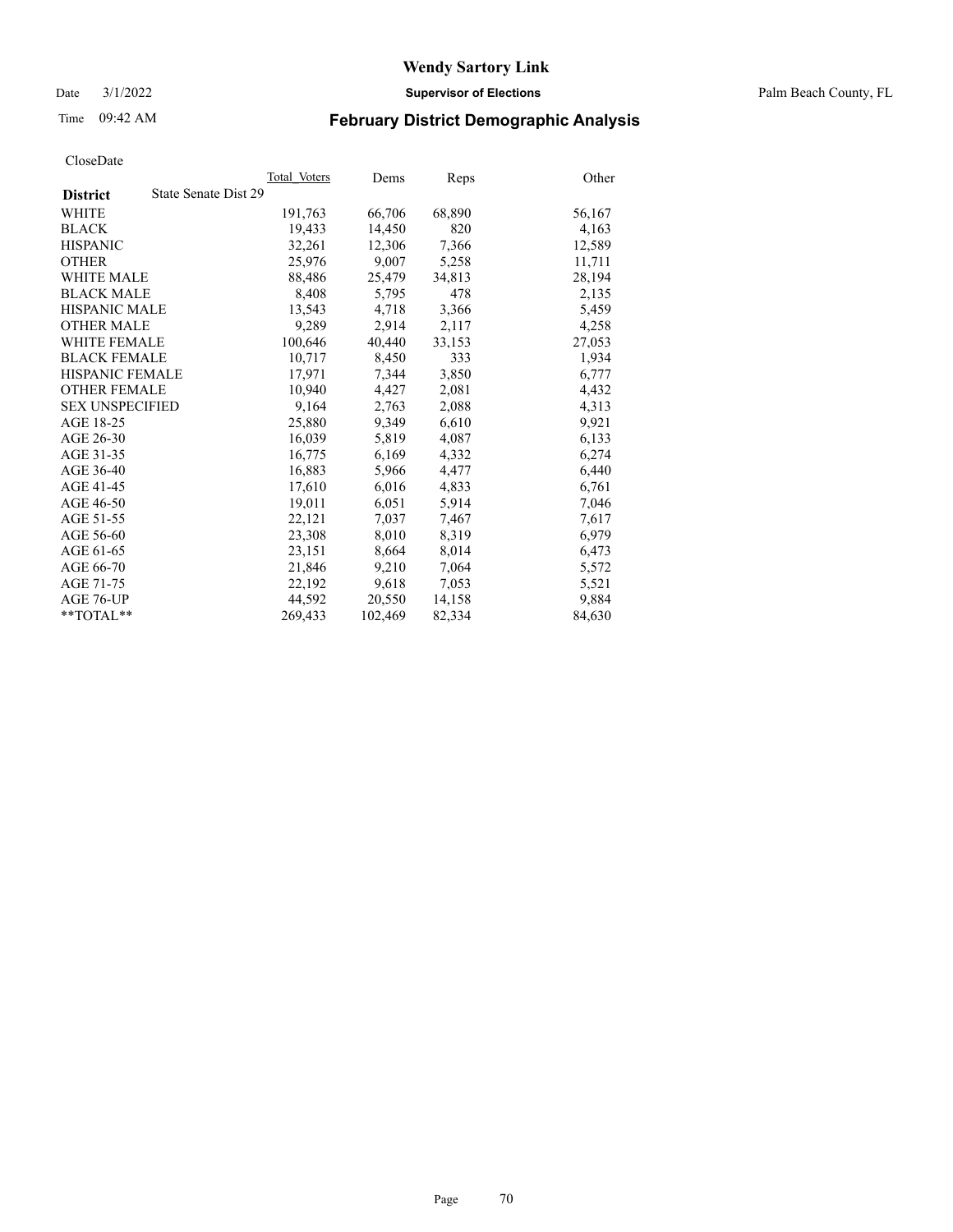Date 3/1/2022 **Supervisor of Elections** Palm Beach County, FL

# Time 09:42 AM **February District Demographic Analysis**

|                                         | Total Voters | Dems    | <b>Reps</b> | Other  |
|-----------------------------------------|--------------|---------|-------------|--------|
| State Senate Dist 29<br><b>District</b> |              |         |             |        |
| WHITE                                   | 191,763      | 66,706  | 68,890      | 56,167 |
| <b>BLACK</b>                            | 19,433       | 14,450  | 820         | 4,163  |
| <b>HISPANIC</b>                         | 32,261       | 12,306  | 7,366       | 12,589 |
| <b>OTHER</b>                            | 25,976       | 9,007   | 5,258       | 11,711 |
| <b>WHITE MALE</b>                       | 88,486       | 25,479  | 34,813      | 28,194 |
| <b>BLACK MALE</b>                       | 8,408        | 5,795   | 478         | 2,135  |
| <b>HISPANIC MALE</b>                    | 13,543       | 4,718   | 3,366       | 5,459  |
| <b>OTHER MALE</b>                       | 9,289        | 2,914   | 2,117       | 4,258  |
| <b>WHITE FEMALE</b>                     | 100,646      | 40,440  | 33,153      | 27,053 |
| <b>BLACK FEMALE</b>                     | 10,717       | 8,450   | 333         | 1,934  |
| <b>HISPANIC FEMALE</b>                  | 17,971       | 7,344   | 3,850       | 6,777  |
| <b>OTHER FEMALE</b>                     | 10,940       | 4,427   | 2,081       | 4,432  |
| <b>SEX UNSPECIFIED</b>                  | 9.164        | 2,763   | 2,088       | 4,313  |
| AGE 18-25                               | 25,880       | 9,349   | 6,610       | 9,921  |
| AGE 26-30                               | 16.039       | 5,819   | 4,087       | 6,133  |
| AGE 31-35                               | 16,775       | 6,169   | 4,332       | 6,274  |
| AGE 36-40                               | 16,883       | 5,966   | 4,477       | 6,440  |
| AGE 41-45                               | 17,610       | 6,016   | 4,833       | 6,761  |
| AGE 46-50                               | 19,011       | 6,051   | 5,914       | 7,046  |
| AGE 51-55                               | 22,121       | 7,037   | 7,467       | 7,617  |
| AGE 56-60                               | 23,308       | 8,010   | 8,319       | 6,979  |
| AGE 61-65                               | 23,151       | 8,664   | 8,014       | 6,473  |
| AGE 66-70                               | 21,846       | 9,210   | 7,064       | 5,572  |
| AGE 71-75                               | 22,192       | 9,618   | 7,053       | 5,521  |
| AGE 76-UP                               | 44,592       | 20,550  | 14,158      | 9,884  |
| $*$ $TOTAL**$                           | 269,433      | 102,469 | 82,334      | 84,630 |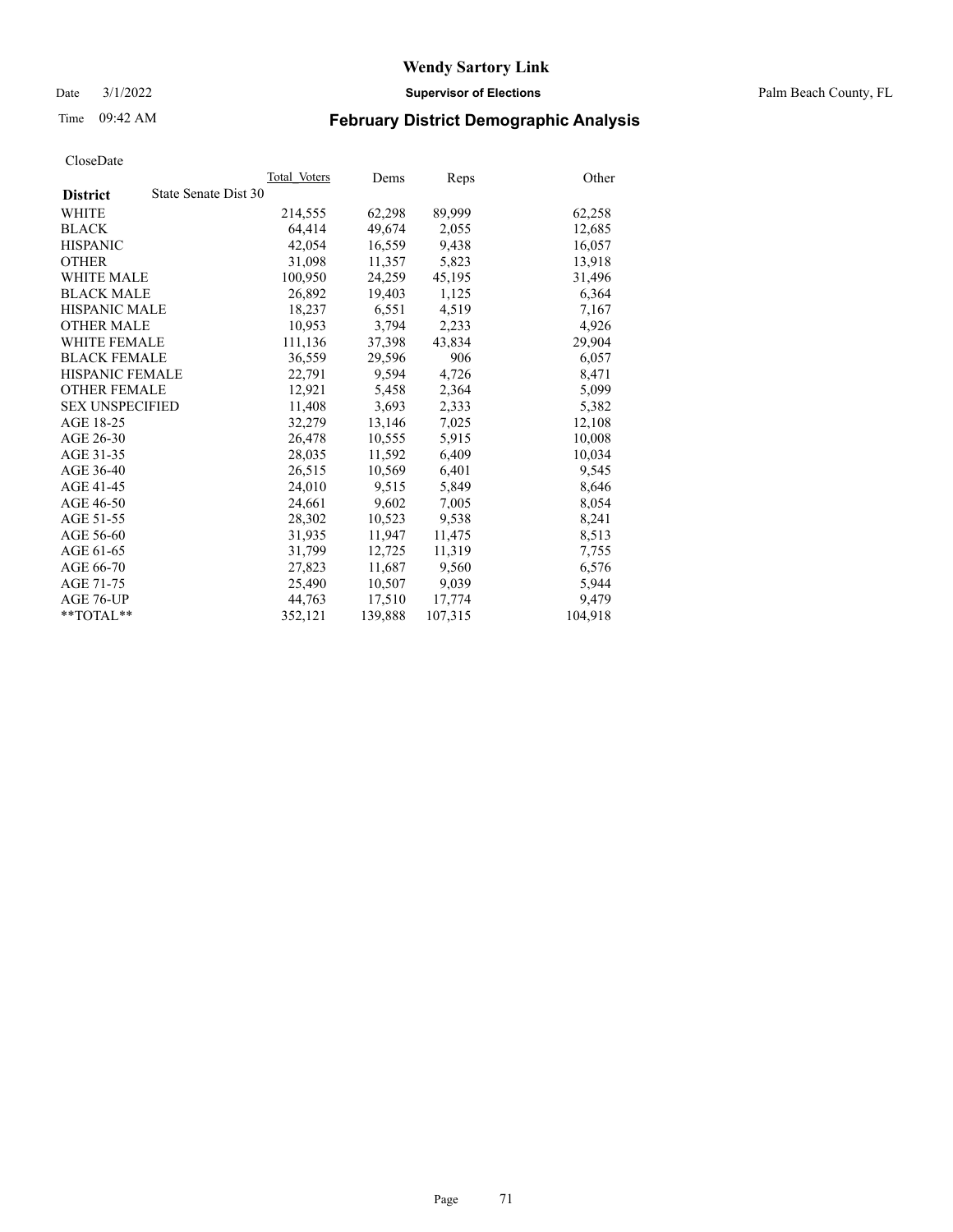Date 3/1/2022 **Supervisor of Elections** Palm Beach County, FL

# Time 09:42 AM **February District Demographic Analysis**

|                                         | Total Voters | Dems    | Reps    | Other   |
|-----------------------------------------|--------------|---------|---------|---------|
| State Senate Dist 30<br><b>District</b> |              |         |         |         |
| WHITE                                   | 214,555      | 62,298  | 89,999  | 62,258  |
| <b>BLACK</b>                            | 64,414       | 49,674  | 2,055   | 12,685  |
| <b>HISPANIC</b>                         | 42,054       | 16,559  | 9,438   | 16,057  |
| <b>OTHER</b>                            | 31,098       | 11,357  | 5,823   | 13,918  |
| <b>WHITE MALE</b>                       | 100,950      | 24,259  | 45,195  | 31,496  |
| <b>BLACK MALE</b>                       | 26,892       | 19,403  | 1,125   | 6,364   |
| <b>HISPANIC MALE</b>                    | 18,237       | 6,551   | 4,519   | 7,167   |
| <b>OTHER MALE</b>                       | 10,953       | 3,794   | 2,233   | 4,926   |
| <b>WHITE FEMALE</b>                     | 111,136      | 37,398  | 43,834  | 29,904  |
| <b>BLACK FEMALE</b>                     | 36.559       | 29.596  | 906     | 6,057   |
| <b>HISPANIC FEMALE</b>                  | 22,791       | 9.594   | 4,726   | 8,471   |
| <b>OTHER FEMALE</b>                     | 12,921       | 5,458   | 2,364   | 5,099   |
| <b>SEX UNSPECIFIED</b>                  | 11.408       | 3,693   | 2,333   | 5,382   |
| AGE 18-25                               | 32,279       | 13,146  | 7,025   | 12,108  |
| AGE 26-30                               | 26,478       | 10,555  | 5,915   | 10,008  |
| AGE 31-35                               | 28,035       | 11,592  | 6,409   | 10,034  |
| AGE 36-40                               | 26,515       | 10,569  | 6,401   | 9,545   |
| AGE 41-45                               | 24,010       | 9,515   | 5,849   | 8,646   |
| AGE 46-50                               | 24,661       | 9,602   | 7,005   | 8,054   |
| AGE 51-55                               | 28,302       | 10,523  | 9,538   | 8,241   |
| AGE 56-60                               | 31,935       | 11,947  | 11,475  | 8,513   |
| AGE 61-65                               | 31,799       | 12,725  | 11,319  | 7,755   |
| AGE 66-70                               | 27,823       | 11,687  | 9,560   | 6,576   |
| AGE 71-75                               | 25,490       | 10,507  | 9,039   | 5,944   |
| AGE 76-UP                               | 44,763       | 17,510  | 17,774  | 9,479   |
| $*$ $TOTAL**$                           | 352,121      | 139,888 | 107,315 | 104,918 |
|                                         |              |         |         |         |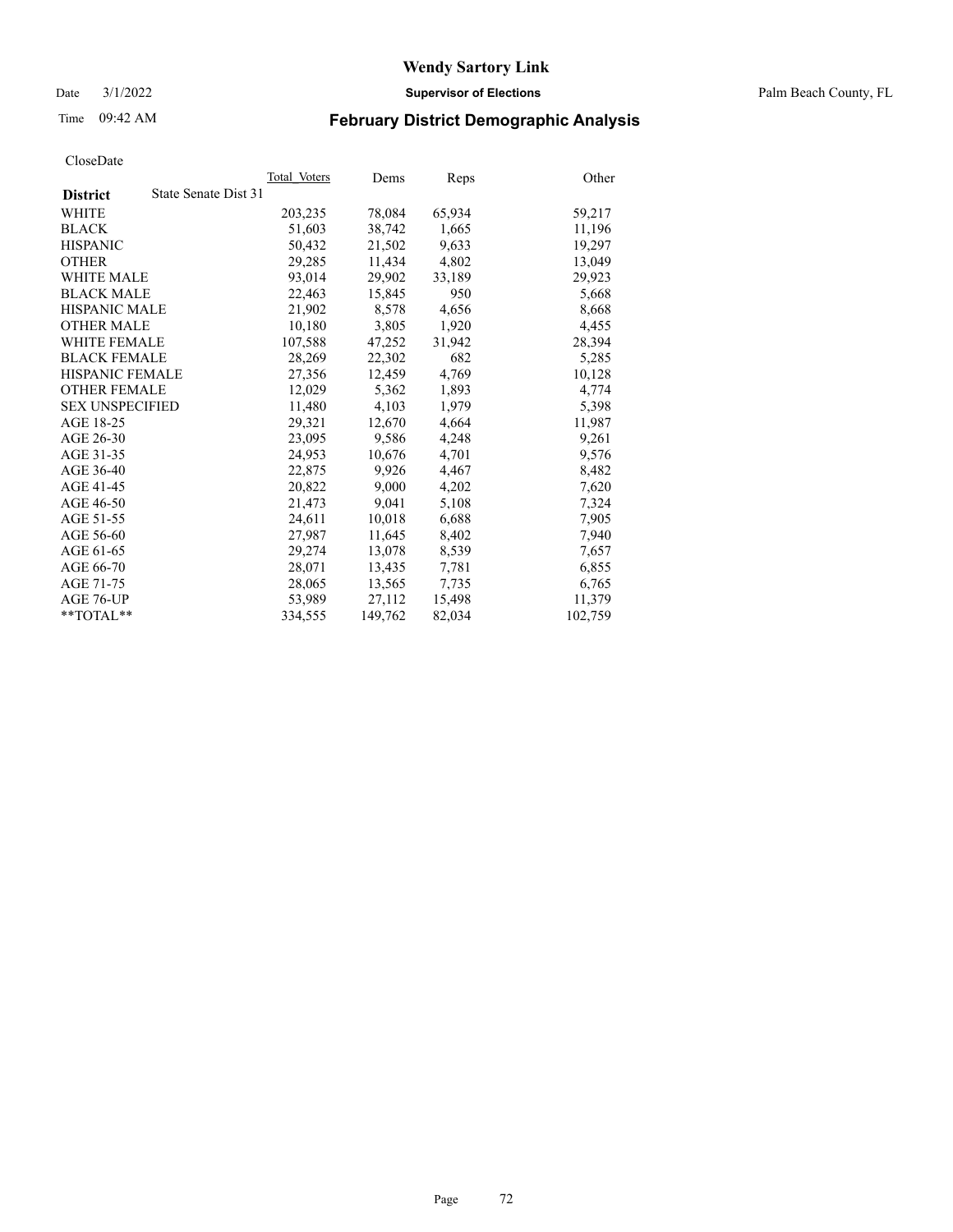Date 3/1/2022 **Supervisor of Elections** Palm Beach County, FL

# Time 09:42 AM **February District Demographic Analysis**

| Cioscizate             |                      |              |         |        |         |
|------------------------|----------------------|--------------|---------|--------|---------|
|                        |                      | Total Voters | Dems    | Reps   | Other   |
| <b>District</b>        | State Senate Dist 31 |              |         |        |         |
| WHITE                  |                      | 203,235      | 78,084  | 65,934 | 59,217  |
| <b>BLACK</b>           |                      | 51,603       | 38,742  | 1,665  | 11,196  |
| <b>HISPANIC</b>        |                      | 50.432       | 21,502  | 9,633  | 19.297  |
| <b>OTHER</b>           |                      | 29,285       | 11,434  | 4,802  | 13,049  |
| <b>WHITE MALE</b>      |                      | 93.014       | 29,902  | 33,189 | 29,923  |
| <b>BLACK MALE</b>      |                      | 22,463       | 15,845  | 950    | 5,668   |
| HISPANIC MALE          |                      | 21,902       | 8,578   | 4,656  | 8,668   |
| <b>OTHER MALE</b>      |                      | 10,180       | 3,805   | 1,920  | 4,455   |
| <b>WHITE FEMALE</b>    |                      | 107,588      | 47,252  | 31,942 | 28,394  |
| <b>BLACK FEMALE</b>    |                      | 28,269       | 22,302  | 682    | 5,285   |
| <b>HISPANIC FEMALE</b> |                      | 27,356       | 12,459  | 4,769  | 10,128  |
| <b>OTHER FEMALE</b>    |                      | 12,029       | 5,362   | 1,893  | 4,774   |
| <b>SEX UNSPECIFIED</b> |                      | 11,480       | 4,103   | 1,979  | 5,398   |
| AGE 18-25              |                      | 29,321       | 12,670  | 4,664  | 11,987  |
| AGE 26-30              |                      | 23,095       | 9,586   | 4,248  | 9,261   |
| AGE 31-35              |                      | 24,953       | 10,676  | 4,701  | 9,576   |
| AGE 36-40              |                      | 22,875       | 9,926   | 4,467  | 8,482   |
| AGE 41-45              |                      | 20,822       | 9,000   | 4,202  | 7,620   |
| AGE 46-50              |                      | 21,473       | 9,041   | 5,108  | 7,324   |
| AGE 51-55              |                      | 24,611       | 10,018  | 6,688  | 7,905   |
| AGE 56-60              |                      | 27,987       | 11,645  | 8,402  | 7,940   |
| AGE 61-65              |                      | 29,274       | 13,078  | 8,539  | 7,657   |
| AGE 66-70              |                      | 28,071       | 13,435  | 7,781  | 6,855   |
| AGE 71-75              |                      | 28,065       | 13,565  | 7,735  | 6,765   |
| AGE 76-UP              |                      | 53,989       | 27,112  | 15,498 | 11,379  |
| $*$ $TOTAL**$          |                      | 334,555      | 149,762 | 82,034 | 102,759 |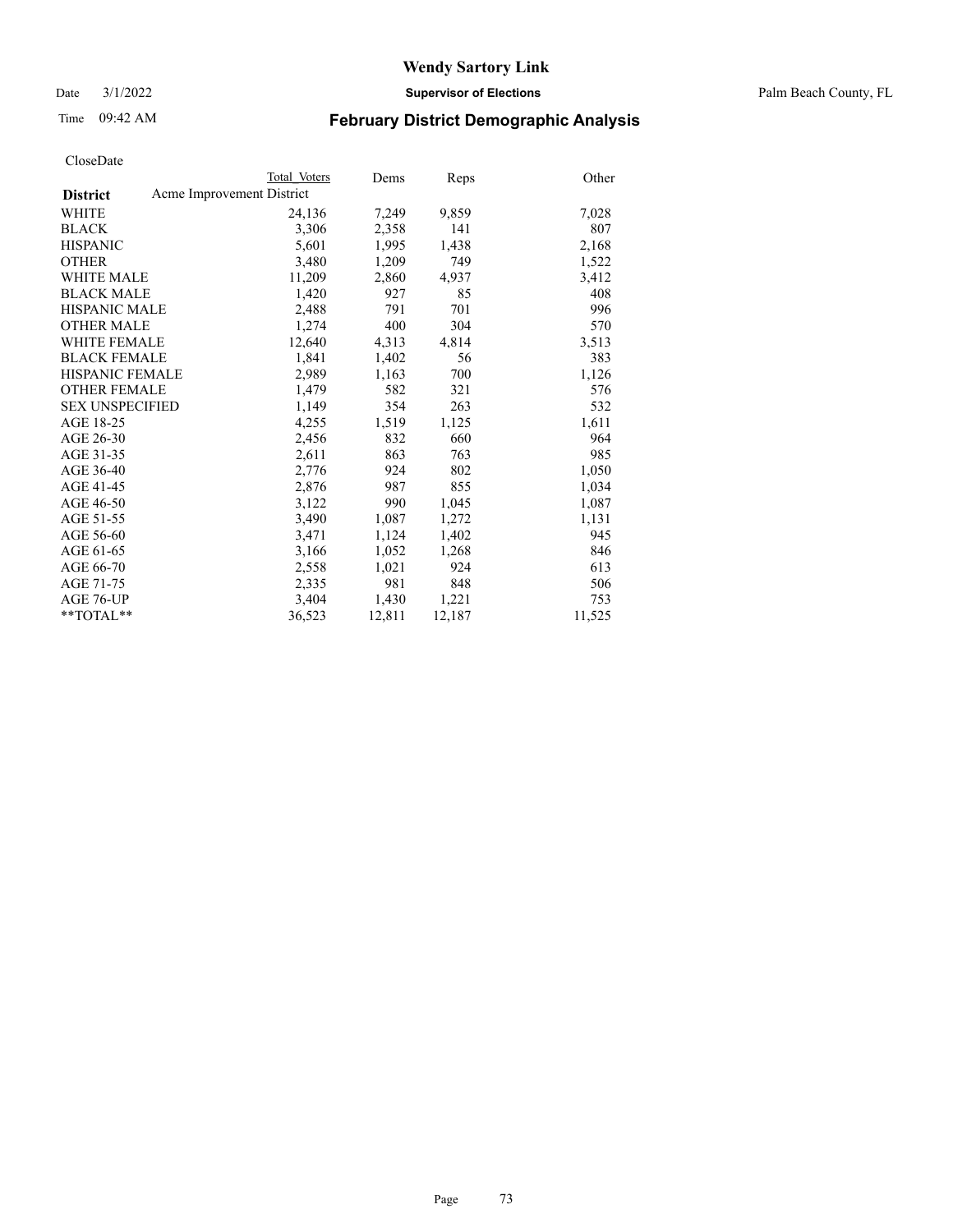Date 3/1/2022 **Supervisor of Elections** Palm Beach County, FL

## Time 09:42 AM **February District Demographic Analysis**

|                        | Total Voters              | Dems   | Reps   | Other  |
|------------------------|---------------------------|--------|--------|--------|
| <b>District</b>        | Acme Improvement District |        |        |        |
| WHITE                  | 24,136                    | 7,249  | 9,859  | 7,028  |
| <b>BLACK</b>           | 3,306                     | 2,358  | 141    | 807    |
| <b>HISPANIC</b>        | 5.601                     | 1,995  | 1,438  | 2,168  |
| <b>OTHER</b>           | 3,480                     | 1,209  | 749    | 1,522  |
| <b>WHITE MALE</b>      | 11,209                    | 2,860  | 4,937  | 3,412  |
| <b>BLACK MALE</b>      | 1,420                     | 927    | 85     | 408    |
| <b>HISPANIC MALE</b>   | 2,488                     | 791    | 701    | 996    |
| <b>OTHER MALE</b>      | 1,274                     | 400    | 304    | 570    |
| <b>WHITE FEMALE</b>    | 12,640                    | 4,313  | 4,814  | 3,513  |
| <b>BLACK FEMALE</b>    | 1,841                     | 1,402  | 56     | 383    |
| <b>HISPANIC FEMALE</b> | 2,989                     | 1,163  | 700    | 1,126  |
| <b>OTHER FEMALE</b>    | 1,479                     | 582    | 321    | 576    |
| <b>SEX UNSPECIFIED</b> | 1,149                     | 354    | 263    | 532    |
| AGE 18-25              | 4,255                     | 1,519  | 1,125  | 1,611  |
| AGE 26-30              | 2,456                     | 832    | 660    | 964    |
| AGE 31-35              | 2,611                     | 863    | 763    | 985    |
| AGE 36-40              | 2,776                     | 924    | 802    | 1,050  |
| AGE 41-45              | 2,876                     | 987    | 855    | 1,034  |
| AGE 46-50              | 3,122                     | 990    | 1,045  | 1,087  |
| AGE 51-55              | 3,490                     | 1,087  | 1,272  | 1,131  |
| AGE 56-60              | 3,471                     | 1,124  | 1,402  | 945    |
| AGE 61-65              | 3,166                     | 1,052  | 1,268  | 846    |
| AGE 66-70              | 2,558                     | 1,021  | 924    | 613    |
| AGE 71-75              | 2,335                     | 981    | 848    | 506    |
| AGE 76-UP              | 3,404                     | 1,430  | 1,221  | 753    |
| $*$ $TOTAL**$          | 36,523                    | 12,811 | 12,187 | 11,525 |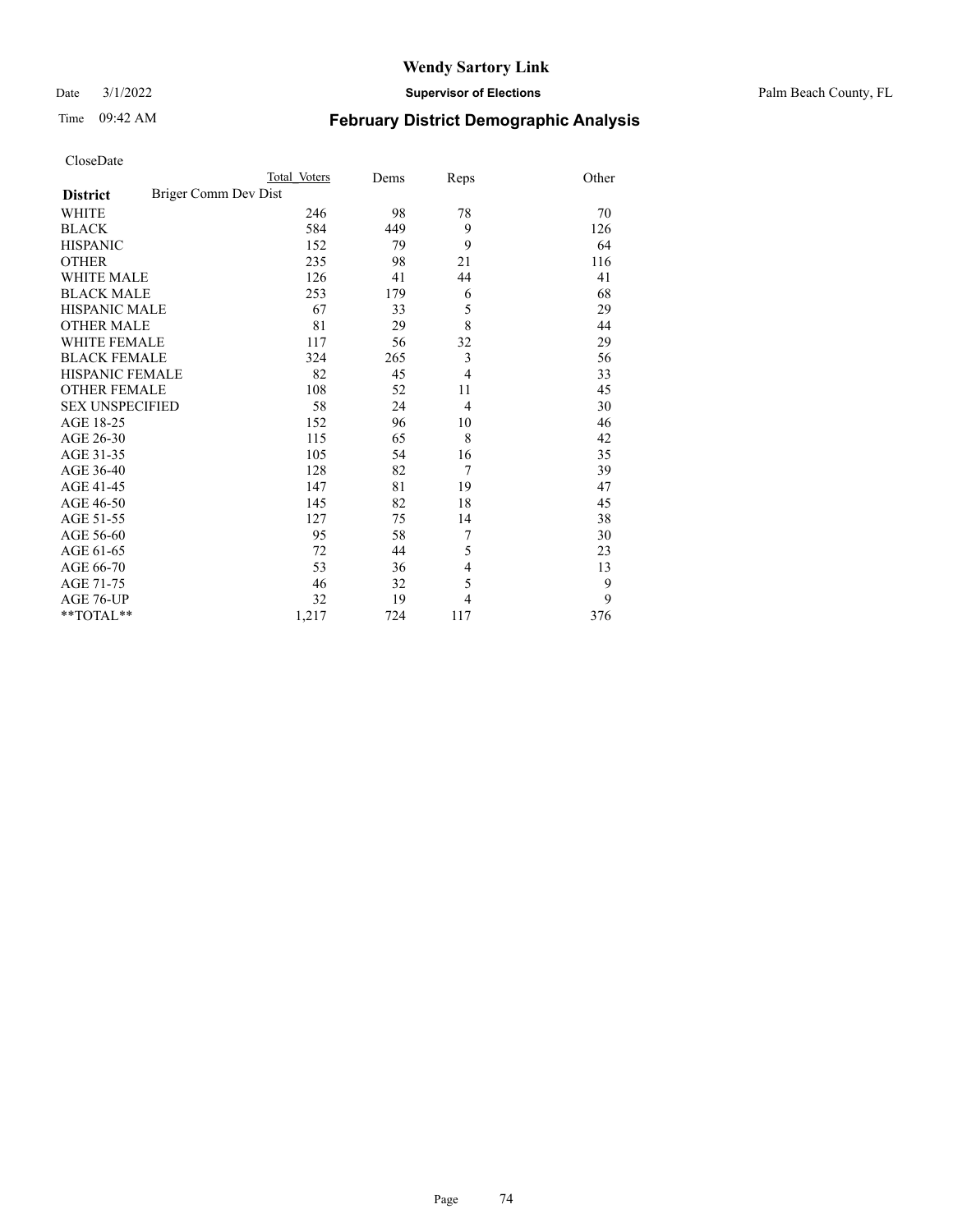Date 3/1/2022 **Supervisor of Elections** Palm Beach County, FL

# Time 09:42 AM **February District Demographic Analysis**

|                                         | Total Voters | Dems | Reps           | Other |
|-----------------------------------------|--------------|------|----------------|-------|
| Briger Comm Dev Dist<br><b>District</b> |              |      |                |       |
| <b>WHITE</b>                            | 246          | 98   | 78             | 70    |
| <b>BLACK</b>                            | 584          | 449  | 9              | 126   |
| <b>HISPANIC</b>                         | 152          | 79   | 9              | 64    |
| <b>OTHER</b>                            | 235          | 98   | 21             | 116   |
| <b>WHITE MALE</b>                       | 126          | 41   | 44             | 41    |
| <b>BLACK MALE</b>                       | 253          | 179  | 6              | 68    |
| <b>HISPANIC MALE</b>                    | 67           | 33   | 5              | 29    |
| <b>OTHER MALE</b>                       | 81           | 29   | 8              | 44    |
| <b>WHITE FEMALE</b>                     | 117          | 56   | 32             | 29    |
| <b>BLACK FEMALE</b>                     | 324          | 265  | 3              | 56    |
| <b>HISPANIC FEMALE</b>                  | 82           | 45   | $\overline{4}$ | 33    |
| <b>OTHER FEMALE</b>                     | 108          | 52   | 11             | 45    |
| <b>SEX UNSPECIFIED</b>                  | 58           | 24   | $\overline{4}$ | 30    |
| AGE 18-25                               | 152          | 96   | 10             | 46    |
| AGE 26-30                               | 115          | 65   | 8              | 42    |
| AGE 31-35                               | 105          | 54   | 16             | 35    |
| AGE 36-40                               | 128          | 82   | 7              | 39    |
| AGE 41-45                               | 147          | 81   | 19             | 47    |
| AGE 46-50                               | 145          | 82   | 18             | 45    |
| AGE 51-55                               | 127          | 75   | 14             | 38    |
| AGE 56-60                               | 95           | 58   | 7              | 30    |
| AGE 61-65                               | 72           | 44   | 5              | 23    |
| AGE 66-70                               | 53           | 36   | $\overline{4}$ | 13    |
| AGE 71-75                               | 46           | 32   | 5              | 9     |
| AGE 76-UP                               | 32           | 19   | $\overline{4}$ | 9     |
| **TOTAL**                               | 1,217        | 724  | 117            | 376   |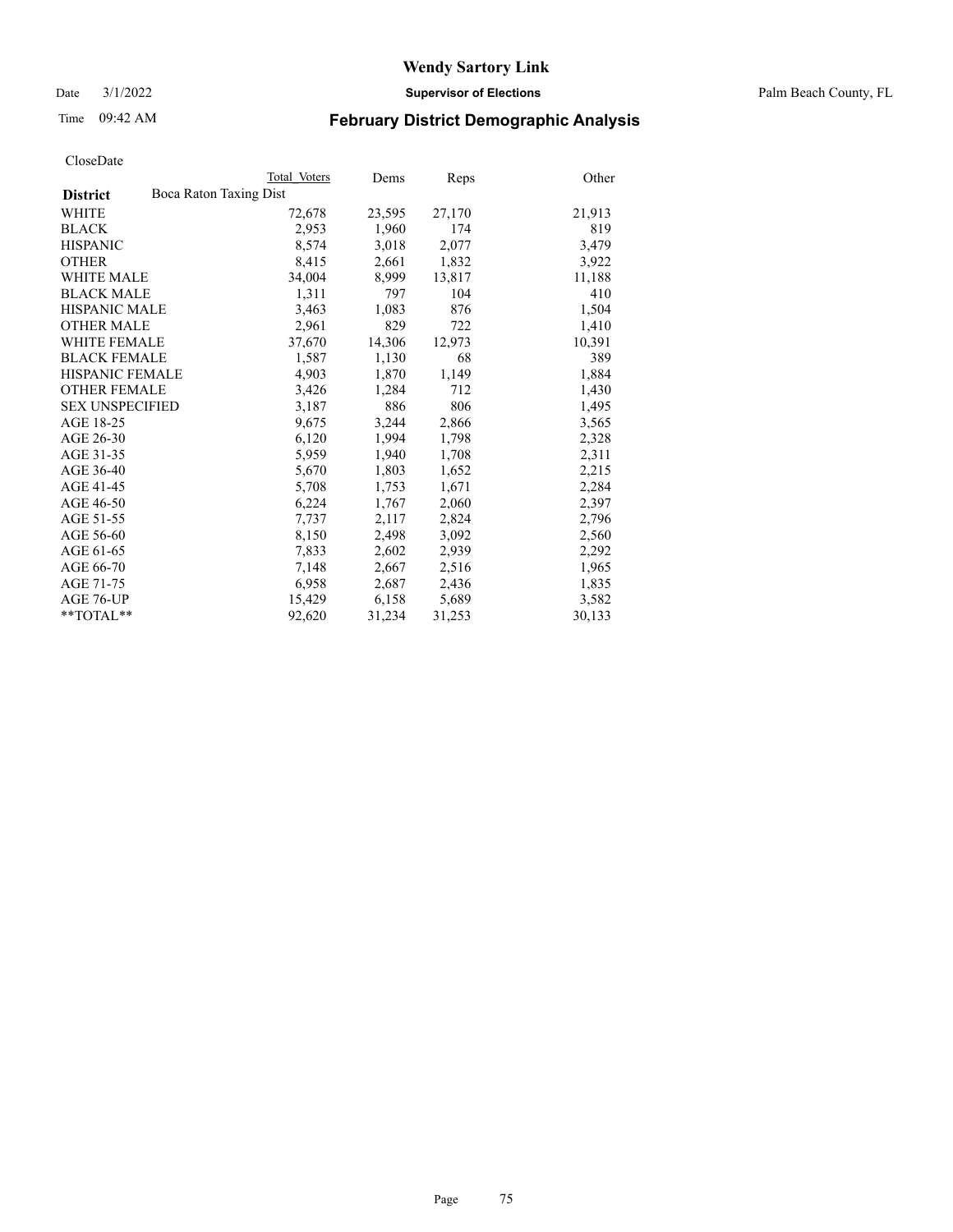Date 3/1/2022 **Supervisor of Elections** Palm Beach County, FL

## Time 09:42 AM **February District Demographic Analysis**

|                                           | Total Voters | Dems   | <b>Reps</b> | Other  |
|-------------------------------------------|--------------|--------|-------------|--------|
| Boca Raton Taxing Dist<br><b>District</b> |              |        |             |        |
| WHITE                                     | 72,678       | 23,595 | 27,170      | 21,913 |
| <b>BLACK</b>                              | 2,953        | 1,960  | 174         | 819    |
| <b>HISPANIC</b>                           | 8,574        | 3,018  | 2,077       | 3,479  |
| <b>OTHER</b>                              | 8,415        | 2,661  | 1,832       | 3,922  |
| <b>WHITE MALE</b>                         | 34,004       | 8,999  | 13,817      | 11,188 |
| <b>BLACK MALE</b>                         | 1,311        | 797    | 104         | 410    |
| <b>HISPANIC MALE</b>                      | 3,463        | 1,083  | 876         | 1,504  |
| <b>OTHER MALE</b>                         | 2,961        | 829    | 722         | 1,410  |
| <b>WHITE FEMALE</b>                       | 37,670       | 14,306 | 12,973      | 10,391 |
| <b>BLACK FEMALE</b>                       | 1,587        | 1,130  | 68          | 389    |
| <b>HISPANIC FEMALE</b>                    | 4,903        | 1,870  | 1,149       | 1,884  |
| <b>OTHER FEMALE</b>                       | 3,426        | 1,284  | 712         | 1,430  |
| <b>SEX UNSPECIFIED</b>                    | 3,187        | 886    | 806         | 1,495  |
| AGE 18-25                                 | 9,675        | 3,244  | 2,866       | 3,565  |
| AGE 26-30                                 | 6,120        | 1,994  | 1,798       | 2,328  |
| AGE 31-35                                 | 5,959        | 1,940  | 1,708       | 2,311  |
| AGE 36-40                                 | 5,670        | 1,803  | 1,652       | 2,215  |
| AGE 41-45                                 | 5,708        | 1,753  | 1,671       | 2,284  |
| AGE 46-50                                 | 6,224        | 1,767  | 2,060       | 2,397  |
| AGE 51-55                                 | 7,737        | 2,117  | 2,824       | 2,796  |
| AGE 56-60                                 | 8,150        | 2,498  | 3,092       | 2,560  |
| AGE 61-65                                 | 7,833        | 2,602  | 2,939       | 2,292  |
| AGE 66-70                                 | 7,148        | 2,667  | 2,516       | 1,965  |
| AGE 71-75                                 | 6,958        | 2,687  | 2,436       | 1,835  |
| AGE 76-UP                                 | 15,429       | 6,158  | 5,689       | 3,582  |
| **TOTAL**                                 | 92,620       | 31,234 | 31,253      | 30,133 |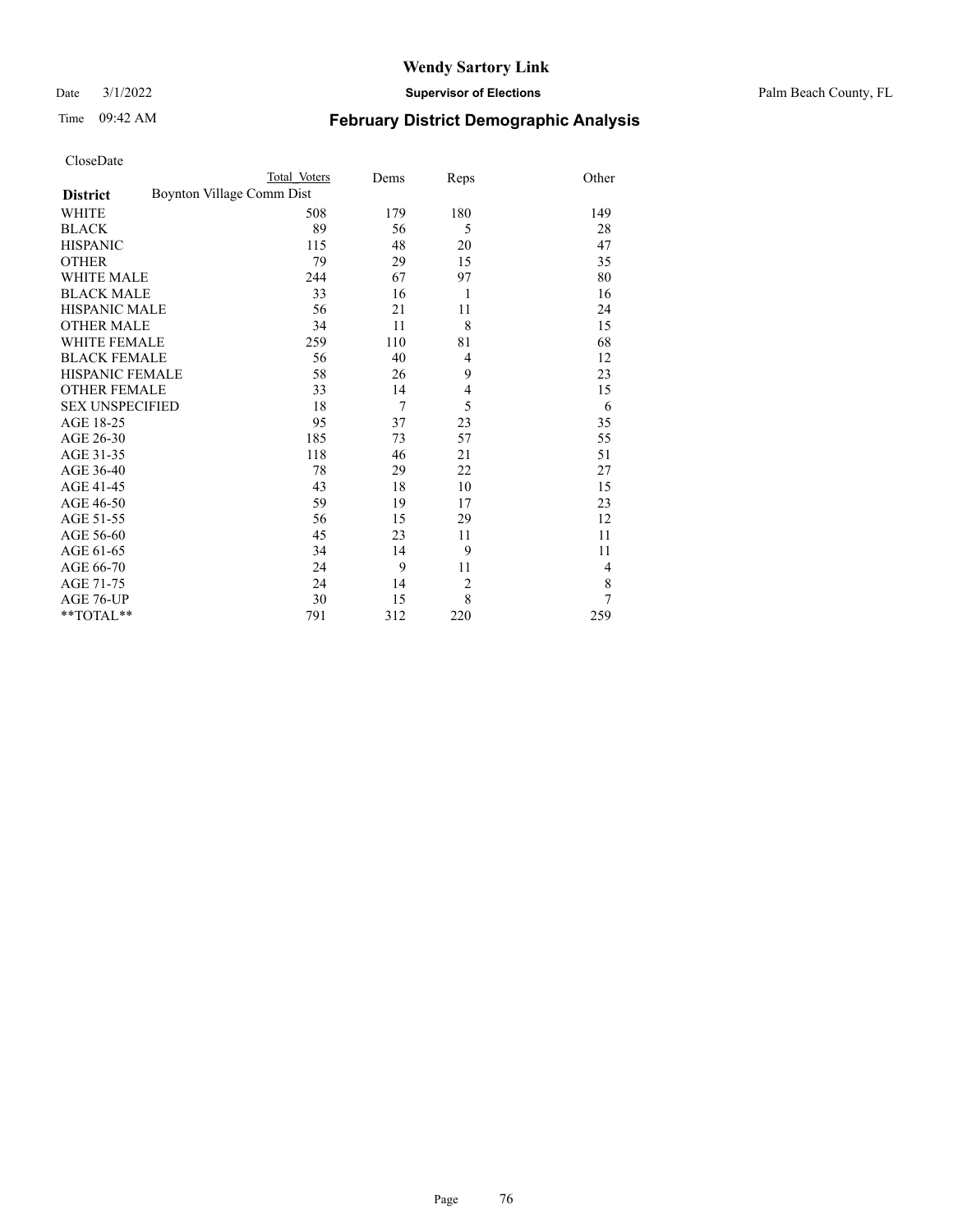**District** Boynton Village Comm Dist

## **Wendy Sartory Link**

Date 3/1/2022 **Supervisor of Elections** Palm Beach County, FL

Total\_Voters Dems Reps Other

# Time 09:42 AM **February District Demographic Analysis**

| <b>BLACK</b>           | 89  | 56  | 5              | 28             |
|------------------------|-----|-----|----------------|----------------|
| <b>HISPANIC</b>        | 115 | 48  | 20             | 47             |
| <b>OTHER</b>           | 79  | 29  | 15             | 35             |
| <b>WHITE MALE</b>      | 244 | 67  | 97             | 80             |
| <b>BLACK MALE</b>      | 33  | 16  | 1              | 16             |
| <b>HISPANIC MALE</b>   | 56  | 21  | 11             | 24             |
| <b>OTHER MALE</b>      | 34  | 11  | 8              | 15             |
| WHITE FEMALE           | 259 | 110 | 81             | 68             |
| <b>BLACK FEMALE</b>    | 56  | 40  | $\overline{4}$ | 12             |
| <b>HISPANIC FEMALE</b> | 58  | 26  | 9              | 23             |
| <b>OTHER FEMALE</b>    | 33  | 14  | $\overline{4}$ | 15             |
| <b>SEX UNSPECIFIED</b> | 18  | 7   | 5              | 6              |
| AGE 18-25              | 95  | 37  | 23             | 35             |
| AGE 26-30              | 185 | 73  | 57             | 55             |
| AGE 31-35              | 118 | 46  | 21             | 51             |
| AGE 36-40              | 78  | 29  | 22             | 27             |
| AGE 41-45              | 43  | 18  | 10             | 15             |
| AGE 46-50              | 59  | 19  | 17             | 23             |
| AGE 51-55              | 56  | 15  | 29             | 12             |
| AGE 56-60              | 45  | 23  | 11             | 11             |
| AGE 61-65              | 34  | 14  | 9              | 11             |
| AGE 66-70              | 24  | 9   | 11             | $\overline{4}$ |
| AGE 71-75              | 24  | 14  | $\overline{2}$ | 8              |
| AGE 76-UP              | 30  | 15  | 8              | 7              |
| **TOTAL**              | 791 | 312 | 220            | 259            |

WHITE 508 179 180 149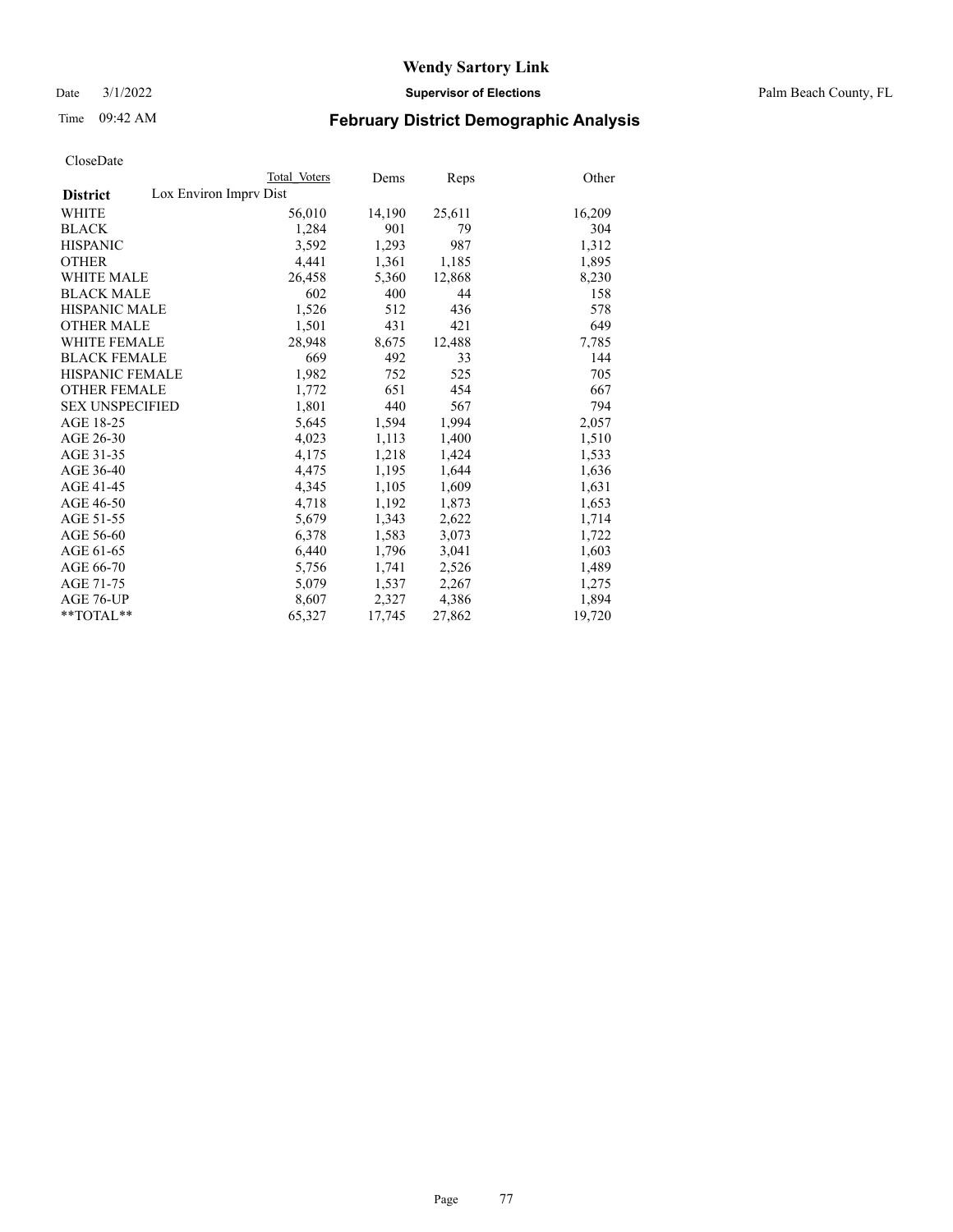Date 3/1/2022 **Supervisor of Elections** Palm Beach County, FL

## Time 09:42 AM **February District Demographic Analysis**

|                                           | Total Voters | Dems   | Reps   | Other  |
|-------------------------------------------|--------------|--------|--------|--------|
| Lox Environ Imprv Dist<br><b>District</b> |              |        |        |        |
| <b>WHITE</b>                              | 56,010       | 14,190 | 25,611 | 16,209 |
| <b>BLACK</b>                              | 1,284        | 901    | 79     | 304    |
| <b>HISPANIC</b>                           | 3,592        | 1,293  | 987    | 1,312  |
| <b>OTHER</b>                              | 4,441        | 1,361  | 1,185  | 1,895  |
| <b>WHITE MALE</b>                         | 26,458       | 5,360  | 12,868 | 8,230  |
| <b>BLACK MALE</b>                         | 602          | 400    | 44     | 158    |
| <b>HISPANIC MALE</b>                      | 1,526        | 512    | 436    | 578    |
| <b>OTHER MALE</b>                         | 1,501        | 431    | 421    | 649    |
| <b>WHITE FEMALE</b>                       | 28,948       | 8,675  | 12,488 | 7,785  |
| <b>BLACK FEMALE</b>                       | 669          | 492    | 33     | 144    |
| HISPANIC FEMALE                           | 1,982        | 752    | 525    | 705    |
| <b>OTHER FEMALE</b>                       | 1,772        | 651    | 454    | 667    |
| <b>SEX UNSPECIFIED</b>                    | 1,801        | 440    | 567    | 794    |
| AGE 18-25                                 | 5,645        | 1,594  | 1,994  | 2,057  |
| AGE 26-30                                 | 4,023        | 1,113  | 1,400  | 1,510  |
| AGE 31-35                                 | 4,175        | 1,218  | 1,424  | 1,533  |
| AGE 36-40                                 | 4,475        | 1,195  | 1,644  | 1,636  |
| AGE 41-45                                 | 4,345        | 1,105  | 1,609  | 1,631  |
| AGE 46-50                                 | 4,718        | 1,192  | 1,873  | 1,653  |
| AGE 51-55                                 | 5,679        | 1,343  | 2,622  | 1,714  |
| AGE 56-60                                 | 6,378        | 1,583  | 3,073  | 1,722  |
| AGE 61-65                                 | 6,440        | 1,796  | 3,041  | 1,603  |
| AGE 66-70                                 | 5,756        | 1,741  | 2,526  | 1,489  |
| AGE 71-75                                 | 5,079        | 1,537  | 2,267  | 1,275  |
| AGE 76-UP                                 | 8,607        | 2,327  | 4,386  | 1,894  |
| $*$ $TOTAL**$                             | 65,327       | 17,745 | 27,862 | 19,720 |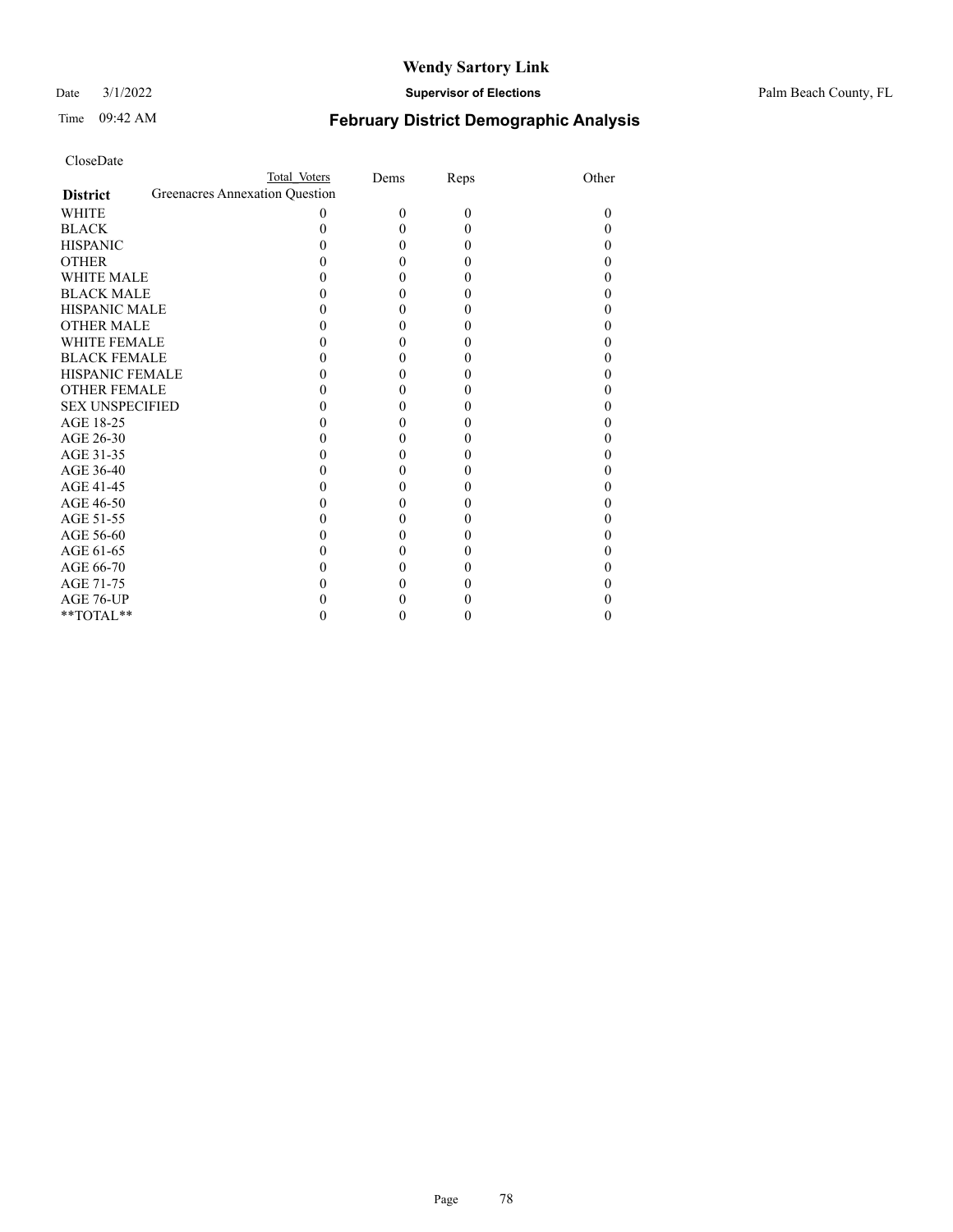Date 3/1/2022 **Supervisor of Elections** Palm Beach County, FL

# Time 09:42 AM **February District Demographic Analysis**

| CloseDate |
|-----------|
|-----------|

| CloseDate              |                                |              |      |      |       |
|------------------------|--------------------------------|--------------|------|------|-------|
|                        |                                | Total Voters | Dems | Reps | Other |
| <b>District</b>        | Greenacres Annexation Question |              |      |      |       |
| <b>WHITE</b>           |                                | 0            | 0    | 0    | 0     |
| <b>BLACK</b>           |                                | 0            | 0    | 0    | 0     |
| <b>HISPANIC</b>        |                                |              | 0    | 0    |       |
| <b>OTHER</b>           |                                |              | 0    |      |       |
| <b>WHITE MALE</b>      |                                |              | 0    |      |       |
| <b>BLACK MALE</b>      |                                |              | 0    |      |       |
| <b>HISPANIC MALE</b>   |                                |              | 0    |      |       |
| <b>OTHER MALE</b>      |                                |              |      |      |       |
| <b>WHITE FEMALE</b>    |                                |              | 0    |      |       |
| <b>BLACK FEMALE</b>    |                                |              | 0    |      |       |
| <b>HISPANIC FEMALE</b> |                                |              | 0    |      |       |
| <b>OTHER FEMALE</b>    |                                |              | 0    |      |       |
| <b>SEX UNSPECIFIED</b> |                                |              | 0    |      |       |
| AGE 18-25              |                                |              | 0    |      |       |
| AGE 26-30              |                                |              | 0    |      |       |
| AGE 31-35              |                                |              |      |      |       |
| AGE 36-40              |                                |              | 0    |      |       |
| AGE 41-45              |                                |              | 0    |      |       |
| AGE 46-50              |                                |              | 0    |      |       |
| AGE 51-55              |                                |              | 0    |      |       |
| AGE 56-60              |                                |              | 0    |      |       |
| AGE 61-65              |                                |              | 0    |      |       |
| AGE 66-70              |                                |              |      |      |       |
| AGE 71-75              |                                |              |      |      |       |
| AGE 76-UP              |                                |              |      |      |       |

\*\*TOTAL\*\*  $0$  0 0 0 0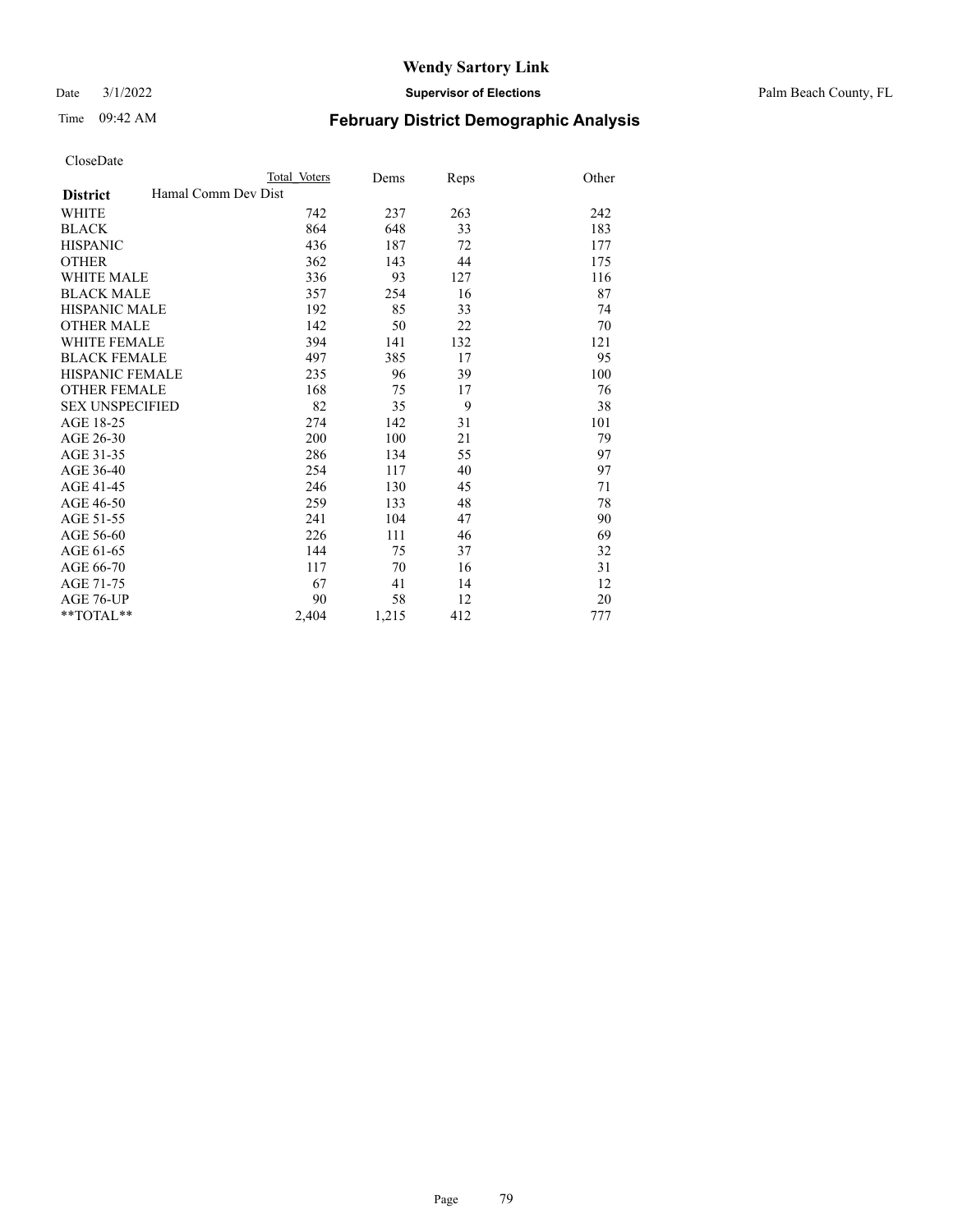Date 3/1/2022 **Supervisor of Elections** Palm Beach County, FL

# Time 09:42 AM **February District Demographic Analysis**

| Total Voters        | Dems  | Reps | Other |
|---------------------|-------|------|-------|
| Hamal Comm Dev Dist |       |      |       |
| 742                 | 237   | 263  | 242   |
| 864                 | 648   | 33   | 183   |
| 436                 | 187   | 72   | 177   |
| 362                 | 143   | 44   | 175   |
| 336                 | 93    | 127  | 116   |
| 357                 | 254   | 16   | 87    |
| 192                 | 85    | 33   | 74    |
| 142                 | 50    | 22   | 70    |
| 394                 | 141   | 132  | 121   |
| 497                 | 385   | 17   | 95    |
| 235                 | 96    | 39   | 100   |
| 168                 | 75    | 17   | 76    |
| 82                  | 35    | 9    | 38    |
| 274                 | 142   | 31   | 101   |
| 200                 | 100   | 21   | 79    |
| 286                 | 134   | 55   | 97    |
| 254                 | 117   | 40   | 97    |
| 246                 | 130   | 45   | 71    |
| 259                 | 133   | 48   | 78    |
| 241                 | 104   | 47   | 90    |
| 226                 | 111   | 46   | 69    |
| 144                 | 75    | 37   | 32    |
| 117                 | 70    | 16   | 31    |
| 67                  | 41    | 14   | 12    |
| 90                  | 58    | 12   | 20    |
| 2,404               | 1,215 | 412  | 777   |
|                     |       |      |       |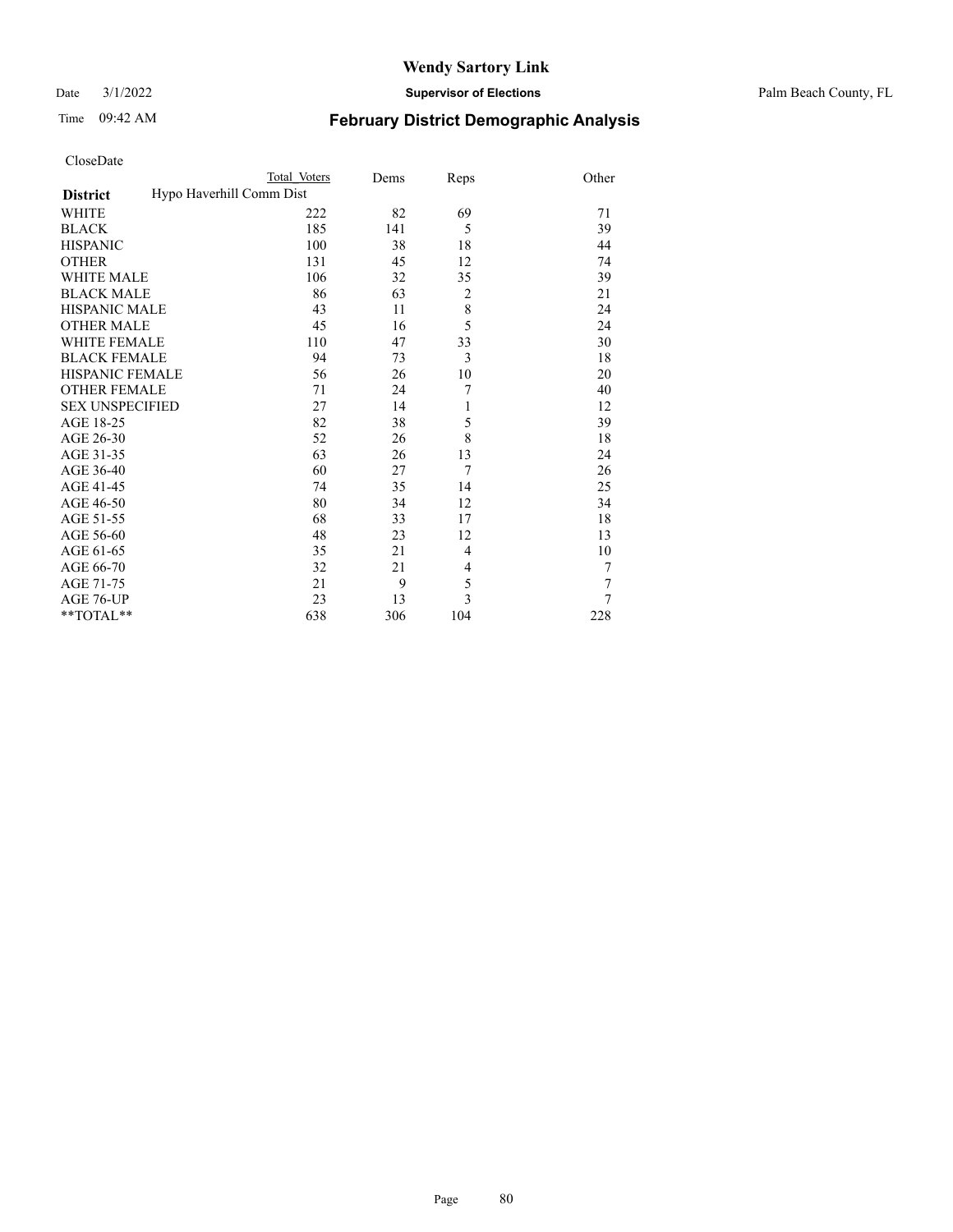Date 3/1/2022 **Supervisor of Elections** Palm Beach County, FL

| CloseDate |  |
|-----------|--|
|-----------|--|

|  | . . |  |
|--|-----|--|
|  |     |  |
|  |     |  |
|  |     |  |
|  |     |  |
|  |     |  |
|  |     |  |
|  |     |  |
|  |     |  |

|                                             | Total Voters | Dems | Reps           | Other          |
|---------------------------------------------|--------------|------|----------------|----------------|
| Hypo Haverhill Comm Dist<br><b>District</b> |              |      |                |                |
| WHITE                                       | 222          | 82   | 69             | 71             |
| <b>BLACK</b>                                | 185          | 141  | 5              | 39             |
| <b>HISPANIC</b>                             | 100          | 38   | 18             | 44             |
| <b>OTHER</b>                                | 131          | 45   | 12             | 74             |
| <b>WHITE MALE</b>                           | 106          | 32   | 35             | 39             |
| <b>BLACK MALE</b>                           | 86           | 63   | $\overline{2}$ | 21             |
| <b>HISPANIC MALE</b>                        | 43           | 11   | $\,$ 8 $\,$    | 24             |
| <b>OTHER MALE</b>                           | 45           | 16   | 5              | 24             |
| <b>WHITE FEMALE</b>                         | 110          | 47   | 33             | 30             |
| <b>BLACK FEMALE</b>                         | 94           | 73   | 3              | 18             |
| <b>HISPANIC FEMALE</b>                      | 56           | 26   | 10             | 20             |
| <b>OTHER FEMALE</b>                         | 71           | 24   | 7              | 40             |
| <b>SEX UNSPECIFIED</b>                      | 27           | 14   | 1              | 12             |
| AGE 18-25                                   | 82           | 38   | 5              | 39             |
| AGE 26-30                                   | 52           | 26   | 8              | 18             |
| AGE 31-35                                   | 63           | 26   | 13             | 24             |
| AGE 36-40                                   | 60           | 27   | 7              | 26             |
| AGE 41-45                                   | 74           | 35   | 14             | 25             |
| AGE 46-50                                   | 80           | 34   | 12             | 34             |
| AGE 51-55                                   | 68           | 33   | 17             | 18             |
| AGE 56-60                                   | 48           | 23   | 12             | 13             |
| AGE 61-65                                   | 35           | 21   | $\overline{4}$ | 10             |
| AGE 66-70                                   | 32           | 21   | 4              | 7              |
| AGE 71-75                                   | 21           | 9    | 5              | 7              |
| AGE 76-UP                                   | 23           | 13   | 3              | $\overline{7}$ |
| **TOTAL**                                   | 638          | 306  | 104            | 228            |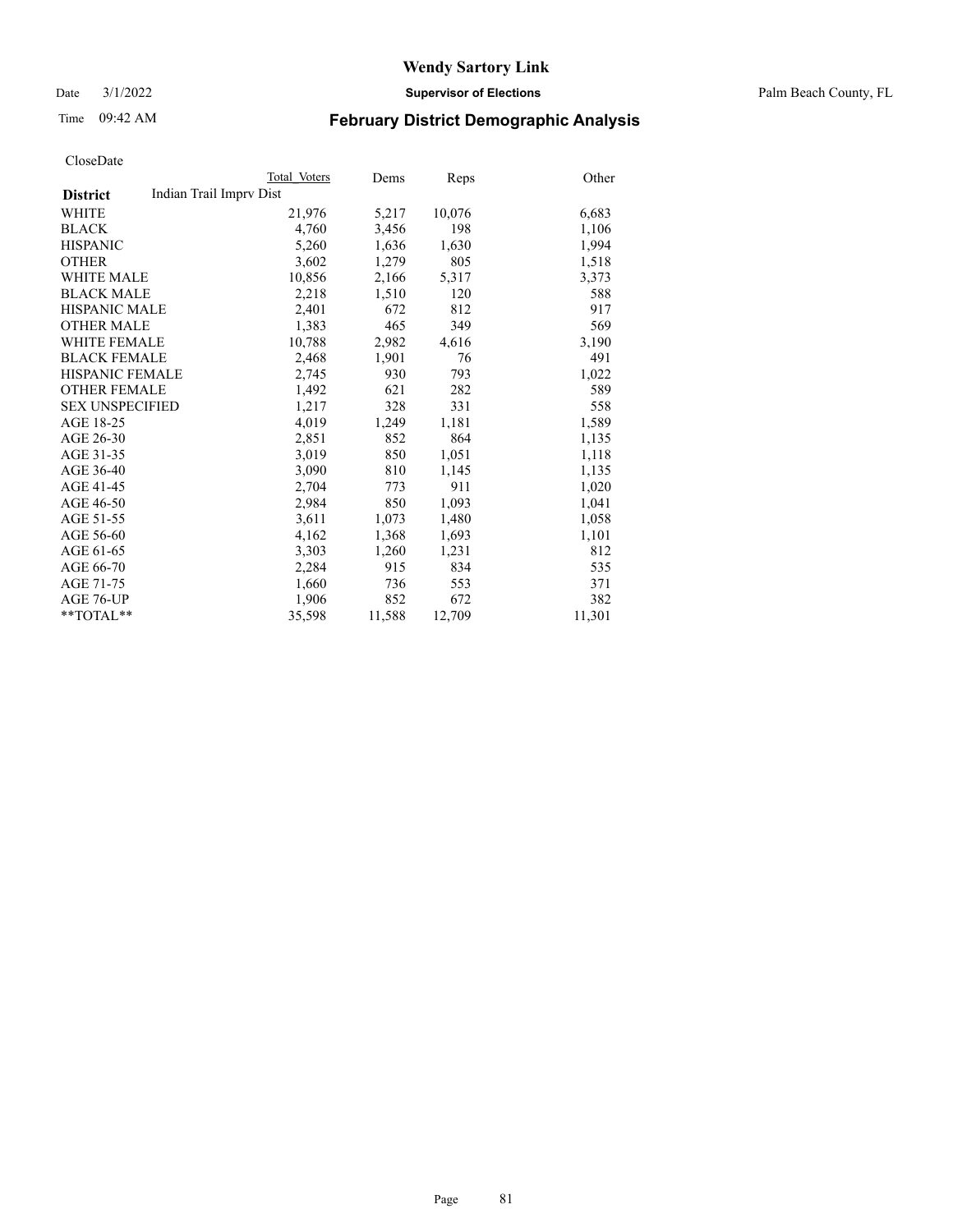Date 3/1/2022 **Supervisor of Elections** Palm Beach County, FL

# Time 09:42 AM **February District Demographic Analysis**

|                        | Total Voters            | Dems   | Reps   | Other  |
|------------------------|-------------------------|--------|--------|--------|
| <b>District</b>        | Indian Trail Imprv Dist |        |        |        |
| WHITE                  | 21,976                  | 5,217  | 10,076 | 6,683  |
| <b>BLACK</b>           | 4,760                   | 3,456  | 198    | 1,106  |
| <b>HISPANIC</b>        | 5,260                   | 1,636  | 1,630  | 1,994  |
| <b>OTHER</b>           | 3,602                   | 1,279  | 805    | 1,518  |
| <b>WHITE MALE</b>      | 10,856                  | 2,166  | 5,317  | 3,373  |
| <b>BLACK MALE</b>      | 2,218                   | 1,510  | 120    | 588    |
| <b>HISPANIC MALE</b>   | 2,401                   | 672    | 812    | 917    |
| <b>OTHER MALE</b>      | 1,383                   | 465    | 349    | 569    |
| <b>WHITE FEMALE</b>    | 10,788                  | 2,982  | 4,616  | 3,190  |
| <b>BLACK FEMALE</b>    | 2,468                   | 1,901  | 76     | 491    |
| HISPANIC FEMALE        | 2,745                   | 930    | 793    | 1,022  |
| <b>OTHER FEMALE</b>    | 1,492                   | 621    | 282    | 589    |
| <b>SEX UNSPECIFIED</b> | 1,217                   | 328    | 331    | 558    |
| AGE 18-25              | 4.019                   | 1,249  | 1,181  | 1,589  |
| AGE 26-30              | 2,851                   | 852    | 864    | 1,135  |
| AGE 31-35              | 3,019                   | 850    | 1,051  | 1,118  |
| AGE 36-40              | 3,090                   | 810    | 1,145  | 1,135  |
| AGE 41-45              | 2,704                   | 773    | 911    | 1,020  |
| AGE 46-50              | 2,984                   | 850    | 1,093  | 1,041  |
| AGE 51-55              | 3,611                   | 1,073  | 1,480  | 1,058  |
| AGE 56-60              | 4,162                   | 1,368  | 1,693  | 1,101  |
| AGE 61-65              | 3,303                   | 1,260  | 1,231  | 812    |
| AGE 66-70              | 2,284                   | 915    | 834    | 535    |
| AGE 71-75              | 1,660                   | 736    | 553    | 371    |
| AGE 76-UP              | 1,906                   | 852    | 672    | 382    |
| $*$ $TOTAL**$          | 35,598                  | 11,588 | 12,709 | 11,301 |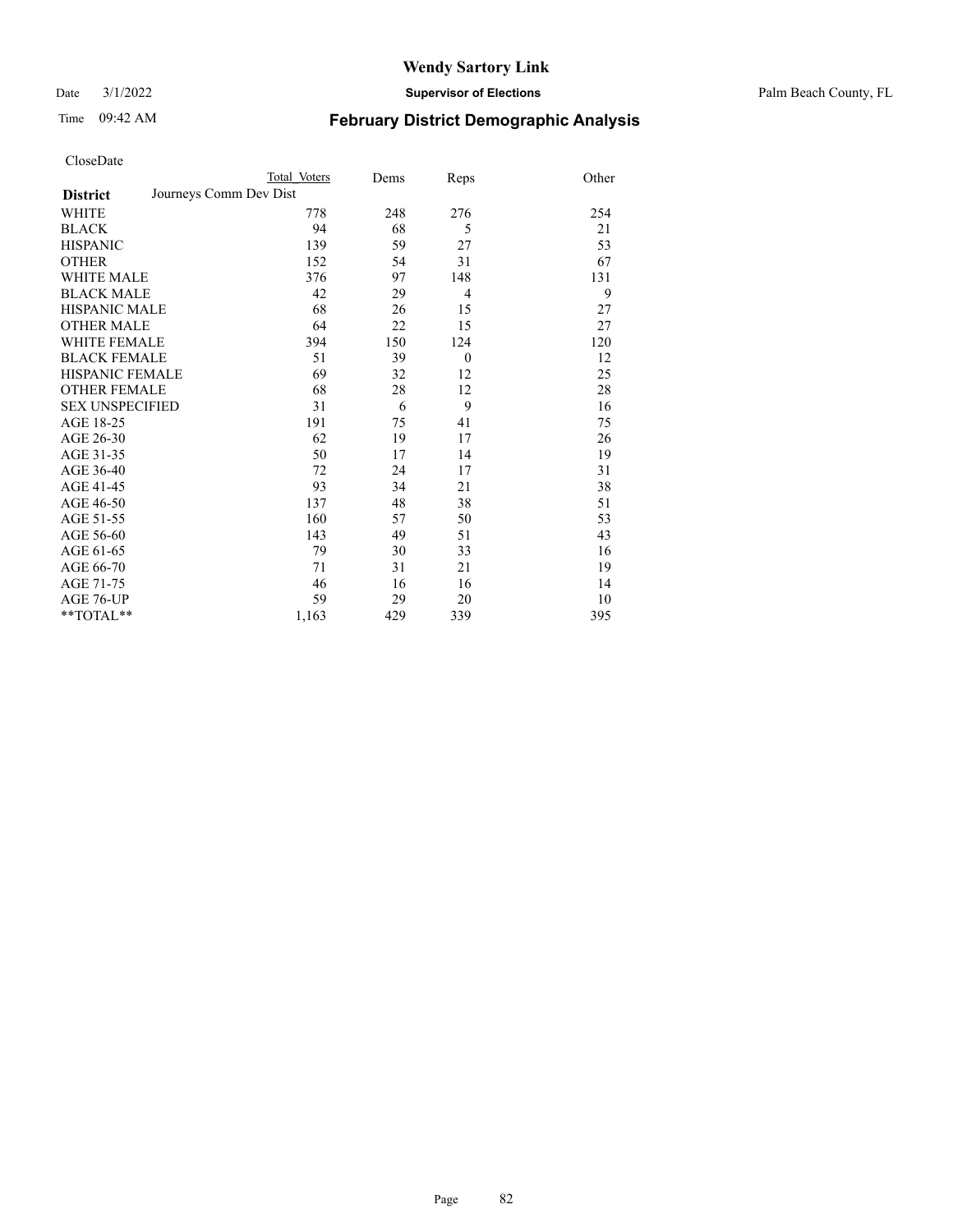Date 3/1/2022 **Supervisor of Elections** Palm Beach County, FL

# Time 09:42 AM **February District Demographic Analysis**

| CloseDate |
|-----------|
|-----------|

|                                           | Total Voters | Dems | Reps           | Other |
|-------------------------------------------|--------------|------|----------------|-------|
| Journeys Comm Dev Dist<br><b>District</b> |              |      |                |       |
| WHITE                                     | 778          | 248  | 276            | 254   |
| <b>BLACK</b>                              | 94           | 68   | 5              | 21    |
| <b>HISPANIC</b>                           | 139          | 59   | 27             | 53    |
| <b>OTHER</b>                              | 152          | 54   | 31             | 67    |
| <b>WHITE MALE</b>                         | 376          | 97   | 148            | 131   |
| <b>BLACK MALE</b>                         | 42           | 29   | $\overline{4}$ | 9     |
| <b>HISPANIC MALE</b>                      | 68           | 26   | 15             | 27    |
| <b>OTHER MALE</b>                         | 64           | 22   | 15             | 27    |
| <b>WHITE FEMALE</b>                       | 394          | 150  | 124            | 120   |
| <b>BLACK FEMALE</b>                       | 51           | 39   | $\theta$       | 12    |
| <b>HISPANIC FEMALE</b>                    | 69           | 32   | 12             | 25    |
| <b>OTHER FEMALE</b>                       | 68           | 28   | 12             | 28    |
| <b>SEX UNSPECIFIED</b>                    | 31           | 6    | 9              | 16    |
| AGE 18-25                                 | 191          | 75   | 41             | 75    |
| AGE 26-30                                 | 62           | 19   | 17             | 26    |
| AGE 31-35                                 | 50           | 17   | 14             | 19    |
| AGE 36-40                                 | 72           | 24   | 17             | 31    |
| AGE 41-45                                 | 93           | 34   | 21             | 38    |
| AGE 46-50                                 | 137          | 48   | 38             | 51    |
| AGE 51-55                                 | 160          | 57   | 50             | 53    |
| AGE 56-60                                 | 143          | 49   | 51             | 43    |
| AGE 61-65                                 | 79           | 30   | 33             | 16    |
| AGE 66-70                                 | 71           | 31   | 21             | 19    |
| AGE 71-75                                 | 46           | 16   | 16             | 14    |
| AGE 76-UP                                 | 59           | 29   | 20             | 10    |

\*\*TOTAL\*\* 1,163 429 339 395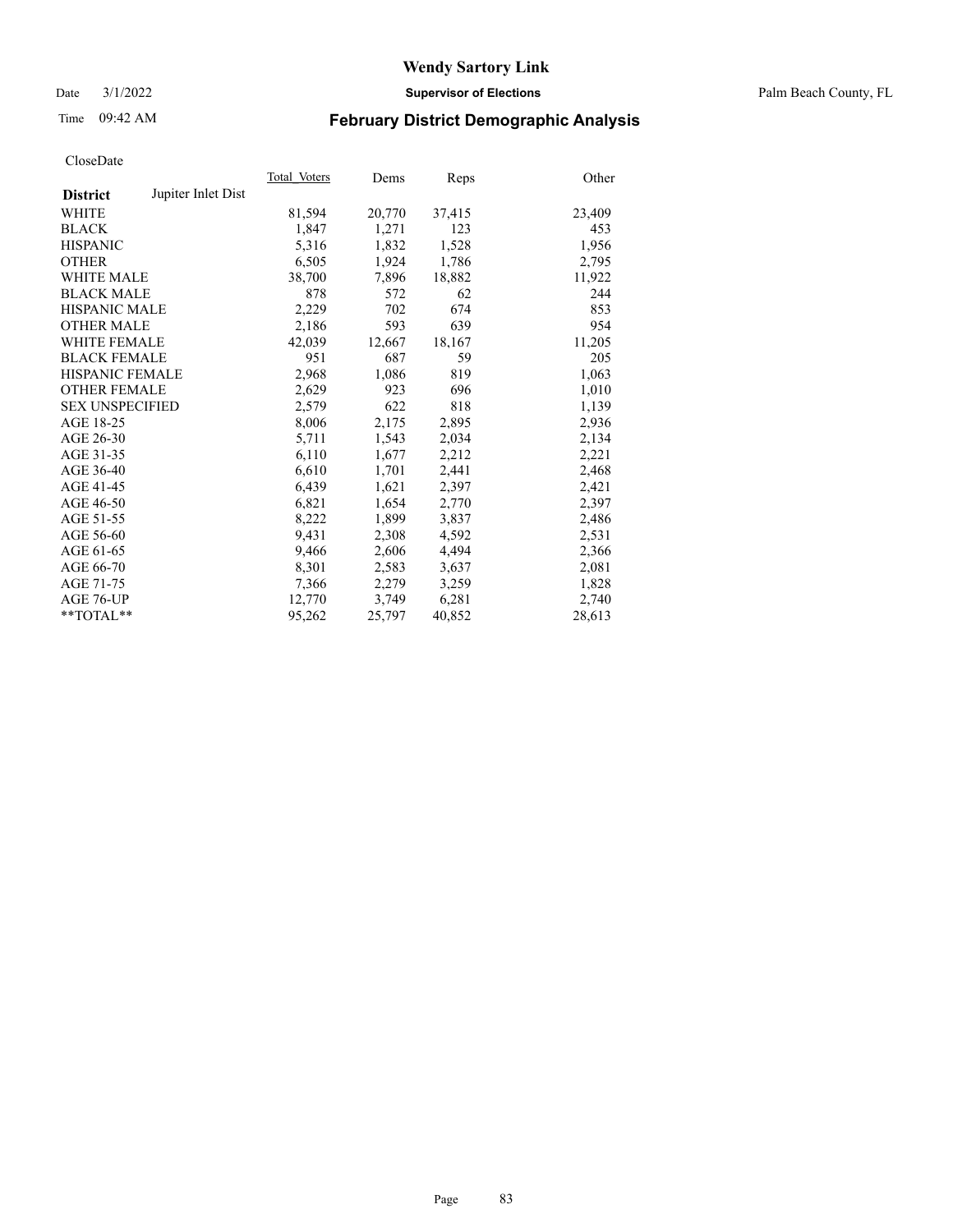Date 3/1/2022 **Supervisor of Elections** Palm Beach County, FL

# Time 09:42 AM **February District Demographic Analysis**

|                        |                    | Total Voters | Dems   | Reps   | Other  |
|------------------------|--------------------|--------------|--------|--------|--------|
| <b>District</b>        | Jupiter Inlet Dist |              |        |        |        |
| <b>WHITE</b>           |                    | 81,594       | 20,770 | 37,415 | 23,409 |
| <b>BLACK</b>           |                    | 1,847        | 1,271  | 123    | 453    |
| <b>HISPANIC</b>        |                    | 5,316        | 1,832  | 1,528  | 1,956  |
| <b>OTHER</b>           |                    | 6,505        | 1,924  | 1,786  | 2,795  |
| <b>WHITE MALE</b>      |                    | 38,700       | 7,896  | 18,882 | 11,922 |
| <b>BLACK MALE</b>      |                    | 878          | 572    | 62     | 244    |
| <b>HISPANIC MALE</b>   |                    | 2,229        | 702    | 674    | 853    |
| <b>OTHER MALE</b>      |                    | 2,186        | 593    | 639    | 954    |
| <b>WHITE FEMALE</b>    |                    | 42,039       | 12,667 | 18,167 | 11,205 |
| <b>BLACK FEMALE</b>    |                    | 951          | 687    | 59     | 205    |
| <b>HISPANIC FEMALE</b> |                    | 2,968        | 1,086  | 819    | 1,063  |
| <b>OTHER FEMALE</b>    |                    | 2,629        | 923    | 696    | 1,010  |
| <b>SEX UNSPECIFIED</b> |                    | 2,579        | 622    | 818    | 1,139  |
| AGE 18-25              |                    | 8,006        | 2,175  | 2,895  | 2,936  |
| AGE 26-30              |                    | 5,711        | 1,543  | 2,034  | 2,134  |
| AGE 31-35              |                    | 6,110        | 1,677  | 2,212  | 2,221  |
| AGE 36-40              |                    | 6,610        | 1,701  | 2,441  | 2,468  |
| AGE 41-45              |                    | 6,439        | 1,621  | 2,397  | 2,421  |
| AGE 46-50              |                    | 6,821        | 1,654  | 2,770  | 2,397  |
| AGE 51-55              |                    | 8,222        | 1,899  | 3,837  | 2,486  |
| AGE 56-60              |                    | 9,431        | 2,308  | 4,592  | 2,531  |
| AGE 61-65              |                    | 9,466        | 2,606  | 4,494  | 2,366  |
| AGE 66-70              |                    | 8,301        | 2,583  | 3,637  | 2,081  |
| AGE 71-75              |                    | 7,366        | 2,279  | 3,259  | 1,828  |
| AGE 76-UP              |                    | 12,770       | 3,749  | 6,281  | 2,740  |
| $*$ $TOTAL**$          |                    | 95,262       | 25,797 | 40,852 | 28,613 |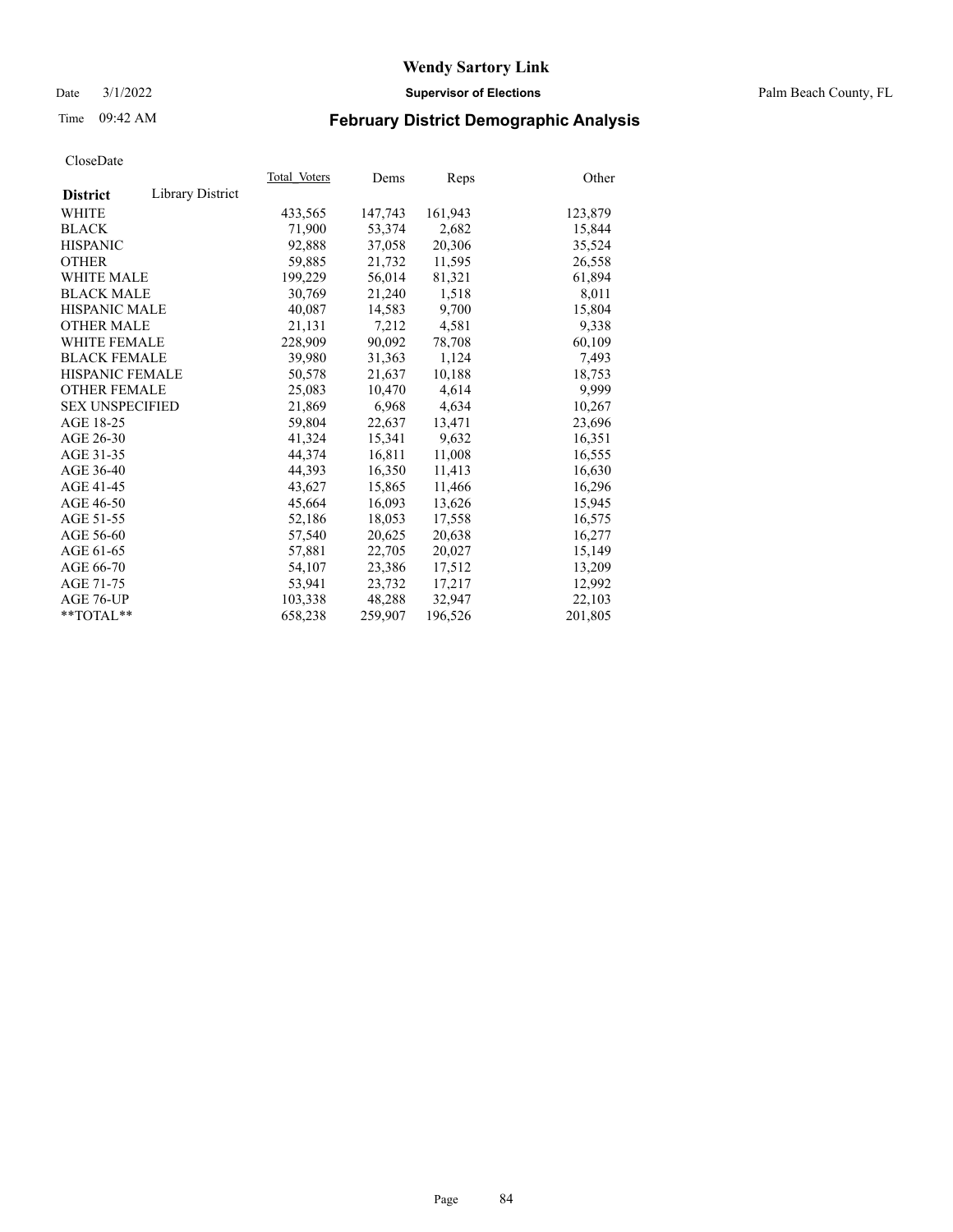Date 3/1/2022 **Supervisor of Elections** Palm Beach County, FL

# Time 09:42 AM **February District Demographic Analysis**

|                        |                  | Total Voters | Dems    | Reps    | Other   |
|------------------------|------------------|--------------|---------|---------|---------|
| <b>District</b>        | Library District |              |         |         |         |
| WHITE                  |                  | 433,565      | 147,743 | 161,943 | 123,879 |
| <b>BLACK</b>           |                  | 71,900       | 53,374  | 2,682   | 15,844  |
| <b>HISPANIC</b>        |                  | 92,888       | 37,058  | 20,306  | 35,524  |
| <b>OTHER</b>           |                  | 59,885       | 21,732  | 11,595  | 26,558  |
| <b>WHITE MALE</b>      |                  | 199,229      | 56,014  | 81,321  | 61,894  |
| <b>BLACK MALE</b>      |                  | 30,769       | 21,240  | 1,518   | 8,011   |
| <b>HISPANIC MALE</b>   |                  | 40,087       | 14,583  | 9,700   | 15,804  |
| <b>OTHER MALE</b>      |                  | 21.131       | 7,212   | 4,581   | 9,338   |
| <b>WHITE FEMALE</b>    |                  | 228,909      | 90,092  | 78,708  | 60,109  |
| <b>BLACK FEMALE</b>    |                  | 39,980       | 31,363  | 1,124   | 7,493   |
| <b>HISPANIC FEMALE</b> |                  | 50,578       | 21,637  | 10,188  | 18,753  |
| <b>OTHER FEMALE</b>    |                  | 25,083       | 10,470  | 4,614   | 9,999   |
| <b>SEX UNSPECIFIED</b> |                  | 21,869       | 6,968   | 4,634   | 10,267  |
| AGE 18-25              |                  | 59,804       | 22,637  | 13,471  | 23,696  |
| AGE 26-30              |                  | 41,324       | 15,341  | 9,632   | 16,351  |
| AGE 31-35              |                  | 44,374       | 16,811  | 11,008  | 16,555  |
| AGE 36-40              |                  | 44.393       | 16,350  | 11,413  | 16,630  |
| AGE 41-45              |                  | 43,627       | 15,865  | 11,466  | 16,296  |
| AGE 46-50              |                  | 45.664       | 16,093  | 13,626  | 15,945  |
| AGE 51-55              |                  | 52,186       | 18,053  | 17,558  | 16,575  |
| AGE 56-60              |                  | 57,540       | 20,625  | 20,638  | 16,277  |
| AGE 61-65              |                  | 57,881       | 22,705  | 20,027  | 15,149  |
| AGE 66-70              |                  | 54,107       | 23,386  | 17,512  | 13,209  |
| AGE 71-75              |                  | 53,941       | 23,732  | 17,217  | 12,992  |
| AGE 76-UP              |                  | 103,338      | 48,288  | 32,947  | 22,103  |
| $*$ $TOTAL**$          |                  | 658,238      | 259,907 | 196,526 | 201,805 |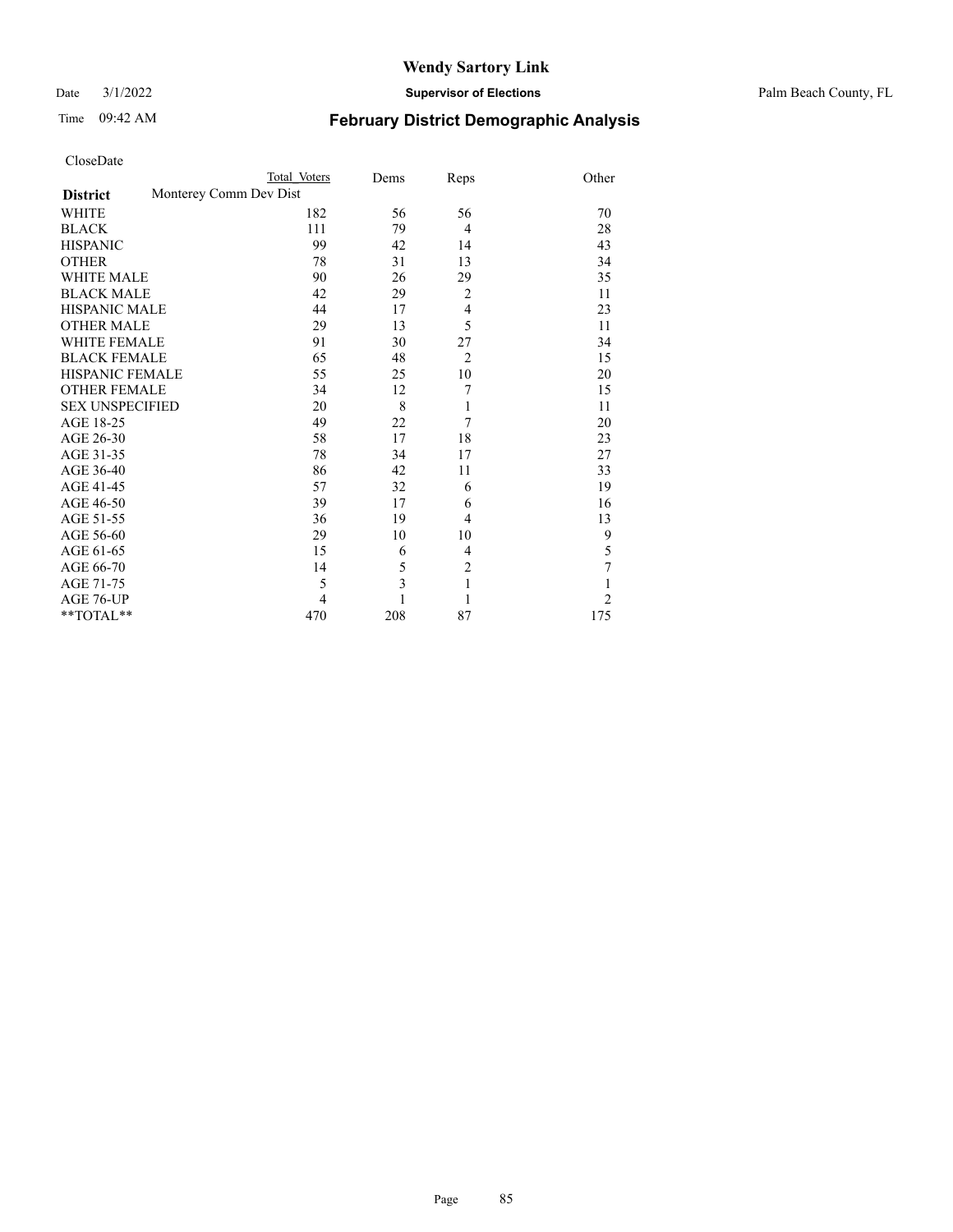Date 3/1/2022 **Supervisor of Elections** Palm Beach County, FL

# Time 09:42 AM **February District Demographic Analysis**

| CloseDate |  |
|-----------|--|
|-----------|--|

|                        | Total Voters           | Dems | Reps           | Other          |
|------------------------|------------------------|------|----------------|----------------|
| <b>District</b>        | Monterey Comm Dev Dist |      |                |                |
| <b>WHITE</b>           | 182                    | 56   | 56             | 70             |
| <b>BLACK</b>           | 111                    | 79   | $\overline{4}$ | 28             |
| <b>HISPANIC</b>        | 99                     | 42   | 14             | 43             |
| <b>OTHER</b>           | 78                     | 31   | 13             | 34             |
| <b>WHITE MALE</b>      | 90                     | 26   | 29             | 35             |
| <b>BLACK MALE</b>      | 42                     | 29   | $\overline{2}$ | 11             |
| <b>HISPANIC MALE</b>   | 44                     | 17   | $\overline{4}$ | 23             |
| <b>OTHER MALE</b>      | 29                     | 13   | 5              | 11             |
| <b>WHITE FEMALE</b>    | 91                     | 30   | 27             | 34             |
| <b>BLACK FEMALE</b>    | 65                     | 48   | $\overline{2}$ | 15             |
| <b>HISPANIC FEMALE</b> | 55                     | 25   | 10             | 20             |
| <b>OTHER FEMALE</b>    | 34                     | 12   | 7              | 15             |
| <b>SEX UNSPECIFIED</b> | 20                     | 8    | 1              | 11             |
| AGE 18-25              | 49                     | 22   | 7              | 20             |
| AGE 26-30              | 58                     | 17   | 18             | 23             |
| AGE 31-35              | 78                     | 34   | 17             | 27             |
| AGE 36-40              | 86                     | 42   | 11             | 33             |
| AGE 41-45              | 57                     | 32   | 6              | 19             |
| AGE 46-50              | 39                     | 17   | 6              | 16             |
| AGE 51-55              | 36                     | 19   | $\overline{4}$ | 13             |
| AGE 56-60              | 29                     | 10   | 10             | 9              |
| AGE 61-65              | 15                     | 6    | $\overline{4}$ | 5              |
| AGE 66-70              | 14                     | 5    | $\overline{2}$ | $\overline{7}$ |
| AGE 71-75              | 5                      | 3    | 1              | $\mathbf{1}$   |
| AGE 76-UP              | 4                      | 1    | 1              | $\overline{2}$ |
| **TOTAL**              | 470                    | 208  | 87             | 175            |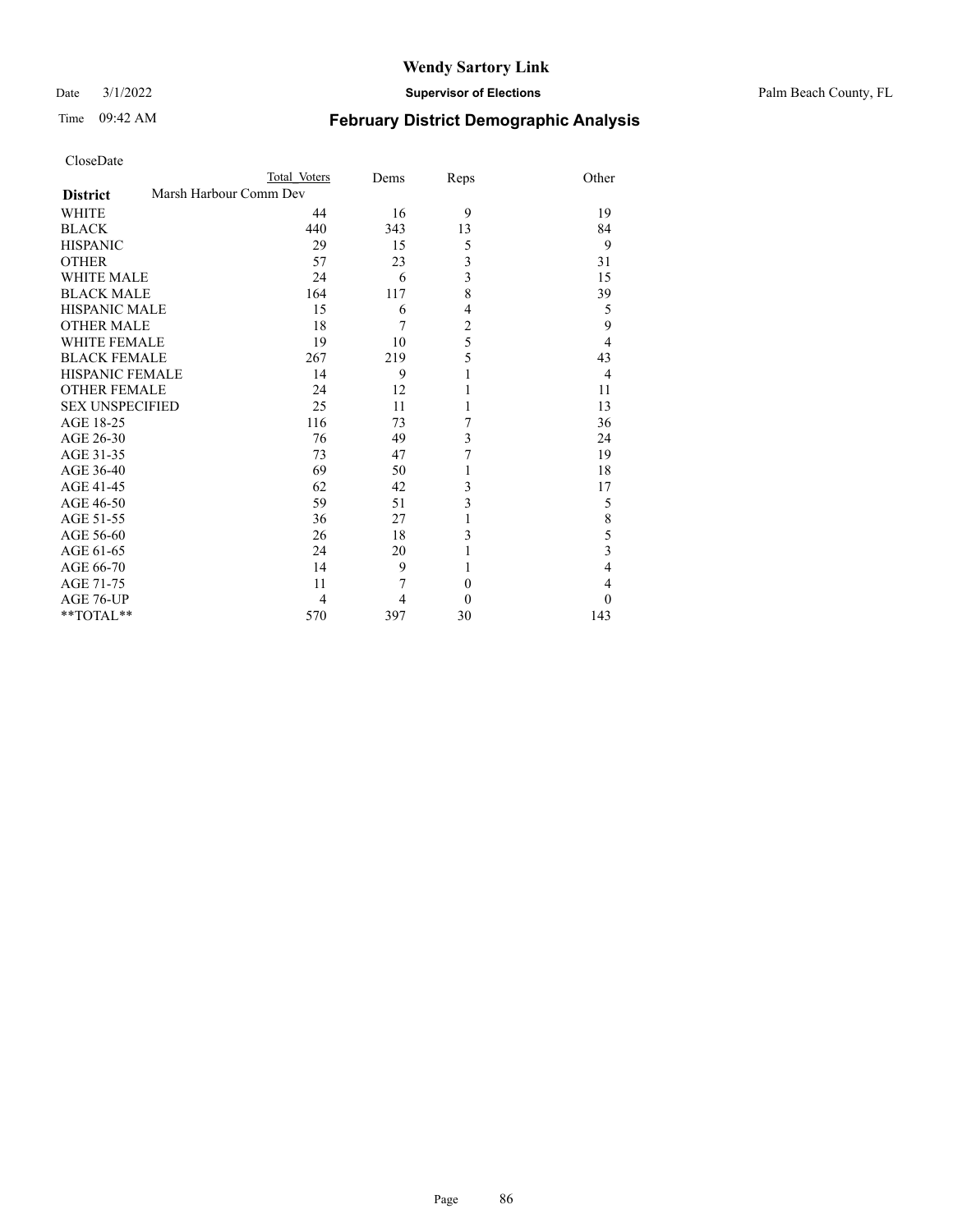Date 3/1/2022 **Supervisor of Elections** Palm Beach County, FL

| CloseDate |  |
|-----------|--|
|-----------|--|

| <b>February District Demographic Analysis</b> |  |  |
|-----------------------------------------------|--|--|
|                                               |  |  |

|                        | Total Voters           | Dems | Reps           | Other          |
|------------------------|------------------------|------|----------------|----------------|
| <b>District</b>        | Marsh Harbour Comm Dev |      |                |                |
| WHITE                  | 44                     | 16   | 9              | 19             |
| <b>BLACK</b>           | 440                    | 343  | 13             | 84             |
| <b>HISPANIC</b>        | 29                     | 15   | 5              | 9              |
| <b>OTHER</b>           | 57                     | 23   | 3              | 31             |
| <b>WHITE MALE</b>      | 24                     | 6    | 3              | 15             |
| <b>BLACK MALE</b>      | 164                    | 117  | 8              | 39             |
| <b>HISPANIC MALE</b>   | 15                     | 6    | 4              | 5              |
| <b>OTHER MALE</b>      | 18                     | 7    | $\overline{c}$ | 9              |
| <b>WHITE FEMALE</b>    | 19                     | 10   | 5              | $\overline{4}$ |
| <b>BLACK FEMALE</b>    | 267                    | 219  | 5              | 43             |
| <b>HISPANIC FEMALE</b> | 14                     | 9    | 1              | $\overline{4}$ |
| <b>OTHER FEMALE</b>    | 24                     | 12   | 1              | 11             |
| <b>SEX UNSPECIFIED</b> | 25                     | 11   | 1              | 13             |
| AGE 18-25              | 116                    | 73   | 7              | 36             |
| AGE 26-30              | 76                     | 49   | 3              | 24             |
| AGE 31-35              | 73                     | 47   | 7              | 19             |
| AGE 36-40              | 69                     | 50   | 1              | 18             |
| AGE 41-45              | 62                     | 42   | 3              | 17             |
| AGE 46-50              | 59                     | 51   | 3              | 5              |
| AGE 51-55              | 36                     | 27   | 1              | 8              |
| AGE 56-60              | 26                     | 18   | 3              | 5              |
| AGE 61-65              | 24                     | 20   | 1              | 3              |
| AGE 66-70              | 14                     | 9    | 1              | 4              |
| AGE 71-75              | 11                     | 7    | $\theta$       | 4              |
| AGE 76-UP              | 4                      | 4    | $\theta$       | 0              |
| **TOTAL**              | 570                    | 397  | 30             | 143            |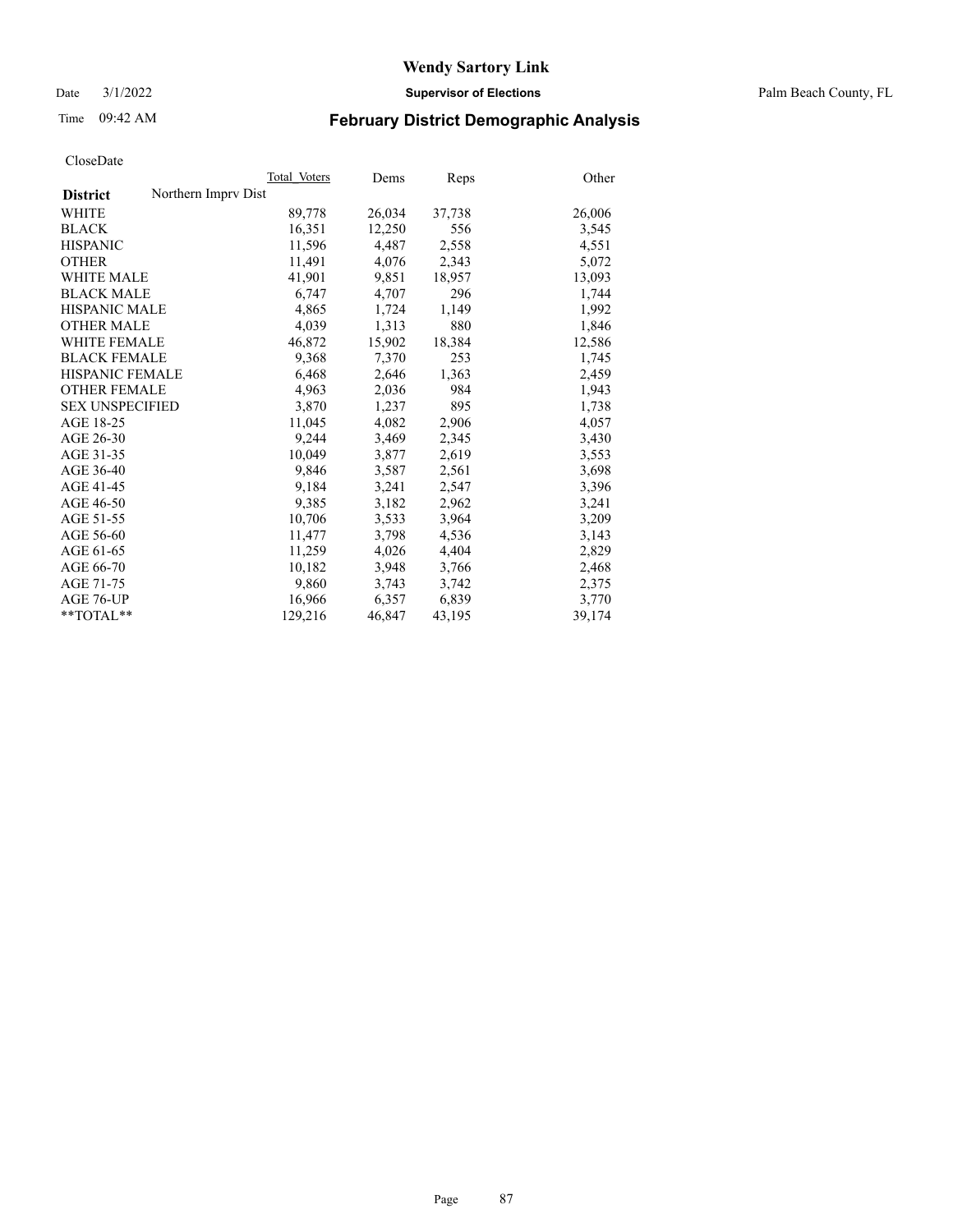Date 3/1/2022 **Supervisor of Elections** Palm Beach County, FL

# Time 09:42 AM **February District Demographic Analysis**

|                                        | Total Voters | Dems   | Reps   | Other  |
|----------------------------------------|--------------|--------|--------|--------|
| Northern Impry Dist<br><b>District</b> |              |        |        |        |
| WHITE                                  | 89,778       | 26,034 | 37,738 | 26,006 |
| <b>BLACK</b>                           | 16,351       | 12,250 | 556    | 3,545  |
| <b>HISPANIC</b>                        | 11,596       | 4,487  | 2,558  | 4,551  |
| <b>OTHER</b>                           | 11,491       | 4,076  | 2,343  | 5,072  |
| <b>WHITE MALE</b>                      | 41,901       | 9,851  | 18,957 | 13,093 |
| <b>BLACK MALE</b>                      | 6,747        | 4,707  | 296    | 1,744  |
| <b>HISPANIC MALE</b>                   | 4,865        | 1,724  | 1,149  | 1,992  |
| <b>OTHER MALE</b>                      | 4,039        | 1,313  | 880    | 1,846  |
| <b>WHITE FEMALE</b>                    | 46,872       | 15,902 | 18,384 | 12,586 |
| <b>BLACK FEMALE</b>                    | 9,368        | 7.370  | 253    | 1,745  |
| HISPANIC FEMALE                        | 6,468        | 2,646  | 1,363  | 2,459  |
| <b>OTHER FEMALE</b>                    | 4,963        | 2,036  | 984    | 1,943  |
| <b>SEX UNSPECIFIED</b>                 | 3,870        | 1,237  | 895    | 1,738  |
| AGE 18-25                              | 11,045       | 4,082  | 2,906  | 4,057  |
| AGE 26-30                              | 9,244        | 3,469  | 2,345  | 3,430  |
| AGE 31-35                              | 10,049       | 3,877  | 2,619  | 3,553  |
| AGE 36-40                              | 9.846        | 3,587  | 2,561  | 3,698  |
| AGE 41-45                              | 9,184        | 3,241  | 2,547  | 3,396  |
| AGE 46-50                              | 9,385        | 3,182  | 2,962  | 3,241  |
| AGE 51-55                              | 10,706       | 3,533  | 3,964  | 3,209  |
| AGE 56-60                              | 11,477       | 3,798  | 4,536  | 3,143  |
| AGE 61-65                              | 11,259       | 4,026  | 4,404  | 2,829  |
| AGE 66-70                              | 10,182       | 3,948  | 3,766  | 2,468  |
| AGE 71-75                              | 9,860        | 3,743  | 3,742  | 2,375  |
| AGE 76-UP                              | 16,966       | 6,357  | 6,839  | 3,770  |
| $*$ $TOTAL**$                          | 129,216      | 46,847 | 43,195 | 39,174 |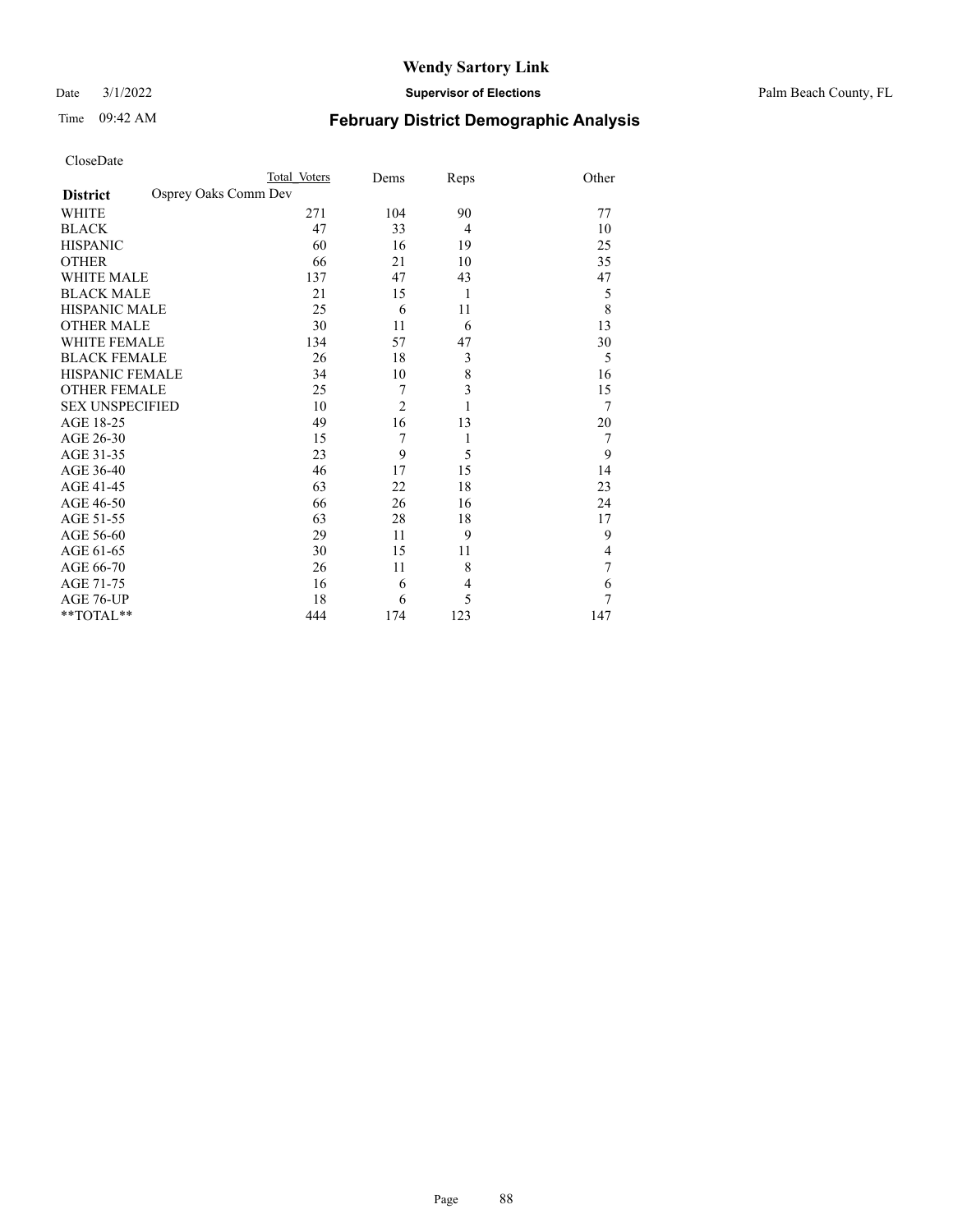Date 3/1/2022 **Supervisor of Elections** Palm Beach County, FL

# Time 09:42 AM **February District Demographic Analysis**

| CloseDate |
|-----------|
|-----------|

| Total Voters         | Dems           |                | Other                   |
|----------------------|----------------|----------------|-------------------------|
| Osprey Oaks Comm Dev |                |                |                         |
| 271                  | 104            | 90             | 77                      |
| 47                   | 33             | $\overline{4}$ | 10                      |
| 60                   | 16             | 19             | 25                      |
| 66                   | 21             | 10             | 35                      |
| 137                  | 47             | 43             | 47                      |
| 21                   | 15             | 1              | 5                       |
| 25                   | 6              | 11             | 8                       |
| 30                   | 11             | 6              | 13                      |
| 134                  | 57             | 47             | 30                      |
| 26                   | 18             | 3              | 5                       |
| 34                   | 10             | 8              | 16                      |
| 25                   | 7              | 3              | 15                      |
| 10                   | $\overline{2}$ | 1              | $\tau$                  |
| 49                   | 16             | 13             | 20                      |
| 15                   | 7              | 1              | 7                       |
| 23                   | 9              | 5              | 9                       |
| 46                   | 17             | 15             | 14                      |
| 63                   | 22             | 18             | 23                      |
| 66                   | 26             | 16             | 24                      |
| 63                   | 28             | 18             | 17                      |
| 29                   | 11             | 9              | 9                       |
| 30                   | 15             | 11             | $\overline{\mathbf{4}}$ |
| 26                   | 11             | 8              | $\overline{7}$          |
| 16                   | 6              | 4              | 6                       |
| 18                   | 6              | 5              | 7                       |
| 444                  | 174            | 123            | 147                     |
|                      |                |                | Reps                    |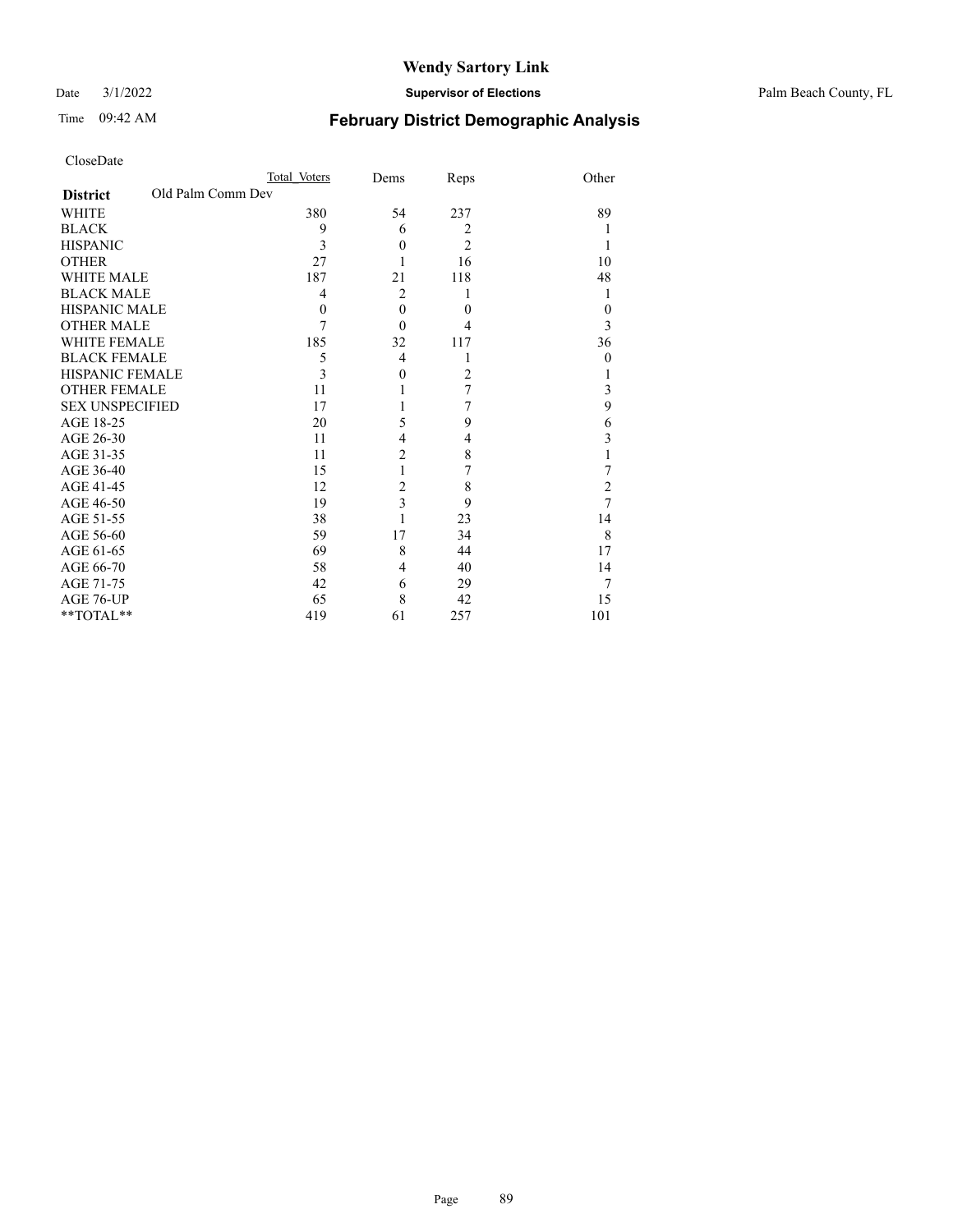Date 3/1/2022 **Supervisor of Elections** Palm Beach County, FL

## Time 09:42 AM **February District Demographic Analysis**

| CloseDate |
|-----------|
|-----------|

| CloseDate       |                   |      |      |       |
|-----------------|-------------------|------|------|-------|
|                 | Total Voters      | Dems | Reps | Other |
| <b>District</b> | Old Palm Comm Dev |      |      |       |
| <b>WHITE</b>    | 380               | 54   | 237  | 89    |
| <b>BLACK</b>    | 9                 | b    |      |       |
| <b>HISPANIC</b> | 3                 |      |      |       |
| <b>OTHER</b>    | 27                |      | 16   | 10    |

WHITE MALE 187 21 118 48  $\begin{array}{cccccccccccccc} \text{BLACK MALE} & & & & 4 & & 2 & & 1 & & & 1 \\ \text{HISPANIC MALE} & & & & 0 & & & 0 & & & 0 \\ \end{array}$ HISPANIC MALE 0 0 0 0 OTHER MALE  $\begin{array}{cccc} 7 & 0 & 4 & 3 \\ 185 & 32 & 117 & 36 \end{array}$ WHITE FEMALE 185 32 117 36<br>BLACK FEMALE 5 4 1 0

HISPANIC FEMALE 3 0 2 1 OTHER FEMALE 11 1 7 3<br>SEX UNSPECIFIED 17 1 7 9 SEX UNSPECIFIED 17 1 7 9<br>AGE 18-25 20 5 9

AGE 26-30 11 4 4 3<br>AGE 31-35 11 2 8 1 AGE 31-35 11 2 8 1<br>AGE 36-40 15 1 7 7 AGE 36-40 15 1 7 7<br>AGE 41-45 12 2 8 2 AGE 41-45 12 2 8 2<br>AGE 46-50 19 3 9 7 AGE 46-50 19 3 9 7<br>AGE 51-55 38 1 23 14 AGE 51-55 38 1 23 14<br>AGE 56-60 59 17 34 8 AGE 56-60 59 17 34 8<br>AGE 61-65 69 8 44 17

AGE 66-70 58 4 40 14<br>AGE 71-75 42 6 29 7

AGE 76-UP  $65$  8 42 15<br>
\*\*TOTAL\*\* 419 61 257 101

BLACK FEMALE 5 4 1

AGE 18-25 20 5 9<br>AGE 26-30 11 4 4

AGE 71-75 42 6 29

\*\*TOTAL\*\* 419 61 257

AGE 61-65 69 8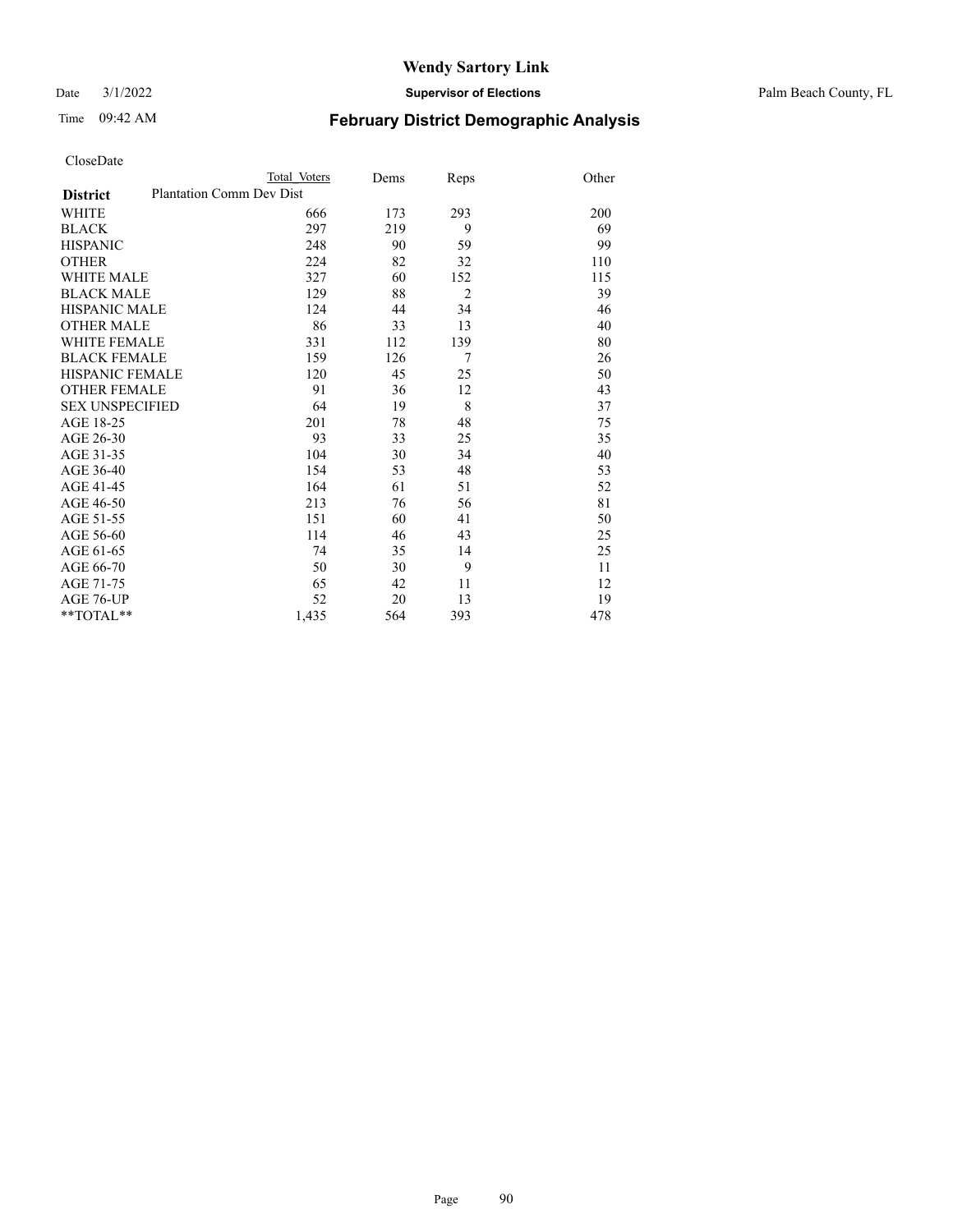Date 3/1/2022 **Supervisor of Elections** Palm Beach County, FL

| CloseDate |  |
|-----------|--|
|-----------|--|

| CloseDate              |                                 |              |      |                |       |
|------------------------|---------------------------------|--------------|------|----------------|-------|
|                        |                                 | Total Voters | Dems | Reps           | Other |
| <b>District</b>        | <b>Plantation Comm Dev Dist</b> |              |      |                |       |
| WHITE                  |                                 | 666          | 173  | 293            | 200   |
| <b>BLACK</b>           |                                 | 297          | 219  | 9              | 69    |
| <b>HISPANIC</b>        |                                 | 248          | 90   | 59             | 99    |
| <b>OTHER</b>           |                                 | 224          | 82   | 32             | 110   |
| <b>WHITE MALE</b>      |                                 | 327          | 60   | 152            | 115   |
| <b>BLACK MALE</b>      |                                 | 129          | 88   | $\overline{2}$ | 39    |
| <b>HISPANIC MALE</b>   |                                 | 124          | 44   | 34             | 46    |
| <b>OTHER MALE</b>      |                                 | 86           | 33   | 13             | 40    |
| <b>WHITE FEMALE</b>    |                                 | 331          | 112  | 139            | 80    |
| <b>BLACK FEMALE</b>    |                                 | 159          | 126  | 7              | 26    |
| <b>HISPANIC FEMALE</b> |                                 | 120          | 45   | 25             | 50    |
| <b>OTHER FEMALE</b>    |                                 | 91           | 36   | 12             | 43    |
| <b>SEX UNSPECIFIED</b> |                                 | 64           | 19   | 8              | 37    |
| AGE 18-25              |                                 | 201          | 78   | 48             | 75    |
| AGE 26-30              |                                 | 93           | 33   | 25             | 35    |
| AGE 31-35              |                                 | 104          | 30   | 34             | 40    |
| AGE 36-40              |                                 | 154          | 53   | 48             | 53    |
| AGE 41-45              |                                 | 164          | 61   | 51             | 52    |
| AGE 46-50              |                                 | 213          | 76   | 56             | 81    |
| AGE 51-55              |                                 | 151          | 60   | 41             | 50    |
| AGE 56-60              |                                 | 114          | 46   | 43             | 25    |
| AGE 61-65              |                                 | 74           | 35   | 14             | 25    |
| AGE 66-70              |                                 | 50           | 30   | 9              | 11    |
| AGE 71-75              |                                 | 65           | 42   | 11             | 12    |
| AGE 76-UP              |                                 | 52           | 20   | 13             | 19    |
| $*$ $TOTAL**$          |                                 | 1,435        | 564  | 393            | 478   |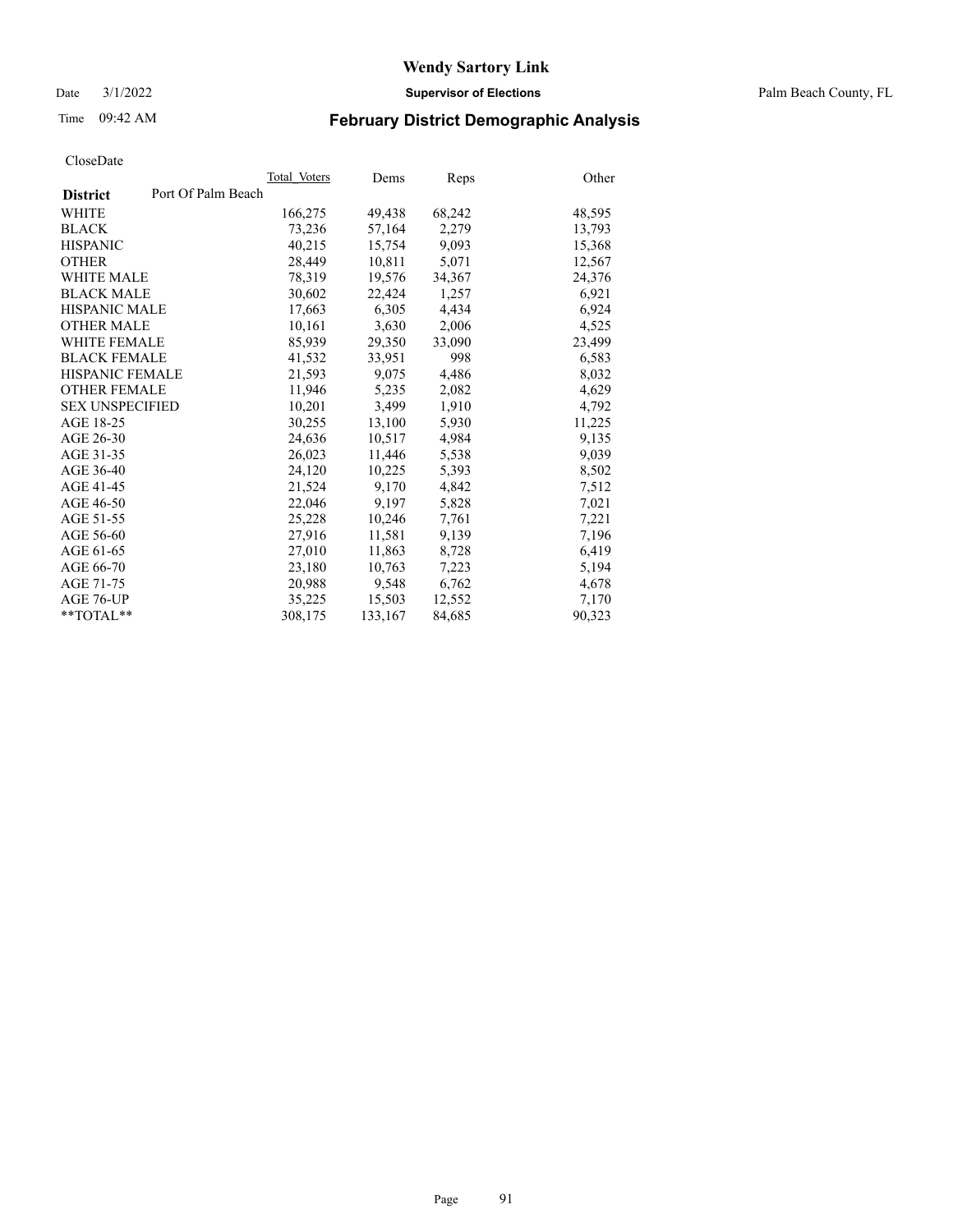Date 3/1/2022 **Supervisor of Elections** Palm Beach County, FL

# Time 09:42 AM **February District Demographic Analysis**

|                                       | Total Voters | Dems    | Reps   | Other  |
|---------------------------------------|--------------|---------|--------|--------|
| Port Of Palm Beach<br><b>District</b> |              |         |        |        |
| WHITE                                 | 166,275      | 49,438  | 68,242 | 48,595 |
| <b>BLACK</b>                          | 73,236       | 57,164  | 2,279  | 13,793 |
| <b>HISPANIC</b>                       | 40,215       | 15,754  | 9,093  | 15,368 |
| <b>OTHER</b>                          | 28,449       | 10,811  | 5,071  | 12,567 |
| <b>WHITE MALE</b>                     | 78,319       | 19,576  | 34,367 | 24,376 |
| <b>BLACK MALE</b>                     | 30,602       | 22,424  | 1,257  | 6,921  |
| <b>HISPANIC MALE</b>                  | 17,663       | 6,305   | 4,434  | 6,924  |
| <b>OTHER MALE</b>                     | 10,161       | 3,630   | 2,006  | 4,525  |
| <b>WHITE FEMALE</b>                   | 85,939       | 29,350  | 33,090 | 23,499 |
| <b>BLACK FEMALE</b>                   | 41.532       | 33.951  | 998    | 6,583  |
| <b>HISPANIC FEMALE</b>                | 21,593       | 9.075   | 4,486  | 8,032  |
| <b>OTHER FEMALE</b>                   | 11,946       | 5,235   | 2,082  | 4,629  |
| <b>SEX UNSPECIFIED</b>                | 10.201       | 3.499   | 1,910  | 4,792  |
| AGE 18-25                             | 30,255       | 13,100  | 5,930  | 11,225 |
| AGE 26-30                             | 24,636       | 10,517  | 4,984  | 9,135  |
| AGE 31-35                             | 26,023       | 11,446  | 5,538  | 9,039  |
| AGE 36-40                             | 24,120       | 10,225  | 5,393  | 8,502  |
| AGE 41-45                             | 21,524       | 9,170   | 4,842  | 7,512  |
| AGE 46-50                             | 22,046       | 9,197   | 5,828  | 7,021  |
| AGE 51-55                             | 25,228       | 10,246  | 7,761  | 7,221  |
| AGE 56-60                             | 27,916       | 11,581  | 9,139  | 7,196  |
| AGE 61-65                             | 27,010       | 11,863  | 8,728  | 6,419  |
| AGE 66-70                             | 23,180       | 10,763  | 7,223  | 5,194  |
| AGE 71-75                             | 20,988       | 9,548   | 6,762  | 4,678  |
| AGE 76-UP                             | 35,225       | 15,503  | 12,552 | 7,170  |
| $*$ $TOTAL**$                         | 308,175      | 133,167 | 84,685 | 90,323 |
|                                       |              |         |        |        |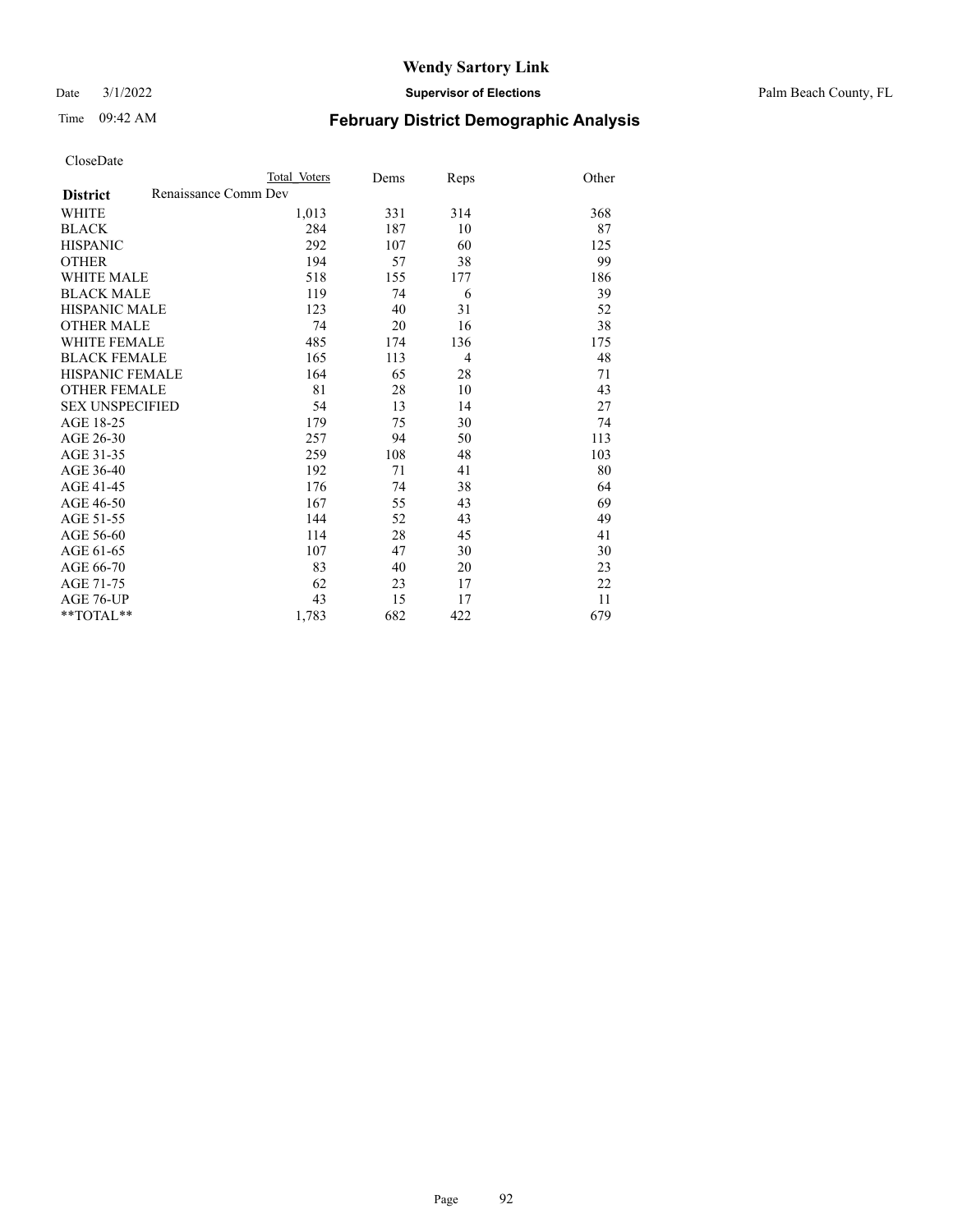Date 3/1/2022 **Supervisor of Elections** Palm Beach County, FL

# Time 09:42 AM **February District Demographic Analysis**

|                                         | Total Voters | Dems | Reps           | Other |
|-----------------------------------------|--------------|------|----------------|-------|
| Renaissance Comm Dev<br><b>District</b> |              |      |                |       |
| <b>WHITE</b>                            | 1,013        | 331  | 314            | 368   |
| <b>BLACK</b>                            | 284          | 187  | 10             | 87    |
| <b>HISPANIC</b>                         | 292          | 107  | 60             | 125   |
| <b>OTHER</b>                            | 194          | 57   | 38             | 99    |
| <b>WHITE MALE</b>                       | 518          | 155  | 177            | 186   |
| <b>BLACK MALE</b>                       | 119          | 74   | 6              | 39    |
| <b>HISPANIC MALE</b>                    | 123          | 40   | 31             | 52    |
| <b>OTHER MALE</b>                       | 74           | 20   | 16             | 38    |
| <b>WHITE FEMALE</b>                     | 485          | 174  | 136            | 175   |
| <b>BLACK FEMALE</b>                     | 165          | 113  | $\overline{4}$ | 48    |
| <b>HISPANIC FEMALE</b>                  | 164          | 65   | 28             | 71    |
| <b>OTHER FEMALE</b>                     | 81           | 28   | 10             | 43    |
| <b>SEX UNSPECIFIED</b>                  | 54           | 13   | 14             | 27    |
| AGE 18-25                               | 179          | 75   | 30             | 74    |
| AGE 26-30                               | 257          | 94   | 50             | 113   |
| AGE 31-35                               | 259          | 108  | 48             | 103   |
| AGE 36-40                               | 192          | 71   | 41             | 80    |
| AGE 41-45                               | 176          | 74   | 38             | 64    |
| AGE 46-50                               | 167          | 55   | 43             | 69    |
| AGE 51-55                               | 144          | 52   | 43             | 49    |
| AGE 56-60                               | 114          | 28   | 45             | 41    |
| AGE 61-65                               | 107          | 47   | 30             | 30    |
| AGE 66-70                               | 83           | 40   | 20             | 23    |
| AGE 71-75                               | 62           | 23   | 17             | 22    |
| <b>AGE 76-UP</b>                        | 43           | 15   | 17             | 11    |
| **TOTAL**                               | 1,783        | 682  | 422            | 679   |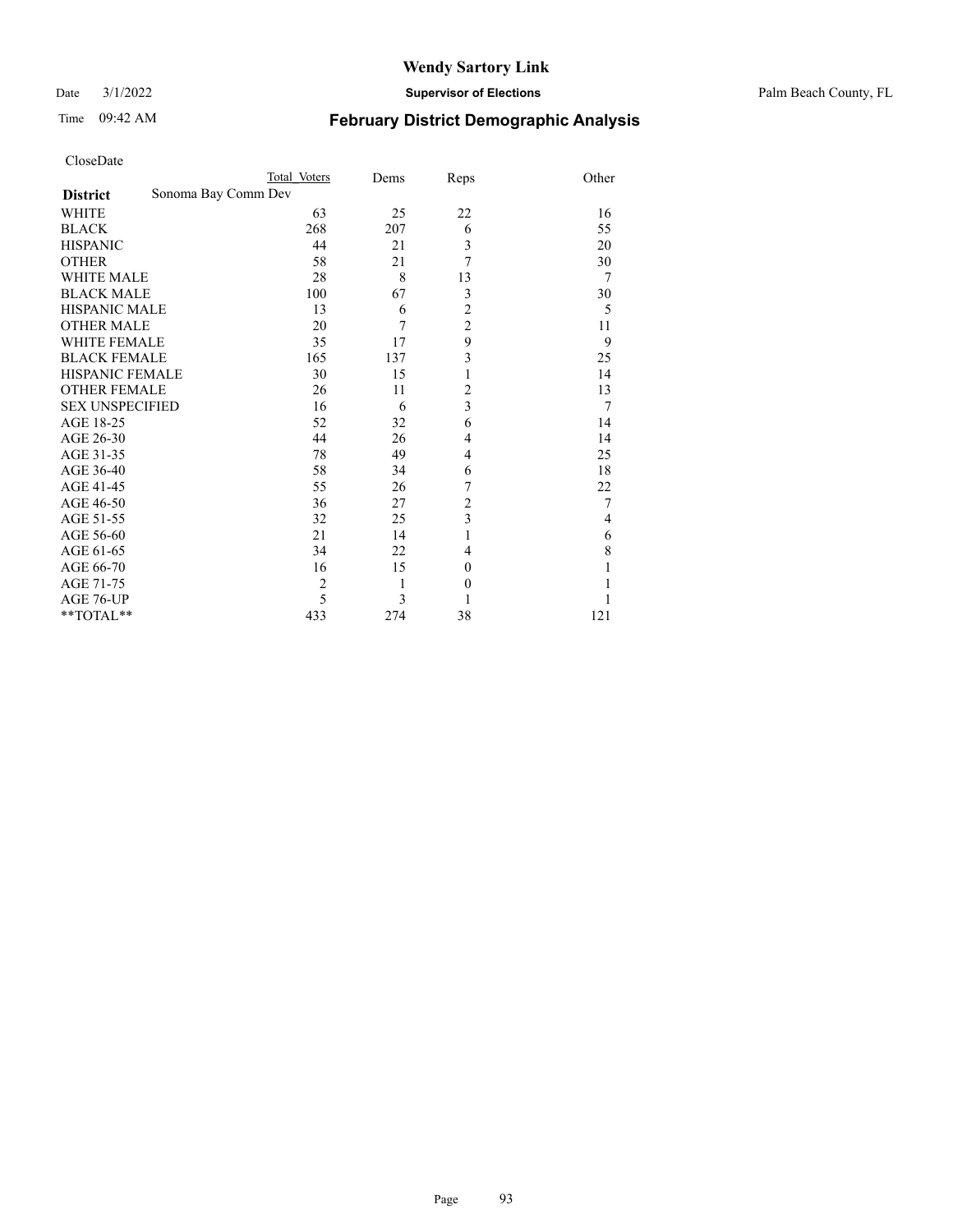Date 3/1/2022 **Supervisor of Elections** Palm Beach County, FL

| CloseDate              |                     |                |      |                |                |
|------------------------|---------------------|----------------|------|----------------|----------------|
|                        |                     | Total Voters   | Dems | Reps           | Other          |
| <b>District</b>        | Sonoma Bay Comm Dev |                |      |                |                |
| WHITE                  |                     | 63             | 25   | 22             | 16             |
| <b>BLACK</b>           |                     | 268            | 207  | 6              | 55             |
| <b>HISPANIC</b>        |                     | 44             | 21   | 3              | 20             |
| <b>OTHER</b>           |                     | 58             | 21   | 7              | 30             |
| <b>WHITE MALE</b>      |                     | 28             | 8    | 13             | 7              |
| <b>BLACK MALE</b>      |                     | 100            | 67   | 3              | 30             |
| <b>HISPANIC MALE</b>   |                     | 13             | 6    | $\overline{c}$ | 5              |
| <b>OTHER MALE</b>      |                     | 20             | 7    | $\overline{c}$ | 11             |
| <b>WHITE FEMALE</b>    |                     | 35             | 17   | 9              | 9              |
| <b>BLACK FEMALE</b>    |                     | 165            | 137  | 3              | 25             |
| HISPANIC FEMALE        |                     | 30             | 15   | 1              | 14             |
| <b>OTHER FEMALE</b>    |                     | 26             | 11   | 2              | 13             |
| <b>SEX UNSPECIFIED</b> |                     | 16             | 6    | 3              | $\overline{7}$ |
| AGE 18-25              |                     | 52             | 32   | 6              | 14             |
| AGE 26-30              |                     | 44             | 26   | 4              | 14             |
| AGE 31-35              |                     | 78             | 49   | $\overline{4}$ | 25             |
| AGE 36-40              |                     | 58             | 34   | 6              | 18             |
| AGE 41-45              |                     | 55             | 26   | 7              | 22             |
| AGE 46-50              |                     | 36             | 27   | $\overline{c}$ | 7              |
| AGE 51-55              |                     | 32             | 25   | 3              | $\overline{4}$ |
| AGE 56-60              |                     | 21             | 14   | 1              | 6              |
| AGE 61-65              |                     | 34             | 22   | 4              | 8              |
| AGE 66-70              |                     | 16             | 15   | $\theta$       |                |
| AGE 71-75              |                     | $\overline{c}$ | 1    | $\theta$       |                |
| AGE 76-UP              |                     | 5              | 3    |                |                |
| **TOTAL**              |                     | 433            | 274  | 38             | 121            |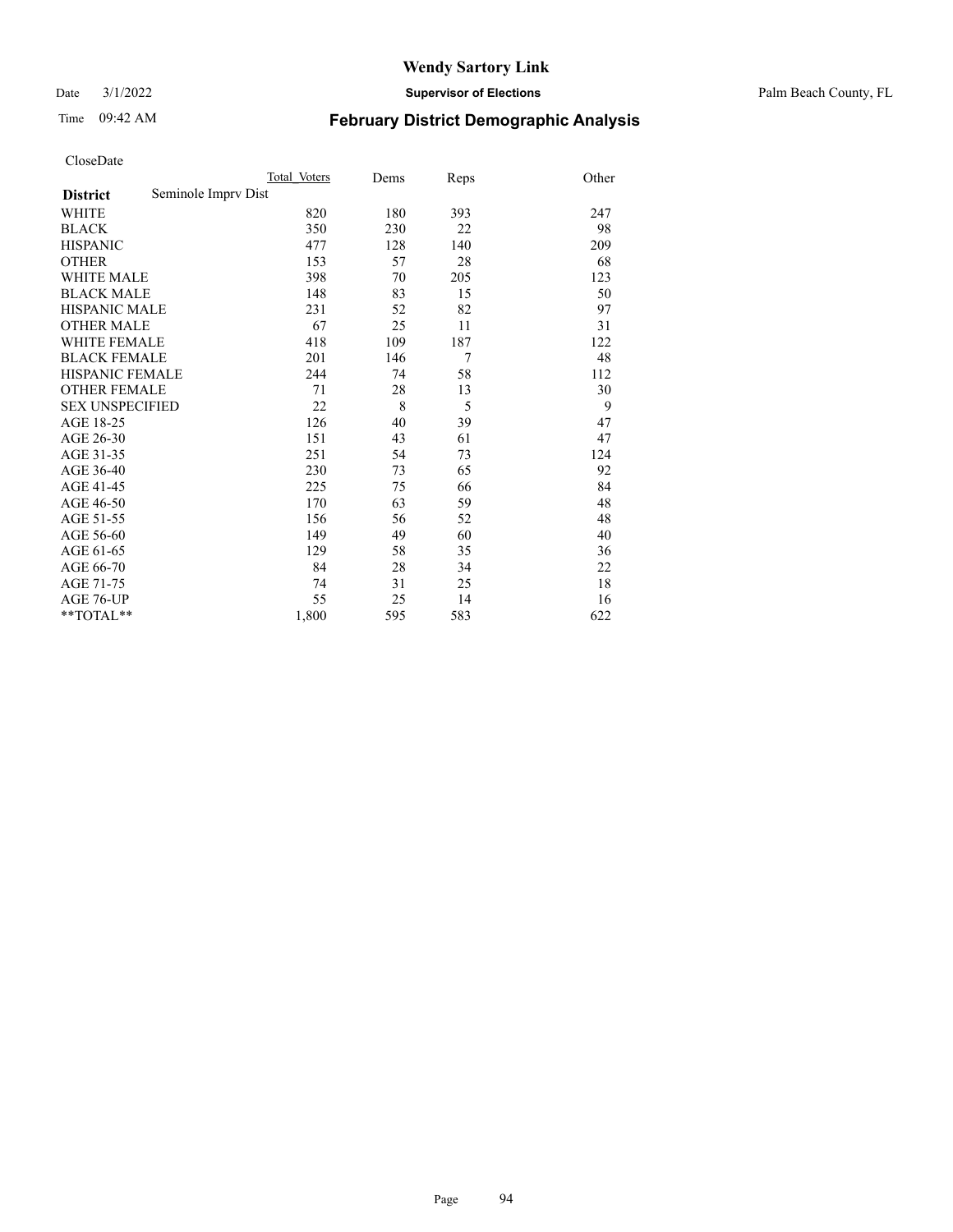Date 3/1/2022 **Supervisor of Elections** Palm Beach County, FL

# Time 09:42 AM **February District Demographic Analysis**

|                                        | Total Voters | Dems | Reps | Other |
|----------------------------------------|--------------|------|------|-------|
| Seminole Impry Dist<br><b>District</b> |              |      |      |       |
| <b>WHITE</b>                           | 820          | 180  | 393  | 247   |
| <b>BLACK</b>                           | 350          | 230  | 22   | 98    |
| <b>HISPANIC</b>                        | 477          | 128  | 140  | 209   |
| <b>OTHER</b>                           | 153          | 57   | 28   | 68    |
| WHITE MALE                             | 398          | 70   | 205  | 123   |
| <b>BLACK MALE</b>                      | 148          | 83   | 15   | 50    |
| <b>HISPANIC MALE</b>                   | 231          | 52   | 82   | 97    |
| <b>OTHER MALE</b>                      | 67           | 25   | 11   | 31    |
| WHITE FEMALE                           | 418          | 109  | 187  | 122   |
| <b>BLACK FEMALE</b>                    | 201          | 146  | 7    | 48    |
| <b>HISPANIC FEMALE</b>                 | 244          | 74   | 58   | 112   |
| <b>OTHER FEMALE</b>                    | 71           | 28   | 13   | 30    |
| <b>SEX UNSPECIFIED</b>                 | 22           | 8    | 5    | 9     |
| AGE 18-25                              | 126          | 40   | 39   | 47    |
| AGE 26-30                              | 151          | 43   | 61   | 47    |
| AGE 31-35                              | 251          | 54   | 73   | 124   |
| AGE 36-40                              | 230          | 73   | 65   | 92    |
| AGE 41-45                              | 225          | 75   | 66   | 84    |
| AGE 46-50                              | 170          | 63   | 59   | 48    |
| AGE 51-55                              | 156          | 56   | 52   | 48    |
| AGE 56-60                              | 149          | 49   | 60   | 40    |
| AGE 61-65                              | 129          | 58   | 35   | 36    |
| AGE 66-70                              | 84           | 28   | 34   | 22    |
| AGE 71-75                              | 74           | 31   | 25   | 18    |
| AGE 76-UP                              | 55           | 25   | 14   | 16    |
| $*$ $TOTAL**$                          | 1,800        | 595  | 583  | 622   |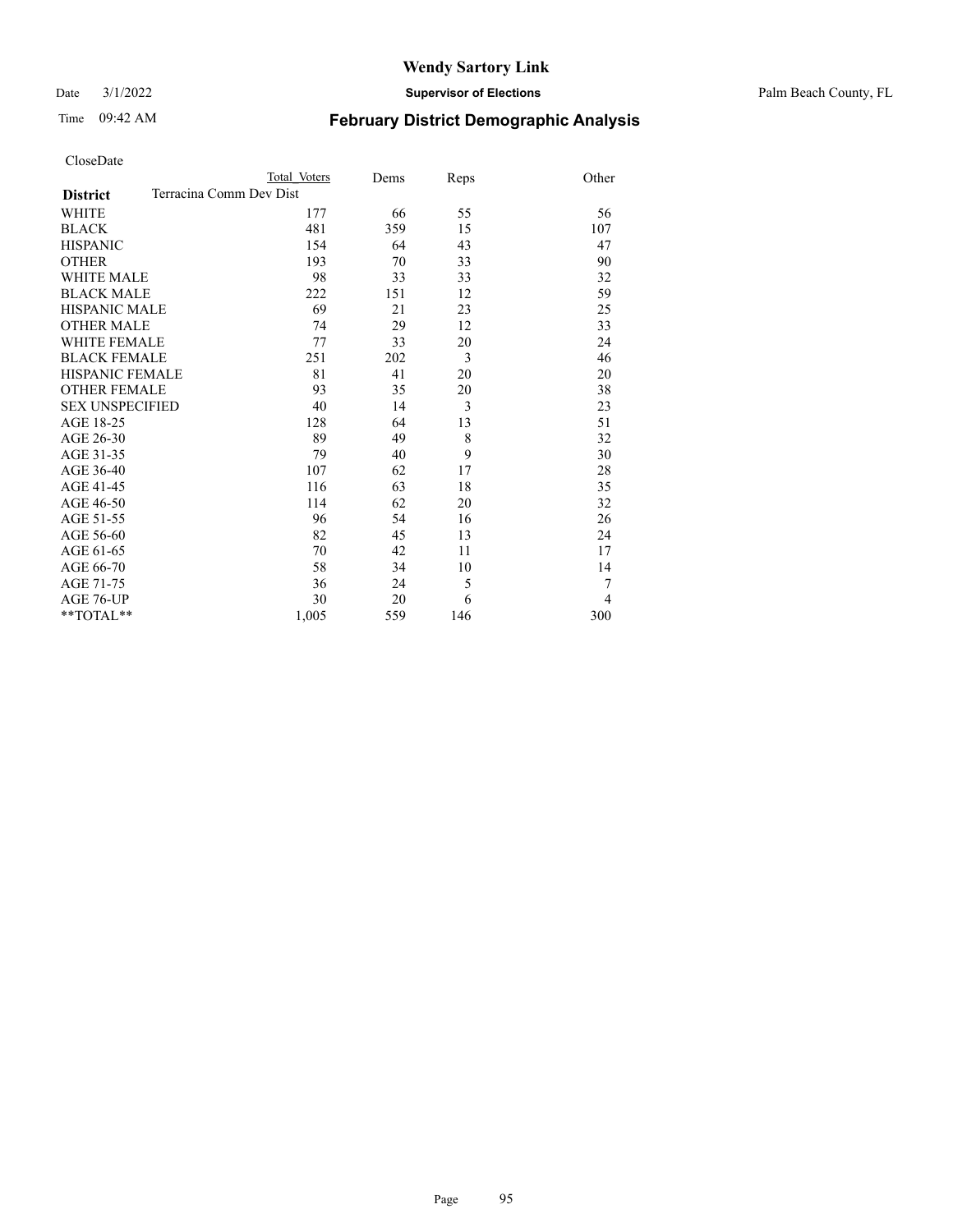Date 3/1/2022 **Supervisor of Elections** Palm Beach County, FL

| CloseDate |
|-----------|
|-----------|

|                                            | Total Voters | Dems | Reps | Other |
|--------------------------------------------|--------------|------|------|-------|
| Terracina Comm Dev Dist<br><b>District</b> |              |      |      |       |
| WHITE                                      | 177          | 66   | 55   | 56    |
| <b>BLACK</b>                               | 481          | 359  | 15   | 107   |
| <b>HISPANIC</b>                            | 154          | 64   | 43   | 47    |
| <b>OTHER</b>                               | 193          | 70   | 33   | 90    |
| <b>WHITE MALE</b>                          | 98           | 33   | 33   | 32    |
| <b>BLACK MALE</b>                          | 222          | 151  | 12   | 59    |
| <b>HISPANIC MALE</b>                       | 69           | 21   | 23   | 25    |
| <b>OTHER MALE</b>                          | 74           | 29   | 12   | 33    |
| <b>WHITE FEMALE</b>                        | 77           | 33   | 20   | 24    |
| <b>BLACK FEMALE</b>                        | 251          | 202  | 3    | 46    |
| <b>HISPANIC FEMALE</b>                     | 81           | 41   | 20   | 20    |
| <b>OTHER FEMALE</b>                        | 93           | 35   | 20   | 38    |
| <b>SEX UNSPECIFIED</b>                     | 40           | 14   | 3    | 23    |
| AGE 18-25                                  | 128          | 64   | 13   | 51    |
| AGE 26-30                                  | 89           | 49   | 8    | 32    |
| AGE 31-35                                  | 79           | 40   | 9    | 30    |
| AGE 36-40                                  | 107          | 62   | 17   | 28    |
| AGE 41-45                                  | 116          | 63   | 18   | 35    |
| AGE 46-50                                  | 114          | 62   | 20   | 32    |
| AGE 51-55                                  | 96           | 54   | 16   | 26    |
| AGE 56-60                                  | 82           | 45   | 13   | 24    |
| AGE 61-65                                  | 70           | 42   | 11   | 17    |
| AGE 66-70                                  | 58           | 34   | 10   | 14    |
| AGE 71-75                                  | 36           | 24   | 5    | 7     |
| <b>AGE 76-UP</b>                           | 30           | 20   | 6    | 4     |
| $*$ TOTAL $*$                              | 1,005        | 559  | 146  | 300   |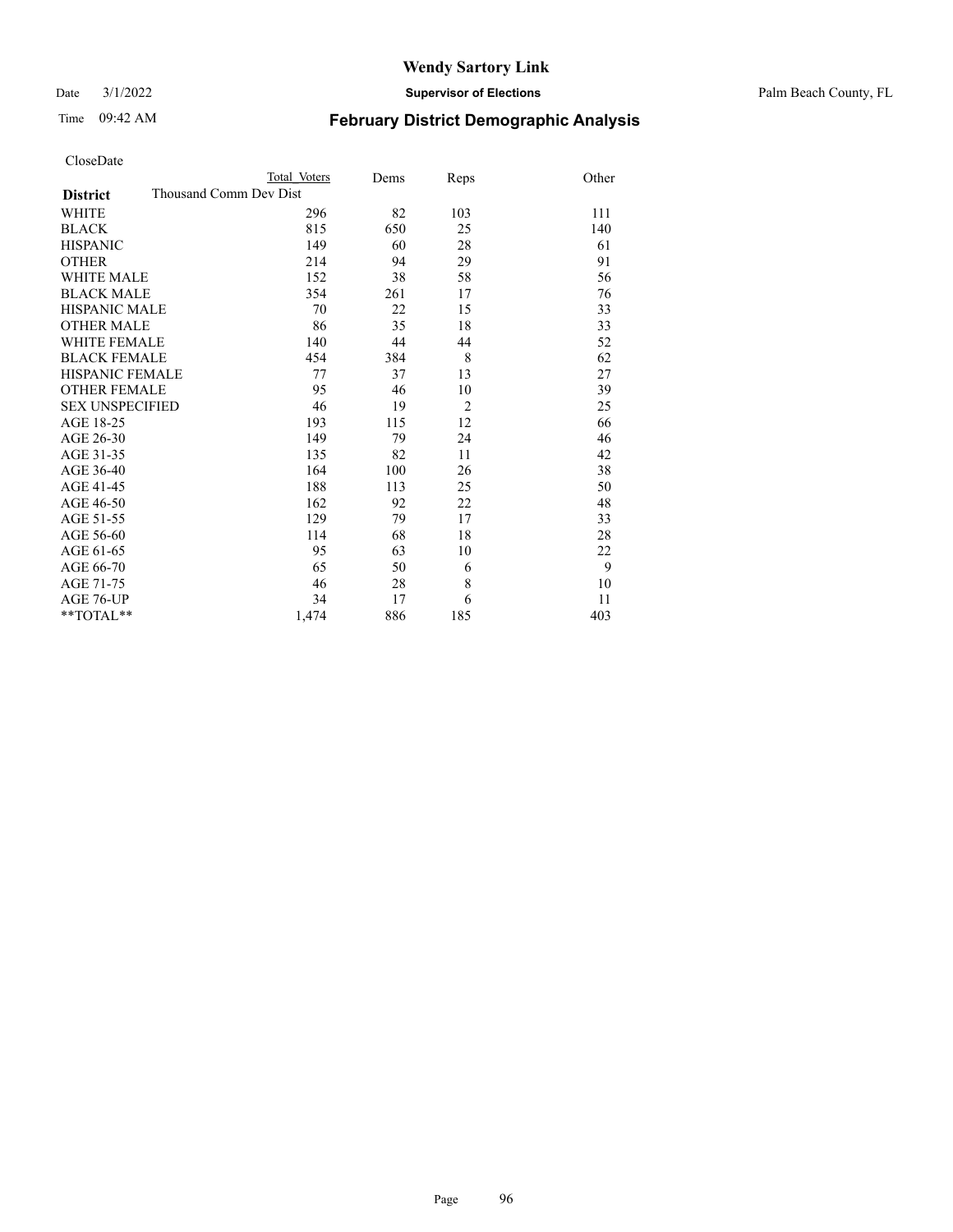Date 3/1/2022 **Supervisor of Elections** Palm Beach County, FL

| CloseDate |  |
|-----------|--|
|-----------|--|

| CloseDate              |                        |              |      |                |       |
|------------------------|------------------------|--------------|------|----------------|-------|
|                        |                        | Total Voters | Dems | Reps           | Other |
| <b>District</b>        | Thousand Comm Dev Dist |              |      |                |       |
| <b>WHITE</b>           |                        | 296          | 82   | 103            | 111   |
| <b>BLACK</b>           |                        | 815          | 650  | 25             | 140   |
| <b>HISPANIC</b>        |                        | 149          | 60   | 28             | 61    |
| <b>OTHER</b>           |                        | 214          | 94   | 29             | 91    |
| <b>WHITE MALE</b>      |                        | 152          | 38   | 58             | 56    |
| <b>BLACK MALE</b>      |                        | 354          | 261  | 17             | 76    |
| <b>HISPANIC MALE</b>   |                        | 70           | 22   | 15             | 33    |
| <b>OTHER MALE</b>      |                        | 86           | 35   | 18             | 33    |
| WHITE FEMALE           |                        | 140          | 44   | 44             | 52    |
| <b>BLACK FEMALE</b>    |                        | 454          | 384  | 8              | 62    |
| <b>HISPANIC FEMALE</b> |                        | 77           | 37   | 13             | 27    |
| <b>OTHER FEMALE</b>    |                        | 95           | 46   | 10             | 39    |
| <b>SEX UNSPECIFIED</b> |                        | 46           | 19   | $\overline{2}$ | 25    |
| AGE 18-25              |                        | 193          | 115  | 12             | 66    |
| AGE 26-30              |                        | 149          | 79   | 24             | 46    |
| AGE 31-35              |                        | 135          | 82   | 11             | 42    |
| AGE 36-40              |                        | 164          | 100  | 26             | 38    |
| AGE 41-45              |                        | 188          | 113  | 25             | 50    |
| AGE 46-50              |                        | 162          | 92   | 22             | 48    |
| AGE 51-55              |                        | 129          | 79   | 17             | 33    |
| AGE 56-60              |                        | 114          | 68   | 18             | 28    |
| AGE 61-65              |                        | 95           | 63   | 10             | 22    |
| AGE 66-70              |                        | 65           | 50   | 6              | 9     |
| AGE 71-75              |                        | 46           | 28   | 8              | 10    |
| AGE 76-UP              |                        | 34           | 17   | 6              | 11    |
| $*$ $TOTAL**$          |                        | 1,474        | 886  | 185            | 403   |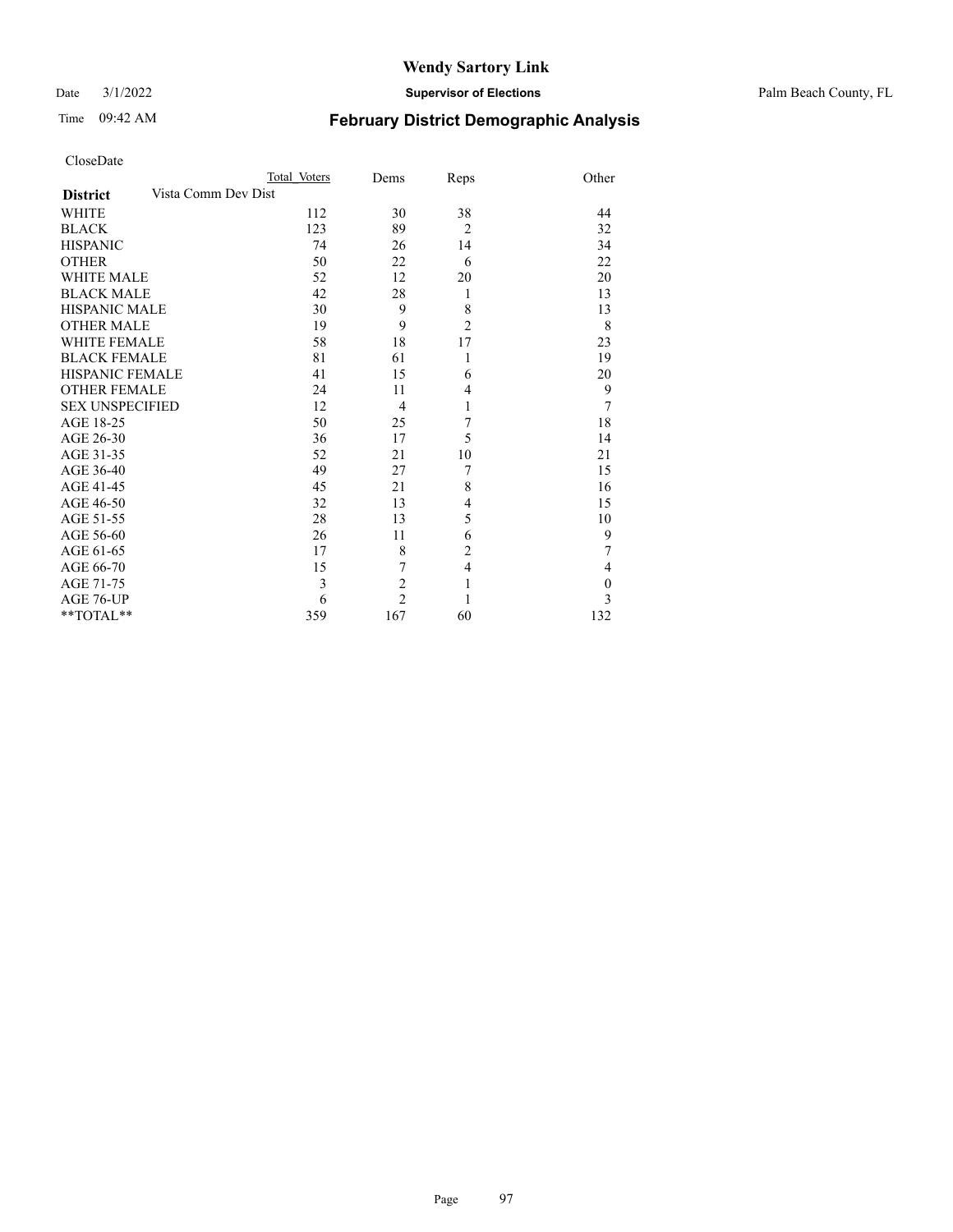Date 3/1/2022 **Supervisor of Elections** Palm Beach County, FL

| CloseDate |
|-----------|
|-----------|

|                                        | Total Voters | Dems           | Reps           | Other            |
|----------------------------------------|--------------|----------------|----------------|------------------|
| Vista Comm Dev Dist<br><b>District</b> |              |                |                |                  |
| <b>WHITE</b>                           | 112          | 30             | 38             | 44               |
| <b>BLACK</b>                           | 123          | 89             | $\overline{2}$ | 32               |
| <b>HISPANIC</b>                        | 74           | 26             | 14             | 34               |
| <b>OTHER</b>                           | 50           | 22             | 6              | 22               |
| <b>WHITE MALE</b>                      | 52           | 12             | 20             | 20               |
| <b>BLACK MALE</b>                      | 42           | 28             | 1              | 13               |
| <b>HISPANIC MALE</b>                   | 30           | 9              | 8              | 13               |
| <b>OTHER MALE</b>                      | 19           | 9              | $\overline{2}$ | 8                |
| <b>WHITE FEMALE</b>                    | 58           | 18             | 17             | 23               |
| <b>BLACK FEMALE</b>                    | 81           | 61             | 1              | 19               |
| HISPANIC FEMALE                        | 41           | 15             | 6              | 20               |
| <b>OTHER FEMALE</b>                    | 24           | 11             | $\overline{4}$ | 9                |
| <b>SEX UNSPECIFIED</b>                 | 12           | 4              | 1              | 7                |
| AGE 18-25                              | 50           | 25             | 7              | 18               |
| AGE 26-30                              | 36           | 17             | 5              | 14               |
| AGE 31-35                              | 52           | 21             | 10             | 21               |
| AGE 36-40                              | 49           | 27             | 7              | 15               |
| AGE 41-45                              | 45           | 21             | 8              | 16               |
| AGE 46-50                              | 32           | 13             | $\overline{4}$ | 15               |
| AGE 51-55                              | 28           | 13             | 5              | 10               |
| AGE 56-60                              | 26           | 11             | 6              | 9                |
| AGE 61-65                              | 17           | 8              | $\overline{2}$ | 7                |
| AGE 66-70                              | 15           | 7              | $\overline{4}$ | $\overline{4}$   |
| AGE 71-75                              | 3            | $\overline{c}$ | 1              | $\boldsymbol{0}$ |
| AGE 76-UP                              | 6            | $\overline{c}$ | 1              | 3                |
| **TOTAL**                              | 359          | 167            | 60             | 132              |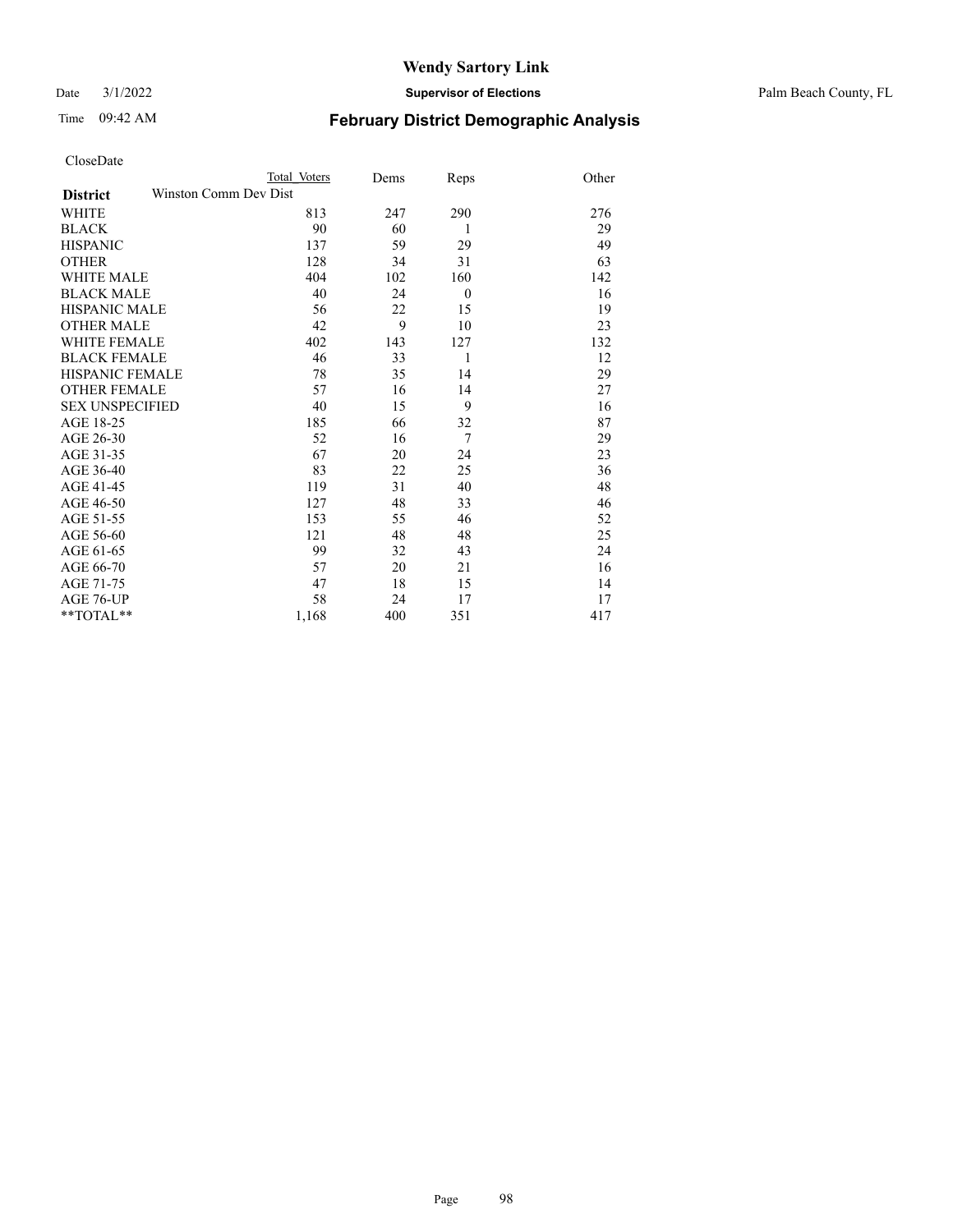Date 3/1/2022 **Supervisor of Elections** Palm Beach County, FL

| CloseDate |
|-----------|
|-----------|

| CloseDate              |                       |              |      |          |       |
|------------------------|-----------------------|--------------|------|----------|-------|
|                        |                       | Total Voters | Dems | Reps     | Other |
| <b>District</b>        | Winston Comm Dev Dist |              |      |          |       |
| <b>WHITE</b>           |                       | 813          | 247  | 290      | 276   |
| <b>BLACK</b>           |                       | 90           | 60   | 1        | 29    |
| <b>HISPANIC</b>        |                       | 137          | 59   | 29       | 49    |
| <b>OTHER</b>           |                       | 128          | 34   | 31       | 63    |
| <b>WHITE MALE</b>      |                       | 404          | 102  | 160      | 142   |
| <b>BLACK MALE</b>      |                       | 40           | 24   | $\theta$ | 16    |
| <b>HISPANIC MALE</b>   |                       | 56           | 22   | 15       | 19    |
| <b>OTHER MALE</b>      |                       | 42           | 9    | 10       | 23    |
| <b>WHITE FEMALE</b>    |                       | 402          | 143  | 127      | 132   |
| <b>BLACK FEMALE</b>    |                       | 46           | 33   | 1        | 12    |
| <b>HISPANIC FEMALE</b> |                       | 78           | 35   | 14       | 29    |
| <b>OTHER FEMALE</b>    |                       | 57           | 16   | 14       | 27    |
| <b>SEX UNSPECIFIED</b> |                       | 40           | 15   | 9        | 16    |
| AGE 18-25              |                       | 185          | 66   | 32       | 87    |
| AGE 26-30              |                       | 52           | 16   | 7        | 29    |
| AGE 31-35              |                       | 67           | 20   | 24       | 23    |
| AGE 36-40              |                       | 83           | 22   | 25       | 36    |
| AGE 41-45              |                       | 119          | 31   | 40       | 48    |
| AGE 46-50              |                       | 127          | 48   | 33       | 46    |
| AGE 51-55              |                       | 153          | 55   | 46       | 52    |
| AGE 56-60              |                       | 121          | 48   | 48       | 25    |
| AGE 61-65              |                       | 99           | 32   | 43       | 24    |
| AGE 66-70              |                       | 57           | 20   | 21       | 16    |
| AGE 71-75              |                       | 47           | 18   | 15       | 14    |
| AGE 76-UP              |                       | 58           | 24   | 17       | 17    |
| $*$ $TOTAL**$          |                       | 1,168        | 400  | 351      | 417   |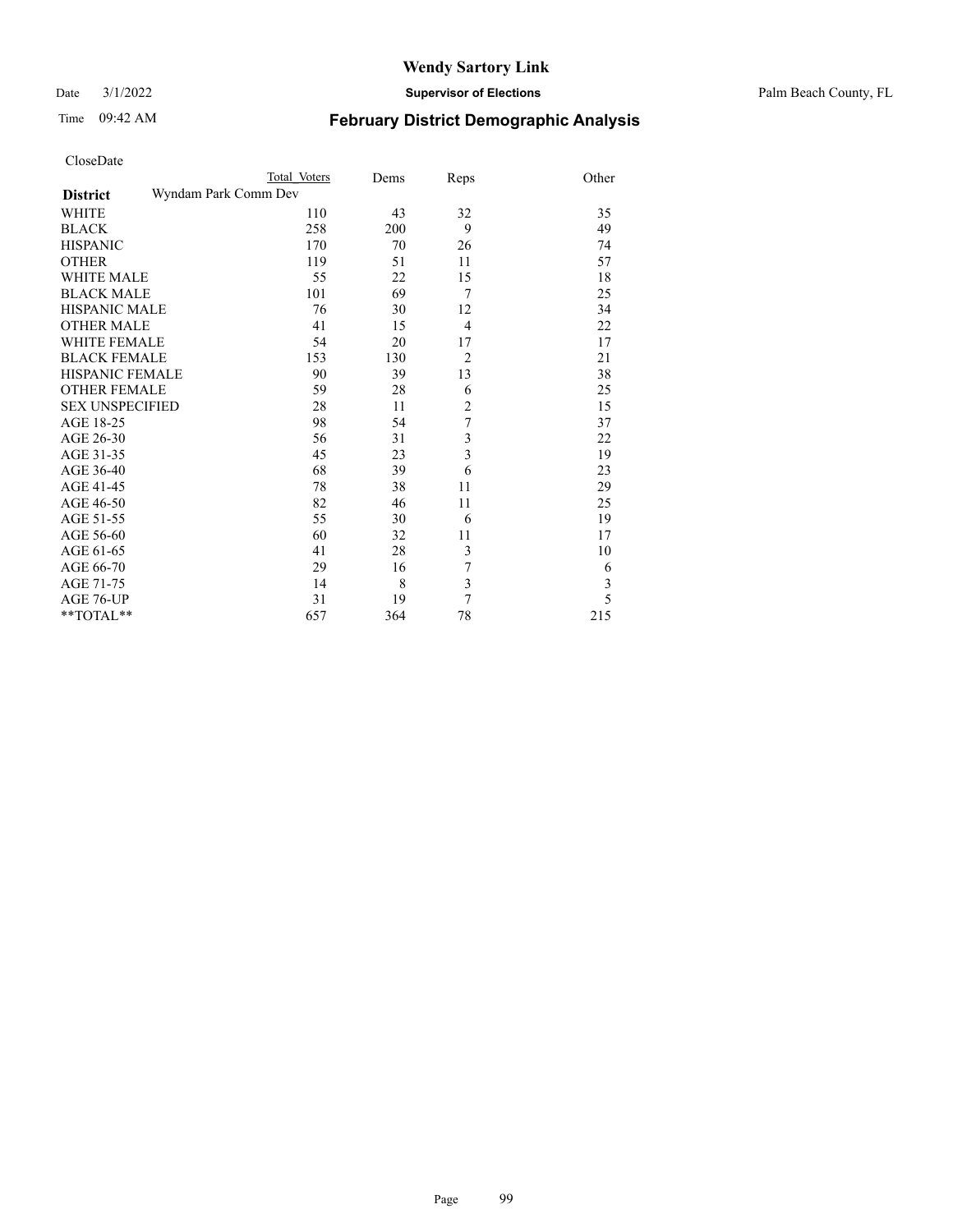Date 3/1/2022 **Supervisor of Elections** Palm Beach County, FL

| CloseDate              |                      |      |                |       |
|------------------------|----------------------|------|----------------|-------|
|                        | Total Voters         | Dems | Reps           | Other |
| <b>District</b>        | Wyndam Park Comm Dev |      |                |       |
| WHITE                  | 110                  | 43   | 32             | 35    |
| <b>BLACK</b>           | 258                  | 200  | 9              | 49    |
| <b>HISPANIC</b>        | 170                  | 70   | 26             | 74    |
| <b>OTHER</b>           | 119                  | 51   | 11             | 57    |
| <b>WHITE MALE</b>      | 55                   | 22   | 15             | 18    |
| <b>BLACK MALE</b>      | 101                  | 69   | 7              | 25    |
| <b>HISPANIC MALE</b>   | 76                   | 30   | 12             | 34    |
| <b>OTHER MALE</b>      | 41                   | 15   | 4              | 22    |
| <b>WHITE FEMALE</b>    | 54                   | 20   | 17             | 17    |
| <b>BLACK FEMALE</b>    | 153                  | 130  | $\overline{2}$ | 21    |
| <b>HISPANIC FEMALE</b> | 90                   | 39   | 13             | 38    |
| <b>OTHER FEMALE</b>    | 59                   | 28   | 6              | 25    |
| <b>SEX UNSPECIFIED</b> | 28                   | 11   | $\overline{2}$ | 15    |
| AGE 18-25              | 98                   | 54   | 7              | 37    |
| AGE 26-30              | 56                   | 31   | 3              | 22    |
| AGE 31-35              | 45                   | 23   | $\overline{3}$ | 19    |
| AGE 36-40              | 68                   | 39   | 6              | 23    |
| AGE 41-45              | 78                   | 38   | 11             | 29    |
| AGE 46-50              | 82                   | 46   | 11             | 25    |
| AGE 51-55              | 55                   | 30   | 6              | 19    |
| AGE 56-60              | 60                   | 32   | 11             | 17    |
| AGE 61-65              | 41                   | 28   | 3              | 10    |
| AGE 66-70              | 29                   | 16   | 7              | 6     |
| AGE 71-75              | 14                   | 8    | $\overline{3}$ | 3     |
| AGE 76-UP              | 31                   | 19   | 7              | 5     |
| $*$ $TOTAL**$          | 657                  | 364  | 78             | 215   |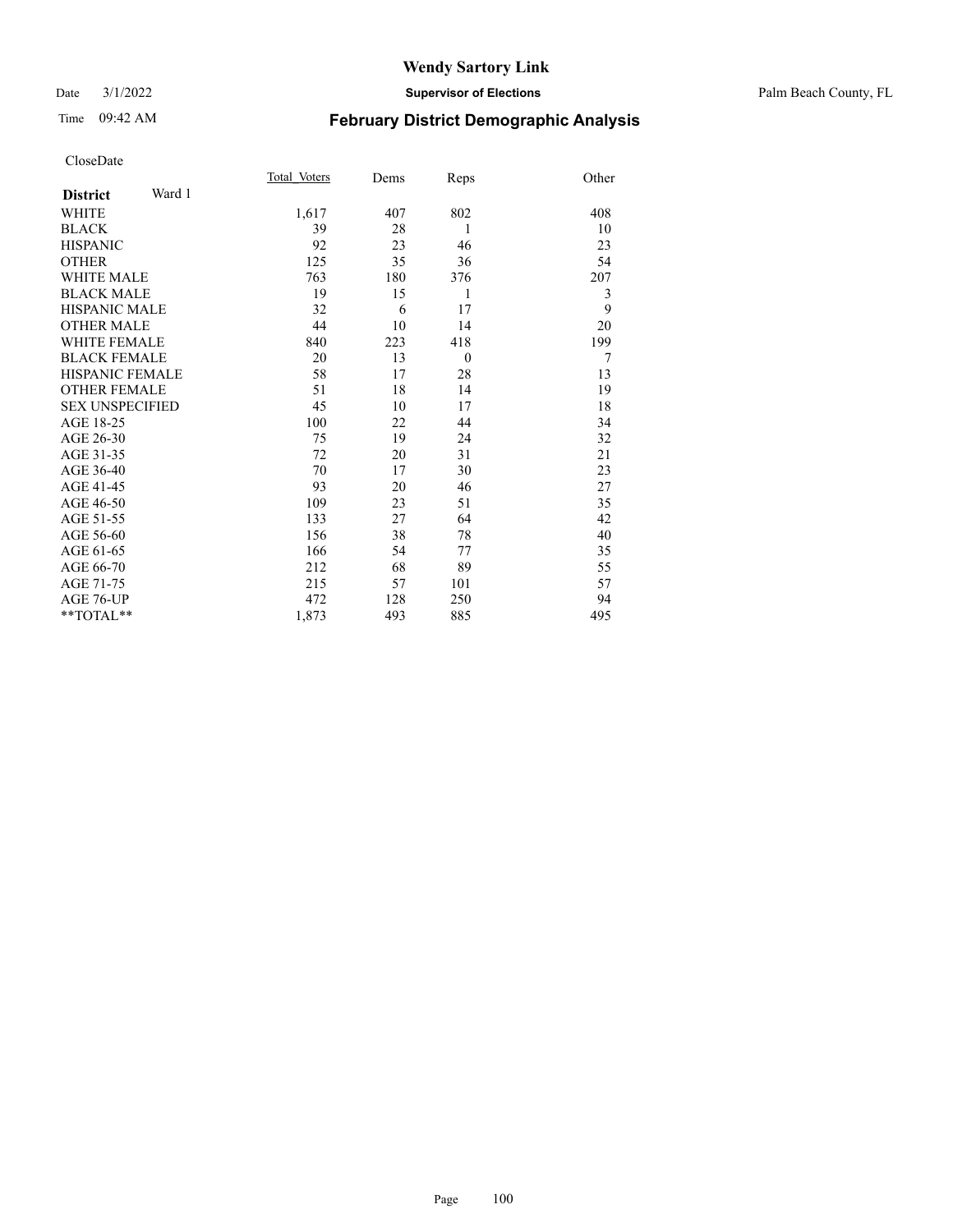#### Date 3/1/2022 **Supervisor of Elections** Palm Beach County, FL

# Time 09:42 AM **February District Demographic Analysis**

|                           | Total Voters | Dems | Reps     | Other |
|---------------------------|--------------|------|----------|-------|
| Ward 1<br><b>District</b> |              |      |          |       |
| WHITE                     | 1,617        | 407  | 802      | 408   |
| <b>BLACK</b>              | 39           | 28   | 1        | 10    |
| <b>HISPANIC</b>           | 92           | 23   | 46       | 23    |
| <b>OTHER</b>              | 125          | 35   | 36       | 54    |
| <b>WHITE MALE</b>         | 763          | 180  | 376      | 207   |
| <b>BLACK MALE</b>         | 19           | 15   | 1        | 3     |
| <b>HISPANIC MALE</b>      | 32           | 6    | 17       | 9     |
| <b>OTHER MALE</b>         | 44           | 10   | 14       | 20    |
| <b>WHITE FEMALE</b>       | 840          | 223  | 418      | 199   |
| <b>BLACK FEMALE</b>       | 20           | 13   | $\theta$ | 7     |
| <b>HISPANIC FEMALE</b>    | 58           | 17   | 28       | 13    |
| <b>OTHER FEMALE</b>       | 51           | 18   | 14       | 19    |
| <b>SEX UNSPECIFIED</b>    | 45           | 10   | 17       | 18    |
| AGE 18-25                 | 100          | 22   | 44       | 34    |
| AGE 26-30                 | 75           | 19   | 24       | 32    |
| AGE 31-35                 | 72           | 20   | 31       | 21    |
| AGE 36-40                 | 70           | 17   | 30       | 23    |
| AGE 41-45                 | 93           | 20   | 46       | 27    |
| AGE 46-50                 | 109          | 23   | 51       | 35    |
| AGE 51-55                 | 133          | 27   | 64       | 42    |
| AGE 56-60                 | 156          | 38   | 78       | 40    |
| AGE 61-65                 | 166          | 54   | 77       | 35    |
| AGE 66-70                 | 212          | 68   | 89       | 55    |
| AGE 71-75                 | 215          | 57   | 101      | 57    |
| AGE 76-UP                 | 472          | 128  | 250      | 94    |
| $*$ $TOTAL**$             | 1,873        | 493  | 885      | 495   |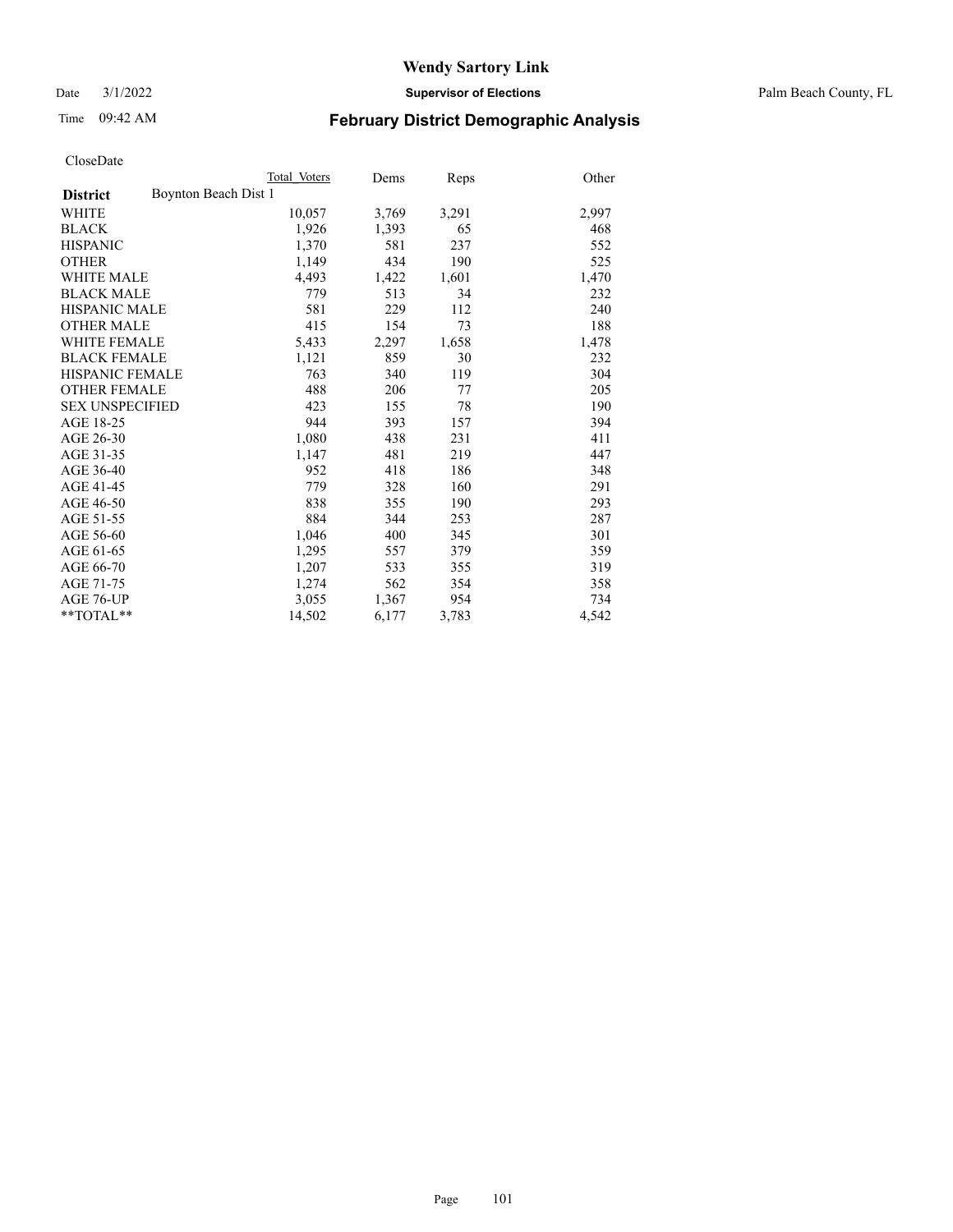Date 3/1/2022 **Supervisor of Elections** Palm Beach County, FL

## Time 09:42 AM **February District Demographic Analysis**

|                                         | Total Voters | Dems  | Reps  | Other |
|-----------------------------------------|--------------|-------|-------|-------|
| Boynton Beach Dist 1<br><b>District</b> |              |       |       |       |
| WHITE                                   | 10,057       | 3,769 | 3,291 | 2,997 |
| <b>BLACK</b>                            | 1,926        | 1,393 | 65    | 468   |
| <b>HISPANIC</b>                         | 1,370        | 581   | 237   | 552   |
| <b>OTHER</b>                            | 1,149        | 434   | 190   | 525   |
| <b>WHITE MALE</b>                       | 4,493        | 1,422 | 1,601 | 1,470 |
| <b>BLACK MALE</b>                       | 779          | 513   | 34    | 232   |
| <b>HISPANIC MALE</b>                    | 581          | 229   | 112   | 240   |
| <b>OTHER MALE</b>                       | 415          | 154   | 73    | 188   |
| <b>WHITE FEMALE</b>                     | 5,433        | 2,297 | 1,658 | 1,478 |
| <b>BLACK FEMALE</b>                     | 1,121        | 859   | 30    | 232   |
| <b>HISPANIC FEMALE</b>                  | 763          | 340   | 119   | 304   |
| <b>OTHER FEMALE</b>                     | 488          | 206   | 77    | 205   |
| <b>SEX UNSPECIFIED</b>                  | 423          | 155   | 78    | 190   |
| AGE 18-25                               | 944          | 393   | 157   | 394   |
| AGE 26-30                               | 1,080        | 438   | 231   | 411   |
| AGE 31-35                               | 1,147        | 481   | 219   | 447   |
| AGE 36-40                               | 952          | 418   | 186   | 348   |
| AGE 41-45                               | 779          | 328   | 160   | 291   |
| AGE 46-50                               | 838          | 355   | 190   | 293   |
| AGE 51-55                               | 884          | 344   | 253   | 287   |
| AGE 56-60                               | 1,046        | 400   | 345   | 301   |
| AGE 61-65                               | 1,295        | 557   | 379   | 359   |
| AGE 66-70                               | 1.207        | 533   | 355   | 319   |
| AGE 71-75                               | 1,274        | 562   | 354   | 358   |
| AGE 76-UP                               | 3,055        | 1,367 | 954   | 734   |
| $*$ $TOTAL**$                           | 14,502       | 6,177 | 3,783 | 4,542 |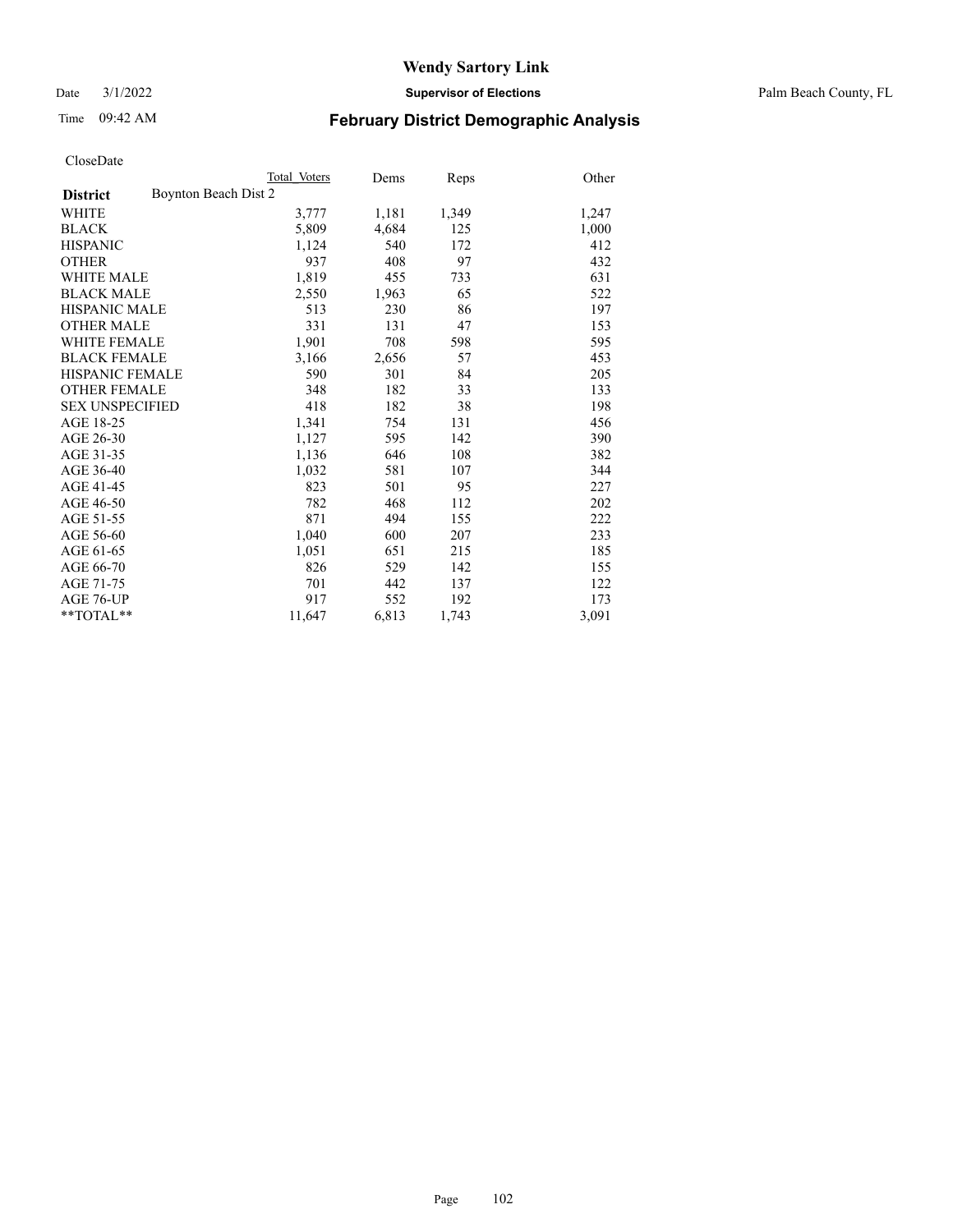Date 3/1/2022 **Supervisor of Elections** Palm Beach County, FL

# Time 09:42 AM **February District Demographic Analysis**

|                                         | Total Voters | Dems  | Reps  | Other |
|-----------------------------------------|--------------|-------|-------|-------|
| Boynton Beach Dist 2<br><b>District</b> |              |       |       |       |
| WHITE                                   | 3,777        | 1,181 | 1,349 | 1,247 |
| <b>BLACK</b>                            | 5,809        | 4,684 | 125   | 1,000 |
| <b>HISPANIC</b>                         | 1,124        | 540   | 172   | 412   |
| <b>OTHER</b>                            | 937          | 408   | 97    | 432   |
| <b>WHITE MALE</b>                       | 1,819        | 455   | 733   | 631   |
| <b>BLACK MALE</b>                       | 2,550        | 1,963 | 65    | 522   |
| <b>HISPANIC MALE</b>                    | 513          | 230   | 86    | 197   |
| <b>OTHER MALE</b>                       | 331          | 131   | 47    | 153   |
| <b>WHITE FEMALE</b>                     | 1,901        | 708   | 598   | 595   |
| <b>BLACK FEMALE</b>                     | 3,166        | 2,656 | 57    | 453   |
| <b>HISPANIC FEMALE</b>                  | 590          | 301   | 84    | 205   |
| <b>OTHER FEMALE</b>                     | 348          | 182   | 33    | 133   |
| <b>SEX UNSPECIFIED</b>                  | 418          | 182   | 38    | 198   |
| AGE 18-25                               | 1,341        | 754   | 131   | 456   |
| AGE 26-30                               | 1,127        | 595   | 142   | 390   |
| AGE 31-35                               | 1,136        | 646   | 108   | 382   |
| AGE 36-40                               | 1,032        | 581   | 107   | 344   |
| AGE 41-45                               | 823          | 501   | 95    | 227   |
| AGE 46-50                               | 782          | 468   | 112   | 202   |
| AGE 51-55                               | 871          | 494   | 155   | 222   |
| AGE 56-60                               | 1,040        | 600   | 207   | 233   |
| AGE 61-65                               | 1,051        | 651   | 215   | 185   |
| AGE 66-70                               | 826          | 529   | 142   | 155   |
| AGE 71-75                               | 701          | 442   | 137   | 122   |
| AGE 76-UP                               | 917          | 552   | 192   | 173   |
| $*$ $TOTAL**$                           | 11,647       | 6,813 | 1,743 | 3,091 |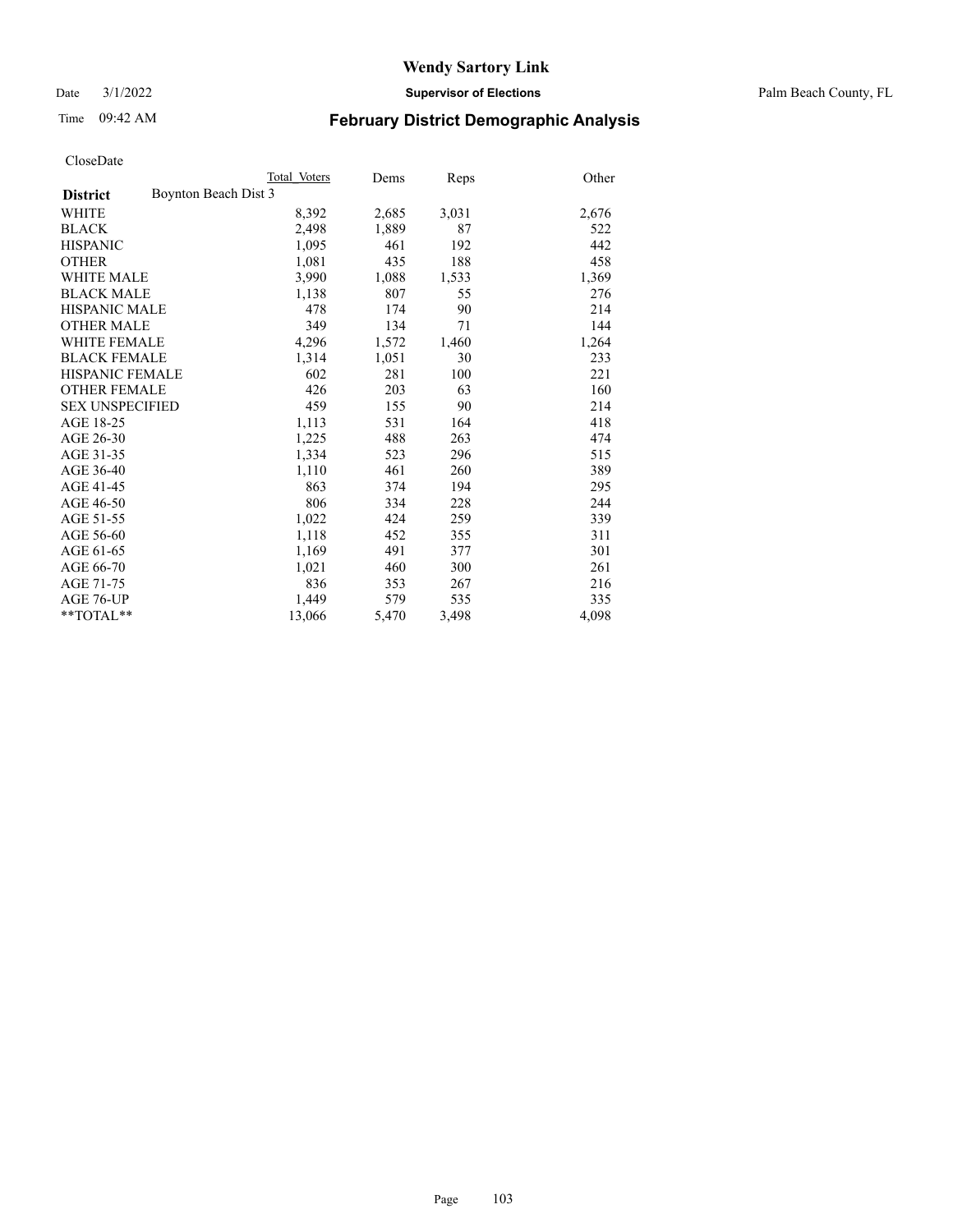Date 3/1/2022 **Supervisor of Elections** Palm Beach County, FL

# Time 09:42 AM **February District Demographic Analysis**

|                                         | Total Voters | Dems  | <b>Reps</b> | Other |
|-----------------------------------------|--------------|-------|-------------|-------|
| Boynton Beach Dist 3<br><b>District</b> |              |       |             |       |
| WHITE                                   | 8,392        | 2,685 | 3,031       | 2,676 |
| <b>BLACK</b>                            | 2,498        | 1,889 | 87          | 522   |
| <b>HISPANIC</b>                         | 1,095        | 461   | 192         | 442   |
| <b>OTHER</b>                            | 1,081        | 435   | 188         | 458   |
| <b>WHITE MALE</b>                       | 3,990        | 1,088 | 1,533       | 1,369 |
| <b>BLACK MALE</b>                       | 1,138        | 807   | 55          | 276   |
| <b>HISPANIC MALE</b>                    | 478          | 174   | 90          | 214   |
| <b>OTHER MALE</b>                       | 349          | 134   | 71          | 144   |
| WHITE FEMALE                            | 4,296        | 1,572 | 1,460       | 1,264 |
| <b>BLACK FEMALE</b>                     | 1,314        | 1,051 | 30          | 233   |
| <b>HISPANIC FEMALE</b>                  | 602          | 281   | 100         | 221   |
| <b>OTHER FEMALE</b>                     | 426          | 203   | 63          | 160   |
| <b>SEX UNSPECIFIED</b>                  | 459          | 155   | 90          | 214   |
| AGE 18-25                               | 1,113        | 531   | 164         | 418   |
| AGE 26-30                               | 1,225        | 488   | 263         | 474   |
| AGE 31-35                               | 1,334        | 523   | 296         | 515   |
| AGE 36-40                               | 1,110        | 461   | 260         | 389   |
| AGE 41-45                               | 863          | 374   | 194         | 295   |
| AGE 46-50                               | 806          | 334   | 228         | 244   |
| AGE 51-55                               | 1,022        | 424   | 259         | 339   |
| AGE 56-60                               | 1,118        | 452   | 355         | 311   |
| AGE 61-65                               | 1,169        | 491   | 377         | 301   |
| AGE 66-70                               | 1,021        | 460   | 300         | 261   |
| AGE 71-75                               | 836          | 353   | 267         | 216   |
| AGE 76-UP                               | 1,449        | 579   | 535         | 335   |
| $*$ $TOTAL**$                           | 13,066       | 5,470 | 3,498       | 4,098 |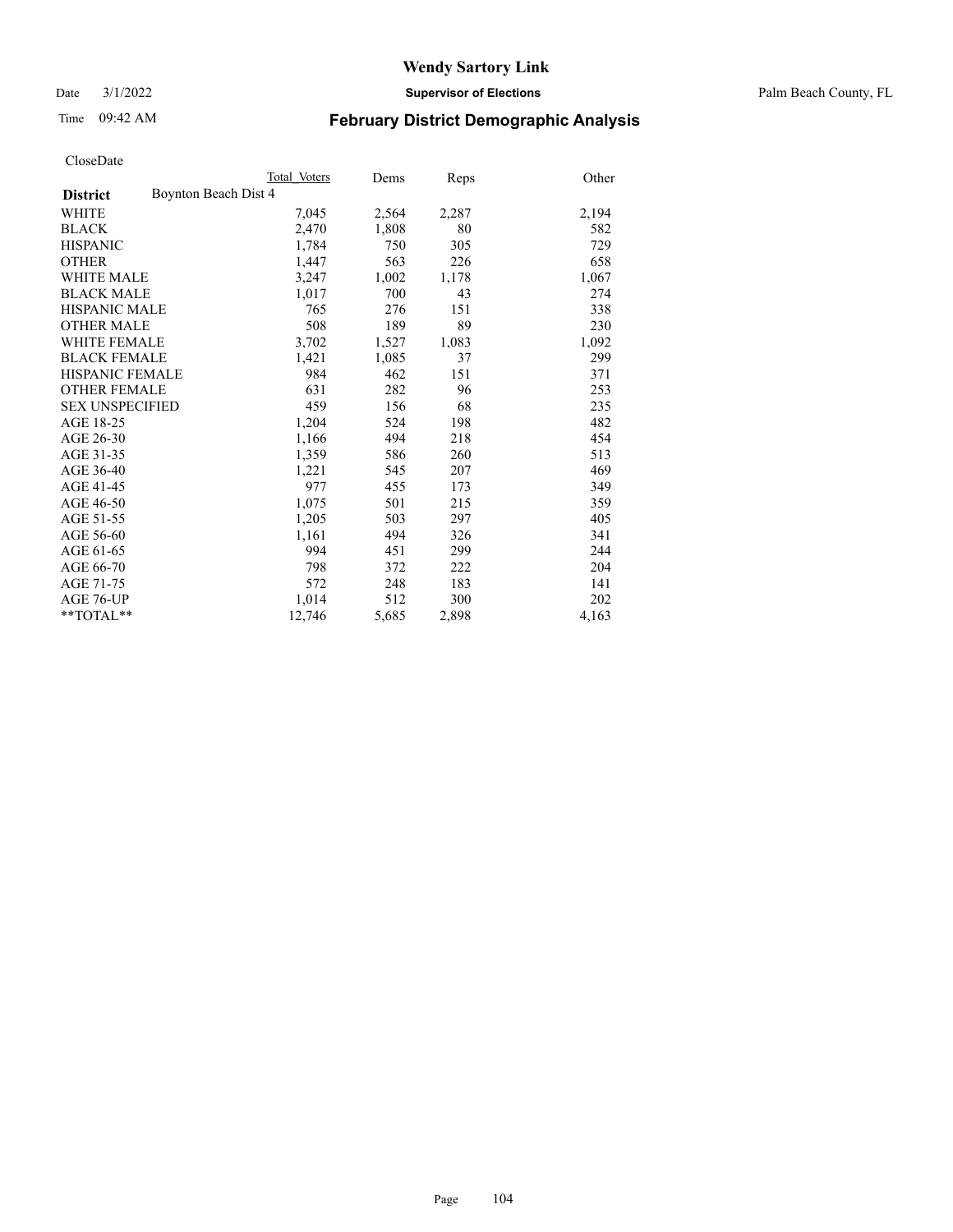Date 3/1/2022 **Supervisor of Elections** Palm Beach County, FL

## Time 09:42 AM **February District Demographic Analysis**

|                                         | Total Voters | Dems  | <b>Reps</b> | Other |
|-----------------------------------------|--------------|-------|-------------|-------|
| Boynton Beach Dist 4<br><b>District</b> |              |       |             |       |
| WHITE                                   | 7,045        | 2,564 | 2,287       | 2,194 |
| <b>BLACK</b>                            | 2,470        | 1,808 | 80          | 582   |
| <b>HISPANIC</b>                         | 1,784        | 750   | 305         | 729   |
| <b>OTHER</b>                            | 1,447        | 563   | 226         | 658   |
| <b>WHITE MALE</b>                       | 3,247        | 1,002 | 1,178       | 1,067 |
| <b>BLACK MALE</b>                       | 1,017        | 700   | 43          | 274   |
| <b>HISPANIC MALE</b>                    | 765          | 276   | 151         | 338   |
| <b>OTHER MALE</b>                       | 508          | 189   | 89          | 230   |
| WHITE FEMALE                            | 3,702        | 1,527 | 1,083       | 1,092 |
| <b>BLACK FEMALE</b>                     | 1,421        | 1,085 | 37          | 299   |
| <b>HISPANIC FEMALE</b>                  | 984          | 462   | 151         | 371   |
| <b>OTHER FEMALE</b>                     | 631          | 282   | 96          | 253   |
| <b>SEX UNSPECIFIED</b>                  | 459          | 156   | 68          | 235   |
| AGE 18-25                               | 1,204        | 524   | 198         | 482   |
| AGE 26-30                               | 1,166        | 494   | 218         | 454   |
| AGE 31-35                               | 1,359        | 586   | 260         | 513   |
| AGE 36-40                               | 1,221        | 545   | 207         | 469   |
| AGE 41-45                               | 977          | 455   | 173         | 349   |
| AGE 46-50                               | 1,075        | 501   | 215         | 359   |
| AGE 51-55                               | 1,205        | 503   | 297         | 405   |
| AGE 56-60                               | 1,161        | 494   | 326         | 341   |
| AGE 61-65                               | 994          | 451   | 299         | 244   |
| AGE 66-70                               | 798          | 372   | 222         | 204   |
| AGE 71-75                               | 572          | 248   | 183         | 141   |
| AGE 76-UP                               | 1,014        | 512   | 300         | 202   |
| $*$ $TOTAL**$                           | 12,746       | 5,685 | 2,898       | 4,163 |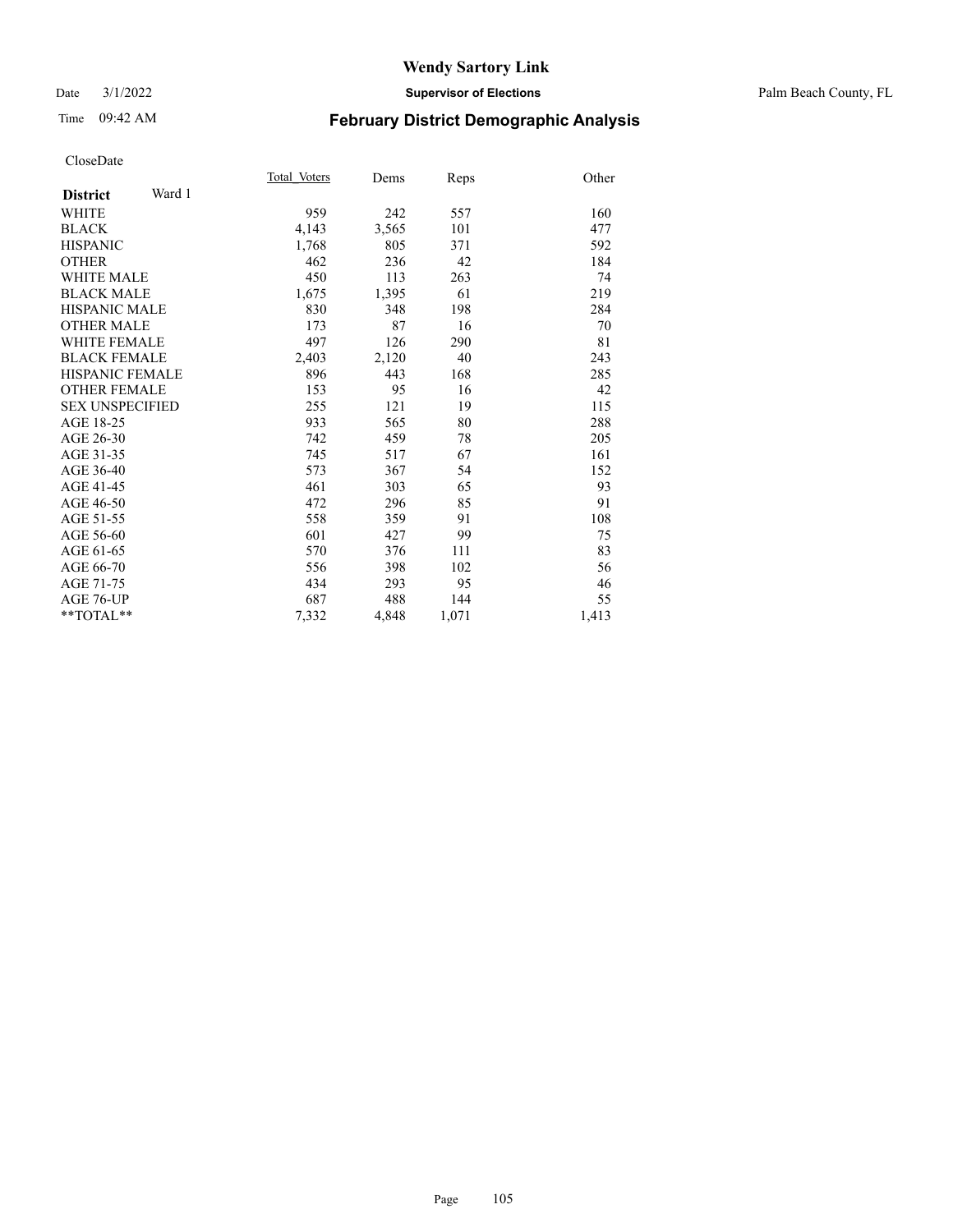#### Date 3/1/2022 **Supervisor of Elections** Palm Beach County, FL

# Time 09:42 AM **February District Demographic Analysis**

|                           | Total Voters | Dems  | Reps  | Other |
|---------------------------|--------------|-------|-------|-------|
| Ward 1<br><b>District</b> |              |       |       |       |
| WHITE                     | 959          | 242   | 557   | 160   |
| <b>BLACK</b>              | 4,143        | 3,565 | 101   | 477   |
| <b>HISPANIC</b>           | 1,768        | 805   | 371   | 592   |
| <b>OTHER</b>              | 462          | 236   | 42    | 184   |
| WHITE MALE                | 450          | 113   | 263   | 74    |
| <b>BLACK MALE</b>         | 1,675        | 1,395 | 61    | 219   |
| HISPANIC MALE             | 830          | 348   | 198   | 284   |
| <b>OTHER MALE</b>         | 173          | 87    | 16    | 70    |
| <b>WHITE FEMALE</b>       | 497          | 126   | 290   | 81    |
| <b>BLACK FEMALE</b>       | 2,403        | 2,120 | 40    | 243   |
| <b>HISPANIC FEMALE</b>    | 896          | 443   | 168   | 285   |
| <b>OTHER FEMALE</b>       | 153          | 95    | 16    | 42    |
| <b>SEX UNSPECIFIED</b>    | 255          | 121   | 19    | 115   |
| AGE 18-25                 | 933          | 565   | 80    | 288   |
| AGE 26-30                 | 742          | 459   | 78    | 205   |
| AGE 31-35                 | 745          | 517   | 67    | 161   |
| AGE 36-40                 | 573          | 367   | 54    | 152   |
| AGE 41-45                 | 461          | 303   | 65    | 93    |
| AGE 46-50                 | 472          | 296   | 85    | 91    |
| AGE 51-55                 | 558          | 359   | 91    | 108   |
| AGE 56-60                 | 601          | 427   | 99    | 75    |
| AGE 61-65                 | 570          | 376   | 111   | 83    |
| AGE 66-70                 | 556          | 398   | 102   | 56    |
| AGE 71-75                 | 434          | 293   | 95    | 46    |
| AGE 76-UP                 | 687          | 488   | 144   | 55    |
| $*$ $TOTAL**$             | 7,332        | 4,848 | 1,071 | 1,413 |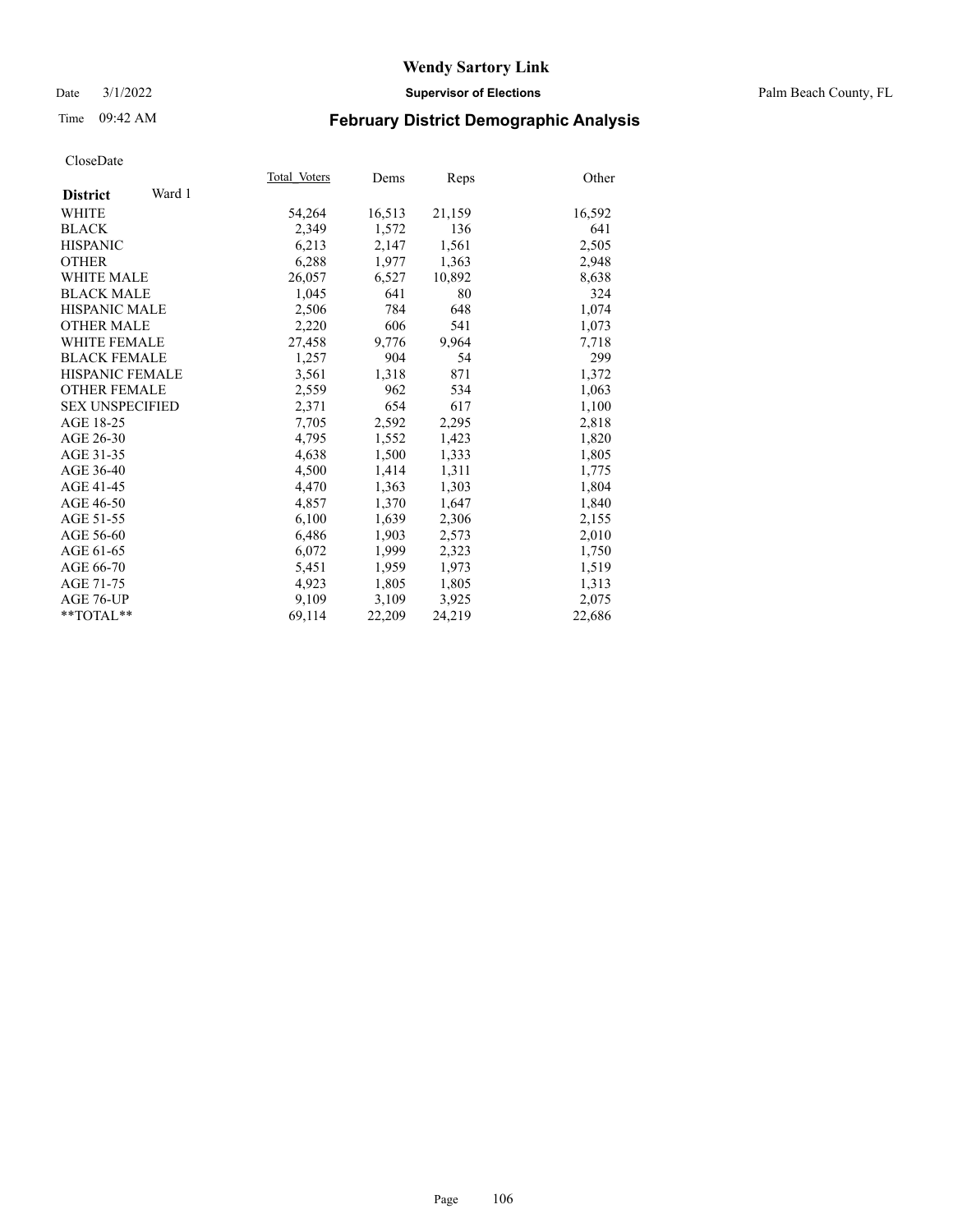#### Date 3/1/2022 **Supervisor of Elections** Palm Beach County, FL

## Time 09:42 AM **February District Demographic Analysis**

|                           | Total Voters | Dems   | Reps   | Other  |
|---------------------------|--------------|--------|--------|--------|
| Ward 1<br><b>District</b> |              |        |        |        |
| WHITE                     | 54,264       | 16,513 | 21,159 | 16,592 |
| <b>BLACK</b>              | 2,349        | 1,572  | 136    | 641    |
| <b>HISPANIC</b>           | 6,213        | 2,147  | 1,561  | 2,505  |
| <b>OTHER</b>              | 6,288        | 1,977  | 1,363  | 2,948  |
| <b>WHITE MALE</b>         | 26,057       | 6,527  | 10,892 | 8,638  |
| <b>BLACK MALE</b>         | 1,045        | 641    | 80     | 324    |
| <b>HISPANIC MALE</b>      | 2,506        | 784    | 648    | 1,074  |
| <b>OTHER MALE</b>         | 2,220        | 606    | 541    | 1,073  |
| <b>WHITE FEMALE</b>       | 27,458       | 9,776  | 9,964  | 7,718  |
| <b>BLACK FEMALE</b>       | 1,257        | 904    | 54     | 299    |
| HISPANIC FEMALE           | 3,561        | 1,318  | 871    | 1,372  |
| <b>OTHER FEMALE</b>       | 2,559        | 962    | 534    | 1,063  |
| <b>SEX UNSPECIFIED</b>    | 2,371        | 654    | 617    | 1,100  |
| AGE 18-25                 | 7,705        | 2,592  | 2,295  | 2,818  |
| AGE 26-30                 | 4,795        | 1,552  | 1,423  | 1,820  |
| AGE 31-35                 | 4,638        | 1,500  | 1,333  | 1,805  |
| AGE 36-40                 | 4,500        | 1,414  | 1,311  | 1,775  |
| AGE 41-45                 | 4,470        | 1,363  | 1,303  | 1,804  |
| AGE 46-50                 | 4,857        | 1,370  | 1,647  | 1,840  |
| AGE 51-55                 | 6,100        | 1,639  | 2,306  | 2,155  |
| AGE 56-60                 | 6,486        | 1,903  | 2,573  | 2,010  |
| AGE 61-65                 | 6,072        | 1,999  | 2,323  | 1,750  |
| AGE 66-70                 | 5,451        | 1,959  | 1,973  | 1,519  |
| AGE 71-75                 | 4,923        | 1,805  | 1,805  | 1,313  |
| AGE 76-UP                 | 9,109        | 3,109  | 3,925  | 2,075  |
| $*$ TOTAL $*$             | 69,114       | 22,209 | 24,219 | 22,686 |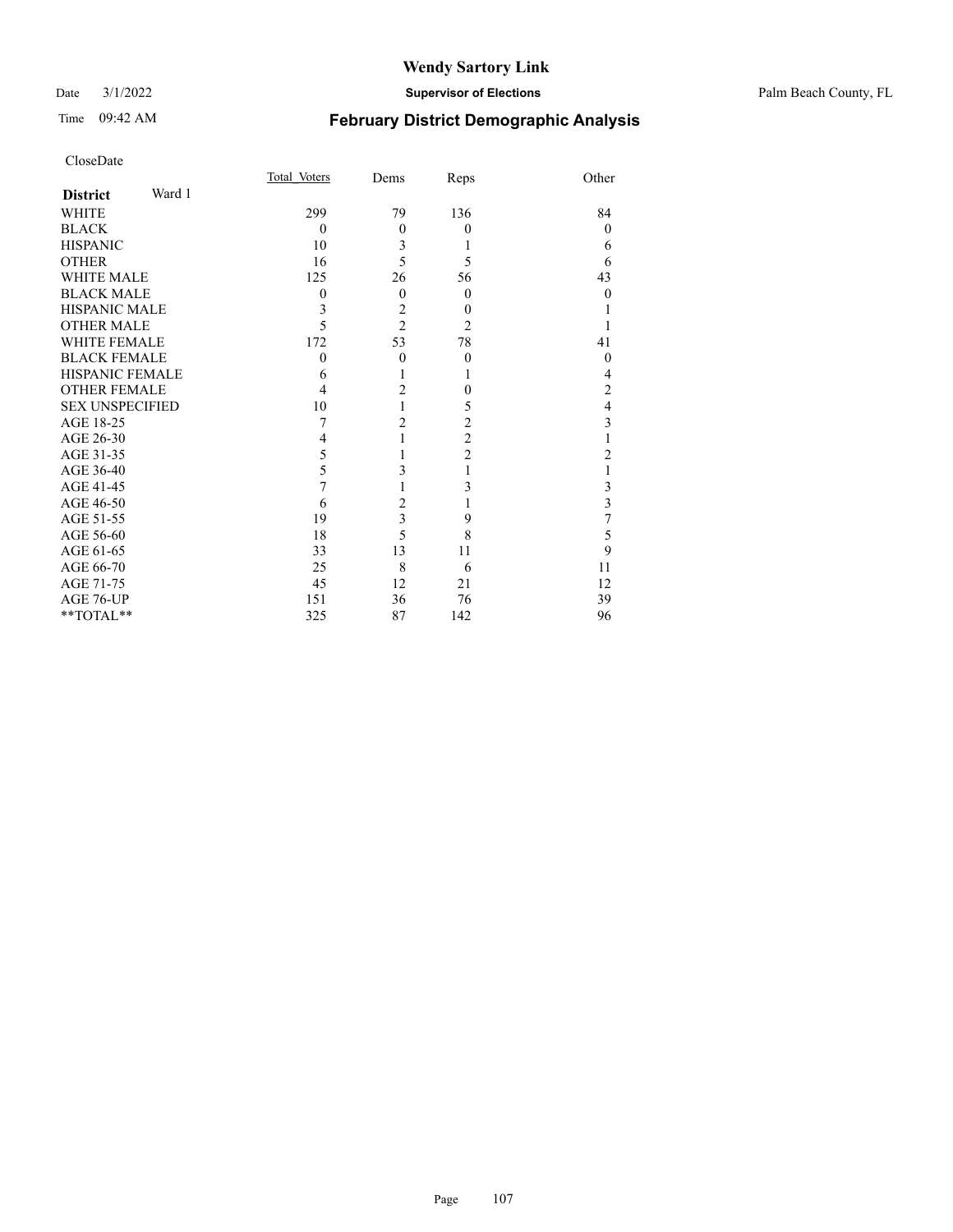#### Date 3/1/2022 **Supervisor of Elections** Palm Beach County, FL

| CloseDate |
|-----------|
|-----------|

|                        | Total Voters | Dems           |                | Other          |
|------------------------|--------------|----------------|----------------|----------------|
| Ward 1                 |              |                |                |                |
|                        | 299          | 79             | 136            | 84             |
|                        | $\mathbf{0}$ | $\overline{0}$ | $\theta$       | $\theta$       |
|                        | 10           | 3              |                | 6              |
|                        | 16           | 5              | 5              | 6              |
| <b>WHITE MALE</b>      | 125          | 26             | 56             | 43             |
| <b>BLACK MALE</b>      | $\mathbf{0}$ | $\theta$       | $\theta$       | $\theta$       |
| HISPANIC MALE          | 3            | $\overline{2}$ | $\theta$       |                |
| <b>OTHER MALE</b>      | 5            | $\overline{2}$ | $\overline{2}$ |                |
| WHITE FEMALE           | 172          | 53             | 78             | 41             |
| <b>BLACK FEMALE</b>    | $\theta$     | $\theta$       | $\theta$       | $\theta$       |
| HISPANIC FEMALE        | 6            |                |                | 4              |
| OTHER FEMALE           | 4            | 2              | $\theta$       | $\overline{2}$ |
| <b>SEX UNSPECIFIED</b> | 10           |                | 5              | 4              |
|                        | 7            | 2              | 2              | 3              |
|                        | 4            |                | $\overline{c}$ | 1              |
|                        | 5            |                | $\overline{c}$ | 2              |
|                        | 5            | 3              |                |                |
|                        | 7            |                | 3              | 3              |
|                        | 6            | 2              |                | $\overline{3}$ |
|                        | 19           | 3              | 9              | 7              |
|                        | 18           | 5              | 8              | 5              |
|                        | 33           | 13             | 11             | 9              |
|                        | 25           | 8              | 6              | 11             |
|                        | 45           | 12             | 21             | 12             |
|                        | 151          | 36             | 76             | 39             |
| $*$ $TOTAL**$          | 325          | 87             | 142            | 96             |
|                        |              |                |                | Reps           |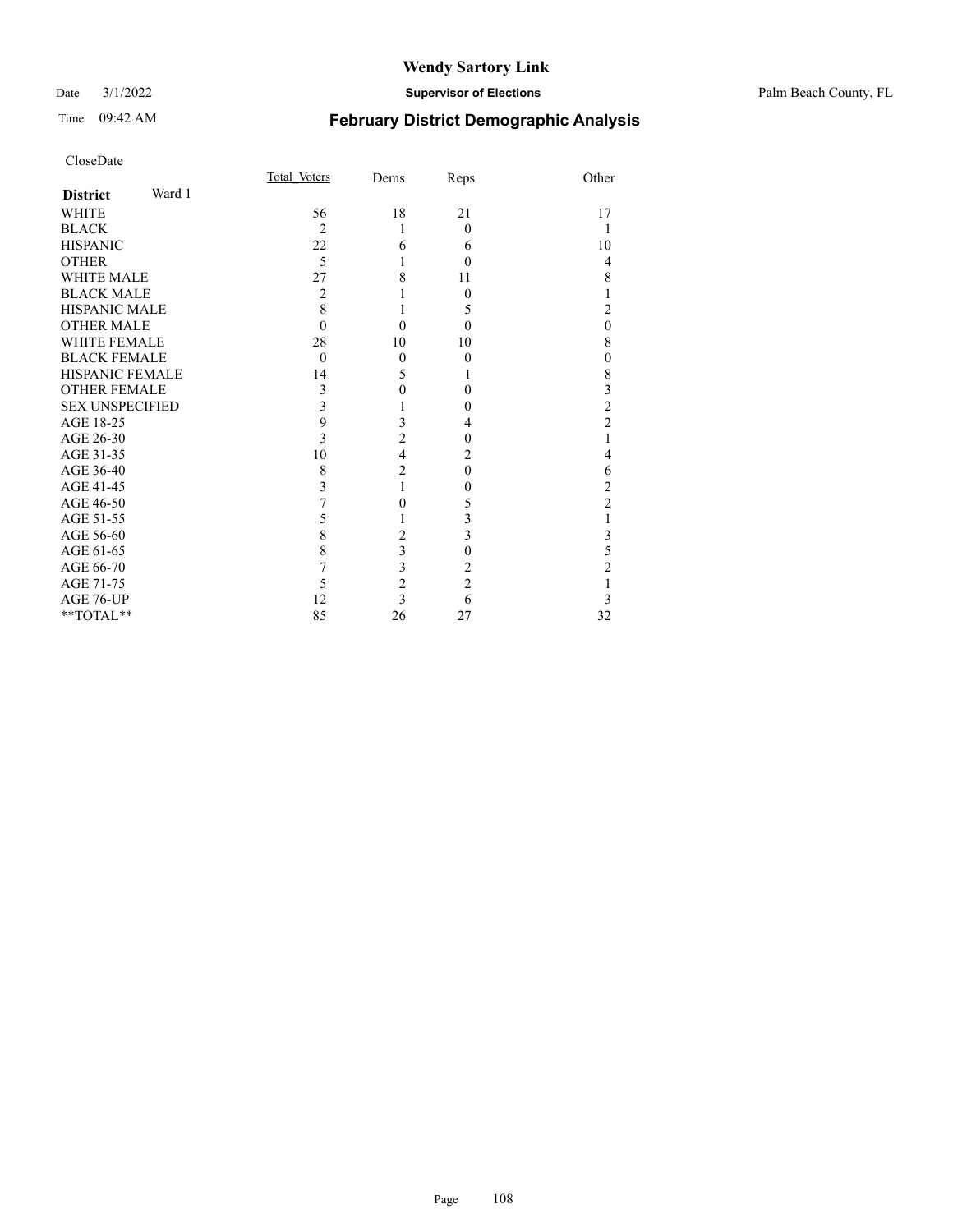#### Date 3/1/2022 **Supervisor of Elections** Palm Beach County, FL

| CloseDate              |        |              |                |                |                  |
|------------------------|--------|--------------|----------------|----------------|------------------|
|                        |        | Total Voters | Dems           | Reps           | Other            |
| <b>District</b>        | Ward 1 |              |                |                |                  |
| <b>WHITE</b>           |        | 56           | 18             | 21             | 17               |
| <b>BLACK</b>           |        | 2            | 1              | $\theta$       | 1                |
| <b>HISPANIC</b>        |        | 22           | 6              | 6              | 10               |
| <b>OTHER</b>           |        | 5            |                | $\theta$       | 4                |
| <b>WHITE MALE</b>      |        | 27           | 8              | 11             | 8                |
| <b>BLACK MALE</b>      |        | 2            |                | 0              | 1                |
| HISPANIC MALE          |        | 8            |                | 5              | $\overline{c}$   |
| <b>OTHER MALE</b>      |        | $\theta$     | $\theta$       | $\theta$       | $\mathbf{0}$     |
| <b>WHITE FEMALE</b>    |        | 28           | 10             | 10             | 8                |
| <b>BLACK FEMALE</b>    |        | $\theta$     | $\mathbf{0}$   | $\theta$       | $\boldsymbol{0}$ |
| <b>HISPANIC FEMALE</b> |        | 14           | 5              | 1              | 8                |
| <b>OTHER FEMALE</b>    |        | 3            | 0              | $\theta$       | 3                |
| <b>SEX UNSPECIFIED</b> |        | 3            |                | $\theta$       | $\overline{c}$   |
| AGE 18-25              |        | 9            | 3              | 4              | $\overline{c}$   |
| AGE 26-30              |        | 3            | $\overline{2}$ | 0              | 1                |
| AGE 31-35              |        | 10           | $\overline{4}$ | 2              | $\overline{4}$   |
| AGE 36-40              |        | 8            | $\overline{c}$ | $\theta$       | 6                |
| AGE 41-45              |        | 3            | 1              | $\theta$       | $\overline{c}$   |
| AGE 46-50              |        | 7            | 0              | 5              | $\overline{c}$   |
| AGE 51-55              |        | 5            | 1              | 3              | $\mathbf{1}$     |
| AGE 56-60              |        | 8            | $\overline{2}$ | 3              | $\mathfrak{Z}$   |
| AGE 61-65              |        | 8            | 3              | $\theta$       | 5                |
| AGE 66-70              |        | 7            | 3              | 2              | $\overline{c}$   |
| AGE 71-75              |        | 5            | $\overline{c}$ | $\overline{2}$ | 1                |
| AGE 76-UP              |        | 12           | 3              | 6              | 3                |
| **TOTAL**              |        | 85           | 26             | 27             | 32               |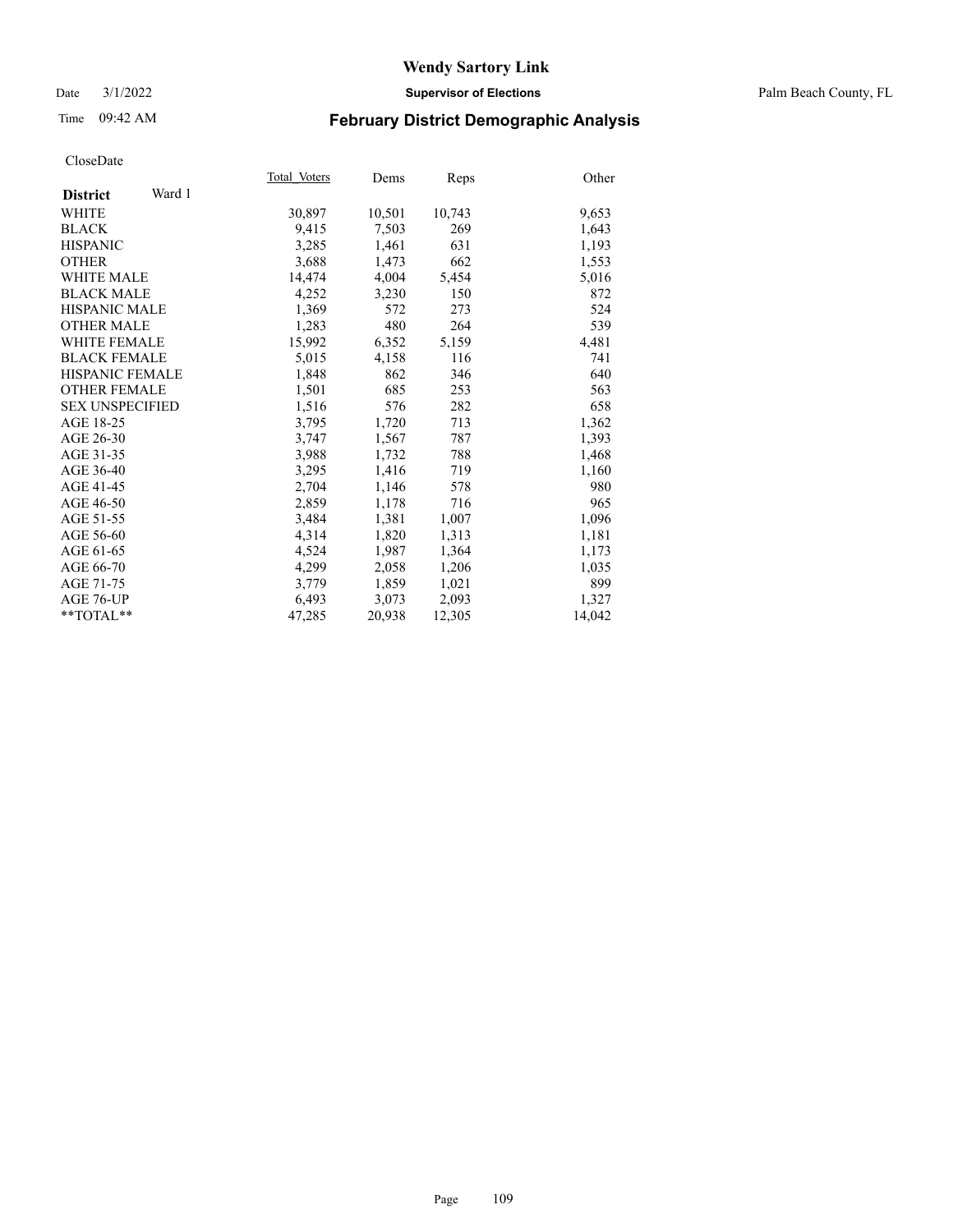#### Date 3/1/2022 **Supervisor of Elections** Palm Beach County, FL

# Time 09:42 AM **February District Demographic Analysis**

| Total Voters | Dems   | Reps   | Other  |
|--------------|--------|--------|--------|
|              |        |        |        |
| 30,897       | 10,501 | 10,743 | 9,653  |
| 9,415        | 7,503  | 269    | 1,643  |
| 3,285        | 1,461  | 631    | 1,193  |
| 3,688        | 1,473  | 662    | 1,553  |
| 14,474       | 4,004  | 5,454  | 5,016  |
| 4,252        | 3,230  | 150    | 872    |
| 1,369        | 572    | 273    | 524    |
| 1,283        | 480    | 264    | 539    |
| 15,992       | 6,352  | 5,159  | 4,481  |
| 5,015        | 4,158  | 116    | 741    |
| 1,848        | 862    | 346    | 640    |
| 1,501        | 685    | 253    | 563    |
| 1,516        | 576    | 282    | 658    |
| 3,795        | 1,720  | 713    | 1,362  |
| 3,747        | 1,567  | 787    | 1,393  |
| 3,988        | 1,732  | 788    | 1,468  |
| 3,295        | 1,416  | 719    | 1,160  |
| 2,704        | 1,146  | 578    | 980    |
| 2,859        | 1,178  | 716    | 965    |
| 3,484        | 1,381  | 1,007  | 1,096  |
| 4,314        | 1,820  | 1,313  | 1,181  |
| 4,524        | 1,987  | 1,364  | 1,173  |
| 4,299        | 2,058  | 1,206  | 1,035  |
| 3,779        | 1,859  | 1,021  | 899    |
| 6,493        | 3,073  | 2,093  | 1,327  |
| 47,285       | 20,938 | 12,305 | 14,042 |
|              |        |        |        |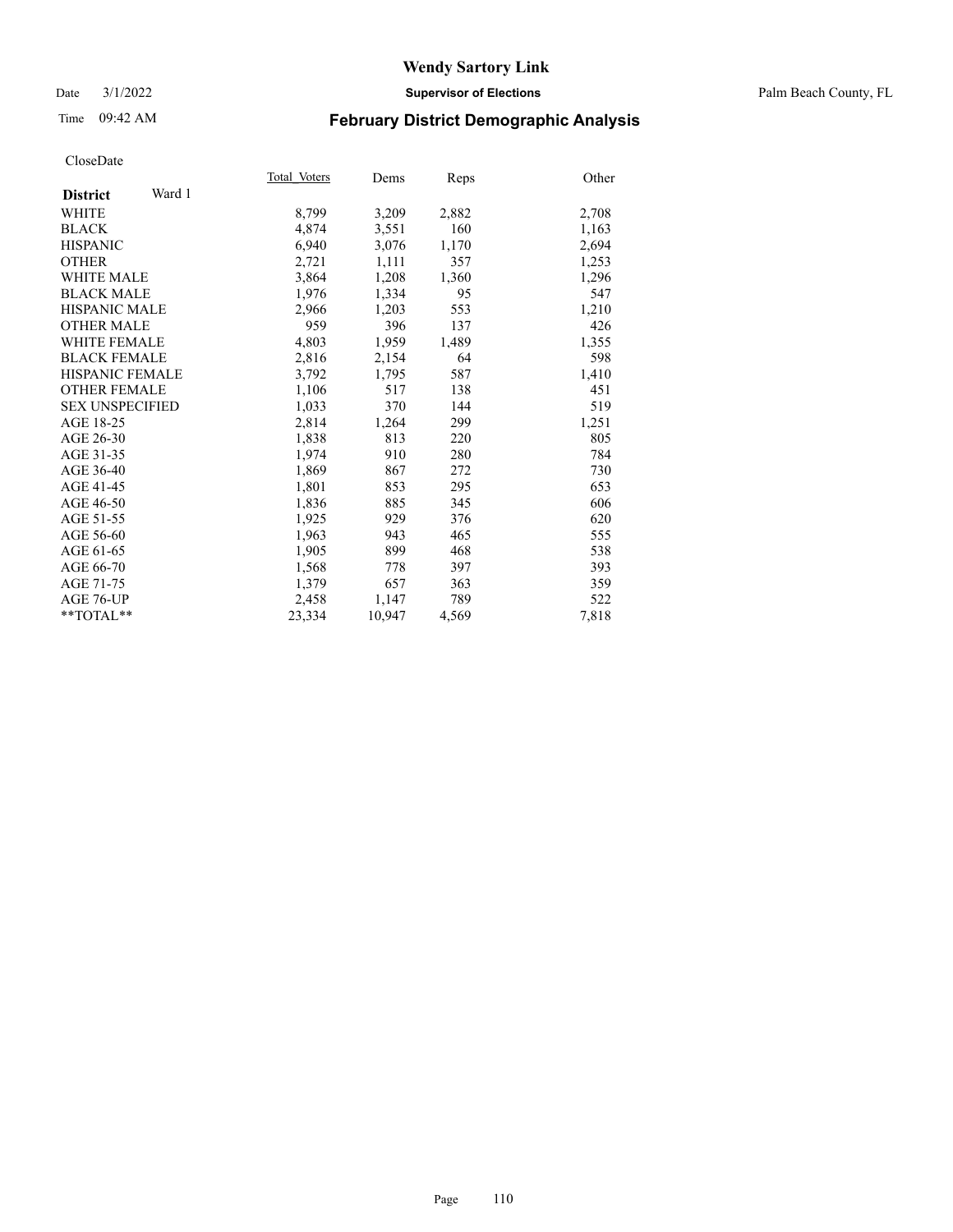#### Date 3/1/2022 **Supervisor of Elections** Palm Beach County, FL

# Time 09:42 AM **February District Demographic Analysis**

|                           | Total Voters | Dems   | Reps  | Other |
|---------------------------|--------------|--------|-------|-------|
| Ward 1<br><b>District</b> |              |        |       |       |
| WHITE                     | 8,799        | 3,209  | 2,882 | 2,708 |
| <b>BLACK</b>              | 4,874        | 3,551  | 160   | 1,163 |
| <b>HISPANIC</b>           | 6,940        | 3,076  | 1,170 | 2,694 |
| <b>OTHER</b>              | 2,721        | 1,111  | 357   | 1,253 |
| <b>WHITE MALE</b>         | 3,864        | 1,208  | 1,360 | 1,296 |
| <b>BLACK MALE</b>         | 1,976        | 1,334  | 95    | 547   |
| <b>HISPANIC MALE</b>      | 2,966        | 1,203  | 553   | 1,210 |
| <b>OTHER MALE</b>         | 959          | 396    | 137   | 426   |
| <b>WHITE FEMALE</b>       | 4,803        | 1,959  | 1,489 | 1,355 |
| <b>BLACK FEMALE</b>       | 2,816        | 2,154  | 64    | 598   |
| HISPANIC FEMALE           | 3,792        | 1,795  | 587   | 1,410 |
| <b>OTHER FEMALE</b>       | 1,106        | 517    | 138   | 451   |
| <b>SEX UNSPECIFIED</b>    | 1,033        | 370    | 144   | 519   |
| AGE 18-25                 | 2,814        | 1,264  | 299   | 1,251 |
| AGE 26-30                 | 1,838        | 813    | 220   | 805   |
| AGE 31-35                 | 1,974        | 910    | 280   | 784   |
| AGE 36-40                 | 1,869        | 867    | 272   | 730   |
| AGE 41-45                 | 1,801        | 853    | 295   | 653   |
| AGE 46-50                 | 1,836        | 885    | 345   | 606   |
| AGE 51-55                 | 1,925        | 929    | 376   | 620   |
| AGE 56-60                 | 1,963        | 943    | 465   | 555   |
| AGE 61-65                 | 1,905        | 899    | 468   | 538   |
| AGE 66-70                 | 1,568        | 778    | 397   | 393   |
| AGE 71-75                 | 1,379        | 657    | 363   | 359   |
| AGE 76-UP                 | 2,458        | 1,147  | 789   | 522   |
| $*$ TOTAL $*$             | 23,334       | 10,947 | 4,569 | 7,818 |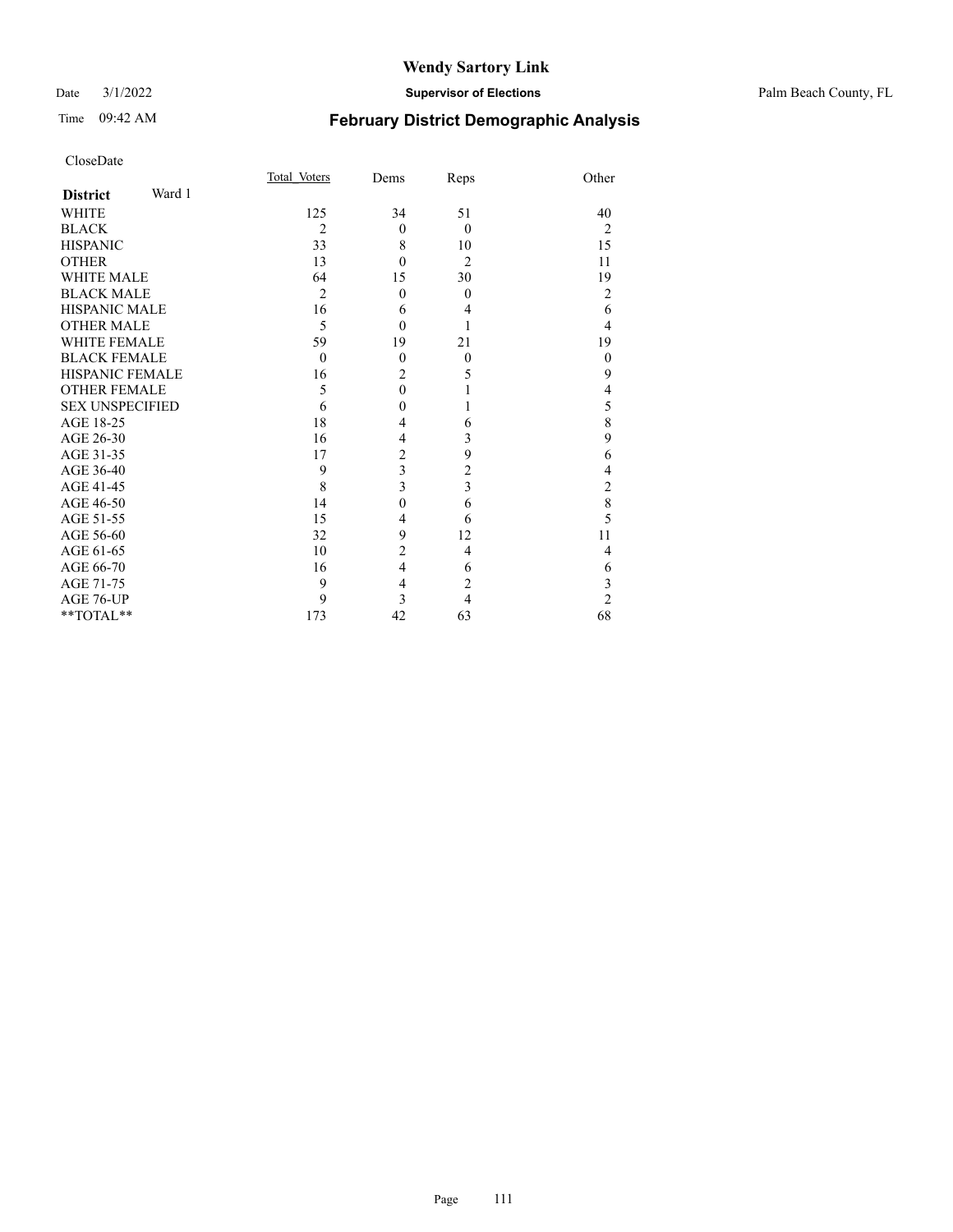#### Date 3/1/2022 **Supervisor of Elections** Palm Beach County, FL

# Time 09:42 AM **February District Demographic Analysis**

| CloseDate              |        |                |                  |                         |                          |
|------------------------|--------|----------------|------------------|-------------------------|--------------------------|
|                        |        | Total Voters   | Dems             | Reps                    | Other                    |
| <b>District</b>        | Ward 1 |                |                  |                         |                          |
| <b>WHITE</b>           |        | 125            | 34               | 51                      | 40                       |
| <b>BLACK</b>           |        | 2              | $\theta$         | $\theta$                | $\overline{2}$           |
| <b>HISPANIC</b>        |        | 33             | 8                | 10                      | 15                       |
| <b>OTHER</b>           |        | 13             | $\theta$         | $\overline{2}$          | 11                       |
| <b>WHITE MALE</b>      |        | 64             | 15               | 30                      | 19                       |
| <b>BLACK MALE</b>      |        | $\overline{2}$ | $\theta$         | $\theta$                | $\overline{2}$           |
| <b>HISPANIC MALE</b>   |        | 16             | 6                | 4                       | 6                        |
| <b>OTHER MALE</b>      |        | 5              | $\theta$         | 1                       | $\overline{4}$           |
| <b>WHITE FEMALE</b>    |        | 59             | 19               | 21                      | 19                       |
| <b>BLACK FEMALE</b>    |        | $\theta$       | $\boldsymbol{0}$ | $\boldsymbol{0}$        | $\boldsymbol{0}$         |
| <b>HISPANIC FEMALE</b> |        | 16             | $\overline{c}$   | 5                       | 9                        |
| <b>OTHER FEMALE</b>    |        | 5              | $\overline{0}$   | 1                       | $\overline{\mathcal{L}}$ |
| <b>SEX UNSPECIFIED</b> |        | 6              | $\theta$         | 1                       | 5                        |
| AGE 18-25              |        | 18             | 4                | 6                       | 8                        |
| AGE 26-30              |        | 16             | $\overline{4}$   | 3                       | 9                        |
| AGE 31-35              |        | 17             | $\overline{c}$   | 9                       | 6                        |
| AGE 36-40              |        | 9              | 3                | $\overline{\mathbf{c}}$ | $\overline{4}$           |
| AGE 41-45              |        | 8              | 3                | 3                       | $\overline{c}$           |
| AGE 46-50              |        | 14             | $\overline{0}$   | 6                       | 8                        |
| AGE 51-55              |        | 15             | $\overline{4}$   | 6                       | 5                        |
| AGE 56-60              |        | 32             | 9                | 12                      | 11                       |
| AGE 61-65              |        | 10             | $\overline{2}$   | 4                       | 4                        |
| AGE 66-70              |        | 16             | $\overline{4}$   | 6                       | 6                        |
| AGE 71-75              |        | 9              | $\overline{4}$   | $\overline{c}$          | 3                        |
| AGE 76-UP              |        | 9              | 3                | $\overline{4}$          | $\overline{2}$           |
| $**TOTAL**$            |        | 173            | 42               | 63                      | 68                       |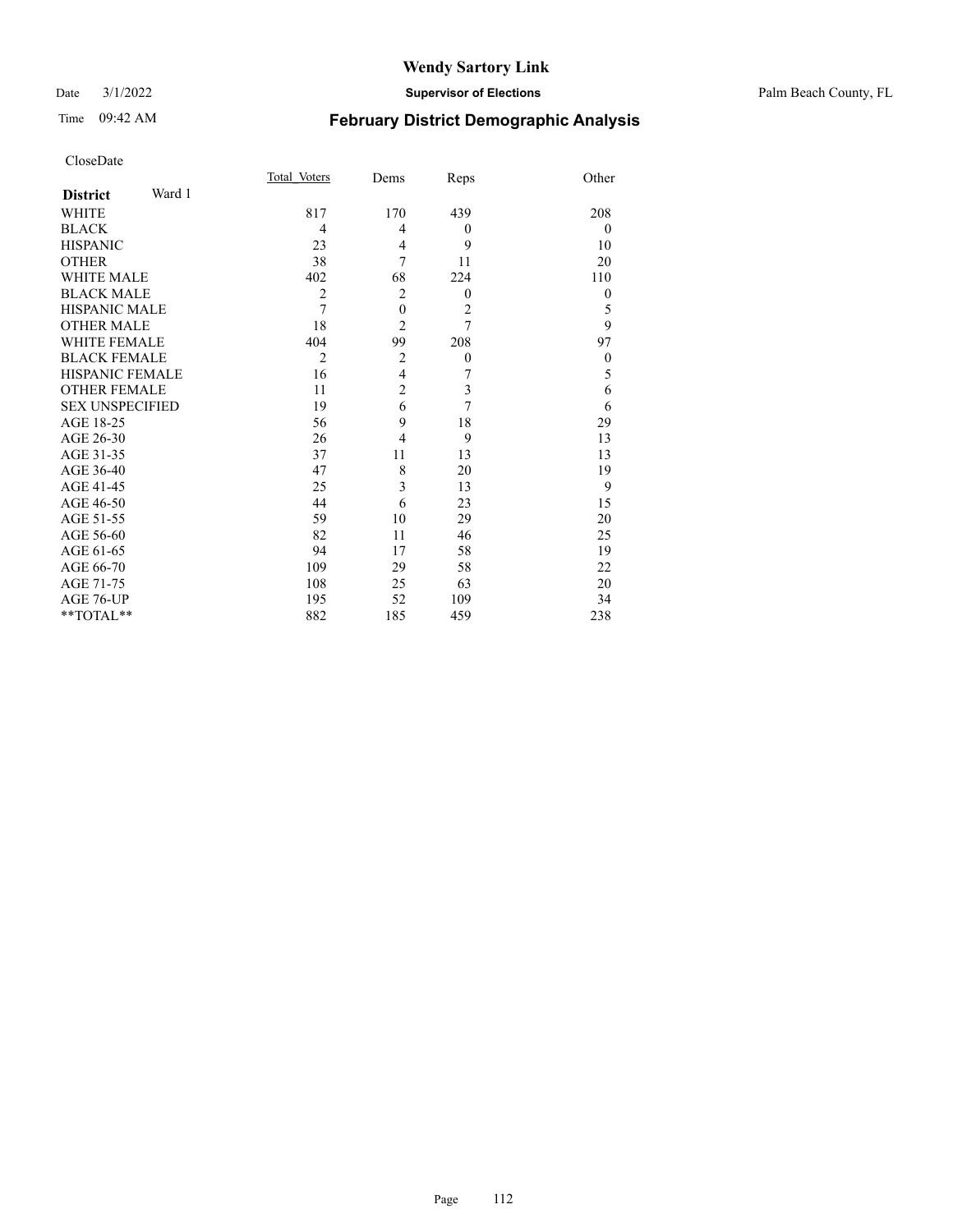#### Date 3/1/2022 **Supervisor of Elections** Palm Beach County, FL

# Time 09:42 AM **February District Demographic Analysis**

| CloseDate |
|-----------|
|-----------|

|                           | Total Voters   | Dems           | Reps           | Other            |
|---------------------------|----------------|----------------|----------------|------------------|
| Ward 1<br><b>District</b> |                |                |                |                  |
| <b>WHITE</b>              | 817            | 170            | 439            | 208              |
| <b>BLACK</b>              | 4              | 4              | $\theta$       | $\overline{0}$   |
| <b>HISPANIC</b>           | 23             | 4              | 9              | 10               |
| <b>OTHER</b>              | 38             | 7              | 11             | 20               |
| <b>WHITE MALE</b>         | 402            | 68             | 224            | 110              |
| <b>BLACK MALE</b>         | $\overline{c}$ | $\overline{2}$ | $\theta$       | $\theta$         |
| <b>HISPANIC MALE</b>      | $\overline{7}$ | $\mathbf{0}$   | $\overline{2}$ | 5                |
| <b>OTHER MALE</b>         | 18             | $\overline{2}$ | $\overline{7}$ | $\overline{9}$   |
| <b>WHITE FEMALE</b>       | 404            | 99             | 208            | 97               |
| <b>BLACK FEMALE</b>       | $\overline{2}$ | $\overline{2}$ | $\theta$       | $\boldsymbol{0}$ |
| <b>HISPANIC FEMALE</b>    | 16             | $\overline{4}$ | 7              | 5                |
| <b>OTHER FEMALE</b>       | 11             | $\overline{2}$ | 3              | 6                |
| <b>SEX UNSPECIFIED</b>    | 19             | 6              | 7              | 6                |
| AGE 18-25                 | 56             | 9              | 18             | 29               |
| AGE 26-30                 | 26             | $\overline{4}$ | 9              | 13               |
| AGE 31-35                 | 37             | 11             | 13             | 13               |
| AGE 36-40                 | 47             | 8              | 20             | 19               |
| AGE 41-45                 | 25             | 3              | 13             | 9                |
| AGE 46-50                 | 44             | 6              | 23             | 15               |
| AGE 51-55                 | 59             | 10             | 29             | 20               |
| AGE 56-60                 | 82             | 11             | 46             | 25               |
| AGE 61-65                 | 94             | 17             | 58             | 19               |
| AGE 66-70                 | 109            | 29             | 58             | 22               |
| AGE 71-75                 | 108            | 25             | 63             | 20               |
| AGE 76-UP                 | 195            | 52             | 109            | 34               |
| $*$ $TOTAL**$             | 882            | 185            | 459            | 238              |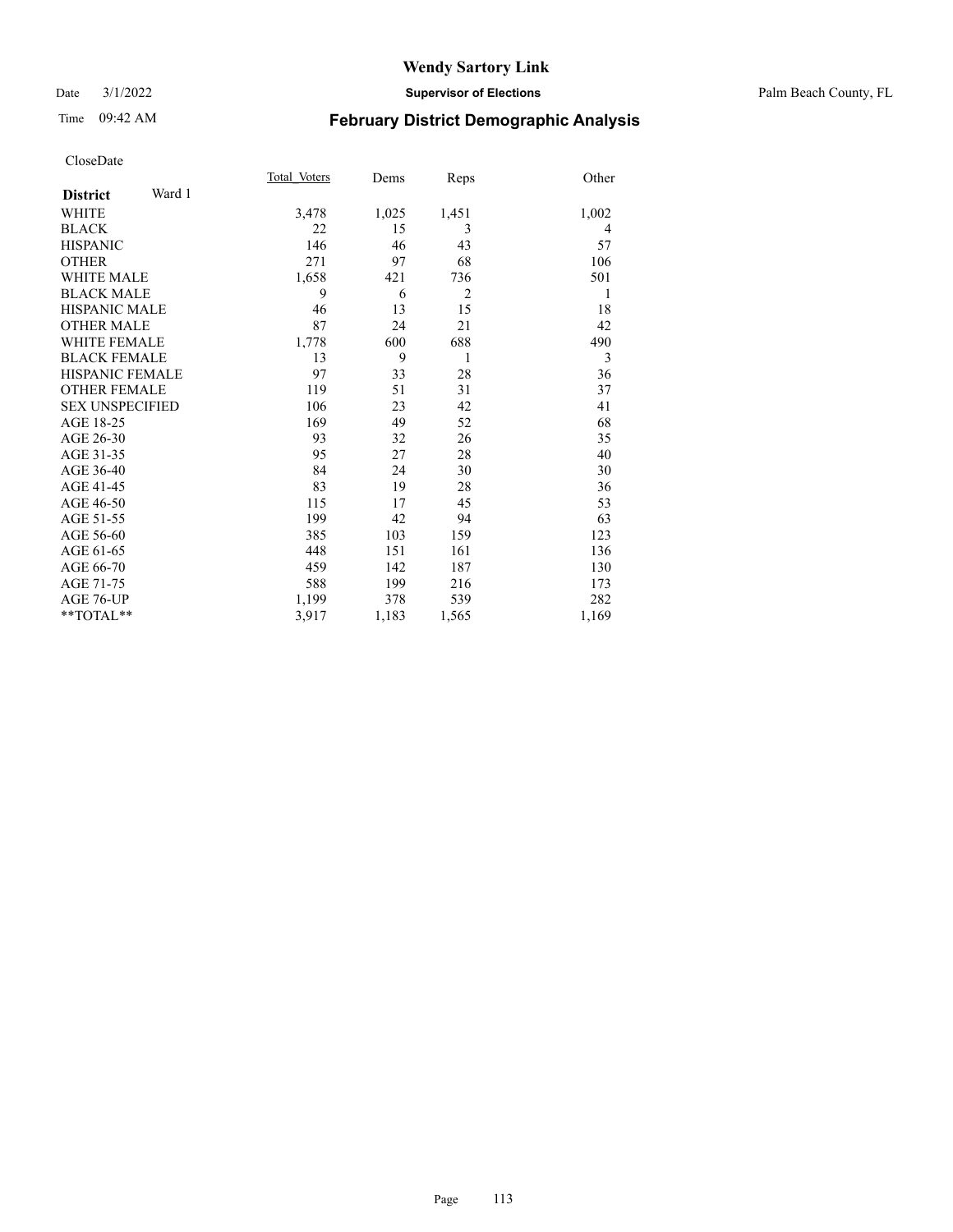#### Date 3/1/2022 **Supervisor of Elections** Palm Beach County, FL

# Time 09:42 AM **February District Demographic Analysis**

|                        |        | Total Voters | Dems  | Reps           | Other |
|------------------------|--------|--------------|-------|----------------|-------|
| <b>District</b>        | Ward 1 |              |       |                |       |
| <b>WHITE</b>           |        | 3,478        | 1,025 | 1,451          | 1,002 |
| <b>BLACK</b>           |        | 22           | 15    | 3              | 4     |
| <b>HISPANIC</b>        |        | 146          | 46    | 43             | 57    |
| <b>OTHER</b>           |        | 271          | 97    | 68             | 106   |
| <b>WHITE MALE</b>      |        | 1,658        | 421   | 736            | 501   |
| <b>BLACK MALE</b>      |        | 9            | 6     | $\overline{2}$ | 1     |
| <b>HISPANIC MALE</b>   |        | 46           | 13    | 15             | 18    |
| <b>OTHER MALE</b>      |        | 87           | 24    | 21             | 42    |
| <b>WHITE FEMALE</b>    |        | 1,778        | 600   | 688            | 490   |
| <b>BLACK FEMALE</b>    |        | 13           | 9     | 1              | 3     |
| <b>HISPANIC FEMALE</b> |        | 97           | 33    | 28             | 36    |
| <b>OTHER FEMALE</b>    |        | 119          | 51    | 31             | 37    |
| <b>SEX UNSPECIFIED</b> |        | 106          | 23    | 42             | 41    |
| AGE 18-25              |        | 169          | 49    | 52             | 68    |
| AGE 26-30              |        | 93           | 32    | 26             | 35    |
| AGE 31-35              |        | 95           | 27    | 28             | 40    |
| AGE 36-40              |        | 84           | 24    | 30             | 30    |
| AGE 41-45              |        | 83           | 19    | 28             | 36    |
| AGE 46-50              |        | 115          | 17    | 45             | 53    |
| AGE 51-55              |        | 199          | 42    | 94             | 63    |
| AGE 56-60              |        | 385          | 103   | 159            | 123   |
| AGE 61-65              |        | 448          | 151   | 161            | 136   |
| AGE 66-70              |        | 459          | 142   | 187            | 130   |
| AGE 71-75              |        | 588          | 199   | 216            | 173   |
| AGE 76-UP              |        | 1,199        | 378   | 539            | 282   |
| $*$ $TOTAL**$          |        | 3,917        | 1,183 | 1,565          | 1,169 |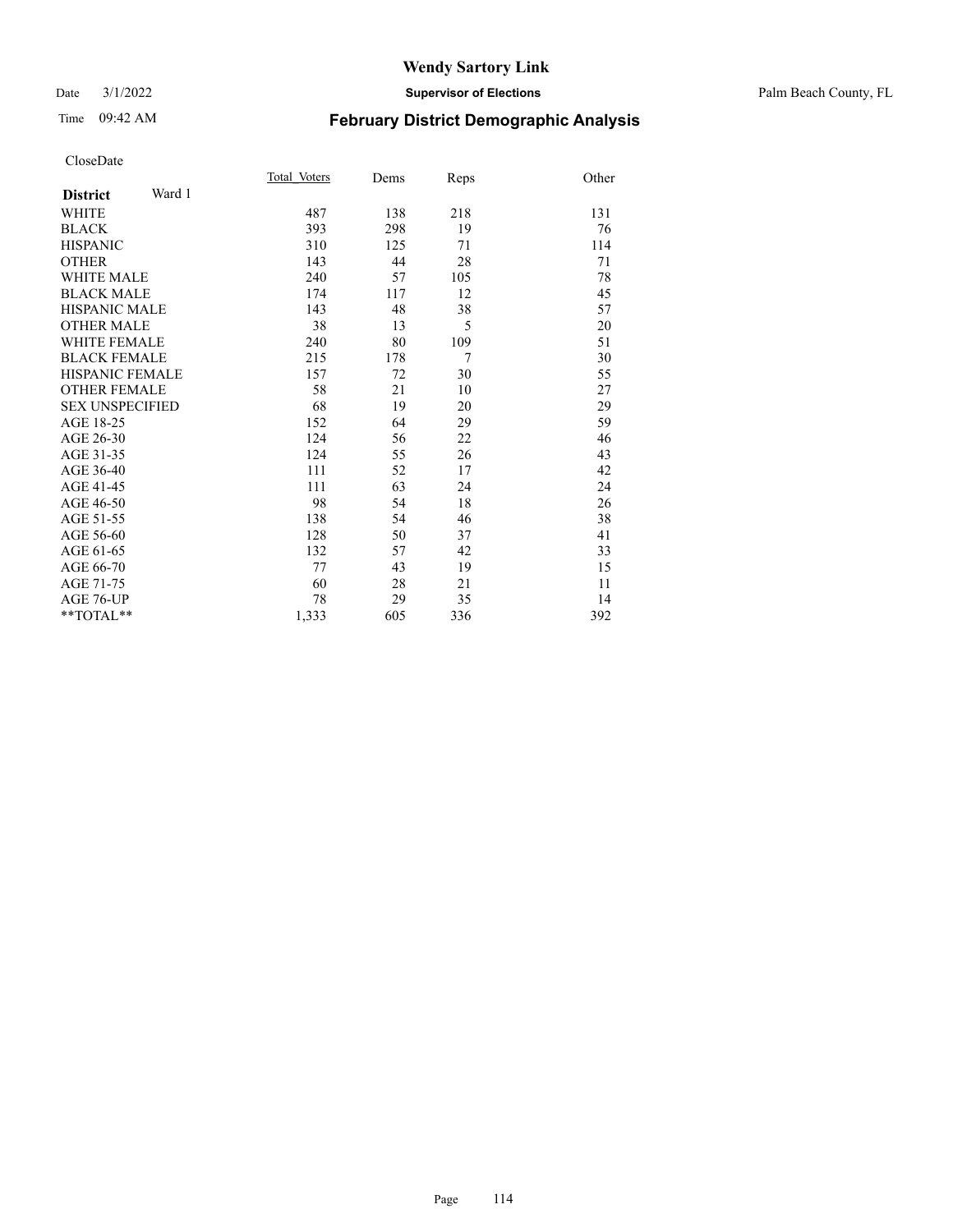#### Date 3/1/2022 **Supervisor of Elections** Palm Beach County, FL

# Time 09:42 AM **February District Demographic Analysis**

|                           | Total Voters | Dems | Reps           | Other |
|---------------------------|--------------|------|----------------|-------|
| Ward 1<br><b>District</b> |              |      |                |       |
| <b>WHITE</b>              | 487          | 138  | 218            | 131   |
| <b>BLACK</b>              | 393          | 298  | 19             | 76    |
| <b>HISPANIC</b>           | 310          | 125  | 71             | 114   |
| <b>OTHER</b>              | 143          | 44   | 28             | 71    |
| <b>WHITE MALE</b>         | 240          | 57   | 105            | 78    |
| <b>BLACK MALE</b>         | 174          | 117  | 12             | 45    |
| <b>HISPANIC MALE</b>      | 143          | 48   | 38             | 57    |
| <b>OTHER MALE</b>         | 38           | 13   | 5              | 20    |
| <b>WHITE FEMALE</b>       | 240          | 80   | 109            | 51    |
| <b>BLACK FEMALE</b>       | 215          | 178  | $\overline{7}$ | 30    |
| <b>HISPANIC FEMALE</b>    | 157          | 72   | 30             | 55    |
| <b>OTHER FEMALE</b>       | 58           | 21   | 10             | 27    |
| <b>SEX UNSPECIFIED</b>    | 68           | 19   | 20             | 29    |
| AGE 18-25                 | 152          | 64   | 29             | 59    |
| AGE 26-30                 | 124          | 56   | 22             | 46    |
| AGE 31-35                 | 124          | 55   | 26             | 43    |
| AGE 36-40                 | 111          | 52   | 17             | 42    |
| AGE 41-45                 | 111          | 63   | 24             | 24    |
| AGE 46-50                 | 98           | 54   | 18             | 26    |
| AGE 51-55                 | 138          | 54   | 46             | 38    |
| AGE 56-60                 | 128          | 50   | 37             | 41    |
| AGE 61-65                 | 132          | 57   | 42             | 33    |
| AGE 66-70                 | 77           | 43   | 19             | 15    |
| AGE 71-75                 | 60           | 28   | 21             | 11    |
| AGE 76-UP                 | 78           | 29   | 35             | 14    |
| $**TOTAL**$               | 1,333        | 605  | 336            | 392   |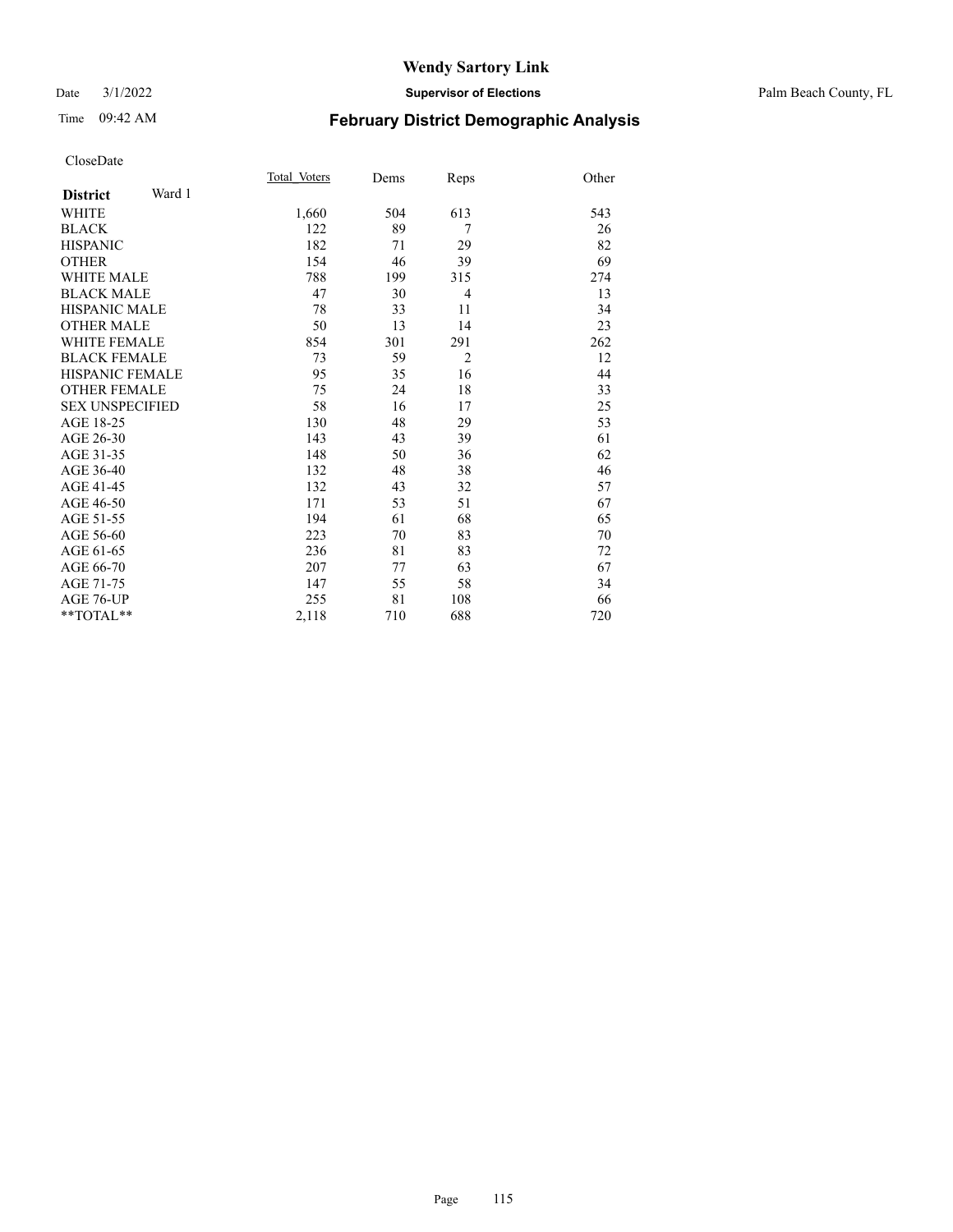#### Date 3/1/2022 **Supervisor of Elections** Palm Beach County, FL

# Time 09:42 AM **February District Demographic Analysis**

|                        |        | Total Voters | Dems | Reps           | Other |
|------------------------|--------|--------------|------|----------------|-------|
| <b>District</b>        | Ward 1 |              |      |                |       |
| <b>WHITE</b>           |        | 1,660        | 504  | 613            | 543   |
| <b>BLACK</b>           |        | 122          | 89   | 7              | 26    |
| <b>HISPANIC</b>        |        | 182          | 71   | 29             | 82    |
| <b>OTHER</b>           |        | 154          | 46   | 39             | 69    |
| <b>WHITE MALE</b>      |        | 788          | 199  | 315            | 274   |
| <b>BLACK MALE</b>      |        | 47           | 30   | 4              | 13    |
| <b>HISPANIC MALE</b>   |        | 78           | 33   | 11             | 34    |
| <b>OTHER MALE</b>      |        | 50           | 13   | 14             | 23    |
| <b>WHITE FEMALE</b>    |        | 854          | 301  | 291            | 262   |
| <b>BLACK FEMALE</b>    |        | 73           | 59   | $\overline{2}$ | 12    |
| <b>HISPANIC FEMALE</b> |        | 95           | 35   | 16             | 44    |
| <b>OTHER FEMALE</b>    |        | 75           | 24   | 18             | 33    |
| <b>SEX UNSPECIFIED</b> |        | 58           | 16   | 17             | 25    |
| AGE 18-25              |        | 130          | 48   | 29             | 53    |
| AGE 26-30              |        | 143          | 43   | 39             | 61    |
| AGE 31-35              |        | 148          | 50   | 36             | 62    |
| AGE 36-40              |        | 132          | 48   | 38             | 46    |
| AGE 41-45              |        | 132          | 43   | 32             | 57    |
| AGE 46-50              |        | 171          | 53   | 51             | 67    |
| AGE 51-55              |        | 194          | 61   | 68             | 65    |
| AGE 56-60              |        | 223          | 70   | 83             | 70    |
| AGE 61-65              |        | 236          | 81   | 83             | 72    |
| AGE 66-70              |        | 207          | 77   | 63             | 67    |
| AGE 71-75              |        | 147          | 55   | 58             | 34    |
| AGE 76-UP              |        | 255          | 81   | 108            | 66    |
| $*$ $TOTAL**$          |        | 2,118        | 710  | 688            | 720   |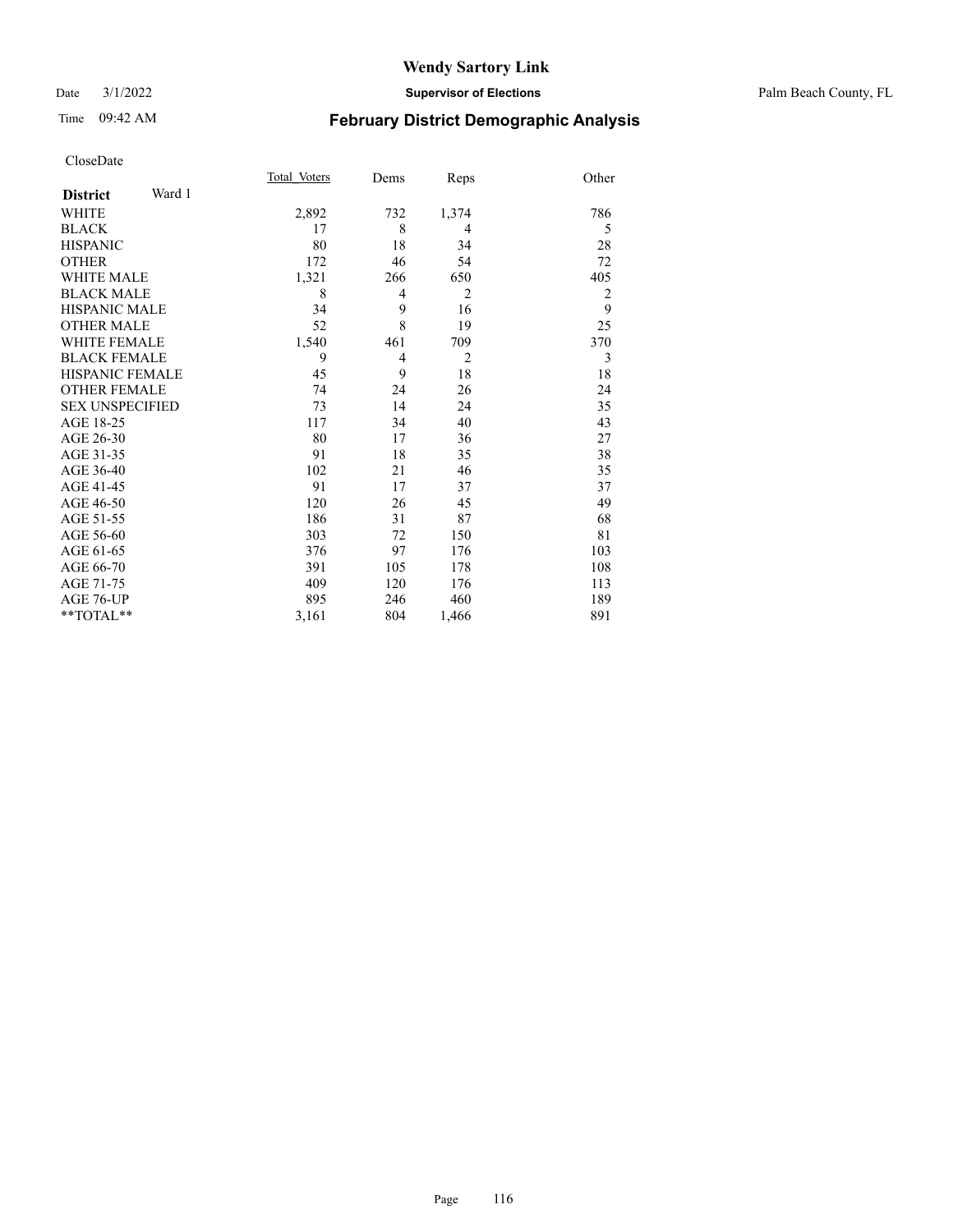#### Date 3/1/2022 **Supervisor of Elections** Palm Beach County, FL

# Time 09:42 AM **February District Demographic Analysis**

|                        | Total Voters | Dems | Reps           | Other          |
|------------------------|--------------|------|----------------|----------------|
| Ward 1                 |              |      |                |                |
|                        | 2,892        | 732  | 1,374          | 786            |
|                        | 17           | 8    | 4              | 5              |
|                        | 80           | 18   | 34             | 28             |
|                        | 172          | 46   | 54             | 72             |
|                        | 1,321        | 266  | 650            | 405            |
|                        | 8            | 4    | $\overline{2}$ | $\overline{2}$ |
|                        | 34           | 9    | 16             | 9              |
|                        | 52           | 8    | 19             | 25             |
|                        | 1,540        | 461  | 709            | 370            |
|                        | 9            | 4    | $\overline{2}$ | 3              |
| <b>HISPANIC FEMALE</b> | 45           | 9    | 18             | 18             |
|                        | 74           | 24   | 26             | 24             |
| <b>SEX UNSPECIFIED</b> | 73           | 14   | 24             | 35             |
|                        | 117          | 34   | 40             | 43             |
|                        | 80           | 17   | 36             | 27             |
|                        | 91           | 18   | 35             | 38             |
|                        | 102          | 21   | 46             | 35             |
|                        | 91           | 17   | 37             | 37             |
|                        | 120          | 26   | 45             | 49             |
|                        | 186          | 31   | 87             | 68             |
|                        | 303          | 72   | 150            | 81             |
|                        | 376          | 97   | 176            | 103            |
|                        | 391          | 105  | 178            | 108            |
|                        | 409          | 120  | 176            | 113            |
|                        | 895          | 246  | 460            | 189            |
|                        | 3,161        | 804  | 1,466          | 891            |
|                        |              |      |                |                |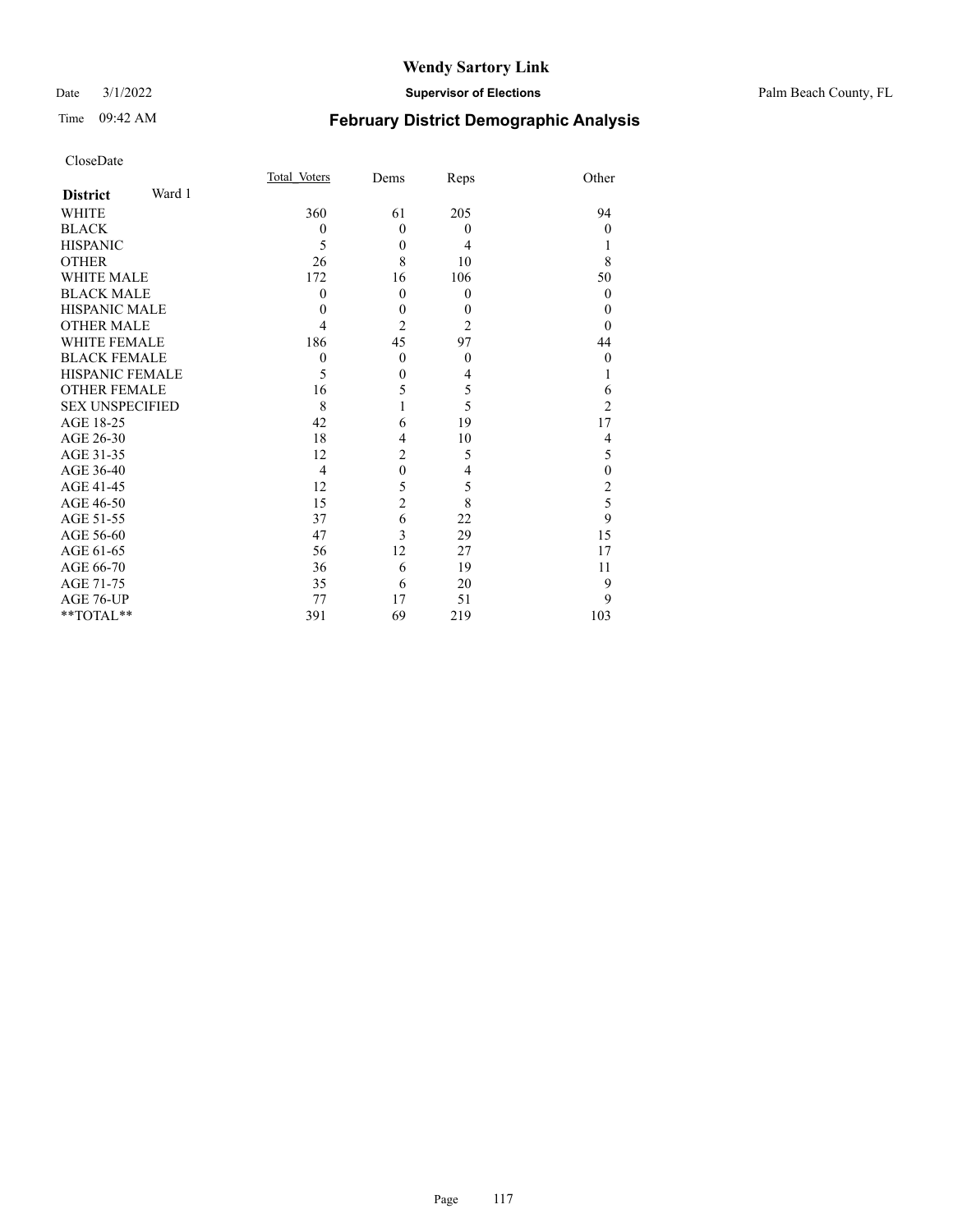#### Date 3/1/2022 **Supervisor of Elections** Palm Beach County, FL

# Time 09:42 AM **February District Demographic Analysis**

| CloseDate |
|-----------|
|-----------|

|                | Dems           | Reps                                | Other            |
|----------------|----------------|-------------------------------------|------------------|
|                |                |                                     |                  |
| 360            | 61             | 205                                 | 94               |
| $\theta$       | $\mathbf{0}$   | $\mathbf{0}$                        | $\boldsymbol{0}$ |
| 5              | $\mathbf{0}$   | 4                                   |                  |
| 26             | 8              | 10                                  | 8                |
| 172            | 16             | 106                                 | 50               |
| $\mathbf{0}$   | $\mathbf{0}$   | $\boldsymbol{0}$                    | $\theta$         |
| 0              | $\theta$       | 0                                   | 0                |
| 4              | $\overline{2}$ | $\overline{2}$                      | $\theta$         |
| 186            | 45             | 97                                  | 44               |
| $\theta$       | $\mathbf{0}$   | $\mathbf{0}$                        | $\boldsymbol{0}$ |
| 5              | $\theta$       | 4                                   |                  |
| 16             | 5              |                                     | 6                |
| 8              |                |                                     | $\overline{c}$   |
| 42             | 6              | 19                                  | 17               |
| 18             | 4              | 10                                  | 4                |
| 12             | 2              | 5                                   | 5                |
| $\overline{4}$ | $\mathbf{0}$   | 4                                   | $\mathbf{0}$     |
| 12             | 5              |                                     | $\overline{c}$   |
| 15             |                |                                     | 5                |
| 37             | 6              | 22                                  | 9                |
| 47             |                | 29                                  | 15               |
| 56             | 12             | 27                                  | 17               |
| 36             | 6              | 19                                  | 11               |
| 35             | 6              | 20                                  | 9                |
| 77             | 17             | 51                                  | 9                |
| 391            | 69             | 219                                 | 103              |
|                |                | Total Voters<br>$\overline{2}$<br>3 | 5<br>5<br>5<br>8 |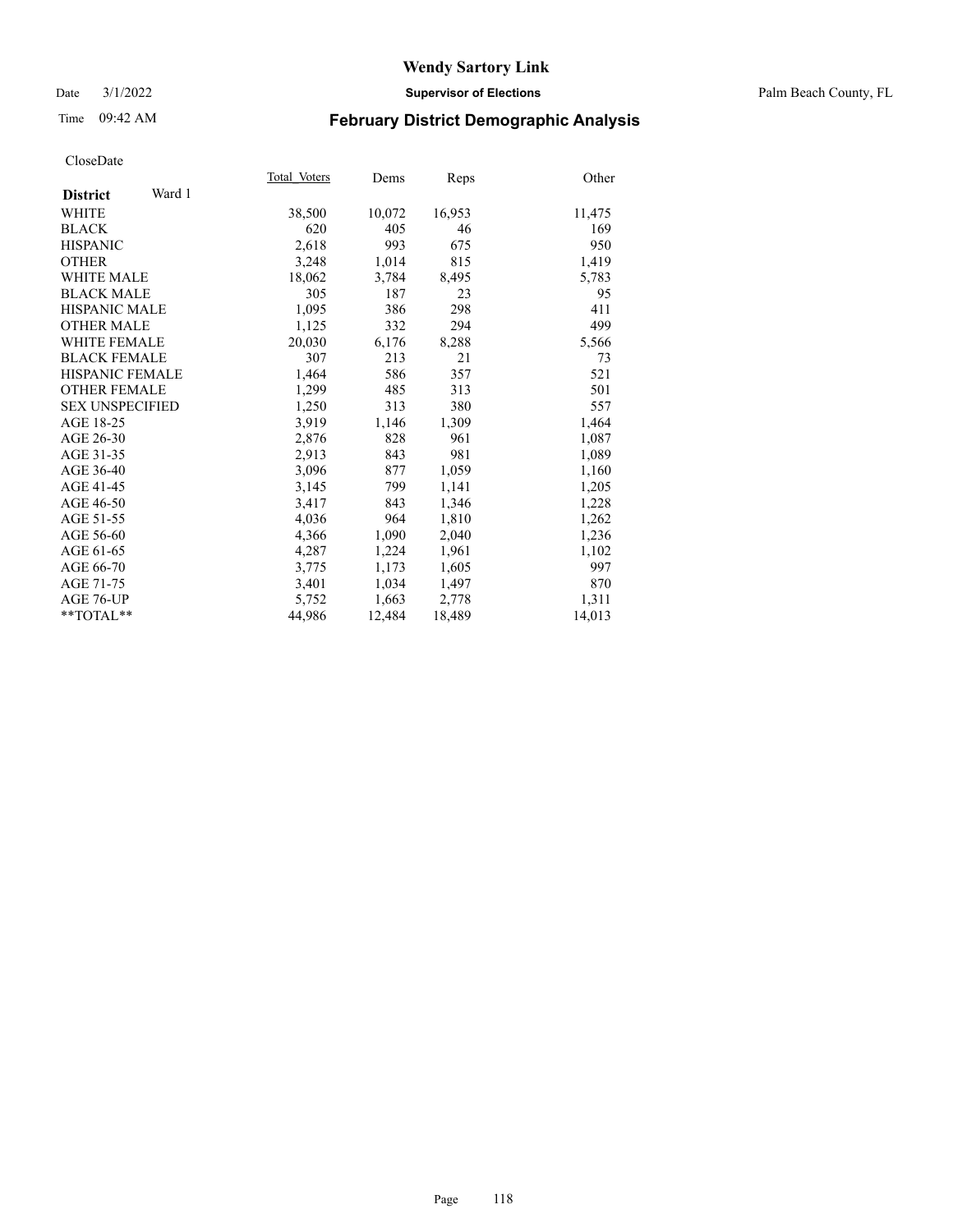#### Date 3/1/2022 **Supervisor of Elections** Palm Beach County, FL

# Time 09:42 AM **February District Demographic Analysis**

|                           | Total Voters | Dems   | Reps   | Other  |
|---------------------------|--------------|--------|--------|--------|
| Ward 1<br><b>District</b> |              |        |        |        |
| WHITE                     | 38,500       | 10,072 | 16,953 | 11,475 |
| <b>BLACK</b>              | 620          | 405    | 46     | 169    |
| <b>HISPANIC</b>           | 2,618        | 993    | 675    | 950    |
| <b>OTHER</b>              | 3,248        | 1,014  | 815    | 1,419  |
| <b>WHITE MALE</b>         | 18,062       | 3,784  | 8,495  | 5,783  |
| <b>BLACK MALE</b>         | 305          | 187    | 23     | 95     |
| <b>HISPANIC MALE</b>      | 1,095        | 386    | 298    | 411    |
| <b>OTHER MALE</b>         | 1,125        | 332    | 294    | 499    |
| <b>WHITE FEMALE</b>       | 20,030       | 6,176  | 8,288  | 5,566  |
| <b>BLACK FEMALE</b>       | 307          | 213    | 21     | 73     |
| HISPANIC FEMALE           | 1,464        | 586    | 357    | 521    |
| <b>OTHER FEMALE</b>       | 1,299        | 485    | 313    | 501    |
| <b>SEX UNSPECIFIED</b>    | 1,250        | 313    | 380    | 557    |
| AGE 18-25                 | 3,919        | 1,146  | 1,309  | 1,464  |
| AGE 26-30                 | 2,876        | 828    | 961    | 1,087  |
| AGE 31-35                 | 2,913        | 843    | 981    | 1,089  |
| AGE 36-40                 | 3,096        | 877    | 1,059  | 1,160  |
| AGE 41-45                 | 3,145        | 799    | 1,141  | 1,205  |
| AGE 46-50                 | 3,417        | 843    | 1,346  | 1,228  |
| AGE 51-55                 | 4,036        | 964    | 1,810  | 1,262  |
| AGE 56-60                 | 4,366        | 1,090  | 2,040  | 1,236  |
| AGE 61-65                 | 4,287        | 1,224  | 1,961  | 1,102  |
| AGE 66-70                 | 3,775        | 1,173  | 1,605  | 997    |
| AGE 71-75                 | 3,401        | 1,034  | 1,497  | 870    |
| AGE 76-UP                 | 5,752        | 1,663  | 2,778  | 1,311  |
| $*$ TOTAL $*$             | 44,986       | 12,484 | 18,489 | 14,013 |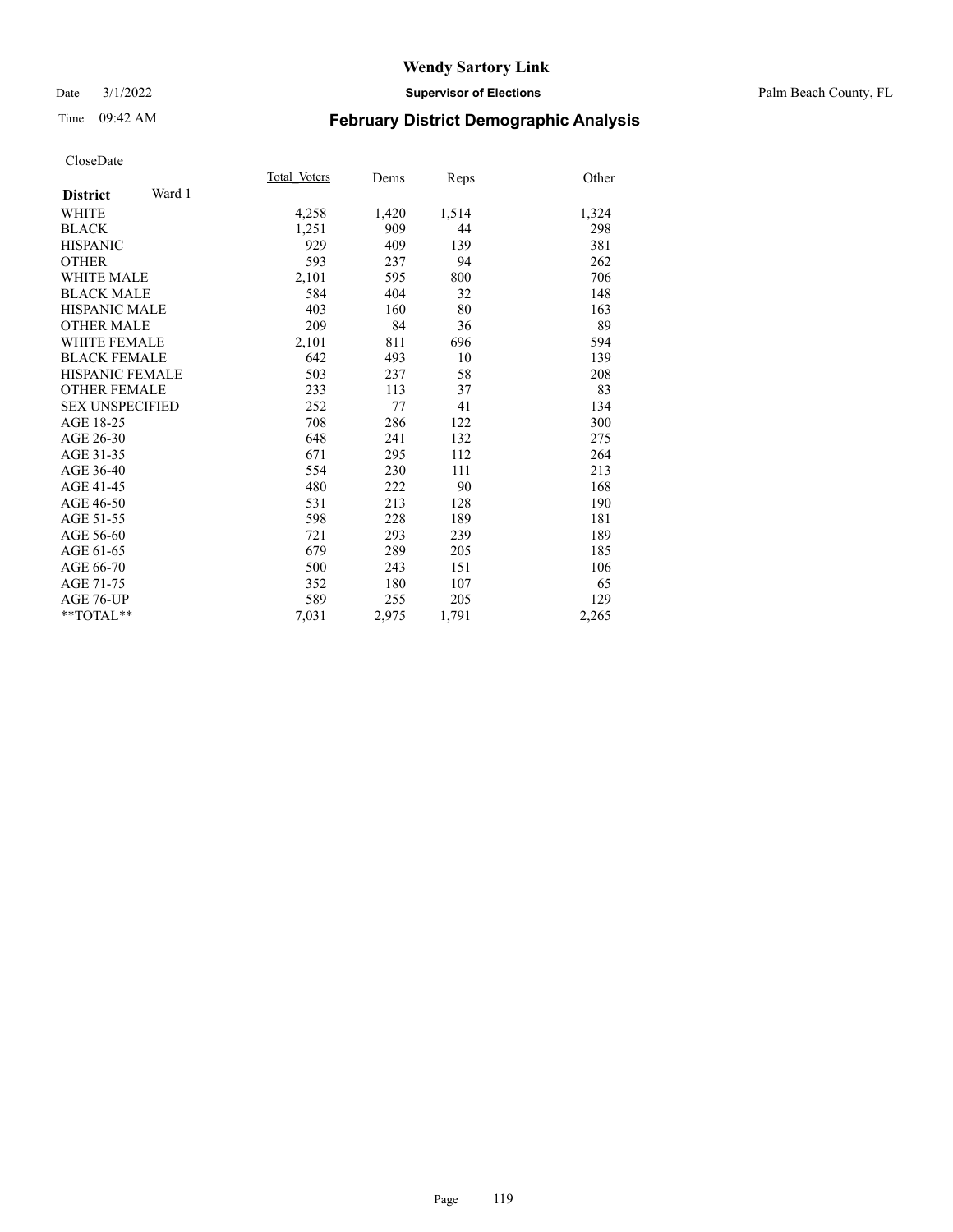#### Date 3/1/2022 **Supervisor of Elections** Palm Beach County, FL

# Time 09:42 AM **February District Demographic Analysis**

|       | Dems         | Reps  | Other |
|-------|--------------|-------|-------|
|       |              |       |       |
| 4,258 | 1,420        | 1,514 | 1,324 |
| 1,251 | 909          | 44    | 298   |
| 929   | 409          | 139   | 381   |
| 593   | 237          | 94    | 262   |
| 2,101 | 595          | 800   | 706   |
| 584   | 404          | 32    | 148   |
| 403   | 160          | 80    | 163   |
| 209   | 84           | 36    | 89    |
| 2,101 | 811          | 696   | 594   |
| 642   | 493          | 10    | 139   |
| 503   | 237          | 58    | 208   |
| 233   | 113          | 37    | 83    |
| 252   | 77           | 41    | 134   |
| 708   | 286          | 122   | 300   |
| 648   | 241          | 132   | 275   |
| 671   | 295          | 112   | 264   |
| 554   | 230          | 111   | 213   |
| 480   | 222          | 90    | 168   |
| 531   | 213          | 128   | 190   |
| 598   | 228          | 189   | 181   |
| 721   | 293          | 239   | 189   |
| 679   | 289          | 205   | 185   |
| 500   | 243          | 151   | 106   |
| 352   | 180          | 107   | 65    |
| 589   | 255          | 205   | 129   |
| 7,031 | 2,975        | 1,791 | 2,265 |
|       | Total Voters |       |       |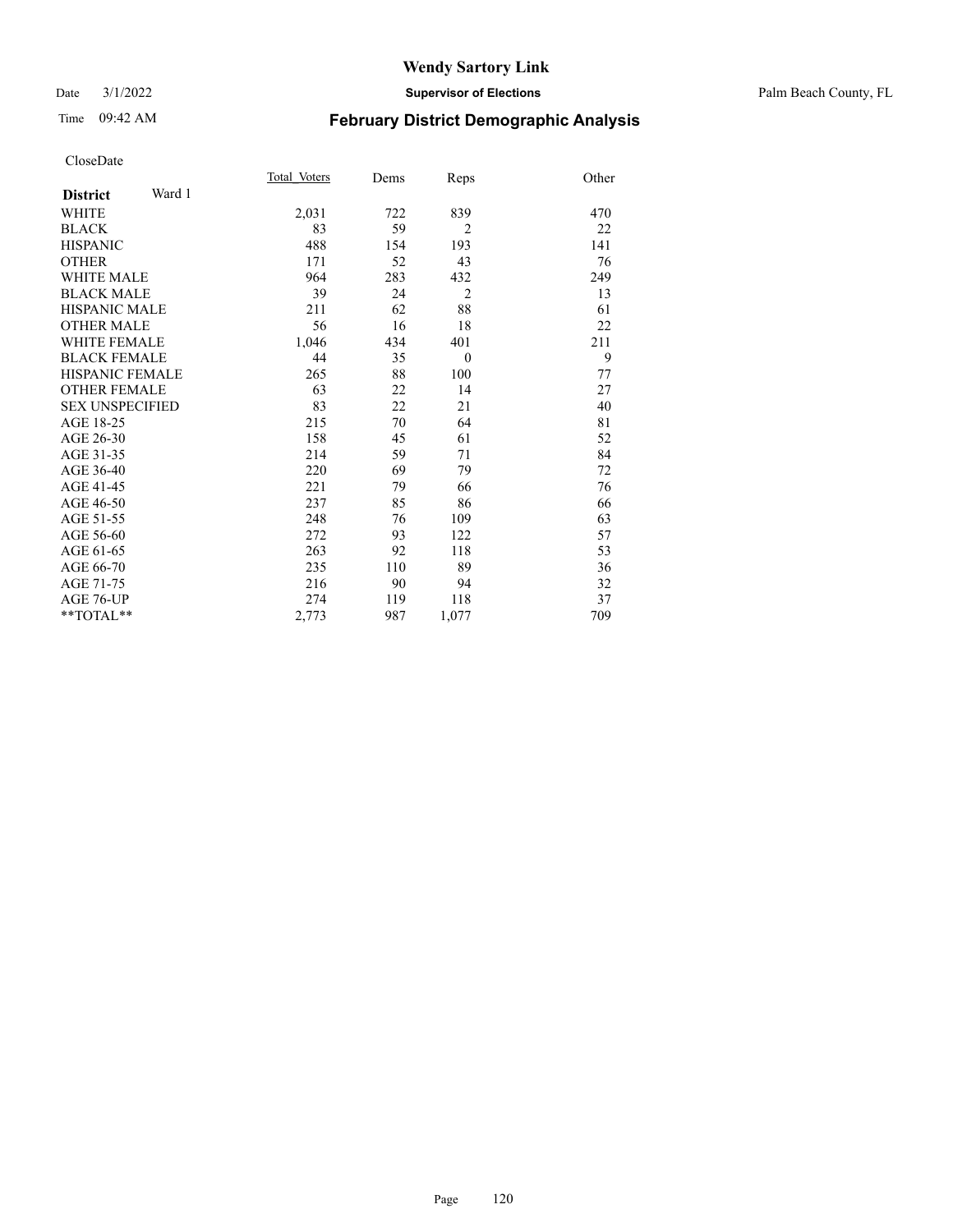#### Date 3/1/2022 **Supervisor of Elections** Palm Beach County, FL

# Time 09:42 AM **February District Demographic Analysis**

|                           | Total Voters | Dems | Reps           | Other |
|---------------------------|--------------|------|----------------|-------|
| Ward 1<br><b>District</b> |              |      |                |       |
| WHITE                     | 2,031        | 722  | 839            | 470   |
| <b>BLACK</b>              | 83           | 59   | $\overline{2}$ | 22    |
| <b>HISPANIC</b>           | 488          | 154  | 193            | 141   |
| <b>OTHER</b>              | 171          | 52   | 43             | 76    |
| <b>WHITE MALE</b>         | 964          | 283  | 432            | 249   |
| <b>BLACK MALE</b>         | 39           | 24   | $\overline{2}$ | 13    |
| <b>HISPANIC MALE</b>      | 211          | 62   | 88             | 61    |
| <b>OTHER MALE</b>         | 56           | 16   | 18             | 22    |
| <b>WHITE FEMALE</b>       | 1,046        | 434  | 401            | 211   |
| <b>BLACK FEMALE</b>       | 44           | 35   | $\mathbf{0}$   | 9     |
| <b>HISPANIC FEMALE</b>    | 265          | 88   | 100            | 77    |
| <b>OTHER FEMALE</b>       | 63           | 22   | 14             | 27    |
| <b>SEX UNSPECIFIED</b>    | 83           | 22   | 21             | 40    |
| AGE 18-25                 | 215          | 70   | 64             | 81    |
| AGE 26-30                 | 158          | 45   | 61             | 52    |
| AGE 31-35                 | 214          | 59   | 71             | 84    |
| AGE 36-40                 | 220          | 69   | 79             | 72    |
| AGE 41-45                 | 221          | 79   | 66             | 76    |
| AGE 46-50                 | 237          | 85   | 86             | 66    |
| AGE 51-55                 | 248          | 76   | 109            | 63    |
| AGE 56-60                 | 272          | 93   | 122            | 57    |
| AGE 61-65                 | 263          | 92   | 118            | 53    |
| AGE 66-70                 | 235          | 110  | 89             | 36    |
| AGE 71-75                 | 216          | 90   | 94             | 32    |
| <b>AGE 76-UP</b>          | 274          | 119  | 118            | 37    |
| $*$ $TOTAL**$             | 2,773        | 987  | 1,077          | 709   |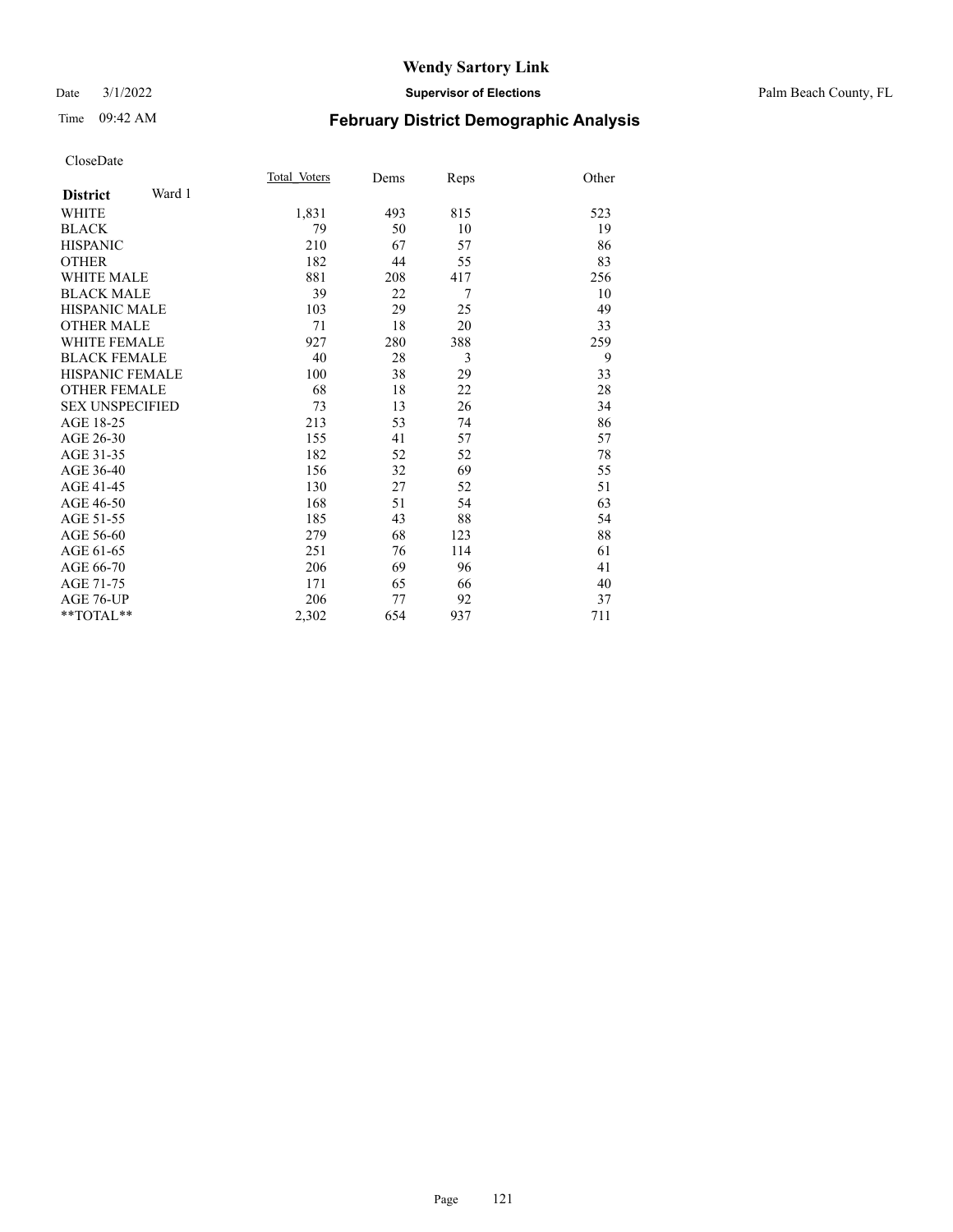#### Date 3/1/2022 **Supervisor of Elections** Palm Beach County, FL

# Time 09:42 AM **February District Demographic Analysis**

|                           | Total Voters | Dems | Reps | Other |
|---------------------------|--------------|------|------|-------|
| Ward 1<br><b>District</b> |              |      |      |       |
| <b>WHITE</b>              | 1,831        | 493  | 815  | 523   |
| <b>BLACK</b>              | 79           | 50   | 10   | 19    |
| <b>HISPANIC</b>           | 210          | 67   | 57   | 86    |
| <b>OTHER</b>              | 182          | 44   | 55   | 83    |
| <b>WHITE MALE</b>         | 881          | 208  | 417  | 256   |
| <b>BLACK MALE</b>         | 39           | 22   | 7    | 10    |
| <b>HISPANIC MALE</b>      | 103          | 29   | 25   | 49    |
| <b>OTHER MALE</b>         | 71           | 18   | 20   | 33    |
| <b>WHITE FEMALE</b>       | 927          | 280  | 388  | 259   |
| <b>BLACK FEMALE</b>       | 40           | 28   | 3    | 9     |
| <b>HISPANIC FEMALE</b>    | 100          | 38   | 29   | 33    |
| <b>OTHER FEMALE</b>       | 68           | 18   | 22   | 28    |
| <b>SEX UNSPECIFIED</b>    | 73           | 13   | 26   | 34    |
| AGE 18-25                 | 213          | 53   | 74   | 86    |
| AGE 26-30                 | 155          | 41   | 57   | 57    |
| AGE 31-35                 | 182          | 52   | 52   | 78    |
| AGE 36-40                 | 156          | 32   | 69   | 55    |
| AGE 41-45                 | 130          | 27   | 52   | 51    |
| AGE 46-50                 | 168          | 51   | 54   | 63    |
| AGE 51-55                 | 185          | 43   | 88   | 54    |
| AGE 56-60                 | 279          | 68   | 123  | 88    |
| AGE 61-65                 | 251          | 76   | 114  | 61    |
| AGE 66-70                 | 206          | 69   | 96   | 41    |
| AGE 71-75                 | 171          | 65   | 66   | 40    |
| AGE 76-UP                 | 206          | 77   | 92   | 37    |
| $*$ $TOTAL**$             | 2,302        | 654  | 937  | 711   |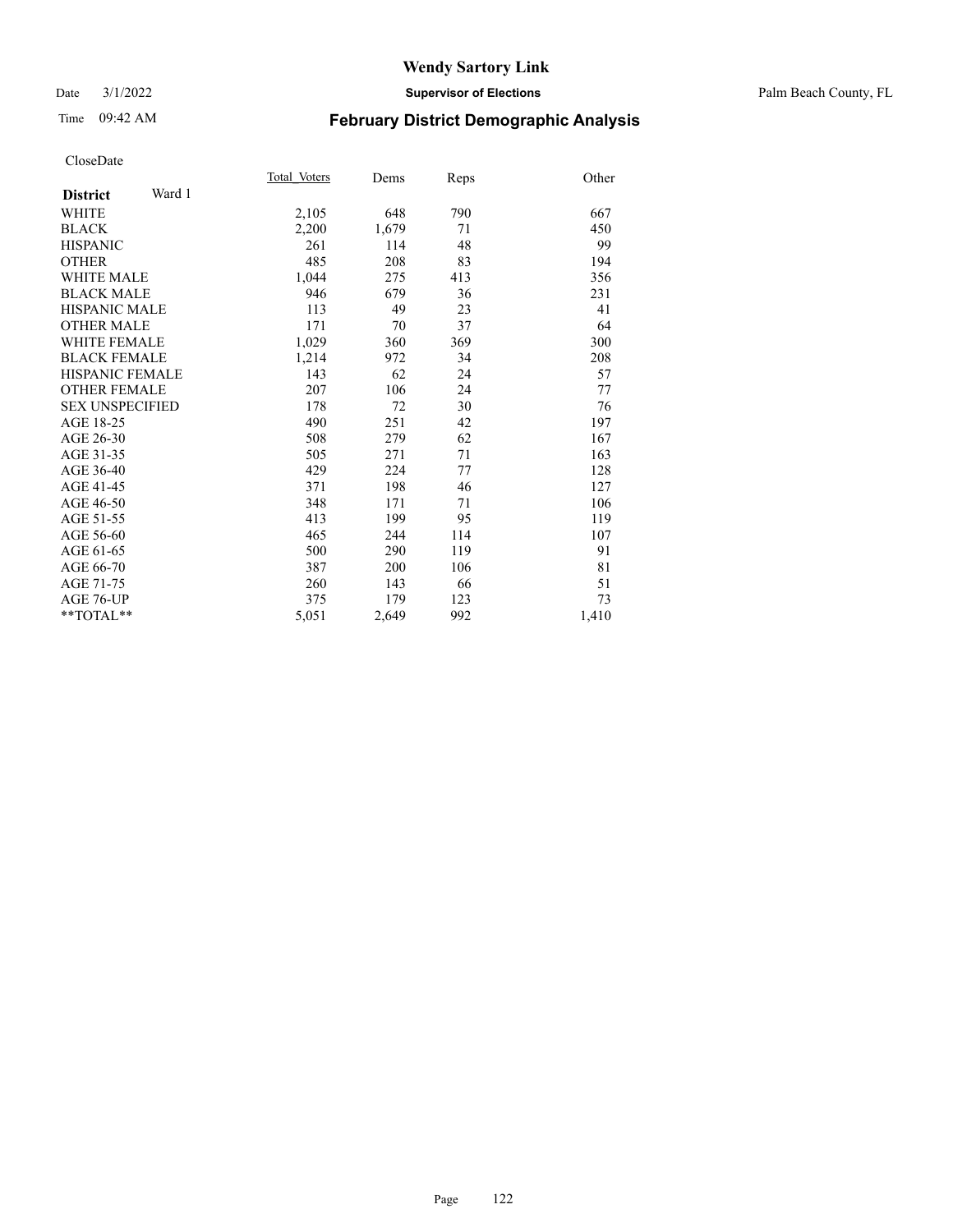#### Date 3/1/2022 **Supervisor of Elections** Palm Beach County, FL

# Time 09:42 AM **February District Demographic Analysis**

|                           | Total Voters | Dems  | Reps | Other |
|---------------------------|--------------|-------|------|-------|
| Ward 1<br><b>District</b> |              |       |      |       |
| <b>WHITE</b>              | 2,105        | 648   | 790  | 667   |
| <b>BLACK</b>              | 2,200        | 1,679 | 71   | 450   |
| <b>HISPANIC</b>           | 261          | 114   | 48   | 99    |
| <b>OTHER</b>              | 485          | 208   | 83   | 194   |
| <b>WHITE MALE</b>         | 1,044        | 275   | 413  | 356   |
| <b>BLACK MALE</b>         | 946          | 679   | 36   | 231   |
| <b>HISPANIC MALE</b>      | 113          | 49    | 23   | 41    |
| <b>OTHER MALE</b>         | 171          | 70    | 37   | 64    |
| <b>WHITE FEMALE</b>       | 1,029        | 360   | 369  | 300   |
| <b>BLACK FEMALE</b>       | 1,214        | 972   | 34   | 208   |
| <b>HISPANIC FEMALE</b>    | 143          | 62    | 24   | 57    |
| <b>OTHER FEMALE</b>       | 207          | 106   | 24   | 77    |
| <b>SEX UNSPECIFIED</b>    | 178          | 72    | 30   | 76    |
| AGE 18-25                 | 490          | 251   | 42   | 197   |
| AGE 26-30                 | 508          | 279   | 62   | 167   |
| AGE 31-35                 | 505          | 271   | 71   | 163   |
| AGE 36-40                 | 429          | 224   | 77   | 128   |
| AGE 41-45                 | 371          | 198   | 46   | 127   |
| AGE 46-50                 | 348          | 171   | 71   | 106   |
| AGE 51-55                 | 413          | 199   | 95   | 119   |
| AGE 56-60                 | 465          | 244   | 114  | 107   |
| AGE 61-65                 | 500          | 290   | 119  | 91    |
| AGE 66-70                 | 387          | 200   | 106  | 81    |
| AGE 71-75                 | 260          | 143   | 66   | 51    |
| AGE 76-UP                 | 375          | 179   | 123  | 73    |
| $*$ $TOTAL**$             | 5,051        | 2,649 | 992  | 1,410 |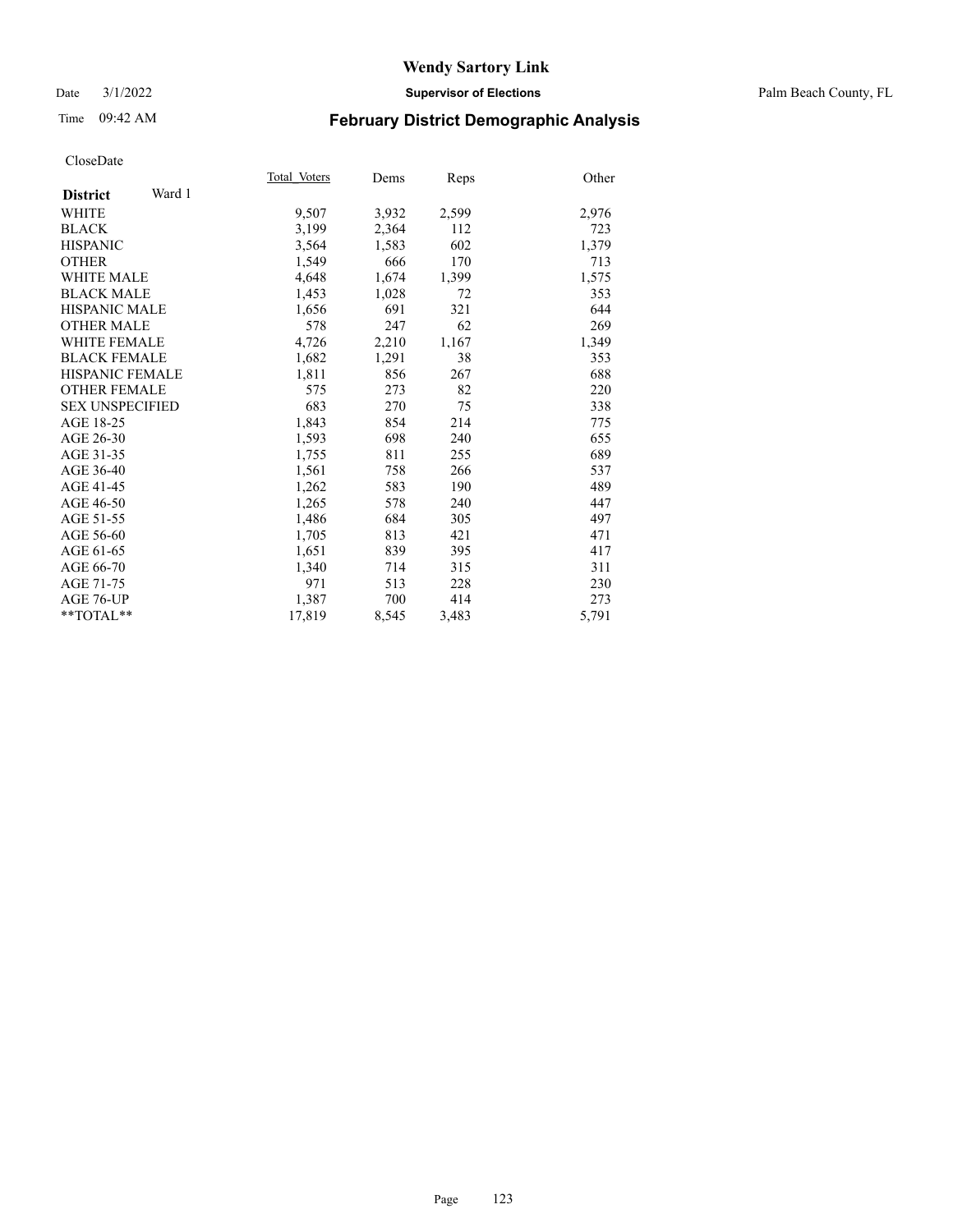#### Date 3/1/2022 **Supervisor of Elections** Palm Beach County, FL

# Time 09:42 AM **February District Demographic Analysis**

|                           | Total Voters | Dems  | Reps  | Other |
|---------------------------|--------------|-------|-------|-------|
| Ward 1<br><b>District</b> |              |       |       |       |
| WHITE                     | 9,507        | 3,932 | 2,599 | 2,976 |
| <b>BLACK</b>              | 3,199        | 2,364 | 112   | 723   |
| <b>HISPANIC</b>           | 3,564        | 1,583 | 602   | 1,379 |
| <b>OTHER</b>              | 1,549        | 666   | 170   | 713   |
| <b>WHITE MALE</b>         | 4,648        | 1,674 | 1,399 | 1,575 |
| <b>BLACK MALE</b>         | 1,453        | 1,028 | 72    | 353   |
| <b>HISPANIC MALE</b>      | 1,656        | 691   | 321   | 644   |
| <b>OTHER MALE</b>         | 578          | 247   | 62    | 269   |
| <b>WHITE FEMALE</b>       | 4,726        | 2,210 | 1,167 | 1,349 |
| <b>BLACK FEMALE</b>       | 1,682        | 1,291 | 38    | 353   |
| <b>HISPANIC FEMALE</b>    | 1,811        | 856   | 267   | 688   |
| <b>OTHER FEMALE</b>       | 575          | 273   | 82    | 220   |
| <b>SEX UNSPECIFIED</b>    | 683          | 270   | 75    | 338   |
| AGE 18-25                 | 1,843        | 854   | 214   | 775   |
| AGE 26-30                 | 1,593        | 698   | 240   | 655   |
| AGE 31-35                 | 1,755        | 811   | 255   | 689   |
| AGE 36-40                 | 1,561        | 758   | 266   | 537   |
| AGE 41-45                 | 1,262        | 583   | 190   | 489   |
| AGE 46-50                 | 1,265        | 578   | 240   | 447   |
| AGE 51-55                 | 1,486        | 684   | 305   | 497   |
| AGE 56-60                 | 1,705        | 813   | 421   | 471   |
| AGE 61-65                 | 1,651        | 839   | 395   | 417   |
| AGE 66-70                 | 1,340        | 714   | 315   | 311   |
| AGE 71-75                 | 971          | 513   | 228   | 230   |
| AGE 76-UP                 | 1,387        | 700   | 414   | 273   |
| $*$ $TOTAL**$             | 17,819       | 8,545 | 3,483 | 5,791 |
|                           |              |       |       |       |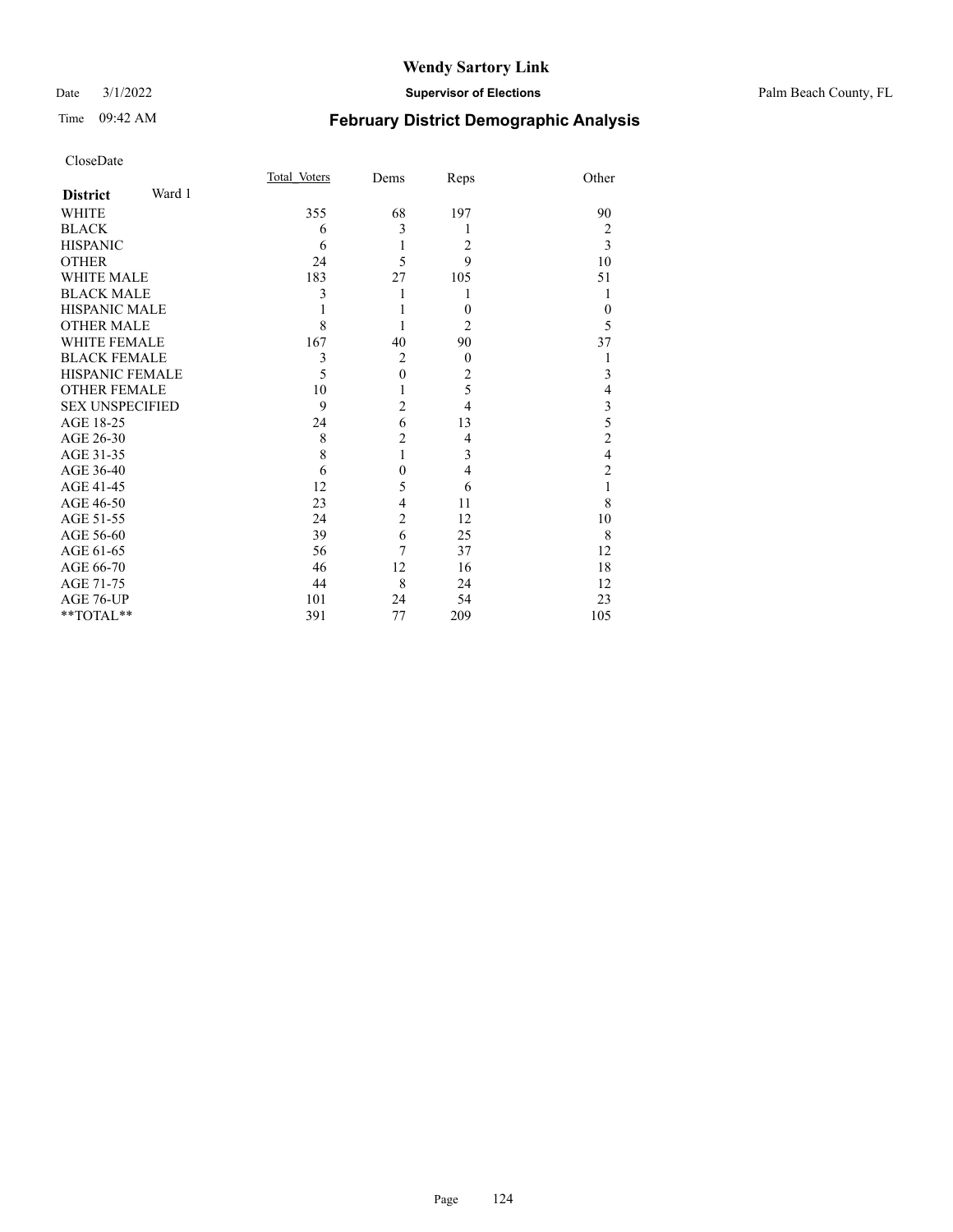#### Date 3/1/2022 **Supervisor of Elections** Palm Beach County, FL

# Time 09:42 AM **February District Demographic Analysis**

| CloseDate              |        |              |                |                |                         |
|------------------------|--------|--------------|----------------|----------------|-------------------------|
|                        |        | Total Voters | Dems           | Reps           | Other                   |
| <b>District</b>        | Ward 1 |              |                |                |                         |
| WHITE                  |        | 355          | 68             | 197            | 90                      |
| <b>BLACK</b>           |        | 6            | 3              | 1              | $\overline{c}$          |
| <b>HISPANIC</b>        |        | 6            | 1              | 2              | 3                       |
| <b>OTHER</b>           |        | 24           | 5              | 9              | 10                      |
| <b>WHITE MALE</b>      |        | 183          | 27             | 105            | 51                      |
| <b>BLACK MALE</b>      |        | 3            | 1              |                | 1                       |
| <b>HISPANIC MALE</b>   |        |              |                | $\theta$       | $\theta$                |
| <b>OTHER MALE</b>      |        | 8            | 1              | 2              | 5                       |
| <b>WHITE FEMALE</b>    |        | 167          | 40             | 90             | 37                      |
| <b>BLACK FEMALE</b>    |        | 3            | $\overline{2}$ | $\overline{0}$ | 1                       |
| <b>HISPANIC FEMALE</b> |        | 5            | $\mathbf{0}$   | 2              | 3                       |
| <b>OTHER FEMALE</b>    |        | 10           | 1              | 5              | 4                       |
| <b>SEX UNSPECIFIED</b> |        | 9            | $\overline{2}$ | 4              | $\mathfrak{Z}$          |
| AGE 18-25              |        | 24           | 6              | 13             | 5                       |
| AGE 26-30              |        | 8            | $\overline{c}$ | 4              | $\overline{c}$          |
| AGE 31-35              |        | 8            | $\mathbf{1}$   | 3              | $\overline{\mathbf{4}}$ |
| AGE 36-40              |        | 6            | $\overline{0}$ | 4              | $\overline{c}$          |
| AGE 41-45              |        | 12           | 5              | 6              | 1                       |
| AGE 46-50              |        | 23           | 4              | 11             | 8                       |
| AGE 51-55              |        | 24           | $\overline{2}$ | 12             | 10                      |
| AGE 56-60              |        | 39           | 6              | 25             | 8                       |
| AGE 61-65              |        | 56           | 7              | 37             | 12                      |
| AGE 66-70              |        | 46           | 12             | 16             | 18                      |
| AGE 71-75              |        | 44           | 8              | 24             | 12                      |
| AGE 76-UP              |        | 101          | 24             | 54             | 23                      |
| **TOTAL**              |        | 391          | 77             | 209            | 105                     |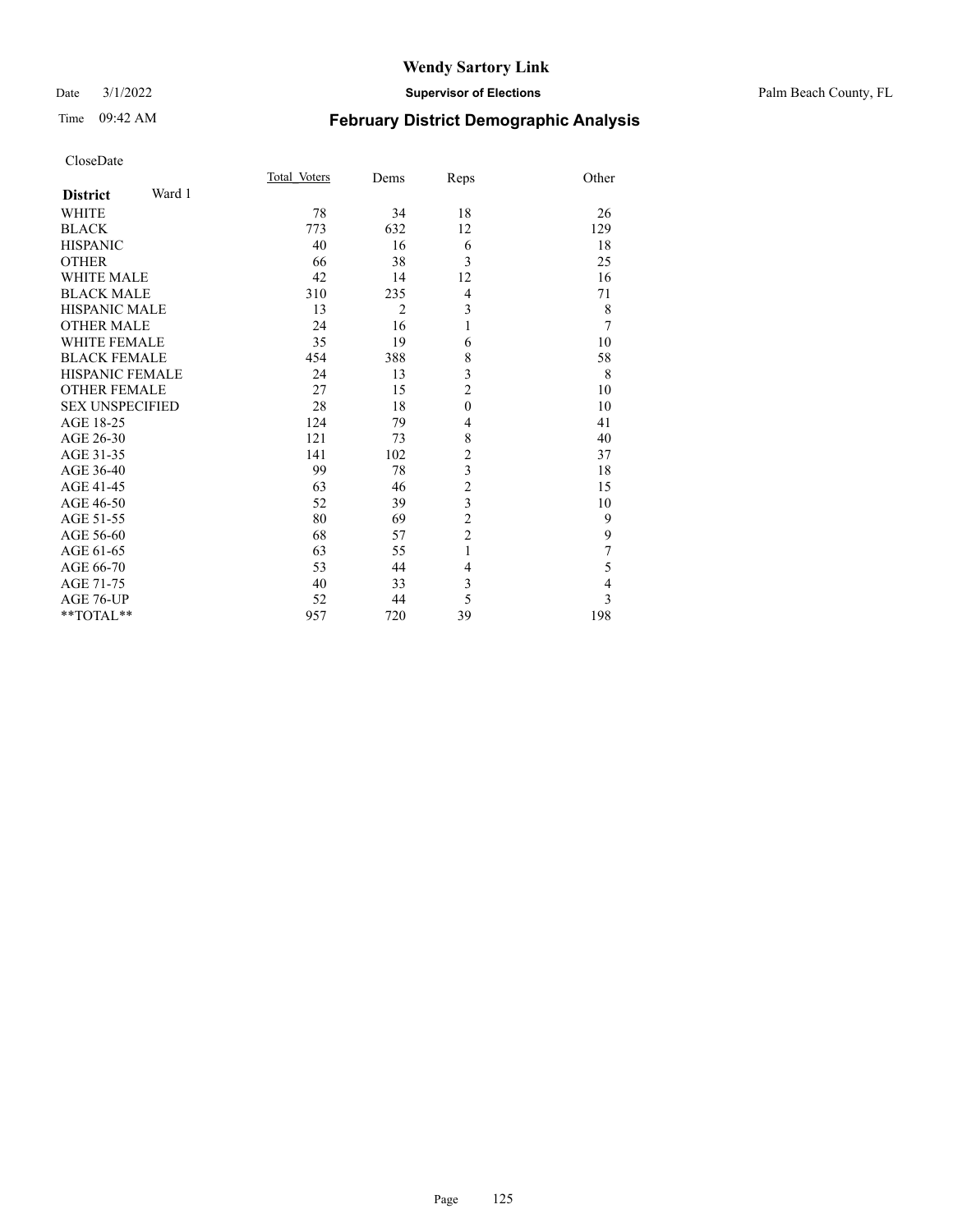| CloseDate |
|-----------|
|-----------|

| Page | 125 |
|------|-----|

|                           |                                |                | <b>Wendy Sartory Link</b> |                                               |                       |
|---------------------------|--------------------------------|----------------|---------------------------|-----------------------------------------------|-----------------------|
| 3/1/2022<br>Date          | <b>Supervisor of Elections</b> |                |                           |                                               | Palm Beach County, FL |
| 09:42 AM<br>Time          |                                |                |                           | <b>February District Demographic Analysis</b> |                       |
| CloseDate                 |                                |                |                           |                                               |                       |
|                           | Total Voters                   | Dems           | Reps                      | Other                                         |                       |
| Ward 1<br><b>District</b> |                                |                |                           |                                               |                       |
| <b>WHITE</b>              | 78                             | 34             | 18                        | 26                                            |                       |
| <b>BLACK</b>              | 773                            | 632            | 12                        | 129                                           |                       |
| <b>HISPANIC</b>           | 40                             | 16             | 6                         | 18                                            |                       |
| <b>OTHER</b>              | 66                             | 38             | 3                         | 25                                            |                       |
| <b>WHITE MALE</b>         | 42                             | 14             | 12                        | 16                                            |                       |
| <b>BLACK MALE</b>         | 310                            | 235            | 4                         | 71                                            |                       |
| <b>HISPANIC MALE</b>      | 13                             | $\overline{c}$ | 3                         | $\,$ $\,$                                     |                       |
| <b>OTHER MALE</b>         | 24                             | 16             | 1                         | $\overline{7}$                                |                       |
| WHITE FEMALE              | 35                             | 19             | 6                         | 10                                            |                       |
| <b>BLACK FEMALE</b>       | 454                            | 388            | 8                         | 58                                            |                       |
| HISPANIC FEMALE           | 24                             | 13             | 3                         | 8                                             |                       |
| <b>OTHER FEMALE</b>       | 27                             | 15             | $\boldsymbol{2}$          | 10                                            |                       |
| <b>SEX UNSPECIFIED</b>    | 28                             | 18             | $\boldsymbol{0}$          | 10                                            |                       |
| AGE 18-25                 | 124                            | 79             | $\overline{4}$            | 41                                            |                       |
| AGE 26-30                 | 121                            | 73             | $\,$ $\,$                 | 40                                            |                       |
| AGE 31-35                 | 141                            | 102            | $\overline{c}$            | 37                                            |                       |
| AGE 36-40                 | 99                             | 78             | 3                         | 18                                            |                       |
| AGE 41-45                 | 63                             | 46             | $\sqrt{2}$                | 15                                            |                       |
| AGE 46-50                 | 52                             | 39             | $\mathfrak{Z}$            | 10                                            |                       |
| AGE 51-55                 | 80                             | 69             | $\sqrt{2}$                | 9                                             |                       |
| AGE 56-60                 | 68                             | 57             | $\sqrt{2}$                | 9                                             |                       |
| AGE 61-65                 | 63                             | 55             | 1                         | 7                                             |                       |
| AGE 66-70                 | 53                             | 44             | 4                         | 5                                             |                       |
| AGE 71-75                 | 40                             | 33             | 3                         | 4                                             |                       |

AGE 76-UP 52 44 5 3 \*\*TOTAL\*\* 957 720 39 198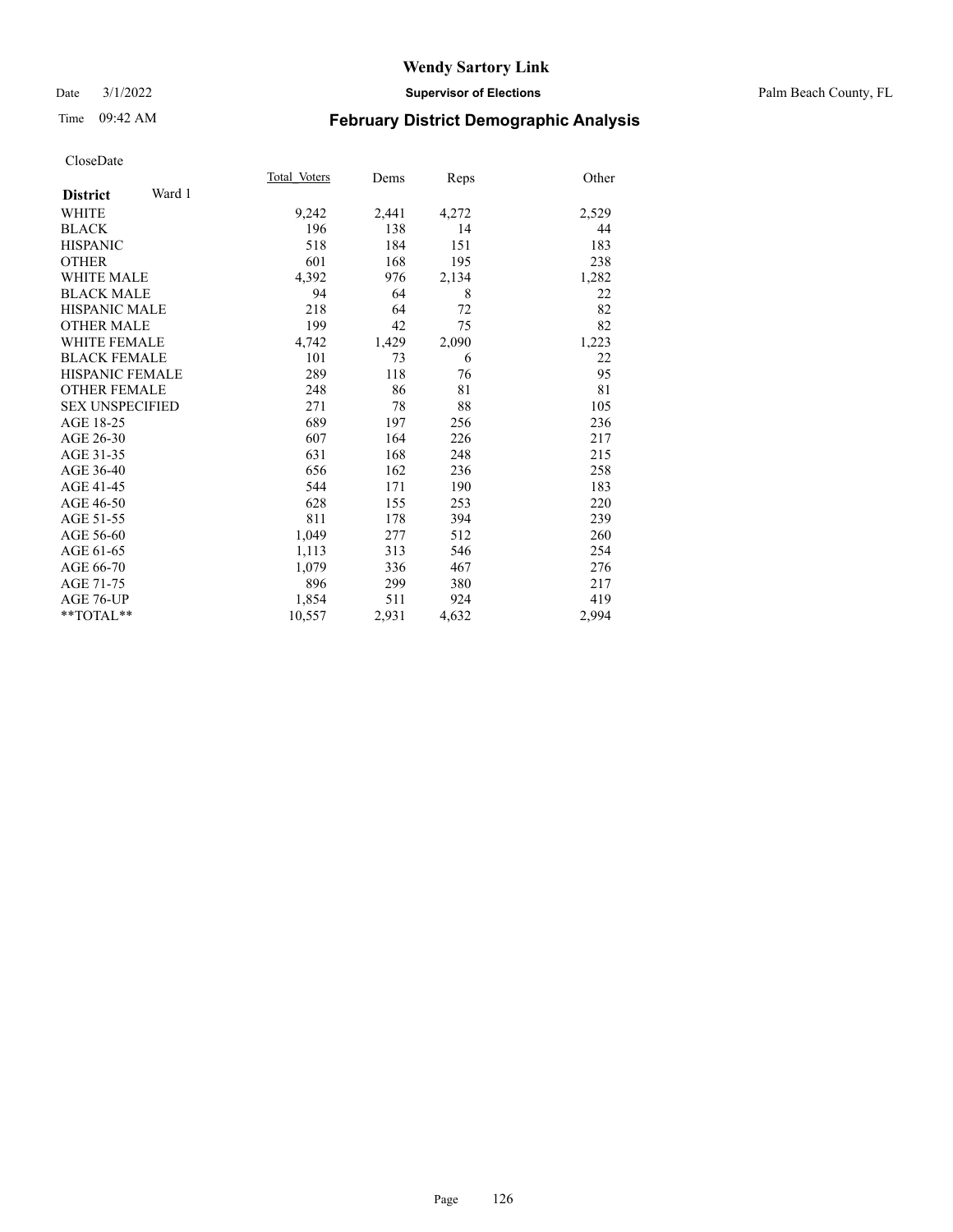#### Date 3/1/2022 **Supervisor of Elections** Palm Beach County, FL

# Time 09:42 AM **February District Demographic Analysis**

|                        |        | Total Voters | Dems  | Reps  | Other |
|------------------------|--------|--------------|-------|-------|-------|
| <b>District</b>        | Ward 1 |              |       |       |       |
| WHITE                  |        | 9,242        | 2,441 | 4,272 | 2,529 |
| <b>BLACK</b>           |        | 196          | 138   | 14    | 44    |
| <b>HISPANIC</b>        |        | 518          | 184   | 151   | 183   |
| <b>OTHER</b>           |        | 601          | 168   | 195   | 238   |
| <b>WHITE MALE</b>      |        | 4,392        | 976   | 2,134 | 1,282 |
| <b>BLACK MALE</b>      |        | 94           | 64    | 8     | 22    |
| <b>HISPANIC MALE</b>   |        | 218          | 64    | 72    | 82    |
| <b>OTHER MALE</b>      |        | 199          | 42    | 75    | 82    |
| <b>WHITE FEMALE</b>    |        | 4,742        | 1,429 | 2,090 | 1,223 |
| <b>BLACK FEMALE</b>    |        | 101          | 73    | 6     | 22    |
| <b>HISPANIC FEMALE</b> |        | 289          | 118   | 76    | 95    |
| <b>OTHER FEMALE</b>    |        | 248          | 86    | 81    | 81    |
| <b>SEX UNSPECIFIED</b> |        | 271          | 78    | 88    | 105   |
| AGE 18-25              |        | 689          | 197   | 256   | 236   |
| AGE 26-30              |        | 607          | 164   | 226   | 217   |
| AGE 31-35              |        | 631          | 168   | 248   | 215   |
| AGE 36-40              |        | 656          | 162   | 236   | 258   |
| AGE 41-45              |        | 544          | 171   | 190   | 183   |
| AGE 46-50              |        | 628          | 155   | 253   | 220   |
| AGE 51-55              |        | 811          | 178   | 394   | 239   |
| AGE 56-60              |        | 1,049        | 277   | 512   | 260   |
| AGE 61-65              |        | 1,113        | 313   | 546   | 254   |
| AGE 66-70              |        | 1,079        | 336   | 467   | 276   |
| AGE 71-75              |        | 896          | 299   | 380   | 217   |
| AGE 76-UP              |        | 1,854        | 511   | 924   | 419   |
| $*$ $TOTAL**$          |        | 10,557       | 2,931 | 4,632 | 2,994 |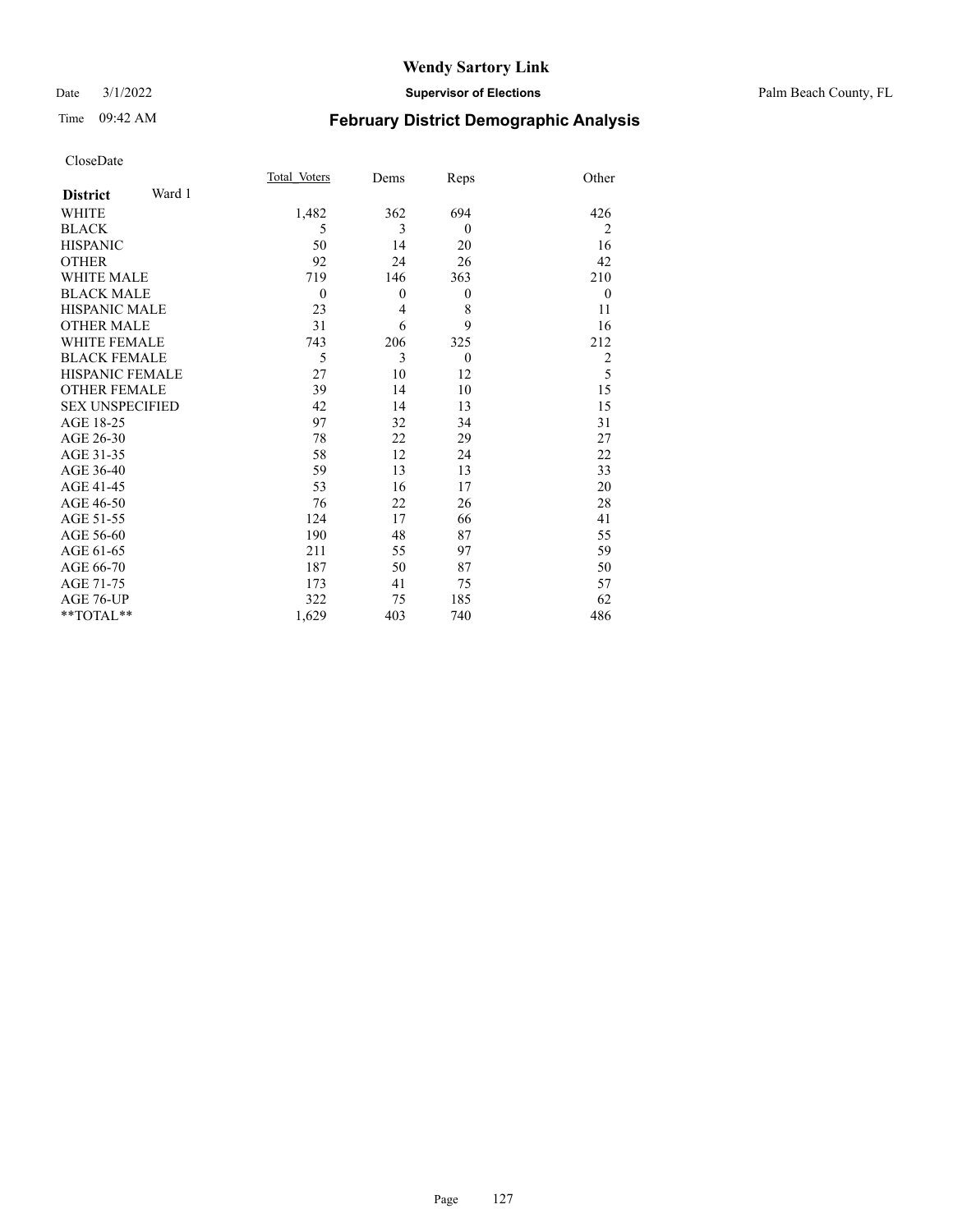#### Date 3/1/2022 **Supervisor of Elections** Palm Beach County, FL

# Time 09:42 AM **February District Demographic Analysis**

| Page | 127 |
|------|-----|

| CloseDate                 |              |                  |                  |                |
|---------------------------|--------------|------------------|------------------|----------------|
|                           | Total Voters | Dems             | Reps             | Other          |
| Ward 1<br><b>District</b> |              |                  |                  |                |
| <b>WHITE</b>              | 1,482        | 362              | 694              | 426            |
| <b>BLACK</b>              | 5            | 3                | $\mathbf{0}$     | $\overline{2}$ |
| <b>HISPANIC</b>           | 50           | 14               | 20               | 16             |
| <b>OTHER</b>              | 92           | 24               | 26               | 42             |
| <b>WHITE MALE</b>         | 719          | 146              | 363              | 210            |
| <b>BLACK MALE</b>         | $\mathbf{0}$ | $\boldsymbol{0}$ | $\boldsymbol{0}$ | $\theta$       |
| <b>HISPANIC MALE</b>      | 23           | $\overline{4}$   | 8                | 11             |
| <b>OTHER MALE</b>         | 31           | 6                | 9                | 16             |
| <b>WHITE FEMALE</b>       | 743          | 206              | 325              | 212            |
| <b>BLACK FEMALE</b>       | 5            | 3                | $\theta$         | $\overline{c}$ |
| <b>HISPANIC FEMALE</b>    | 27           | 10               | 12               | 5              |
| <b>OTHER FEMALE</b>       | 39           | 14               | 10               | 15             |
| <b>SEX UNSPECIFIED</b>    | 42           | 14               | 13               | 15             |
| AGE 18-25                 | 97           | 32               | 34               | 31             |
| AGE 26-30                 | 78           | 22               | 29               | 27             |
| AGE 31-35                 | 58           | 12               | 24               | 22             |
| AGE 36-40                 | 59           | 13               | 13               | 33             |
| AGE 41-45                 | 53           | 16               | 17               | 20             |
| AGE 46-50                 | 76           | 22               | 26               | 28             |
| AGE 51-55                 | 124          | 17               | 66               | 41             |
| AGE 56-60                 | 190          | 48               | 87               | 55             |
| AGE 61-65                 | 211          | 55               | 97               | 59             |
| AGE 66-70                 | 187          | 50               | 87               | 50             |
| AGE 71-75                 | 173          | 41               | 75               | 57             |
| AGE 76-UP                 | 322          | 75               | 185              | 62             |
| $*$ $TOTAL**$             | 1,629        | 403              | 740              | 486            |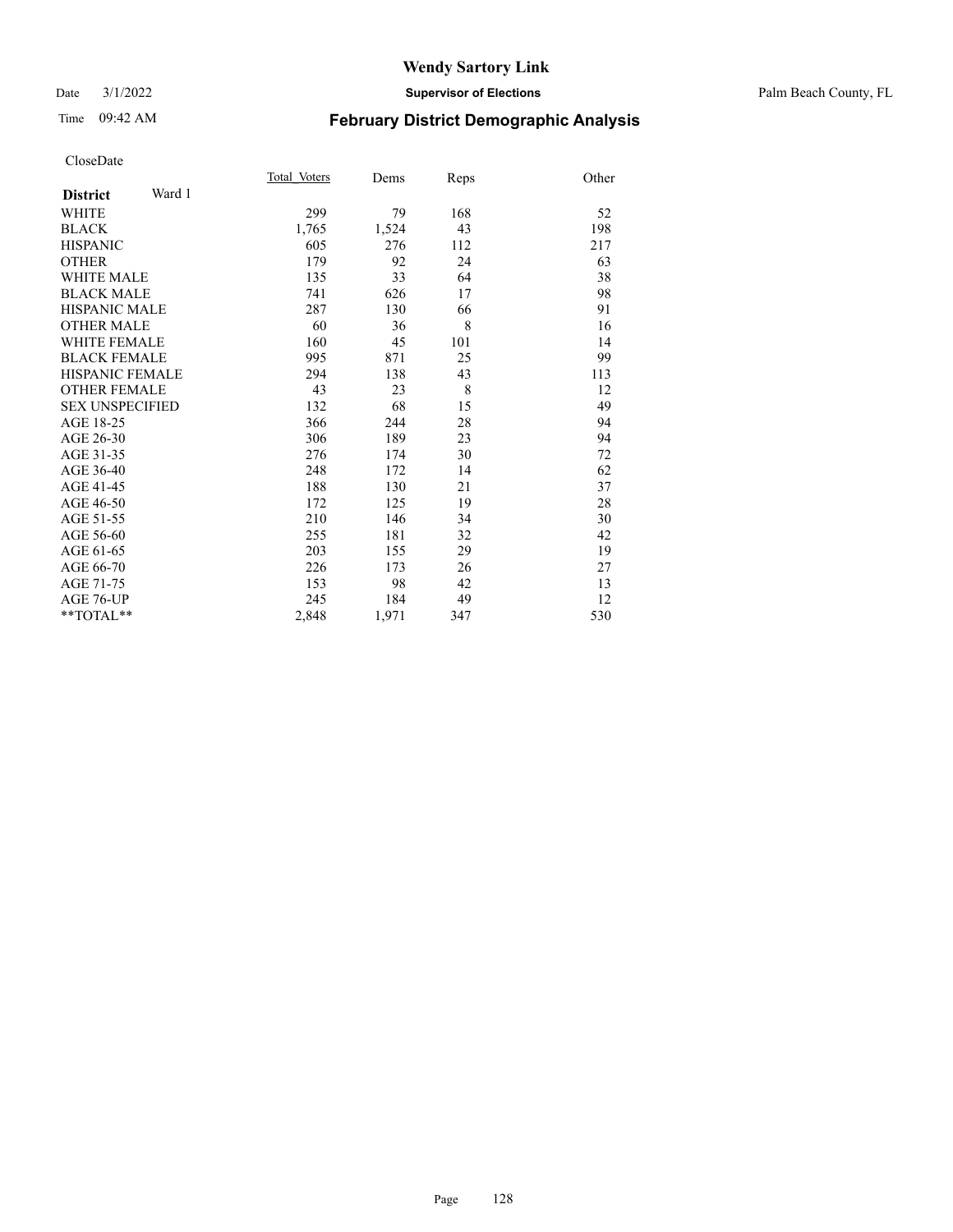#### Date 3/1/2022 **Supervisor of Elections** Palm Beach County, FL

# Time 09:42 AM **February District Demographic Analysis**

|                           | Total Voters | Dems  | Reps | Other |
|---------------------------|--------------|-------|------|-------|
| Ward 1<br><b>District</b> |              |       |      |       |
| WHITE                     | 299          | 79    | 168  | 52    |
| <b>BLACK</b>              | 1,765        | 1,524 | 43   | 198   |
| <b>HISPANIC</b>           | 605          | 276   | 112  | 217   |
| <b>OTHER</b>              | 179          | 92    | 24   | 63    |
| WHITE MALE                | 135          | 33    | 64   | 38    |
| <b>BLACK MALE</b>         | 741          | 626   | 17   | 98    |
| <b>HISPANIC MALE</b>      | 287          | 130   | 66   | 91    |
| <b>OTHER MALE</b>         | 60           | 36    | 8    | 16    |
| WHITE FEMALE              | 160          | 45    | 101  | 14    |
| <b>BLACK FEMALE</b>       | 995          | 871   | 25   | 99    |
| HISPANIC FEMALE           | 294          | 138   | 43   | 113   |
| <b>OTHER FEMALE</b>       | 43           | 23    | 8    | 12    |
| <b>SEX UNSPECIFIED</b>    | 132          | 68    | 15   | 49    |
| AGE 18-25                 | 366          | 244   | 28   | 94    |
| AGE 26-30                 | 306          | 189   | 23   | 94    |
| AGE 31-35                 | 276          | 174   | 30   | 72    |
| AGE 36-40                 | 248          | 172   | 14   | 62    |
| AGE 41-45                 | 188          | 130   | 21   | 37    |
| AGE 46-50                 | 172          | 125   | 19   | 28    |
| AGE 51-55                 | 210          | 146   | 34   | 30    |
| AGE 56-60                 | 255          | 181   | 32   | 42    |
| AGE 61-65                 | 203          | 155   | 29   | 19    |
| AGE 66-70                 | 226          | 173   | 26   | 27    |
| AGE 71-75                 | 153          | 98    | 42   | 13    |
| AGE 76-UP                 | 245          | 184   | 49   | 12    |
| $*$ $TOTAL**$             | 2,848        | 1,971 | 347  | 530   |
|                           |              |       |      |       |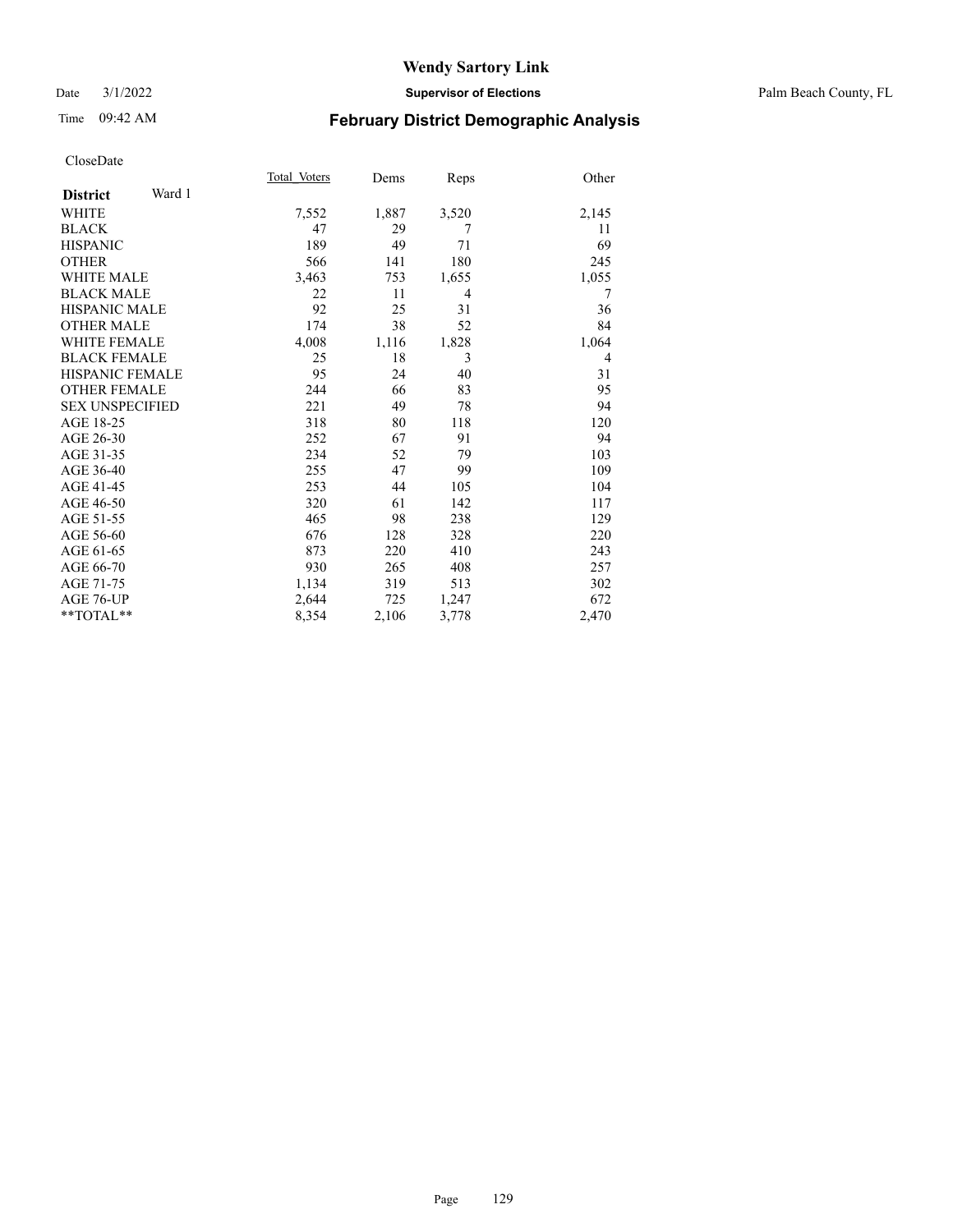#### Date 3/1/2022 **Supervisor of Elections** Palm Beach County, FL

# Time 09:42 AM **February District Demographic Analysis**

|                        |        | Total Voters | Dems  | Reps  | Other |
|------------------------|--------|--------------|-------|-------|-------|
| <b>District</b>        | Ward 1 |              |       |       |       |
| <b>WHITE</b>           |        | 7,552        | 1,887 | 3,520 | 2,145 |
| <b>BLACK</b>           |        | 47           | 29    | 7     | 11    |
| <b>HISPANIC</b>        |        | 189          | 49    | 71    | 69    |
| <b>OTHER</b>           |        | 566          | 141   | 180   | 245   |
| <b>WHITE MALE</b>      |        | 3,463        | 753   | 1,655 | 1,055 |
| <b>BLACK MALE</b>      |        | 22           | 11    | 4     | 7     |
| <b>HISPANIC MALE</b>   |        | 92           | 25    | 31    | 36    |
| <b>OTHER MALE</b>      |        | 174          | 38    | 52    | 84    |
| <b>WHITE FEMALE</b>    |        | 4,008        | 1,116 | 1,828 | 1,064 |
| <b>BLACK FEMALE</b>    |        | 25           | 18    | 3     | 4     |
| <b>HISPANIC FEMALE</b> |        | 95           | 24    | 40    | 31    |
| <b>OTHER FEMALE</b>    |        | 244          | 66    | 83    | 95    |
| <b>SEX UNSPECIFIED</b> |        | 221          | 49    | 78    | 94    |
| AGE 18-25              |        | 318          | 80    | 118   | 120   |
| AGE 26-30              |        | 252          | 67    | 91    | 94    |
| AGE 31-35              |        | 234          | 52    | 79    | 103   |
| AGE 36-40              |        | 255          | 47    | 99    | 109   |
| AGE 41-45              |        | 253          | 44    | 105   | 104   |
| AGE 46-50              |        | 320          | 61    | 142   | 117   |
| AGE 51-55              |        | 465          | 98    | 238   | 129   |
| AGE 56-60              |        | 676          | 128   | 328   | 220   |
| AGE 61-65              |        | 873          | 220   | 410   | 243   |
| AGE 66-70              |        | 930          | 265   | 408   | 257   |
| AGE 71-75              |        | 1,134        | 319   | 513   | 302   |
| AGE 76-UP              |        | 2,644        | 725   | 1,247 | 672   |
| $*$ $TOTAL**$          |        | 8,354        | 2,106 | 3,778 | 2,470 |
|                        |        |              |       |       |       |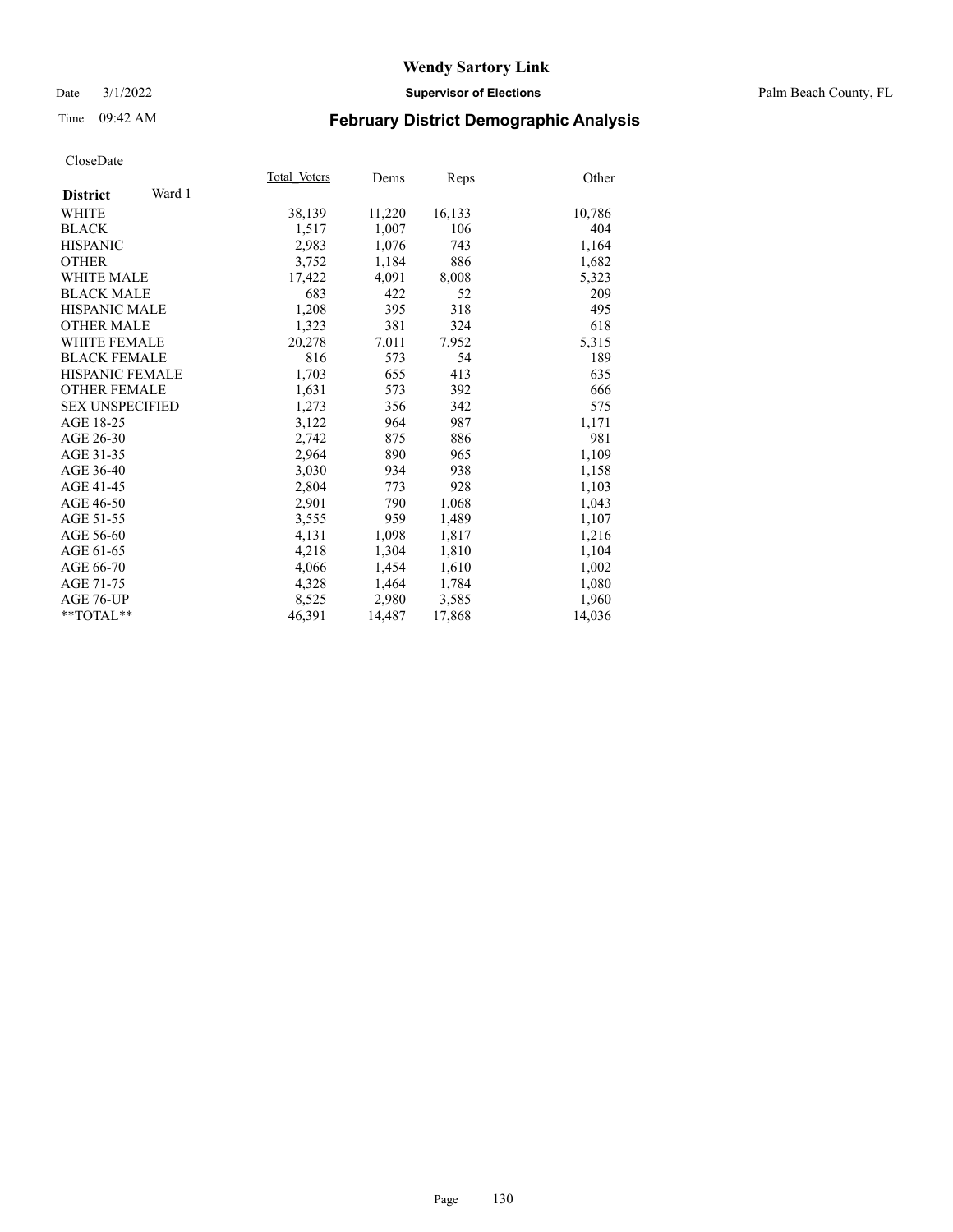#### Date 3/1/2022 **Supervisor of Elections** Palm Beach County, FL

# Time 09:42 AM **February District Demographic Analysis**

|                           | Total Voters | Dems   | Reps   | Other  |
|---------------------------|--------------|--------|--------|--------|
| Ward 1<br><b>District</b> |              |        |        |        |
| WHITE                     | 38,139       | 11,220 | 16,133 | 10,786 |
| <b>BLACK</b>              | 1,517        | 1,007  | 106    | 404    |
| <b>HISPANIC</b>           | 2,983        | 1,076  | 743    | 1,164  |
| <b>OTHER</b>              | 3,752        | 1,184  | 886    | 1,682  |
| <b>WHITE MALE</b>         | 17,422       | 4,091  | 8,008  | 5,323  |
| <b>BLACK MALE</b>         | 683          | 422    | 52     | 209    |
| <b>HISPANIC MALE</b>      | 1,208        | 395    | 318    | 495    |
| <b>OTHER MALE</b>         | 1,323        | 381    | 324    | 618    |
| <b>WHITE FEMALE</b>       | 20,278       | 7,011  | 7,952  | 5,315  |
| <b>BLACK FEMALE</b>       | 816          | 573    | 54     | 189    |
| HISPANIC FEMALE           | 1,703        | 655    | 413    | 635    |
| <b>OTHER FEMALE</b>       | 1,631        | 573    | 392    | 666    |
| <b>SEX UNSPECIFIED</b>    | 1,273        | 356    | 342    | 575    |
| AGE 18-25                 | 3,122        | 964    | 987    | 1,171  |
| AGE 26-30                 | 2,742        | 875    | 886    | 981    |
| AGE 31-35                 | 2,964        | 890    | 965    | 1,109  |
| AGE 36-40                 | 3,030        | 934    | 938    | 1,158  |
| AGE 41-45                 | 2,804        | 773    | 928    | 1,103  |
| AGE 46-50                 | 2,901        | 790    | 1,068  | 1,043  |
| AGE 51-55                 | 3,555        | 959    | 1,489  | 1,107  |
| AGE 56-60                 | 4,131        | 1,098  | 1,817  | 1,216  |
| AGE 61-65                 | 4,218        | 1,304  | 1,810  | 1,104  |
| AGE 66-70                 | 4,066        | 1,454  | 1,610  | 1,002  |
| AGE 71-75                 | 4,328        | 1,464  | 1,784  | 1,080  |
| AGE 76-UP                 | 8,525        | 2,980  | 3,585  | 1,960  |
| $*$ TOTAL $*$             | 46,391       | 14,487 | 17,868 | 14,036 |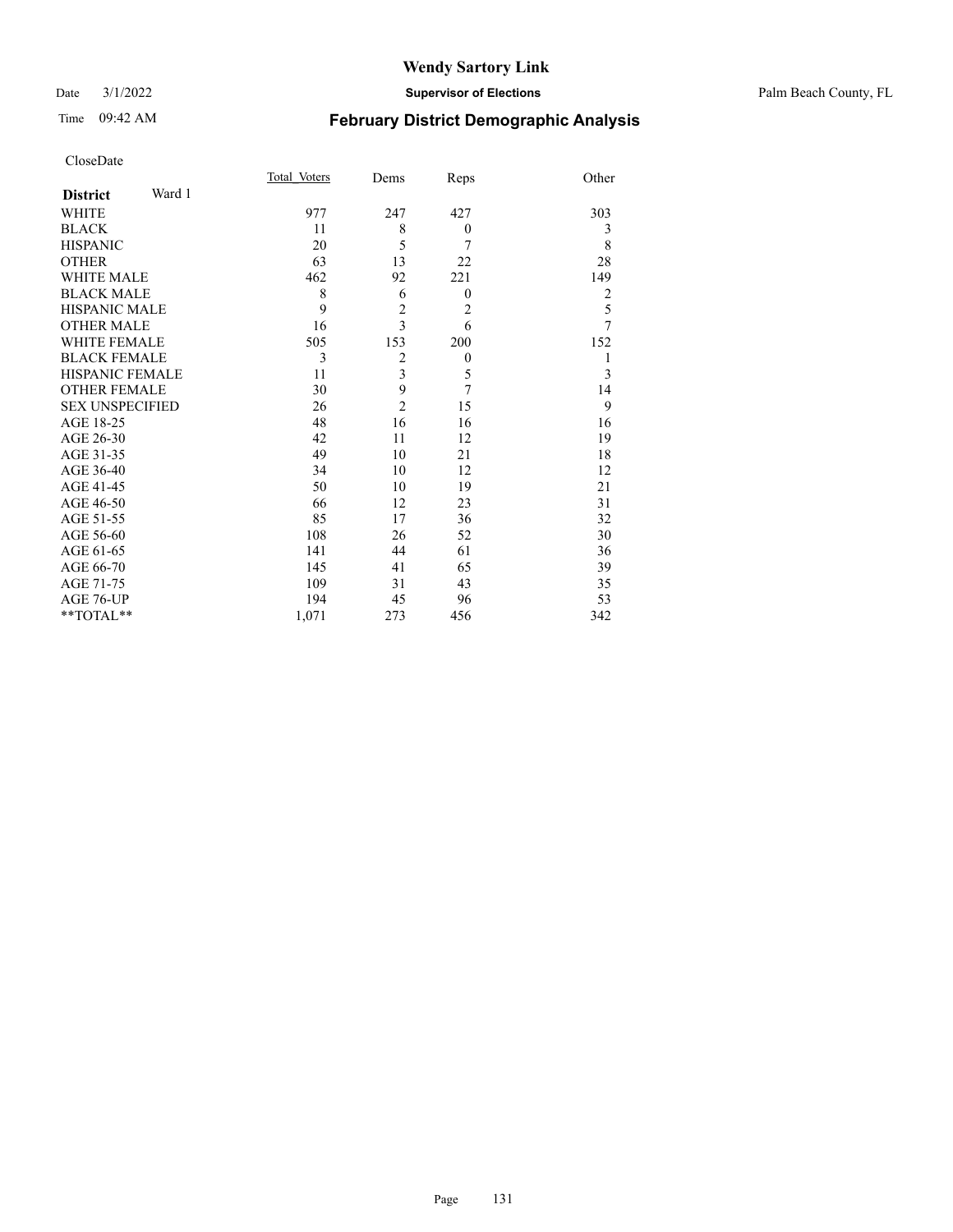$\mathrm{*}\ast\mathrm{TOTAL}*$ 

#### Date 3/1/2022 **Supervisor of Elections** Palm Beach County, FL

# Time 09:42 AM **February District Demographic Analysis**

| Page | 131 |
|------|-----|
|      |     |

|                           | Total Voters | Dems           | Reps           | Other          |
|---------------------------|--------------|----------------|----------------|----------------|
| Ward 1<br><b>District</b> |              |                |                |                |
| <b>WHITE</b>              | 977          | 247            | 427            | 303            |
| <b>BLACK</b>              | 11           | 8              | $\mathbf{0}$   | 3              |
| <b>HISPANIC</b>           | 20           | 5              | 7              | 8              |
| <b>OTHER</b>              | 63           | 13             | 22             | 28             |
| WHITE MALE                | 462          | 92             | 221            | 149            |
| <b>BLACK MALE</b>         | 8            | 6              | $\theta$       | $\overline{2}$ |
| HISPANIC MALE             | 9            | $\overline{c}$ | $\overline{c}$ | 5              |
| <b>OTHER MALE</b>         | 16           | 3              | 6              | 7              |
| <b>WHITE FEMALE</b>       | 505          | 153            | 200            | 152            |
| <b>BLACK FEMALE</b>       | 3            | $\overline{2}$ | $\mathbf{0}$   | 1              |
| <b>HISPANIC FEMALE</b>    | 11           | 3              | 5              | 3              |
| <b>OTHER FEMALE</b>       | 30           | 9              | 7              | 14             |
| <b>SEX UNSPECIFIED</b>    | 26           | $\overline{c}$ | 15             | 9              |
| AGE 18-25                 | 48           | 16             | 16             | 16             |
| AGE 26-30                 | 42           | 11             | 12             | 19             |
| AGE 31-35                 | 49           | 10             | 21             | 18             |
| AGE 36-40                 | 34           | 10             | 12             | 12             |
| AGE 41-45                 | 50           | 10             | 19             | 21             |
| AGE 46-50                 | 66           | 12             | 23             | 31             |
| AGE 51-55                 | 85           | 17             | 36             | 32             |
| AGE 56-60                 | 108          | 26             | 52             | 30             |
| AGE 61-65                 | 141          | 44             | 61             | 36             |

AGE 61-65 141 44 61 36<br>AGE 66-70 145 41 65 39 AGE 66-70 145 41 65 39<br>AGE 71-75 109 31 43 35 AGE 71-75 109 31 43 35<br>
AGE 76-UP 194 45 96 53<br>
\*\*TOTAL\*\* 1,071 273 456 342

AGE 76-UP 194 45 96<br>\*\*TOTAL\*\* 1,071 273 456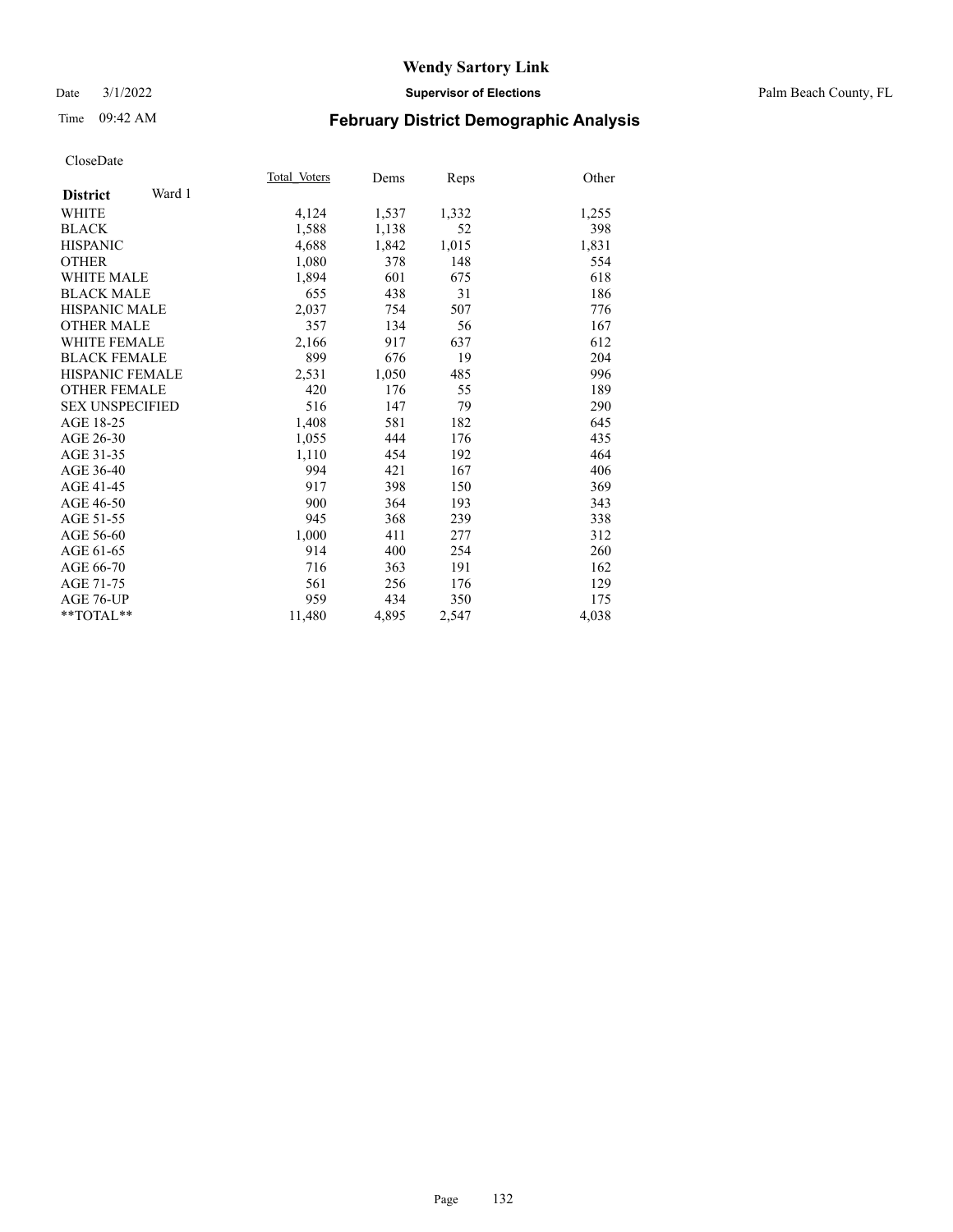#### Date 3/1/2022 **Supervisor of Elections** Palm Beach County, FL

# Time 09:42 AM **February District Demographic Analysis**

|                           | Total Voters | Dems  | Reps  | Other |
|---------------------------|--------------|-------|-------|-------|
| Ward 1<br><b>District</b> |              |       |       |       |
| <b>WHITE</b>              | 4,124        | 1,537 | 1,332 | 1,255 |
| <b>BLACK</b>              | 1,588        | 1,138 | 52    | 398   |
| <b>HISPANIC</b>           | 4,688        | 1,842 | 1,015 | 1,831 |
| <b>OTHER</b>              | 1,080        | 378   | 148   | 554   |
| <b>WHITE MALE</b>         | 1,894        | 601   | 675   | 618   |
| <b>BLACK MALE</b>         | 655          | 438   | 31    | 186   |
| <b>HISPANIC MALE</b>      | 2,037        | 754   | 507   | 776   |
| <b>OTHER MALE</b>         | 357          | 134   | 56    | 167   |
| WHITE FEMALE              | 2,166        | 917   | 637   | 612   |
| <b>BLACK FEMALE</b>       | 899          | 676   | 19    | 204   |
| <b>HISPANIC FEMALE</b>    | 2,531        | 1,050 | 485   | 996   |
| <b>OTHER FEMALE</b>       | 420          | 176   | 55    | 189   |
| <b>SEX UNSPECIFIED</b>    | 516          | 147   | 79    | 290   |
| AGE 18-25                 | 1,408        | 581   | 182   | 645   |
| AGE 26-30                 | 1,055        | 444   | 176   | 435   |
| AGE 31-35                 | 1,110        | 454   | 192   | 464   |
| AGE 36-40                 | 994          | 421   | 167   | 406   |
| AGE 41-45                 | 917          | 398   | 150   | 369   |
| AGE 46-50                 | 900          | 364   | 193   | 343   |
| AGE 51-55                 | 945          | 368   | 239   | 338   |
| AGE 56-60                 | 1,000        | 411   | 277   | 312   |
| AGE 61-65                 | 914          | 400   | 254   | 260   |
| AGE 66-70                 | 716          | 363   | 191   | 162   |
| AGE 71-75                 | 561          | 256   | 176   | 129   |
| AGE 76-UP                 | 959          | 434   | 350   | 175   |
| $*$ $TOTAL**$             | 11,480       | 4,895 | 2,547 | 4,038 |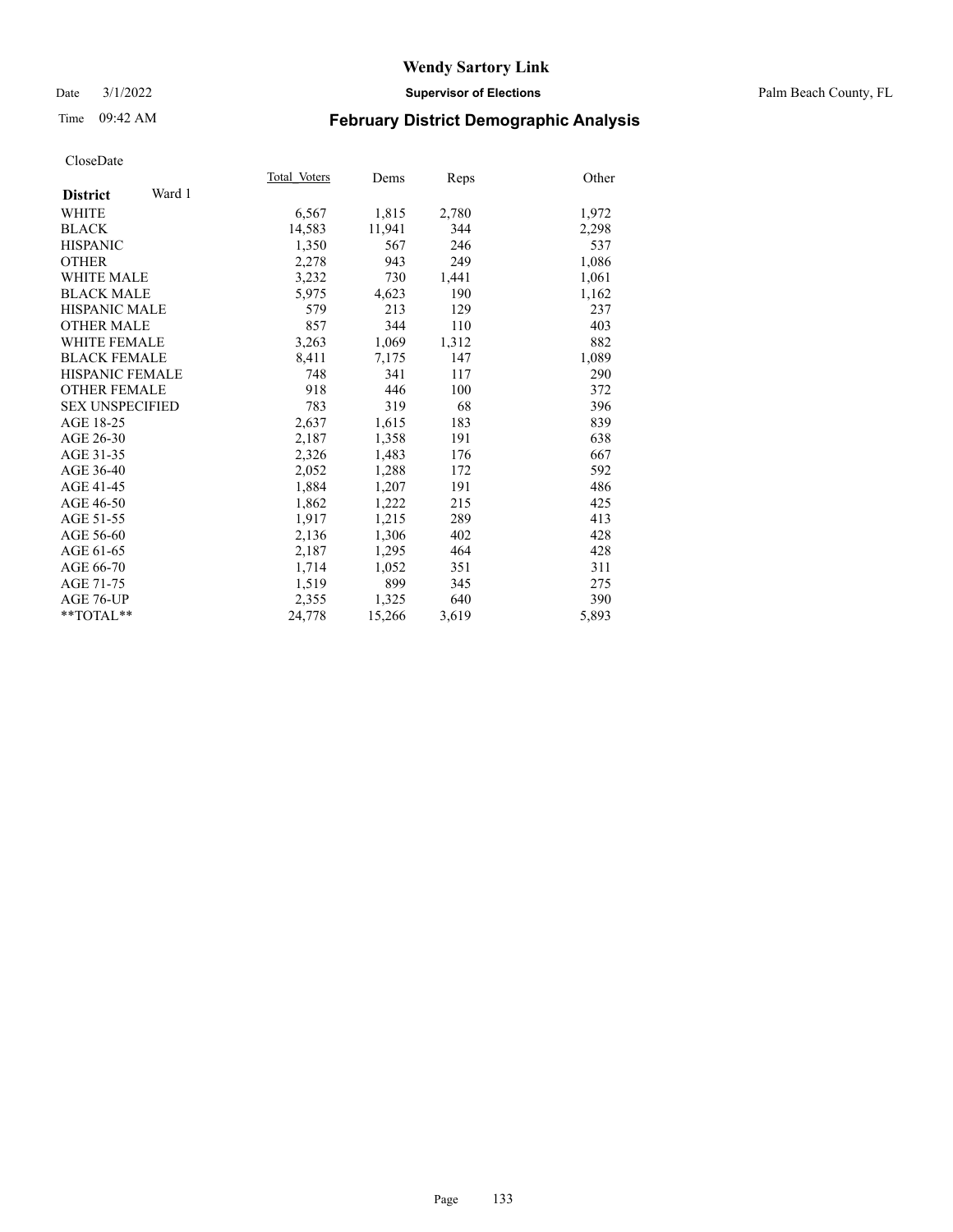#### Date 3/1/2022 **Supervisor of Elections** Palm Beach County, FL

# Time 09:42 AM **February District Demographic Analysis**

|                           | Total Voters | Dems   | Reps  | Other |
|---------------------------|--------------|--------|-------|-------|
| Ward 1<br><b>District</b> |              |        |       |       |
| WHITE                     | 6,567        | 1,815  | 2,780 | 1,972 |
| <b>BLACK</b>              | 14,583       | 11,941 | 344   | 2,298 |
| <b>HISPANIC</b>           | 1,350        | 567    | 246   | 537   |
| <b>OTHER</b>              | 2,278        | 943    | 249   | 1,086 |
| <b>WHITE MALE</b>         | 3,232        | 730    | 1,441 | 1,061 |
| <b>BLACK MALE</b>         | 5,975        | 4,623  | 190   | 1,162 |
| <b>HISPANIC MALE</b>      | 579          | 213    | 129   | 237   |
| <b>OTHER MALE</b>         | 857          | 344    | 110   | 403   |
| <b>WHITE FEMALE</b>       | 3,263        | 1,069  | 1,312 | 882   |
| <b>BLACK FEMALE</b>       | 8,411        | 7,175  | 147   | 1,089 |
| <b>HISPANIC FEMALE</b>    | 748          | 341    | 117   | 290   |
| <b>OTHER FEMALE</b>       | 918          | 446    | 100   | 372   |
| <b>SEX UNSPECIFIED</b>    | 783          | 319    | 68    | 396   |
| AGE 18-25                 | 2,637        | 1,615  | 183   | 839   |
| AGE 26-30                 | 2,187        | 1,358  | 191   | 638   |
| AGE 31-35                 | 2,326        | 1,483  | 176   | 667   |
| AGE 36-40                 | 2,052        | 1,288  | 172   | 592   |
| AGE 41-45                 | 1,884        | 1,207  | 191   | 486   |
| AGE 46-50                 | 1,862        | 1,222  | 215   | 425   |
| AGE 51-55                 | 1,917        | 1,215  | 289   | 413   |
| AGE 56-60                 | 2,136        | 1,306  | 402   | 428   |
| AGE 61-65                 | 2,187        | 1,295  | 464   | 428   |
| AGE 66-70                 | 1,714        | 1,052  | 351   | 311   |
| AGE 71-75                 | 1,519        | 899    | 345   | 275   |
| AGE 76-UP                 | 2,355        | 1,325  | 640   | 390   |
| $*$ $TOTAL**$             | 24,778       | 15,266 | 3,619 | 5,893 |
|                           |              |        |       |       |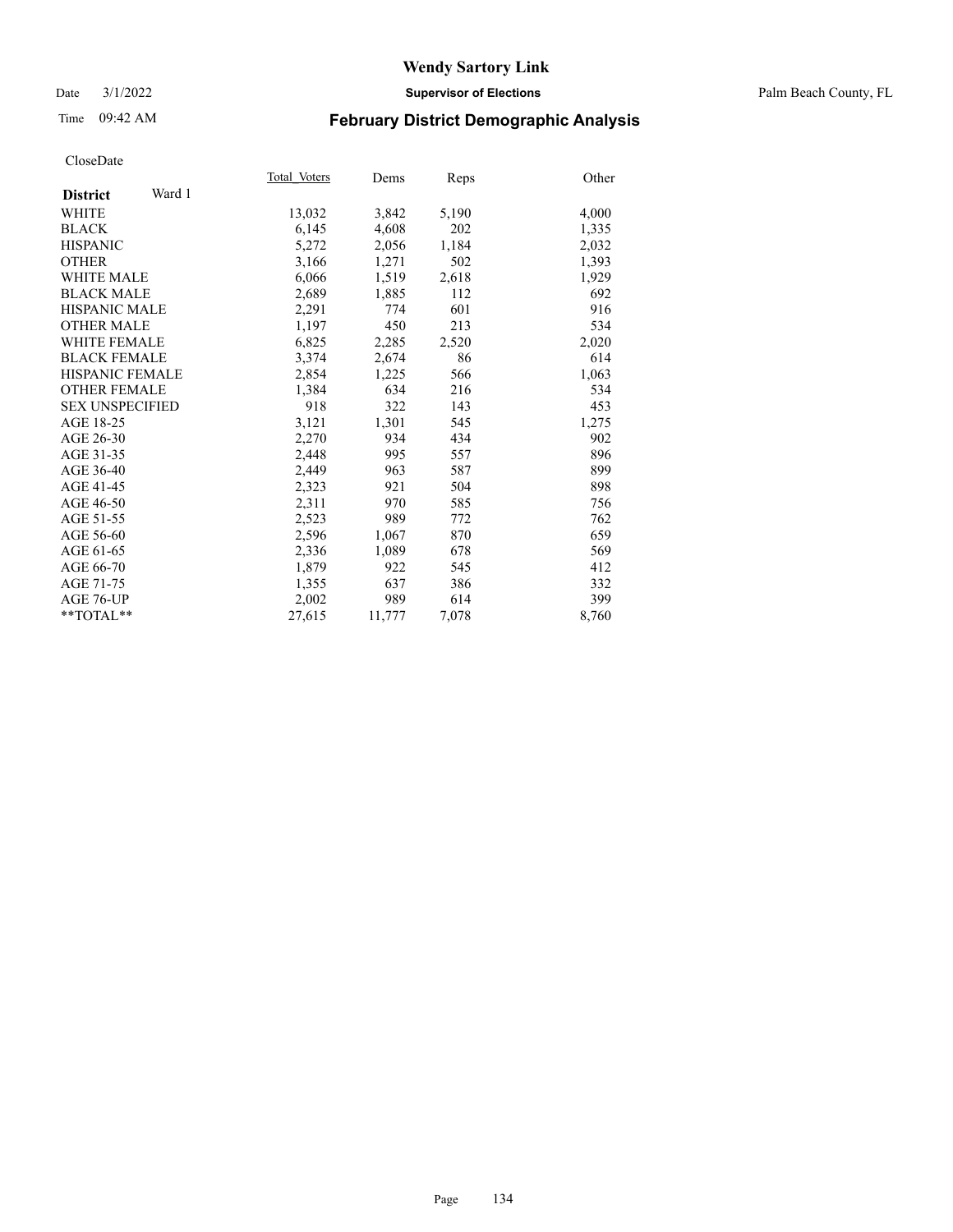#### Date 3/1/2022 **Supervisor of Elections** Palm Beach County, FL

# Time 09:42 AM **February District Demographic Analysis**

|                           | Total Voters | Dems   | Reps  | Other |
|---------------------------|--------------|--------|-------|-------|
| Ward 1<br><b>District</b> |              |        |       |       |
| <b>WHITE</b>              | 13,032       | 3,842  | 5,190 | 4,000 |
| <b>BLACK</b>              | 6,145        | 4,608  | 202   | 1,335 |
| <b>HISPANIC</b>           | 5,272        | 2,056  | 1,184 | 2,032 |
| <b>OTHER</b>              | 3,166        | 1,271  | 502   | 1,393 |
| <b>WHITE MALE</b>         | 6,066        | 1,519  | 2,618 | 1,929 |
| <b>BLACK MALE</b>         | 2,689        | 1,885  | 112   | 692   |
| <b>HISPANIC MALE</b>      | 2,291        | 774    | 601   | 916   |
| <b>OTHER MALE</b>         | 1.197        | 450    | 213   | 534   |
| <b>WHITE FEMALE</b>       | 6,825        | 2,285  | 2,520 | 2,020 |
| <b>BLACK FEMALE</b>       | 3,374        | 2,674  | 86    | 614   |
| <b>HISPANIC FEMALE</b>    | 2,854        | 1,225  | 566   | 1,063 |
| <b>OTHER FEMALE</b>       | 1,384        | 634    | 216   | 534   |
| <b>SEX UNSPECIFIED</b>    | 918          | 322    | 143   | 453   |
| AGE 18-25                 | 3,121        | 1,301  | 545   | 1,275 |
| AGE 26-30                 | 2,270        | 934    | 434   | 902   |
| AGE 31-35                 | 2,448        | 995    | 557   | 896   |
| AGE 36-40                 | 2.449        | 963    | 587   | 899   |
| AGE 41-45                 | 2,323        | 921    | 504   | 898   |
| AGE 46-50                 | 2,311        | 970    | 585   | 756   |
| AGE 51-55                 | 2,523        | 989    | 772   | 762   |
| AGE 56-60                 | 2,596        | 1,067  | 870   | 659   |
| AGE 61-65                 | 2,336        | 1,089  | 678   | 569   |
| AGE 66-70                 | 1,879        | 922    | 545   | 412   |
| AGE 71-75                 | 1,355        | 637    | 386   | 332   |
| AGE 76-UP                 | 2,002        | 989    | 614   | 399   |
| $*$ $TOTAL**$             | 27,615       | 11,777 | 7,078 | 8,760 |
|                           |              |        |       |       |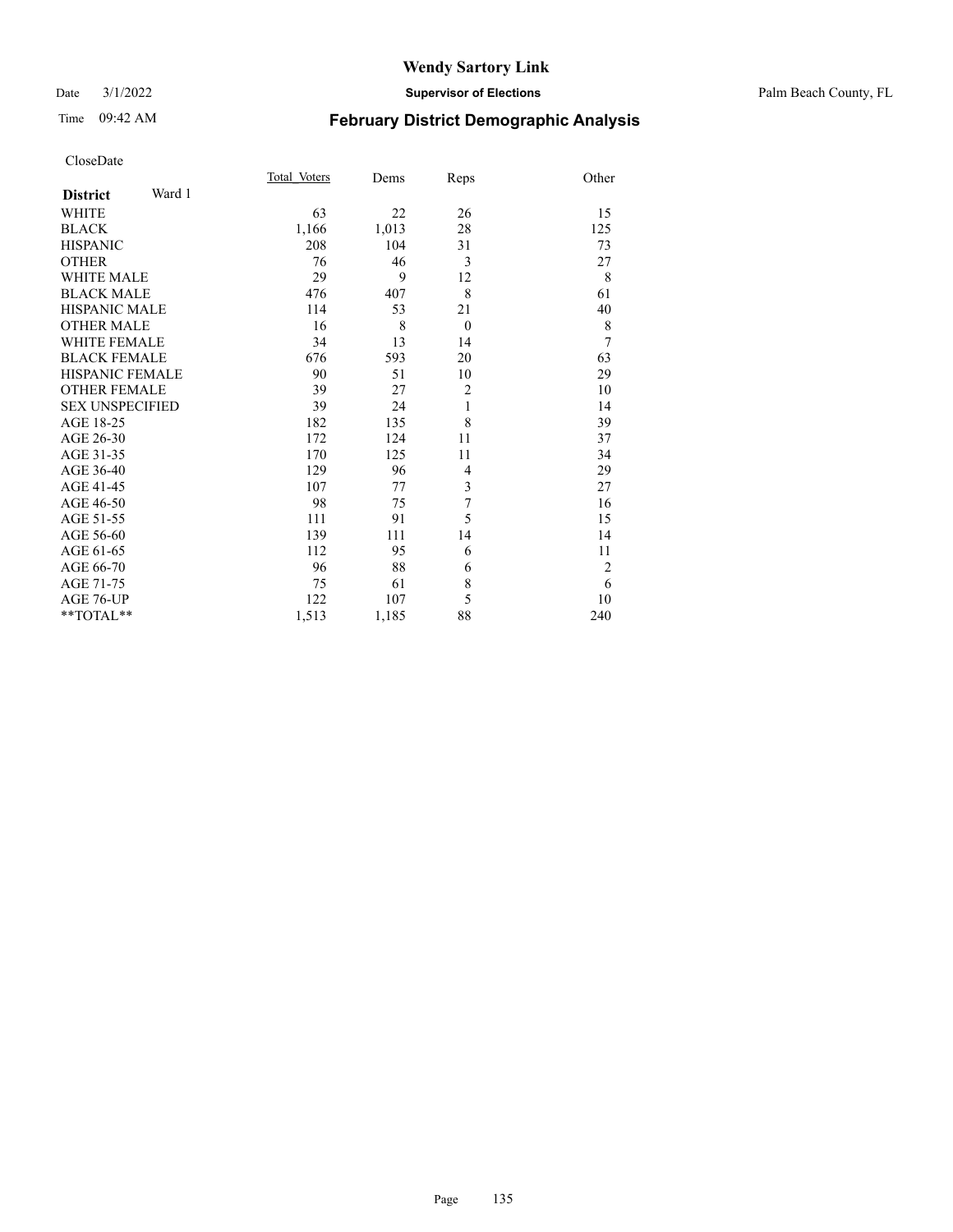#### Date 3/1/2022 **Supervisor of Elections** Palm Beach County, FL

# Time 09:42 AM **February District Demographic Analysis**

|                           | Total Voters | Dems  | Reps           | Other          |
|---------------------------|--------------|-------|----------------|----------------|
| Ward 1<br><b>District</b> |              |       |                |                |
| WHITE                     | 63           | 22    | 26             | 15             |
| <b>BLACK</b>              | 1,166        | 1,013 | 28             | 125            |
| <b>HISPANIC</b>           | 208          | 104   | 31             | 73             |
| <b>OTHER</b>              | 76           | 46    | 3              | 27             |
| <b>WHITE MALE</b>         | 29           | 9     | 12             | 8              |
| <b>BLACK MALE</b>         | 476          | 407   | 8              | 61             |
| <b>HISPANIC MALE</b>      | 114          | 53    | 21             | 40             |
| <b>OTHER MALE</b>         | 16           | 8     | $\theta$       | 8              |
| <b>WHITE FEMALE</b>       | 34           | 13    | 14             | 7              |
| <b>BLACK FEMALE</b>       | 676          | 593   | 20             | 63             |
| <b>HISPANIC FEMALE</b>    | 90           | 51    | 10             | 29             |
| <b>OTHER FEMALE</b>       | 39           | 27    | $\overline{c}$ | 10             |
| <b>SEX UNSPECIFIED</b>    | 39           | 24    | 1              | 14             |
| AGE 18-25                 | 182          | 135   | 8              | 39             |
| AGE 26-30                 | 172          | 124   | 11             | 37             |
| AGE 31-35                 | 170          | 125   | 11             | 34             |
| AGE 36-40                 | 129          | 96    | 4              | 29             |
| AGE 41-45                 | 107          | 77    | 3              | 27             |
| AGE 46-50                 | 98           | 75    | $\overline{7}$ | 16             |
| AGE 51-55                 | 111          | 91    | 5              | 15             |
| AGE 56-60                 | 139          | 111   | 14             | 14             |
| AGE 61-65                 | 112          | 95    | 6              | 11             |
| AGE 66-70                 | 96           | 88    | 6              | $\overline{2}$ |
| AGE 71-75                 | 75           | 61    | $\,$ $\,$      | 6              |
| AGE 76-UP                 | 122          | 107   | 5              | 10             |
| $*$ $TOTAL**$             | 1,513        | 1,185 | 88             | 240            |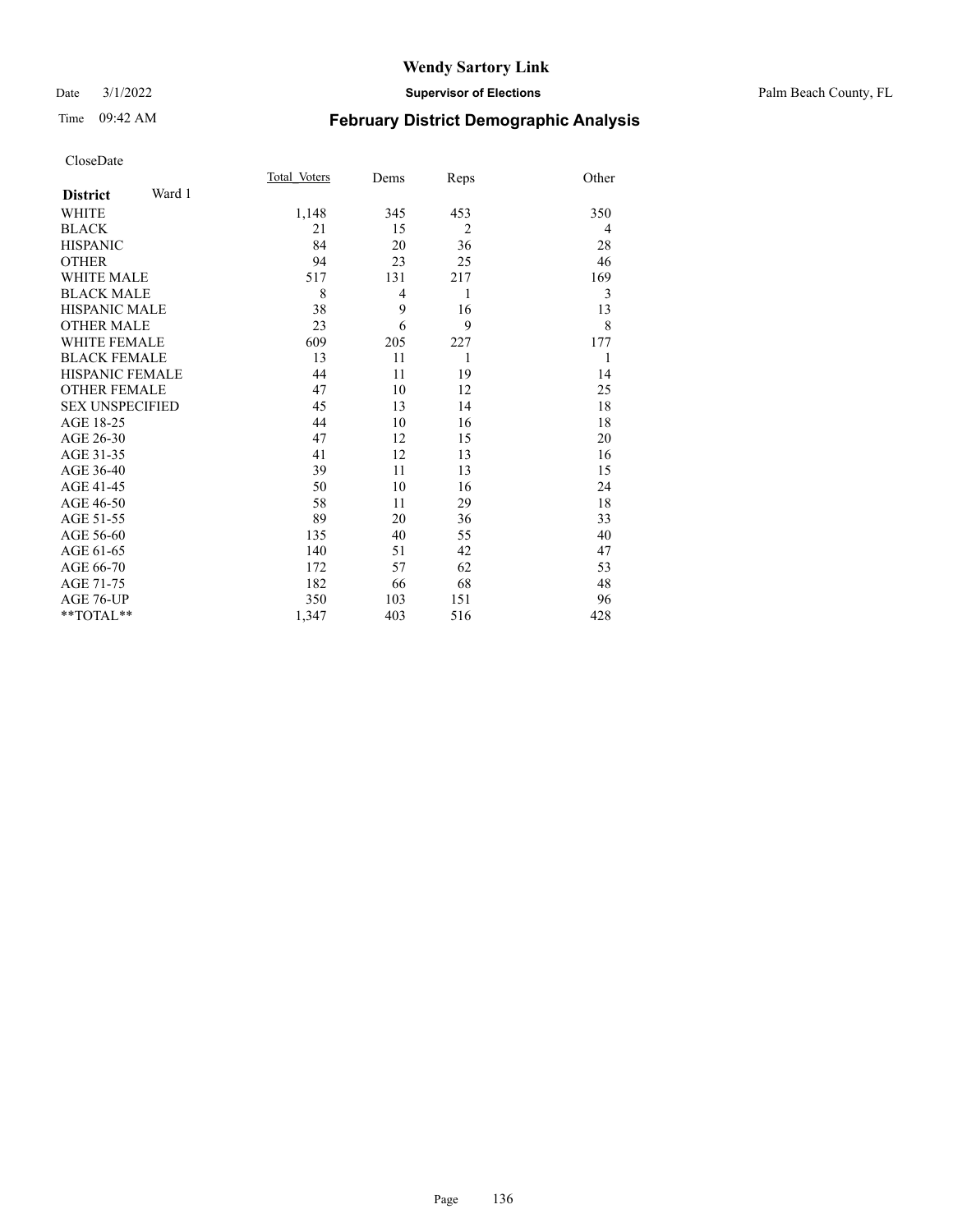| Page | 136 |
|------|-----|
|      |     |

Time 09:42 AM **February District Demographic Analysis** Total\_Voters Dems Reps Other CloseDate **District** Ward 1 WHITE 1,148 345 453 350  $BLACK$  21 15 2 4 HISPANIC 84 20 36 28 OTHER 54 94 23 25 46 WHITE MALE 517 131 217 169 BLACK MALE 8 4 1 3<br>HISPANIC MALE 38 9 16 13 HISPANIC MALE  $\begin{array}{ccccccc} & & & & 38 & & 9 & & 16 & & & 13 \\ \text{OTHER MALE} & & & & & 23 & & 6 & & 9 & & 8 \end{array}$ OTHER MALE 23 6 9 8<br>WHITE FEMALE 609 205 227 177 WHITE FEMALE BLACK FEMALE 13 11 1 1 HISPANIC FEMALE 44 11 19 14 OTHER FEMALE 47 10 12 25 SEX UNSPECIFIED 45 13 14 18 AGE 18-25 44 10 16 18 AGE 26-30 47 12 15 20 AGE 31-35 41 12 13 16 AGE 36-40 39 11 13 15<br>AGE 41-45 50 10 16 24 AGE 41-45 50 10 16 24<br>AGE 46-50 58 11 29 18 AGE 46-50 58 11 29 AGE 51-55 89 20 36 33<br>AGE 56-60 135 40 55 40

AGE 56-60 135 40 55 40<br>AGE 61-65 140 51 42 47

AGE 66-70 172 57 62 53 AGE 71-75 182 66 68 48 AGE 76-UP 350 103 151 96 \*\*TOTAL\*\* 1,347 403 516 428

AGE 61-65 140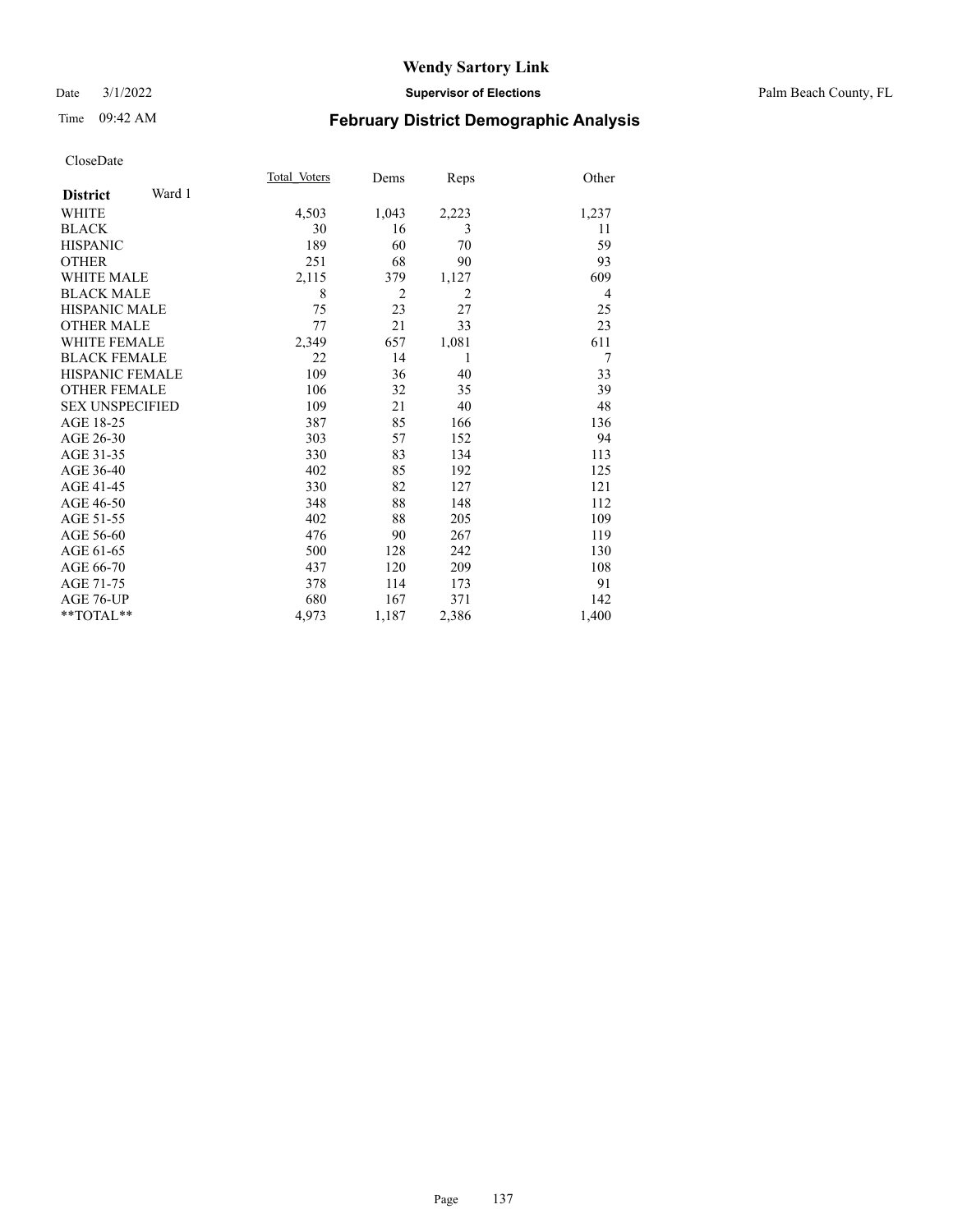#### Date 3/1/2022 **Supervisor of Elections** Palm Beach County, FL

# Time 09:42 AM **February District Demographic Analysis**

| Total Voters<br>Other<br>Dems<br>Reps                   |  |
|---------------------------------------------------------|--|
|                                                         |  |
| 4,503<br>1,043<br>2,223<br>1,237                        |  |
| 30<br>3<br>11<br>16                                     |  |
| 189<br>60<br>59<br>70                                   |  |
| 251<br>68<br>90<br>93                                   |  |
| 2,115<br>609<br>379<br>1,127                            |  |
| $\overline{2}$<br>8<br>$\overline{2}$<br>$\overline{4}$ |  |
| 75<br>23<br>27<br>25                                    |  |
| 77<br>21<br>33<br>23                                    |  |
| 611<br>2,349<br>657<br>1,081                            |  |
| 22<br>14<br>7<br>1                                      |  |
| 109<br>36<br>33<br>40                                   |  |
| 106<br>32<br>39<br>35                                   |  |
| 109<br>21<br>40<br>48                                   |  |
| 85<br>387<br>166<br>136                                 |  |
| 303<br>94<br>57<br>152                                  |  |
| 330<br>83<br>134<br>113                                 |  |
| 402<br>192<br>125<br>85                                 |  |
| 330<br>82<br>127<br>121                                 |  |
| 88<br>148<br>112<br>348                                 |  |
| 402<br>88<br>205<br>109                                 |  |
| 119<br>476<br>267<br>90                                 |  |
| 500<br>242<br>130<br>128                                |  |
| 437<br>209<br>108<br>120                                |  |
| 91<br>378<br>114<br>173                                 |  |
| 680<br>167<br>371<br>142                                |  |
| 4,973<br>1,187<br>2,386<br>1,400                        |  |
|                                                         |  |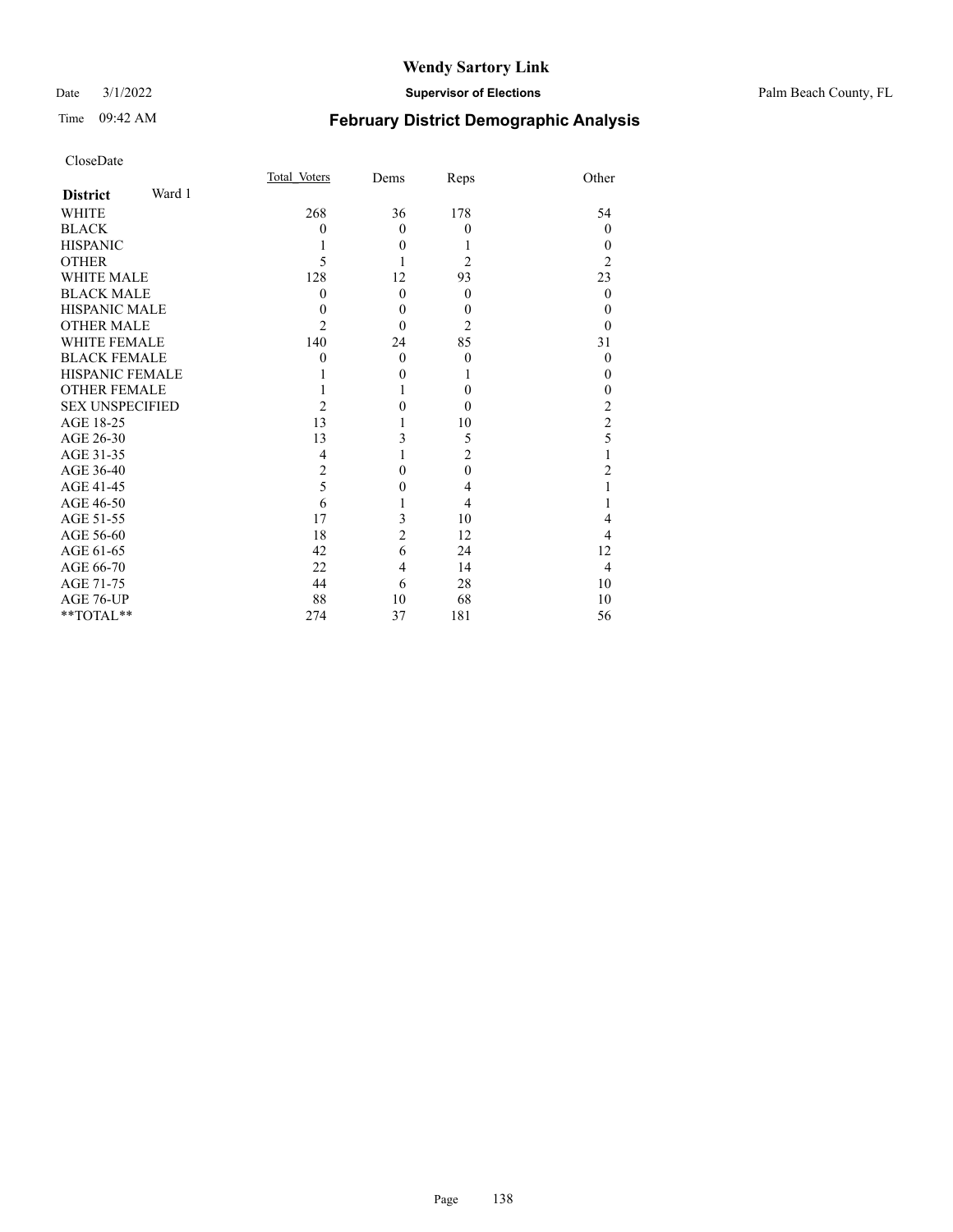#### Date 3/1/2022 **Supervisor of Elections** Palm Beach County, FL

# Time 09:42 AM **February District Demographic Analysis**

| Total Voters   | Dems     | Reps           | Other            |
|----------------|----------|----------------|------------------|
|                |          |                |                  |
| 268            | 36       | 178            | 54               |
| $\theta$       | $\theta$ | $\theta$       | $\theta$         |
| 1              | $\theta$ | 1              | $\theta$         |
| 5              | 1        | $\overline{c}$ | $\overline{2}$   |
| 128            | 12       | 93             | 23               |
| $\theta$       | $\theta$ | $\theta$       | $\overline{0}$   |
| $\theta$       | $\theta$ | $\theta$       | $\theta$         |
| $\overline{2}$ | $\theta$ | 2              | $\Omega$         |
| 140            | 24       | 85             | 31               |
| $\theta$       | $\theta$ | $\theta$       | $\theta$         |
|                | $\theta$ | L              | $\theta$         |
|                | 1        | $\theta$       | $\boldsymbol{0}$ |
| $\overline{c}$ | 0        | $\Omega$       | $\frac{2}{2}$    |
| 13             | 1        | 10             |                  |
| 13             | 3        | 5              | 5                |
| 4              | 1        | $\overline{c}$ | $\mathbf{1}$     |
| $\overline{2}$ | 0        | $\theta$       | $\overline{c}$   |
| 5              | $\theta$ | 4              | $\mathbf{1}$     |
| 6              |          | 4              | 1                |
| 17             | 3        | 10             | $\overline{4}$   |
| 18             |          | 12             | 4                |
| 42             | 6        | 24             | 12               |
| 22             | 4        | 14             | $\overline{4}$   |
| 44             | 6        | 28             | 10               |
| 88             | 10       | 68             | 10               |
| 274            | 37       | 181            | 56               |
|                |          | $\overline{c}$ |                  |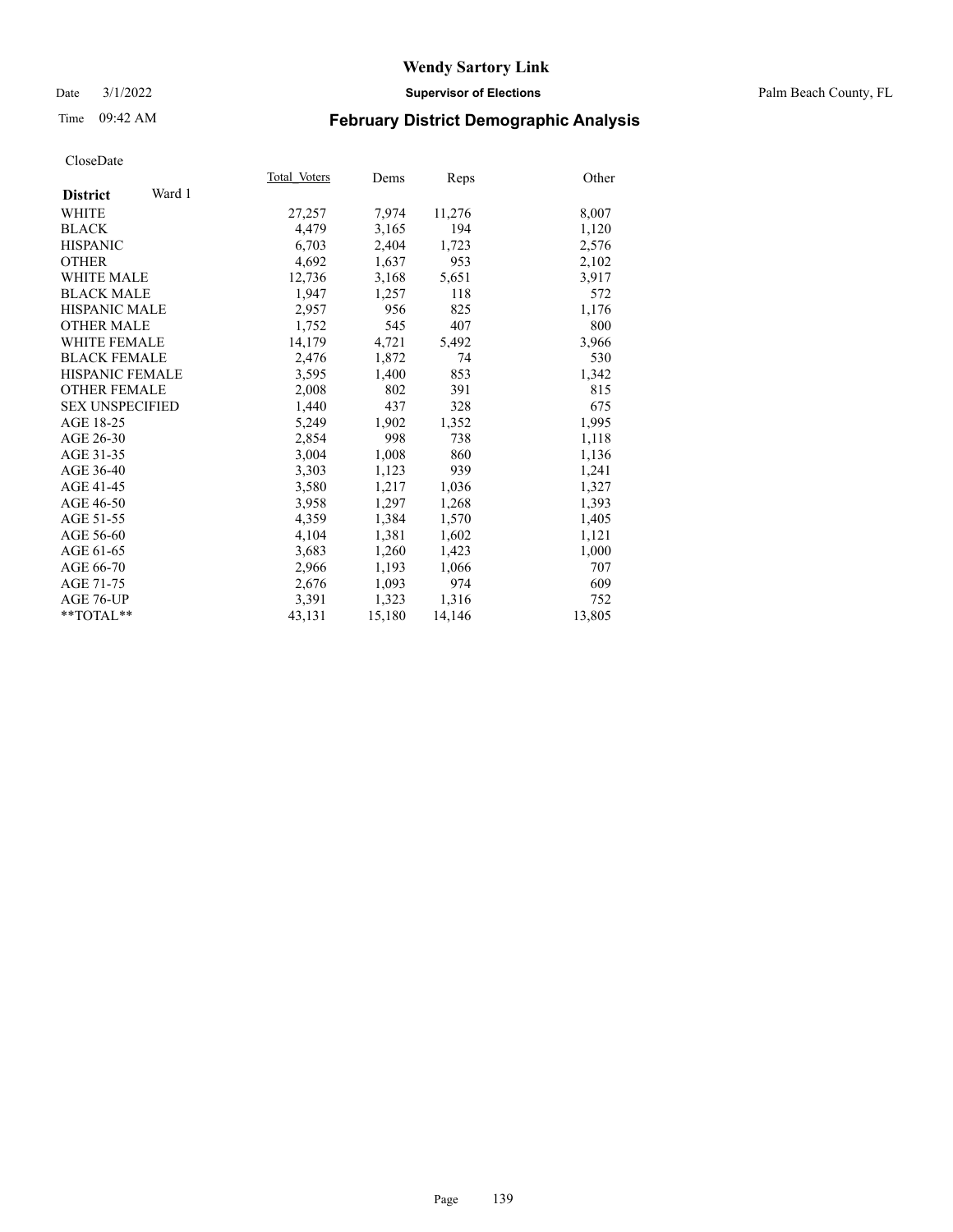#### Date 3/1/2022 **Supervisor of Elections** Palm Beach County, FL

# Time 09:42 AM **February District Demographic Analysis**

|                           | Total Voters | Dems   | Reps   | Other  |
|---------------------------|--------------|--------|--------|--------|
| Ward 1<br><b>District</b> |              |        |        |        |
| WHITE                     | 27,257       | 7,974  | 11,276 | 8,007  |
| <b>BLACK</b>              | 4,479        | 3,165  | 194    | 1,120  |
| <b>HISPANIC</b>           | 6,703        | 2,404  | 1,723  | 2,576  |
| <b>OTHER</b>              | 4,692        | 1,637  | 953    | 2,102  |
| <b>WHITE MALE</b>         | 12,736       | 3,168  | 5,651  | 3,917  |
| <b>BLACK MALE</b>         | 1,947        | 1,257  | 118    | 572    |
| HISPANIC MALE             | 2,957        | 956    | 825    | 1,176  |
| <b>OTHER MALE</b>         | 1,752        | 545    | 407    | 800    |
| <b>WHITE FEMALE</b>       | 14,179       | 4,721  | 5,492  | 3,966  |
| <b>BLACK FEMALE</b>       | 2,476        | 1,872  | 74     | 530    |
| <b>HISPANIC FEMALE</b>    | 3,595        | 1,400  | 853    | 1,342  |
| <b>OTHER FEMALE</b>       | 2,008        | 802    | 391    | 815    |
| <b>SEX UNSPECIFIED</b>    | 1,440        | 437    | 328    | 675    |
| AGE 18-25                 | 5,249        | 1,902  | 1,352  | 1,995  |
| AGE 26-30                 | 2,854        | 998    | 738    | 1,118  |
| AGE 31-35                 | 3,004        | 1,008  | 860    | 1,136  |
| AGE 36-40                 | 3,303        | 1,123  | 939    | 1,241  |
| AGE 41-45                 | 3,580        | 1,217  | 1,036  | 1,327  |
| AGE 46-50                 | 3,958        | 1,297  | 1,268  | 1,393  |
| AGE 51-55                 | 4,359        | 1,384  | 1,570  | 1,405  |
| AGE 56-60                 | 4,104        | 1,381  | 1,602  | 1,121  |
| AGE 61-65                 | 3,683        | 1,260  | 1,423  | 1,000  |
| AGE 66-70                 | 2,966        | 1,193  | 1,066  | 707    |
| AGE 71-75                 | 2,676        | 1,093  | 974    | 609    |
| AGE 76-UP                 | 3,391        | 1,323  | 1,316  | 752    |
| $*$ $TOTAL**$             | 43,131       | 15,180 | 14,146 | 13,805 |
|                           |              |        |        |        |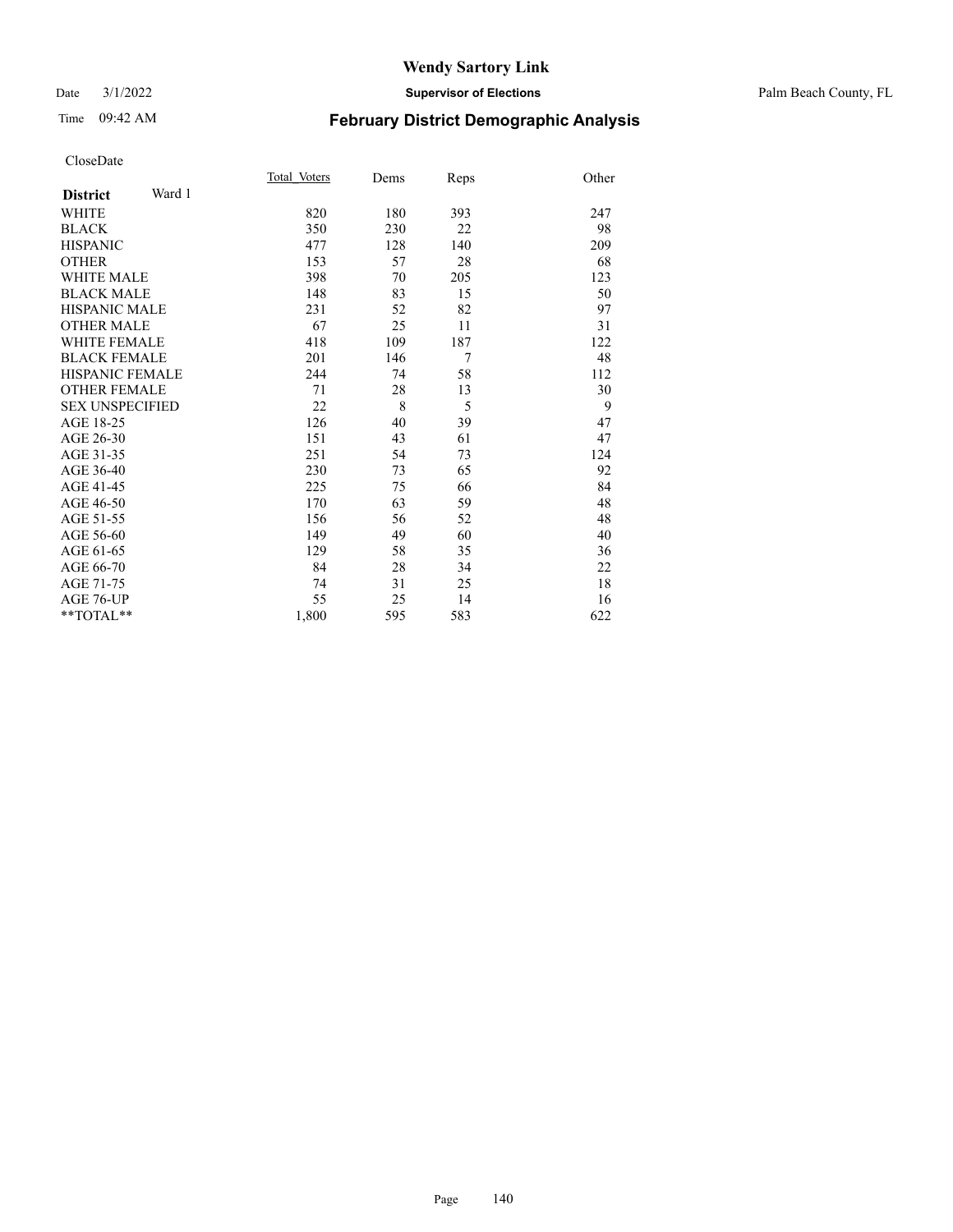#### Date 3/1/2022 **Supervisor of Elections** Palm Beach County, FL

# Time 09:42 AM **February District Demographic Analysis**

|                           | Total Voters | Dems | Reps | Other |
|---------------------------|--------------|------|------|-------|
| Ward 1<br><b>District</b> |              |      |      |       |
| <b>WHITE</b>              | 820          | 180  | 393  | 247   |
| <b>BLACK</b>              | 350          | 230  | 22   | 98    |
| <b>HISPANIC</b>           | 477          | 128  | 140  | 209   |
| <b>OTHER</b>              | 153          | 57   | 28   | 68    |
| <b>WHITE MALE</b>         | 398          | 70   | 205  | 123   |
| <b>BLACK MALE</b>         | 148          | 83   | 15   | 50    |
| <b>HISPANIC MALE</b>      | 231          | 52   | 82   | 97    |
| <b>OTHER MALE</b>         | 67           | 25   | 11   | 31    |
| <b>WHITE FEMALE</b>       | 418          | 109  | 187  | 122   |
| <b>BLACK FEMALE</b>       | 201          | 146  | 7    | 48    |
| <b>HISPANIC FEMALE</b>    | 244          | 74   | 58   | 112   |
| <b>OTHER FEMALE</b>       | 71           | 28   | 13   | 30    |
| <b>SEX UNSPECIFIED</b>    | 22           | 8    | 5    | 9     |
| AGE 18-25                 | 126          | 40   | 39   | 47    |
| AGE 26-30                 | 151          | 43   | 61   | 47    |
| AGE 31-35                 | 251          | 54   | 73   | 124   |
| AGE 36-40                 | 230          | 73   | 65   | 92    |
| AGE 41-45                 | 225          | 75   | 66   | 84    |
| AGE 46-50                 | 170          | 63   | 59   | 48    |
| AGE 51-55                 | 156          | 56   | 52   | 48    |
| AGE 56-60                 | 149          | 49   | 60   | 40    |
| AGE 61-65                 | 129          | 58   | 35   | 36    |
| AGE 66-70                 | 84           | 28   | 34   | 22    |
| AGE 71-75                 | 74           | 31   | 25   | 18    |
| AGE 76-UP                 | 55           | 25   | 14   | 16    |
| $**TOTAL**$               | 1,800        | 595  | 583  | 622   |